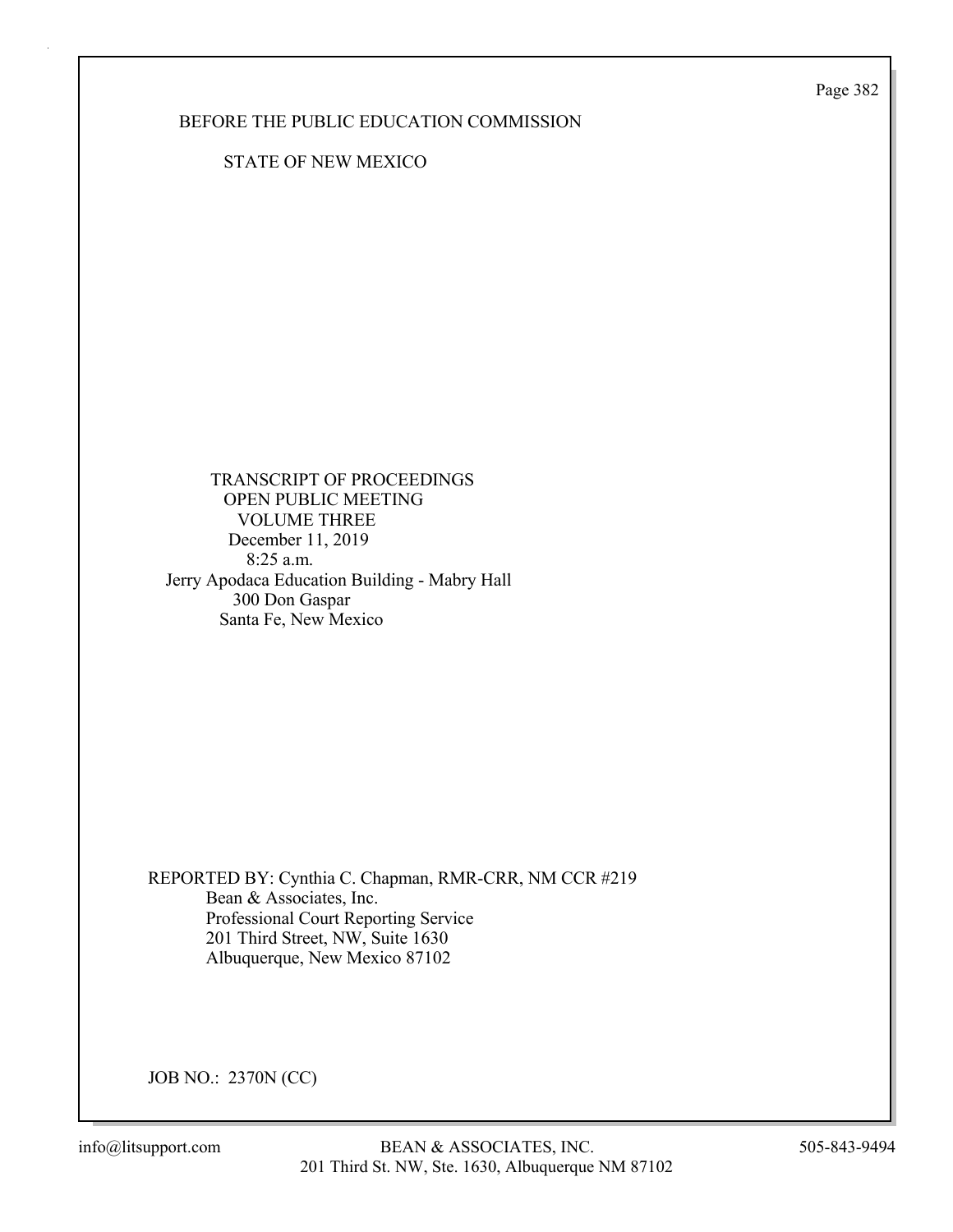Page 382

## BEFORE THE PUBLIC EDUCATION COMMISSION

STATE OF NEW MEXICO

 TRANSCRIPT OF PROCEEDINGS OPEN PUBLIC MEETING VOLUME THREE December 11, 2019 8:25 a.m. Jerry Apodaca Education Building - Mabry Hall 300 Don Gaspar Santa Fe, New Mexico

REPORTED BY: Cynthia C. Chapman, RMR-CRR, NM CCR #219 Bean & Associates, Inc. Professional Court Reporting Service 201 Third Street, NW, Suite 1630 Albuquerque, New Mexico 87102

JOB NO.: 2370N (CC)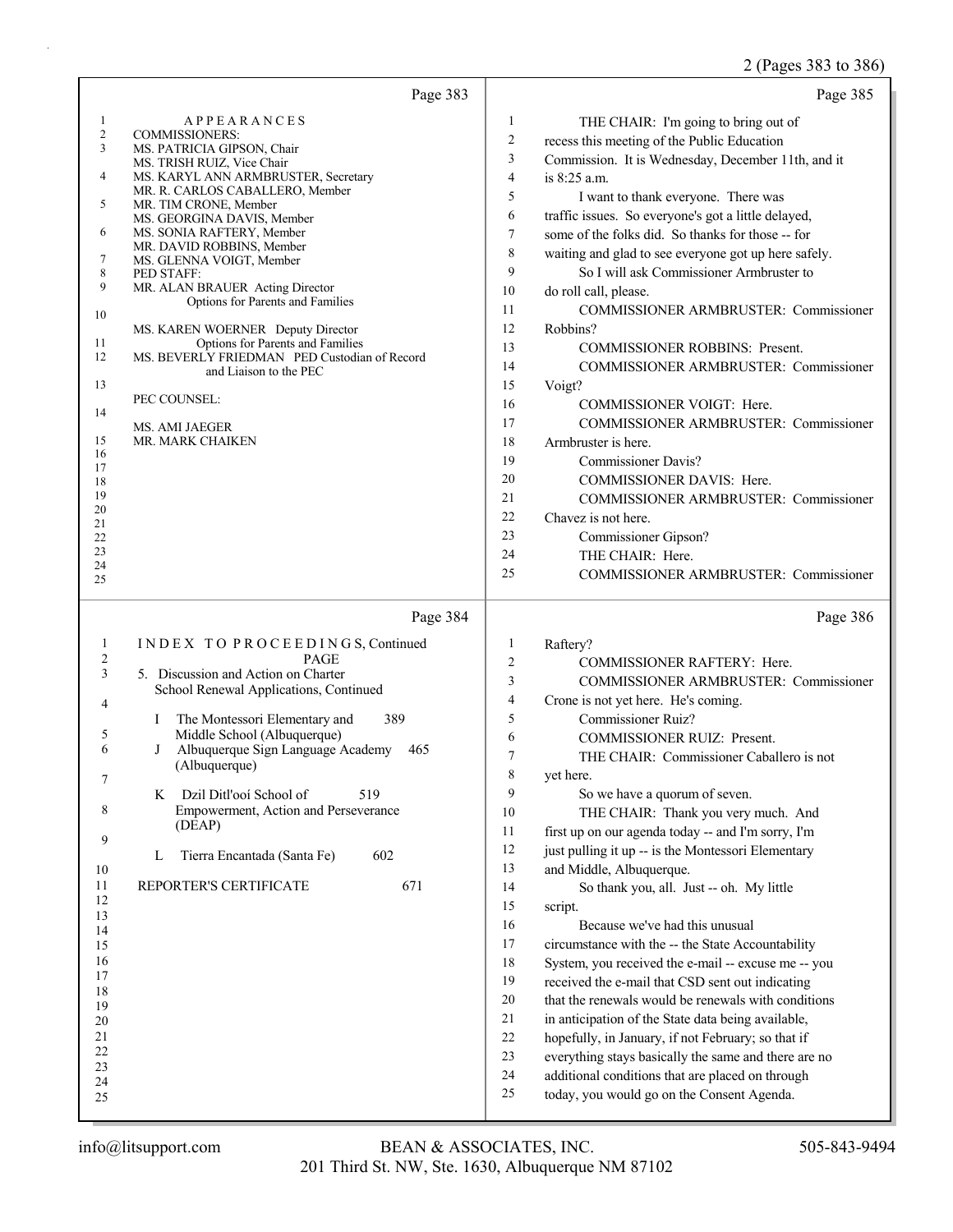## 2 (Pages 383 to 386)

| Page 383                                                                                                                                                                                                                                                                                                                                                                                                                                                                                                                                                                                                                                                                                                                                                                         | Page 385                                                                                                                                                                                                                                                                                                                                                                                                                                                                                                                                                                                                                                                                                                                                                                                                                                                                                                                                                                                                                                                                                                                                                                                                                                             |
|----------------------------------------------------------------------------------------------------------------------------------------------------------------------------------------------------------------------------------------------------------------------------------------------------------------------------------------------------------------------------------------------------------------------------------------------------------------------------------------------------------------------------------------------------------------------------------------------------------------------------------------------------------------------------------------------------------------------------------------------------------------------------------|------------------------------------------------------------------------------------------------------------------------------------------------------------------------------------------------------------------------------------------------------------------------------------------------------------------------------------------------------------------------------------------------------------------------------------------------------------------------------------------------------------------------------------------------------------------------------------------------------------------------------------------------------------------------------------------------------------------------------------------------------------------------------------------------------------------------------------------------------------------------------------------------------------------------------------------------------------------------------------------------------------------------------------------------------------------------------------------------------------------------------------------------------------------------------------------------------------------------------------------------------|
| 1<br><b>APPEARANCES</b><br>2<br><b>COMMISSIONERS:</b><br>3<br>MS. PATRICIA GIPSON, Chair<br>MS. TRISH RUIZ, Vice Chair<br>4<br>MS. KARYL ANN ARMBRUSTER, Secretary<br>MR. R. CARLOS CABALLERO, Member<br>5<br>MR. TIM CRONE, Member<br>MS. GEORGINA DAVIS, Member<br>6<br>MS. SONIA RAFTERY, Member<br>MR. DAVID ROBBINS, Member<br>7<br>MS. GLENNA VOIGT, Member<br>8<br>PED STAFF:<br>9<br>MR. ALAN BRAUER Acting Director<br>Options for Parents and Families<br>10<br>MS. KAREN WOERNER Deputy Director<br>Options for Parents and Families<br>11<br>MS. BEVERLY FRIEDMAN PED Custodian of Record<br>12<br>and Liaison to the PEC<br>13<br>PEC COUNSEL:<br>14<br><b>MS. AMI JAEGER</b><br>15<br>MR. MARK CHAIKEN<br>16<br>17<br>18<br>19<br>20<br>21<br>22<br>23<br>24<br>25 | 1<br>THE CHAIR: I'm going to bring out of<br>$\overline{c}$<br>recess this meeting of the Public Education<br>3<br>Commission. It is Wednesday, December 11th, and it<br>4<br>is 8:25 a.m.<br>5<br>I want to thank everyone. There was<br>6<br>traffic issues. So everyone's got a little delayed,<br>7<br>some of the folks did. So thanks for those -- for<br>$\,$ $\,$<br>waiting and glad to see everyone got up here safely.<br>9<br>So I will ask Commissioner Armbruster to<br>10<br>do roll call, please.<br>11<br><b>COMMISSIONER ARMBRUSTER: Commissioner</b><br>12<br>Robbins?<br>13<br><b>COMMISSIONER ROBBINS: Present.</b><br>14<br>COMMISSIONER ARMBRUSTER: Commissioner<br>15<br>Voigt?<br>16<br>COMMISSIONER VOIGT: Here.<br>17<br>COMMISSIONER ARMBRUSTER: Commissioner<br>18<br>Armbruster is here.<br>19<br><b>Commissioner Davis?</b><br>20<br>COMMISSIONER DAVIS: Here.<br>21<br>COMMISSIONER ARMBRUSTER: Commissioner<br>22<br>Chavez is not here.<br>23<br>Commissioner Gipson?<br>THE CHAIR: Here.<br>24<br>25<br>COMMISSIONER ARMBRUSTER: Commissioner                                                                                                                                                                     |
| Page 384<br>INDEX TO PROCEEDINGS, Continued<br>$\mathbf{1}$<br>$\overline{\mathbf{c}}$<br><b>PAGE</b><br>3<br>5. Discussion and Action on Charter<br>School Renewal Applications, Continued<br>4<br>389<br>The Montessori Elementary and<br>Ι<br>Middle School (Albuquerque)<br>5<br>6<br>Albuquerque Sign Language Academy<br>J<br>465<br>(Albuquerque)<br>519<br>Dzil Ditl'ooi School of<br>K<br>8<br>Empowerment, Action and Perseverance<br>(DEAP)<br>9<br>Tierra Encantada (Santa Fe)<br>602<br>L<br>10<br>11<br>REPORTER'S CERTIFICATE<br>671<br>12<br>13<br>14<br>15<br>16<br>17<br>18<br>19<br>20<br>21<br>22<br>23<br>24<br>25                                                                                                                                          | Page 386<br>Raftery?<br>1<br>$\boldsymbol{2}$<br>COMMISSIONER RAFTERY: Here.<br>3<br><b>COMMISSIONER ARMBRUSTER: Commissioner</b><br>4<br>Crone is not yet here. He's coming.<br>5<br>Commissioner Ruiz?<br>6<br><b>COMMISSIONER RUIZ: Present.</b><br>$\boldsymbol{7}$<br>THE CHAIR: Commissioner Caballero is not<br>8<br>yet here.<br>9<br>So we have a quorum of seven.<br>10<br>THE CHAIR: Thank you very much. And<br>11<br>first up on our agenda today -- and I'm sorry, I'm<br>12<br>just pulling it up -- is the Montessori Elementary<br>13<br>and Middle, Albuquerque.<br>14<br>So thank you, all. Just -- oh. My little<br>15<br>script.<br>16<br>Because we've had this unusual<br>17<br>circumstance with the -- the State Accountability<br>18<br>System, you received the e-mail -- excuse me -- you<br>19<br>received the e-mail that CSD sent out indicating<br>20<br>that the renewals would be renewals with conditions<br>21<br>in anticipation of the State data being available,<br>$22\,$<br>hopefully, in January, if not February; so that if<br>23<br>everything stays basically the same and there are no<br>24<br>additional conditions that are placed on through<br>25<br>today, you would go on the Consent Agenda. |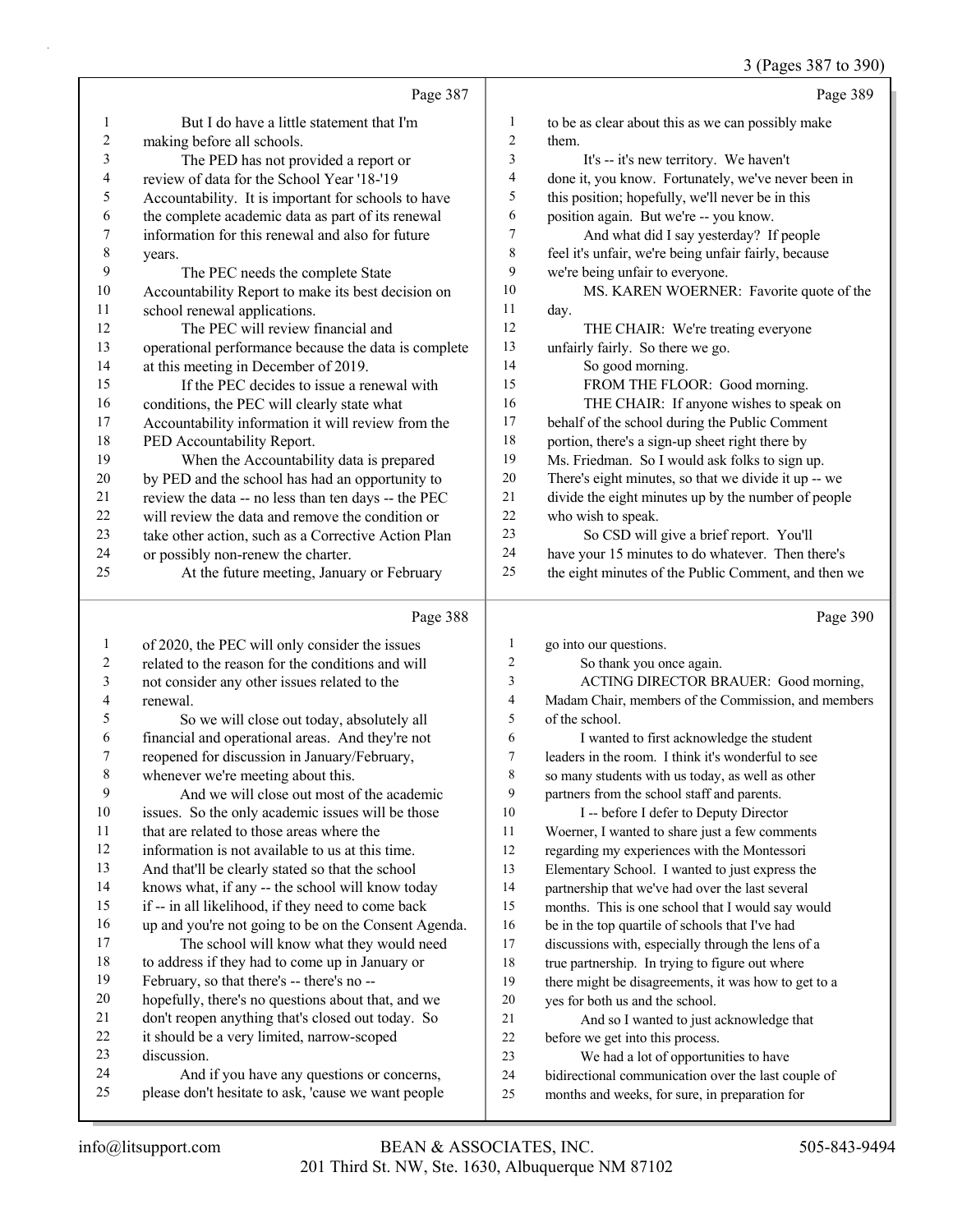|             |                                                      |                | 3 (Pages 387 to 390)                                 |
|-------------|------------------------------------------------------|----------------|------------------------------------------------------|
|             | Page 387                                             |                | Page 389                                             |
| 1           | But I do have a little statement that I'm            | 1              | to be as clear about this as we can possibly make    |
| 2           | making before all schools.                           | $\overline{2}$ | them.                                                |
| 3           | The PED has not provided a report or                 | 3              | It's -- it's new territory. We haven't               |
| 4           | review of data for the School Year '18-'19           | 4              | done it, you know. Fortunately, we've never been in  |
| 5           | Accountability. It is important for schools to have  | 5              | this position; hopefully, we'll never be in this     |
| 6           | the complete academic data as part of its renewal    | 6              | position again. But we're -- you know.               |
| 7           | information for this renewal and also for future     | 7              | And what did I say yesterday? If people              |
| $\,$ $\,$   | years.                                               | $\,$ 8 $\,$    | feel it's unfair, we're being unfair fairly, because |
| 9           | The PEC needs the complete State                     | 9              | we're being unfair to everyone.                      |
| 10          | Accountability Report to make its best decision on   | 10             | MS. KAREN WOERNER: Favorite quote of the             |
| 11          | school renewal applications.                         | 11             | day.                                                 |
| 12          | The PEC will review financial and                    | 12             | THE CHAIR: We're treating everyone                   |
| 13          | operational performance because the data is complete | 13             | unfairly fairly. So there we go.                     |
| 14          | at this meeting in December of 2019.                 | 14             | So good morning.                                     |
| 15          | If the PEC decides to issue a renewal with           | 15             | FROM THE FLOOR: Good morning.                        |
| 16          | conditions, the PEC will clearly state what          | 16             | THE CHAIR: If anyone wishes to speak on              |
| 17          | Accountability information it will review from the   | 17             | behalf of the school during the Public Comment       |
| 18          | PED Accountability Report.                           | 18             | portion, there's a sign-up sheet right there by      |
| 19          | When the Accountability data is prepared             | 19             | Ms. Friedman. So I would ask folks to sign up.       |
| 20          | by PED and the school has had an opportunity to      | 20             | There's eight minutes, so that we divide it up -- we |
| 21          | review the data -- no less than ten days -- the PEC  | 21             | divide the eight minutes up by the number of people  |
| 22          | will review the data and remove the condition or     | 22             | who wish to speak.                                   |
| 23          | take other action, such as a Corrective Action Plan  | 23             | So CSD will give a brief report. You'll              |
| 24          | or possibly non-renew the charter.                   | 24             | have your 15 minutes to do whatever. Then there's    |
| 25          | At the future meeting, January or February           | 25             | the eight minutes of the Public Comment, and then we |
|             |                                                      |                |                                                      |
|             | Page 388                                             |                | Page 390                                             |
| 1           | of 2020, the PEC will only consider the issues       | 1              | go into our questions.                               |
| 2           | related to the reason for the conditions and will    | $\overline{c}$ | So thank you once again.                             |
| 3           | not consider any other issues related to the         | 3              | ACTING DIRECTOR BRAUER: Good morning,                |
| 4           | renewal.                                             | $\overline{4}$ | Madam Chair, members of the Commission, and members  |
| 5           | So we will close out today, absolutely all           | 5              | of the school.                                       |
| 6           | financial and operational areas. And they're not     | 6              | I wanted to first acknowledge the student            |
| 7           | reopened for discussion in January/February,         | 7              | leaders in the room. I think it's wonderful to see   |
| $\,$ 8 $\,$ | whenever we're meeting about this.                   | 8              | so many students with us today, as well as other     |
| 9           | And we will close out most of the academic           | 9              | partners from the school staff and parents.          |
| 10          | issues. So the only academic issues will be those    | 10             | I -- before I defer to Deputy Director               |
| 11          | that are related to those areas where the            | 11             | Woerner, I wanted to share just a few comments       |
| 12          | information is not available to us at this time.     | 12             | regarding my experiences with the Montessori         |
| 13          | And that'll be clearly stated so that the school     | 13             | Elementary School. I wanted to just express the      |
| 14          | knows what, if any -- the school will know today     | 14             | partnership that we've had over the last several     |
| 15          | if -- in all likelihood, if they need to come back   | 15             | months. This is one school that I would say would    |
| 16          | up and you're not going to be on the Consent Agenda. | 16             | be in the top quartile of schools that I've had      |
| 17          | The school will know what they would need            | 17             | discussions with, especially through the lens of a   |
| $18\,$      | to address if they had to come up in January or      | 18             | true partnership. In trying to figure out where      |
| 19          | February, so that there's -- there's no --           | 19             | there might be disagreements, it was how to get to a |
| $20\,$      | hopefully, there's no questions about that, and we   | 20             | yes for both us and the school.                      |
| 21          | don't reopen anything that's closed out today. So    | 21             | And so I wanted to just acknowledge that             |
| $22\,$      | it should be a very limited, narrow-scoped           | 22             | before we get into this process.                     |

- it should be a very limited, narrow-scoped
- discussion.
- 24 And if you have any questions or concerns,<br>25 please don't hesitate to ask, 'cause we want people
- please don't hesitate to ask, 'cause we want people
- before we get into this process. 23 We had a lot of opportunities to have
- bidirectional communication over the last couple of
- months and weeks, for sure, in preparation for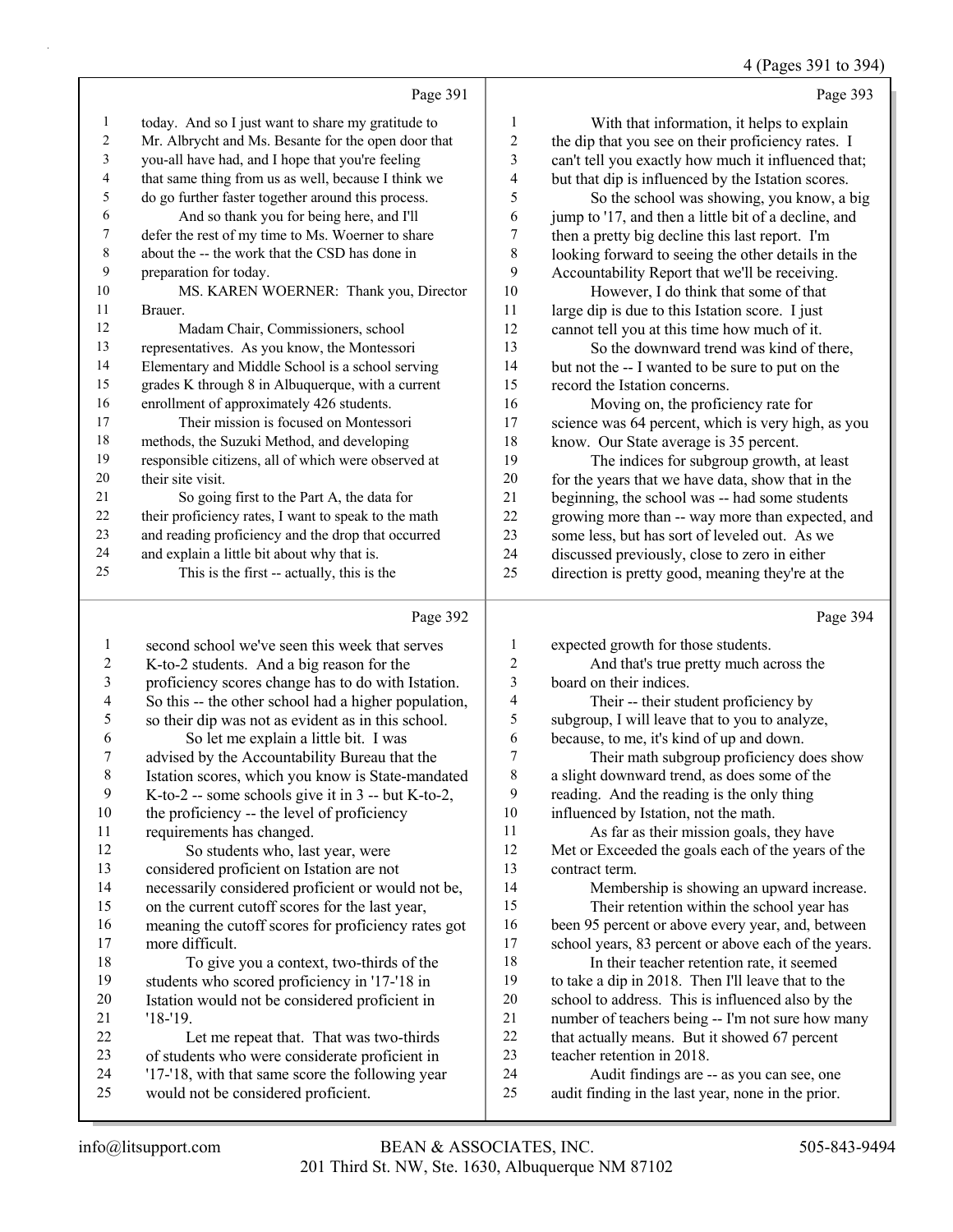## 4 (Pages 391 to 394)

|    | Page 391                                             |    | Page 393                                             |
|----|------------------------------------------------------|----|------------------------------------------------------|
| 1  | today. And so I just want to share my gratitude to   | 1  | With that information, it helps to explain           |
| 2  | Mr. Albrycht and Ms. Besante for the open door that  | 2  | the dip that you see on their proficiency rates. I   |
| 3  | you-all have had, and I hope that you're feeling     | 3  | can't tell you exactly how much it influenced that;  |
| 4  | that same thing from us as well, because I think we  | 4  | but that dip is influenced by the Istation scores.   |
| 5  | do go further faster together around this process.   | 5  | So the school was showing, you know, a big           |
| 6  | And so thank you for being here, and I'll            | 6  | jump to '17, and then a little bit of a decline, and |
| 7  | defer the rest of my time to Ms. Woerner to share    | 7  | then a pretty big decline this last report. I'm      |
| 8  | about the -- the work that the CSD has done in       | 8  | looking forward to seeing the other details in the   |
| 9  | preparation for today.                               | 9  | Accountability Report that we'll be receiving.       |
| 10 | MS. KAREN WOERNER: Thank you, Director               | 10 | However, I do think that some of that                |
| 11 | Brauer.                                              | 11 | large dip is due to this Istation score. I just      |
| 12 | Madam Chair, Commissioners, school                   | 12 | cannot tell you at this time how much of it.         |
| 13 | representatives. As you know, the Montessori         | 13 | So the downward trend was kind of there,             |
| 14 | Elementary and Middle School is a school serving     | 14 | but not the -- I wanted to be sure to put on the     |
| 15 | grades K through 8 in Albuquerque, with a current    | 15 | record the Istation concerns.                        |
| 16 | enrollment of approximately 426 students.            | 16 | Moving on, the proficiency rate for                  |
| 17 | Their mission is focused on Montessori               | 17 | science was 64 percent, which is very high, as you   |
| 18 | methods, the Suzuki Method, and developing           | 18 | know. Our State average is 35 percent.               |
| 19 | responsible citizens, all of which were observed at  | 19 | The indices for subgroup growth, at least            |
| 20 | their site visit.                                    | 20 | for the years that we have data, show that in the    |
| 21 | So going first to the Part A, the data for           | 21 | beginning, the school was -- had some students       |
| 22 | their proficiency rates, I want to speak to the math | 22 | growing more than -- way more than expected, and     |
| 23 | and reading proficiency and the drop that occurred   | 23 | some less, but has sort of leveled out. As we        |
| 24 | and explain a little bit about why that is.          | 24 | discussed previously, close to zero in either        |
| 25 | This is the first -- actually, this is the           | 25 | direction is pretty good, meaning they're at the     |
|    |                                                      |    |                                                      |

# Page 392

|                | Page 392                                             |    | Page 394                                             |
|----------------|------------------------------------------------------|----|------------------------------------------------------|
| 1              | second school we've seen this week that serves       | 1  | expected growth for those students.                  |
| $\overline{c}$ | K-to-2 students. And a big reason for the            | 2  | And that's true pretty much across the               |
| 3              | proficiency scores change has to do with Istation.   | 3  | board on their indices.                              |
| 4              | So this -- the other school had a higher population, | 4  | Their -- their student proficiency by                |
| 5              | so their dip was not as evident as in this school.   | 5  | subgroup, I will leave that to you to analyze,       |
| 6              | So let me explain a little bit. I was                | 6  | because, to me, it's kind of up and down.            |
| 7              | advised by the Accountability Bureau that the        | 7  | Their math subgroup proficiency does show            |
| 8              | Istation scores, which you know is State-mandated    | 8  | a slight downward trend, as does some of the         |
| 9              | K-to-2 -- some schools give it in 3 -- but K-to-2,   | 9  | reading. And the reading is the only thing           |
| 10             | the proficiency -- the level of proficiency          | 10 | influenced by Istation, not the math.                |
| 11             | requirements has changed.                            | 11 | As far as their mission goals, they have             |
| 12             | So students who, last year, were                     | 12 | Met or Exceeded the goals each of the years of the   |
| 13             | considered proficient on Istation are not            | 13 | contract term.                                       |
| 14             | necessarily considered proficient or would not be,   | 14 | Membership is showing an upward increase.            |
| 15             | on the current cutoff scores for the last year,      | 15 | Their retention within the school year has           |
| 16             | meaning the cutoff scores for proficiency rates got  | 16 | been 95 percent or above every year, and, between    |
| 17             | more difficult.                                      | 17 | school years, 83 percent or above each of the years. |
| 18             | To give you a context, two-thirds of the             | 18 | In their teacher retention rate, it seemed           |
| 19             | students who scored proficiency in '17-'18 in        | 19 | to take a dip in 2018. Then I'll leave that to the   |
| 20             | Istation would not be considered proficient in       | 20 | school to address. This is influenced also by the    |
| 21             | $'18-19.$                                            | 21 | number of teachers being -- I'm not sure how many    |
| 22             | Let me repeat that. That was two-thirds              | 22 | that actually means. But it showed 67 percent        |
| 23             | of students who were considerate proficient in       | 23 | teacher retention in 2018.                           |
| 24             | '17-'18, with that same score the following year     | 24 | Audit findings are -- as you can see, one            |
| 25             | would not be considered proficient.                  | 25 | audit finding in the last year, none in the prior.   |
|                |                                                      |    |                                                      |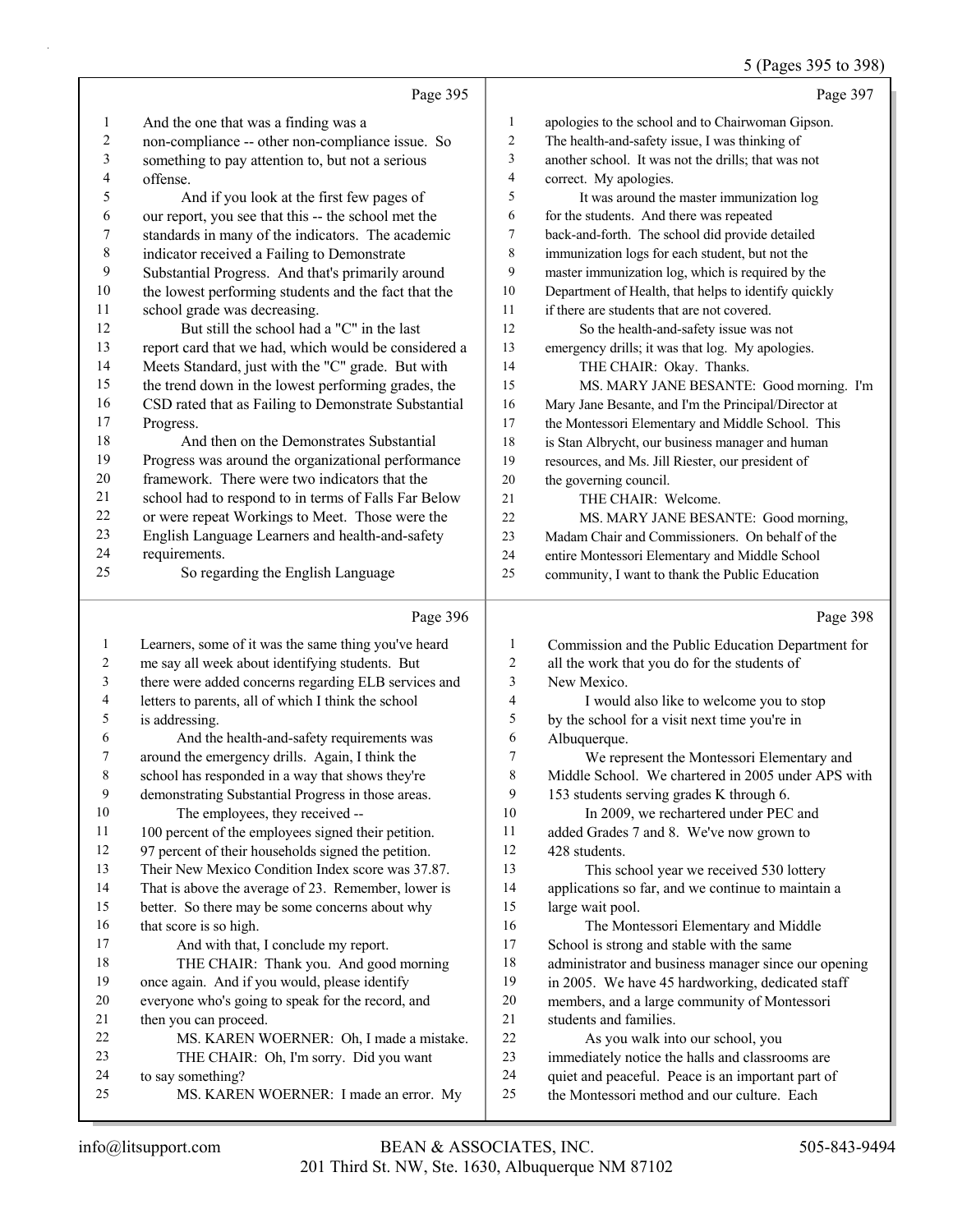## 5 (Pages 395 to 398)

|                  | Page 395                                                                                                  |                | Page 397                                                                                             |
|------------------|-----------------------------------------------------------------------------------------------------------|----------------|------------------------------------------------------------------------------------------------------|
| 1                | And the one that was a finding was a                                                                      | $\mathbf{1}$   | apologies to the school and to Chairwoman Gipson.                                                    |
| $\boldsymbol{2}$ | non-compliance -- other non-compliance issue. So                                                          | 2              | The health-and-safety issue, I was thinking of                                                       |
| 3                | something to pay attention to, but not a serious                                                          | 3              | another school. It was not the drills; that was not                                                  |
| 4                | offense.                                                                                                  | $\overline{4}$ | correct. My apologies.                                                                               |
| 5                | And if you look at the first few pages of                                                                 | 5              | It was around the master immunization log                                                            |
| 6                | our report, you see that this -- the school met the                                                       | 6              | for the students. And there was repeated                                                             |
| 7                | standards in many of the indicators. The academic                                                         | $\tau$         | back-and-forth. The school did provide detailed                                                      |
| 8                | indicator received a Failing to Demonstrate                                                               | 8              | immunization logs for each student, but not the                                                      |
| 9                | Substantial Progress. And that's primarily around                                                         | 9              | master immunization log, which is required by the                                                    |
| 10               | the lowest performing students and the fact that the                                                      | 10             | Department of Health, that helps to identify quickly                                                 |
| 11               | school grade was decreasing.                                                                              | 11             | if there are students that are not covered.                                                          |
| 12<br>13         | But still the school had a "C" in the last                                                                | 12<br>13       | So the health-and-safety issue was not                                                               |
| 14               | report card that we had, which would be considered a<br>Meets Standard, just with the "C" grade. But with | 14             | emergency drills; it was that log. My apologies.<br>THE CHAIR: Okay. Thanks.                         |
| 15               | the trend down in the lowest performing grades, the                                                       | 15             | MS. MARY JANE BESANTE: Good morning. I'm                                                             |
| 16               | CSD rated that as Failing to Demonstrate Substantial                                                      | 16             | Mary Jane Besante, and I'm the Principal/Director at                                                 |
| 17               | Progress.                                                                                                 | 17             | the Montessori Elementary and Middle School. This                                                    |
| 18               | And then on the Demonstrates Substantial                                                                  | 18             | is Stan Albrycht, our business manager and human                                                     |
| 19               | Progress was around the organizational performance                                                        | 19             | resources, and Ms. Jill Riester, our president of                                                    |
| 20               | framework. There were two indicators that the                                                             | 20             | the governing council.                                                                               |
| 21               | school had to respond to in terms of Falls Far Below                                                      | 21             | THE CHAIR: Welcome.                                                                                  |
| 22               | or were repeat Workings to Meet. Those were the                                                           | 22             | MS. MARY JANE BESANTE: Good morning,                                                                 |
| 23               | English Language Learners and health-and-safety                                                           | 23             | Madam Chair and Commissioners. On behalf of the                                                      |
| 24               | requirements.                                                                                             | 24             | entire Montessori Elementary and Middle School                                                       |
| 25               | So regarding the English Language                                                                         | 25             | community, I want to thank the Public Education                                                      |
|                  |                                                                                                           |                |                                                                                                      |
|                  | Page 396                                                                                                  |                | Page 398                                                                                             |
| 1                | Learners, some of it was the same thing you've heard                                                      | 1              | Commission and the Public Education Department for                                                   |
| 2                | me say all week about identifying students. But                                                           | 2              | all the work that you do for the students of                                                         |
| 3                | there were added concerns regarding ELB services and                                                      | 3              | New Mexico.                                                                                          |
| 4                | letters to parents, all of which I think the school                                                       | 4              | I would also like to welcome you to stop                                                             |
| 5                | is addressing.                                                                                            | 5              | by the school for a visit next time you're in                                                        |
| 6                | And the health-and-safety requirements was                                                                | 6              | Albuquerque.                                                                                         |
| 7                | around the emergency drills. Again, I think the                                                           | 7              | We represent the Montessori Elementary and                                                           |
| 8                | school has responded in a way that shows they're                                                          | 8              | Middle School. We chartered in 2005 under APS with                                                   |
| 9                | demonstrating Substantial Progress in those areas.                                                        | 9              | 153 students serving grades K through 6.                                                             |
| 10<br>11         | The employees, they received --                                                                           | 10<br>11       | In 2009, we rechartered under PEC and                                                                |
| 12               | 100 percent of the employees signed their petition.                                                       | 12             | added Grades 7 and 8. We've now grown to<br>428 students.                                            |
| 13               | 97 percent of their households signed the petition.<br>Their New Mexico Condition Index score was 37.87.  | 13             | This school year we received 530 lottery                                                             |
| 14               | That is above the average of 23. Remember, lower is                                                       | 14             | applications so far, and we continue to maintain a                                                   |
| 15               | better. So there may be some concerns about why                                                           | 15             | large wait pool.                                                                                     |
| 16               | that score is so high.                                                                                    | 16             | The Montessori Elementary and Middle                                                                 |
| 17               | And with that, I conclude my report.                                                                      | 17             | School is strong and stable with the same                                                            |
| 18               | THE CHAIR: Thank you. And good morning                                                                    | 18             | administrator and business manager since our opening                                                 |
| 19               | once again. And if you would, please identify                                                             | 19             | in 2005. We have 45 hardworking, dedicated staff                                                     |
| 20               | everyone who's going to speak for the record, and                                                         | 20             | members, and a large community of Montessori                                                         |
| 21               | then you can proceed.                                                                                     | $21\,$         | students and families.                                                                               |
| 22               | MS. KAREN WOERNER: Oh, I made a mistake.                                                                  | 22             | As you walk into our school, you                                                                     |
| 23<br>24         | THE CHAIR: Oh, I'm sorry. Did you want<br>to say something?                                               | 23<br>24       | immediately notice the halls and classrooms are<br>quiet and peaceful. Peace is an important part of |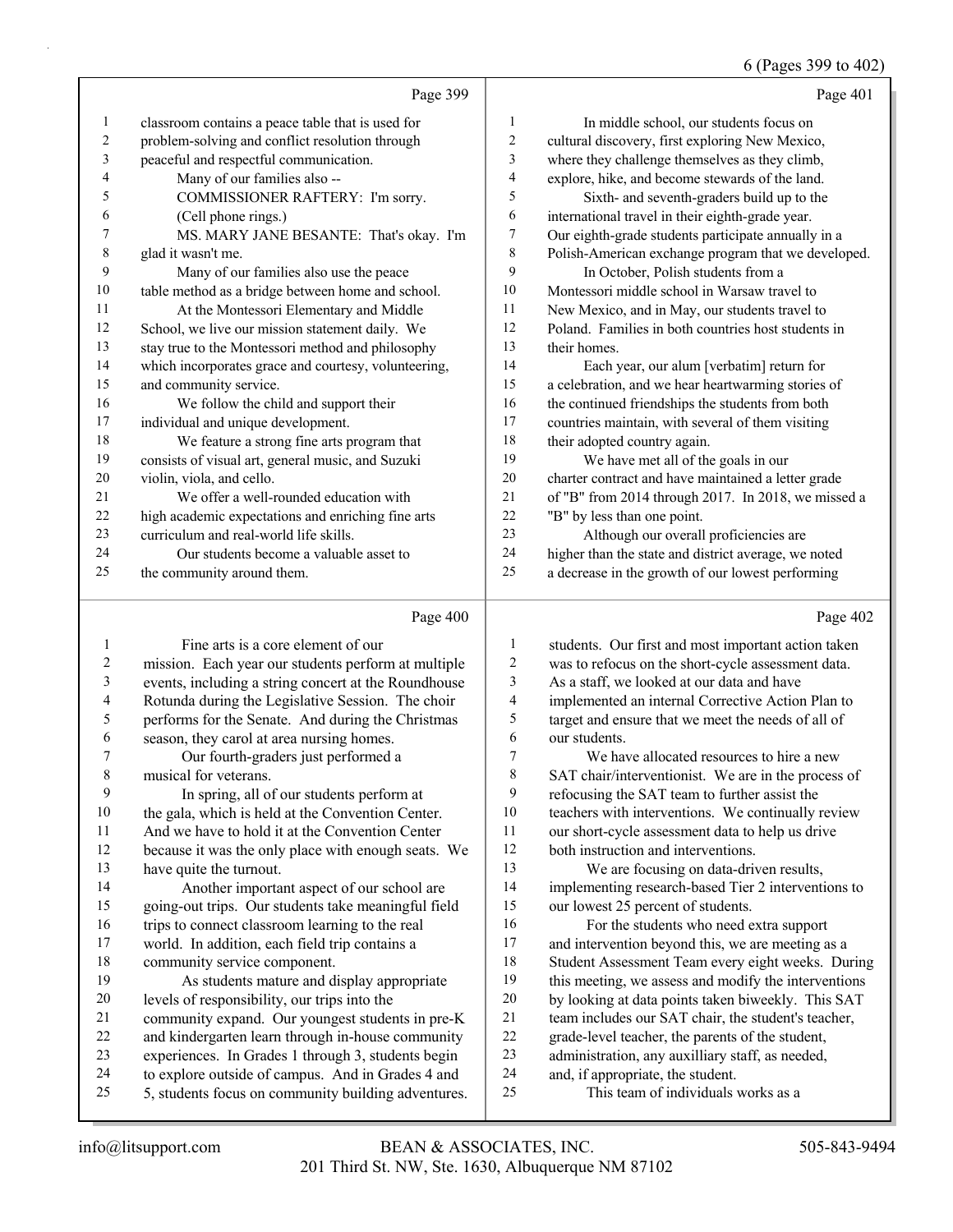#### 6 (Pages 399 to 402)

|                | Page 399                                             |    | Page 401                                             |
|----------------|------------------------------------------------------|----|------------------------------------------------------|
| 1              | classroom contains a peace table that is used for    | 1  | In middle school, our students focus on              |
| $\overline{2}$ | problem-solving and conflict resolution through      | 2  | cultural discovery, first exploring New Mexico,      |
| 3              | peaceful and respectful communication.               | 3  | where they challenge themselves as they climb,       |
| $\overline{4}$ | Many of our families also --                         | 4  | explore, hike, and become stewards of the land.      |
| 5              | COMMISSIONER RAFTERY: I'm sorry.                     | 5  | Sixth- and seventh-graders build up to the           |
| 6              | (Cell phone rings.)                                  | 6  | international travel in their eighth-grade year.     |
| 7              | MS. MARY JANE BESANTE: That's okay. I'm              | 7  | Our eighth-grade students participate annually in a  |
| 8              | glad it wasn't me.                                   | 8  | Polish-American exchange program that we developed.  |
| 9              | Many of our families also use the peace              | 9  | In October, Polish students from a                   |
| 10             | table method as a bridge between home and school.    | 10 | Montessori middle school in Warsaw travel to         |
| 11             | At the Montessori Elementary and Middle              | 11 | New Mexico, and in May, our students travel to       |
| 12             | School, we live our mission statement daily. We      | 12 | Poland. Families in both countries host students in  |
| 13             | stay true to the Montessori method and philosophy    | 13 | their homes.                                         |
| 14             | which incorporates grace and courtesy, volunteering, | 14 | Each year, our alum [verbatim] return for            |
| 15             | and community service.                               | 15 | a celebration, and we hear heartwarming stories of   |
| 16             | We follow the child and support their                | 16 | the continued friendships the students from both     |
| 17             | individual and unique development.                   | 17 | countries maintain, with several of them visiting    |
| 18             | We feature a strong fine arts program that           | 18 | their adopted country again.                         |
| 19             | consists of visual art, general music, and Suzuki    | 19 | We have met all of the goals in our                  |
| 20             | violin, viola, and cello.                            | 20 | charter contract and have maintained a letter grade  |
| 21             | We offer a well-rounded education with               | 21 | of "B" from 2014 through 2017. In 2018, we missed a  |
| 22             | high academic expectations and enriching fine arts   | 22 | "B" by less than one point.                          |
| 23             | curriculum and real-world life skills.               | 23 | Although our overall proficiencies are               |
| 24             | Our students become a valuable asset to              | 24 | higher than the state and district average, we noted |
| 25             | the community around them.                           | 25 | a decrease in the growth of our lowest performing    |
|                | Page 400                                             |    | Page 402                                             |

#### 1 Fine arts is a core element of our mission. Each year our students perform at multiple events, including a string concert at the Roundhouse Rotunda during the Legislative Session. The choir performs for the Senate. And during the Christmas season, they carol at area nursing homes. 7 Our fourth-graders just performed a musical for veterans. 9 In spring, all of our students perform at the gala, which is held at the Convention Center. And we have to hold it at the Convention Center because it was the only place with enough seats. We have quite the turnout. 14 Another important aspect of our school are going-out trips. Our students take meaningful field 16 trips to connect classroom learning to the real world. In addition, each field trip contains a community service component. 19 As students mature and display appropriate levels of responsibility, our trips into the community expand. Our youngest students in pre-K and kindergarten learn through in-house community experiences. In Grades 1 through 3, students begin to explore outside of campus. And in Grades 4 and 5, students focus on community building adventures. students. Our first and most important action taken was to refocus on the short-cycle assessment data. As a staff, we looked at our data and have implemented an internal Corrective Action Plan to target and ensure that we meet the needs of all of our students. 7 We have allocated resources to hire a new SAT chair/interventionist. We are in the process of refocusing the SAT team to further assist the teachers with interventions. We continually review our short-cycle assessment data to help us drive both instruction and interventions. 13 We are focusing on data-driven results, implementing research-based Tier 2 interventions to our lowest 25 percent of students. 16 For the students who need extra support 17 and intervention beyond this, we are meeting as a Student Assessment Team every eight weeks. During this meeting, we assess and modify the interventions by looking at data points taken biweekly. This SAT team includes our SAT chair, the student's teacher, grade-level teacher, the parents of the student, administration, any auxilliary staff, as needed, and, if appropriate, the student. 25 This team of individuals works as a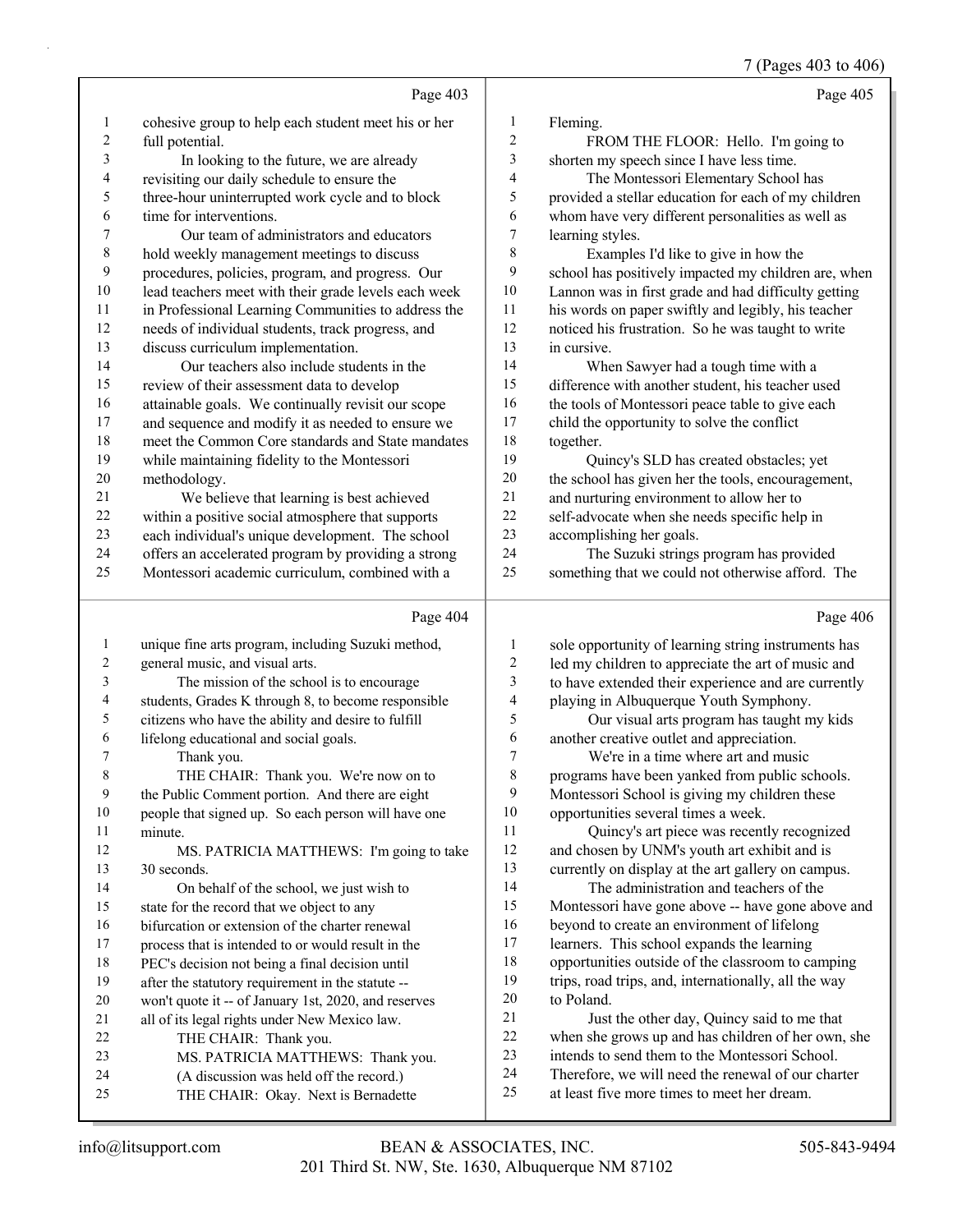|                         |                                                      |                         | 7 (Pages 403 to 406)                                 |
|-------------------------|------------------------------------------------------|-------------------------|------------------------------------------------------|
|                         | Page 403                                             |                         | Page 405                                             |
| 1                       | cohesive group to help each student meet his or her  | $\mathbf{1}$            | Fleming.                                             |
| 2                       | full potential.                                      | $\sqrt{2}$              | FROM THE FLOOR: Hello. I'm going to                  |
| 3                       | In looking to the future, we are already             | $\mathfrak{Z}$          | shorten my speech since I have less time.            |
| 4                       | revisiting our daily schedule to ensure the          | $\overline{4}$          | The Montessori Elementary School has                 |
| 5                       | three-hour uninterrupted work cycle and to block     | 5                       | provided a stellar education for each of my children |
| 6                       | time for interventions.                              | 6                       | whom have very different personalities as well as    |
| 7                       | Our team of administrators and educators             | $\boldsymbol{7}$        | learning styles.                                     |
| 8                       | hold weekly management meetings to discuss           | 8                       | Examples I'd like to give in how the                 |
| 9                       | procedures, policies, program, and progress. Our     | 9                       | school has positively impacted my children are, when |
| $10\,$                  | lead teachers meet with their grade levels each week | 10                      | Lannon was in first grade and had difficulty getting |
| 11                      | in Professional Learning Communities to address the  | 11                      | his words on paper swiftly and legibly, his teacher  |
| 12                      | needs of individual students, track progress, and    | 12                      | noticed his frustration. So he was taught to write   |
| 13                      | discuss curriculum implementation.                   | 13                      | in cursive.                                          |
| 14                      | Our teachers also include students in the            | 14                      | When Sawyer had a tough time with a                  |
| 15                      | review of their assessment data to develop           | 15                      | difference with another student, his teacher used    |
| 16                      | attainable goals. We continually revisit our scope   | 16                      | the tools of Montessori peace table to give each     |
| 17                      | and sequence and modify it as needed to ensure we    | 17                      | child the opportunity to solve the conflict          |
| 18                      | meet the Common Core standards and State mandates    | 18                      | together.                                            |
| 19                      | while maintaining fidelity to the Montessori         | 19                      | Quincy's SLD has created obstacles; yet              |
| $20\,$                  | methodology.                                         | $20\,$                  | the school has given her the tools, encouragement,   |
| 21                      | We believe that learning is best achieved            | 21                      | and nurturing environment to allow her to            |
| 22                      | within a positive social atmosphere that supports    | 22                      | self-advocate when she needs specific help in        |
| 23                      | each individual's unique development. The school     | 23                      | accomplishing her goals.                             |
| 24                      | offers an accelerated program by providing a strong  | 24                      | The Suzuki strings program has provided              |
| 25                      | Montessori academic curriculum, combined with a      | 25                      | something that we could not otherwise afford. The    |
|                         | Page 404                                             |                         | Page 406                                             |
| 1                       | unique fine arts program, including Suzuki method,   | $\mathbf{1}$            | sole opportunity of learning string instruments has  |
| $\overline{\mathbf{c}}$ | general music, and visual arts.                      | $\overline{\mathbf{c}}$ | led my children to appreciate the art of music and   |
| 3                       | The mission of the school is to encourage            | 3                       | to have extended their experience and are currently  |
| 4                       | students, Grades K through 8, to become responsible  | 4                       | playing in Albuquerque Youth Symphony.               |
| 5                       | citizens who have the ability and desire to fulfill  | 5                       | Our visual arts program has taught my kids           |
| 6                       | lifelong educational and social goals.               | 6                       | another creative outlet and appreciation.            |
| 7                       | Thank you.                                           | $\overline{7}$          | We're in a time where art and music                  |
| 8                       | THE CHAIR: Thank you. We're now on to                | 8                       | programs have been yanked from public schools.       |
| 9                       | the Public Comment portion. And there are eight      | 9                       | Montessori School is giving my children these        |
| 10                      | people that signed up. So each person will have one  | 10                      | opportunities several times a week.                  |
| 11                      | minute.                                              | 11                      | Quincy's art piece was recently recognized           |
| 12                      | MS. PATRICIA MATTHEWS: I'm going to take             | 12                      | and chosen by UNM's youth art exhibit and is         |
| 13                      | 30 seconds.                                          | 13                      | currently on display at the art gallery on campus.   |
| 14                      | On behalf of the school, we just wish to             | 14                      | The administration and teachers of the               |
| 15                      | state for the record that we object to any           | 15                      | Montessori have gone above -- have gone above and    |
| 16                      | bifurcation or extension of the charter renewal      | 16                      | beyond to create an environment of lifelong          |
| 17                      | process that is intended to or would result in the   | 17                      | learners. This school expands the learning           |
| 18                      | PEC's decision not being a final decision until      | 18                      | opportunities outside of the classroom to camping    |
| 19                      | after the statutory requirement in the statute --    | 19                      | trips, road trips, and, internationally, all the way |
| 20                      | won't quote it -- of January 1st, 2020, and reserves | $20\,$                  | to Poland.                                           |
| 21                      | all of its legal rights under New Mexico law.        | 21                      | Just the other day, Quincy said to me that           |
| 22                      | THE CHAIR: Thank you.                                | $22\,$                  | when she grows up and has children of her own, she   |
| 23                      | MS. PATRICIA MATTHEWS: Thank you.                    | 23                      | intends to send them to the Montessori School.       |
| 24                      | (A discussion was held off the record.)              | 24<br>25                | Therefore, we will need the renewal of our charter   |
| 25                      | THE CHAIR: Okay. Next is Bernadette                  |                         | at least five more times to meet her dream.          |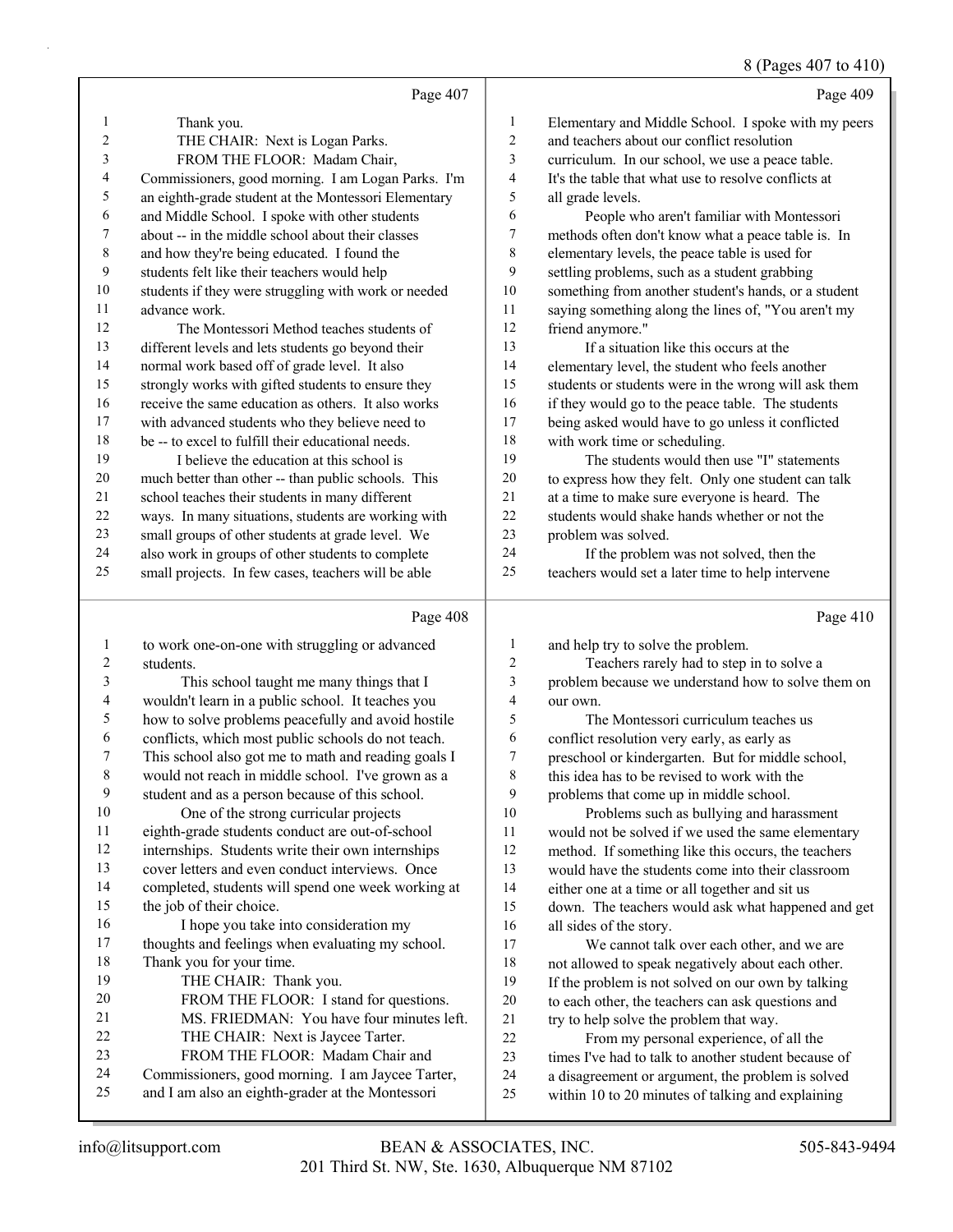## 8 (Pages 407 to 410)

|              | Page 407                                                             |                | Page 409                                             |
|--------------|----------------------------------------------------------------------|----------------|------------------------------------------------------|
| 1            | Thank you.                                                           | 1              | Elementary and Middle School. I spoke with my peers  |
| 2            | THE CHAIR: Next is Logan Parks.                                      | $\overline{2}$ | and teachers about our conflict resolution           |
| 3            | FROM THE FLOOR: Madam Chair,                                         | 3              | curriculum. In our school, we use a peace table.     |
| 4            | Commissioners, good morning. I am Logan Parks. I'm                   | 4              | It's the table that what use to resolve conflicts at |
| 5            | an eighth-grade student at the Montessori Elementary                 | 5              | all grade levels.                                    |
| 6            | and Middle School. I spoke with other students                       | 6              | People who aren't familiar with Montessori           |
| 7            | about -- in the middle school about their classes                    | 7              | methods often don't know what a peace table is. In   |
| $\,$ 8 $\,$  | and how they're being educated. I found the                          | 8              | elementary levels, the peace table is used for       |
| 9            | students felt like their teachers would help                         | 9              | settling problems, such as a student grabbing        |
| 10           | students if they were struggling with work or needed                 | 10             | something from another student's hands, or a student |
| 11           | advance work.                                                        | 11             | saying something along the lines of, "You aren't my  |
| 12           | The Montessori Method teaches students of                            | 12             | friend anymore."                                     |
| 13           | different levels and lets students go beyond their                   | 13             | If a situation like this occurs at the               |
| 14           | normal work based off of grade level. It also                        | 14             | elementary level, the student who feels another      |
| 15           | strongly works with gifted students to ensure they                   | 15             | students or students were in the wrong will ask them |
| 16           | receive the same education as others. It also works                  | 16             | if they would go to the peace table. The students    |
| 17           | with advanced students who they believe need to                      | 17             | being asked would have to go unless it conflicted    |
| 18           | be -- to excel to fulfill their educational needs.                   | 18             | with work time or scheduling.                        |
| 19           | I believe the education at this school is                            | 19             | The students would then use "I" statements           |
| 20           | much better than other -- than public schools. This                  | 20             | to express how they felt. Only one student can talk  |
| 21           | school teaches their students in many different                      | $21\,$         | at a time to make sure everyone is heard. The        |
| 22           | ways. In many situations, students are working with                  | 22             | students would shake hands whether or not the        |
| 23           | small groups of other students at grade level. We                    | 23             | problem was solved.                                  |
| 24           | also work in groups of other students to complete                    | 24             | If the problem was not solved, then the              |
| 25           | small projects. In few cases, teachers will be able                  | 25             | teachers would set a later time to help intervene    |
|              | Page 408                                                             |                | Page 410                                             |
| $\mathbf{1}$ | to work one-on-one with struggling or advanced                       | 1              | and help try to solve the problem.                   |
| 2            | students.                                                            | $\overline{c}$ | Teachers rarely had to step in to solve a            |
| 3            | This school taught me many things that I                             | 3              | problem because we understand how to solve them on   |
| 4            | wouldn't learn in a public school. It teaches you                    | $\overline{4}$ | our own.                                             |
| 5            | how to solve problems peacefully and avoid hostile                   | 5              | The Montessori curriculum teaches us                 |
| 6            | conflicts, which most public schools do not teach.                   | 6              | conflict resolution very early, as early as          |
| 7            | This school also got me to math and reading goals I                  | 7              | preschool or kindergarten. But for middle school,    |
| 8            | would not reach in middle school. I've grown as a                    | 8              | this idea has to be revised to work with the         |
| 9            | student and as a person because of this school.                      | $\mathbf{9}$   | problems that come up in middle school.              |
| 10           | One of the strong curricular projects                                | 10             | Problems such as bullying and harassment             |
| 11           | eighth-grade students conduct are out-of-school                      | 11             | would not be solved if we used the same elementary   |
| 12           | internships. Students write their own internships                    | 12             | method. If something like this occurs, the teachers  |
| 13           | cover letters and even conduct interviews. Once                      | 13             | would have the students come into their classroom    |
| 14           | completed, students will spend one week working at                   | 14             | either one at a time or all together and sit us      |
| 15           | the job of their choice.                                             | 15             | down. The teachers would ask what happened and get   |
| 16           | I hope you take into consideration my                                | 16             | all sides of the story.                              |
| 17           | thoughts and feelings when evaluating my school.                     | 17             | We cannot talk over each other, and we are           |
| 18           | Thank you for your time.                                             | $18\,$         | not allowed to speak negatively about each other.    |
| 19           | THE CHAIR: Thank you.                                                | 19             | If the problem is not solved on our own by talking   |
| 20           | FROM THE FLOOR: I stand for questions.                               | 20             | to each other, the teachers can ask questions and    |
| 21<br>22     | MS. FRIEDMAN: You have four minutes left.                            | 21             | try to help solve the problem that way.              |
| 23           | THE CHAIR: Next is Jaycee Tarter.<br>FROM THE FLOOR: Madam Chair and | 22             | From my personal experience, of all the              |
| 24           | Commissioners, good morning. I am Jaycee Tarter,                     | 23<br>24       | times I've had to talk to another student because of |
| 25           | and I am also an eighth-grader at the Montessori                     | 25             | a disagreement or argument, the problem is solved    |
|              |                                                                      |                | within 10 to 20 minutes of talking and explaining    |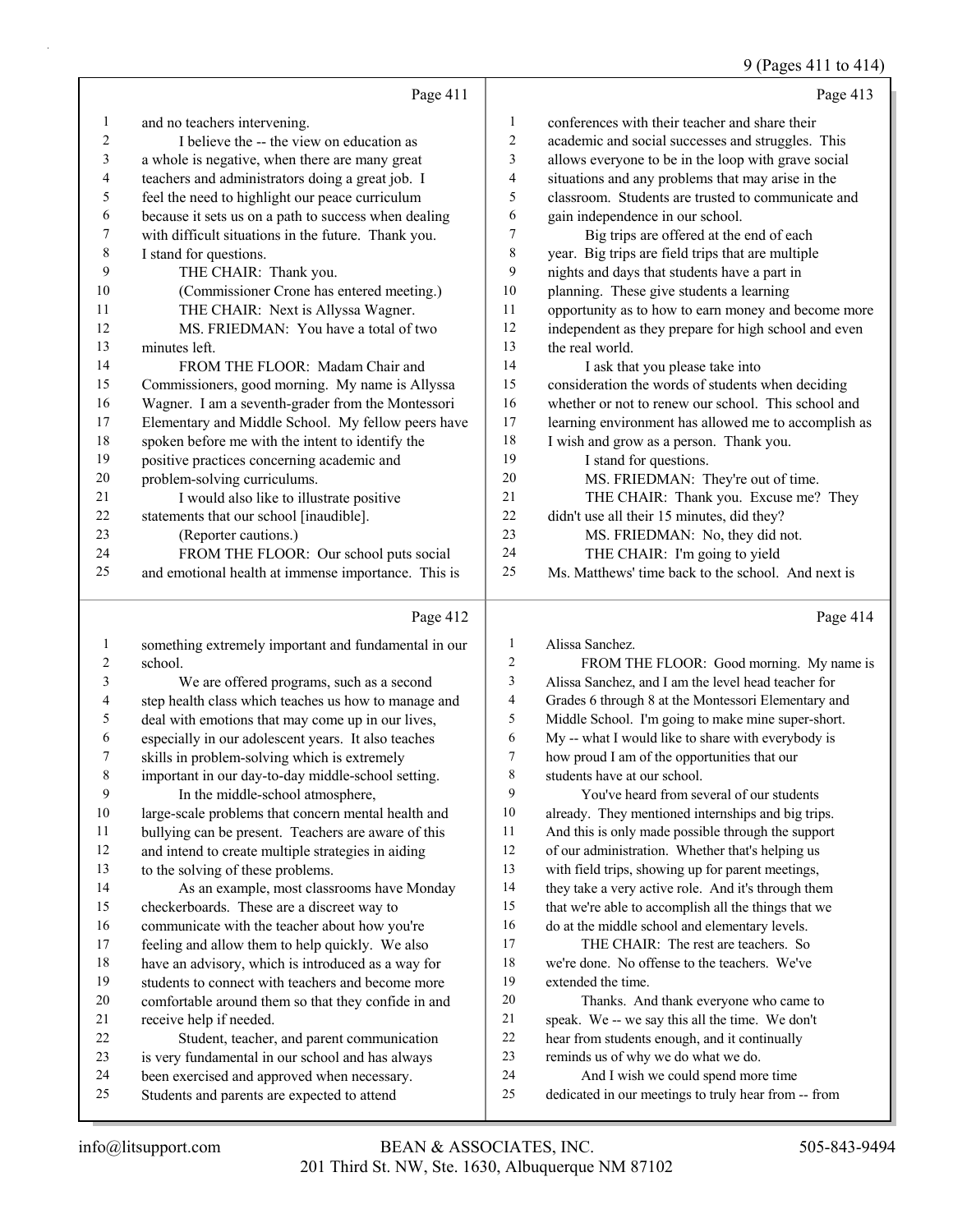## 9 (Pages 411 to 414)

|    | Page 411                                             |                | Page 413                                             |
|----|------------------------------------------------------|----------------|------------------------------------------------------|
| 1  | and no teachers intervening.                         | 1              | conferences with their teacher and share their       |
| 2  | I believe the -- the view on education as            | $\overline{2}$ | academic and social successes and struggles. This    |
| 3  | a whole is negative, when there are many great       | 3              | allows everyone to be in the loop with grave social  |
| 4  | teachers and administrators doing a great job. I     | 4              | situations and any problems that may arise in the    |
| 5  | feel the need to highlight our peace curriculum      | 5              | classroom. Students are trusted to communicate and   |
| 6  | because it sets us on a path to success when dealing | 6              | gain independence in our school.                     |
| 7  | with difficult situations in the future. Thank you.  | $\tau$         | Big trips are offered at the end of each             |
| 8  | I stand for questions.                               | 8              | year. Big trips are field trips that are multiple    |
| 9  | THE CHAIR: Thank you.                                | 9              | nights and days that students have a part in         |
| 10 | (Commissioner Crone has entered meeting.)            | 10             | planning. These give students a learning             |
| 11 | THE CHAIR: Next is Allyssa Wagner.                   | 11             | opportunity as to how to earn money and become more  |
| 12 | MS. FRIEDMAN: You have a total of two                | 12             | independent as they prepare for high school and even |
| 13 | minutes left.                                        | 13             | the real world.                                      |
| 14 | FROM THE FLOOR: Madam Chair and                      | 14             | I ask that you please take into                      |
| 15 | Commissioners, good morning. My name is Allyssa      | 15             | consideration the words of students when deciding    |
| 16 | Wagner. I am a seventh-grader from the Montessori    | 16             | whether or not to renew our school. This school and  |
| 17 | Elementary and Middle School. My fellow peers have   | 17             | learning environment has allowed me to accomplish as |
| 18 | spoken before me with the intent to identify the     | 18             | I wish and grow as a person. Thank you.              |
| 19 | positive practices concerning academic and           | 19             | I stand for questions.                               |
| 20 | problem-solving curriculums.                         | 20             | MS. FRIEDMAN: They're out of time.                   |
| 21 | I would also like to illustrate positive             | 21             | THE CHAIR: Thank you. Excuse me? They                |
| 22 | statements that our school [inaudible].              | 22             | didn't use all their 15 minutes, did they?           |
| 23 | (Reporter cautions.)                                 | 23             | MS. FRIEDMAN: No, they did not.                      |
| 24 | FROM THE FLOOR: Our school puts social               | 24             | THE CHAIR: I'm going to yield                        |
| 25 | and emotional health at immense importance. This is  | 25             | Ms. Matthews' time back to the school. And next is   |
|    | Page 412                                             |                | Page 414                                             |

## Page 412 |

|    | something extremely important and fundamental in our | 1      | Alissa Sanchez.                                      |
|----|------------------------------------------------------|--------|------------------------------------------------------|
| 2  | school.                                              | 2      | FROM THE FLOOR: Good morning. My name is             |
| 3  | We are offered programs, such as a second            | 3      | Alissa Sanchez, and I am the level head teacher for  |
| 4  | step health class which teaches us how to manage and | 4      | Grades 6 through 8 at the Montessori Elementary and  |
| 5  | deal with emotions that may come up in our lives,    | 5      | Middle School. I'm going to make mine super-short.   |
| 6  | especially in our adolescent years. It also teaches  | 6      | My -- what I would like to share with everybody is   |
| 7  | skills in problem-solving which is extremely         | $\tau$ | how proud I am of the opportunities that our         |
| 8  | important in our day-to-day middle-school setting.   | 8      | students have at our school.                         |
| 9  | In the middle-school atmosphere,                     | 9      | You've heard from several of our students            |
| 10 | large-scale problems that concern mental health and  | 10     | already. They mentioned internships and big trips.   |
| 11 | bullying can be present. Teachers are aware of this  | 11     | And this is only made possible through the support   |
| 12 | and intend to create multiple strategies in aiding   | 12     | of our administration. Whether that's helping us     |
| 13 | to the solving of these problems.                    | 13     | with field trips, showing up for parent meetings,    |
| 14 | As an example, most classrooms have Monday           | 14     | they take a very active role. And it's through them  |
| 15 | checkerboards. These are a discreet way to           | 15     | that we're able to accomplish all the things that we |
| 16 | communicate with the teacher about how you're        | 16     | do at the middle school and elementary levels.       |
| 17 | feeling and allow them to help quickly. We also      | 17     | THE CHAIR: The rest are teachers. So                 |
| 18 | have an advisory, which is introduced as a way for   | 18     | we're done. No offense to the teachers. We've        |
| 19 | students to connect with teachers and become more    | 19     | extended the time.                                   |
| 20 | comfortable around them so that they confide in and  | 20     | Thanks. And thank everyone who came to               |
| 21 | receive help if needed.                              | 21     | speak. We -- we say this all the time. We don't      |
| 22 | Student, teacher, and parent communication           | 22     | hear from students enough, and it continually        |
| 23 | is very fundamental in our school and has always     | 23     | reminds us of why we do what we do.                  |
| 24 | been exercised and approved when necessary.          | 24     | And I wish we could spend more time                  |
| 25 | Students and parents are expected to attend          | 25     | dedicated in our meetings to truly hear from -- from |
|    |                                                      |        |                                                      |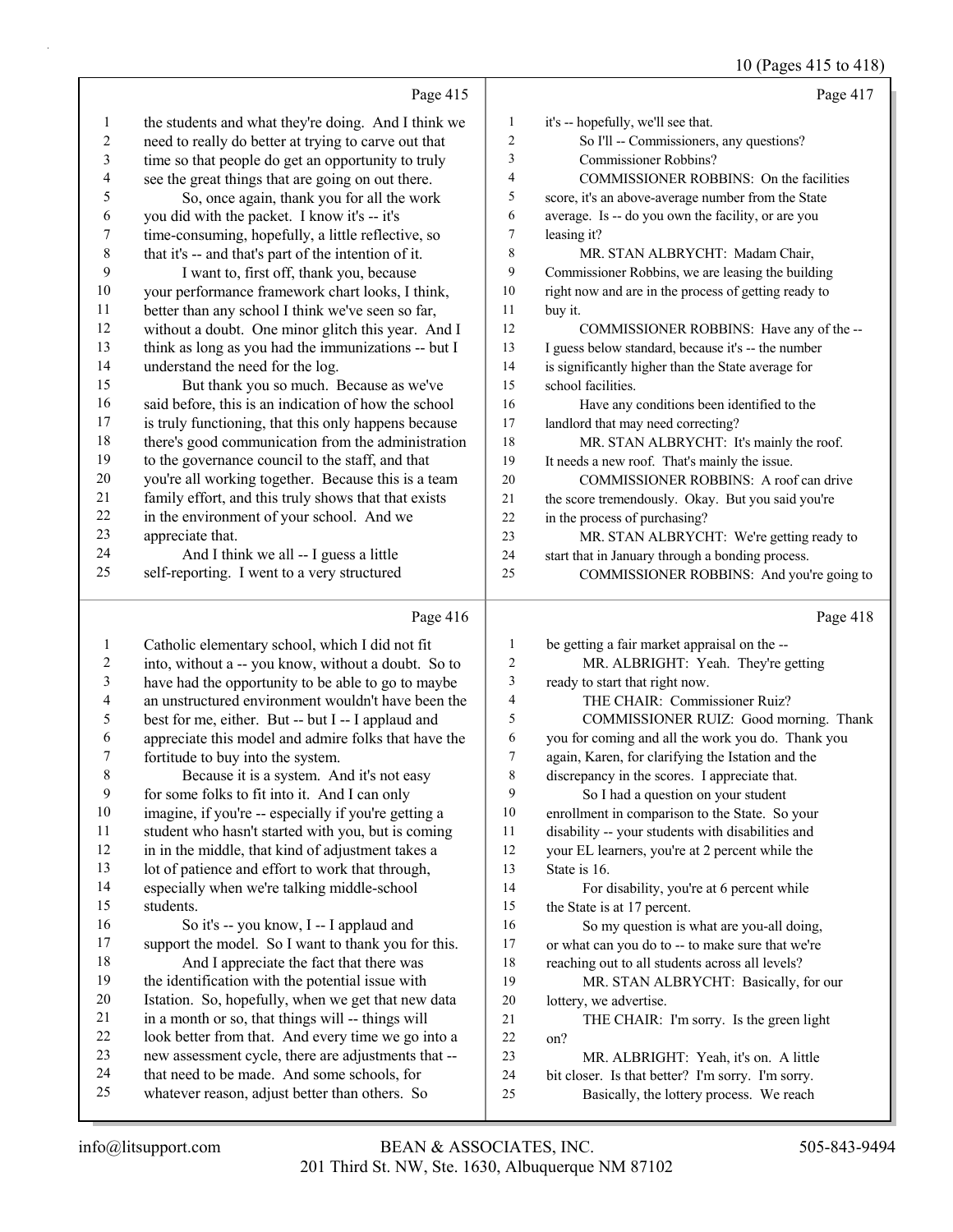## 10 (Pages 415 to 418)

|              | Page 415                                             |    | Page 417                                             |
|--------------|------------------------------------------------------|----|------------------------------------------------------|
| $\mathbf{I}$ | the students and what they're doing. And I think we  | 1  | it's -- hopefully, we'll see that.                   |
| 2            | need to really do better at trying to carve out that | 2  | So I'll -- Commissioners, any questions?             |
| 3            | time so that people do get an opportunity to truly   | 3  | Commissioner Robbins?                                |
| 4            | see the great things that are going on out there.    | 4  | COMMISSIONER ROBBINS: On the facilities              |
| 5            | So, once again, thank you for all the work           | 5  | score, it's an above-average number from the State   |
| 6            | you did with the packet. I know it's -- it's         | 6  | average. Is -- do you own the facility, or are you   |
| 7            | time-consuming, hopefully, a little reflective, so   | 7  | leasing it?                                          |
| 8            | that it's -- and that's part of the intention of it. | 8  | MR. STAN ALBRYCHT: Madam Chair,                      |
| 9            | I want to, first off, thank you, because             | 9  | Commissioner Robbins, we are leasing the building    |
| 10           | your performance framework chart looks, I think,     | 10 | right now and are in the process of getting ready to |
| 11           | better than any school I think we've seen so far,    | 11 | buy it.                                              |
| 12           | without a doubt. One minor glitch this year. And I   | 12 | COMMISSIONER ROBBINS: Have any of the --             |
| 13           | think as long as you had the immunizations -- but I  | 13 | I guess below standard, because it's -- the number   |
| 14           | understand the need for the log.                     | 14 | is significantly higher than the State average for   |
| 15           | But thank you so much. Because as we've              | 15 | school facilities.                                   |
| 16           | said before, this is an indication of how the school | 16 | Have any conditions been identified to the           |
| 17           | is truly functioning, that this only happens because | 17 | landlord that may need correcting?                   |
| 18           | there's good communication from the administration   | 18 | MR. STAN ALBRYCHT: It's mainly the roof.             |
| 19           | to the governance council to the staff, and that     | 19 | It needs a new roof. That's mainly the issue.        |
| 20           | you're all working together. Because this is a team  | 20 | COMMISSIONER ROBBINS: A roof can drive               |
| 21           | family effort, and this truly shows that that exists | 21 | the score tremendously. Okay. But you said you're    |
| 22           | in the environment of your school. And we            | 22 | in the process of purchasing?                        |
| 23           | appreciate that.                                     | 23 | MR. STAN ALBRYCHT: We're getting ready to            |
| 24           | And I think we all -- I guess a little               | 24 | start that in January through a bonding process.     |
| 25           | self-reporting. I went to a very structured          | 25 | COMMISSIONER ROBBINS: And you're going to            |
|              | Page 416                                             |    | Page 418                                             |

| 1      | Catholic elementary school, which I did not fit      | 1  | be getting a fair market appraisal on the --      |
|--------|------------------------------------------------------|----|---------------------------------------------------|
| 2      | into, without a -- you know, without a doubt. So to  | 2  | MR. ALBRIGHT: Yeah. They're getting               |
| 3      | have had the opportunity to be able to go to maybe   | 3  | ready to start that right now.                    |
| 4      | an unstructured environment wouldn't have been the   | 4  | THE CHAIR: Commissioner Ruiz?                     |
| 5      | best for me, either. But -- but I -- I applaud and   | 5  | COMMISSIONER RUIZ: Good morning. T                |
| 6      | appreciate this model and admire folks that have the | 6  | you for coming and all the work you do. Thank you |
| 7      | fortitude to buy into the system.                    | 7  | again, Karen, for clarifying the Istation and the |
| 8      | Because it is a system. And it's not easy            | 8  | discrepancy in the scores. I appreciate that.     |
| 9      | for some folks to fit into it. And I can only        | 9  | So I had a question on your student               |
| 10     | imagine, if you're -- especially if you're getting a | 10 | enrollment in comparison to the State. So your    |
| 11     | student who hasn't started with you, but is coming   | 11 | disability -- your students with disabilities and |
| 12     | in in the middle, that kind of adjustment takes a    | 12 | your EL learners, you're at 2 percent while the   |
| 13     | lot of patience and effort to work that through,     | 13 | State is 16.                                      |
| 14     | especially when we're talking middle-school          | 14 | For disability, you're at 6 percent while         |
| 15     | students.                                            | 15 | the State is at 17 percent.                       |
| 16     | So it's -- you know, I -- I applaud and              | 16 | So my question is what are you-all doing,         |
| 17     | support the model. So I want to thank you for this.  | 17 | or what can you do to -- to make sure that we're  |
| 18     | And I appreciate the fact that there was             | 18 | reaching out to all students across all levels?   |
| 19     | the identification with the potential issue with     | 19 | MR. STAN ALBRYCHT: Basically, for our             |
| $20\,$ | Istation. So, hopefully, when we get that new data   | 20 | lottery, we advertise.                            |
| 21     | in a month or so, that things will -- things will    | 21 | THE CHAIR: I'm sorry. Is the green light          |
| 22     | look better from that. And every time we go into a   | 22 | on?                                               |
| 23     | new assessment cycle, there are adjustments that --  | 23 | MR. ALBRIGHT: Yeah, it's on. A little             |
| 24     | that need to be made. And some schools, for          | 24 | bit closer. Is that better? I'm sorry. I'm sorry. |
| 25     | whatever reason, adjust better than others. So       | 25 | Basically, the lottery process. We reach          |
|        |                                                      |    |                                                   |

Thank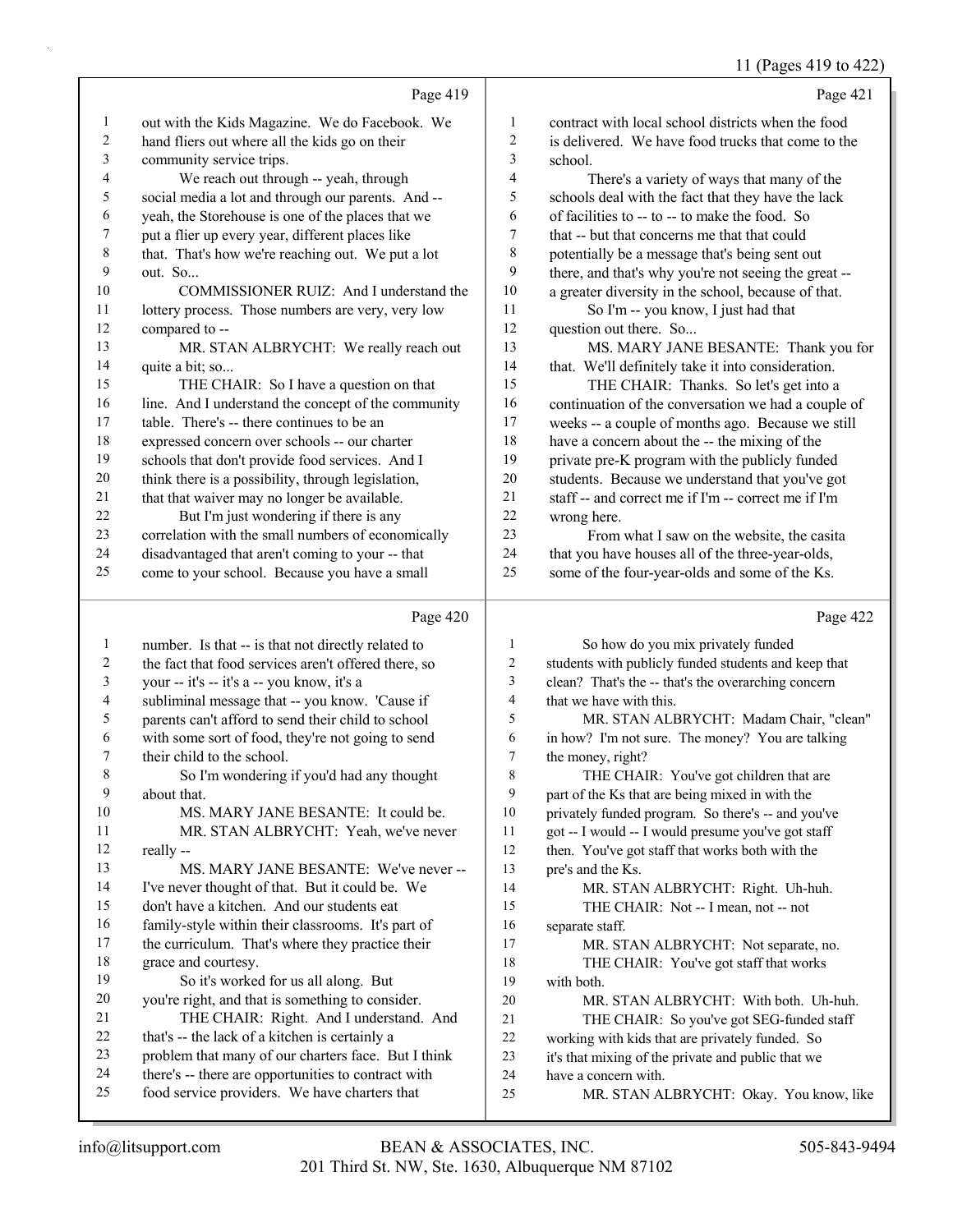11 (Pages 419 to 422)

Page 419 out with the Kids Magazine. We do Facebook. We hand fliers out where all the kids go on their community service trips. 4 We reach out through -- yeah, through social media a lot and through our parents. And -- yeah, the Storehouse is one of the places that we put a flier up every year, different places like that. That's how we're reaching out. We put a lot out. So... 10 COMMISSIONER RUIZ: And I understand the 11 lottery process. Those numbers are very, very low compared to -- 13 MR. STAN ALBRYCHT: We really reach out 14 quite a bit; so... 15 THE CHAIR: So I have a question on that 16 line. And I understand the concept of the community table. There's -- there continues to be an expressed concern over schools -- our charter schools that don't provide food services. And I think there is a possibility, through legislation, 21 that that waiver may no longer be available. 22 But I'm just wondering if there is any correlation with the small numbers of economically disadvantaged that aren't coming to your -- that come to your school. Because you have a small Page 420 Page 421 contract with local school districts when the food is delivered. We have food trucks that come to the 3 school. 4 There's a variety of ways that many of the schools deal with the fact that they have the lack of facilities to -- to -- to make the food. So that -- but that concerns me that that could potentially be a message that's being sent out there, and that's why you're not seeing the great -- a greater diversity in the school, because of that. 11 So I'm -- you know, I just had that 12 question out there. So... 13 MS. MARY JANE BESANTE: Thank you for that. We'll definitely take it into consideration. 15 THE CHAIR: Thanks. So let's get into a continuation of the conversation we had a couple of weeks -- a couple of months ago. Because we still have a concern about the -- the mixing of the private pre-K program with the publicly funded students. Because we understand that you've got staff -- and correct me if I'm -- correct me if I'm wrong here. 23 From what I saw on the website, the casita 24 that you have houses all of the three-year-olds, some of the four-year-olds and some of the Ks. Page 422

| 1  | number. Is that -- is that not directly related to   | 1  | So how do you mix privately funded                   |
|----|------------------------------------------------------|----|------------------------------------------------------|
| 2  | the fact that food services aren't offered there, so | 2  | students with publicly funded students and keep that |
| 3  | your -- it's -- it's a -- you know, it's a           | 3  | clean? That's the -- that's the overarching concern  |
| 4  | subliminal message that -- you know. 'Cause if       | 4  | that we have with this.                              |
| 5  | parents can't afford to send their child to school   | 5  | MR. STAN ALBRYCHT: Madam Chair, "clean"              |
| 6  | with some sort of food, they're not going to send    | 6  | in how? I'm not sure. The money? You are talking     |
| 7  | their child to the school.                           | 7  | the money, right?                                    |
| 8  | So I'm wondering if you'd had any thought            | 8  | THE CHAIR: You've got children that are              |
| 9  | about that.                                          | 9  | part of the Ks that are being mixed in with the      |
| 10 | MS. MARY JANE BESANTE: It could be.                  | 10 | privately funded program. So there's -- and you've   |
| 11 | MR. STAN ALBRYCHT: Yeah, we've never                 | 11 | got -- I would -- I would presume you've got staff   |
| 12 | really --                                            | 12 | then. You've got staff that works both with the      |
| 13 | MS. MARY JANE BESANTE: We've never --                | 13 | pre's and the Ks.                                    |
| 14 | I've never thought of that. But it could be. We      | 14 | MR. STAN ALBRYCHT: Right. Uh-huh.                    |
| 15 | don't have a kitchen. And our students eat           | 15 | THE CHAIR: Not -- I mean, not -- not                 |
| 16 | family-style within their classrooms. It's part of   | 16 | separate staff.                                      |
| 17 | the curriculum. That's where they practice their     | 17 | MR. STAN ALBRYCHT: Not separate, no.                 |
| 18 | grace and courtesy.                                  | 18 | THE CHAIR: You've got staff that works               |
| 19 | So it's worked for us all along. But                 | 19 | with both.                                           |
| 20 | you're right, and that is something to consider.     | 20 | MR. STAN ALBRYCHT: With both. Uh-huh.                |
| 21 | THE CHAIR: Right. And I understand. And              | 21 | THE CHAIR: So you've got SEG-funded staff            |
| 22 | that's -- the lack of a kitchen is certainly a       | 22 | working with kids that are privately funded. So      |
| 23 | problem that many of our charters face. But I think  | 23 | it's that mixing of the private and public that we   |
| 24 | there's -- there are opportunities to contract with  | 24 | have a concern with.                                 |
| 25 | food service providers. We have charters that        | 25 | MR. STAN ALBRYCHT: Okay. You know, like              |
|    |                                                      |    |                                                      |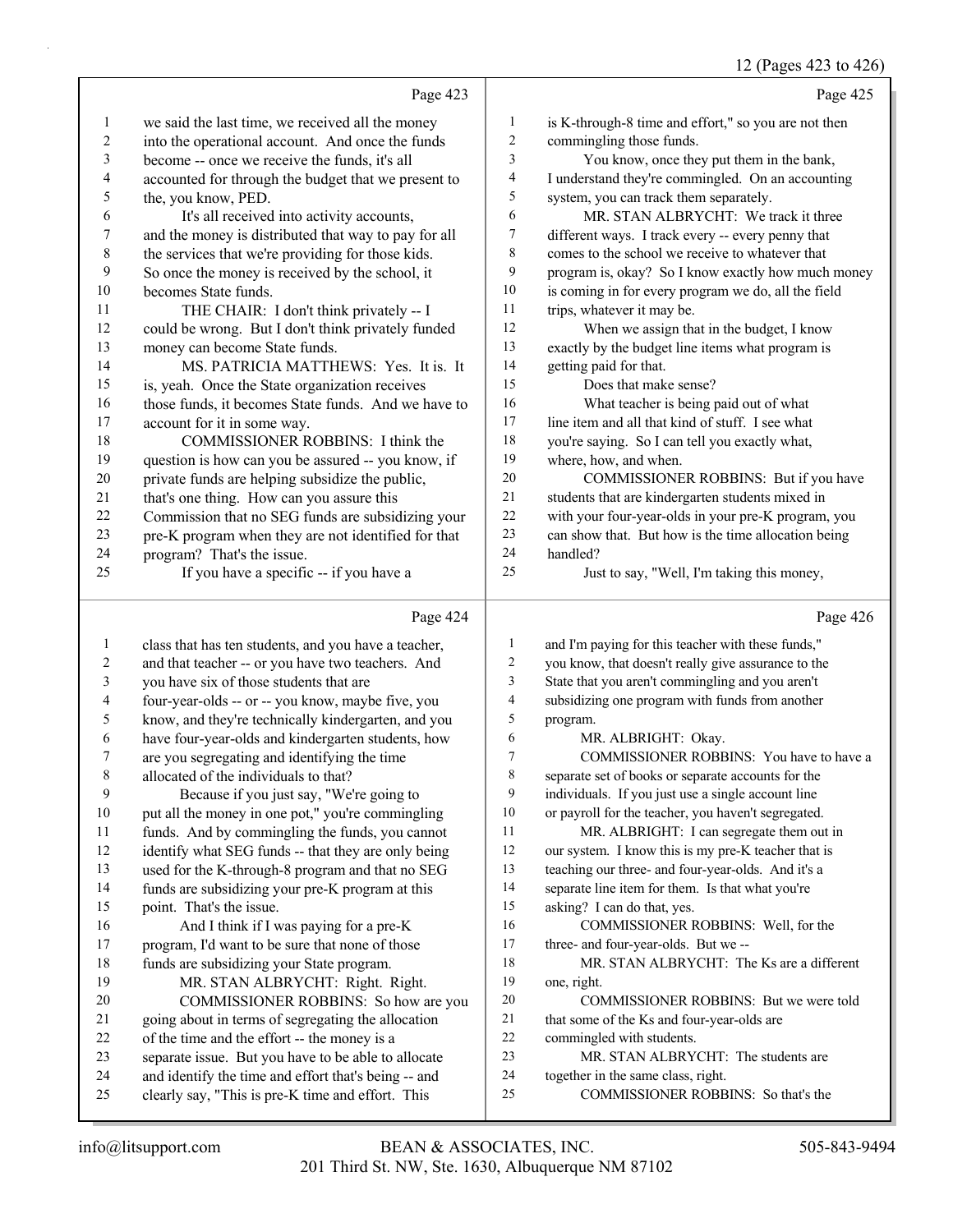#### 12 (Pages 423 to 426)

|                         |                                                                                                             |                          | 12 (Pages $423$ to $426$ )                                                |
|-------------------------|-------------------------------------------------------------------------------------------------------------|--------------------------|---------------------------------------------------------------------------|
|                         | Page 423                                                                                                    |                          | Page 425                                                                  |
| $\mathbf{1}$            | we said the last time, we received all the money                                                            | $\mathbf{1}$             | is K-through-8 time and effort," so you are not then                      |
| $\overline{\mathbf{c}}$ | into the operational account. And once the funds                                                            | $\overline{c}$           | commingling those funds.                                                  |
| 3                       | become -- once we receive the funds, it's all                                                               | 3                        | You know, once they put them in the bank,                                 |
| 4                       | accounted for through the budget that we present to                                                         | $\overline{\mathcal{A}}$ | I understand they're commingled. On an accounting                         |
| 5                       | the, you know, PED.                                                                                         | 5                        | system, you can track them separately.                                    |
| 6                       | It's all received into activity accounts,                                                                   | 6                        | MR. STAN ALBRYCHT: We track it three                                      |
| 7                       | and the money is distributed that way to pay for all                                                        | 7                        | different ways. I track every -- every penny that                         |
| $\,$ $\,$               | the services that we're providing for those kids.                                                           | $\,$ 8 $\,$              | comes to the school we receive to whatever that                           |
| 9                       | So once the money is received by the school, it                                                             | 9                        | program is, okay? So I know exactly how much money                        |
| 10                      | becomes State funds.                                                                                        | 10                       | is coming in for every program we do, all the field                       |
| 11                      | THE CHAIR: I don't think privately -- I                                                                     | 11                       | trips, whatever it may be.                                                |
| 12                      | could be wrong. But I don't think privately funded                                                          | 12                       | When we assign that in the budget, I know                                 |
| 13                      | money can become State funds.                                                                               | 13                       | exactly by the budget line items what program is                          |
| 14                      | MS. PATRICIA MATTHEWS: Yes. It is. It                                                                       | 14                       | getting paid for that.                                                    |
| 15                      | is, yeah. Once the State organization receives                                                              | 15                       | Does that make sense?                                                     |
| 16                      | those funds, it becomes State funds. And we have to                                                         | 16                       | What teacher is being paid out of what                                    |
| 17                      | account for it in some way.                                                                                 | 17                       | line item and all that kind of stuff. I see what                          |
| 18                      | COMMISSIONER ROBBINS: I think the                                                                           | 18                       | you're saying. So I can tell you exactly what,                            |
| 19                      | question is how can you be assured -- you know, if                                                          | 19                       | where, how, and when.                                                     |
| 20                      | private funds are helping subsidize the public,                                                             | $20\,$                   | COMMISSIONER ROBBINS: But if you have                                     |
| 21                      | that's one thing. How can you assure this                                                                   | $21\,$                   | students that are kindergarten students mixed in                          |
| $22\,$                  | Commission that no SEG funds are subsidizing your                                                           | $22\,$                   | with your four-year-olds in your pre-K program, you                       |
| 23                      | pre-K program when they are not identified for that                                                         | 23                       | can show that. But how is the time allocation being                       |
| 24                      | program? That's the issue.                                                                                  | 24                       | handled?                                                                  |
| 25                      | If you have a specific -- if you have a                                                                     | 25                       | Just to say, "Well, I'm taking this money,                                |
|                         |                                                                                                             |                          |                                                                           |
|                         |                                                                                                             |                          |                                                                           |
|                         | Page 424                                                                                                    |                          | Page 426                                                                  |
| $\mathbf{1}$            | class that has ten students, and you have a teacher,                                                        | $\mathbf{1}$             | and I'm paying for this teacher with these funds,"                        |
| $\overline{c}$          | and that teacher -- or you have two teachers. And                                                           | 2                        | you know, that doesn't really give assurance to the                       |
| 3                       | you have six of those students that are                                                                     | 3                        | State that you aren't commingling and you aren't                          |
| 4                       | four-year-olds -- or -- you know, maybe five, you                                                           | $\overline{4}$           | subsidizing one program with funds from another                           |
| 5                       | know, and they're technically kindergarten, and you                                                         | 5                        | program.                                                                  |
| 6                       | have four-year-olds and kindergarten students, how                                                          | 6                        | MR. ALBRIGHT: Okay.                                                       |
| 7                       | are you segregating and identifying the time                                                                | 7                        | COMMISSIONER ROBBINS: You have to have a                                  |
| 8                       | allocated of the individuals to that?                                                                       | 8                        | separate set of books or separate accounts for the                        |
| 9                       | Because if you just say, "We're going to                                                                    | 9                        | individuals. If you just use a single account line                        |
| 10                      | put all the money in one pot," you're commingling                                                           | $10\,$                   | or payroll for the teacher, you haven't segregated.                       |
| 11                      | funds. And by commingling the funds, you cannot                                                             | 11                       | MR. ALBRIGHT: I can segregate them out in                                 |
| 12                      | identify what SEG funds -- that they are only being                                                         | 12                       | our system. I know this is my pre-K teacher that is                       |
| 13                      | used for the K-through-8 program and that no SEG                                                            | 13                       | teaching our three- and four-year-olds. And it's a                        |
| 14                      | funds are subsidizing your pre-K program at this                                                            | 14                       | separate line item for them. Is that what you're                          |
| 15                      | point. That's the issue.                                                                                    | 15                       | asking? I can do that, yes.                                               |
| 16                      | And I think if I was paying for a pre-K                                                                     | 16                       | COMMISSIONER ROBBINS: Well, for the                                       |
| 17                      | program, I'd want to be sure that none of those                                                             | 17                       | three- and four-year-olds. But we-                                        |
| 18                      | funds are subsidizing your State program.                                                                   | 18                       | MR. STAN ALBRYCHT: The Ks are a different                                 |
| 19                      | MR. STAN ALBRYCHT: Right. Right.                                                                            | 19                       | one, right.                                                               |
| 20                      | COMMISSIONER ROBBINS: So how are you                                                                        | 20                       | COMMISSIONER ROBBINS: But we were told                                    |
| 21                      | going about in terms of segregating the allocation                                                          | 21                       | that some of the Ks and four-year-olds are                                |
| 22                      | of the time and the effort -- the money is a                                                                | 22<br>23                 | commingled with students.                                                 |
| 23<br>24                | separate issue. But you have to be able to allocate<br>and identify the time and effort that's being -- and | 24                       | MR. STAN ALBRYCHT: The students are<br>together in the same class, right. |

clearly say, "This is pre-K time and effort. This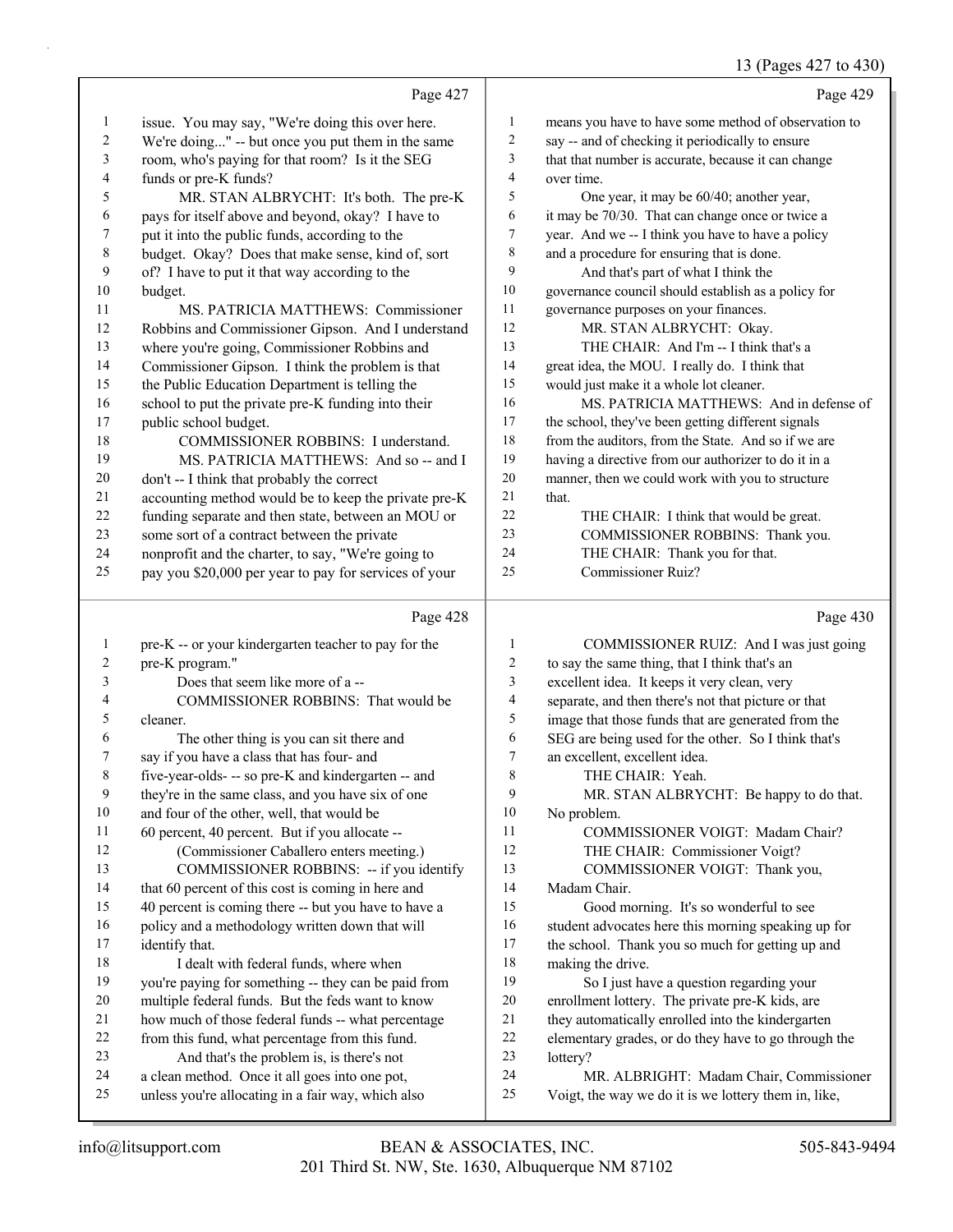### 13 (Pages 427 to 430)

|              |                                                                                             |                | 13 (Pages 427 to 430)                                |
|--------------|---------------------------------------------------------------------------------------------|----------------|------------------------------------------------------|
|              | Page 427                                                                                    |                | Page 429                                             |
| 1            | issue. You may say, "We're doing this over here.                                            | 1              | means you have to have some method of observation to |
| 2            | We're doing" -- but once you put them in the same                                           | $\overline{c}$ | say -- and of checking it periodically to ensure     |
| 3            | room, who's paying for that room? Is it the SEG                                             | 3              | that that number is accurate, because it can change  |
| 4            | funds or pre-K funds?                                                                       | $\overline{4}$ | over time.                                           |
| 5            | MR. STAN ALBRYCHT: It's both. The pre-K                                                     | 5              | One year, it may be 60/40; another year,             |
| 6            | pays for itself above and beyond, okay? I have to                                           | 6              | it may be 70/30. That can change once or twice a     |
| 7            | put it into the public funds, according to the                                              | 7              | year. And we -- I think you have to have a policy    |
| 8            | budget. Okay? Does that make sense, kind of, sort                                           | 8              | and a procedure for ensuring that is done.           |
| 9            | of? I have to put it that way according to the                                              | 9              | And that's part of what I think the                  |
| 10           | budget.                                                                                     | 10             | governance council should establish as a policy for  |
| 11           | MS. PATRICIA MATTHEWS: Commissioner                                                         | 11             | governance purposes on your finances.                |
| 12           | Robbins and Commissioner Gipson. And I understand                                           | 12             | MR. STAN ALBRYCHT: Okay.                             |
| 13           | where you're going, Commissioner Robbins and                                                | 13             | THE CHAIR: And I'm -- I think that's a               |
| 14           | Commissioner Gipson. I think the problem is that                                            | 14             | great idea, the MOU. I really do. I think that       |
| 15           | the Public Education Department is telling the                                              | 15             | would just make it a whole lot cleaner.              |
| 16           | school to put the private pre-K funding into their                                          | 16             | MS. PATRICIA MATTHEWS: And in defense of             |
| 17           | public school budget.                                                                       | 17             | the school, they've been getting different signals   |
| 18           | COMMISSIONER ROBBINS: I understand.                                                         | $18\,$         | from the auditors, from the State. And so if we are  |
| 19           | MS. PATRICIA MATTHEWS: And so -- and I                                                      | 19             | having a directive from our authorizer to do it in a |
| 20           | don't -- I think that probably the correct                                                  | 20             | manner, then we could work with you to structure     |
| 21           | accounting method would be to keep the private pre-K                                        | 21             | that.                                                |
| 22           | funding separate and then state, between an MOU or                                          | 22             | THE CHAIR: I think that would be great.              |
| 23           | some sort of a contract between the private                                                 | 23             | COMMISSIONER ROBBINS: Thank you.                     |
| 24           | nonprofit and the charter, to say, "We're going to                                          | 24             | THE CHAIR: Thank you for that.                       |
| 25           | pay you \$20,000 per year to pay for services of your                                       | 25             | Commissioner Ruiz?                                   |
|              | Page 428                                                                                    |                | Page 430                                             |
| $\mathbf{1}$ | pre-K -- or your kindergarten teacher to pay for the                                        | 1              | COMMISSIONER RUIZ: And I was just going              |
| 2            | pre-K program."                                                                             | 2              | to say the same thing, that I think that's an        |
| 3            | Does that seem like more of a --                                                            | 3              | excellent idea. It keeps it very clean, very         |
| 4            | COMMISSIONER ROBBINS: That would be                                                         | 4              | separate, and then there's not that picture or that  |
| 5            | cleaner.                                                                                    | 5              | image that those funds that are generated from the   |
| 6            | The other thing is you can sit there and                                                    | 6              | SEG are being used for the other. So I think that's  |
| 7            | say if you have a class that has four- and                                                  | 7              | an excellent, excellent idea.                        |
| 8            | five-year-olds- -- so pre-K and kindergarten -- and                                         | 8              | THE CHAIR: Yeah.                                     |
| 9            | they're in the same class, and you have six of one                                          | 9              | MR. STAN ALBRYCHT: Be happy to do that.              |
| 10           | and four of the other, well, that would be                                                  | 10             | No problem.                                          |
| 11           | 60 percent, 40 percent. But if you allocate --                                              | 11             | COMMISSIONER VOIGT: Madam Chair?                     |
| 12           | (Commissioner Caballero enters meeting.)                                                    | 12             | THE CHAIR: Commissioner Voigt?                       |
| 13           | COMMISSIONER ROBBINS: -- if you identify                                                    | 13             | COMMISSIONER VOIGT: Thank you,                       |
| 14           | that 60 percent of this cost is coming in here and                                          | 14             | Madam Chair.                                         |
| 15           | 40 percent is coming there -- but you have to have a                                        | 15             | Good morning. It's so wonderful to see               |
| 16           | policy and a methodology written down that will                                             | 16             | student advocates here this morning speaking up for  |
| 17           | identify that.                                                                              | 17             | the school. Thank you so much for getting up and     |
| 18           | I dealt with federal funds, where when                                                      | 18             | making the drive.                                    |
| 19           | you're paying for something -- they can be paid from                                        | 19             | So I just have a question regarding your             |
| 20           | multiple federal funds. But the feds want to know                                           | 20             | enrollment lottery. The private pre-K kids, are      |
| 21           | how much of those federal funds -- what percentage                                          | 21             | they automatically enrolled into the kindergarten    |
| 22<br>23     | from this fund, what percentage from this fund.                                             | 22<br>23       | elementary grades, or do they have to go through the |
| 24           | And that's the problem is, is there's not<br>a clean method. Once it all goes into one pot, | 24             | lottery?<br>MR. ALBRIGHT: Madam Chair, Commissioner  |
| 25           | unless you're allocating in a fair way, which also                                          | 25             | Voigt, the way we do it is we lottery them in, like, |
|              |                                                                                             |                |                                                      |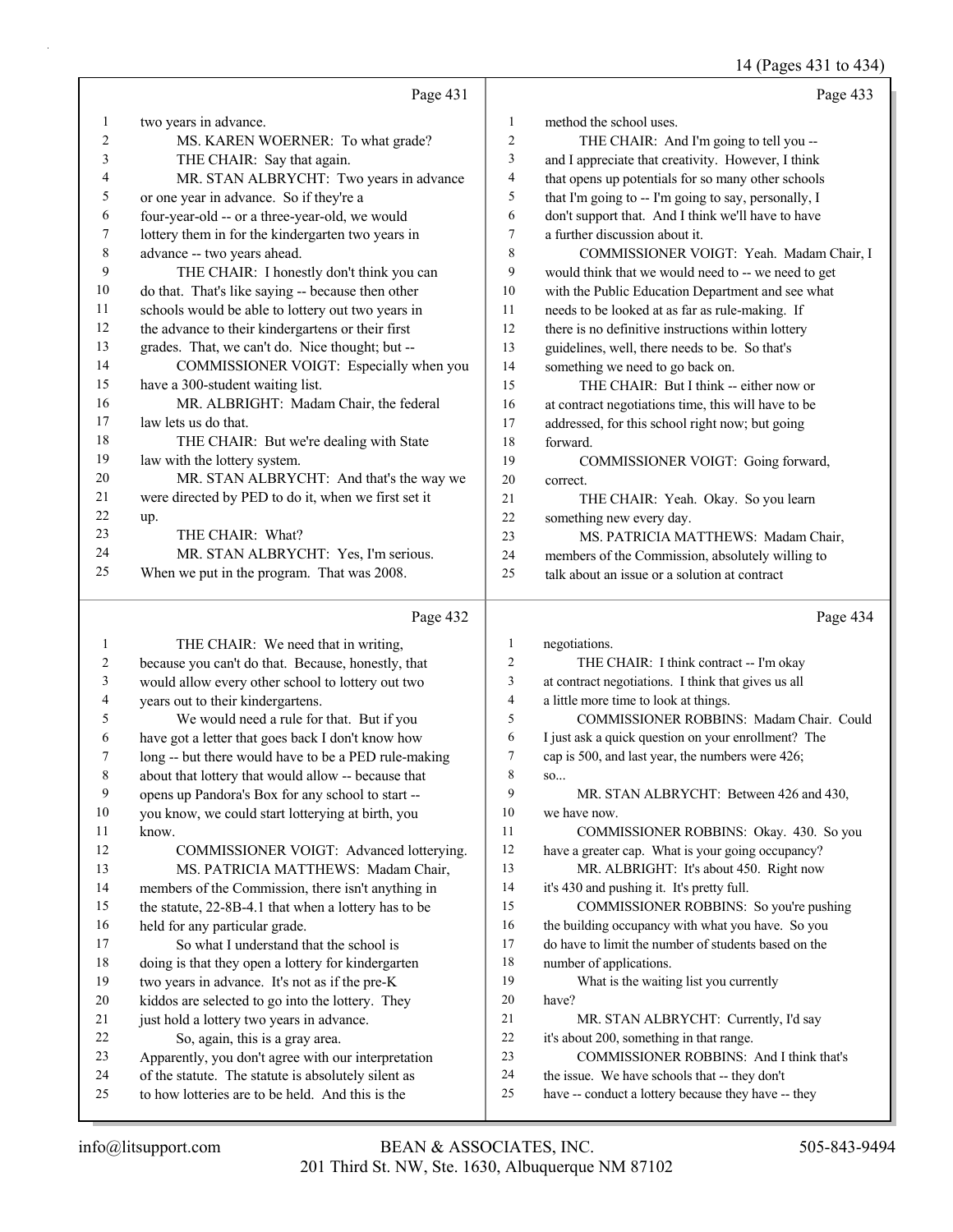14 (Pages 431 to 434)

|              |                                                                                                         |                  | $14$ (rages 431 to 434                                                                               |
|--------------|---------------------------------------------------------------------------------------------------------|------------------|------------------------------------------------------------------------------------------------------|
|              | Page 431                                                                                                |                  | Page 433                                                                                             |
| 1            | two years in advance.                                                                                   | $\mathbf{1}$     | method the school uses.                                                                              |
| 2            | MS. KAREN WOERNER: To what grade?                                                                       | $\boldsymbol{2}$ | THE CHAIR: And I'm going to tell you --                                                              |
| 3            | THE CHAIR: Say that again.                                                                              | 3                | and I appreciate that creativity. However, I think                                                   |
| 4            | MR. STAN ALBRYCHT: Two years in advance                                                                 | 4                | that opens up potentials for so many other schools                                                   |
| 5            | or one year in advance. So if they're a                                                                 | 5                | that I'm going to -- I'm going to say, personally, I                                                 |
| 6            | four-year-old -- or a three-year-old, we would                                                          | 6                | don't support that. And I think we'll have to have                                                   |
| 7            | lottery them in for the kindergarten two years in                                                       | $\tau$           | a further discussion about it.                                                                       |
| 8            | advance -- two years ahead.                                                                             | 8                | COMMISSIONER VOIGT: Yeah. Madam Chair, I                                                             |
| 9            | THE CHAIR: I honestly don't think you can                                                               | 9                | would think that we would need to -- we need to get                                                  |
| 10           | do that. That's like saying -- because then other                                                       | 10               | with the Public Education Department and see what                                                    |
| 11           | schools would be able to lottery out two years in                                                       | 11               | needs to be looked at as far as rule-making. If                                                      |
| 12           | the advance to their kindergartens or their first                                                       | 12               | there is no definitive instructions within lottery                                                   |
| 13           | grades. That, we can't do. Nice thought; but --                                                         | 13               | guidelines, well, there needs to be. So that's                                                       |
| 14           | COMMISSIONER VOIGT: Especially when you                                                                 | 14               | something we need to go back on.                                                                     |
| 15           | have a 300-student waiting list.                                                                        | 15               | THE CHAIR: But I think -- either now or                                                              |
| 16           | MR. ALBRIGHT: Madam Chair, the federal                                                                  | 16               | at contract negotiations time, this will have to be                                                  |
| 17           | law lets us do that.                                                                                    | 17               | addressed, for this school right now; but going                                                      |
| 18           | THE CHAIR: But we're dealing with State                                                                 | 18               | forward.                                                                                             |
| 19           | law with the lottery system.                                                                            | 19               | COMMISSIONER VOIGT: Going forward,                                                                   |
| 20           | MR. STAN ALBRYCHT: And that's the way we                                                                | 20               | correct.                                                                                             |
| 21           | were directed by PED to do it, when we first set it                                                     | 21               | THE CHAIR: Yeah. Okay. So you learn                                                                  |
| 22           | up.                                                                                                     | 22               | something new every day.                                                                             |
| 23           | THE CHAIR: What?                                                                                        | 23               | MS. PATRICIA MATTHEWS: Madam Chair,                                                                  |
| 24           | MR. STAN ALBRYCHT: Yes, I'm serious.                                                                    | 24               | members of the Commission, absolutely willing to                                                     |
| 25           | When we put in the program. That was 2008.                                                              | 25               | talk about an issue or a solution at contract                                                        |
|              | Page 432                                                                                                |                  | Page 434                                                                                             |
| $\mathbf{1}$ | THE CHAIR: We need that in writing,                                                                     | $\mathbf{1}$     | negotiations.                                                                                        |
| 2            | because you can't do that. Because, honestly, that                                                      | $\overline{2}$   | THE CHAIR: I think contract -- I'm okay                                                              |
| 3            | would allow every other school to lottery out two                                                       | 3                | at contract negotiations. I think that gives us all                                                  |
| 4            | years out to their kindergartens.                                                                       | $\overline{4}$   | a little more time to look at things.                                                                |
| 5            | We would need a rule for that. But if you                                                               | 5                | COMMISSIONER ROBBINS: Madam Chair. Could                                                             |
| 6            | have got a letter that goes back I don't know how                                                       | 6                | I just ask a quick question on your enrollment? The                                                  |
| 7            | long -- but there would have to be a PED rule-making                                                    | $\tau$           | cap is 500, and last year, the numbers were 426;                                                     |
| $\,$ 8 $\,$  | about that lottery that would allow -- because that                                                     | 8                | SO                                                                                                   |
| 9            | opens up Pandora's Box for any school to start --                                                       | 9                | MR. STAN ALBRYCHT: Between 426 and 430,                                                              |
| 10           | you know, we could start lotterying at birth, you                                                       | 10               | we have now.                                                                                         |
| 11           | know.                                                                                                   | 11               | COMMISSIONER ROBBINS: Okay. 430. So you                                                              |
| 12           | COMMISSIONER VOIGT: Advanced lotterying.                                                                | 12               | have a greater cap. What is your going occupancy?                                                    |
| 13           | MS. PATRICIA MATTHEWS: Madam Chair,                                                                     | 13               | MR. ALBRIGHT: It's about 450. Right now                                                              |
| 14           | members of the Commission, there isn't anything in                                                      | 14               | it's 430 and pushing it. It's pretty full.                                                           |
| 15           | the statute, 22-8B-4.1 that when a lottery has to be                                                    | 15               | COMMISSIONER ROBBINS: So you're pushing                                                              |
| 16           | held for any particular grade.                                                                          | 16               | the building occupancy with what you have. So you                                                    |
| 17           | So what I understand that the school is                                                                 | 17               | do have to limit the number of students based on the                                                 |
| 18           | doing is that they open a lottery for kindergarten                                                      | 18               | number of applications.                                                                              |
| 19           | two years in advance. It's not as if the pre-K                                                          | 19               | What is the waiting list you currently                                                               |
| 20           | kiddos are selected to go into the lottery. They                                                        | 20               | have?                                                                                                |
| 21           | just hold a lottery two years in advance.                                                               | 21               | MR. STAN ALBRYCHT: Currently, I'd say                                                                |
| 22           | So, again, this is a gray area.                                                                         | 22               | it's about 200, something in that range.                                                             |
| 23           | Apparently, you don't agree with our interpretation                                                     | 23               | COMMISSIONER ROBBINS: And I think that's                                                             |
| 24<br>25     | of the statute. The statute is absolutely silent as<br>to how lotteries are to be held. And this is the | 24<br>25         | the issue. We have schools that -- they don't<br>have -- conduct a lottery because they have -- they |
|              |                                                                                                         |                  |                                                                                                      |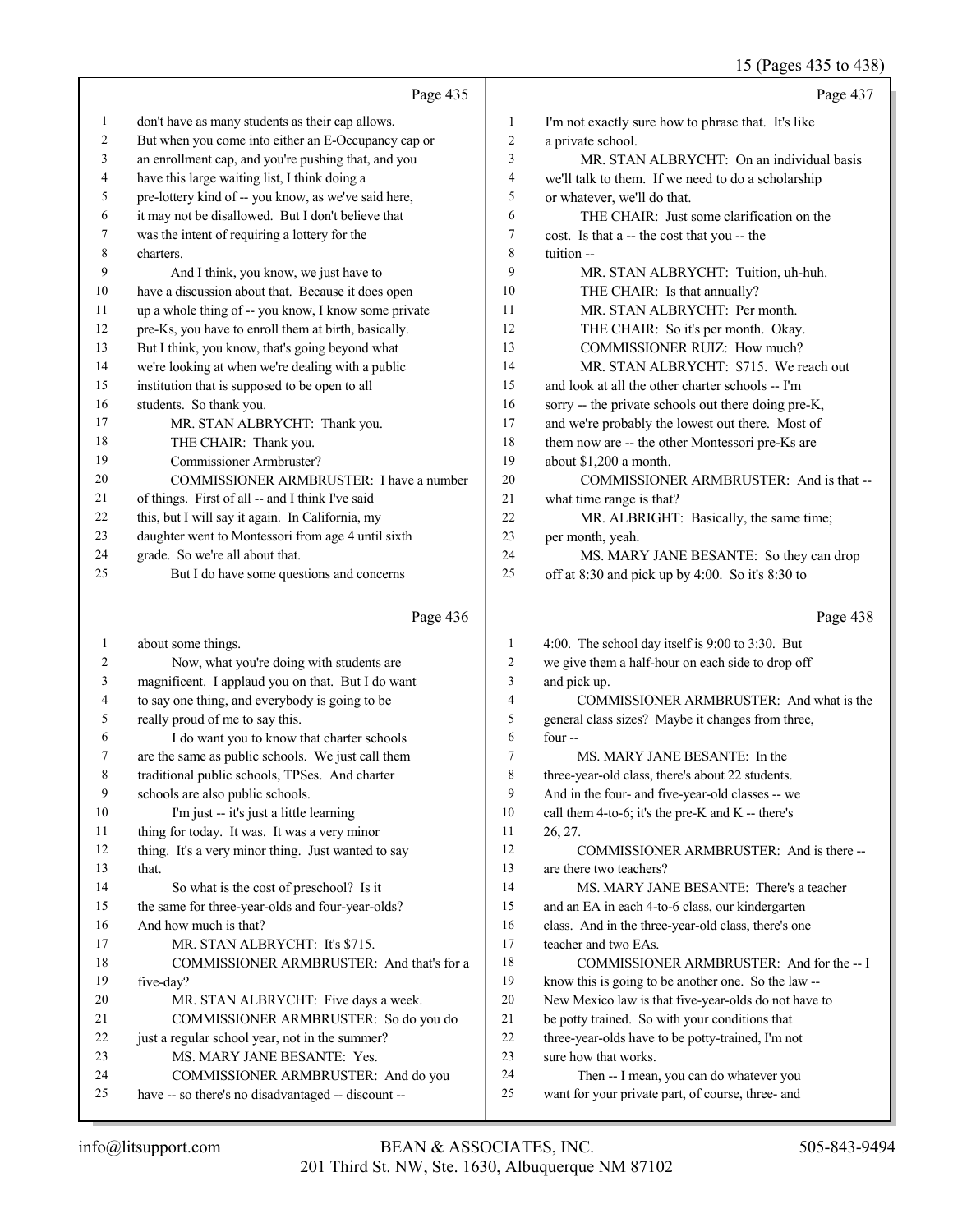## 15 (Pages 435 to 438)

|              | Page 435                                                                                  |                          | Page 437                                                                                     |
|--------------|-------------------------------------------------------------------------------------------|--------------------------|----------------------------------------------------------------------------------------------|
| $\mathbf{1}$ | don't have as many students as their cap allows.                                          | 1                        | I'm not exactly sure how to phrase that. It's like                                           |
| 2            | But when you come into either an E-Occupancy cap or                                       | $\mathfrak{2}$           | a private school.                                                                            |
| 3            | an enrollment cap, and you're pushing that, and you                                       | 3                        | MR. STAN ALBRYCHT: On an individual basis                                                    |
| 4            | have this large waiting list, I think doing a                                             | $\overline{4}$           | we'll talk to them. If we need to do a scholarship                                           |
| 5            | pre-lottery kind of -- you know, as we've said here,                                      | 5                        | or whatever, we'll do that.                                                                  |
| 6            | it may not be disallowed. But I don't believe that                                        | 6                        | THE CHAIR: Just some clarification on the                                                    |
| 7            | was the intent of requiring a lottery for the                                             | $\tau$                   | cost. Is that a -- the cost that you -- the                                                  |
| 8            | charters.                                                                                 | 8                        | tuition --                                                                                   |
| 9            | And I think, you know, we just have to                                                    | 9                        | MR. STAN ALBRYCHT: Tuition, uh-huh.                                                          |
| 10           | have a discussion about that. Because it does open                                        | 10                       | THE CHAIR: Is that annually?                                                                 |
| 11           | up a whole thing of -- you know, I know some private                                      | 11                       | MR. STAN ALBRYCHT: Per month.                                                                |
| 12           | pre-Ks, you have to enroll them at birth, basically.                                      | 12                       | THE CHAIR: So it's per month. Okay.                                                          |
| 13           | But I think, you know, that's going beyond what                                           | 13                       | COMMISSIONER RUIZ: How much?                                                                 |
| 14           | we're looking at when we're dealing with a public                                         | 14                       | MR. STAN ALBRYCHT: \$715. We reach out                                                       |
| 15           | institution that is supposed to be open to all                                            | 15                       | and look at all the other charter schools -- I'm                                             |
| 16           | students. So thank you.                                                                   | 16                       | sorry -- the private schools out there doing pre-K,                                          |
| 17           | MR. STAN ALBRYCHT: Thank you.                                                             | 17                       | and we're probably the lowest out there. Most of                                             |
| 18           | THE CHAIR: Thank you.                                                                     | 18                       | them now are -- the other Montessori pre-Ks are                                              |
| 19           | Commissioner Armbruster?                                                                  | 19                       | about \$1,200 a month.                                                                       |
| 20           | COMMISSIONER ARMBRUSTER: I have a number                                                  | 20                       | COMMISSIONER ARMBRUSTER: And is that --                                                      |
| 21           | of things. First of all -- and I think I've said                                          | 21                       | what time range is that?                                                                     |
| 22           | this, but I will say it again. In California, my                                          | 22                       | MR. ALBRIGHT: Basically, the same time;                                                      |
| 23           | daughter went to Montessori from age 4 until sixth                                        | 23                       | per month, yeah.                                                                             |
| 24           | grade. So we're all about that.                                                           | 24                       | MS. MARY JANE BESANTE: So they can drop                                                      |
| 25           | But I do have some questions and concerns                                                 | 25                       | off at 8:30 and pick up by 4:00. So it's 8:30 to                                             |
|              |                                                                                           |                          |                                                                                              |
|              | Page 436                                                                                  |                          | Page 438                                                                                     |
| 1            | about some things.                                                                        | $\mathbf{1}$             | 4:00. The school day itself is 9:00 to 3:30. But                                             |
| 2            | Now, what you're doing with students are                                                  | $\overline{c}$           | we give them a half-hour on each side to drop off                                            |
| 3            | magnificent. I applaud you on that. But I do want                                         | 3                        | and pick up.                                                                                 |
| 4            | to say one thing, and everybody is going to be                                            | $\overline{\mathcal{L}}$ | COMMISSIONER ARMBRUSTER: And what is the                                                     |
| 5            | really proud of me to say this.                                                           | 5                        | general class sizes? Maybe it changes from three,                                            |
| 6            | I do want you to know that charter schools                                                | 6                        | four-                                                                                        |
| 7            | are the same as public schools. We just call them                                         | 7                        | MS. MARY JANE BESANTE: In the                                                                |
| 8            | traditional public schools, TPSes. And charter                                            | 8                        | three-year-old class, there's about 22 students.                                             |
| 9            | schools are also public schools.                                                          | 9                        | And in the four- and five-year-old classes -- we                                             |
| 10           | I'm just -- it's just a little learning                                                   | 10                       | call them 4-to-6; it's the pre-K and K -- there's                                            |
| 11           | thing for today. It was. It was a very minor                                              | 11                       | 26, 27.                                                                                      |
| 12           | thing. It's a very minor thing. Just wanted to say                                        | 12                       | COMMISSIONER ARMBRUSTER: And is there --                                                     |
| 13           | that.                                                                                     | 13                       | are there two teachers?                                                                      |
| 14           | So what is the cost of preschool? Is it                                                   | 14                       | MS. MARY JANE BESANTE: There's a teacher                                                     |
| 15           | the same for three-year-olds and four-year-olds?                                          | 15                       | and an EA in each 4-to-6 class, our kindergarten                                             |
| 16           | And how much is that?                                                                     | 16                       | class. And in the three-year-old class, there's one                                          |
| 17           | MR. STAN ALBRYCHT: It's \$715.                                                            | 17                       | teacher and two EAs.                                                                         |
| 18           | COMMISSIONER ARMBRUSTER: And that's for a                                                 | 18                       | COMMISSIONER ARMBRUSTER: And for the -- I                                                    |
| 19           | five-day?                                                                                 | 19                       | know this is going to be another one. So the law --                                          |
| 20           | MR. STAN ALBRYCHT: Five days a week.                                                      | 20                       | New Mexico law is that five-year-olds do not have to                                         |
| 21           | COMMISSIONER ARMBRUSTER: So do you do                                                     | 21                       | be potty trained. So with your conditions that                                               |
| 22           | just a regular school year, not in the summer?                                            | 22                       | three-year-olds have to be potty-trained, I'm not                                            |
| 23           | MS. MARY JANE BESANTE: Yes.                                                               | 23                       | sure how that works.                                                                         |
| 24<br>25     | COMMISSIONER ARMBRUSTER: And do you<br>have -- so there's no disadvantaged -- discount -- | 24<br>25                 | Then -- I mean, you can do whatever you<br>want for your private part, of course, three- and |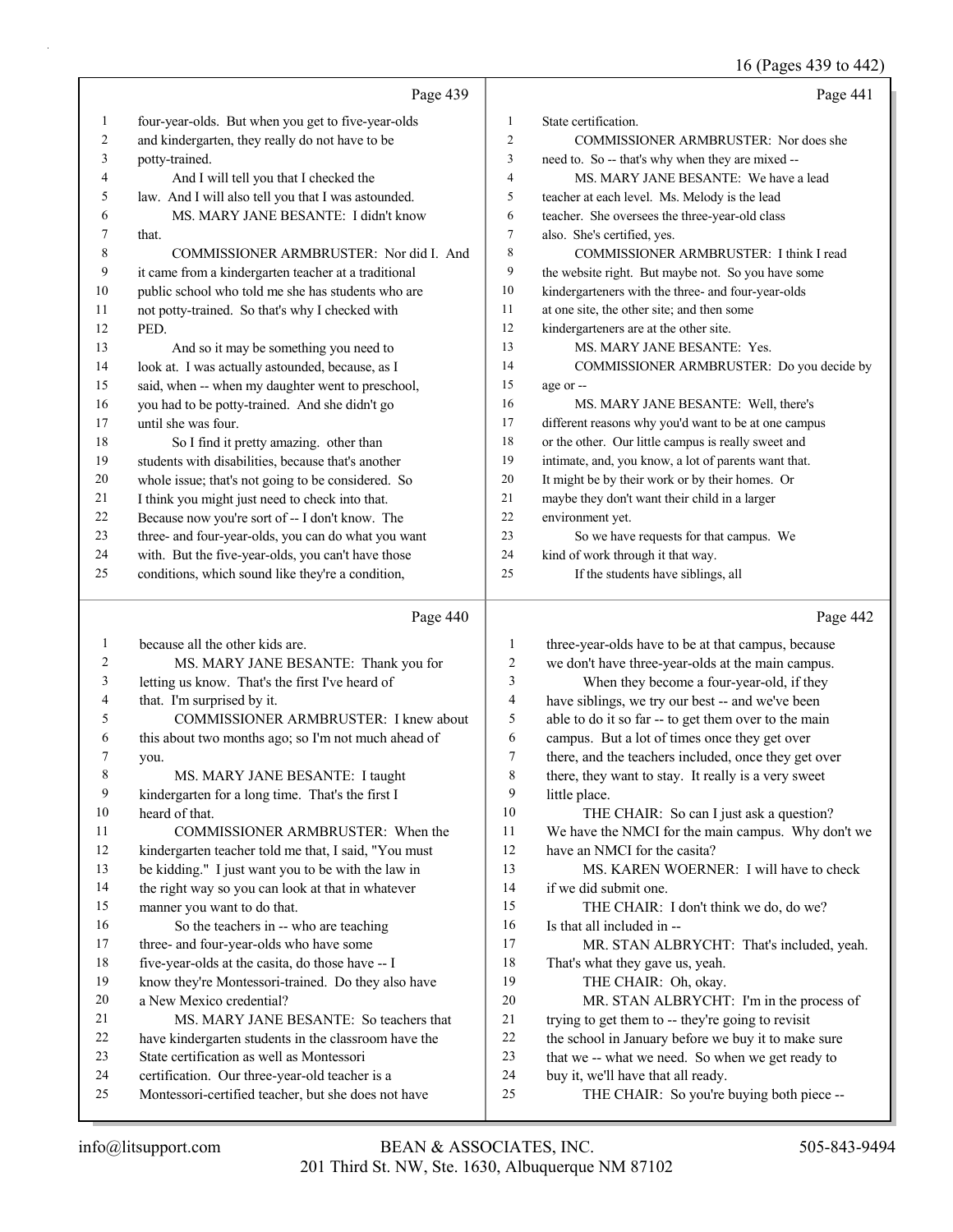16 (Pages 439 to 442)

|                |                                                      |                         | 10 (1 ages 4 <i>37</i> to 442)                       |
|----------------|------------------------------------------------------|-------------------------|------------------------------------------------------|
|                | Page 439                                             |                         | Page 441                                             |
| $\mathbf{1}$   | four-year-olds. But when you get to five-year-olds   | $\mathbf{1}$            | State certification.                                 |
| 2              | and kindergarten, they really do not have to be      | $\mathfrak{2}$          | COMMISSIONER ARMBRUSTER: Nor does she                |
| 3              | potty-trained.                                       | 3                       | need to. So -- that's why when they are mixed --     |
| 4              | And I will tell you that I checked the               | 4                       | MS. MARY JANE BESANTE: We have a lead                |
| 5              | law. And I will also tell you that I was astounded.  | 5                       | teacher at each level. Ms. Melody is the lead        |
| 6              | MS. MARY JANE BESANTE: I didn't know                 | 6                       | teacher. She oversees the three-year-old class       |
| 7              | that.                                                | $\tau$                  | also. She's certified, yes.                          |
| 8              | COMMISSIONER ARMBRUSTER: Nor did I. And              | 8                       | COMMISSIONER ARMBRUSTER: I think I read              |
| 9              | it came from a kindergarten teacher at a traditional | 9                       | the website right. But maybe not. So you have some   |
| 10             | public school who told me she has students who are   | 10                      | kindergarteners with the three- and four-year-olds   |
| 11             | not potty-trained. So that's why I checked with      | 11                      | at one site, the other site; and then some           |
| 12             | PED.                                                 | 12                      | kindergarteners are at the other site.               |
| 13             | And so it may be something you need to               | 13                      | MS. MARY JANE BESANTE: Yes.                          |
| 14             | look at. I was actually astounded, because, as I     | 14                      | COMMISSIONER ARMBRUSTER: Do you decide by            |
| 15             | said, when -- when my daughter went to preschool,    | 15                      | age or --                                            |
| 16             | you had to be potty-trained. And she didn't go       | 16                      | MS. MARY JANE BESANTE: Well, there's                 |
| 17             | until she was four.                                  | 17                      | different reasons why you'd want to be at one campus |
| 18             | So I find it pretty amazing. other than              | 18                      | or the other. Our little campus is really sweet and  |
| 19             | students with disabilities, because that's another   | 19                      | intimate, and, you know, a lot of parents want that. |
| 20             | whole issue; that's not going to be considered. So   | 20                      | It might be by their work or by their homes. Or      |
| 21             | I think you might just need to check into that.      | 21                      | maybe they don't want their child in a larger        |
| 22             | Because now you're sort of -- I don't know. The      | 22                      | environment yet.                                     |
| 23             | three- and four-year-olds, you can do what you want  | 23                      | So we have requests for that campus. We              |
| 24             | with. But the five-year-olds, you can't have those   | 24                      | kind of work through it that way.                    |
| 25             | conditions, which sound like they're a condition,    | 25                      | If the students have siblings, all                   |
|                | Page 440                                             |                         | Page 442                                             |
| $\mathbf{1}$   | because all the other kids are.                      | $\mathbf{1}$            | three-year-olds have to be at that campus, because   |
| $\overline{c}$ | MS. MARY JANE BESANTE: Thank you for                 | $\sqrt{2}$              | we don't have three-year-olds at the main campus.    |
| 3              | letting us know. That's the first I've heard of      | $\overline{\mathbf{3}}$ | When they become a four-year-old, if they            |
| 4              | that. I'm surprised by it.                           | $\overline{4}$          | have siblings, we try our best -- and we've been     |
| 5              | COMMISSIONER ARMBRUSTER: I knew about                | 5                       | able to do it so far -- to get them over to the main |
| 6              | this about two months ago; so I'm not much ahead of  | 6                       | campus. But a lot of times once they get over        |
| 7              | you.                                                 | $\tau$                  | there, and the teachers included, once they get over |
| 8              | MS. MARY JANE BESANTE: I taught                      | $\,$ $\,$               | there, they want to stay. It really is a very sweet  |
| 9              | kindergarten for a long time. That's the first I     | 9                       | little place.                                        |
| 10             | heard of that.                                       | 10                      | THE CHAIR: So can I just ask a question?             |
| 11             | COMMISSIONER ARMBRUSTER: When the                    | 11                      | We have the NMCI for the main campus. Why don't we   |
| 12             | kindergarten teacher told me that, I said, "You must | 12                      | have an NMCI for the casita?                         |
| 13             | be kidding." I just want you to be with the law in   | 13                      | MS. KAREN WOERNER: I will have to check              |

- the right way so you can look at that in whatever
- manner you want to do that.
- 16 So the teachers in -- who are teaching
- 17 three- and four-year-olds who have some
- five-year-olds at the casita, do those have -- I
- know they're Montessori-trained. Do they also have
- a New Mexico credential? 21 MS. MARY JANE BESANTE: So teachers that
- have kindergarten students in the classroom have the
- State certification as well as Montessori
- certification. Our three-year-old teacher is a
- Montessori-certified teacher, but she does not have
- 19 THE CHAIR: Oh, okay. 20 MR. STAN ALBRYCHT: I'm in the process of

17 MR. STAN ALBRYCHT: That's included, yeah.

trying to get them to -- they're going to revisit

15 THE CHAIR: I don't think we do, do we?

- the school in January before we buy it to make sure
- that we -- what we need. So when we get ready to
- buy it, we'll have that all ready.

That's what they gave us, yeah.

if we did submit one.

Is that all included in --

25 THE CHAIR: So you're buying both piece --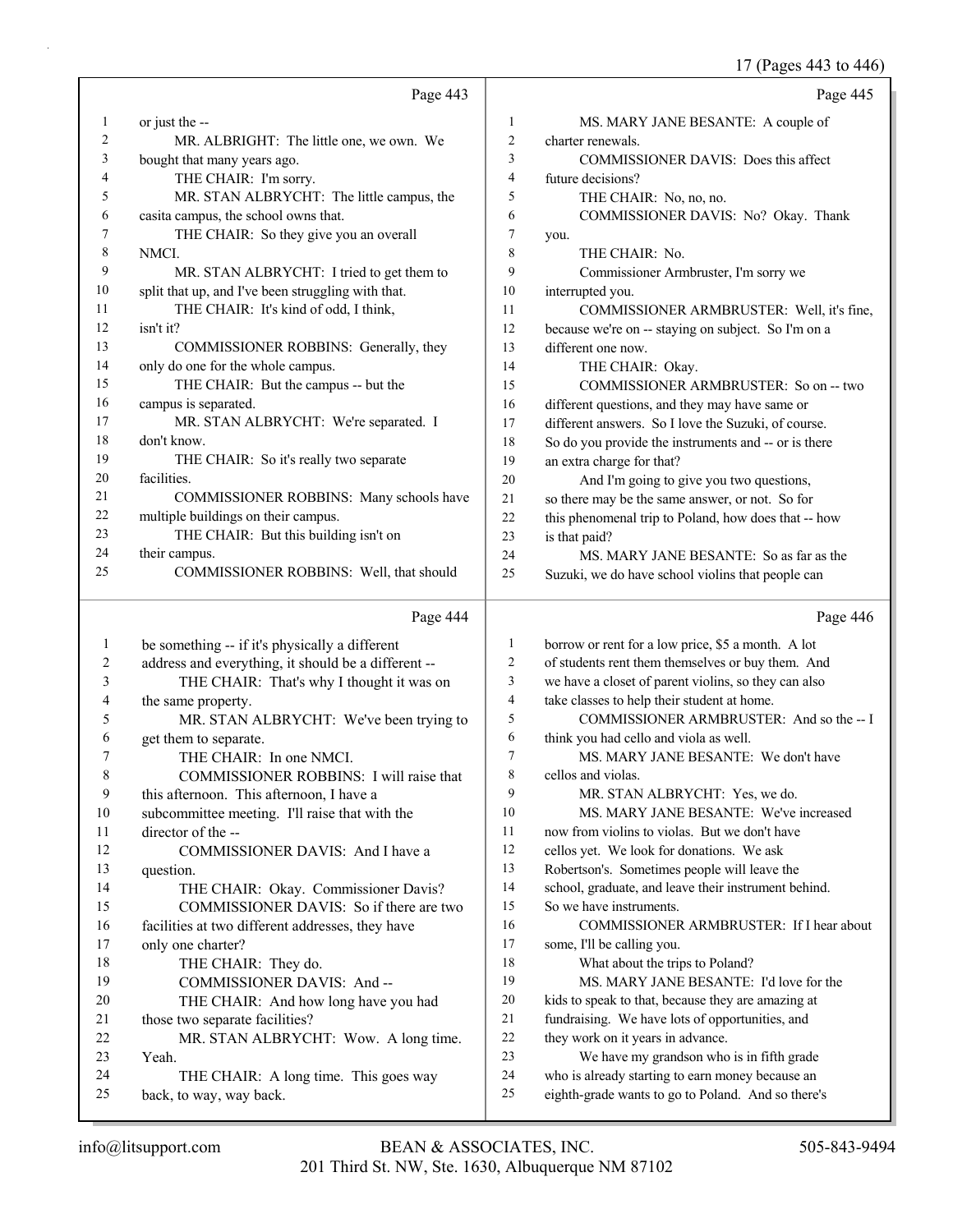17 (Pages 443 to 446)

|              |                                                                  |                | 17 (Pages 443 to 446)                                                                                  |
|--------------|------------------------------------------------------------------|----------------|--------------------------------------------------------------------------------------------------------|
|              | Page 443                                                         |                | Page 445                                                                                               |
| 1            | or just the --                                                   | 1              | MS. MARY JANE BESANTE: A couple of                                                                     |
| 2            | MR. ALBRIGHT: The little one, we own. We                         | 2              | charter renewals.                                                                                      |
| 3            | bought that many years ago.                                      | 3              | COMMISSIONER DAVIS: Does this affect                                                                   |
| 4            | THE CHAIR: I'm sorry.                                            | 4              | future decisions?                                                                                      |
| 5            | MR. STAN ALBRYCHT: The little campus, the                        | 5              | THE CHAIR: No, no, no.                                                                                 |
| 6            | casita campus, the school owns that.                             | 6              | COMMISSIONER DAVIS: No? Okay. Thank                                                                    |
| 7            | THE CHAIR: So they give you an overall                           | 7              | you.                                                                                                   |
| 8            | NMCI.                                                            | 8              | THE CHAIR: No.                                                                                         |
| 9            | MR. STAN ALBRYCHT: I tried to get them to                        | 9              | Commissioner Armbruster, I'm sorry we                                                                  |
| 10           | split that up, and I've been struggling with that.               | 10             | interrupted you.                                                                                       |
| 11           | THE CHAIR: It's kind of odd, I think,                            | 11             | COMMISSIONER ARMBRUSTER: Well, it's fine,                                                              |
| 12           | isn't it?                                                        | 12             | because we're on -- staying on subject. So I'm on a                                                    |
| 13           | COMMISSIONER ROBBINS: Generally, they                            | 13             | different one now.                                                                                     |
| 14           | only do one for the whole campus.                                | 14             | THE CHAIR: Okay.                                                                                       |
| 15           | THE CHAIR: But the campus -- but the                             | 15             | COMMISSIONER ARMBRUSTER: So on -- two                                                                  |
| 16           | campus is separated.                                             | 16             | different questions, and they may have same or                                                         |
| 17           | MR. STAN ALBRYCHT: We're separated. I                            | 17             | different answers. So I love the Suzuki, of course.                                                    |
| 18           | don't know.                                                      | 18             | So do you provide the instruments and -- or is there                                                   |
| 19           | THE CHAIR: So it's really two separate                           | 19             | an extra charge for that?                                                                              |
| 20           | facilities.                                                      | 20             | And I'm going to give you two questions,                                                               |
| 21           | COMMISSIONER ROBBINS: Many schools have                          | 21             | so there may be the same answer, or not. So for                                                        |
| 22           | multiple buildings on their campus.                              | 22             | this phenomenal trip to Poland, how does that -- how                                                   |
| 23           | THE CHAIR: But this building isn't on                            | 23             | is that paid?                                                                                          |
| 24           | their campus.                                                    | 24             | MS. MARY JANE BESANTE: So as far as the                                                                |
| 25           | COMMISSIONER ROBBINS: Well, that should                          | 25             | Suzuki, we do have school violins that people can                                                      |
|              | Page 444                                                         |                | Page 446                                                                                               |
| $\mathbf{1}$ | be something -- if it's physically a different                   | 1              | borrow or rent for a low price, \$5 a month. A lot                                                     |
| 2            | address and everything, it should be a different --              | $\overline{c}$ | of students rent them themselves or buy them. And                                                      |
| 3            | THE CHAIR: That's why I thought it was on                        | 3              | we have a closet of parent violins, so they can also                                                   |
| 4            | the same property.                                               | $\overline{4}$ | take classes to help their student at home.                                                            |
| 5            | MR. STAN ALBRYCHT: We've been trying to                          | 5              | COMMISSIONER ARMBRUSTER: And so the -- I                                                               |
| 6            | get them to separate.                                            | 6              | think you had cello and viola as well.                                                                 |
|              | THE CHAIR: In one NMCI.                                          | 7              | MS. MARY JANE BESANTE: We don't have                                                                   |
| 8            | COMMISSIONER ROBBINS: I will raise that                          | 8              | cellos and violas.                                                                                     |
| 9            | this afternoon. This afternoon, I have a                         | 9              | MR. STAN ALBRYCHT: Yes, we do.                                                                         |
| 10           | subcommittee meeting. I'll raise that with the                   | 10             | MS. MARY JANE BESANTE: We've increased                                                                 |
| 11           | director of the --                                               | 11             | now from violins to violas. But we don't have                                                          |
| 12           | COMMISSIONER DAVIS: And I have a                                 | 12             | cellos yet. We look for donations. We ask                                                              |
| 13           | question.                                                        | 13             | Robertson's. Sometimes people will leave the                                                           |
| 14           | THE CHAIR: Okay. Commissioner Davis?                             | 14             | school, graduate, and leave their instrument behind.                                                   |
| 15           | COMMISSIONER DAVIS: So if there are two                          | 15             | So we have instruments.                                                                                |
| 16           | facilities at two different addresses, they have                 | 16             | COMMISSIONER ARMBRUSTER: If I hear about                                                               |
| 17           | only one charter?                                                | 17             | some, I'll be calling you.                                                                             |
| 18           | THE CHAIR: They do.                                              | 18             | What about the trips to Poland?                                                                        |
| 19           | COMMISSIONER DAVIS: And --                                       | 19             | MS. MARY JANE BESANTE: I'd love for the                                                                |
| 20           | THE CHAIR: And how long have you had                             | 20             | kids to speak to that, because they are amazing at                                                     |
| 21           | those two separate facilities?                                   | 21             | fundraising. We have lots of opportunities, and                                                        |
| 22           | MR. STAN ALBRYCHT: Wow. A long time.                             | 22             | they work on it years in advance.                                                                      |
| 23           | Yeah.                                                            | 23             | We have my grandson who is in fifth grade                                                              |
| 24           | THE CHAIR: A long time. This goes way<br>back, to way, way back. | 24<br>25       | who is already starting to earn money because an<br>eighth-grade wants to go to Poland. And so there's |
| 25           |                                                                  |                |                                                                                                        |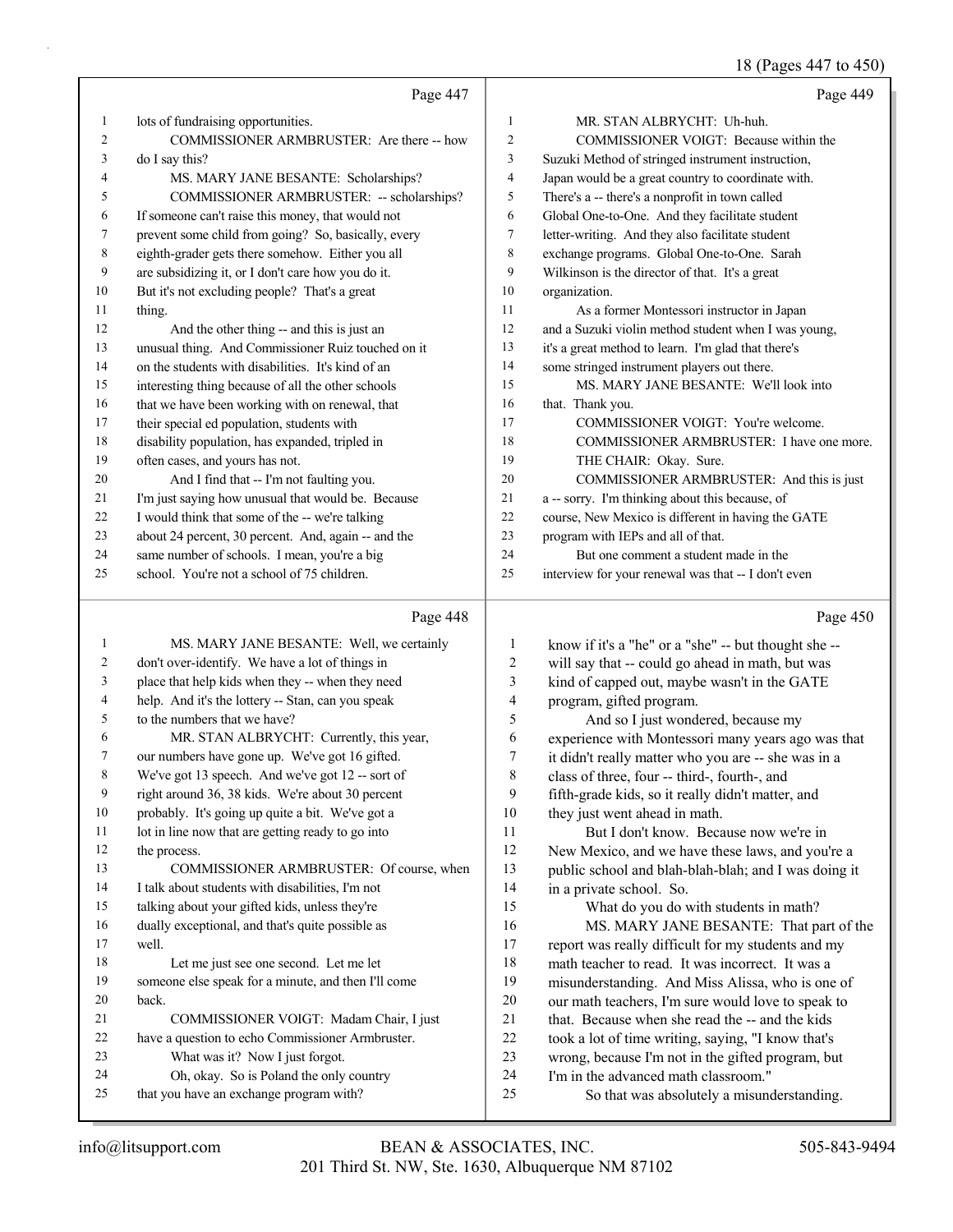#### 18 (Pages 447 to 450)

|              | Page 447                                            |                | Page 449                                             |
|--------------|-----------------------------------------------------|----------------|------------------------------------------------------|
| $\mathbf{1}$ | lots of fundraising opportunities.                  | 1              | MR. STAN ALBRYCHT: Uh-huh.                           |
| 2            | COMMISSIONER ARMBRUSTER: Are there -- how           | $\overline{c}$ | COMMISSIONER VOIGT: Because within the               |
| 3            | do I say this?                                      | 3              | Suzuki Method of stringed instrument instruction,    |
| 4            | MS. MARY JANE BESANTE: Scholarships?                | $\overline{4}$ | Japan would be a great country to coordinate with.   |
| 5            | COMMISSIONER ARMBRUSTER: -- scholarships?           | 5              | There's a -- there's a nonprofit in town called      |
| 6            | If someone can't raise this money, that would not   | 6              | Global One-to-One. And they facilitate student       |
| 7            | prevent some child from going? So, basically, every | 7              | letter-writing. And they also facilitate student     |
| 8            | eighth-grader gets there somehow. Either you all    | 8              | exchange programs. Global One-to-One. Sarah          |
| 9            | are subsidizing it, or I don't care how you do it.  | 9              | Wilkinson is the director of that. It's a great      |
| 10           | But it's not excluding people? That's a great       | 10             | organization.                                        |
| 11           | thing.                                              | 11             | As a former Montessori instructor in Japan           |
| 12           | And the other thing -- and this is just an          | 12             | and a Suzuki violin method student when I was young, |
| 13           | unusual thing. And Commissioner Ruiz touched on it  | 13             | it's a great method to learn. I'm glad that there's  |
| 14           | on the students with disabilities. It's kind of an  | 14             | some stringed instrument players out there.          |
| 15           | interesting thing because of all the other schools  | 15             | MS. MARY JANE BESANTE: We'll look into               |
| 16           | that we have been working with on renewal, that     | 16             | that. Thank you.                                     |
| 17           | their special ed population, students with          | 17             | COMMISSIONER VOIGT: You're welcome.                  |
| 18           | disability population, has expanded, tripled in     | 18             | COMMISSIONER ARMBRUSTER: I have one more.            |
| 19           | often cases, and yours has not.                     | 19             | THE CHAIR: Okay. Sure.                               |
| 20           | And I find that -- I'm not faulting you.            | 20             | COMMISSIONER ARMBRUSTER: And this is just            |
| 21           | I'm just saying how unusual that would be. Because  | 21             | a -- sorry. I'm thinking about this because, of      |
| 22           | I would think that some of the -- we're talking     | 22             | course, New Mexico is different in having the GATE   |
| 23           | about 24 percent, 30 percent. And, again -- and the | 23             | program with IEPs and all of that.                   |
| 24           | same number of schools. I mean, you're a big        | 24             | But one comment a student made in the                |
| 25           | school. You're not a school of 75 children.         | 25             | interview for your renewal was that -- I don't even  |
|              | Page 448                                            |                | Page 450                                             |
| 1            | MS. MARY JANE BESANTE: Well, we certainly           | 1              | know if it's a "he" or a "she" -- but thought she -- |
| 2            | don't over-identify. We have a lot of things in     | $\overline{2}$ | will say that -- could go ahead in math, but was     |
| 3            | place that help kids when they -- when they need    | 3              | kind of capped out, maybe wasn't in the GATE         |
| 4            | help. And it's the lottery -- Stan, can you speak   | 4              | program, gifted program.                             |
| 5            | to the numbers that we have?                        | 5              | And so I just wondered, because my                   |

| 6  | MR. STAN ALBRYCHT: Currently, this year,          |
|----|---------------------------------------------------|
| 7  | our numbers have gone up. We've got 16 gifted.    |
| 8  | We've got 13 speech. And we've got 12 -- sort of  |
| 9  | right around 36, 38 kids. We're about 30 percent  |
| 10 | probably. It's going up quite a bit. We've got a  |
| 11 | lot in line now that are getting ready to go into |

12 the process. 13 COMMISSIONER ARMBRUSTER: Of course, when I talk about students with disabilities, I'm not talking about your gifted kids, unless they're dually exceptional, and that's quite possible as well. 18 Let me just see one second. Let me let someone else speak for a minute, and then I'll come back. 21 COMMISSIONER VOIGT: Madam Chair, I just have a question to echo Commissioner Armbruster. 23 What was it? Now I just forgot. 24 Oh, okay. So is Poland the only country

that you have an exchange program with?

 fifth-grade kids, so it really didn't matter, and they just went ahead in math. 11 But I don't know. Because now we're in New Mexico, and we have these laws, and you're a public school and blah-blah-blah; and I was doing it in a private school. So. 15 What do you do with students in math?

 experience with Montessori many years ago was that it didn't really matter who you are -- she was in a

class of three, four -- third-, fourth-, and

16 MS. MARY JANE BESANTE: That part of the report was really difficult for my students and my math teacher to read. It was incorrect. It was a misunderstanding. And Miss Alissa, who is one of our math teachers, I'm sure would love to speak to that. Because when she read the -- and the kids took a lot of time writing, saying, "I know that's wrong, because I'm not in the gifted program, but I'm in the advanced math classroom."

25 So that was absolutely a misunderstanding.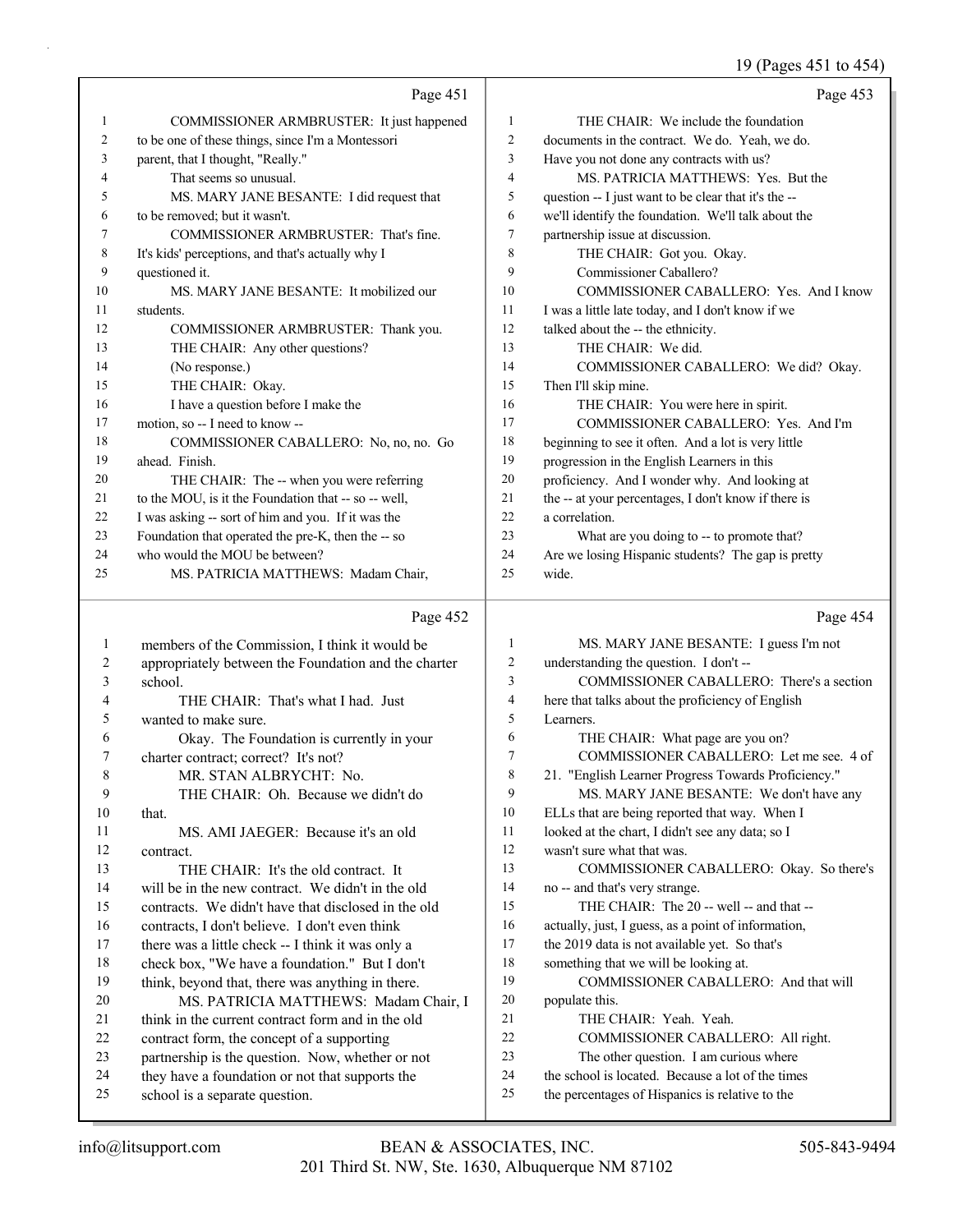| Page 453<br>Page 451<br>$\mathbf{1}$<br>THE CHAIR: We include the foundation<br>1<br>COMMISSIONER ARMBRUSTER: It just happened<br>to be one of these things, since I'm a Montessori<br>2<br>documents in the contract. We do. Yeah, we do.<br>2<br>parent, that I thought, "Really."<br>3<br>3<br>Have you not done any contracts with us?<br>That seems so unusual.<br>4<br>MS. PATRICIA MATTHEWS: Yes. But the<br>4<br>5<br>5<br>MS. MARY JANE BESANTE: I did request that<br>question -- I just want to be clear that it's the --<br>we'll identify the foundation. We'll talk about the<br>to be removed; but it wasn't.<br>6<br>6<br>7<br>7<br>COMMISSIONER ARMBRUSTER: That's fine.<br>partnership issue at discussion.<br>8<br>8<br>THE CHAIR: Got you. Okay.<br>It's kids' perceptions, and that's actually why I<br>9<br>questioned it.<br>9<br>Commissioner Caballero?<br>10<br>10<br>COMMISSIONER CABALLERO: Yes. And I know<br>MS. MARY JANE BESANTE: It mobilized our<br>11<br>I was a little late today, and I don't know if we<br>11<br>students.<br>12<br>talked about the -- the ethnicity.<br>12<br>COMMISSIONER ARMBRUSTER: Thank you.<br>THE CHAIR: Any other questions?<br>13<br>THE CHAIR: We did.<br>13<br>(No response.)<br>14<br>COMMISSIONER CABALLERO: We did? Okay.<br>14<br>THE CHAIR: Okay.<br>Then I'll skip mine.<br>15<br>15<br>I have a question before I make the<br>THE CHAIR: You were here in spirit.<br>16<br>16<br>motion, so -- I need to know --<br>17<br>COMMISSIONER CABALLERO: Yes. And I'm<br>17<br>COMMISSIONER CABALLERO: No, no, no. Go<br>18<br>beginning to see it often. And a lot is very little<br>18<br>ahead. Finish.<br>19<br>progression in the English Learners in this<br>19<br>20<br>proficiency. And I wonder why. And looking at<br>20<br>THE CHAIR: The -- when you were referring<br>to the MOU, is it the Foundation that -- so -- well,<br>21<br>the -- at your percentages, I don't know if there is<br>21<br>I was asking -- sort of him and you. If it was the<br>22<br>a correlation.<br>22<br>23<br>Foundation that operated the pre-K, then the -- so<br>23<br>What are you doing to -- to promote that?<br>24<br>who would the MOU be between?<br>24<br>Are we losing Hispanic students? The gap is pretty<br>25<br>wide.<br>25<br>MS. PATRICIA MATTHEWS: Madam Chair,<br>Page 454<br>Page 452<br>$\mathbf{1}$<br>MS. MARY JANE BESANTE: I guess I'm not<br>members of the Commission, I think it would be<br>1<br>2<br>understanding the question. I don't --<br>appropriately between the Foundation and the charter<br>2<br>3<br>COMMISSIONER CABALLERO: There's a section<br>school.<br>3<br>4<br>4<br>THE CHAIR: That's what I had. Just<br>here that talks about the proficiency of English<br>5<br>wanted to make sure.<br>5<br>Learners.<br>6<br>THE CHAIR: What page are you on?<br>Okay. The Foundation is currently in your<br>6<br>COMMISSIONER CABALLERO: Let me see. 4 of<br>7<br>7<br>charter contract; correct? It's not?<br>8<br>21. "English Learner Progress Towards Proficiency."<br>8<br>MR. STAN ALBRYCHT: No.<br>9<br>MS. MARY JANE BESANTE: We don't have any<br>9<br>THE CHAIR: Oh. Because we didn't do<br>10<br>ELLs that are being reported that way. When I<br>10<br>that.<br>11<br>looked at the chart, I didn't see any data; so I<br>11<br>MS. AMI JAEGER: Because it's an old<br>12<br>wasn't sure what that was.<br>12<br>contract.<br>13<br>COMMISSIONER CABALLERO: Okay. So there's<br>13<br>THE CHAIR: It's the old contract. It<br>14<br>14<br>will be in the new contract. We didn't in the old<br>no -- and that's very strange. |  | 19 (Pages 451 to 454) |
|----------------------------------------------------------------------------------------------------------------------------------------------------------------------------------------------------------------------------------------------------------------------------------------------------------------------------------------------------------------------------------------------------------------------------------------------------------------------------------------------------------------------------------------------------------------------------------------------------------------------------------------------------------------------------------------------------------------------------------------------------------------------------------------------------------------------------------------------------------------------------------------------------------------------------------------------------------------------------------------------------------------------------------------------------------------------------------------------------------------------------------------------------------------------------------------------------------------------------------------------------------------------------------------------------------------------------------------------------------------------------------------------------------------------------------------------------------------------------------------------------------------------------------------------------------------------------------------------------------------------------------------------------------------------------------------------------------------------------------------------------------------------------------------------------------------------------------------------------------------------------------------------------------------------------------------------------------------------------------------------------------------------------------------------------------------------------------------------------------------------------------------------------------------------------------------------------------------------------------------------------------------------------------------------------------------------------------------------------------------------------------------------------------------------------------------------------------------------------------------------------------------------------------------------------------------------------------------------------------------------------------------------------------------------------------------------------------------------------------------------------------------------------------------------------------------------------------------------------------------------------------------------------------------------------------------------------------------------------------------------------------------------------------------------------------------------------------------------------------------------------------------------------------------------------------------------------------------------------------------------------------------------------------------------------------------------------------------------------------------------------------------------------------------------------------------------------------------------------------------------------------------------------------------------------------------------------------------------------------------------------------------------------|--|-----------------------|
|                                                                                                                                                                                                                                                                                                                                                                                                                                                                                                                                                                                                                                                                                                                                                                                                                                                                                                                                                                                                                                                                                                                                                                                                                                                                                                                                                                                                                                                                                                                                                                                                                                                                                                                                                                                                                                                                                                                                                                                                                                                                                                                                                                                                                                                                                                                                                                                                                                                                                                                                                                                                                                                                                                                                                                                                                                                                                                                                                                                                                                                                                                                                                                                                                                                                                                                                                                                                                                                                                                                                                                                                                                                    |  |                       |
|                                                                                                                                                                                                                                                                                                                                                                                                                                                                                                                                                                                                                                                                                                                                                                                                                                                                                                                                                                                                                                                                                                                                                                                                                                                                                                                                                                                                                                                                                                                                                                                                                                                                                                                                                                                                                                                                                                                                                                                                                                                                                                                                                                                                                                                                                                                                                                                                                                                                                                                                                                                                                                                                                                                                                                                                                                                                                                                                                                                                                                                                                                                                                                                                                                                                                                                                                                                                                                                                                                                                                                                                                                                    |  |                       |
|                                                                                                                                                                                                                                                                                                                                                                                                                                                                                                                                                                                                                                                                                                                                                                                                                                                                                                                                                                                                                                                                                                                                                                                                                                                                                                                                                                                                                                                                                                                                                                                                                                                                                                                                                                                                                                                                                                                                                                                                                                                                                                                                                                                                                                                                                                                                                                                                                                                                                                                                                                                                                                                                                                                                                                                                                                                                                                                                                                                                                                                                                                                                                                                                                                                                                                                                                                                                                                                                                                                                                                                                                                                    |  |                       |
|                                                                                                                                                                                                                                                                                                                                                                                                                                                                                                                                                                                                                                                                                                                                                                                                                                                                                                                                                                                                                                                                                                                                                                                                                                                                                                                                                                                                                                                                                                                                                                                                                                                                                                                                                                                                                                                                                                                                                                                                                                                                                                                                                                                                                                                                                                                                                                                                                                                                                                                                                                                                                                                                                                                                                                                                                                                                                                                                                                                                                                                                                                                                                                                                                                                                                                                                                                                                                                                                                                                                                                                                                                                    |  |                       |
|                                                                                                                                                                                                                                                                                                                                                                                                                                                                                                                                                                                                                                                                                                                                                                                                                                                                                                                                                                                                                                                                                                                                                                                                                                                                                                                                                                                                                                                                                                                                                                                                                                                                                                                                                                                                                                                                                                                                                                                                                                                                                                                                                                                                                                                                                                                                                                                                                                                                                                                                                                                                                                                                                                                                                                                                                                                                                                                                                                                                                                                                                                                                                                                                                                                                                                                                                                                                                                                                                                                                                                                                                                                    |  |                       |
|                                                                                                                                                                                                                                                                                                                                                                                                                                                                                                                                                                                                                                                                                                                                                                                                                                                                                                                                                                                                                                                                                                                                                                                                                                                                                                                                                                                                                                                                                                                                                                                                                                                                                                                                                                                                                                                                                                                                                                                                                                                                                                                                                                                                                                                                                                                                                                                                                                                                                                                                                                                                                                                                                                                                                                                                                                                                                                                                                                                                                                                                                                                                                                                                                                                                                                                                                                                                                                                                                                                                                                                                                                                    |  |                       |
|                                                                                                                                                                                                                                                                                                                                                                                                                                                                                                                                                                                                                                                                                                                                                                                                                                                                                                                                                                                                                                                                                                                                                                                                                                                                                                                                                                                                                                                                                                                                                                                                                                                                                                                                                                                                                                                                                                                                                                                                                                                                                                                                                                                                                                                                                                                                                                                                                                                                                                                                                                                                                                                                                                                                                                                                                                                                                                                                                                                                                                                                                                                                                                                                                                                                                                                                                                                                                                                                                                                                                                                                                                                    |  |                       |
|                                                                                                                                                                                                                                                                                                                                                                                                                                                                                                                                                                                                                                                                                                                                                                                                                                                                                                                                                                                                                                                                                                                                                                                                                                                                                                                                                                                                                                                                                                                                                                                                                                                                                                                                                                                                                                                                                                                                                                                                                                                                                                                                                                                                                                                                                                                                                                                                                                                                                                                                                                                                                                                                                                                                                                                                                                                                                                                                                                                                                                                                                                                                                                                                                                                                                                                                                                                                                                                                                                                                                                                                                                                    |  |                       |
|                                                                                                                                                                                                                                                                                                                                                                                                                                                                                                                                                                                                                                                                                                                                                                                                                                                                                                                                                                                                                                                                                                                                                                                                                                                                                                                                                                                                                                                                                                                                                                                                                                                                                                                                                                                                                                                                                                                                                                                                                                                                                                                                                                                                                                                                                                                                                                                                                                                                                                                                                                                                                                                                                                                                                                                                                                                                                                                                                                                                                                                                                                                                                                                                                                                                                                                                                                                                                                                                                                                                                                                                                                                    |  |                       |
|                                                                                                                                                                                                                                                                                                                                                                                                                                                                                                                                                                                                                                                                                                                                                                                                                                                                                                                                                                                                                                                                                                                                                                                                                                                                                                                                                                                                                                                                                                                                                                                                                                                                                                                                                                                                                                                                                                                                                                                                                                                                                                                                                                                                                                                                                                                                                                                                                                                                                                                                                                                                                                                                                                                                                                                                                                                                                                                                                                                                                                                                                                                                                                                                                                                                                                                                                                                                                                                                                                                                                                                                                                                    |  |                       |
|                                                                                                                                                                                                                                                                                                                                                                                                                                                                                                                                                                                                                                                                                                                                                                                                                                                                                                                                                                                                                                                                                                                                                                                                                                                                                                                                                                                                                                                                                                                                                                                                                                                                                                                                                                                                                                                                                                                                                                                                                                                                                                                                                                                                                                                                                                                                                                                                                                                                                                                                                                                                                                                                                                                                                                                                                                                                                                                                                                                                                                                                                                                                                                                                                                                                                                                                                                                                                                                                                                                                                                                                                                                    |  |                       |
|                                                                                                                                                                                                                                                                                                                                                                                                                                                                                                                                                                                                                                                                                                                                                                                                                                                                                                                                                                                                                                                                                                                                                                                                                                                                                                                                                                                                                                                                                                                                                                                                                                                                                                                                                                                                                                                                                                                                                                                                                                                                                                                                                                                                                                                                                                                                                                                                                                                                                                                                                                                                                                                                                                                                                                                                                                                                                                                                                                                                                                                                                                                                                                                                                                                                                                                                                                                                                                                                                                                                                                                                                                                    |  |                       |
|                                                                                                                                                                                                                                                                                                                                                                                                                                                                                                                                                                                                                                                                                                                                                                                                                                                                                                                                                                                                                                                                                                                                                                                                                                                                                                                                                                                                                                                                                                                                                                                                                                                                                                                                                                                                                                                                                                                                                                                                                                                                                                                                                                                                                                                                                                                                                                                                                                                                                                                                                                                                                                                                                                                                                                                                                                                                                                                                                                                                                                                                                                                                                                                                                                                                                                                                                                                                                                                                                                                                                                                                                                                    |  |                       |
|                                                                                                                                                                                                                                                                                                                                                                                                                                                                                                                                                                                                                                                                                                                                                                                                                                                                                                                                                                                                                                                                                                                                                                                                                                                                                                                                                                                                                                                                                                                                                                                                                                                                                                                                                                                                                                                                                                                                                                                                                                                                                                                                                                                                                                                                                                                                                                                                                                                                                                                                                                                                                                                                                                                                                                                                                                                                                                                                                                                                                                                                                                                                                                                                                                                                                                                                                                                                                                                                                                                                                                                                                                                    |  |                       |
|                                                                                                                                                                                                                                                                                                                                                                                                                                                                                                                                                                                                                                                                                                                                                                                                                                                                                                                                                                                                                                                                                                                                                                                                                                                                                                                                                                                                                                                                                                                                                                                                                                                                                                                                                                                                                                                                                                                                                                                                                                                                                                                                                                                                                                                                                                                                                                                                                                                                                                                                                                                                                                                                                                                                                                                                                                                                                                                                                                                                                                                                                                                                                                                                                                                                                                                                                                                                                                                                                                                                                                                                                                                    |  |                       |
|                                                                                                                                                                                                                                                                                                                                                                                                                                                                                                                                                                                                                                                                                                                                                                                                                                                                                                                                                                                                                                                                                                                                                                                                                                                                                                                                                                                                                                                                                                                                                                                                                                                                                                                                                                                                                                                                                                                                                                                                                                                                                                                                                                                                                                                                                                                                                                                                                                                                                                                                                                                                                                                                                                                                                                                                                                                                                                                                                                                                                                                                                                                                                                                                                                                                                                                                                                                                                                                                                                                                                                                                                                                    |  |                       |
|                                                                                                                                                                                                                                                                                                                                                                                                                                                                                                                                                                                                                                                                                                                                                                                                                                                                                                                                                                                                                                                                                                                                                                                                                                                                                                                                                                                                                                                                                                                                                                                                                                                                                                                                                                                                                                                                                                                                                                                                                                                                                                                                                                                                                                                                                                                                                                                                                                                                                                                                                                                                                                                                                                                                                                                                                                                                                                                                                                                                                                                                                                                                                                                                                                                                                                                                                                                                                                                                                                                                                                                                                                                    |  |                       |
|                                                                                                                                                                                                                                                                                                                                                                                                                                                                                                                                                                                                                                                                                                                                                                                                                                                                                                                                                                                                                                                                                                                                                                                                                                                                                                                                                                                                                                                                                                                                                                                                                                                                                                                                                                                                                                                                                                                                                                                                                                                                                                                                                                                                                                                                                                                                                                                                                                                                                                                                                                                                                                                                                                                                                                                                                                                                                                                                                                                                                                                                                                                                                                                                                                                                                                                                                                                                                                                                                                                                                                                                                                                    |  |                       |
|                                                                                                                                                                                                                                                                                                                                                                                                                                                                                                                                                                                                                                                                                                                                                                                                                                                                                                                                                                                                                                                                                                                                                                                                                                                                                                                                                                                                                                                                                                                                                                                                                                                                                                                                                                                                                                                                                                                                                                                                                                                                                                                                                                                                                                                                                                                                                                                                                                                                                                                                                                                                                                                                                                                                                                                                                                                                                                                                                                                                                                                                                                                                                                                                                                                                                                                                                                                                                                                                                                                                                                                                                                                    |  |                       |
|                                                                                                                                                                                                                                                                                                                                                                                                                                                                                                                                                                                                                                                                                                                                                                                                                                                                                                                                                                                                                                                                                                                                                                                                                                                                                                                                                                                                                                                                                                                                                                                                                                                                                                                                                                                                                                                                                                                                                                                                                                                                                                                                                                                                                                                                                                                                                                                                                                                                                                                                                                                                                                                                                                                                                                                                                                                                                                                                                                                                                                                                                                                                                                                                                                                                                                                                                                                                                                                                                                                                                                                                                                                    |  |                       |
|                                                                                                                                                                                                                                                                                                                                                                                                                                                                                                                                                                                                                                                                                                                                                                                                                                                                                                                                                                                                                                                                                                                                                                                                                                                                                                                                                                                                                                                                                                                                                                                                                                                                                                                                                                                                                                                                                                                                                                                                                                                                                                                                                                                                                                                                                                                                                                                                                                                                                                                                                                                                                                                                                                                                                                                                                                                                                                                                                                                                                                                                                                                                                                                                                                                                                                                                                                                                                                                                                                                                                                                                                                                    |  |                       |
|                                                                                                                                                                                                                                                                                                                                                                                                                                                                                                                                                                                                                                                                                                                                                                                                                                                                                                                                                                                                                                                                                                                                                                                                                                                                                                                                                                                                                                                                                                                                                                                                                                                                                                                                                                                                                                                                                                                                                                                                                                                                                                                                                                                                                                                                                                                                                                                                                                                                                                                                                                                                                                                                                                                                                                                                                                                                                                                                                                                                                                                                                                                                                                                                                                                                                                                                                                                                                                                                                                                                                                                                                                                    |  |                       |
|                                                                                                                                                                                                                                                                                                                                                                                                                                                                                                                                                                                                                                                                                                                                                                                                                                                                                                                                                                                                                                                                                                                                                                                                                                                                                                                                                                                                                                                                                                                                                                                                                                                                                                                                                                                                                                                                                                                                                                                                                                                                                                                                                                                                                                                                                                                                                                                                                                                                                                                                                                                                                                                                                                                                                                                                                                                                                                                                                                                                                                                                                                                                                                                                                                                                                                                                                                                                                                                                                                                                                                                                                                                    |  |                       |
|                                                                                                                                                                                                                                                                                                                                                                                                                                                                                                                                                                                                                                                                                                                                                                                                                                                                                                                                                                                                                                                                                                                                                                                                                                                                                                                                                                                                                                                                                                                                                                                                                                                                                                                                                                                                                                                                                                                                                                                                                                                                                                                                                                                                                                                                                                                                                                                                                                                                                                                                                                                                                                                                                                                                                                                                                                                                                                                                                                                                                                                                                                                                                                                                                                                                                                                                                                                                                                                                                                                                                                                                                                                    |  |                       |
|                                                                                                                                                                                                                                                                                                                                                                                                                                                                                                                                                                                                                                                                                                                                                                                                                                                                                                                                                                                                                                                                                                                                                                                                                                                                                                                                                                                                                                                                                                                                                                                                                                                                                                                                                                                                                                                                                                                                                                                                                                                                                                                                                                                                                                                                                                                                                                                                                                                                                                                                                                                                                                                                                                                                                                                                                                                                                                                                                                                                                                                                                                                                                                                                                                                                                                                                                                                                                                                                                                                                                                                                                                                    |  |                       |
|                                                                                                                                                                                                                                                                                                                                                                                                                                                                                                                                                                                                                                                                                                                                                                                                                                                                                                                                                                                                                                                                                                                                                                                                                                                                                                                                                                                                                                                                                                                                                                                                                                                                                                                                                                                                                                                                                                                                                                                                                                                                                                                                                                                                                                                                                                                                                                                                                                                                                                                                                                                                                                                                                                                                                                                                                                                                                                                                                                                                                                                                                                                                                                                                                                                                                                                                                                                                                                                                                                                                                                                                                                                    |  |                       |
|                                                                                                                                                                                                                                                                                                                                                                                                                                                                                                                                                                                                                                                                                                                                                                                                                                                                                                                                                                                                                                                                                                                                                                                                                                                                                                                                                                                                                                                                                                                                                                                                                                                                                                                                                                                                                                                                                                                                                                                                                                                                                                                                                                                                                                                                                                                                                                                                                                                                                                                                                                                                                                                                                                                                                                                                                                                                                                                                                                                                                                                                                                                                                                                                                                                                                                                                                                                                                                                                                                                                                                                                                                                    |  |                       |
|                                                                                                                                                                                                                                                                                                                                                                                                                                                                                                                                                                                                                                                                                                                                                                                                                                                                                                                                                                                                                                                                                                                                                                                                                                                                                                                                                                                                                                                                                                                                                                                                                                                                                                                                                                                                                                                                                                                                                                                                                                                                                                                                                                                                                                                                                                                                                                                                                                                                                                                                                                                                                                                                                                                                                                                                                                                                                                                                                                                                                                                                                                                                                                                                                                                                                                                                                                                                                                                                                                                                                                                                                                                    |  |                       |
|                                                                                                                                                                                                                                                                                                                                                                                                                                                                                                                                                                                                                                                                                                                                                                                                                                                                                                                                                                                                                                                                                                                                                                                                                                                                                                                                                                                                                                                                                                                                                                                                                                                                                                                                                                                                                                                                                                                                                                                                                                                                                                                                                                                                                                                                                                                                                                                                                                                                                                                                                                                                                                                                                                                                                                                                                                                                                                                                                                                                                                                                                                                                                                                                                                                                                                                                                                                                                                                                                                                                                                                                                                                    |  |                       |
|                                                                                                                                                                                                                                                                                                                                                                                                                                                                                                                                                                                                                                                                                                                                                                                                                                                                                                                                                                                                                                                                                                                                                                                                                                                                                                                                                                                                                                                                                                                                                                                                                                                                                                                                                                                                                                                                                                                                                                                                                                                                                                                                                                                                                                                                                                                                                                                                                                                                                                                                                                                                                                                                                                                                                                                                                                                                                                                                                                                                                                                                                                                                                                                                                                                                                                                                                                                                                                                                                                                                                                                                                                                    |  |                       |
|                                                                                                                                                                                                                                                                                                                                                                                                                                                                                                                                                                                                                                                                                                                                                                                                                                                                                                                                                                                                                                                                                                                                                                                                                                                                                                                                                                                                                                                                                                                                                                                                                                                                                                                                                                                                                                                                                                                                                                                                                                                                                                                                                                                                                                                                                                                                                                                                                                                                                                                                                                                                                                                                                                                                                                                                                                                                                                                                                                                                                                                                                                                                                                                                                                                                                                                                                                                                                                                                                                                                                                                                                                                    |  |                       |
|                                                                                                                                                                                                                                                                                                                                                                                                                                                                                                                                                                                                                                                                                                                                                                                                                                                                                                                                                                                                                                                                                                                                                                                                                                                                                                                                                                                                                                                                                                                                                                                                                                                                                                                                                                                                                                                                                                                                                                                                                                                                                                                                                                                                                                                                                                                                                                                                                                                                                                                                                                                                                                                                                                                                                                                                                                                                                                                                                                                                                                                                                                                                                                                                                                                                                                                                                                                                                                                                                                                                                                                                                                                    |  |                       |
|                                                                                                                                                                                                                                                                                                                                                                                                                                                                                                                                                                                                                                                                                                                                                                                                                                                                                                                                                                                                                                                                                                                                                                                                                                                                                                                                                                                                                                                                                                                                                                                                                                                                                                                                                                                                                                                                                                                                                                                                                                                                                                                                                                                                                                                                                                                                                                                                                                                                                                                                                                                                                                                                                                                                                                                                                                                                                                                                                                                                                                                                                                                                                                                                                                                                                                                                                                                                                                                                                                                                                                                                                                                    |  |                       |
|                                                                                                                                                                                                                                                                                                                                                                                                                                                                                                                                                                                                                                                                                                                                                                                                                                                                                                                                                                                                                                                                                                                                                                                                                                                                                                                                                                                                                                                                                                                                                                                                                                                                                                                                                                                                                                                                                                                                                                                                                                                                                                                                                                                                                                                                                                                                                                                                                                                                                                                                                                                                                                                                                                                                                                                                                                                                                                                                                                                                                                                                                                                                                                                                                                                                                                                                                                                                                                                                                                                                                                                                                                                    |  |                       |
|                                                                                                                                                                                                                                                                                                                                                                                                                                                                                                                                                                                                                                                                                                                                                                                                                                                                                                                                                                                                                                                                                                                                                                                                                                                                                                                                                                                                                                                                                                                                                                                                                                                                                                                                                                                                                                                                                                                                                                                                                                                                                                                                                                                                                                                                                                                                                                                                                                                                                                                                                                                                                                                                                                                                                                                                                                                                                                                                                                                                                                                                                                                                                                                                                                                                                                                                                                                                                                                                                                                                                                                                                                                    |  |                       |
|                                                                                                                                                                                                                                                                                                                                                                                                                                                                                                                                                                                                                                                                                                                                                                                                                                                                                                                                                                                                                                                                                                                                                                                                                                                                                                                                                                                                                                                                                                                                                                                                                                                                                                                                                                                                                                                                                                                                                                                                                                                                                                                                                                                                                                                                                                                                                                                                                                                                                                                                                                                                                                                                                                                                                                                                                                                                                                                                                                                                                                                                                                                                                                                                                                                                                                                                                                                                                                                                                                                                                                                                                                                    |  |                       |
|                                                                                                                                                                                                                                                                                                                                                                                                                                                                                                                                                                                                                                                                                                                                                                                                                                                                                                                                                                                                                                                                                                                                                                                                                                                                                                                                                                                                                                                                                                                                                                                                                                                                                                                                                                                                                                                                                                                                                                                                                                                                                                                                                                                                                                                                                                                                                                                                                                                                                                                                                                                                                                                                                                                                                                                                                                                                                                                                                                                                                                                                                                                                                                                                                                                                                                                                                                                                                                                                                                                                                                                                                                                    |  |                       |
|                                                                                                                                                                                                                                                                                                                                                                                                                                                                                                                                                                                                                                                                                                                                                                                                                                                                                                                                                                                                                                                                                                                                                                                                                                                                                                                                                                                                                                                                                                                                                                                                                                                                                                                                                                                                                                                                                                                                                                                                                                                                                                                                                                                                                                                                                                                                                                                                                                                                                                                                                                                                                                                                                                                                                                                                                                                                                                                                                                                                                                                                                                                                                                                                                                                                                                                                                                                                                                                                                                                                                                                                                                                    |  |                       |
|                                                                                                                                                                                                                                                                                                                                                                                                                                                                                                                                                                                                                                                                                                                                                                                                                                                                                                                                                                                                                                                                                                                                                                                                                                                                                                                                                                                                                                                                                                                                                                                                                                                                                                                                                                                                                                                                                                                                                                                                                                                                                                                                                                                                                                                                                                                                                                                                                                                                                                                                                                                                                                                                                                                                                                                                                                                                                                                                                                                                                                                                                                                                                                                                                                                                                                                                                                                                                                                                                                                                                                                                                                                    |  |                       |
|                                                                                                                                                                                                                                                                                                                                                                                                                                                                                                                                                                                                                                                                                                                                                                                                                                                                                                                                                                                                                                                                                                                                                                                                                                                                                                                                                                                                                                                                                                                                                                                                                                                                                                                                                                                                                                                                                                                                                                                                                                                                                                                                                                                                                                                                                                                                                                                                                                                                                                                                                                                                                                                                                                                                                                                                                                                                                                                                                                                                                                                                                                                                                                                                                                                                                                                                                                                                                                                                                                                                                                                                                                                    |  |                       |
|                                                                                                                                                                                                                                                                                                                                                                                                                                                                                                                                                                                                                                                                                                                                                                                                                                                                                                                                                                                                                                                                                                                                                                                                                                                                                                                                                                                                                                                                                                                                                                                                                                                                                                                                                                                                                                                                                                                                                                                                                                                                                                                                                                                                                                                                                                                                                                                                                                                                                                                                                                                                                                                                                                                                                                                                                                                                                                                                                                                                                                                                                                                                                                                                                                                                                                                                                                                                                                                                                                                                                                                                                                                    |  |                       |
| THE CHAIR: The 20 -- well -- and that --<br>contracts. We didn't have that disclosed in the old<br>15<br>15                                                                                                                                                                                                                                                                                                                                                                                                                                                                                                                                                                                                                                                                                                                                                                                                                                                                                                                                                                                                                                                                                                                                                                                                                                                                                                                                                                                                                                                                                                                                                                                                                                                                                                                                                                                                                                                                                                                                                                                                                                                                                                                                                                                                                                                                                                                                                                                                                                                                                                                                                                                                                                                                                                                                                                                                                                                                                                                                                                                                                                                                                                                                                                                                                                                                                                                                                                                                                                                                                                                                        |  |                       |
| contracts, I don't believe. I don't even think<br>16<br>actually, just, I guess, as a point of information,<br>16                                                                                                                                                                                                                                                                                                                                                                                                                                                                                                                                                                                                                                                                                                                                                                                                                                                                                                                                                                                                                                                                                                                                                                                                                                                                                                                                                                                                                                                                                                                                                                                                                                                                                                                                                                                                                                                                                                                                                                                                                                                                                                                                                                                                                                                                                                                                                                                                                                                                                                                                                                                                                                                                                                                                                                                                                                                                                                                                                                                                                                                                                                                                                                                                                                                                                                                                                                                                                                                                                                                                  |  |                       |

- 17 there was a little check -- I think it was only a
- 18 check box, "We have a foundation." But I don't
- 19 think, beyond that, there was anything in there. 20 MS. PATRICIA MATTHEWS: Madam Chair, I
- 21 think in the current contract form and in the old 22 contract form, the concept of a supporting
- 23 partnership is the question. Now, whether or not
- 24 they have a foundation or not that supports the
- 25 school is a separate question.
- 
- 17 the 2019 data is not available yet. So that's
- 18 something that we will be looking at.

19 COMMISSIONER CABALLERO: And that will

- 20 populate this.
- 21 THE CHAIR: Yeah. Yeah.
- 22 COMMISSIONER CABALLERO: All right.
- 23 The other question. I am curious where
- 24 the school is located. Because a lot of the times
- 25 the percentages of Hispanics is relative to the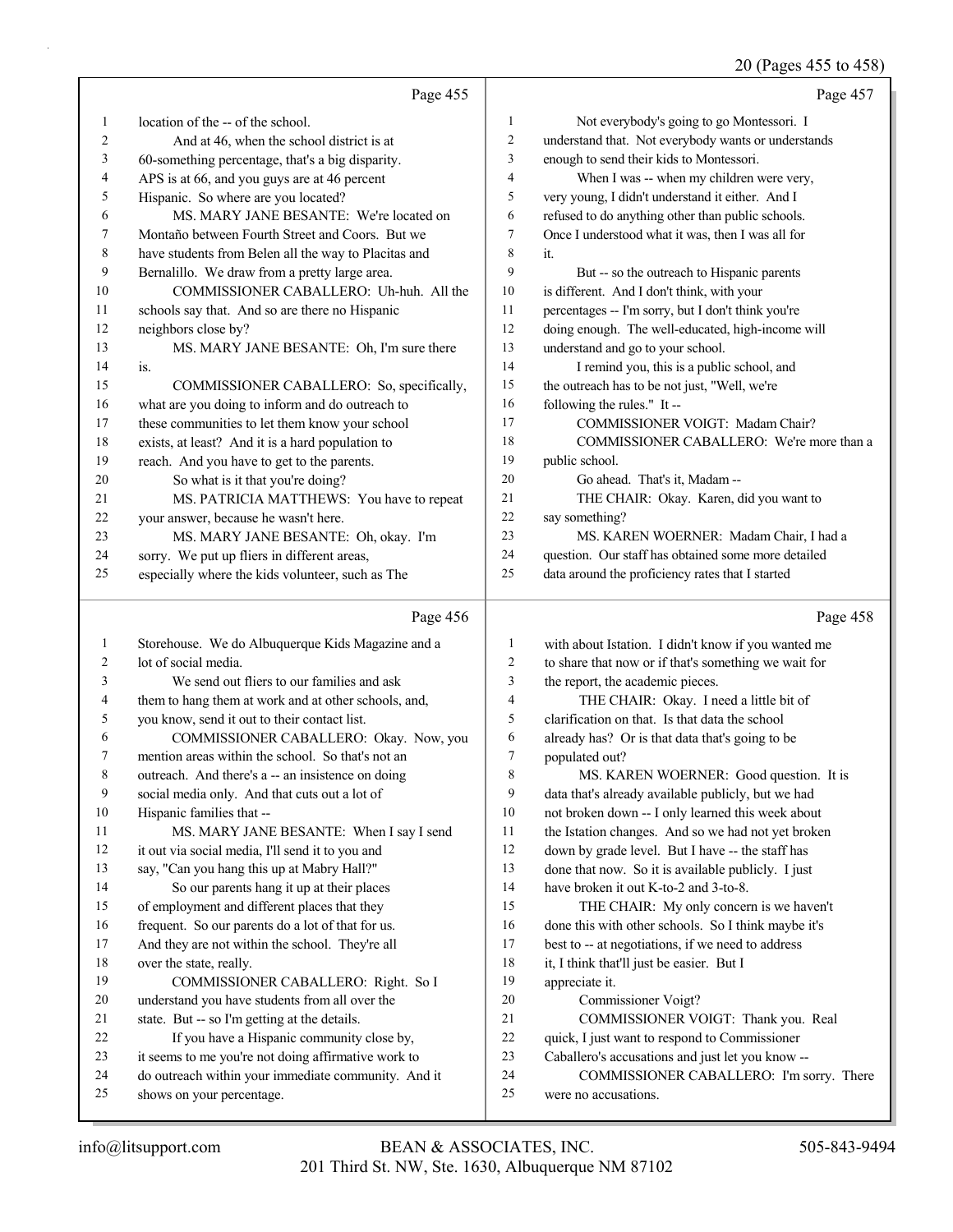## 20 (Pages 455 to 458)

|              | Page 455                                             |                | Page 457                                             |
|--------------|------------------------------------------------------|----------------|------------------------------------------------------|
| $\mathbf{1}$ | location of the -- of the school.                    | $\mathbf{1}$   | Not everybody's going to go Montessori. I            |
| 2            | And at 46, when the school district is at            | $\overline{c}$ | understand that. Not everybody wants or understands  |
| 3            | 60-something percentage, that's a big disparity.     | 3              | enough to send their kids to Montessori.             |
| 4            | APS is at 66, and you guys are at 46 percent         | $\overline{4}$ | When I was -- when my children were very,            |
| 5            | Hispanic. So where are you located?                  | 5              | very young, I didn't understand it either. And I     |
| 6            | MS. MARY JANE BESANTE: We're located on              | 6              | refused to do anything other than public schools.    |
| 7            | Montaño between Fourth Street and Coors. But we      | 7              | Once I understood what it was, then I was all for    |
| 8            | have students from Belen all the way to Placitas and | 8              | it.                                                  |
| 9            | Bernalillo. We draw from a pretty large area.        | 9              | But -- so the outreach to Hispanic parents           |
| 10           | COMMISSIONER CABALLERO: Uh-huh. All the              | 10             | is different. And I don't think, with your           |
| 11           | schools say that. And so are there no Hispanic       | 11             | percentages -- I'm sorry, but I don't think you're   |
| 12           | neighbors close by?                                  | 12             | doing enough. The well-educated, high-income will    |
| 13           | MS. MARY JANE BESANTE: Oh, I'm sure there            | 13             | understand and go to your school.                    |
| 14           | is.                                                  | 14             | I remind you, this is a public school, and           |
| 15           | COMMISSIONER CABALLERO: So, specifically,            | 15             | the outreach has to be not just, "Well, we're        |
| 16           | what are you doing to inform and do outreach to      | 16             | following the rules." It-                            |
| 17           | these communities to let them know your school       | 17             | COMMISSIONER VOIGT: Madam Chair?                     |
| 18           | exists, at least? And it is a hard population to     | 18             | COMMISSIONER CABALLERO: We're more than a            |
| 19           | reach. And you have to get to the parents.           | 19             | public school.                                       |
| 20           | So what is it that you're doing?                     | 20             | Go ahead. That's it, Madam --                        |
| 21           | MS. PATRICIA MATTHEWS: You have to repeat            | 21             | THE CHAIR: Okay. Karen, did you want to              |
| 22           | your answer, because he wasn't here.                 | 22             | say something?                                       |
| 23           | MS. MARY JANE BESANTE: Oh, okay. I'm                 | 23             | MS. KAREN WOERNER: Madam Chair, I had a              |
| 24           | sorry. We put up fliers in different areas,          | 24             | question. Our staff has obtained some more detailed  |
| 25           | especially where the kids volunteer, such as The     | 25             | data around the proficiency rates that I started     |
|              |                                                      |                |                                                      |
|              | Page 456                                             |                | Page 458                                             |
| $\mathbf{1}$ | Storehouse. We do Albuquerque Kids Magazine and a    | 1              | with about Istation. I didn't know if you wanted me  |
| 2            | lot of social media.                                 | $\mathfrak{2}$ | to share that now or if that's something we wait for |
| 3            | We send out fliers to our families and ask           | 3              | the report, the academic pieces.                     |
| 4            | them to hang them at work and at other schools, and, | $\overline{4}$ | THE CHAIR: Okay. I need a little bit of              |
| 5            | you know, send it out to their contact list.         | 5              | clarification on that. Is that data the school       |
| 6            | COMMISSIONER CABALLERO: Okay. Now, you               | 6              | already has? Or is that data that's going to be      |
| 7            | mention areas within the school. So that's not an    | $\overline{7}$ | populated out?                                       |
| 8            | outreach. And there's a -- an insistence on doing    | 8              | MS. KAREN WOERNER: Good question. It is              |
| 9            | social media only. And that cuts out a lot of        | 9              | data that's already available publicly, but we had   |
| 10           | Hispanic families that --                            | 10             | not broken down -- I only learned this week about    |
| 11           | MS. MARY JANE BESANTE: When I say I send             | 11             | the Istation changes. And so we had not yet broken   |
| 12           | it out via social media, I'll send it to you and     | 12             | down by grade level. But I have -- the staff has     |
| 13           | say, "Can you hang this up at Mabry Hall?"           | 13             | done that now. So it is available publicly. I just   |
| 14           | So our parents hang it up at their places            | 14             | have broken it out K-to-2 and 3-to-8.                |
| 15           | of employment and different places that they         | 15             | THE CHAIR: My only concern is we haven't             |
| 16           | frequent. So our parents do a lot of that for us.    | 16             | done this with other schools. So I think maybe it's  |
| 17           | And they are not within the school. They're all      | 17             | best to -- at negotiations, if we need to address    |
| 18           | over the state, really.                              | $18\,$         | it, I think that'll just be easier. But I            |
| 19           | COMMISSIONER CABALLERO: Right. So I                  | 19             | appreciate it.                                       |

- 19 COMMISSIONER CABALLERO: Right. So I understand you have students from all over the
- state. But -- so I'm getting at the details.
- 22 If you have a Hispanic community close by,
- it seems to me you're not doing affirmative work to
- do outreach within your immediate community. And it shows on your percentage.
- Caballero's accusations and just let you know --

20 Commissioner Voigt?

24 COMMISSIONER CABALLERO: I'm sorry. There

21 COMMISSIONER VOIGT: Thank you. Real quick, I just want to respond to Commissioner

were no accusations.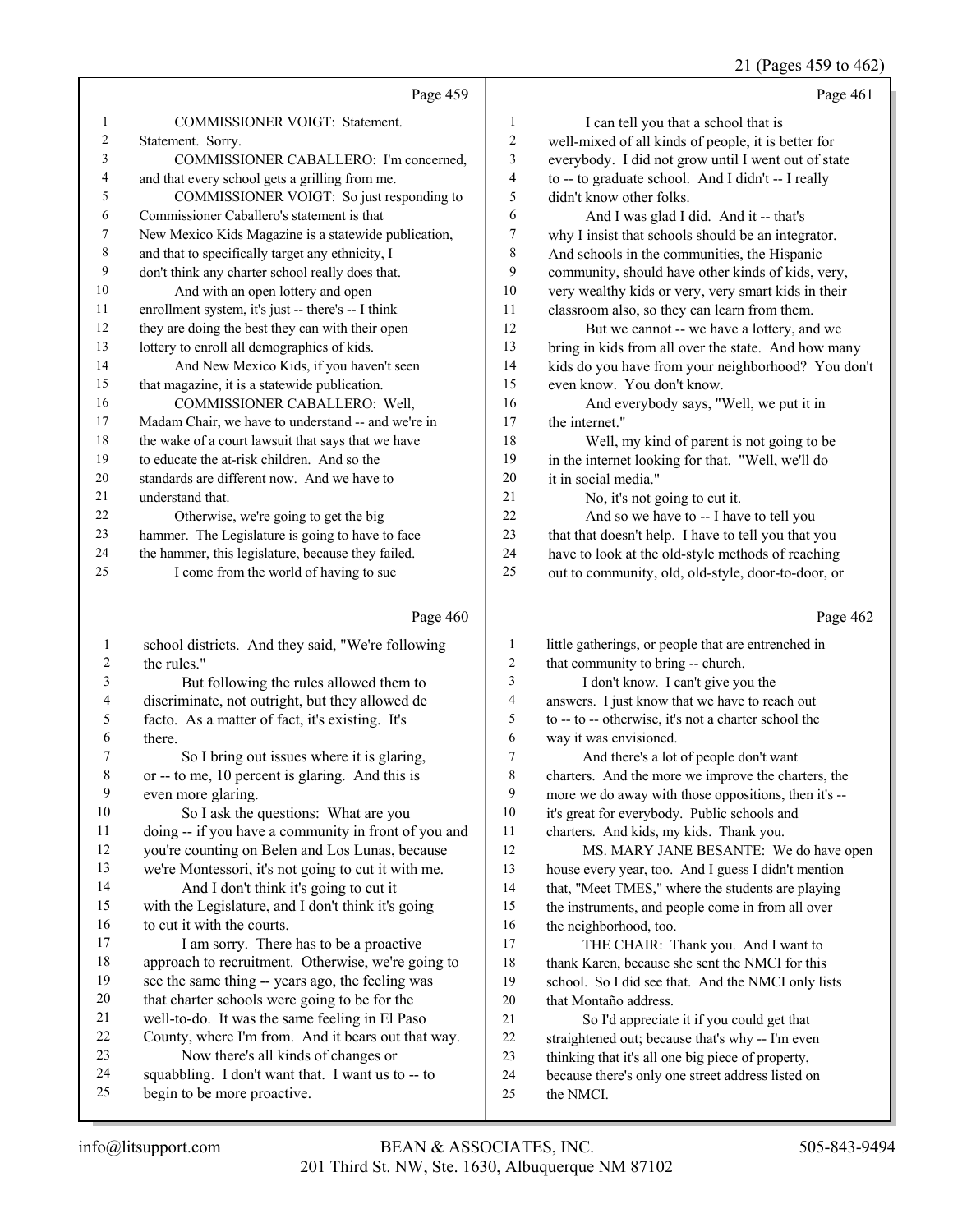## 21 (Pages 459 to 462)

|          | Page 459                                                                                           |          | Page 461                                                                                               |
|----------|----------------------------------------------------------------------------------------------------|----------|--------------------------------------------------------------------------------------------------------|
| 1        | COMMISSIONER VOIGT: Statement.                                                                     | 1        | I can tell you that a school that is                                                                   |
| 2        | Statement. Sorry.                                                                                  | 2        | well-mixed of all kinds of people, it is better for                                                    |
| 3        | COMMISSIONER CABALLERO: I'm concerned,                                                             | 3        | everybody. I did not grow until I went out of state                                                    |
| 4        | and that every school gets a grilling from me.                                                     | 4        | to -- to graduate school. And I didn't -- I really                                                     |
| 5        | COMMISSIONER VOIGT: So just responding to                                                          | 5        | didn't know other folks.                                                                               |
| 6        | Commissioner Caballero's statement is that                                                         | 6        | And I was glad I did. And it -- that's                                                                 |
| 7        | New Mexico Kids Magazine is a statewide publication,                                               | 7        | why I insist that schools should be an integrator.                                                     |
| 8        | and that to specifically target any ethnicity, I                                                   | 8        | And schools in the communities, the Hispanic                                                           |
| 9        | don't think any charter school really does that.                                                   | 9        | community, should have other kinds of kids, very,                                                      |
| 10       | And with an open lottery and open                                                                  | 10       | very wealthy kids or very, very smart kids in their                                                    |
| 11       | enrollment system, it's just -- there's -- I think                                                 | 11       | classroom also, so they can learn from them.                                                           |
| 12       | they are doing the best they can with their open                                                   | 12       | But we cannot -- we have a lottery, and we                                                             |
| 13       | lottery to enroll all demographics of kids.                                                        | 13       | bring in kids from all over the state. And how many                                                    |
| 14       | And New Mexico Kids, if you haven't seen                                                           | 14       | kids do you have from your neighborhood? You don't                                                     |
| 15       | that magazine, it is a statewide publication.                                                      | 15       | even know. You don't know.                                                                             |
| 16       | COMMISSIONER CABALLERO: Well,                                                                      | 16       | And everybody says, "Well, we put it in                                                                |
| 17       | Madam Chair, we have to understand -- and we're in                                                 | 17       | the internet."                                                                                         |
| 18       | the wake of a court lawsuit that says that we have                                                 | 18       | Well, my kind of parent is not going to be                                                             |
| 19       | to educate the at-risk children. And so the                                                        | 19       | in the internet looking for that. "Well, we'll do                                                      |
| 20       | standards are different now. And we have to                                                        | 20       | it in social media."                                                                                   |
| 21       | understand that.                                                                                   | 21       | No, it's not going to cut it.                                                                          |
| 22       | Otherwise, we're going to get the big                                                              | 22       | And so we have to -- I have to tell you                                                                |
| 23       | hammer. The Legislature is going to have to face                                                   | 23       | that that doesn't help. I have to tell you that you                                                    |
| 24       | the hammer, this legislature, because they failed.                                                 | 24       | have to look at the old-style methods of reaching                                                      |
| 25       | I come from the world of having to sue                                                             | 25       | out to community, old, old-style, door-to-door, or                                                     |
|          |                                                                                                    |          |                                                                                                        |
|          | Page 460                                                                                           |          | Page 462                                                                                               |
|          |                                                                                                    |          |                                                                                                        |
| 1<br>2   | school districts. And they said, "We're following                                                  | 1<br>2   | little gatherings, or people that are entrenched in                                                    |
| 3        | the rules."                                                                                        | 3        | that community to bring -- church.                                                                     |
| 4        | But following the rules allowed them to                                                            | 4        | I don't know. I can't give you the                                                                     |
| 5        | discriminate, not outright, but they allowed de<br>facto. As a matter of fact, it's existing. It's | 5        | answers. I just know that we have to reach out<br>to -- to -- otherwise, it's not a charter school the |
| 6        | there.                                                                                             | 6        | way it was envisioned.                                                                                 |
| 7        | So I bring out issues where it is glaring,                                                         | 7        | And there's a lot of people don't want                                                                 |
| 8        | or -- to me, 10 percent is glaring. And this is                                                    | 8        | charters. And the more we improve the charters, the                                                    |
| 9        | even more glaring.                                                                                 | 9        | more we do away with those oppositions, then it's --                                                   |
| 10       | So I ask the questions: What are you                                                               | 10       | it's great for everybody. Public schools and                                                           |
| 11       | doing -- if you have a community in front of you and                                               | 11       | charters. And kids, my kids. Thank you.                                                                |
| 12       | you're counting on Belen and Los Lunas, because                                                    | 12       | MS. MARY JANE BESANTE: We do have open                                                                 |
| 13       | we're Montessori, it's not going to cut it with me.                                                | 13       | house every year, too. And I guess I didn't mention                                                    |
| 14       | And I don't think it's going to cut it                                                             | 14       | that, "Meet TMES," where the students are playing                                                      |
| 15       | with the Legislature, and I don't think it's going                                                 | 15       | the instruments, and people come in from all over                                                      |
| 16       | to cut it with the courts.                                                                         | 16       | the neighborhood, too.                                                                                 |
| 17       | I am sorry. There has to be a proactive                                                            | 17       | THE CHAIR: Thank you. And I want to                                                                    |
| 18       | approach to recruitment. Otherwise, we're going to                                                 | 18       | thank Karen, because she sent the NMCI for this                                                        |
| 19       | see the same thing -- years ago, the feeling was                                                   | 19       | school. So I did see that. And the NMCI only lists                                                     |
| 20       | that charter schools were going to be for the                                                      | $20\,$   | that Montaño address.                                                                                  |
| 21       | well-to-do. It was the same feeling in El Paso                                                     | 21       | So I'd appreciate it if you could get that                                                             |
| 22<br>23 | County, where I'm from. And it bears out that way.                                                 | 22       | straightened out; because that's why -- I'm even                                                       |
| 24       | Now there's all kinds of changes or                                                                | 23<br>24 | thinking that it's all one big piece of property,                                                      |
| 25       | squabbling. I don't want that. I want us to -- to<br>begin to be more proactive.                   | 25       | because there's only one street address listed on<br>the NMCI.                                         |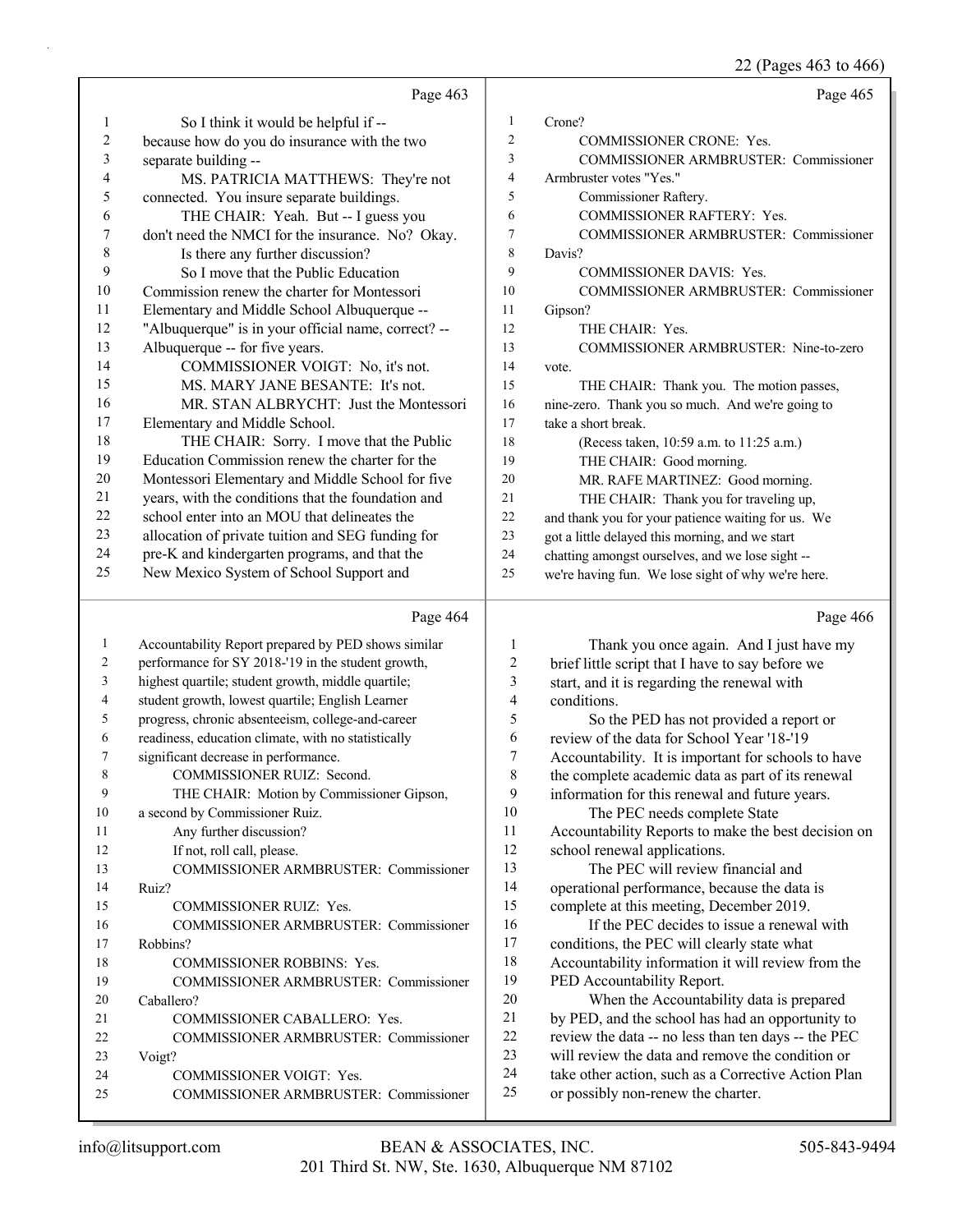22 (Pages 463 to 466)

|                  | Page 463                                                          |                          | Page 465                                                                                  |
|------------------|-------------------------------------------------------------------|--------------------------|-------------------------------------------------------------------------------------------|
| $\mathbf{1}$     | So I think it would be helpful if --                              | 1                        | Crone?                                                                                    |
| $\boldsymbol{2}$ | because how do you do insurance with the two                      | 2                        | <b>COMMISSIONER CRONE: Yes.</b>                                                           |
| $\mathfrak{Z}$   | separate building --                                              | 3                        | COMMISSIONER ARMBRUSTER: Commissioner                                                     |
| 4                | MS. PATRICIA MATTHEWS: They're not                                | $\overline{\mathcal{L}}$ | Armbruster votes "Yes."                                                                   |
| 5                | connected. You insure separate buildings.                         | 5                        | Commissioner Raftery.                                                                     |
| 6                | THE CHAIR: Yeah. But -- I guess you                               | 6                        | COMMISSIONER RAFTERY: Yes.                                                                |
| $\boldsymbol{7}$ | don't need the NMCI for the insurance. No? Okay.                  | 7                        | COMMISSIONER ARMBRUSTER: Commissioner                                                     |
| $\,$ $\,$        | Is there any further discussion?                                  | 8                        | Davis?                                                                                    |
| 9                | So I move that the Public Education                               | 9                        | COMMISSIONER DAVIS: Yes.                                                                  |
| $10\,$           | Commission renew the charter for Montessori                       | 10                       | COMMISSIONER ARMBRUSTER: Commissioner                                                     |
| 11               | Elementary and Middle School Albuquerque --                       | 11                       | Gipson?                                                                                   |
| 12               | "Albuquerque" is in your official name, correct? --               | 12                       | THE CHAIR: Yes.                                                                           |
| 13               | Albuquerque -- for five years.                                    | 13                       | COMMISSIONER ARMBRUSTER: Nine-to-zero                                                     |
| 14               | COMMISSIONER VOIGT: No, it's not.                                 | 14                       | vote.                                                                                     |
| 15               | MS. MARY JANE BESANTE: It's not.                                  | 15                       | THE CHAIR: Thank you. The motion passes,                                                  |
| 16               | MR. STAN ALBRYCHT: Just the Montessori                            | 16                       | nine-zero. Thank you so much. And we're going to                                          |
| 17               | Elementary and Middle School.                                     | 17                       | take a short break.                                                                       |
| 18               | THE CHAIR: Sorry. I move that the Public                          | 18                       | (Recess taken, 10:59 a.m. to 11:25 a.m.)                                                  |
| 19               | Education Commission renew the charter for the                    | 19                       | THE CHAIR: Good morning.                                                                  |
| $20\,$           | Montessori Elementary and Middle School for five                  | 20                       | MR. RAFE MARTINEZ: Good morning.                                                          |
| 21               | years, with the conditions that the foundation and                | 21                       | THE CHAIR: Thank you for traveling up,                                                    |
| 22               | school enter into an MOU that delineates the                      | 22                       | and thank you for your patience waiting for us. We                                        |
| 23               | allocation of private tuition and SEG funding for                 | 23                       | got a little delayed this morning, and we start                                           |
| 24               | pre-K and kindergarten programs, and that the                     | 24                       | chatting amongst ourselves, and we lose sight --                                          |
| 25               | New Mexico System of School Support and                           | 25                       | we're having fun. We lose sight of why we're here.                                        |
|                  |                                                                   |                          |                                                                                           |
|                  |                                                                   |                          |                                                                                           |
|                  | Page 464                                                          |                          | Page 466                                                                                  |
| $\mathbf{1}$     | Accountability Report prepared by PED shows similar               | 1                        | Thank you once again. And I just have my                                                  |
| 2                | performance for SY 2018-'19 in the student growth,                | 2                        | brief little script that I have to say before we                                          |
| 3                | highest quartile; student growth, middle quartile;                | 3                        | start, and it is regarding the renewal with                                               |
| 4                | student growth, lowest quartile; English Learner                  | 4                        | conditions.                                                                               |
| 5                | progress, chronic absenteeism, college-and-career                 | 5                        | So the PED has not provided a report or                                                   |
| 6                | readiness, education climate, with no statistically               | 6                        | review of the data for School Year '18-'19                                                |
| 7                | significant decrease in performance.                              | 7                        | Accountability. It is important for schools to have                                       |
| 8                | COMMISSIONER RUIZ: Second.                                        | $\,$ $\,$                | the complete academic data as part of its renewal                                         |
| 9                | THE CHAIR: Motion by Commissioner Gipson,                         | 9                        | information for this renewal and future years.                                            |
| 10               | a second by Commissioner Ruiz.                                    | 10                       | The PEC needs complete State                                                              |
| 11               | Any further discussion?                                           | 11                       | Accountability Reports to make the best decision on                                       |
| 12               | If not, roll call, please.                                        | 12                       | school renewal applications.                                                              |
| 13               | COMMISSIONER ARMBRUSTER: Commissioner                             | 13                       | The PEC will review financial and                                                         |
| 14               | Ruiz?                                                             | 14                       | operational performance, because the data is                                              |
| 15               | COMMISSIONER RUIZ: Yes.                                           | 15                       | complete at this meeting, December 2019.                                                  |
| 16               | COMMISSIONER ARMBRUSTER: Commissioner                             | 16                       | If the PEC decides to issue a renewal with                                                |
| 17               | Robbins?                                                          | 17                       | conditions, the PEC will clearly state what                                               |
| 18               | COMMISSIONER ROBBINS: Yes.                                        | 18                       | Accountability information it will review from the                                        |
| 19               | COMMISSIONER ARMBRUSTER: Commissioner                             | 19                       | PED Accountability Report.                                                                |
| 20               | Caballero?                                                        | 20                       | When the Accountability data is prepared                                                  |
| 21               | COMMISSIONER CABALLERO: Yes.                                      | 21                       | by PED, and the school has had an opportunity to                                          |
| 22               | COMMISSIONER ARMBRUSTER: Commissioner                             | 22                       | review the data -- no less than ten days -- the PEC                                       |
| 23               | Voigt?                                                            | 23                       | will review the data and remove the condition or                                          |
| 24<br>25         | COMMISSIONER VOIGT: Yes.<br>COMMISSIONER ARMBRUSTER: Commissioner | 24<br>25                 | take other action, such as a Corrective Action Plan<br>or possibly non-renew the charter. |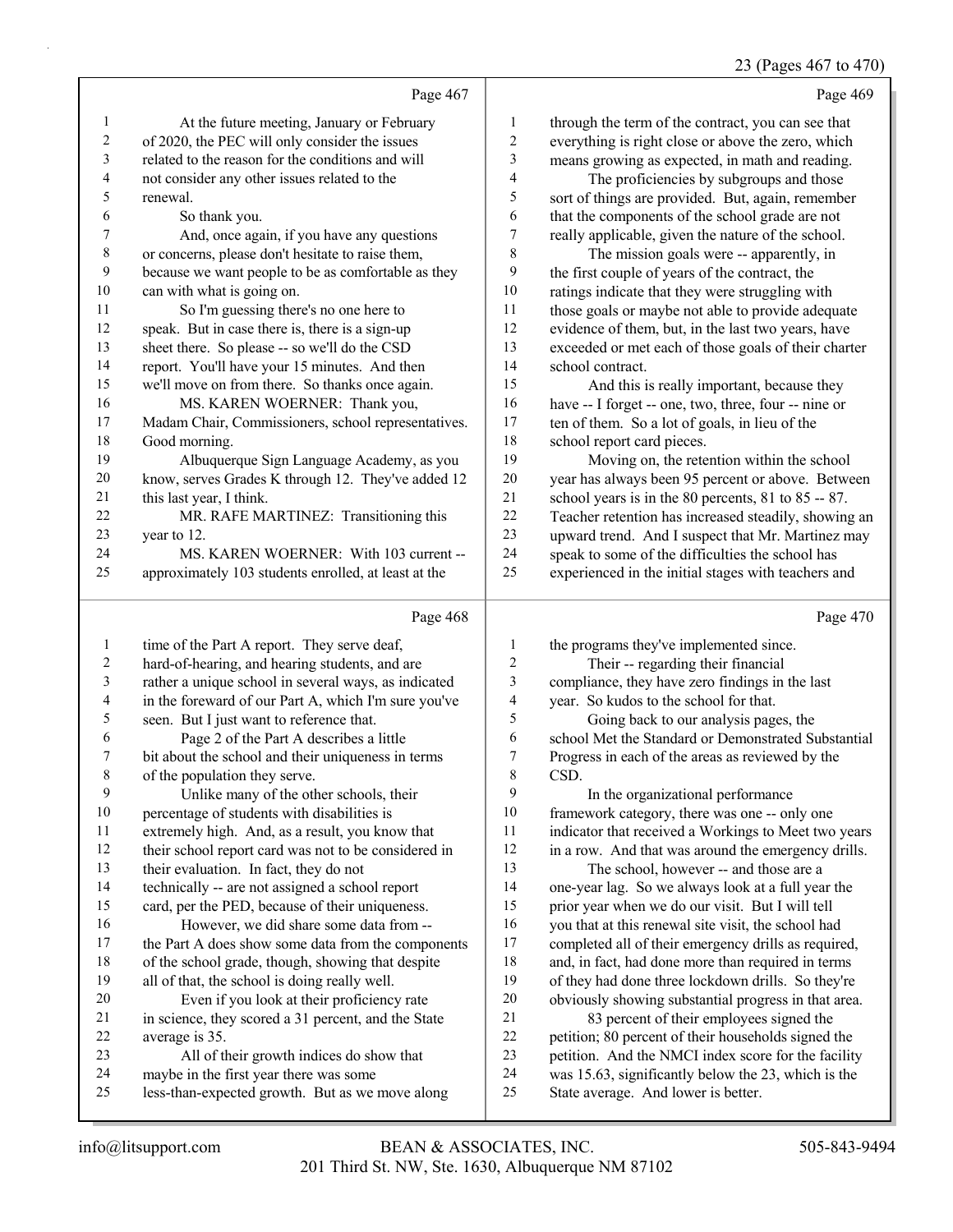## 23 (Pages 467 to 470)

|                          | Page 467                                                                                  |                          | Page 469                                                                                         |
|--------------------------|-------------------------------------------------------------------------------------------|--------------------------|--------------------------------------------------------------------------------------------------|
| $\mathbf{1}$             | At the future meeting, January or February                                                | $\mathbf{1}$             | through the term of the contract, you can see that                                               |
| $\sqrt{2}$               | of 2020, the PEC will only consider the issues                                            | $\overline{c}$           | everything is right close or above the zero, which                                               |
| 3                        | related to the reason for the conditions and will                                         | 3                        | means growing as expected, in math and reading.                                                  |
| $\overline{\mathbf{4}}$  | not consider any other issues related to the                                              | $\overline{\mathcal{A}}$ | The proficiencies by subgroups and those                                                         |
| 5                        | renewal.                                                                                  | 5                        | sort of things are provided. But, again, remember                                                |
| 6                        | So thank you.                                                                             | 6                        | that the components of the school grade are not                                                  |
| 7                        | And, once again, if you have any questions                                                | 7                        | really applicable, given the nature of the school.                                               |
| $\,$ $\,$                | or concerns, please don't hesitate to raise them,                                         | 8                        | The mission goals were -- apparently, in                                                         |
| 9                        | because we want people to be as comfortable as they                                       | 9                        | the first couple of years of the contract, the                                                   |
| 10                       | can with what is going on.                                                                | 10                       | ratings indicate that they were struggling with                                                  |
| 11                       | So I'm guessing there's no one here to                                                    | 11                       | those goals or maybe not able to provide adequate                                                |
| 12                       | speak. But in case there is, there is a sign-up                                           | 12                       | evidence of them, but, in the last two years, have                                               |
| 13                       | sheet there. So please -- so we'll do the CSD                                             | 13                       | exceeded or met each of those goals of their charter                                             |
| 14                       | report. You'll have your 15 minutes. And then                                             | 14                       | school contract.                                                                                 |
| 15                       | we'll move on from there. So thanks once again.                                           | 15                       | And this is really important, because they                                                       |
| 16                       | MS. KAREN WOERNER: Thank you,                                                             | 16                       | have -- I forget -- one, two, three, four -- nine or                                             |
| 17                       | Madam Chair, Commissioners, school representatives.                                       | 17                       | ten of them. So a lot of goals, in lieu of the                                                   |
| 18                       | Good morning.                                                                             | 18                       | school report card pieces.                                                                       |
| 19                       | Albuquerque Sign Language Academy, as you                                                 | 19                       | Moving on, the retention within the school                                                       |
| $20\,$                   | know, serves Grades K through 12. They've added 12                                        | $20\,$                   | year has always been 95 percent or above. Between                                                |
| 21                       | this last year, I think.                                                                  | $21\,$                   | school years is in the 80 percents, 81 to 85 -- 87.                                              |
| $22\,$                   | MR. RAFE MARTINEZ: Transitioning this                                                     | $22\,$                   | Teacher retention has increased steadily, showing an                                             |
| 23                       | year to 12.                                                                               | 23                       | upward trend. And I suspect that Mr. Martinez may                                                |
| 24                       | MS. KAREN WOERNER: With 103 current --                                                    | 24                       | speak to some of the difficulties the school has                                                 |
| 25                       | approximately 103 students enrolled, at least at the                                      | 25                       | experienced in the initial stages with teachers and                                              |
|                          |                                                                                           |                          |                                                                                                  |
|                          | Page 468                                                                                  |                          | Page 470                                                                                         |
| $\mathbf{1}$             | time of the Part A report. They serve deaf,                                               | 1                        | the programs they've implemented since.                                                          |
| $\overline{c}$           | hard-of-hearing, and hearing students, and are                                            | 2                        | Their -- regarding their financial                                                               |
| $\mathfrak{Z}$           | rather a unique school in several ways, as indicated                                      | $\mathfrak{Z}$           | compliance, they have zero findings in the last                                                  |
| $\overline{\mathcal{L}}$ | in the foreward of our Part A, which I'm sure you've                                      | 4                        | year. So kudos to the school for that.                                                           |
| 5                        | seen. But I just want to reference that.                                                  | 5                        | Going back to our analysis pages, the                                                            |
| 6                        | Page 2 of the Part A describes a little                                                   | 6                        | school Met the Standard or Demonstrated Substantial                                              |
| $\boldsymbol{7}$         | bit about the school and their uniqueness in terms                                        | $\boldsymbol{7}$         | Progress in each of the areas as reviewed by the                                                 |
| 8                        | of the population they serve.                                                             | 8                        | CSD.                                                                                             |
| 9                        | Unlike many of the other schools, their                                                   | 9                        | In the organizational performance                                                                |
| 10                       | percentage of students with disabilities is                                               | $10\,$                   | framework category, there was one -- only one                                                    |
| 11                       | extremely high. And, as a result, you know that                                           | 11                       | indicator that received a Workings to Meet two years                                             |
| 12                       | their school report card was not to be considered in                                      | 12                       | in a row. And that was around the emergency drills.                                              |
| 13                       | their evaluation. In fact, they do not                                                    | 13                       | The school, however -- and those are a                                                           |
| 14                       | technically -- are not assigned a school report                                           | 14                       | one-year lag. So we always look at a full year the                                               |
| 15                       | card, per the PED, because of their uniqueness.                                           | 15                       | prior year when we do our visit. But I will tell                                                 |
| 16                       | However, we did share some data from --                                                   | 16                       | you that at this renewal site visit, the school had                                              |
| 17                       | the Part A does show some data from the components                                        | 17                       | completed all of their emergency drills as required,                                             |
| 18<br>19                 | of the school grade, though, showing that despite                                         | 18<br>19                 | and, in fact, had done more than required in terms                                               |
| $20\,$                   | all of that, the school is doing really well.                                             | $20\,$                   | of they had done three lockdown drills. So they're                                               |
| 21                       | Even if you look at their proficiency rate                                                | 21                       | obviously showing substantial progress in that area.<br>83 percent of their employees signed the |
| 22                       | in science, they scored a 31 percent, and the State<br>average is 35.                     | $22\,$                   | petition; 80 percent of their households signed the                                              |
| 23                       | All of their growth indices do show that                                                  | 23                       | petition. And the NMCI index score for the facility                                              |
| 24<br>25                 | maybe in the first year there was some<br>less-than-expected growth. But as we move along | 24<br>$25\,$             | was 15.63, significantly below the 23, which is the<br>State average. And lower is better.       |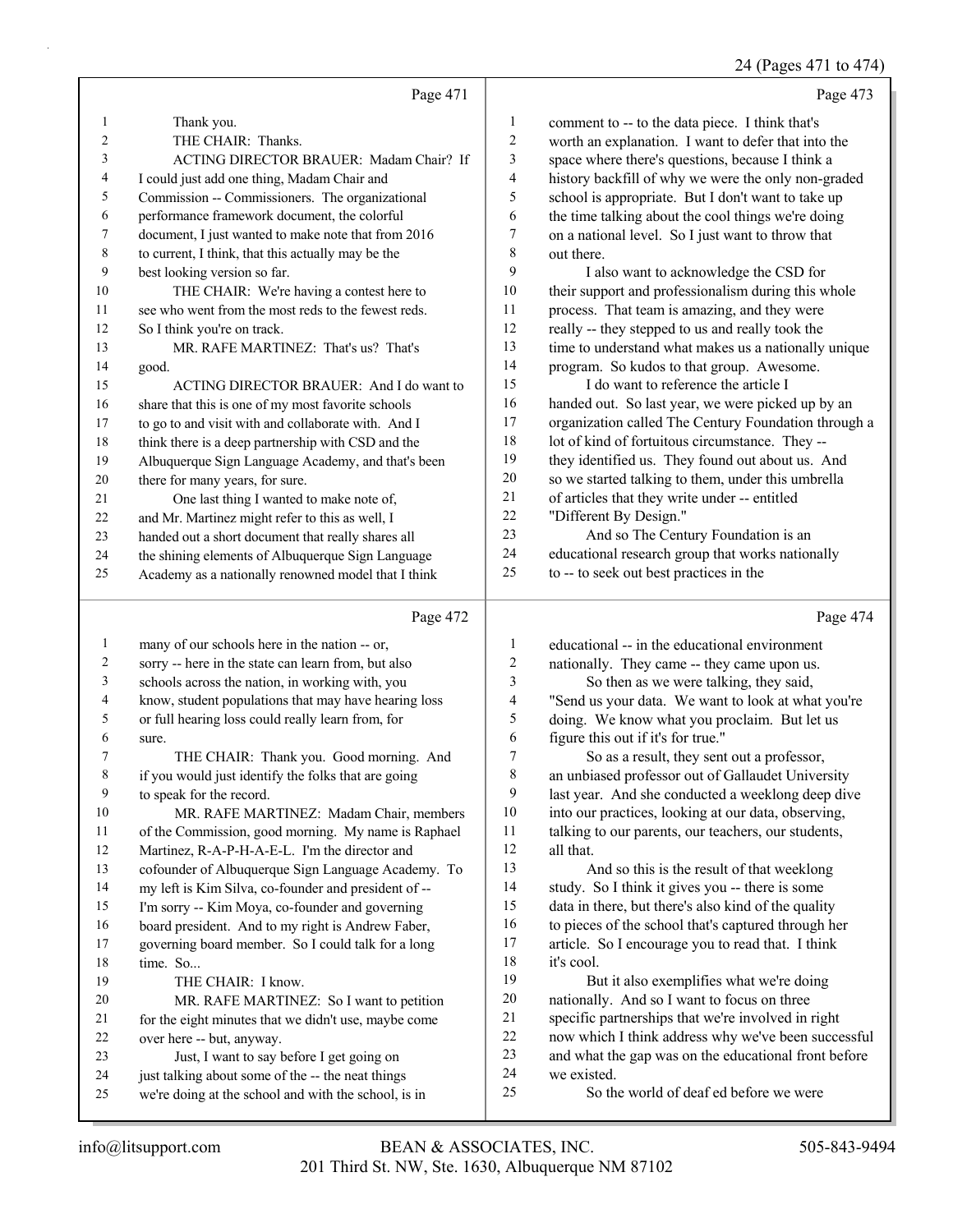## 24 (Pages 471 to 474)

|    | Page 471                                            |                | Page 473                                             |
|----|-----------------------------------------------------|----------------|------------------------------------------------------|
| 1  | Thank you.                                          | 1              | comment to -- to the data piece. I think that's      |
| 2  | THE CHAIR: Thanks.                                  | $\overline{2}$ | worth an explanation. I want to defer that into the  |
| 3  | ACTING DIRECTOR BRAUER: Madam Chair? If             | 3              | space where there's questions, because I think a     |
| 4  | I could just add one thing, Madam Chair and         | 4              | history backfill of why we were the only non-graded  |
| 5  | Commission -- Commissioners. The organizational     | 5              | school is appropriate. But I don't want to take up   |
| 6  | performance framework document, the colorful        | 6              | the time talking about the cool things we're doing   |
| 7  | document, I just wanted to make note that from 2016 | 7              | on a national level. So I just want to throw that    |
| 8  | to current, I think, that this actually may be the  | 8              | out there.                                           |
| 9  | best looking version so far.                        | 9              | I also want to acknowledge the CSD for               |
| 10 | THE CHAIR: We're having a contest here to           | 10             | their support and professionalism during this whole  |
| 11 | see who went from the most reds to the fewest reds. | 11             | process. That team is amazing, and they were         |
| 12 | So I think you're on track.                         | 12             | really -- they stepped to us and really took the     |
| 13 | MR. RAFE MARTINEZ: That's us? That's                | 13             | time to understand what makes us a nationally unique |
| 14 | good.                                               | 14             | program. So kudos to that group. Awesome.            |
| 15 | ACTING DIRECTOR BRAUER: And I do want to            | 15             | I do want to reference the article I                 |
| 16 | share that this is one of my most favorite schools  | 16             | handed out. So last year, we were picked up by an    |
| 17 | to go to and visit with and collaborate with. And I | 17             | organization called The Century Foundation through a |
| 18 | think there is a deep partnership with CSD and the  | 18             | lot of kind of fortuitous circumstance. They --      |
| 19 | Albuquerque Sign Language Academy, and that's been  | 19             | they identified us. They found out about us. And     |
| 20 | there for many years, for sure.                     | 20             | so we started talking to them, under this umbrella   |
| 21 | One last thing I wanted to make note of,            | 21             | of articles that they write under -- entitled        |
| 22 | and Mr. Martinez might refer to this as well, I     | 22             | "Different By Design."                               |
| 23 | handed out a short document that really shares all  | 23             | And so The Century Foundation is an                  |
| 24 | the shining elements of Albuquerque Sign Language   | 24             | educational research group that works nationally     |
| 25 | Academy as a nationally renowned model that I think | 25             | to -- to seek out best practices in the              |
|    | Page 472                                            |                | Page 474                                             |
|    | $1 \t1 \t1$                                         |                |                                                      |

| 1  | many of our schools here in the nation -- or,        | 1  | educational -- in the educational environment        |
|----|------------------------------------------------------|----|------------------------------------------------------|
| 2  | sorry -- here in the state can learn from, but also  | 2  | nationally. They came -- they came upon us.          |
| 3  | schools across the nation, in working with, you      | 3  | So then as we were talking, they said,               |
| 4  | know, student populations that may have hearing loss | 4  | "Send us your data. We want to look at what you're   |
| 5  | or full hearing loss could really learn from, for    | 5  | doing. We know what you proclaim. But let us         |
| 6  | sure.                                                | 6  | figure this out if it's for true."                   |
| 7  | THE CHAIR: Thank you. Good morning. And              | 7  | So as a result, they sent out a professor,           |
| 8  | if you would just identify the folks that are going  | 8  | an unbiased professor out of Gallaudet University    |
| 9  | to speak for the record.                             | 9  | last year. And she conducted a weeklong deep dive    |
| 10 | MR. RAFE MARTINEZ: Madam Chair, members              | 10 | into our practices, looking at our data, observing,  |
| 11 | of the Commission, good morning. My name is Raphael  | 11 | talking to our parents, our teachers, our students,  |
| 12 | Martinez, R-A-P-H-A-E-L. I'm the director and        | 12 | all that.                                            |
| 13 | cofounder of Albuquerque Sign Language Academy. To   | 13 | And so this is the result of that weeklong           |
| 14 | my left is Kim Silva, co-founder and president of -- | 14 | study. So I think it gives you -- there is some      |
| 15 | I'm sorry -- Kim Moya, co-founder and governing      | 15 | data in there, but there's also kind of the quality  |
| 16 | board president. And to my right is Andrew Faber,    | 16 | to pieces of the school that's captured through her  |
| 17 | governing board member. So I could talk for a long   | 17 | article. So I encourage you to read that. I think    |
| 18 | time. So                                             | 18 | it's cool.                                           |
| 19 | THE CHAIR: I know.                                   | 19 | But it also exemplifies what we're doing             |
| 20 | MR. RAFE MARTINEZ: So I want to petition             | 20 | nationally. And so I want to focus on three          |
| 21 | for the eight minutes that we didn't use, maybe come | 21 | specific partnerships that we're involved in right   |
| 22 | over here -- but, anyway.                            | 22 | now which I think address why we've been successful  |
| 23 | Just, I want to say before I get going on            | 23 | and what the gap was on the educational front before |
| 24 | just talking about some of the -- the neat things    | 24 | we existed.                                          |
| 25 | we're doing at the school and with the school, is in | 25 | So the world of deaf ed before we were               |
|    |                                                      |    |                                                      |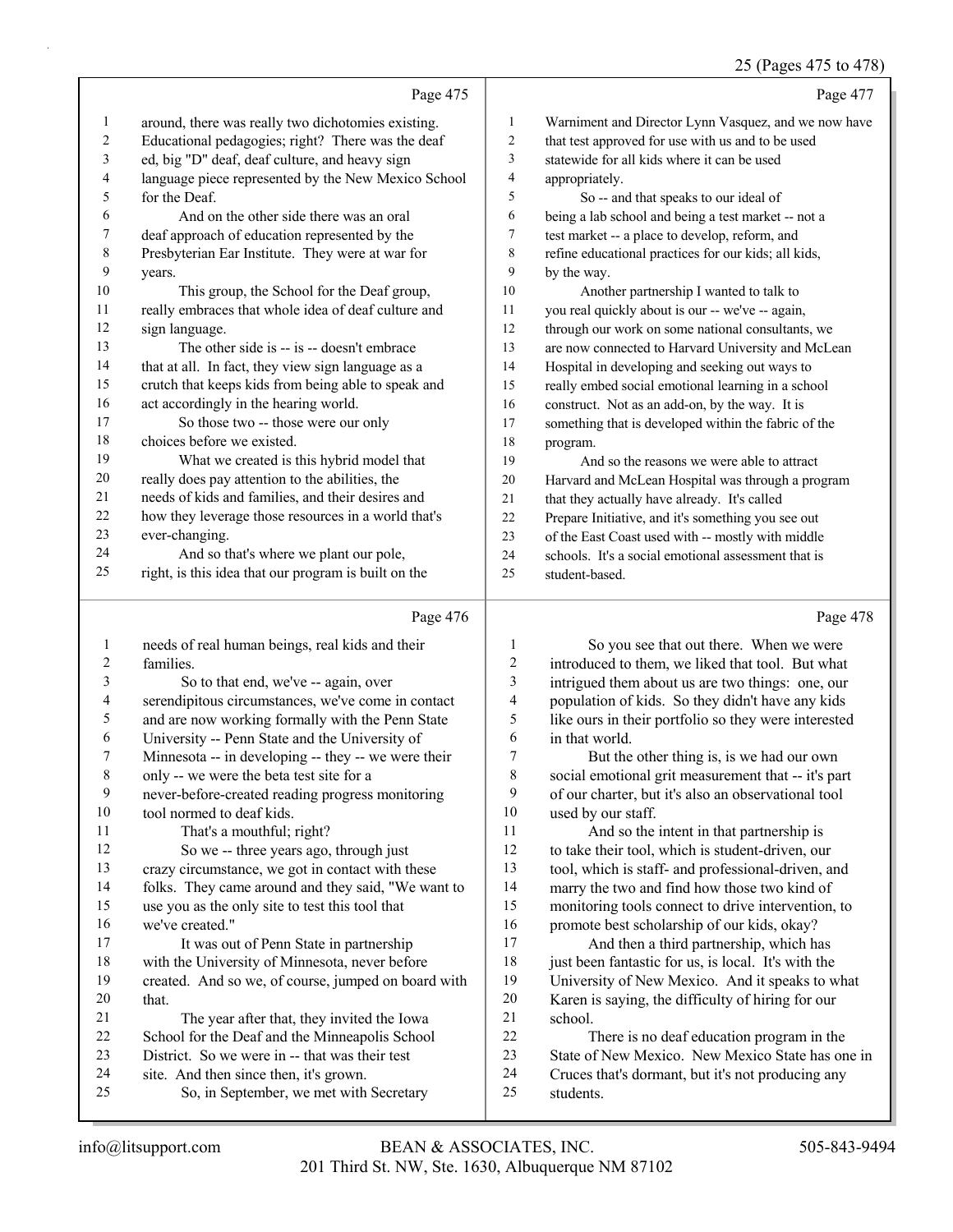## 25 (Pages 475 to 478)

|    |                                                      |                | $2J$ (1 ages $T/3$ to $T/6$ )                        |
|----|------------------------------------------------------|----------------|------------------------------------------------------|
|    | Page 475                                             |                | Page 477                                             |
| 1  | around, there was really two dichotomies existing.   | 1              | Warniment and Director Lynn Vasquez, and we now have |
| 2  | Educational pedagogies; right? There was the deaf    | $\overline{c}$ | that test approved for use with us and to be used    |
| 3  | ed, big "D" deaf, deaf culture, and heavy sign       | 3              | statewide for all kids where it can be used          |
| 4  | language piece represented by the New Mexico School  | 4              | appropriately.                                       |
| 5  | for the Deaf.                                        | 5              | So -- and that speaks to our ideal of                |
| 6  | And on the other side there was an oral              | 6              | being a lab school and being a test market -- not a  |
| 7  | deaf approach of education represented by the        | 7              | test market -- a place to develop, reform, and       |
| 8  | Presbyterian Ear Institute. They were at war for     | 8              | refine educational practices for our kids; all kids, |
| 9  | years.                                               | 9              | by the way.                                          |
| 10 | This group, the School for the Deaf group,           | 10             | Another partnership I wanted to talk to              |
| 11 | really embraces that whole idea of deaf culture and  | 11             | you real quickly about is our -- we've -- again,     |
| 12 | sign language.                                       | 12             | through our work on some national consultants, we    |
| 13 | The other side is -- is -- doesn't embrace           | 13             | are now connected to Harvard University and McLean   |
| 14 | that at all. In fact, they view sign language as a   | 14             | Hospital in developing and seeking out ways to       |
| 15 | crutch that keeps kids from being able to speak and  | 15             | really embed social emotional learning in a school   |
| 16 | act accordingly in the hearing world.                | 16             | construct. Not as an add-on, by the way. It is       |
| 17 | So those two -- those were our only                  | 17             | something that is developed within the fabric of the |
| 18 | choices before we existed.                           | 18             | program.                                             |
| 19 | What we created is this hybrid model that            | 19             | And so the reasons we were able to attract           |
| 20 | really does pay attention to the abilities, the      | 20             | Harvard and McLean Hospital was through a program    |
| 21 | needs of kids and families, and their desires and    | 21             | that they actually have already. It's called         |
| 22 | how they leverage those resources in a world that's  | 22             | Prepare Initiative, and it's something you see out   |
| 23 | ever-changing.                                       | 23             | of the East Coast used with -- mostly with middle    |
| 24 | And so that's where we plant our pole,               | 24             | schools. It's a social emotional assessment that is  |
| 25 | right, is this idea that our program is built on the | 25             | student-based.                                       |
|    | Page 476                                             |                | Page 478                                             |

| 1              | needs of real human beings, real kids and their     | $\mathbf{1}$ | So you see that          |
|----------------|-----------------------------------------------------|--------------|--------------------------|
| $\overline{2}$ | families.                                           | 2            | introduced to them, v    |
| 3              | So to that end, we've -- again, over                | 3            | intrigued them about     |
| $\overline{4}$ | serendipitous circumstances, we've come in contact  | 4            | population of kids. S    |
| $\mathfrak s$  | and are now working formally with the Penn State    | 5            | like ours in their port  |
| 6              | University -- Penn State and the University of      | 6            | in that world.           |
| $\overline{7}$ | Minnesota -- in developing -- they -- we were their | 7            | But the other th         |
| 8              | only -- we were the beta test site for a            | 8            | social emotional grit    |
| 9              | never-before-created reading progress monitoring    | 9            | of our charter, but it's |
| 10             | tool normed to deaf kids.                           | 10           | used by our staff.       |
| 11             | That's a mouthful; right?                           | 11           | And so the inte          |
| 12             | So we -- three years ago, through just              | 12           | to take their tool, wh   |
| 13             | crazy circumstance, we got in contact with these    | 13           | tool, which is staff- a  |
| 14             | folks. They came around and they said, "We want to  | 14           | marry the two and fir    |
| 15             | use you as the only site to test this tool that     | 15           | monitoring tools con     |
| 16             | we've created."                                     | 16           | promote best scholar     |
| 17             | It was out of Penn State in partnership             | 17           | And then a thii          |
| 18             | with the University of Minnesota, never before      | 18           | just been fantastic fo   |
| 19             | created. And so we, of course, jumped on board with | 19           | University of New M      |
| 20             | that.                                               | 20           | Karen is saying, the     |
| 21             | The year after that, they invited the Iowa          | 21           | school.                  |
| 22             | School for the Deaf and the Minneapolis School      | 22           | There is no dea          |
| 23             | District. So we were in -- that was their test      | 23           | State of New Mexico      |
| 24             | site. And then since then, it's grown.              | 24           | Cruces that's dorman     |
| 25             | So, in September, we met with Secretary             | 25           | students.                |
|                |                                                     |              |                          |

| 1  | So you see that out there. When we were              |
|----|------------------------------------------------------|
| 2  | introduced to them, we liked that tool. But what     |
| 3  | intrigued them about us are two things: one, our     |
| 4  | population of kids. So they didn't have any kids     |
| 5. | like ours in their portfolio so they were interested |
| 6  | in that world.                                       |

hing is, is we had our own measurement that -- it's part s also an observational tool

ent in that partnership is ich is student-driven, our and professional-driven, and nd how those two kind of nect to drive intervention, to ship of our kids, okay?

rd partnership, which has or us, is local. It's with the lexico. And it speaks to what difficulty of hiring for our

af education program in the 23. New Mexico State has one in at, but it's not producing any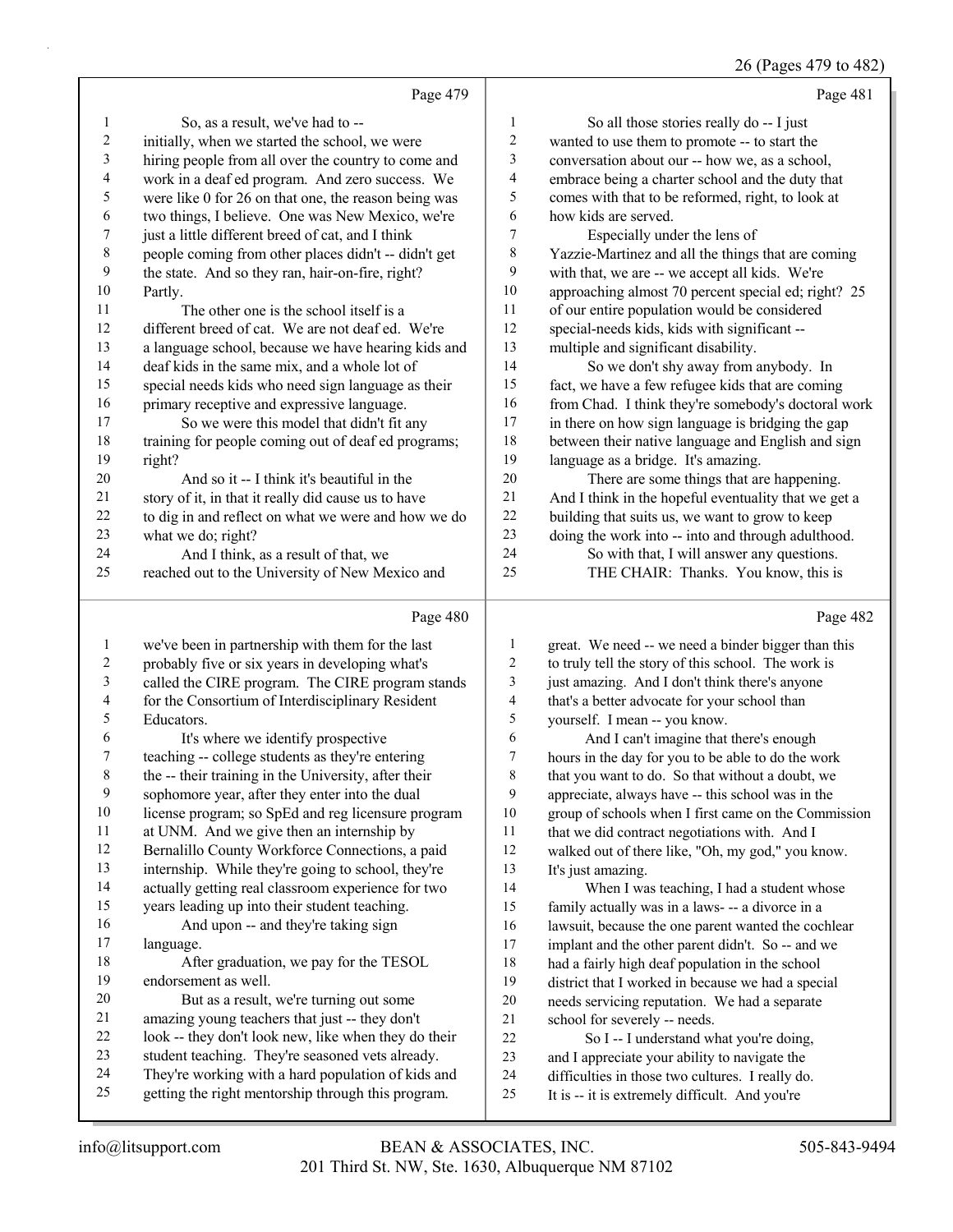## 26 (Pages 479 to 482)

|                | Page 479                                             |                | Page 481                                             |
|----------------|------------------------------------------------------|----------------|------------------------------------------------------|
| 1              | So, as a result, we've had to --                     | $\mathbf{1}$   | So all those stories really do -- I just             |
| $\overline{c}$ | initially, when we started the school, we were       | $\overline{c}$ | wanted to use them to promote -- to start the        |
| 3              | hiring people from all over the country to come and  | 3              | conversation about our -- how we, as a school,       |
| 4              | work in a deaf ed program. And zero success. We      | 4              | embrace being a charter school and the duty that     |
| 5              | were like 0 for 26 on that one, the reason being was | 5              | comes with that to be reformed, right, to look at    |
| 6              | two things, I believe. One was New Mexico, we're     | 6              | how kids are served.                                 |
| 7              | just a little different breed of cat, and I think    | 7              | Especially under the lens of                         |
| $\,$ $\,$      | people coming from other places didn't -- didn't get | 8              | Yazzie-Martinez and all the things that are coming   |
| 9              | the state. And so they ran, hair-on-fire, right?     | 9              | with that, we are -- we accept all kids. We're       |
| 10             | Partly.                                              | 10             | approaching almost 70 percent special ed; right? 25  |
| 11             | The other one is the school itself is a              | 11             | of our entire population would be considered         |
| 12             | different breed of cat. We are not deaf ed. We're    | 12             | special-needs kids, kids with significant --         |
| 13             | a language school, because we have hearing kids and  | 13             | multiple and significant disability.                 |
| 14             | deaf kids in the same mix, and a whole lot of        | 14             | So we don't shy away from anybody. In                |
| 15             | special needs kids who need sign language as their   | 15             | fact, we have a few refugee kids that are coming     |
| 16             | primary receptive and expressive language.           | 16             | from Chad. I think they're somebody's doctoral work  |
| 17             | So we were this model that didn't fit any            | 17             | in there on how sign language is bridging the gap    |
| 18             | training for people coming out of deaf ed programs;  | 18             | between their native language and English and sign   |
| 19             | right?                                               | 19             | language as a bridge. It's amazing.                  |
| 20             | And so it -- I think it's beautiful in the           | 20             | There are some things that are happening.            |
| 21             | story of it, in that it really did cause us to have  | 21             | And I think in the hopeful eventuality that we get a |
| 22             | to dig in and reflect on what we were and how we do  | 22             | building that suits us, we want to grow to keep      |
| 23             | what we do; right?                                   | 23             | doing the work into -- into and through adulthood.   |
| 24             | And I think, as a result of that, we                 | 24             | So with that, I will answer any questions.           |
| 25             | reached out to the University of New Mexico and      | 25             | THE CHAIR: Thanks. You know, this is                 |
|                | Page 480                                             |                | Page 482                                             |
| 1              | we've been in partnership with them for the last     | 1              | great. We need -- we need a binder bigger than this  |
| $\overline{2}$ | probably five or six years in developing what's      | $\overline{c}$ | to truly tell the story of this school. The work is  |

| ∠              | probably live or six years in developing what's      | ∠  | to truly tell the story of this school. The work is  |
|----------------|------------------------------------------------------|----|------------------------------------------------------|
| $\overline{3}$ | called the CIRE program. The CIRE program stands     | 3  | just amazing. And I don't think there's anyone       |
| $\overline{4}$ | for the Consortium of Interdisciplinary Resident     | 4  | that's a better advocate for your school than        |
| 5              | Educators.                                           | 5  | yourself. I mean -- you know.                        |
| 6              | It's where we identify prospective                   | 6  | And I can't imagine that there's enough              |
| $\tau$         | teaching -- college students as they're entering     | 7  | hours in the day for you to be able to do the work   |
| 8              | the -- their training in the University, after their | 8  | that you want to do. So that without a doubt, we     |
| 9              | sophomore year, after they enter into the dual       | 9  | appreciate, always have -- this school was in the    |
| 10             | license program; so SpEd and reg licensure program   | 10 | group of schools when I first came on the Commission |
| 11             | at UNM. And we give then an internship by            | 11 | that we did contract negotiations with. And I        |
| 12             | Bernalillo County Workforce Connections, a paid      | 12 | walked out of there like, "Oh, my god," you know.    |
| 13             | internship. While they're going to school, they're   | 13 | It's just amazing.                                   |
| 14             | actually getting real classroom experience for two   | 14 | When I was teaching, I had a student whose           |
| 15             | years leading up into their student teaching.        | 15 | family actually was in a laws- -- a divorce in a     |
| 16             | And upon -- and they're taking sign                  | 16 | lawsuit, because the one parent wanted the cochlear  |
| 17             | language.                                            | 17 | implant and the other parent didn't. So -- and we    |
| 18             | After graduation, we pay for the TESOL               | 18 | had a fairly high deaf population in the school      |
| 19             | endorsement as well.                                 | 19 | district that I worked in because we had a special   |
| 20             | But as a result, we're turning out some              | 20 | needs servicing reputation. We had a separate        |
| 21             | amazing young teachers that just -- they don't       | 21 | school for severely -- needs.                        |
| 22             | look -- they don't look new, like when they do their | 22 | So I -- I understand what you're doing,              |
| 23             | student teaching. They're seasoned vets already.     | 23 | and I appreciate your ability to navigate the        |
| 24             | They're working with a hard population of kids and   | 24 | difficulties in those two cultures. I really do.     |
| 25             | getting the right mentorship through this program.   | 25 | It is -- it is extremely difficult. And you're       |
|                |                                                      |    |                                                      |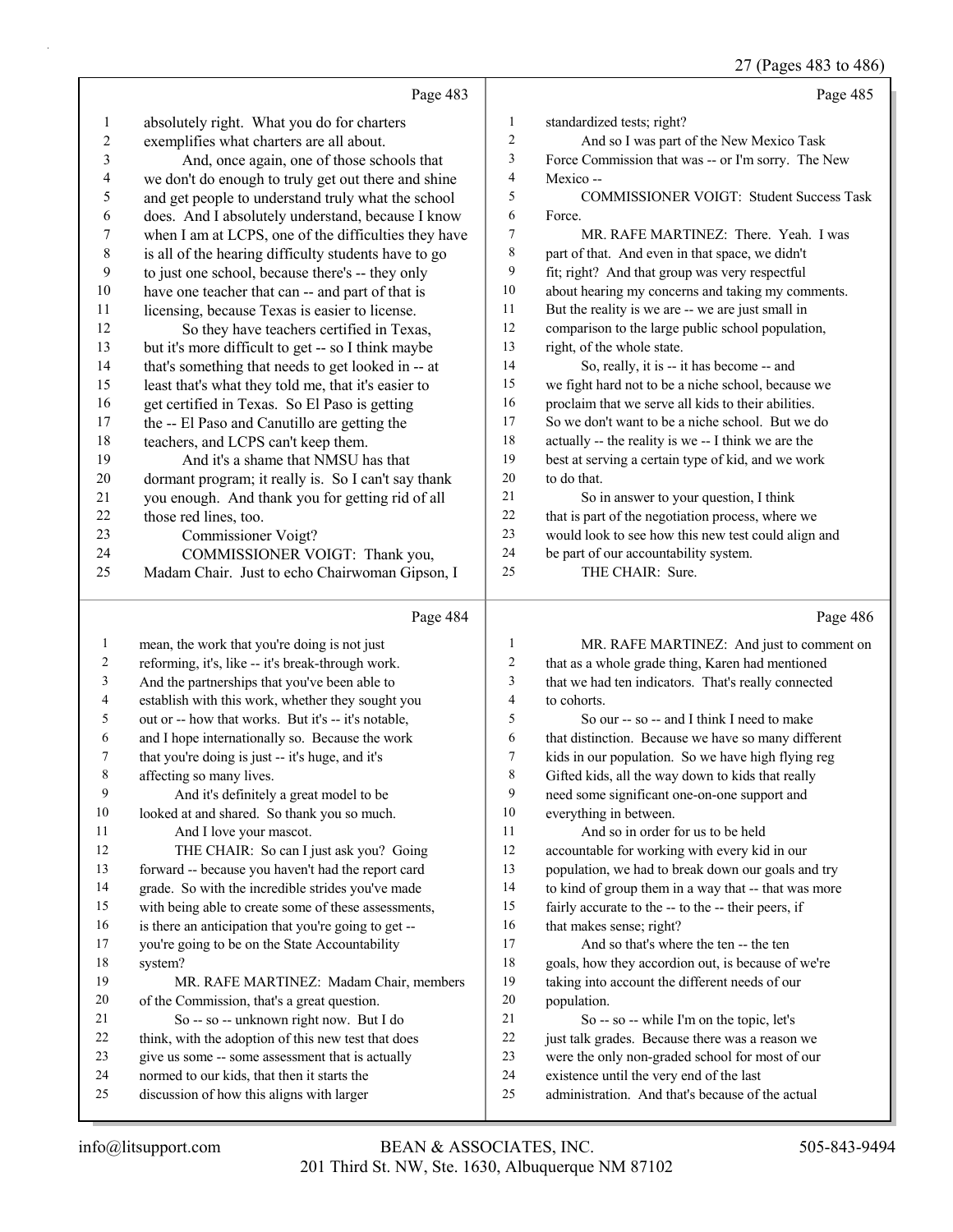27 (Pages 483 to 486)

|              |                                                      |                | 27 (Pages 483 to 486)                                |
|--------------|------------------------------------------------------|----------------|------------------------------------------------------|
|              | Page 483                                             |                | Page 485                                             |
| 1            | absolutely right. What you do for charters           | $\mathbf{1}$   | standardized tests; right?                           |
| 2            | exemplifies what charters are all about.             | $\mathfrak{2}$ | And so I was part of the New Mexico Task             |
| 3            | And, once again, one of those schools that           | $\mathfrak{Z}$ | Force Commission that was -- or I'm sorry. The New   |
| 4            | we don't do enough to truly get out there and shine  | $\overline{4}$ | Mexico--                                             |
| 5            | and get people to understand truly what the school   | 5              | <b>COMMISSIONER VOIGT: Student Success Task</b>      |
| 6            | does. And I absolutely understand, because I know    | 6              | Force.                                               |
| 7            | when I am at LCPS, one of the difficulties they have | $\tau$         | MR. RAFE MARTINEZ: There. Yeah. I was                |
| $\,8\,$      | is all of the hearing difficulty students have to go | 8              | part of that. And even in that space, we didn't      |
| 9            | to just one school, because there's -- they only     | 9              | fit; right? And that group was very respectful       |
| 10           | have one teacher that can -- and part of that is     | 10             | about hearing my concerns and taking my comments.    |
| 11           | licensing, because Texas is easier to license.       | 11             | But the reality is we are -- we are just small in    |
| 12           | So they have teachers certified in Texas,            | 12             | comparison to the large public school population,    |
| 13           | but it's more difficult to get -- so I think maybe   | 13             | right, of the whole state.                           |
| 14           | that's something that needs to get looked in -- at   | 14             | So, really, it is -- it has become -- and            |
| 15           | least that's what they told me, that it's easier to  | 15             | we fight hard not to be a niche school, because we   |
| 16           | get certified in Texas. So El Paso is getting        | 16             | proclaim that we serve all kids to their abilities.  |
| 17           | the -- El Paso and Canutillo are getting the         | 17             | So we don't want to be a niche school. But we do     |
| 18           | teachers, and LCPS can't keep them.                  | 18             | actually -- the reality is we -- I think we are the  |
| 19           | And it's a shame that NMSU has that                  | 19             | best at serving a certain type of kid, and we work   |
| $20\,$       | dormant program; it really is. So I can't say thank  | 20             | to do that.                                          |
| 21           | you enough. And thank you for getting rid of all     | 21             | So in answer to your question, I think               |
| 22           | those red lines, too.                                | 22             | that is part of the negotiation process, where we    |
| 23           | Commissioner Voigt?                                  | 23             | would look to see how this new test could align and  |
| 24           | COMMISSIONER VOIGT: Thank you,                       | 24             | be part of our accountability system.                |
| 25           | Madam Chair. Just to echo Chairwoman Gipson, I       | 25             | THE CHAIR: Sure.                                     |
|              | Page 484                                             |                | Page 486                                             |
| $\mathbf{1}$ | mean, the work that you're doing is not just         | $\mathbf{1}$   | MR. RAFE MARTINEZ: And just to comment on            |
| 2            | reforming, it's, like -- it's break-through work.    | $\overline{c}$ | that as a whole grade thing, Karen had mentioned     |
| 3            | And the partnerships that you've been able to        | $\mathfrak{Z}$ | that we had ten indicators. That's really connected  |
| 4            | establish with this work, whether they sought you    | $\overline{4}$ | to cohorts.                                          |
| 5            | out or -- how that works. But it's -- it's notable,  | 5              | So our -- so -- and I think I need to make           |
| 6            | and I hope internationally so. Because the work      | 6              | that distinction. Because we have so many different  |
| 7            | that you're doing is just -- it's huge, and it's     | 7              | kids in our population. So we have high flying reg   |
| 8            | affecting so many lives.                             | 8              | Gifted kids, all the way down to kids that really    |
| 9            | And it's definitely a great model to be              | 9              | need some significant one-on-one support and         |
| 10           | looked at and shared. So thank you so much.          | 10             | everything in between.                               |
| 11           | And I love your mascot.                              | 11             | And so in order for us to be held                    |
| 12           | THE CHAIR: So can I just ask you? Going              | 12             | accountable for working with every kid in our        |
| 13           | forward -- because you haven't had the report card   | 13             | population, we had to break down our goals and try   |
| 14           | grade. So with the incredible strides you've made    | 14             | to kind of group them in a way that -- that was more |
| 15           | with being able to create some of these assessments, | 15             | fairly accurate to the -- to the -- their peers, if  |
| 16           | is there an anticipation that you're going to get -- | 16             | that makes sense; right?                             |
| 17           | you're going to be on the State Accountability       | 17             | And so that's where the ten -- the ten               |
| 18           | system?                                              | 18             | goals, how they accordion out, is because of we're   |
| 19           | MR. RAFE MARTINEZ: Madam Chair, members              | 19             | taking into account the different needs of our       |
| 20           | of the Commission, that's a great question.          | 20             | population.                                          |
| 21           | So -- so -- unknown right now. But I do              | 21             | So -- so -- while I'm on the topic, let's            |
| 22           | think, with the adoption of this new test that does  | 22             | just talk grades. Because there was a reason we      |
|              |                                                      |                |                                                      |
| 23           | give us some -- some assessment that is actually     | 23             | were the only non-graded school for most of our      |

discussion of how this aligns with larger

administration. And that's because of the actual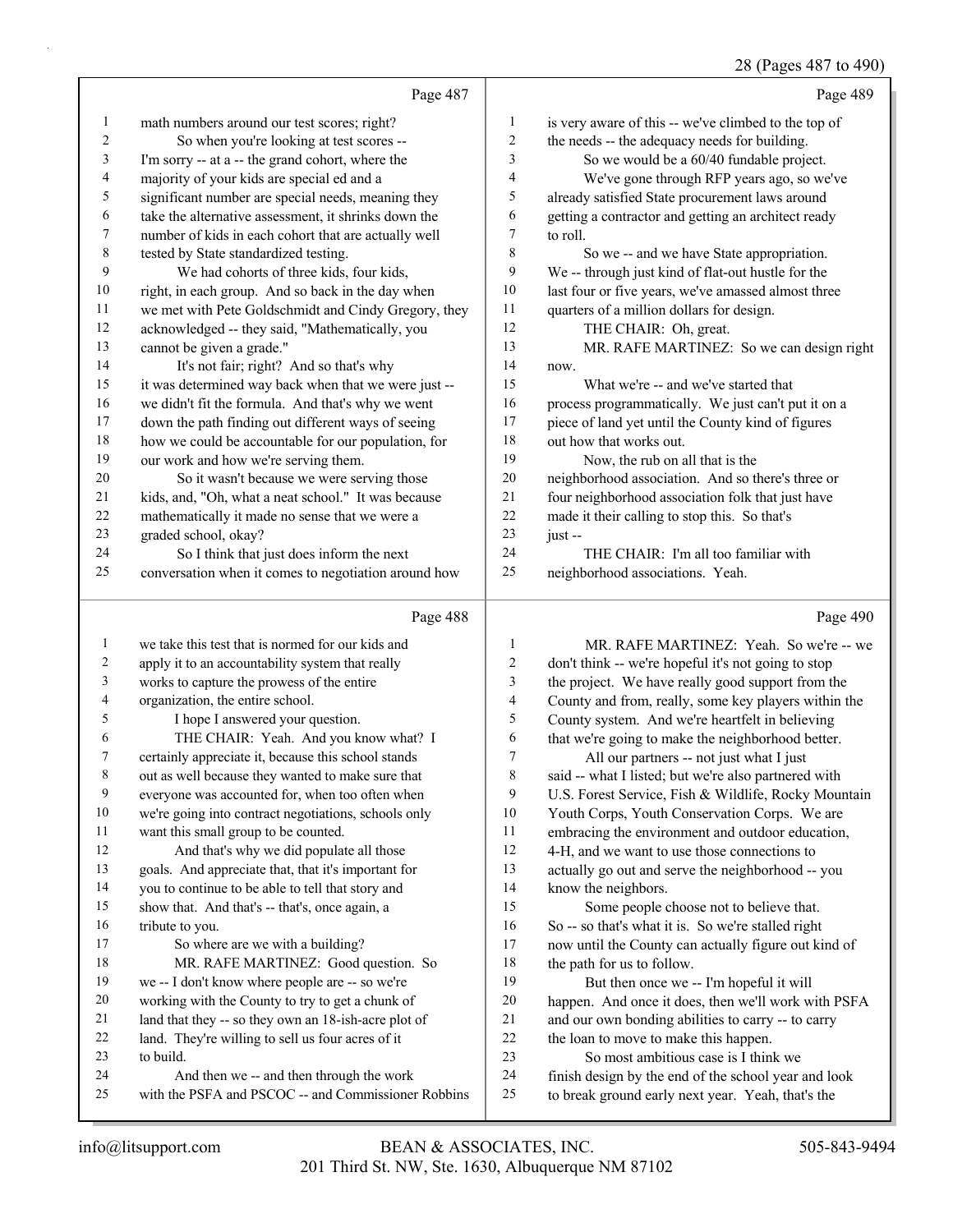|              |                                                      |                          | 28 (Pages 487 to 490)                                |
|--------------|------------------------------------------------------|--------------------------|------------------------------------------------------|
|              | Page 487                                             |                          | Page 489                                             |
| $\mathbf{1}$ | math numbers around our test scores; right?          | 1                        | is very aware of this -- we've climbed to the top of |
| 2            | So when you're looking at test scores --             | $\boldsymbol{2}$         | the needs -- the adequacy needs for building.        |
| 3            | I'm sorry -- at a -- the grand cohort, where the     | 3                        | So we would be a 60/40 fundable project.             |
| 4            | majority of your kids are special ed and a           | 4                        | We've gone through RFP years ago, so we've           |
| 5            | significant number are special needs, meaning they   | 5                        | already satisfied State procurement laws around      |
| 6            | take the alternative assessment, it shrinks down the | 6                        | getting a contractor and getting an architect ready  |
| 7            | number of kids in each cohort that are actually well | 7                        | to roll.                                             |
| 8            | tested by State standardized testing.                | 8                        | So we -- and we have State appropriation.            |
| 9            | We had cohorts of three kids, four kids,             | 9                        | We -- through just kind of flat-out hustle for the   |
| 10           | right, in each group. And so back in the day when    | 10                       | last four or five years, we've amassed almost three  |
| 11           | we met with Pete Goldschmidt and Cindy Gregory, they | 11                       | quarters of a million dollars for design.            |
| 12           | acknowledged -- they said, "Mathematically, you      | 12                       | THE CHAIR: Oh, great.                                |
| 13           | cannot be given a grade."                            | 13                       | MR. RAFE MARTINEZ: So we can design right            |
| 14           | It's not fair; right? And so that's why              | 14                       | now.                                                 |
| 15           | it was determined way back when that we were just -- | 15                       | What we're -- and we've started that                 |
| 16           | we didn't fit the formula. And that's why we went    | 16                       | process programmatically. We just can't put it on a  |
| 17           | down the path finding out different ways of seeing   | 17                       | piece of land yet until the County kind of figures   |
| 18           | how we could be accountable for our population, for  | 18                       | out how that works out.                              |
| 19           | our work and how we're serving them.                 | 19                       | Now, the rub on all that is the                      |
| 20           | So it wasn't because we were serving those           | 20                       | neighborhood association. And so there's three or    |
| 21           | kids, and, "Oh, what a neat school." It was because  | 21                       | four neighborhood association folk that just have    |
| 22           | mathematically it made no sense that we were a       | $22\,$                   | made it their calling to stop this. So that's        |
| 23           | graded school, okay?                                 | 23                       | just-                                                |
| 24           | So I think that just does inform the next            | 24                       | THE CHAIR: I'm all too familiar with                 |
| 25           | conversation when it comes to negotiation around how | 25                       | neighborhood associations. Yeah.                     |
|              | Page 488                                             |                          | Page 490                                             |
| 1            | we take this test that is normed for our kids and    | $\mathbf{1}$             | MR. RAFE MARTINEZ: Yeah. So we're -- we              |
| 2            | apply it to an accountability system that really     | 2                        | don't think -- we're hopeful it's not going to stop  |
| 3            | works to capture the prowess of the entire           | 3                        | the project. We have really good support from the    |
| 4            | organization, the entire school.                     | $\overline{\mathcal{L}}$ | County and from, really, some key players within the |
| 5            | I hope I answered your question.                     | 5                        | County system. And we're heartfelt in believing      |
| 6            | THE CHAIR: Yeah. And you know what? I                | 6                        | that we're going to make the neighborhood better.    |
|              | certainly appreciate it, because this school stands  | 7                        | All our partners -- not just what I just             |
| 8            | out as well because they wanted to make sure that    | $\,$ 8 $\,$              | said -- what I listed; but we're also partnered with |
| 9            | everyone was accounted for, when too often when      | 9                        | U.S. Forest Service, Fish & Wildlife, Rocky Mountain |
| 10           | we're going into contract negotiations, schools only | 10                       | Youth Corps, Youth Conservation Corps. We are        |
| 11           | want this small group to be counted.                 | 11                       | embracing the environment and outdoor education,     |
| 12           | And that's why we did populate all those             | 12                       | 4-H, and we want to use those connections to         |
| 13           | goals. And appreciate that, that it's important for  | 13                       | actually go out and serve the neighborhood -- you    |
| 14           | you to continue to be able to tell that story and    | 14                       | know the neighbors.                                  |
| 15           | show that. And that's -- that's, once again, a       | 15                       | Some people choose not to believe that.              |
| 16           | tribute to you.                                      | 16                       | So -- so that's what it is. So we're stalled right   |
| 17           | So where are we with a building?                     | 17                       | now until the County can actually figure out kind of |
| 18           | MR. RAFE MARTINEZ: Good question. So                 | 18                       | the path for us to follow.                           |
| 19           | we -- I don't know where people are -- so we're      | 19                       | But then once we -- I'm hopeful it will              |
| 20           | working with the County to try to get a chunk of     | 20                       | happen. And once it does, then we'll work with PSFA  |
| 21           | land that they -- so they own an 18-ish-acre plot of | 21                       | and our own bonding abilities to carry -- to carry   |
| 22           | land. They're willing to sell us four acres of it    | 22                       | the loan to move to make this happen.                |
| 23           | to build.                                            | 23                       | So most ambitious case is I think we                 |

- to build.
- 24 And then we -- and then through the work
- with the PSFA and PSCOC -- and Commissioner Robbins

 finish design by the end of the school year and look to break ground early next year. Yeah, that's the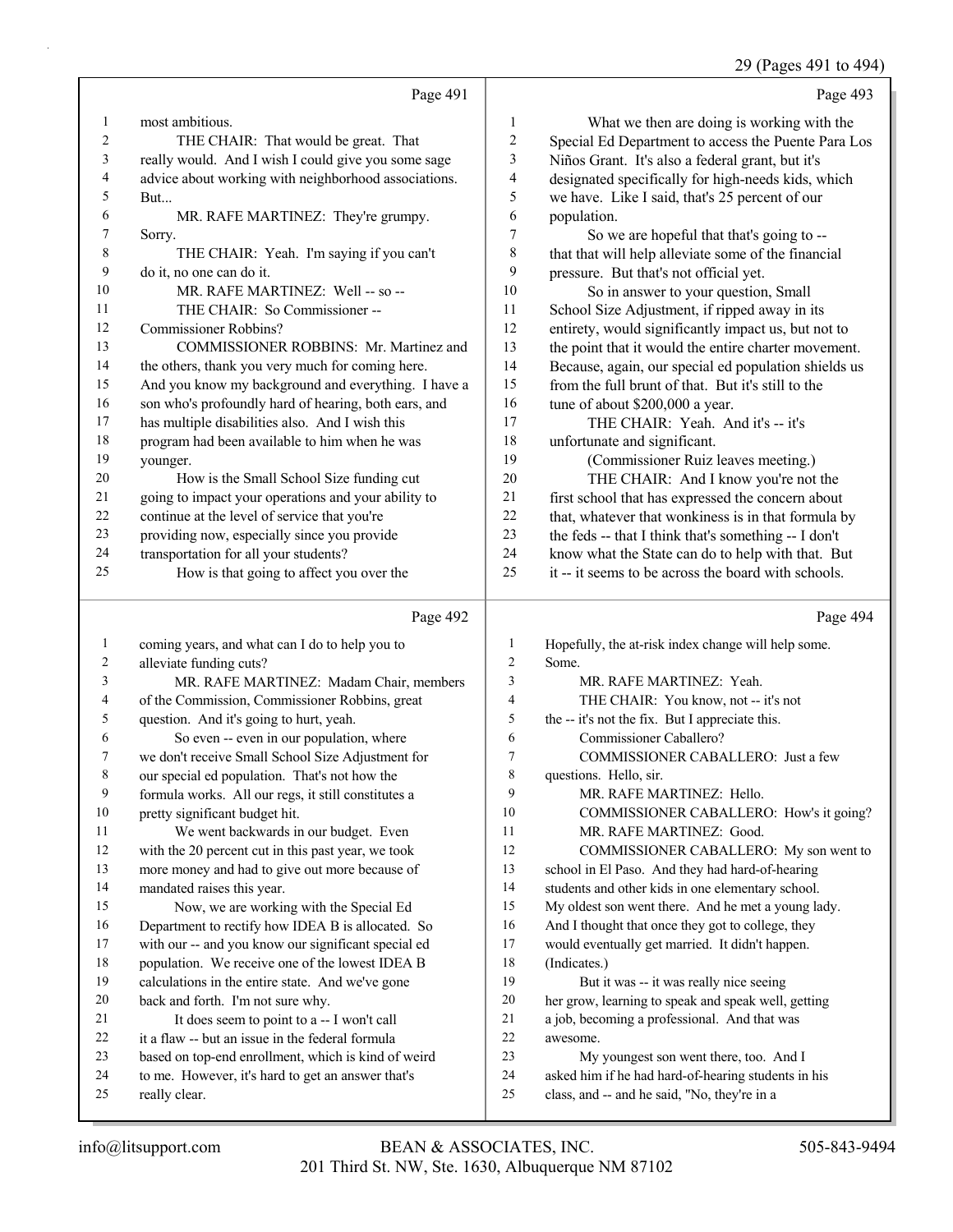29 (Pages 491 to 494)

|                          |                                                      |                | 29 (Pages 491 to 494                                 |
|--------------------------|------------------------------------------------------|----------------|------------------------------------------------------|
|                          | Page 491                                             |                | Page 493                                             |
| 1                        | most ambitious.                                      | $\mathbf{1}$   | What we then are doing is working with the           |
| $\sqrt{2}$               | THE CHAIR: That would be great. That                 | $\overline{c}$ | Special Ed Department to access the Puente Para Los  |
| $\overline{\mathbf{3}}$  | really would. And I wish I could give you some sage  | 3              | Niños Grant. It's also a federal grant, but it's     |
| $\overline{4}$           | advice about working with neighborhood associations. | 4              | designated specifically for high-needs kids, which   |
| 5                        | But                                                  | 5              | we have. Like I said, that's 25 percent of our       |
| 6                        | MR. RAFE MARTINEZ: They're grumpy.                   | 6              | population.                                          |
| 7                        | Sorry.                                               | 7              | So we are hopeful that that's going to --            |
| $\,$ $\,$                | THE CHAIR: Yeah. I'm saying if you can't             | 8              | that that will help alleviate some of the financial  |
| 9                        | do it, no one can do it.                             | 9              | pressure. But that's not official yet.               |
| 10                       | MR. RAFE MARTINEZ: Well -- so --                     | 10             | So in answer to your question, Small                 |
| 11                       | THE CHAIR: So Commissioner --                        | 11             | School Size Adjustment, if ripped away in its        |
| 12                       | <b>Commissioner Robbins?</b>                         | 12             | entirety, would significantly impact us, but not to  |
| 13                       | COMMISSIONER ROBBINS: Mr. Martinez and               | 13             | the point that it would the entire charter movement. |
| 14                       | the others, thank you very much for coming here.     | 14             | Because, again, our special ed population shields us |
| 15                       | And you know my background and everything. I have a  | 15             | from the full brunt of that. But it's still to the   |
| 16                       | son who's profoundly hard of hearing, both ears, and | 16             | tune of about \$200,000 a year.                      |
| 17                       | has multiple disabilities also. And I wish this      | 17             | THE CHAIR: Yeah. And it's -- it's                    |
| 18                       | program had been available to him when he was        | 18             | unfortunate and significant.                         |
| 19                       | younger.                                             | 19             | (Commissioner Ruiz leaves meeting.)                  |
| 20                       | How is the Small School Size funding cut             | 20             | THE CHAIR: And I know you're not the                 |
| 21                       | going to impact your operations and your ability to  | 21             | first school that has expressed the concern about    |
| 22                       | continue at the level of service that you're         | 22             | that, whatever that wonkiness is in that formula by  |
| 23                       | providing now, especially since you provide          | 23             | the feds -- that I think that's something -- I don't |
| 24                       | transportation for all your students?                | 24             | know what the State can do to help with that. But    |
| 25                       | How is that going to affect you over the             | 25             | it -- it seems to be across the board with schools.  |
|                          | Page 492                                             |                | Page 494                                             |
| $\mathbf{1}$             | coming years, and what can I do to help you to       | 1              | Hopefully, the at-risk index change will help some.  |
| $\overline{c}$           | alleviate funding cuts?                              | $\overline{c}$ | Some.                                                |
| 3                        | MR. RAFE MARTINEZ: Madam Chair, members              | 3              | MR. RAFE MARTINEZ: Yeah.                             |
| $\overline{\mathcal{A}}$ | of the Commission, Commissioner Robbins, great       | $\overline{4}$ | THE CHAIR: You know, not -- it's not                 |
| 5                        | question. And it's going to hurt, yeah.              | 5              | the -- it's not the fix. But I appreciate this.      |
| 6                        | So even -- even in our population, where             | 6              | Commissioner Caballero?                              |
| 7                        | we don't receive Small School Size Adjustment for    | 7              | COMMISSIONER CABALLERO: Just a few                   |

- 7 COMMISSIONER CABALLERO: Just a few
- questions. Hello, sir.
- 9 MR. RAFE MARTINEZ: Hello.
- 10 COMMISSIONER CABALLERO: How's it going?
- 11 MR. RAFE MARTINEZ: Good.
- 12 COMMISSIONER CABALLERO: My son went to
- school in El Paso. And they had hard-of-hearing
- students and other kids in one elementary school.
- My oldest son went there. And he met a young lady.
- And I thought that once they got to college, they
- would eventually get married. It didn't happen. (Indicates.)
- 19 But it was -- it was really nice seeing
- her grow, learning to speak and speak well, getting
- a job, becoming a professional. And that was
- awesome.
- 23 My youngest son went there, too. And I
- asked him if he had hard-of-hearing students in his
- class, and -- and he said, "No, they're in a

really clear.

 our special ed population. That's not how the formula works. All our regs, it still constitutes a

11 We went backwards in our budget. Even with the 20 percent cut in this past year, we took more money and had to give out more because of

15 Now, we are working with the Special Ed Department to rectify how IDEA B is allocated. So with our -- and you know our significant special ed population. We receive one of the lowest IDEA B calculations in the entire state. And we've gone

21 It does seem to point to a -- I won't call it a flaw -- but an issue in the federal formula based on top-end enrollment, which is kind of weird to me. However, it's hard to get an answer that's

pretty significant budget hit.

mandated raises this year.

back and forth. I'm not sure why.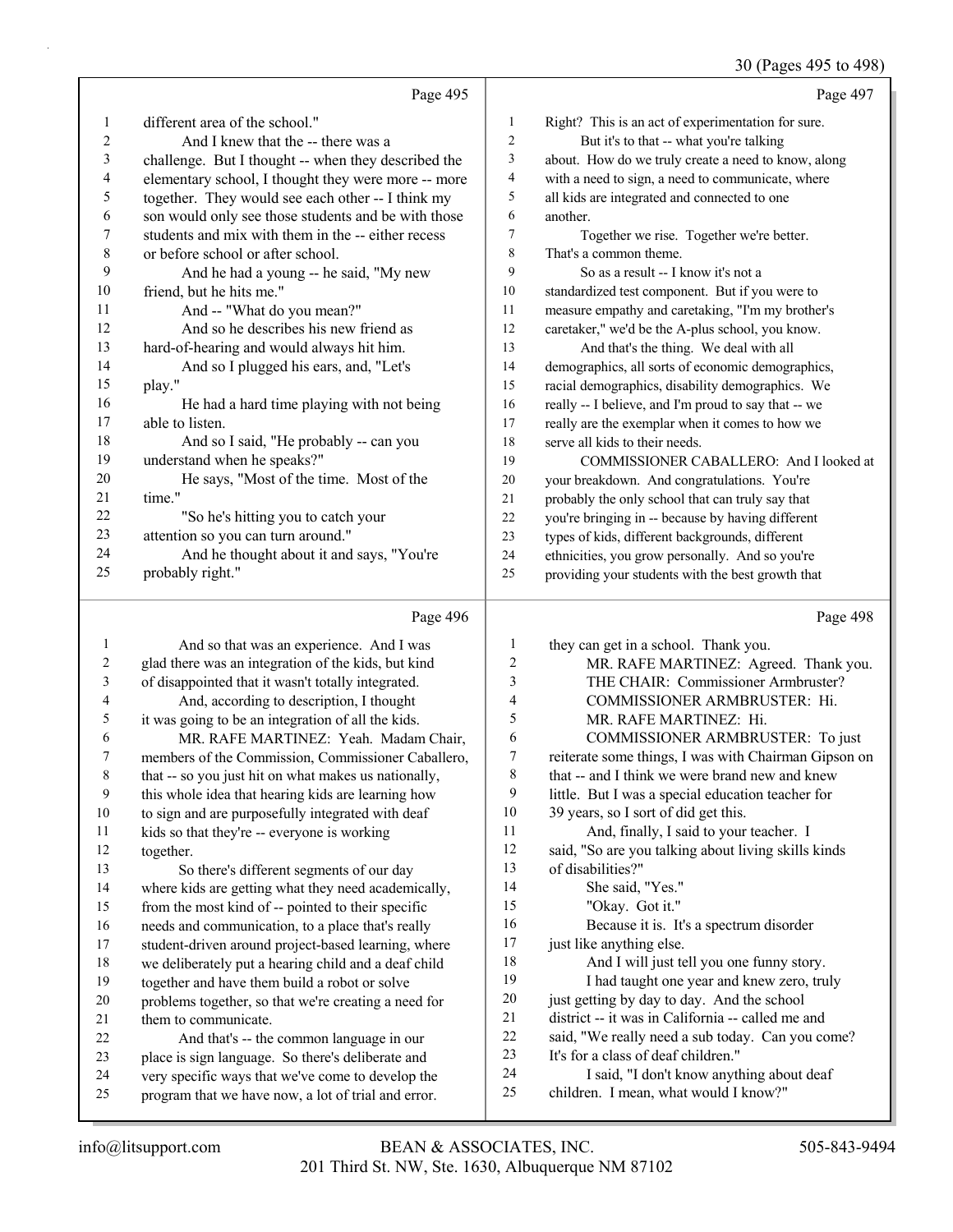#### 30 (Pages 495 to 498)

|                          | Page 495                                             |                  | Page 497                                             |
|--------------------------|------------------------------------------------------|------------------|------------------------------------------------------|
| 1                        | different area of the school."                       | $\mathbf{1}$     | Right? This is an act of experimentation for sure.   |
| $\overline{2}$           | And I knew that the -- there was a                   | $\overline{c}$   | But it's to that -- what you're talking              |
| $\mathfrak{Z}$           | challenge. But I thought -- when they described the  | $\mathfrak{Z}$   | about. How do we truly create a need to know, along  |
| $\overline{\mathcal{L}}$ | elementary school, I thought they were more -- more  | $\overline{4}$   | with a need to sign, a need to communicate, where    |
| 5                        | together. They would see each other -- I think my    | 5                | all kids are integrated and connected to one         |
| 6                        | son would only see those students and be with those  | 6                | another.                                             |
| $\sqrt{ }$               | students and mix with them in the -- either recess   | $\boldsymbol{7}$ | Together we rise. Together we're better.             |
| $\,$ $\,$                | or before school or after school.                    | $\,$ 8 $\,$      | That's a common theme.                               |
| 9                        | And he had a young -- he said, "My new               | 9                | So as a result -- I know it's not a                  |
| $10\,$                   | friend, but he hits me."                             | 10               | standardized test component. But if you were to      |
| 11                       | And -- "What do you mean?"                           | 11               | measure empathy and caretaking, "I'm my brother's    |
| 12                       | And so he describes his new friend as                | 12               | caretaker," we'd be the A-plus school, you know.     |
| 13                       | hard-of-hearing and would always hit him.            | 13               | And that's the thing. We deal with all               |
| 14                       | And so I plugged his ears, and, "Let's               | 14               | demographics, all sorts of economic demographics,    |
| 15                       | play."                                               | 15               | racial demographics, disability demographics. We     |
| 16                       | He had a hard time playing with not being            | 16               | really -- I believe, and I'm proud to say that -- we |
| $17\,$                   | able to listen.                                      | 17               | really are the exemplar when it comes to how we      |
| 18                       | And so I said, "He probably -- can you               | 18               | serve all kids to their needs.                       |
| 19                       | understand when he speaks?"                          | 19               | COMMISSIONER CABALLERO: And I looked at              |
| 20                       | He says, "Most of the time. Most of the              | 20               | your breakdown. And congratulations. You're          |
| 21                       | time."                                               | 21               | probably the only school that can truly say that     |
| 22                       | "So he's hitting you to catch your                   | 22               | you're bringing in -- because by having different    |
| 23                       | attention so you can turn around."                   | 23               | types of kids, different backgrounds, different      |
| 24                       | And he thought about it and says, "You're            | 24               | ethnicities, you grow personally. And so you're      |
| 25                       | probably right."                                     | 25               | providing your students with the best growth that    |
|                          | Page 496                                             |                  | Page 498                                             |
| $\mathbf{1}$             | And so that was an experience. And I was             | $\mathbf{1}$     | they can get in a school. Thank you.                 |
| $\overline{c}$           | glad there was an integration of the kids, but kind  | $\boldsymbol{2}$ | MR. RAFE MARTINEZ: Agreed. Thank you.                |
| 3                        | of disappointed that it wasn't totally integrated.   | 3                | THE CHAIR: Commissioner Armbruster?                  |
| 4                        | And, according to description, I thought             | 4                | COMMISSIONER ARMBRUSTER: Hi.                         |
| 5                        | it was going to be an integration of all the kids.   | 5                | MR. RAFE MARTINEZ: Hi.                               |
| 6                        | MR. RAFE MARTINEZ: Yeah. Madam Chair,                | 6                | COMMISSIONER ARMBRUSTER: To just                     |
| 7                        | members of the Commission, Commissioner Caballero,   | $\boldsymbol{7}$ | reiterate some things, I was with Chairman Gipson on |
| $\,$ $\,$                | that -- so you just hit on what makes us nationally, | $\,$ 8 $\,$      | that -- and I think we were brand new and knew       |
| 9                        | this whole idea that hearing kids are learning how   | 9                | little. But I was a special education teacher for    |
| 10                       | to sign and are purposefully integrated with deaf    | 10               | 39 years, so I sort of did get this.                 |
| 11                       | kids so that they're -- everyone is working          | 11               | And, finally, I said to your teacher. I              |
| 12                       | together.                                            | 12               | said, "So are you talking about living skills kinds  |
| 13                       | So there's different segments of our day             | 13               | of disabilities?"                                    |

 where kids are getting what they need academically, from the most kind of -- pointed to their specific needs and communication, to a place that's really student-driven around project-based learning, where we deliberately put a hearing child and a deaf child

together and have them build a robot or solve

problems together, so that we're creating a need for

21 them to communicate. 22 And that's -- the common language in our

place is sign language. So there's deliberate and

 very specific ways that we've come to develop the program that we have now, a lot of trial and error.

 just getting by day to day. And the school district -- it was in California -- called me and said, "We really need a sub today. Can you come? It's for a class of deaf children." 24 I said, "I don't know anything about deaf

children. I mean, what would I know?"

16 Because it is. It's a spectrum disorder

18 And I will just tell you one funny story. 19 I had taught one year and knew zero, truly

14 She said, "Yes." 15 "Okay. Got it."

17 just like anything else.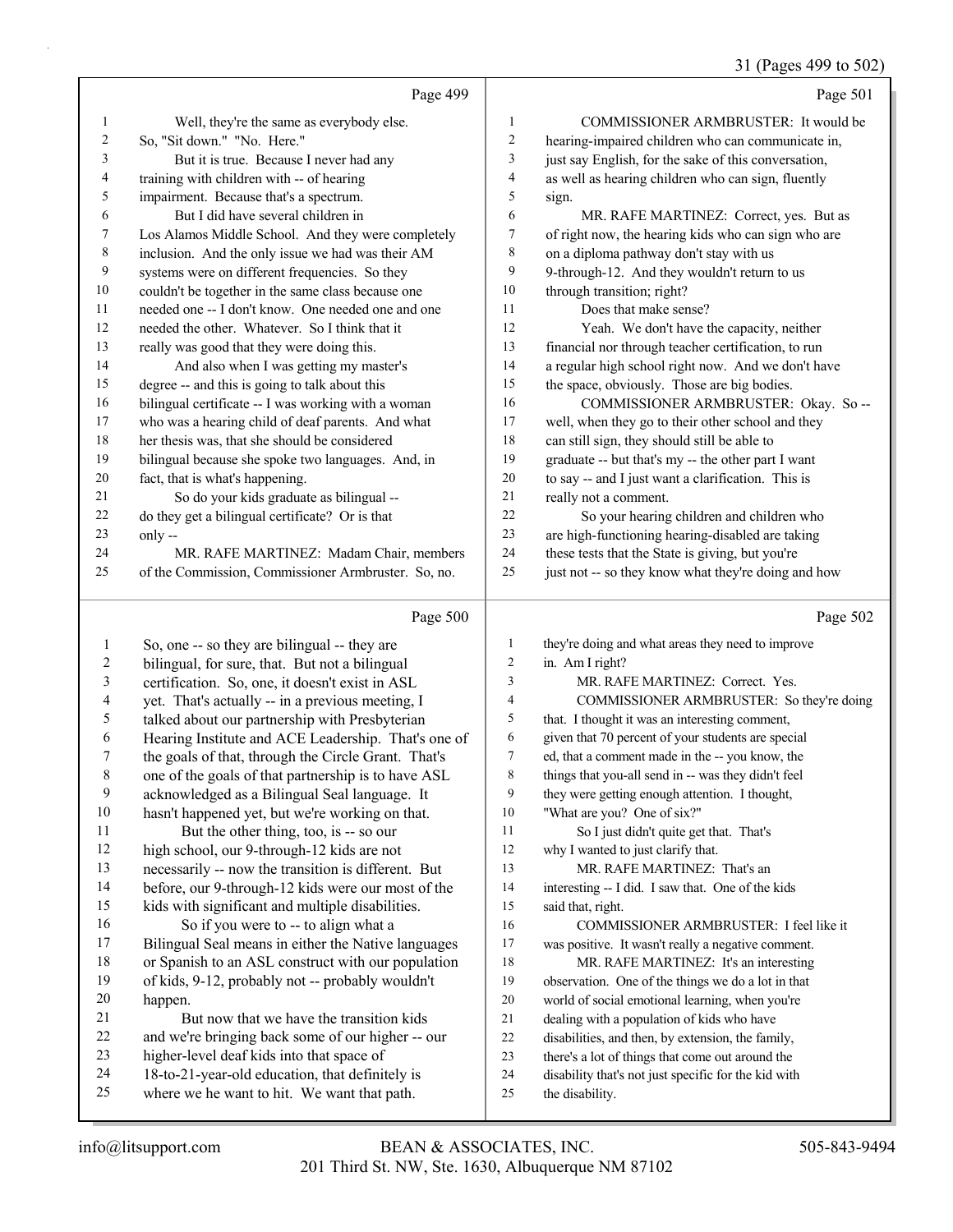31 (Pages 499 to 502)

|                | Page 499                                                                                       |                          | Page 501                                                                |
|----------------|------------------------------------------------------------------------------------------------|--------------------------|-------------------------------------------------------------------------|
| 1              | Well, they're the same as everybody else.                                                      | $\mathbf{1}$             | COMMISSIONER ARMBRUSTER: It would be                                    |
| 2              | So, "Sit down." "No. Here."                                                                    | 2                        | hearing-impaired children who can communicate in,                       |
| 3              | But it is true. Because I never had any                                                        | $\mathfrak{Z}$           | just say English, for the sake of this conversation,                    |
| 4              | training with children with -- of hearing                                                      | $\overline{\mathcal{L}}$ | as well as hearing children who can sign, fluently                      |
| 5              | impairment. Because that's a spectrum.                                                         | 5                        | sign.                                                                   |
| 6              | But I did have several children in                                                             | 6                        | MR. RAFE MARTINEZ: Correct, yes. But as                                 |
| 7              | Los Alamos Middle School. And they were completely                                             | 7                        | of right now, the hearing kids who can sign who are                     |
| 8              | inclusion. And the only issue we had was their AM                                              | $\,$ $\,$                | on a diploma pathway don't stay with us                                 |
| 9              | systems were on different frequencies. So they                                                 | 9                        | 9-through-12. And they wouldn't return to us                            |
| $10\,$         | couldn't be together in the same class because one                                             | 10                       | through transition; right?                                              |
| 11             | needed one -- I don't know. One needed one and one                                             | 11                       | Does that make sense?                                                   |
| 12             | needed the other. Whatever. So I think that it                                                 | 12                       | Yeah. We don't have the capacity, neither                               |
| 13             | really was good that they were doing this.                                                     | 13                       | financial nor through teacher certification, to run                     |
| 14             | And also when I was getting my master's                                                        | 14                       | a regular high school right now. And we don't have                      |
| 15             | degree -- and this is going to talk about this                                                 | 15                       | the space, obviously. Those are big bodies.                             |
| 16             | bilingual certificate -- I was working with a woman                                            | 16                       | COMMISSIONER ARMBRUSTER: Okay. So --                                    |
| 17             | who was a hearing child of deaf parents. And what                                              | 17                       | well, when they go to their other school and they                       |
| 18             | her thesis was, that she should be considered                                                  | 18                       | can still sign, they should still be able to                            |
| 19             | bilingual because she spoke two languages. And, in                                             | 19                       | graduate -- but that's my -- the other part I want                      |
| 20             | fact, that is what's happening.                                                                | 20                       | to say -- and I just want a clarification. This is                      |
| 21             | So do your kids graduate as bilingual --                                                       | 21                       | really not a comment.                                                   |
| 22             | do they get a bilingual certificate? Or is that                                                | 22                       | So your hearing children and children who                               |
| 23             | only --                                                                                        | 23                       | are high-functioning hearing-disabled are taking                        |
| 24             | MR. RAFE MARTINEZ: Madam Chair, members                                                        | 24                       | these tests that the State is giving, but you're                        |
| 25             | of the Commission, Commissioner Armbruster. So, no.                                            | 25                       | just not -- so they know what they're doing and how                     |
|                | Page 500                                                                                       |                          | Page 502                                                                |
| 1              | So, one -- so they are bilingual -- they are                                                   | $\mathbf{1}$             | they're doing and what areas they need to improve                       |
| $\overline{c}$ | bilingual, for sure, that. But not a bilingual                                                 | 2                        | in. Am I right?                                                         |
| $\mathfrak{Z}$ | certification. So, one, it doesn't exist in ASL                                                | 3                        | MR. RAFE MARTINEZ: Correct. Yes.                                        |
| 4              | yet. That's actually -- in a previous meeting, I                                               | 4                        | COMMISSIONER ARMBRUSTER: So they're doing                               |
| 5              | talked about our partnership with Presbyterian                                                 | 5                        | that. I thought it was an interesting comment,                          |
| 6              | Hearing Institute and ACE Leadership. That's one of                                            | 6                        | given that 70 percent of your students are special                      |
| 7              | the goals of that, through the Circle Grant. That's                                            | 7                        | ed, that a comment made in the -- you know, the                         |
| $\,$ 8 $\,$    | one of the goals of that partnership is to have ASL                                            | 8                        | things that you-all send in -- was they didn't feel                     |
| 9              | acknowledged as a Bilingual Seal language. It                                                  | 9                        | they were getting enough attention. I thought,                          |
| $10\,$         | hasn't happened yet, but we're working on that.                                                | 10                       | "What are you? One of six?"                                             |
| 11             | But the other thing, too, is -- so our                                                         | 11                       | So I just didn't quite get that. That's                                 |
| 12             | high school, our 9-through-12 kids are not                                                     | 12                       | why I wanted to just clarify that.                                      |
| 13             | necessarily -- now the transition is different. But                                            | 13                       | MR. RAFE MARTINEZ: That's an                                            |
| 14             | before, our 9-through-12 kids were our most of the                                             | 14                       | interesting -- I did. I saw that. One of the kids                       |
| 15             | kids with significant and multiple disabilities.                                               | 15                       | said that, right.                                                       |
| 16             | So if you were to -- to align what a                                                           | 16                       | COMMISSIONER ARMBRUSTER: I feel like it                                 |
| 17             | Bilingual Seal means in either the Native languages                                            | 17                       | was positive. It wasn't really a negative comment.                      |
| 18             | or Spanish to an ASL construct with our population                                             | 18                       | MR. RAFE MARTINEZ: It's an interesting                                  |
| 19             | of kids, 9-12, probably not -- probably wouldn't                                               | 19                       | observation. One of the things we do a lot in that                      |
| $20\,$         | happen.                                                                                        | 20                       | world of social emotional learning, when you're                         |
| 21             | But now that we have the transition kids                                                       | 21                       | dealing with a population of kids who have                              |
| 22             | and we're bringing back some of our higher -- our                                              | 22                       | disabilities, and then, by extension, the family,                       |
| 23             | higher-level deaf kids into that space of                                                      | 23                       | there's a lot of things that come out around the                        |
|                |                                                                                                |                          |                                                                         |
| 24<br>25       | 18-to-21-year-old education, that definitely is<br>where we he want to hit. We want that path. | 24<br>25                 | disability that's not just specific for the kid with<br>the disability. |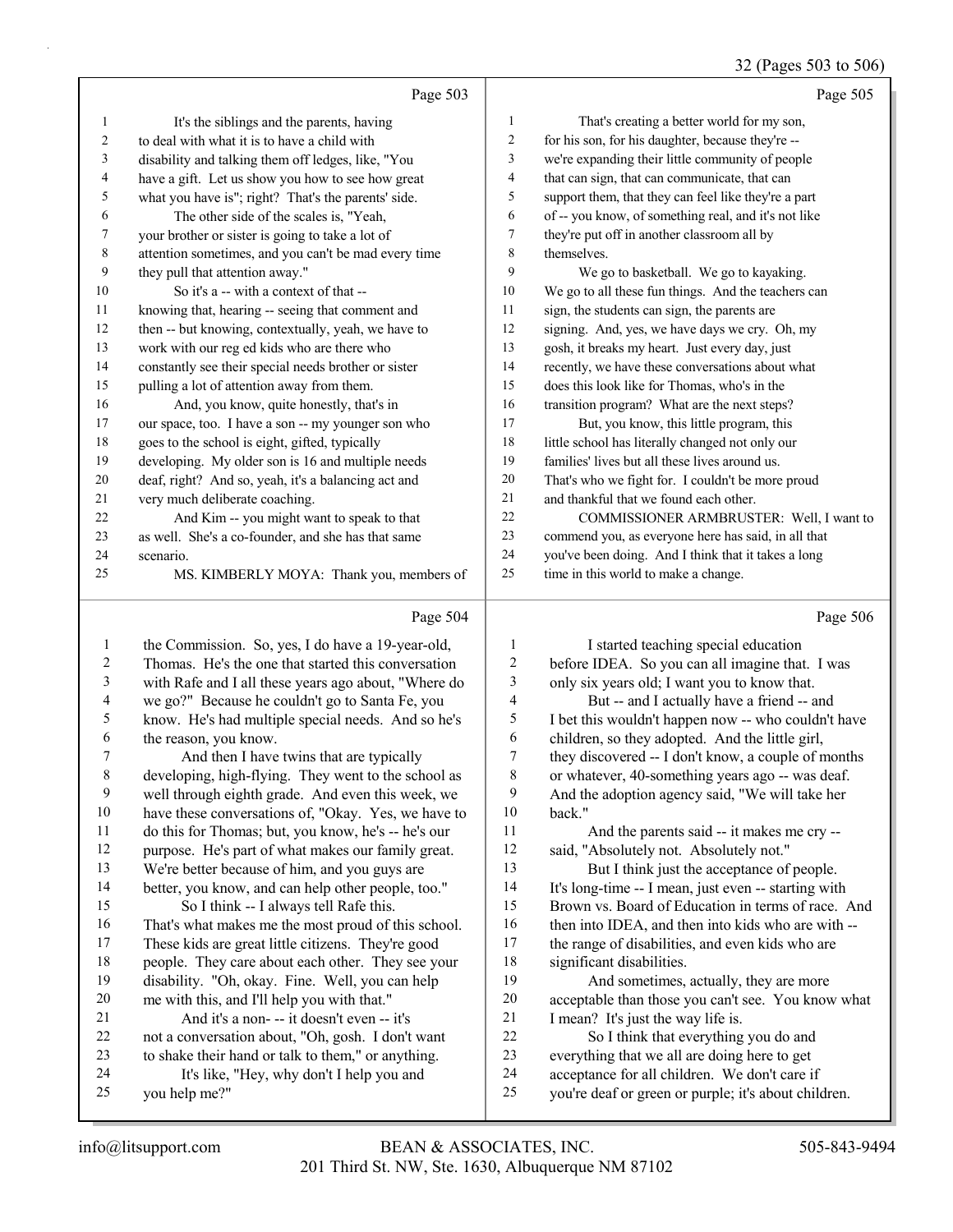### 32 (Pages 503 to 506)

|              | Page 503                                             |                         | Page 505                                             |
|--------------|------------------------------------------------------|-------------------------|------------------------------------------------------|
| 1            | It's the siblings and the parents, having            | $\mathbf{1}$            | That's creating a better world for my son,           |
| 2            | to deal with what it is to have a child with         | 2                       | for his son, for his daughter, because they're --    |
| 3            | disability and talking them off ledges, like, "You   | 3                       | we're expanding their little community of people     |
| 4            | have a gift. Let us show you how to see how great    | $\overline{\mathbf{4}}$ | that can sign, that can communicate, that can        |
| 5            | what you have is"; right? That's the parents' side.  | 5                       | support them, that they can feel like they're a part |
| 6            | The other side of the scales is, "Yeah,              | 6                       | of -- you know, of something real, and it's not like |
| 7            | your brother or sister is going to take a lot of     | 7                       | they're put off in another classroom all by          |
| 8            | attention sometimes, and you can't be mad every time | 8                       | themselves.                                          |
| 9            | they pull that attention away."                      | 9                       | We go to basketball. We go to kayaking.              |
| 10           | So it's a -- with a context of that --               | 10                      | We go to all these fun things. And the teachers can  |
| 11           | knowing that, hearing -- seeing that comment and     | 11                      | sign, the students can sign, the parents are         |
| 12           | then -- but knowing, contextually, yeah, we have to  | 12                      | signing. And, yes, we have days we cry. Oh, my       |
| 13           | work with our reg ed kids who are there who          | 13                      | gosh, it breaks my heart. Just every day, just       |
| 14           | constantly see their special needs brother or sister | 14                      | recently, we have these conversations about what     |
| 15           | pulling a lot of attention away from them.           | 15                      | does this look like for Thomas, who's in the         |
| 16           | And, you know, quite honestly, that's in             | 16                      | transition program? What are the next steps?         |
| 17           | our space, too. I have a son -- my younger son who   | 17                      | But, you know, this little program, this             |
| 18           | goes to the school is eight, gifted, typically       | 18                      | little school has literally changed not only our     |
| 19           | developing. My older son is 16 and multiple needs    | 19                      | families' lives but all these lives around us.       |
| 20           | deaf, right? And so, yeah, it's a balancing act and  | 20                      | That's who we fight for. I couldn't be more proud    |
| 21           | very much deliberate coaching.                       | 21                      | and thankful that we found each other.               |
| 22           | And Kim -- you might want to speak to that           | 22                      | COMMISSIONER ARMBRUSTER: Well, I want to             |
| 23           | as well. She's a co-founder, and she has that same   | 23                      | commend you, as everyone here has said, in all that  |
| 24           | scenario.                                            | 24                      | you've been doing. And I think that it takes a long  |
| 25           | MS. KIMBERLY MOYA: Thank you, members of             | 25                      | time in this world to make a change.                 |
|              |                                                      |                         |                                                      |
|              | Page 504                                             |                         | Page 506                                             |
| $\mathbf{1}$ | the Commission. So, yes, I do have a 19-year-old,    | $\mathbf{1}$            | I started teaching special education                 |
| $\sqrt{2}$   | Thomas. He's the one that started this conversation  | $\sqrt{2}$              | before IDEA. So you can all imagine that. I was      |
| 3            | with Rafe and I all these years ago about, "Where do | 3                       | only six years old; I want you to know that.         |
| 4            | we go?" Because he couldn't go to Santa Fe, you      | $\overline{4}$          | But -- and I actually have a friend -- and           |
| 5            | know. He's had multiple special needs. And so he's   | 5                       | I bet this wouldn't happen now -- who couldn't have  |
| 6            | the reason, you know.                                | 6                       | children, so they adopted. And the little girl,      |
| 7            | And then I have twins that are typically             | $\sqrt{ }$              | they discovered -- I don't know, a couple of months  |
| $\,$ 8 $\,$  | developing, high-flying. They went to the school as  | $\,$ $\,$               | or whatever, 40-something years ago -- was deaf.     |
| 9            | well through eighth grade. And even this week, we    | $\mathbf{9}$            | And the adoption agency said, "We will take her      |
| 10           | have these conversations of, "Okay. Yes, we have to  | 10                      | back."                                               |

11 And the parents said -- it makes me cry -- said, "Absolutely not. Absolutely not." 13 But I think just the acceptance of people. It's long-time -- I mean, just even -- starting with Brown vs. Board of Education in terms of race. And 16 then into IDEA, and then into kids who are with -- the range of disabilities, and even kids who are significant disabilities. 19 And sometimes, actually, they are more acceptable than those you can't see. You know what 21 I mean? It's just the way life is. 22 So I think that everything you do and everything that we all are doing here to get acceptance for all children. We don't care if

you're deaf or green or purple; it's about children.

you help me?"

 do this for Thomas; but, you know, he's -- he's our purpose. He's part of what makes our family great. We're better because of him, and you guys are better, you know, and can help other people, too."

 That's what makes me the most proud of this school. These kids are great little citizens. They're good people. They care about each other. They see your disability. "Oh, okay. Fine. Well, you can help me with this, and I'll help you with that." 21 And it's a non- -- it doesn't even -- it's not a conversation about, "Oh, gosh. I don't want to shake their hand or talk to them," or anything. 24 It's like, "Hey, why don't I help you and

15 So I think -- I always tell Rafe this.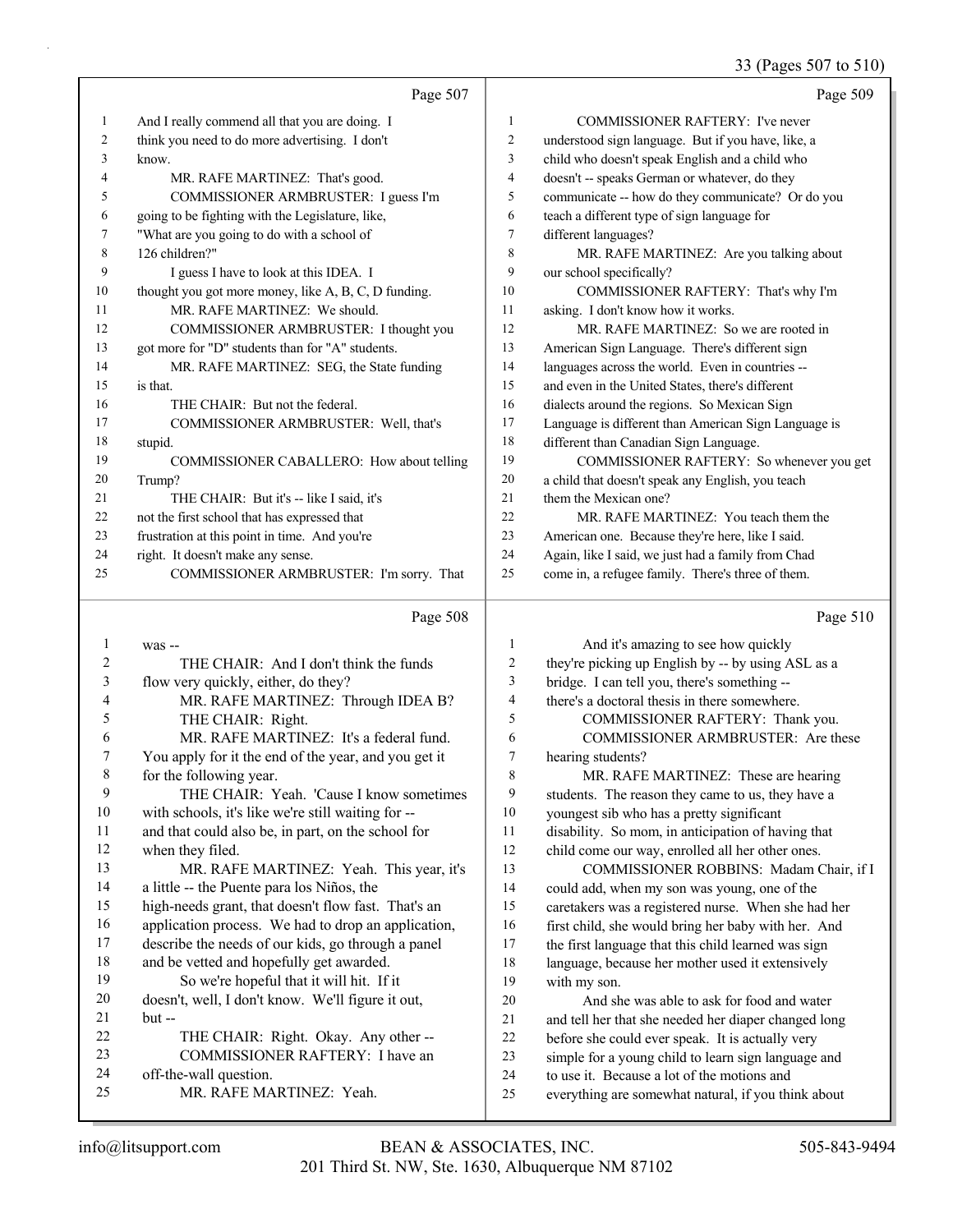### 33 (Pages 507 to 510)

|                |                                                                                                                                                                                                                                    |                  | 33 (Pages 50/ to 510)                                |
|----------------|------------------------------------------------------------------------------------------------------------------------------------------------------------------------------------------------------------------------------------|------------------|------------------------------------------------------|
|                | Page 507                                                                                                                                                                                                                           |                  | Page 509                                             |
| $\mathbf{1}$   | And I really commend all that you are doing. I                                                                                                                                                                                     | $\mathbf{1}$     | <b>COMMISSIONER RAFTERY: I've never</b>              |
| $\sqrt{2}$     | think you need to do more advertising. I don't                                                                                                                                                                                     | $\overline{2}$   | understood sign language. But if you have, like, a   |
| 3              | know.                                                                                                                                                                                                                              | $\overline{3}$   | child who doesn't speak English and a child who      |
| 4              | MR. RAFE MARTINEZ: That's good.                                                                                                                                                                                                    | $\overline{4}$   | doesn't -- speaks German or whatever, do they        |
| 5              | COMMISSIONER ARMBRUSTER: I guess I'm                                                                                                                                                                                               | 5                | communicate -- how do they communicate? Or do you    |
| 6              | going to be fighting with the Legislature, like,                                                                                                                                                                                   | 6                | teach a different type of sign language for          |
| 7              | "What are you going to do with a school of                                                                                                                                                                                         | $\boldsymbol{7}$ | different languages?                                 |
| $\,$ 8 $\,$    | 126 children?"                                                                                                                                                                                                                     | 8                | MR. RAFE MARTINEZ: Are you talking about             |
| 9              | I guess I have to look at this IDEA. I                                                                                                                                                                                             | 9                | our school specifically?                             |
| 10             | thought you got more money, like A, B, C, D funding.                                                                                                                                                                               | 10               | COMMISSIONER RAFTERY: That's why I'm                 |
| 11             | MR. RAFE MARTINEZ: We should.                                                                                                                                                                                                      | 11               | asking. I don't know how it works.                   |
| 12             | COMMISSIONER ARMBRUSTER: I thought you                                                                                                                                                                                             | 12               | MR. RAFE MARTINEZ: So we are rooted in               |
| 13             | got more for "D" students than for "A" students.                                                                                                                                                                                   | 13               | American Sign Language. There's different sign       |
| 14             | MR. RAFE MARTINEZ: SEG, the State funding                                                                                                                                                                                          | 14               | languages across the world. Even in countries --     |
| 15             | is that.                                                                                                                                                                                                                           | 15               | and even in the United States, there's different     |
| 16             | THE CHAIR: But not the federal.                                                                                                                                                                                                    | 16               | dialects around the regions. So Mexican Sign         |
| 17             | COMMISSIONER ARMBRUSTER: Well, that's                                                                                                                                                                                              | 17               | Language is different than American Sign Language is |
| 18             | stupid.                                                                                                                                                                                                                            | 18               | different than Canadian Sign Language.               |
| 19             | COMMISSIONER CABALLERO: How about telling                                                                                                                                                                                          | 19               | COMMISSIONER RAFTERY: So whenever you get            |
| 20             | Trump?                                                                                                                                                                                                                             | 20               | a child that doesn't speak any English, you teach    |
| 21             | THE CHAIR: But it's -- like I said, it's                                                                                                                                                                                           | 21               | them the Mexican one?                                |
| 22             | not the first school that has expressed that                                                                                                                                                                                       | 22               | MR. RAFE MARTINEZ: You teach them the                |
| 23             | frustration at this point in time. And you're                                                                                                                                                                                      | 23               | American one. Because they're here, like I said.     |
| 24             | right. It doesn't make any sense.                                                                                                                                                                                                  | 24               | Again, like I said, we just had a family from Chad   |
| 25             | COMMISSIONER ARMBRUSTER: I'm sorry. That                                                                                                                                                                                           | 25               | come in, a refugee family. There's three of them.    |
|                | Page 508                                                                                                                                                                                                                           |                  | Page 510                                             |
| $\mathbf{1}$   | was --                                                                                                                                                                                                                             | $\mathbf{1}$     | And it's amazing to see how quickly                  |
| $\overline{2}$ | THE CHAIR: And I don't think the funds                                                                                                                                                                                             | $\overline{c}$   | they're picking up English by -- by using ASL as a   |
| 3              | flow very quickly, either, do they?                                                                                                                                                                                                | 3                | bridge. I can tell you, there's something --         |
| 4              | MR. RAFE MARTINEZ: Through IDEA B?                                                                                                                                                                                                 | $\overline{4}$   | there's a doctoral thesis in there somewhere.        |
| 5              | THE CHAIR: Right.                                                                                                                                                                                                                  | 5                | COMMISSIONER RAFTERY: Thank you.                     |
| 6              | MR. RAFE MARTINEZ: It's a federal fund.                                                                                                                                                                                            | 6                | COMMISSIONER ARMBRUSTER: Are these                   |
| 7              | You apply for it the end of the year, and you get it                                                                                                                                                                               | $\tau$           | hearing students?                                    |
| 8              | for the following year.                                                                                                                                                                                                            | $\,$ $\,$        | MR. RAFE MARTINEZ: These are hearing                 |
| 9              | THE CHAIR: Yeah. 'Cause I know sometimes                                                                                                                                                                                           | 9                | students. The reason they came to us, they have a    |
| 10             | with schools, it's like we're still waiting for --                                                                                                                                                                                 | 10               | youngest sib who has a pretty significant            |
| 11             | and that could also be, in part, on the school for                                                                                                                                                                                 | 11               | disability. So mom, in anticipation of having that   |
| 12             | when they filed.                                                                                                                                                                                                                   | 12               | child come our way, enrolled all her other ones.     |
| $\sim$         | <b>ACCOMMENDATION The Contract of the Contract of the Contract of the Contract of the Contract of the Contract of the Contract of the Contract of the Contract of the Contract of the Contract of the Contract of the Contract</b> |                  |                                                      |

13 MR. RAFE MARTINEZ: Yeah. This year, it's a little -- the Puente para los Niños, the high-needs grant, that doesn't flow fast. That's an application process. We had to drop an application, describe the needs of our kids, go through a panel

18 and be vetted and hopefully get awarded. 19 So we're hopeful that it will hit. If it doesn't, well, I don't know. We'll figure it out,

| 21 | $but -$                              |
|----|--------------------------------------|
| 22 | THE CHAIR: Right. Okay. Any other -- |
| 23 | COMMISSIONER RAFTERY: I have an      |
| 24 | off-the-wall question.               |
| 25 | MR. RAFE MARTINEZ: Yeah.             |

- 13 COMMISSIONER ROBBINS: Madam Chair, if I could add, when my son was young, one of the caretakers was a registered nurse. When she had her first child, she would bring her baby with her. And the first language that this child learned was sign
- language, because her mother used it extensively with my son.
- 20 And she was able to ask for food and water and tell her that she needed her diaper changed long before she could ever speak. It is actually very simple for a young child to learn sign language and to use it. Because a lot of the motions and everything are somewhat natural, if you think about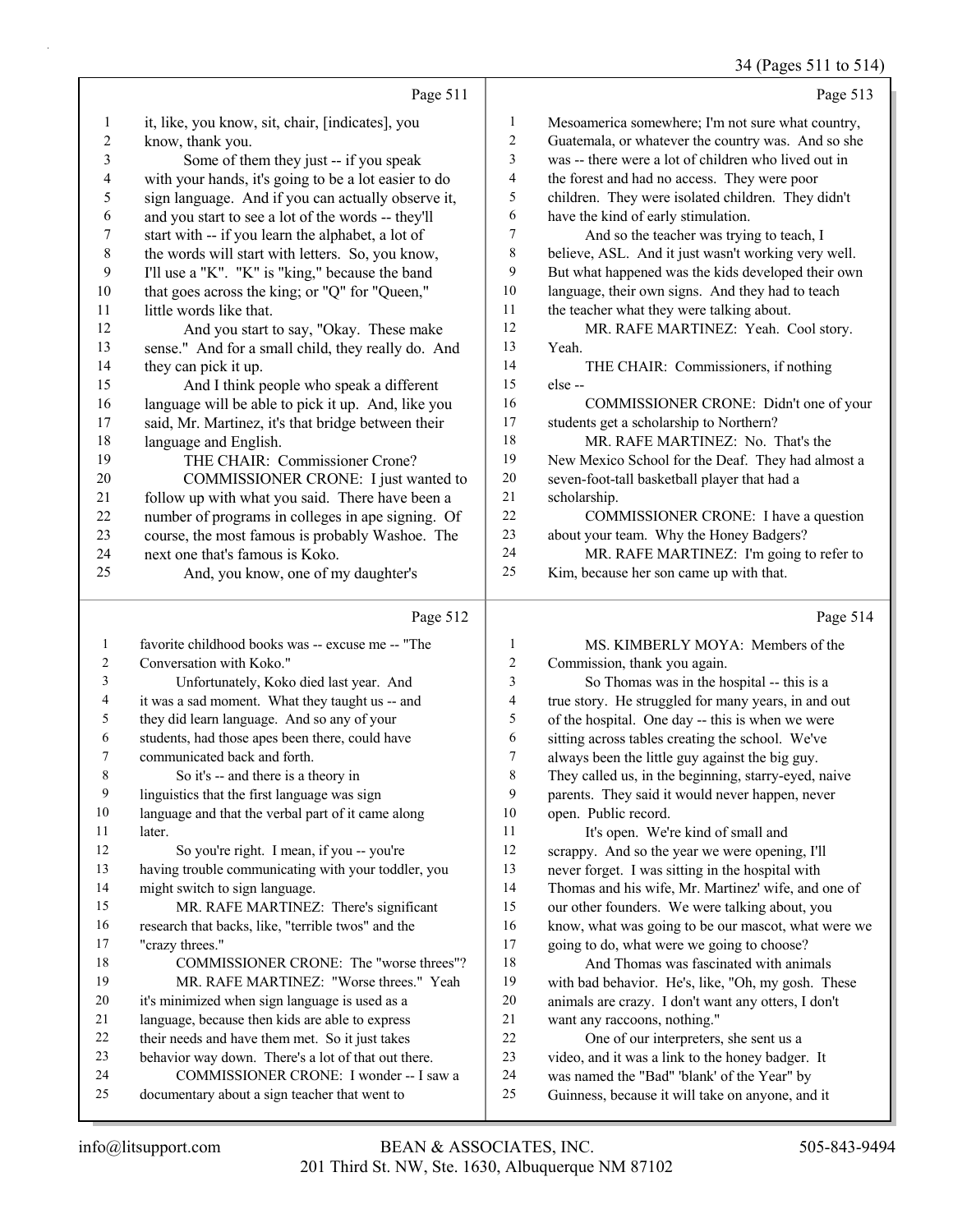### 34 (Pages 511 to 514)

|                          |                                                      |                         | 34 (Pages 511 to 514                                 |
|--------------------------|------------------------------------------------------|-------------------------|------------------------------------------------------|
|                          | Page 511                                             |                         | Page 513                                             |
| $\mathbf{1}$             | it, like, you know, sit, chair, [indicates], you     | $\mathbf{1}$            | Mesoamerica somewhere; I'm not sure what country,    |
| $\overline{c}$           | know, thank you.                                     | $\overline{c}$          | Guatemala, or whatever the country was. And so she   |
| 3                        | Some of them they just -- if you speak               | 3                       | was -- there were a lot of children who lived out in |
| $\overline{\mathcal{L}}$ | with your hands, it's going to be a lot easier to do | 4                       | the forest and had no access. They were poor         |
| 5                        | sign language. And if you can actually observe it,   | 5                       | children. They were isolated children. They didn't   |
| 6                        | and you start to see a lot of the words -- they'll   | 6                       | have the kind of early stimulation.                  |
| $\boldsymbol{7}$         | start with -- if you learn the alphabet, a lot of    | 7                       | And so the teacher was trying to teach, I            |
| $\,$ 8 $\,$              | the words will start with letters. So, you know,     | 8                       | believe, ASL. And it just wasn't working very well.  |
| 9                        | I'll use a "K". "K" is "king," because the band      | 9                       | But what happened was the kids developed their own   |
| $10\,$                   | that goes across the king; or "Q" for "Queen,"       | $10\,$                  | language, their own signs. And they had to teach     |
| 11                       | little words like that.                              | 11                      | the teacher what they were talking about.            |
| 12                       | And you start to say, "Okay. These make              | 12                      | MR. RAFE MARTINEZ: Yeah. Cool story.                 |
| 13                       | sense." And for a small child, they really do. And   | 13                      | Yeah.                                                |
| 14                       | they can pick it up.                                 | 14                      | THE CHAIR: Commissioners, if nothing                 |
| 15                       | And I think people who speak a different             | 15                      | else --                                              |
| 16                       | language will be able to pick it up. And, like you   | 16                      | COMMISSIONER CRONE: Didn't one of your               |
| 17                       | said, Mr. Martinez, it's that bridge between their   | 17                      | students get a scholarship to Northern?              |
| 18                       | language and English.                                | 18                      | MR. RAFE MARTINEZ: No. That's the                    |
| 19                       | THE CHAIR: Commissioner Crone?                       | 19                      | New Mexico School for the Deaf. They had almost a    |
| 20                       | COMMISSIONER CRONE: I just wanted to                 | 20                      | seven-foot-tall basketball player that had a         |
| 21                       | follow up with what you said. There have been a      | $21\,$                  | scholarship.                                         |
| 22                       | number of programs in colleges in ape signing. Of    | 22                      | COMMISSIONER CRONE: I have a question                |
| 23                       | course, the most famous is probably Washoe. The      | 23                      | about your team. Why the Honey Badgers?              |
| 24                       | next one that's famous is Koko.                      | 24                      | MR. RAFE MARTINEZ: I'm going to refer to             |
| 25                       |                                                      | 25                      |                                                      |
|                          | And, you know, one of my daughter's                  |                         | Kim, because her son came up with that.              |
|                          | Page 512                                             |                         | Page 514                                             |
| $\mathbf{1}$             | favorite childhood books was -- excuse me -- "The    | 1                       | MS. KIMBERLY MOYA: Members of the                    |
| $\overline{c}$           | Conversation with Koko."                             | $\overline{\mathbf{c}}$ | Commission, thank you again.                         |
| 3                        | Unfortunately, Koko died last year. And              | 3                       | So Thomas was in the hospital -- this is a           |
| 4                        | it was a sad moment. What they taught us -- and      | 4                       | true story. He struggled for many years, in and out  |
| 5                        | they did learn language. And so any of your          | 5                       | of the hospital. One day -- this is when we were     |
| $\sqrt{6}$               | students, had those apes been there, could have      | 6                       | sitting across tables creating the school. We've     |
| $\tau$                   | communicated back and forth.                         | 7                       | always been the little guy against the big guy.      |
| $\,$ $\,$                | So it's -- and there is a theory in                  | 8                       | They called us, in the beginning, starry-eyed, naive |
| 9                        | linguistics that the first language was sign         | 9                       | parents. They said it would never happen, never      |
| 10                       | language and that the verbal part of it came along   | 10                      | open. Public record.                                 |
| 11                       | later                                                | 11                      | It's onen We're kind of small and                    |

18 COMMISSIONER CRONE: The "worse threes"? 19 MR. RAFE MARTINEZ: "Worse threes." Yeah 24 COMMISSIONER CRONE: I wonder -- I saw a 11 It's open. We're kind of small and scrappy. And so the year we were opening, I'll never forget. I was sitting in the hospital with Thomas and his wife, Mr. Martinez' wife, and one of our other founders. We were talking about, you know, what was going to be our mascot, what were we going to do, what were we going to choose? 18 And Thomas was fascinated with animals with bad behavior. He's, like, "Oh, my gosh. These animals are crazy. I don't want any otters, I don't want any raccoons, nothing." 22 One of our interpreters, she sent us a video, and it was a link to the honey badger. It was named the "Bad" 'blank' of the Year" by Guinness, because it will take on anyone, and it

"crazy threes."

12 So you're right. I mean, if you -- you're having trouble communicating with your toddler, you

 it's minimized when sign language is used as a language, because then kids are able to express their needs and have them met. So it just takes behavior way down. There's a lot of that out there.

documentary about a sign teacher that went to

15 MR. RAFE MARTINEZ: There's significant research that backs, like, "terrible twos" and the

might switch to sign language.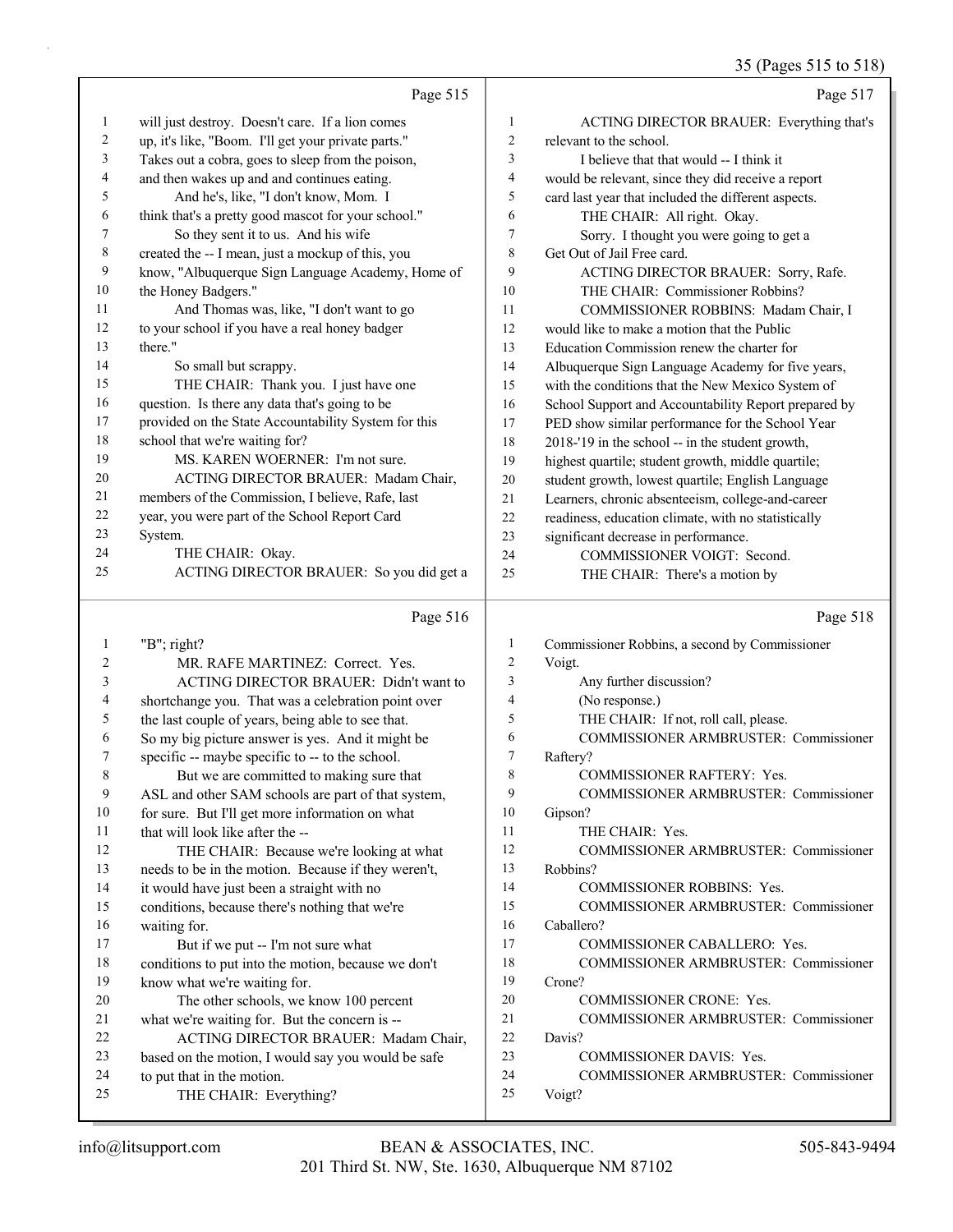35 (Pages 515 to 518)

|                | Page 515                                                                                            |                | Page 517                                                |
|----------------|-----------------------------------------------------------------------------------------------------|----------------|---------------------------------------------------------|
| 1              | will just destroy. Doesn't care. If a lion comes                                                    | 1              | ACTING DIRECTOR BRAUER: Everything that's               |
| $\overline{c}$ | up, it's like, "Boom. I'll get your private parts."                                                 | $\overline{c}$ | relevant to the school.                                 |
| 3              | Takes out a cobra, goes to sleep from the poison,                                                   | 3              | I believe that that would -- I think it                 |
| 4              | and then wakes up and and continues eating.                                                         | 4              | would be relevant, since they did receive a report      |
| 5              | And he's, like, "I don't know, Mom. I                                                               | 5              | card last year that included the different aspects.     |
| 6              | think that's a pretty good mascot for your school."                                                 | 6              | THE CHAIR: All right. Okay.                             |
| 7              | So they sent it to us. And his wife                                                                 | 7              | Sorry. I thought you were going to get a                |
| 8              | created the -- I mean, just a mockup of this, you                                                   | 8              | Get Out of Jail Free card.                              |
| 9              | know, "Albuquerque Sign Language Academy, Home of                                                   | 9              | ACTING DIRECTOR BRAUER: Sorry, Rafe.                    |
| 10             | the Honey Badgers."                                                                                 | 10             | THE CHAIR: Commissioner Robbins?                        |
| 11             | And Thomas was, like, "I don't want to go                                                           | 11             | COMMISSIONER ROBBINS: Madam Chair, I                    |
| 12             | to your school if you have a real honey badger                                                      | 12             | would like to make a motion that the Public             |
| 13             | there."                                                                                             | 13             | Education Commission renew the charter for              |
| 14             | So small but scrappy.                                                                               | 14             | Albuquerque Sign Language Academy for five years,       |
| 15             | THE CHAIR: Thank you. I just have one                                                               | 15             | with the conditions that the New Mexico System of       |
| 16             | question. Is there any data that's going to be                                                      | 16             | School Support and Accountability Report prepared by    |
| 17             | provided on the State Accountability System for this                                                | 17             | PED show similar performance for the School Year        |
| 18             | school that we're waiting for?                                                                      | 18             | 2018-'19 in the school -- in the student growth,        |
| 19             | MS. KAREN WOERNER: I'm not sure.                                                                    | 19             | highest quartile; student growth, middle quartile;      |
| 20             | ACTING DIRECTOR BRAUER: Madam Chair,                                                                | 20             | student growth, lowest quartile; English Language       |
| 21             | members of the Commission, I believe, Rafe, last                                                    | 21             | Learners, chronic absenteeism, college-and-career       |
| 22             | year, you were part of the School Report Card                                                       | 22             | readiness, education climate, with no statistically     |
| 23             | System.                                                                                             | 23             | significant decrease in performance.                    |
| 24             | THE CHAIR: Okay.                                                                                    | 24             | COMMISSIONER VOIGT: Second.                             |
| 25             | ACTING DIRECTOR BRAUER: So you did get a                                                            | 25             | THE CHAIR: There's a motion by                          |
|                |                                                                                                     |                |                                                         |
|                | Page 516                                                                                            |                | Page 518                                                |
| 1              |                                                                                                     | 1              |                                                         |
| 2              | "B"; right?                                                                                         | $\overline{c}$ | Commissioner Robbins, a second by Commissioner          |
| 3              | MR. RAFE MARTINEZ: Correct. Yes.<br>ACTING DIRECTOR BRAUER: Didn't want to                          | 3              | Voigt.                                                  |
| 4              |                                                                                                     | 4              | Any further discussion?                                 |
| 5              | shortchange you. That was a celebration point over                                                  | 5              | (No response.)<br>THE CHAIR: If not, roll call, please. |
| 6              | the last couple of years, being able to see that.                                                   | 6              | <b>COMMISSIONER ARMBRUSTER: Commissioner</b>            |
| 7              | So my big picture answer is yes. And it might be<br>specific -- maybe specific to -- to the school. | 7              | Raftery?                                                |
| 8              | But we are committed to making sure that                                                            | 8              | COMMISSIONER RAFTERY: Yes.                              |
| 9              | ASL and other SAM schools are part of that system,                                                  | 9              | <b>COMMISSIONER ARMBRUSTER: Commissioner</b>            |
| 10             | for sure. But I'll get more information on what                                                     | 10             | Gipson?                                                 |
| 11             | that will look like after the --                                                                    | 11             | THE CHAIR: Yes.                                         |
| 12             | THE CHAIR: Because we're looking at what                                                            | 12             | COMMISSIONER ARMBRUSTER: Commissioner                   |
| 13             | needs to be in the motion. Because if they weren't,                                                 | 13             | Robbins?                                                |
| 14             | it would have just been a straight with no                                                          | 14             | COMMISSIONER ROBBINS: Yes.                              |
| 15             | conditions, because there's nothing that we're                                                      | 15             | <b>COMMISSIONER ARMBRUSTER: Commissioner</b>            |
| 16             | waiting for.                                                                                        | 16             | Caballero?                                              |
| 17             | But if we put -- I'm not sure what                                                                  | 17             | COMMISSIONER CABALLERO: Yes.                            |
| 18             | conditions to put into the motion, because we don't                                                 | 18             | COMMISSIONER ARMBRUSTER: Commissioner                   |
| 19             | know what we're waiting for.                                                                        | 19             | Crone?                                                  |
| 20             | The other schools, we know 100 percent                                                              | 20             | COMMISSIONER CRONE: Yes.                                |
| 21             | what we're waiting for. But the concern is --                                                       | 21             | COMMISSIONER ARMBRUSTER: Commissioner                   |
| 22             | ACTING DIRECTOR BRAUER: Madam Chair,                                                                | 22             | Davis?                                                  |
| 23             | based on the motion, I would say you would be safe                                                  | 23             | COMMISSIONER DAVIS: Yes.                                |
| 24<br>25       | to put that in the motion.<br>THE CHAIR: Everything?                                                | 24<br>25       | COMMISSIONER ARMBRUSTER: Commissioner<br>Voigt?         |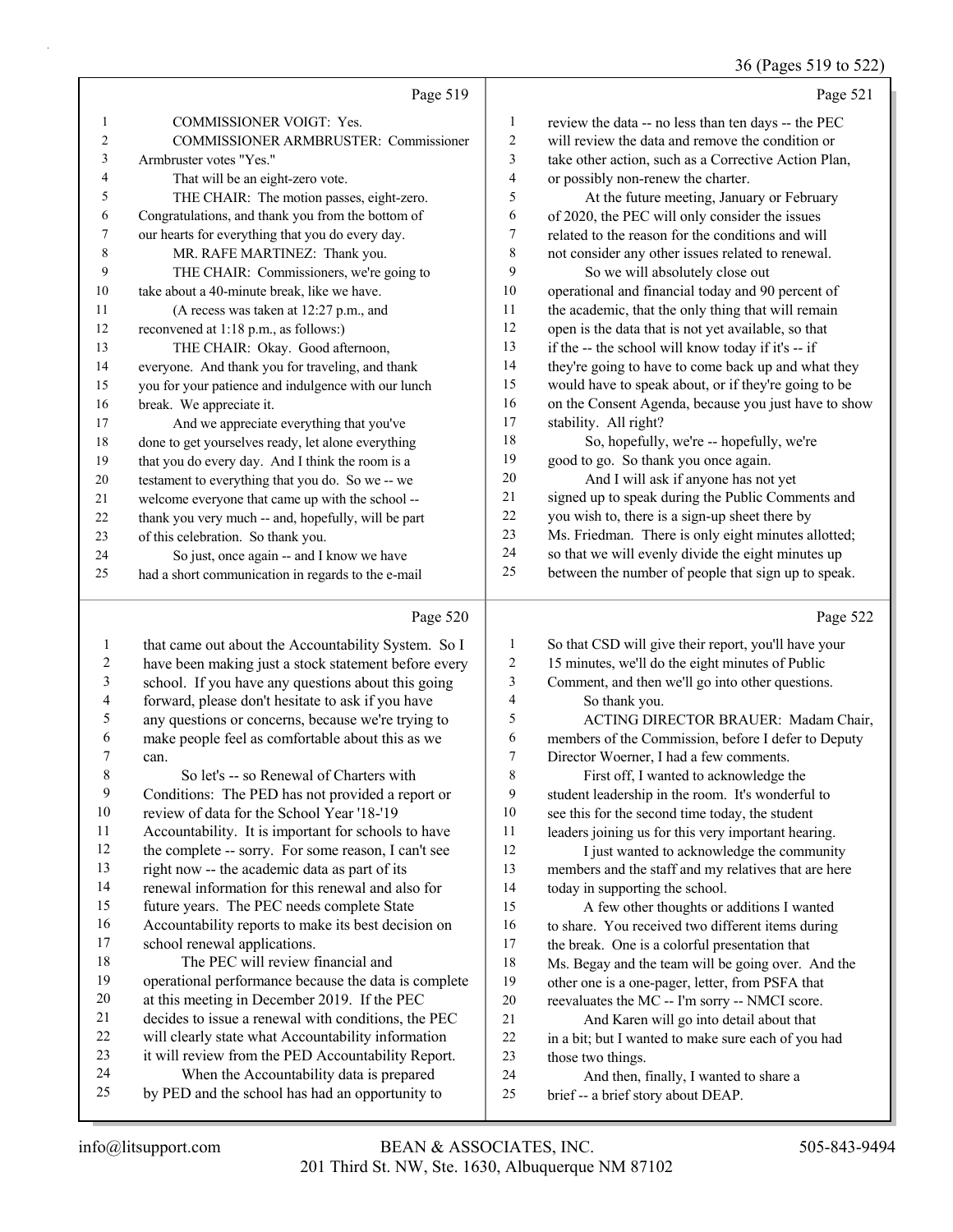36 (Pages 519 to 522)

|                | Page 519                                            |                | Page 521                                             |
|----------------|-----------------------------------------------------|----------------|------------------------------------------------------|
| $\mathbf{1}$   | <b>COMMISSIONER VOIGT: Yes.</b>                     | 1              | review the data -- no less than ten days -- the PEC  |
| $\mathfrak{2}$ | <b>COMMISSIONER ARMBRUSTER: Commissioner</b>        | $\overline{2}$ | will review the data and remove the condition or     |
| $\overline{3}$ | Armbruster votes "Yes."                             | 3              | take other action, such as a Corrective Action Plan, |
| $\overline{4}$ | That will be an eight-zero vote.                    | $\overline{4}$ | or possibly non-renew the charter.                   |
| 5              | THE CHAIR: The motion passes, eight-zero.           | 5              | At the future meeting, January or February           |
| 6              | Congratulations, and thank you from the bottom of   | 6              | of 2020, the PEC will only consider the issues       |
| 7              | our hearts for everything that you do every day.    | 7              | related to the reason for the conditions and will    |
| 8              | MR. RAFE MARTINEZ: Thank you.                       | 8              | not consider any other issues related to renewal.    |
| 9              | THE CHAIR: Commissioners, we're going to            | 9              | So we will absolutely close out                      |
| 10             | take about a 40-minute break, like we have.         | 10             | operational and financial today and 90 percent of    |
| 11             | (A recess was taken at 12:27 p.m., and              | 11             | the academic, that the only thing that will remain   |
| 12             | reconvened at 1:18 p.m., as follows:)               | 12             | open is the data that is not yet available, so that  |
| 13             | THE CHAIR: Okay. Good afternoon,                    | 13             | if the -- the school will know today if it's -- if   |
| 14             | everyone. And thank you for traveling, and thank    | 14             | they're going to have to come back up and what they  |
| 15             | you for your patience and indulgence with our lunch | 15             | would have to speak about, or if they're going to be |
| 16             | break. We appreciate it.                            | 16             | on the Consent Agenda, because you just have to show |
| 17             | And we appreciate everything that you've            | 17             | stability. All right?                                |
| 18             | done to get yourselves ready, let alone everything  | 18             | So, hopefully, we're -- hopefully, we're             |
| 19             | that you do every day. And I think the room is a    | 19             | good to go. So thank you once again.                 |
| 20             | testament to everything that you do. So we -- we    | 20             | And I will ask if anyone has not yet                 |
| 21             | welcome everyone that came up with the school --    | 21             | signed up to speak during the Public Comments and    |
| 22             | thank you very much -- and, hopefully, will be part | 22             | you wish to, there is a sign-up sheet there by       |
| 23             | of this celebration. So thank you.                  | 23             | Ms. Friedman. There is only eight minutes allotted;  |
| 24             | So just, once again -- and I know we have           | 24             | so that we will evenly divide the eight minutes up   |
| 25             | had a short communication in regards to the e-mail  | 25             | between the number of people that sign up to speak.  |

|    | Page 520                                             |    | Page 522                                             |
|----|------------------------------------------------------|----|------------------------------------------------------|
| 1  | that came out about the Accountability System. So I  | 1  | So that CSD will give their report, you'll have your |
| 2  | have been making just a stock statement before every | 2  | 15 minutes, we'll do the eight minutes of Public     |
| 3  | school. If you have any questions about this going   | 3  | Comment, and then we'll go into other questions.     |
| 4  | forward, please don't hesitate to ask if you have    | 4  | So thank you.                                        |
| 5  | any questions or concerns, because we're trying to   | 5  | ACTING DIRECTOR BRAUER: Madam Chair,                 |
| 6  | make people feel as comfortable about this as we     | 6  | members of the Commission, before I defer to Deputy  |
| 7  | can.                                                 | 7  | Director Woerner, I had a few comments.              |
| 8  | So let's -- so Renewal of Charters with              | 8  | First off, I wanted to acknowledge the               |
| 9  | Conditions: The PED has not provided a report or     | 9  | student leadership in the room. It's wonderful to    |
| 10 | review of data for the School Year '18-'19           | 10 | see this for the second time today, the student      |
| 11 | Accountability. It is important for schools to have  | 11 | leaders joining us for this very important hearing.  |
| 12 | the complete -- sorry. For some reason, I can't see  | 12 | I just wanted to acknowledge the community           |
| 13 | right now -- the academic data as part of its        | 13 | members and the staff and my relatives that are here |
| 14 | renewal information for this renewal and also for    | 14 | today in supporting the school.                      |
| 15 | future years. The PEC needs complete State           | 15 | A few other thoughts or additions I wanted           |
| 16 | Accountability reports to make its best decision on  | 16 | to share. You received two different items during    |
| 17 | school renewal applications.                         | 17 | the break. One is a colorful presentation that       |
| 18 | The PEC will review financial and                    | 18 | Ms. Begay and the team will be going over. And the   |
| 19 | operational performance because the data is complete | 19 | other one is a one-pager, letter, from PSFA that     |
| 20 | at this meeting in December 2019. If the PEC         | 20 | reevaluates the MC -- I'm sorry -- NMCI score.       |
| 21 | decides to issue a renewal with conditions, the PEC  | 21 | And Karen will go into detail about that             |
| 22 | will clearly state what Accountability information   | 22 | in a bit; but I wanted to make sure each of you had  |
| 23 | it will review from the PED Accountability Report.   | 23 | those two things.                                    |
| 24 | When the Accountability data is prepared             | 24 | And then, finally, I wanted to share a               |
| 25 | by PED and the school has had an opportunity to      | 25 | brief -- a brief story about DEAP.                   |
|    |                                                      |    |                                                      |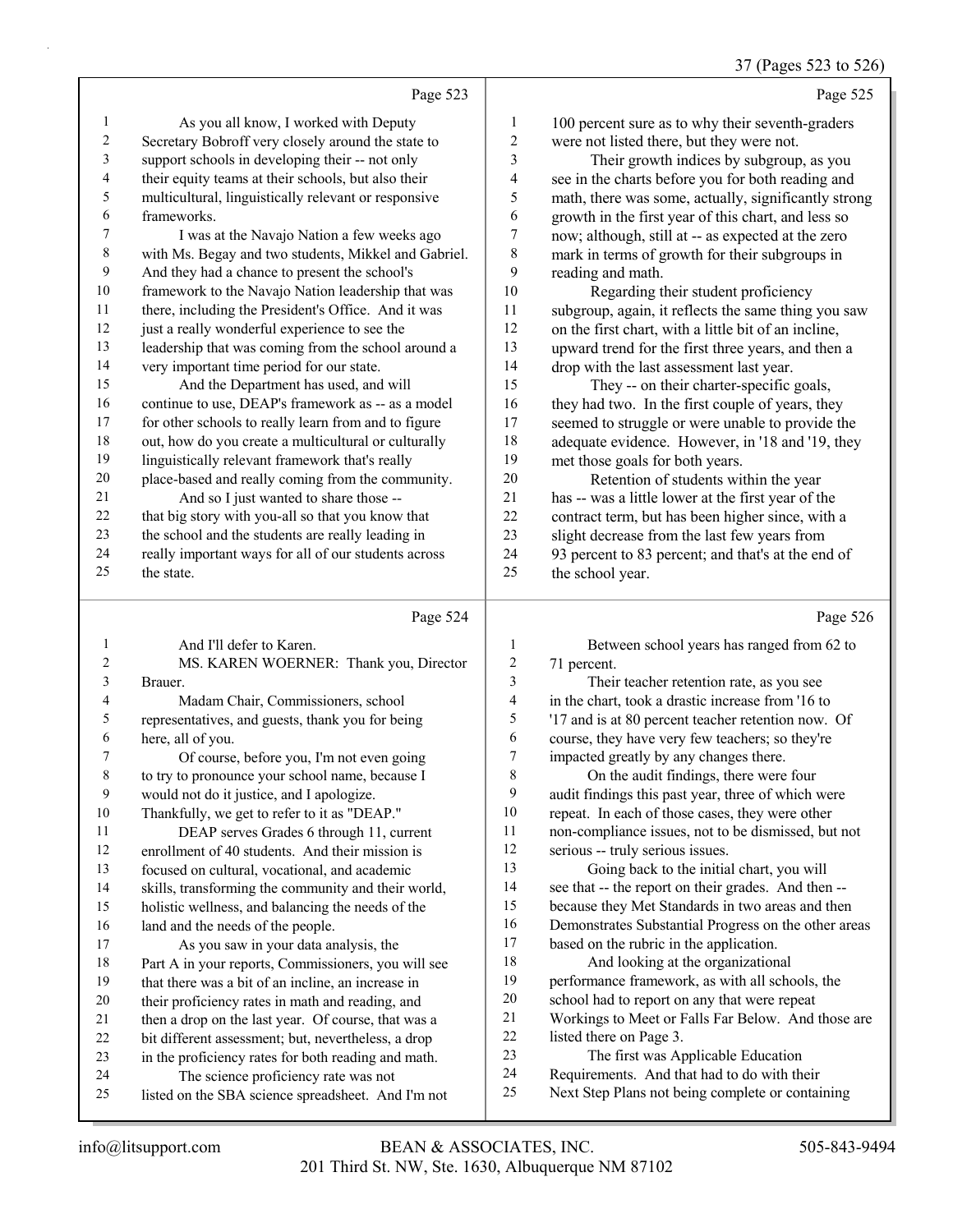37 (Pages 523 to 526)

|    |                                                      |                  | $57$ (1 upon $52$ to $52$                               |
|----|------------------------------------------------------|------------------|---------------------------------------------------------|
|    | Page 523                                             |                  | Page 525                                                |
| 1  | As you all know, I worked with Deputy                | 1                | 100 percent sure as to why their seventh-graders        |
| 2  | Secretary Bobroff very closely around the state to   | 2                | were not listed there, but they were not.               |
| 3  | support schools in developing their -- not only      | 3                | Their growth indices by subgroup, as you                |
| 4  | their equity teams at their schools, but also their  | 4                | see in the charts before you for both reading and       |
| 5  | multicultural, linguistically relevant or responsive | 5                | math, there was some, actually, significantly strong    |
| 6  | frameworks.                                          | 6                | growth in the first year of this chart, and less so     |
| 7  | I was at the Navajo Nation a few weeks ago           | 7                | now; although, still at -- as expected at the zero      |
| 8  | with Ms. Begay and two students, Mikkel and Gabriel. | 8                | mark in terms of growth for their subgroups in          |
| 9  | And they had a chance to present the school's        | 9                | reading and math.                                       |
| 10 | framework to the Navajo Nation leadership that was   | 10               | Regarding their student proficiency                     |
| 11 | there, including the President's Office. And it was  | 11               | subgroup, again, it reflects the same thing you saw     |
| 12 | just a really wonderful experience to see the        | 12               | on the first chart, with a little bit of an incline,    |
| 13 | leadership that was coming from the school around a  | 13               | upward trend for the first three years, and then a      |
| 14 | very important time period for our state.            | 14               | drop with the last assessment last year.                |
| 15 | And the Department has used, and will                | 15               | They -- on their charter-specific goals,                |
| 16 | continue to use, DEAP's framework as -- as a model   | 16               | they had two. In the first couple of years, they        |
| 17 | for other schools to really learn from and to figure | 17               | seemed to struggle or were unable to provide the        |
| 18 | out, how do you create a multicultural or culturally | 18               | adequate evidence. However, in '18 and '19, they        |
| 19 | linguistically relevant framework that's really      | 19               | met those goals for both years.                         |
| 20 | place-based and really coming from the community.    | 20               | Retention of students within the year                   |
| 21 | And so I just wanted to share those --               | 21               | has -- was a little lower at the first year of the      |
| 22 | that big story with you-all so that you know that    | 22               | contract term, but has been higher since, with a        |
| 23 | the school and the students are really leading in    | 23               | slight decrease from the last few years from            |
| 24 | really important ways for all of our students across | 24               | 93 percent to 83 percent; and that's at the end of      |
| 25 | the state.                                           | 25               | the school year.                                        |
|    | Page 524                                             |                  | Page 526                                                |
| 1  | And I'll defer to Karen.                             | 1                | Between school years has ranged from 62 to              |
| 2  | MS. KAREN WOERNER: Thank you, Director               | $\boldsymbol{2}$ | 71 percent.                                             |
| 3  | Brauer.                                              | 3                | Their teacher retention rate, as you see                |
| 4  | Madam Chair, Commissioners, school                   | 4                | in the chart, took a drastic increase from '16 to       |
|    | cooptatives, and succets thank you fanksin           | $\epsilon$       | $117$ and is at $90$ nanaget taggher natestige name. Of |

representatives, and guests, thank you for being

 here, all of you. 7 Of course, before you, I'm not even going to try to pronounce your school name, because I

 would not do it justice, and I apologize. Thankfully, we get to refer to it as "DEAP."

11 DEAP serves Grades 6 through 11, current

enrollment of 40 students. And their mission is

focused on cultural, vocational, and academic

skills, transforming the community and their world,

 holistic wellness, and balancing the needs of the 16 land and the needs of the people.

17 As you saw in your data analysis, the Part A in your reports, Commissioners, you will see that there was a bit of an incline, an increase in their proficiency rates in math and reading, and then a drop on the last year. Of course, that was a

 bit different assessment; but, nevertheless, a drop in the proficiency rates for both reading and math.

24 The science proficiency rate was not

listed on the SBA science spreadsheet. And I'm not

 '17 and is at 80 percent teacher retention now. Of course, they have very few teachers; so they're impacted greatly by any changes there.

8 On the audit findings, there were four audit findings this past year, three of which were repeat. In each of those cases, they were other non-compliance issues, not to be dismissed, but not serious -- truly serious issues.

13 Going back to the initial chart, you will see that -- the report on their grades. And then -- because they Met Standards in two areas and then

- Demonstrates Substantial Progress on the other areas
- based on the rubric in the application.

18 And looking at the organizational performance framework, as with all schools, the

- school had to report on any that were repeat
- Workings to Meet or Falls Far Below. And those are
- listed there on Page 3.
- 23 The first was Applicable Education
- Requirements. And that had to do with their
- Next Step Plans not being complete or containing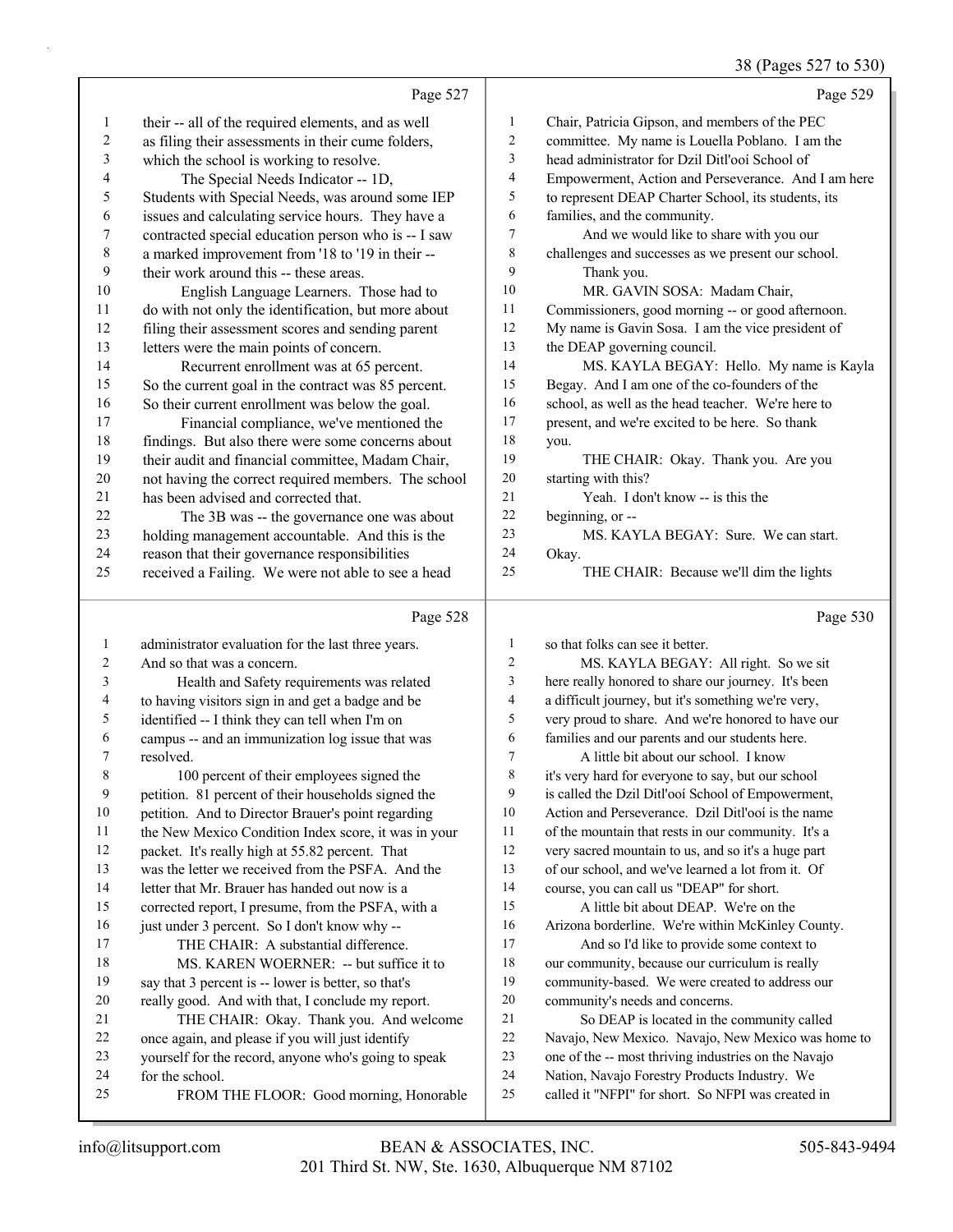|                |                                                      |                | 38 (Pages 527 to 530)                               |
|----------------|------------------------------------------------------|----------------|-----------------------------------------------------|
|                | Page 527                                             |                | Page 529                                            |
| $\mathbf{1}$   | their -- all of the required elements, and as well   | $\mathbf{1}$   | Chair, Patricia Gipson, and members of the PEC      |
| $\overline{c}$ | as filing their assessments in their cume folders,   | 2              | committee. My name is Louella Poblano. I am the     |
| 3              | which the school is working to resolve.              | 3              | head administrator for Dzil Ditl'ooí School of      |
| 4              | The Special Needs Indicator -- 1D,                   | 4              | Empowerment, Action and Perseverance. And I am here |
| 5              | Students with Special Needs, was around some IEP     | 5              | to represent DEAP Charter School, its students, its |
| 6              | issues and calculating service hours. They have a    | 6              | families, and the community.                        |
| 7              | contracted special education person who is -- I saw  | 7              | And we would like to share with you our             |
| $\,$ $\,$      | a marked improvement from '18 to '19 in their --     | $\,8\,$        | challenges and successes as we present our school.  |
| 9              | their work around this -- these areas.               | 9              | Thank you.                                          |
| $10\,$         | English Language Learners. Those had to              | 10             | MR. GAVIN SOSA: Madam Chair,                        |
| 11             | do with not only the identification, but more about  | 11             | Commissioners, good morning -- or good afternoon.   |
| 12             | filing their assessment scores and sending parent    | 12             | My name is Gavin Sosa. I am the vice president of   |
| 13             | letters were the main points of concern.             | 13             | the DEAP governing council.                         |
| 14             | Recurrent enrollment was at 65 percent.              | 14             | MS. KAYLA BEGAY: Hello. My name is Kayla            |
| 15             | So the current goal in the contract was 85 percent.  | 15             | Begay. And I am one of the co-founders of the       |
| 16             | So their current enrollment was below the goal.      | 16             | school, as well as the head teacher. We're here to  |
| 17             | Financial compliance, we've mentioned the            | $17\,$         | present, and we're excited to be here. So thank     |
| 18             | findings. But also there were some concerns about    | 18             | you.                                                |
| 19             | their audit and financial committee, Madam Chair,    | 19             | THE CHAIR: Okay. Thank you. Are you                 |
| $20\,$         | not having the correct required members. The school  | 20             | starting with this?                                 |
| 21             | has been advised and corrected that.                 | 21             | Yeah. I don't know -- is this the                   |
| $22\,$         | The 3B was -- the governance one was about           | 22             | beginning, or --                                    |
| 23             | holding management accountable. And this is the      | 23             | MS. KAYLA BEGAY: Sure. We can start.                |
| 24             | reason that their governance responsibilities        | 24             | Okay.                                               |
| 25             | received a Failing. We were not able to see a head   | 25             | THE CHAIR: Because we'll dim the lights             |
|                |                                                      |                |                                                     |
|                | Page 528                                             |                | Page 530                                            |
| $\mathbf{1}$   | administrator evaluation for the last three years.   | $\mathbf{1}$   | so that folks can see it better.                    |
| 2              | And so that was a concern.                           | 2              | MS. KAYLA BEGAY: All right. So we sit               |
| 3              | Health and Safety requirements was related           | 3              | here really honored to share our journey. It's been |
| 4              | to having visitors sign in and get a badge and be    | 4              | a difficult journey, but it's something we're very, |
| 5              | identified -- I think they can tell when I'm on      | 5              | very proud to share. And we're honored to have our  |
| 6              | campus -- and an immunization log issue that was     | 6              | families and our parents and our students here.     |
| 7              | resolved.                                            | $\overline{7}$ | A little bit about our school. I know               |
| $\,$ 8 $\,$    | 100 percent of their employees signed the            | 8              | it's very hard for everyone to say, but our school  |
| 9              | petition. 81 percent of their households signed the  | 9              | is called the Dzil Ditl'ooi School of Empowerment,  |
| 10             | petition. And to Director Brauer's point regarding   | 10             | Action and Perseverance. Dzil Ditl'ooí is the name  |
| 11             | the New Mexico Condition Index score, it was in your | 11             | of the mountain that rests in our community. It's a |
| 12             | packet. It's really high at 55.82 percent. That      | 12             | very sacred mountain to us, and so it's a huge part |
| 13             | was the letter we received from the PSFA. And the    | 13             | of our school, and we've learned a lot from it. Of  |

letter that Mr. Brauer has handed out now is a

corrected report, I presume, from the PSFA, with a

- 16 just under 3 percent. So I don't know why --17 THE CHAIR: A substantial difference. 18 MS. KAREN WOERNER: -- but suffice it to say that 3 percent is -- lower is better, so that's really good. And with that, I conclude my report. 21 THE CHAIR: Okay. Thank you. And welcome once again, and please if you will just identify yourself for the record, anyone who's going to speak for the school.
- 25 FROM THE FLOOR: Good morning, Honorable
- course, you can call us "DEAP" for short. 15 A little bit about DEAP. We're on the Arizona borderline. We're within McKinley County.
- 17 And so I'd like to provide some context to 18 our community, because our curriculum is really community-based. We were created to address our
- community's needs and concerns. 21 So DEAP is located in the community called
- Navajo, New Mexico. Navajo, New Mexico was home to
- one of the -- most thriving industries on the Navajo
- Nation, Navajo Forestry Products Industry. We
- called it "NFPI" for short. So NFPI was created in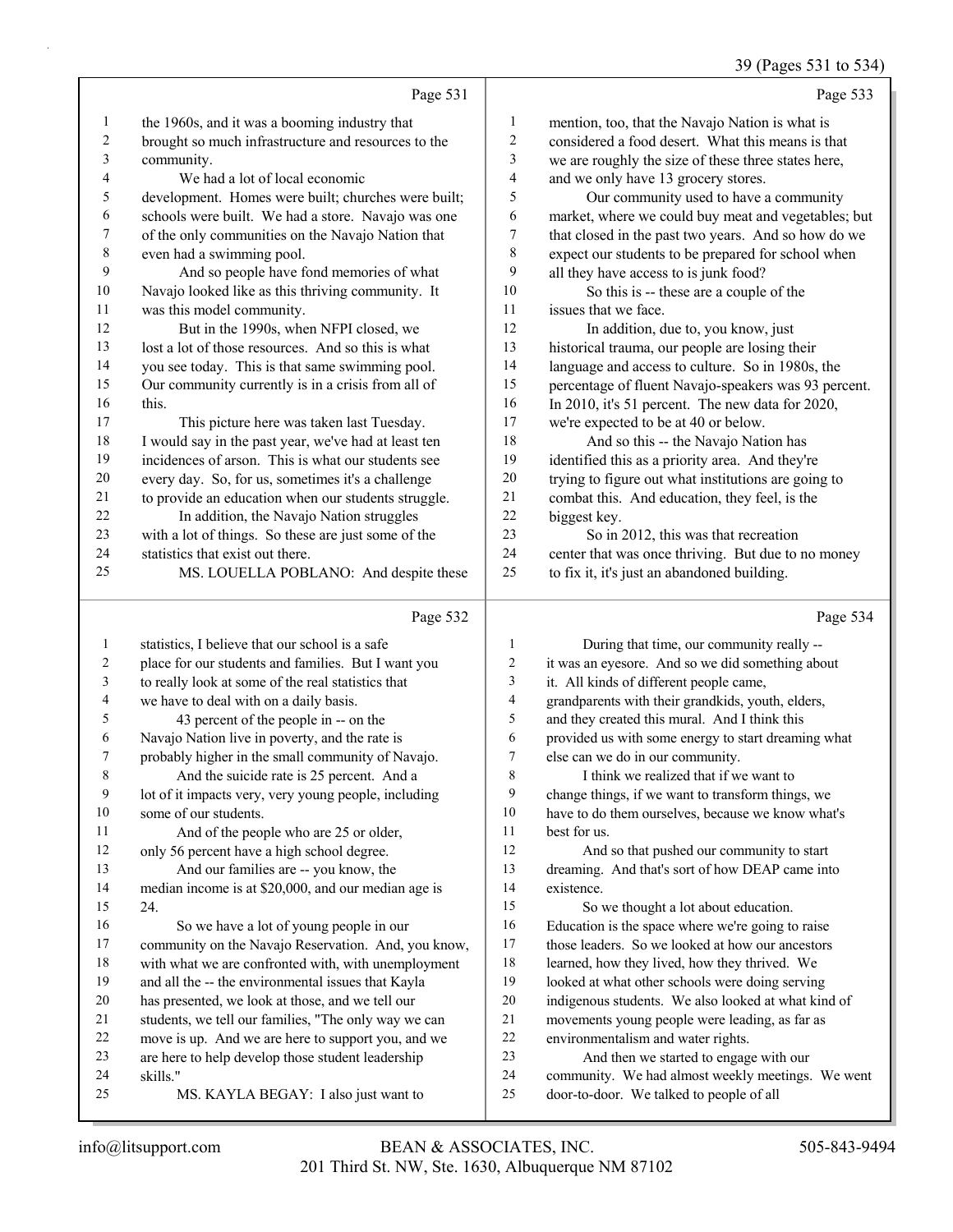39 (Pages 531 to 534)

|        | Page 531                                             |                | Page 533                                             |
|--------|------------------------------------------------------|----------------|------------------------------------------------------|
| 1      | the 1960s, and it was a booming industry that        | 1              | mention, too, that the Navajo Nation is what is      |
| 2      | brought so much infrastructure and resources to the  | $\overline{c}$ | considered a food desert. What this means is that    |
| 3      | community.                                           | 3              | we are roughly the size of these three states here,  |
| 4      | We had a lot of local economic                       | 4              | and we only have 13 grocery stores.                  |
| 5      | development. Homes were built; churches were built;  | 5              | Our community used to have a community               |
| 6      | schools were built. We had a store. Navajo was one   | 6              | market, where we could buy meat and vegetables; but  |
| 7      | of the only communities on the Navajo Nation that    | 7              | that closed in the past two years. And so how do we  |
| 8      | even had a swimming pool.                            | 8              | expect our students to be prepared for school when   |
| 9      | And so people have fond memories of what             | 9              | all they have access to is junk food?                |
| 10     | Navajo looked like as this thriving community. It    | 10             | So this is -- these are a couple of the              |
| 11     | was this model community.                            | 11             | issues that we face.                                 |
| 12     | But in the 1990s, when NFPI closed, we               | 12             | In addition, due to, you know, just                  |
| 13     | lost a lot of those resources. And so this is what   | 13             | historical trauma, our people are losing their       |
| 14     | you see today. This is that same swimming pool.      | 14             | language and access to culture. So in 1980s, the     |
| 15     | Our community currently is in a crisis from all of   | 15             | percentage of fluent Navajo-speakers was 93 percent. |
| 16     | this.                                                | 16             | In 2010, it's 51 percent. The new data for 2020,     |
| 17     | This picture here was taken last Tuesday.            | 17             | we're expected to be at 40 or below.                 |
| 18     | I would say in the past year, we've had at least ten | 18             | And so this -- the Navajo Nation has                 |
| 19     | incidences of arson. This is what our students see   | 19             | identified this as a priority area. And they're      |
| $20\,$ | every day. So, for us, sometimes it's a challenge    | 20             | trying to figure out what institutions are going to  |
| 21     | to provide an education when our students struggle.  | 21             | combat this. And education, they feel, is the        |
| 22     | In addition, the Navajo Nation struggles             | 22             | biggest key.                                         |
| 23     | with a lot of things. So these are just some of the  | 23             | So in 2012, this was that recreation                 |
| 24     | statistics that exist out there.                     | 24             | center that was once thriving. But due to no money   |
| 25     | MS. LOUELLA POBLANO: And despite these               | 25             | to fix it, it's just an abandoned building.          |
|        | Page 532                                             |                | Page 534                                             |
| 1      | statistics, I believe that our school is a safe      |                | During that time, our community really --            |
|        | place for our students and families Rut Lwant you    | 2              | it was an evesore And so we did something about      |

| 2              | place for our students and families. But I want you  | 2  | it was an eyesore. And so we did something about    |
|----------------|------------------------------------------------------|----|-----------------------------------------------------|
| 3              | to really look at some of the real statistics that   | 3  | it. All kinds of different people came,             |
| $\overline{4}$ | we have to deal with on a daily basis.               | 4  | grandparents with their grandkids, youth, elders,   |
| 5              | 43 percent of the people in -- on the                | 5  | and they created this mural. And I think this       |
| 6              | Navajo Nation live in poverty, and the rate is       | 6  | provided us with some energy to start dreaming what |
| 7              | probably higher in the small community of Navajo.    | 7  | else can we do in our community.                    |
| 8              | And the suicide rate is 25 percent. And a            | 8  | I think we realized that if we want to              |
| 9              | lot of it impacts very, very young people, including | 9  | change things, if we want to transform things, we   |
| 10             | some of our students.                                | 10 | have to do them ourselves, because we know what's   |
| 11             | And of the people who are 25 or older,               | 11 | best for us.                                        |
| 12             | only 56 percent have a high school degree.           | 12 | And so that pushed our community to start           |
| 13             | And our families are -- you know, the                | 13 | dreaming. And that's sort of how DEAP came into     |
| 14             | median income is at \$20,000, and our median age is  | 14 | existence.                                          |
| 15             | 24.                                                  | 15 | So we thought a lot about education.                |
| 16             | So we have a lot of young people in our              | 16 | Education is the space where we're going to raise   |
| 17             | community on the Navajo Reservation. And, you know,  | 17 | those leaders. So we looked at how our ancestors    |
| 18             | with what we are confronted with, with unemployment  | 18 | learned, how they lived, how they thrived. We       |
| 19             | and all the -- the environmental issues that Kayla   | 19 | looked at what other schools were doing serving     |
| 20             | has presented, we look at those, and we tell our     | 20 | indigenous students. We also looked at what kind of |
| 21             | students, we tell our families, "The only way we can | 21 | movements young people were leading, as far as      |
| 22             | move is up. And we are here to support you, and we   | 22 | environmentalism and water rights.                  |
| 23             | are here to help develop those student leadership    | 23 | And then we started to engage with our              |
| 24             | skills."                                             | 24 | community. We had almost weekly meetings. We went   |
| 25             | MS. KAYLA BEGAY: I also just want to                 | 25 | door-to-door. We talked to people of all            |
|                |                                                      |    |                                                     |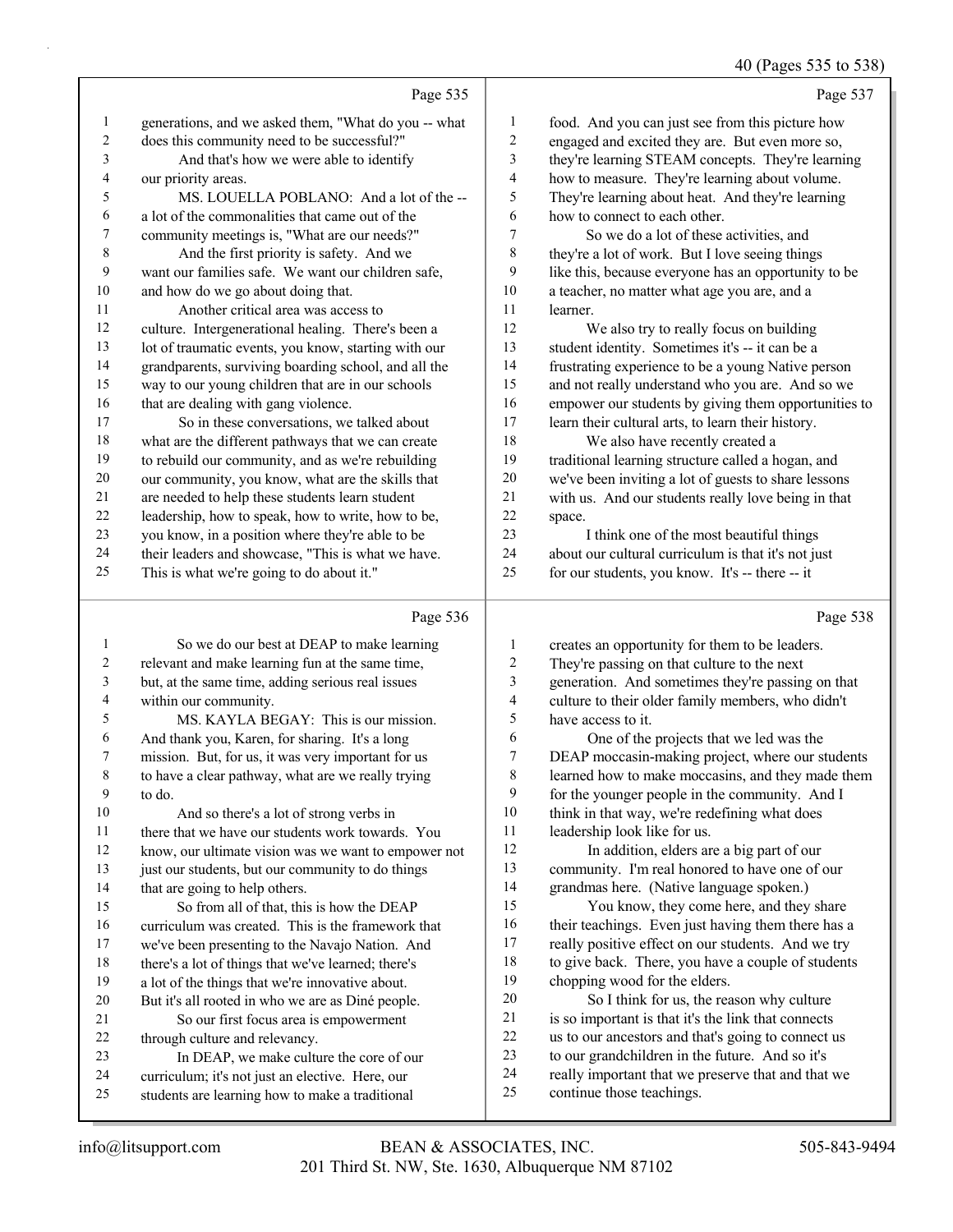40 (Pages 535 to 538)

|                  |                                                      |                          | $40$ (F ages 333 to 336                              |
|------------------|------------------------------------------------------|--------------------------|------------------------------------------------------|
|                  | Page 535                                             |                          | Page 537                                             |
| 1                | generations, and we asked them, "What do you -- what | 1                        | food. And you can just see from this picture how     |
| $\overline{c}$   | does this community need to be successful?"          | $\overline{c}$           | engaged and excited they are. But even more so,      |
| 3                | And that's how we were able to identify              | 3                        | they're learning STEAM concepts. They're learning    |
| 4                | our priority areas.                                  | 4                        | how to measure. They're learning about volume.       |
| 5                | MS. LOUELLA POBLANO: And a lot of the --             | 5                        | They're learning about heat. And they're learning    |
| 6                | a lot of the commonalities that came out of the      | 6                        | how to connect to each other.                        |
| 7                | community meetings is, "What are our needs?"         | 7                        | So we do a lot of these activities, and              |
| $\,$ 8 $\,$      | And the first priority is safety. And we             | 8                        | they're a lot of work. But I love seeing things      |
| 9                | want our families safe. We want our children safe,   | 9                        | like this, because everyone has an opportunity to be |
| 10               | and how do we go about doing that.                   | 10                       | a teacher, no matter what age you are, and a         |
| 11               | Another critical area was access to                  | 11                       | learner.                                             |
| 12               | culture. Intergenerational healing. There's been a   | 12                       | We also try to really focus on building              |
| 13               | lot of traumatic events, you know, starting with our | 13                       | student identity. Sometimes it's -- it can be a      |
| 14               | grandparents, surviving boarding school, and all the | 14                       | frustrating experience to be a young Native person   |
| 15               | way to our young children that are in our schools    | 15                       | and not really understand who you are. And so we     |
| 16               | that are dealing with gang violence.                 | 16                       | empower our students by giving them opportunities to |
| 17               | So in these conversations, we talked about           | 17                       | learn their cultural arts, to learn their history.   |
| $18\,$           | what are the different pathways that we can create   | 18                       | We also have recently created a                      |
| 19               | to rebuild our community, and as we're rebuilding    | 19                       | traditional learning structure called a hogan, and   |
| $20\,$           | our community, you know, what are the skills that    | 20                       | we've been inviting a lot of guests to share lessons |
| 21               | are needed to help these students learn student      | 21                       | with us. And our students really love being in that  |
| 22               | leadership, how to speak, how to write, how to be,   | 22                       | space.                                               |
| 23               | you know, in a position where they're able to be     | 23                       | I think one of the most beautiful things             |
| 24               | their leaders and showcase, "This is what we have.   | 24                       | about our cultural curriculum is that it's not just  |
| 25               | This is what we're going to do about it."            | 25                       | for our students, you know. It's -- there -- it      |
|                  | Page 536                                             |                          | Page 538                                             |
| $\mathbf{1}$     | So we do our best at DEAP to make learning           | $\mathbf{1}$             | creates an opportunity for them to be leaders.       |
| $\boldsymbol{2}$ | relevant and make learning fun at the same time,     | $\overline{\mathbf{c}}$  | They're passing on that culture to the next          |
| 3                | but, at the same time, adding serious real issues    | 3                        | generation. And sometimes they're passing on that    |
| $\overline{4}$   | within our community.                                | $\overline{\mathcal{L}}$ | culture to their older family members, who didn't    |
| 5                | MS. KAYLA BEGAY: This is our mission.                | 5                        | have access to it.                                   |
| 6                | And thank you, Karen, for sharing. It's a long       | 6                        | One of the projects that we led was the              |
| 7                | mission. But, for us, it was very important for us   | $\boldsymbol{7}$         | DEAP moccasin-making project, where our students     |
| 8                | to have a clear pathway, what are we really trying   | 8                        | learned how to make moccasins, and they made them    |

- to do.
- 10 And so there's a lot of strong verbs in there that we have our students work towards. You

 know, our ultimate vision was we want to empower not 13 just our students, but our community to do things

14 that are going to help others. 15 So from all of that, this is how the DEAP curriculum was created. This is the framework that we've been presenting to the Navajo Nation. And

there's a lot of things that we've learned; there's

- a lot of the things that we're innovative about. But it's all rooted in who we are as Diné people.
- 21 So our first focus area is empowerment through culture and relevancy.
- 23 In DEAP, we make culture the core of our
- curriculum; it's not just an elective. Here, our
- students are learning how to make a traditional

 for the younger people in the community. And I 10 think in that way, we're redefining what does

12 In addition, elders are a big part of our community. I'm real honored to have one of our grandmas here. (Native language spoken.) 15 You know, they come here, and they share 16 their teachings. Even just having them there has a really positive effect on our students. And we try 18 to give back. There, you have a couple of students

20 So I think for us, the reason why culture is so important is that it's the link that connects us to our ancestors and that's going to connect us to our grandchildren in the future. And so it's really important that we preserve that and that we

leadership look like for us.

chopping wood for the elders.

continue those teachings.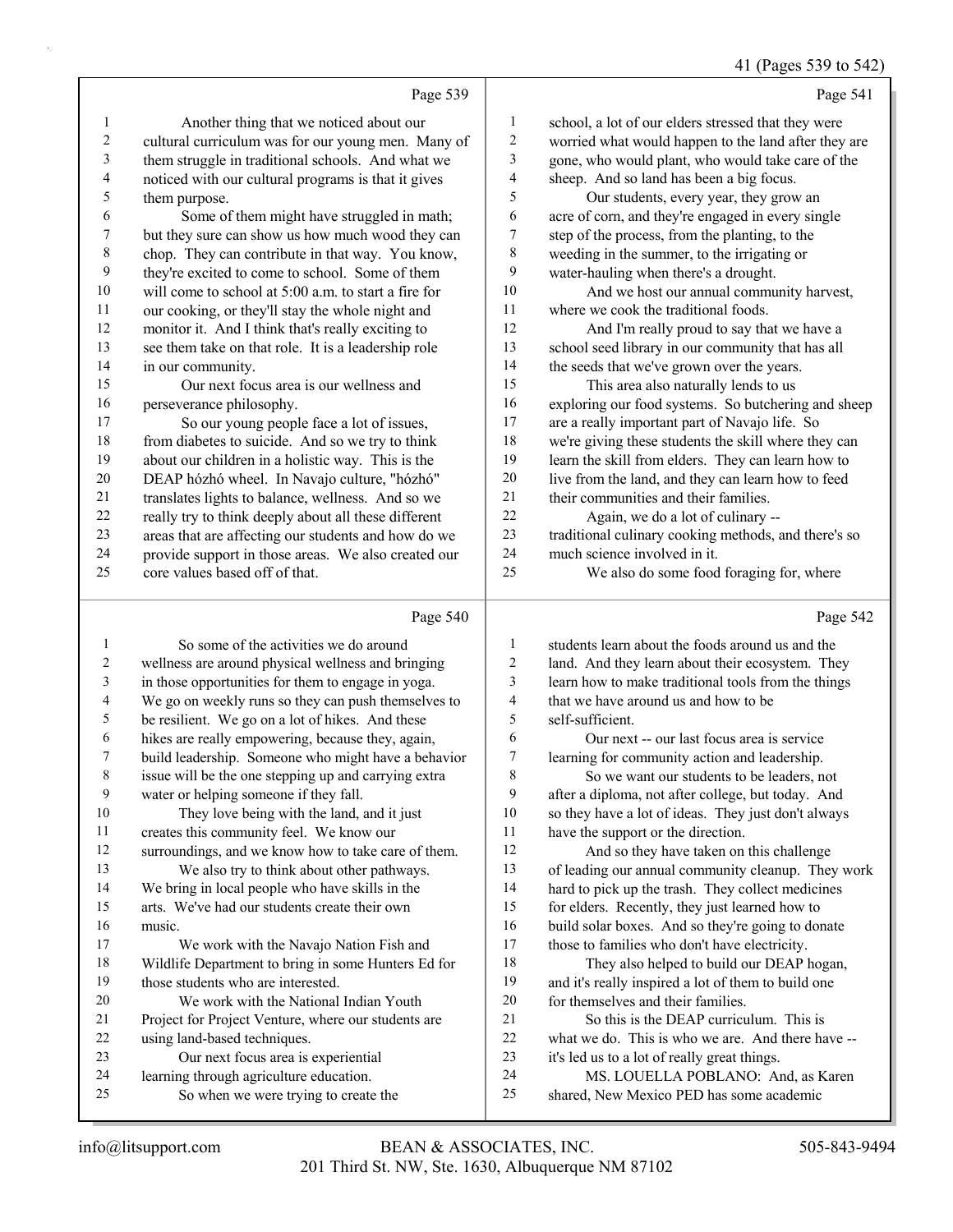### 41 (Pages 539 to 542)

Page 539 1 Another thing that we noticed about our cultural curriculum was for our young men. Many of them struggle in traditional schools. And what we noticed with our cultural programs is that it gives them purpose. 6 Some of them might have struggled in math; but they sure can show us how much wood they can chop. They can contribute in that way. You know, they're excited to come to school. Some of them will come to school at 5:00 a.m. to start a fire for our cooking, or they'll stay the whole night and monitor it. And I think that's really exciting to see them take on that role. It is a leadership role 14 in our community.<br>15 Our next foc Our next focus area is our wellness and perseverance philosophy. 17 So our young people face a lot of issues, from diabetes to suicide. And so we try to think about our children in a holistic way. This is the DEAP hózhó wheel. In Navajo culture, "hózhó" translates lights to balance, wellness. And so we really try to think deeply about all these different areas that are affecting our students and how do we provide support in those areas. We also created our core values based off of that. Page 541 school, a lot of our elders stressed that they were worried what would happen to the land after they are gone, who would plant, who would take care of the sheep. And so land has been a big focus. 5 Our students, every year, they grow an acre of corn, and they're engaged in every single step of the process, from the planting, to the weeding in the summer, to the irrigating or water-hauling when there's a drought. 10 And we host our annual community harvest, where we cook the traditional foods. 12 And I'm really proud to say that we have a school seed library in our community that has all 14 the seeds that we've grown over the years.<br>15 This area also naturally lends to us This area also naturally lends to us exploring our food systems. So butchering and sheep are a really important part of Navajo life. So we're giving these students the skill where they can learn the skill from elders. They can learn how to live from the land, and they can learn how to feed 21 their communities and their families. 22 Again, we do a lot of culinary -- traditional culinary cooking methods, and there's so much science involved in it. 25 We also do some food foraging for, where Page 542

#### Page 540

|    | So some of the activities we do around               | 1  | students learn about the foods around us and the    |
|----|------------------------------------------------------|----|-----------------------------------------------------|
| 2  | wellness are around physical wellness and bringing   | 2  | land. And they learn about their ecosystem. They    |
| 3  | in those opportunities for them to engage in yoga.   | 3  | learn how to make traditional tools from the things |
| 4  | We go on weekly runs so they can push themselves to  | 4  | that we have around us and how to be                |
| 5  | be resilient. We go on a lot of hikes. And these     | 5  | self-sufficient.                                    |
| 6  | hikes are really empowering, because they, again,    | 6  | Our next -- our last focus area is service          |
| 7  | build leadership. Someone who might have a behavior  | 7  | learning for community action and leadership.       |
| 8  | issue will be the one stepping up and carrying extra | 8  | So we want our students to be leaders, not          |
| 9  | water or helping someone if they fall.               | 9  | after a diploma, not after college, but today. And  |
| 10 | They love being with the land, and it just           | 10 | so they have a lot of ideas. They just don't always |
| 11 | creates this community feel. We know our             | 11 | have the support or the direction.                  |
| 12 | surroundings, and we know how to take care of them.  | 12 | And so they have taken on this challenge            |
| 13 | We also try to think about other pathways.           | 13 | of leading our annual community cleanup. They work  |
| 14 | We bring in local people who have skills in the      | 14 | hard to pick up the trash. They collect medicines   |
| 15 | arts. We've had our students create their own        | 15 | for elders. Recently, they just learned how to      |
| 16 | music.                                               | 16 | build solar boxes. And so they're going to donate   |
| 17 | We work with the Navajo Nation Fish and              | 17 | those to families who don't have electricity.       |
| 18 | Wildlife Department to bring in some Hunters Ed for  | 18 | They also helped to build our DEAP hogan,           |
| 19 | those students who are interested.                   | 19 | and it's really inspired a lot of them to build one |
| 20 | We work with the National Indian Youth               | 20 | for themselves and their families.                  |
| 21 | Project for Project Venture, where our students are  | 21 | So this is the DEAP curriculum. This is             |
| 22 | using land-based techniques.                         | 22 | what we do. This is who we are. And there have --   |
| 23 | Our next focus area is experiential                  | 23 | it's led us to a lot of really great things.        |
| 24 | learning through agriculture education.              | 24 | MS. LOUELLA POBLANO: And, as Karen                  |
| 25 | So when we were trying to create the                 | 25 | shared, New Mexico PED has some academic            |
|    |                                                      |    |                                                     |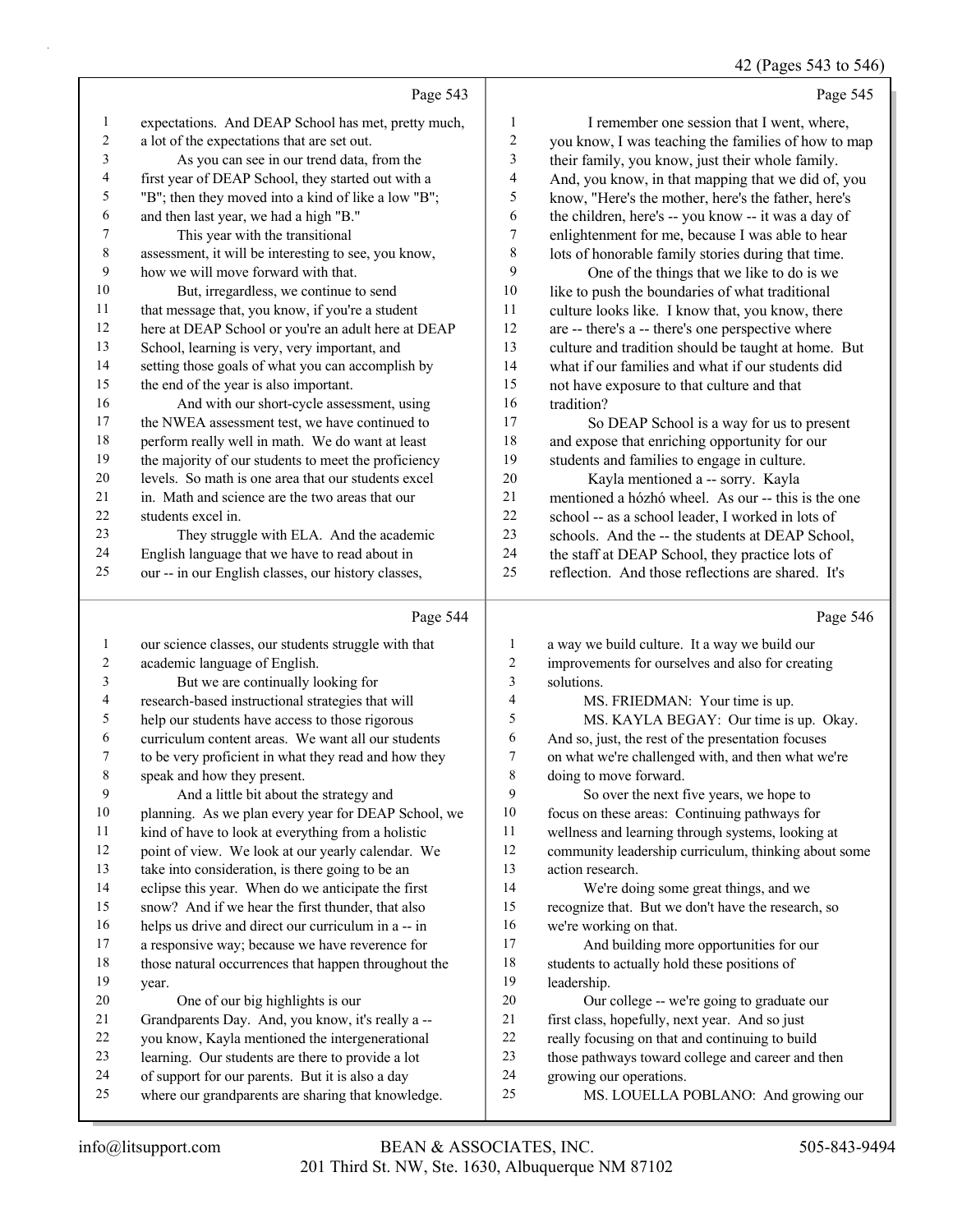42 (Pages 543 to 546)

|                | Page 543                                             |                | Page 545                                            |
|----------------|------------------------------------------------------|----------------|-----------------------------------------------------|
| 1              | expectations. And DEAP School has met, pretty much,  | 1              | I remember one session that I went, where,          |
| $\overline{2}$ | a lot of the expectations that are set out.          | $\overline{c}$ | you know, I was teaching the families of how to map |
| 3              | As you can see in our trend data, from the           | 3              | their family, you know, just their whole family.    |
| 4              | first year of DEAP School, they started out with a   | 4              | And, you know, in that mapping that we did of, you  |
| 5              | "B"; then they moved into a kind of like a low "B";  | 5              | know, "Here's the mother, here's the father, here's |
| 6              | and then last year, we had a high "B."               | 6              | the children, here's -- you know -- it was a day of |
| 7              | This year with the transitional                      | 7              | enlightenment for me, because I was able to hear    |
| 8              | assessment, it will be interesting to see, you know, | 8              | lots of honorable family stories during that time.  |
| 9              | how we will move forward with that.                  | 9              | One of the things that we like to do is we          |
| 10             | But, irregardless, we continue to send               | 10             | like to push the boundaries of what traditional     |
| 11             | that message that, you know, if you're a student     | 11             | culture looks like. I know that, you know, there    |
| 12             | here at DEAP School or you're an adult here at DEAP  | 12             | are -- there's a -- there's one perspective where   |
| 13             | School, learning is very, very important, and        | 13             | culture and tradition should be taught at home. But |
| 14             | setting those goals of what you can accomplish by    | 14             | what if our families and what if our students did   |
| 15             | the end of the year is also important.               | 15             | not have exposure to that culture and that          |
| 16             | And with our short-cycle assessment, using           | 16             | tradition?                                          |
| 17             | the NWEA assessment test, we have continued to       | 17             | So DEAP School is a way for us to present           |
| $18\,$         | perform really well in math. We do want at least     | 18             | and expose that enriching opportunity for our       |
| 19             | the majority of our students to meet the proficiency | 19             | students and families to engage in culture.         |
| 20             | levels. So math is one area that our students excel  | 20             | Kayla mentioned a -- sorry. Kayla                   |
| 21             | in. Math and science are the two areas that our      | 21             | mentioned a hózhó wheel. As our -- this is the one  |
| 22             | students excel in.                                   | 22             | school -- as a school leader, I worked in lots of   |
| 23             | They struggle with ELA. And the academic             | 23             | schools. And the -- the students at DEAP School,    |
| 24             | English language that we have to read about in       | 24             | the staff at DEAP School, they practice lots of     |
| 25             | our -- in our English classes, our history classes,  | 25             | reflection. And those reflections are shared. It's  |
|                | Page 544                                             |                | Page 546                                            |
|                | our science classes, our students struggle with that | 1              | a way we build culture. It a way we build our       |
| $\overline{c}$ | academic language of English.                        | $\overline{2}$ | improvements for ourselves and also for creating    |
|                |                                                      |                |                                                     |

| $\overline{2}$ | academic language of English.                        | $\overline{c}$ | improvements for ourselves and also for creating     |
|----------------|------------------------------------------------------|----------------|------------------------------------------------------|
| 3              | But we are continually looking for                   | 3              | solutions.                                           |
| 4              | research-based instructional strategies that will    | 4              | MS. FRIEDMAN: Your time is up.                       |
| 5              | help our students have access to those rigorous      | 5              | MS. KAYLA BEGAY: Our time is up. Okay.               |
| 6              | curriculum content areas. We want all our students   | 6              | And so, just, the rest of the presentation focuses   |
| 7              | to be very proficient in what they read and how they | 7              | on what we're challenged with, and then what we're   |
| 8              | speak and how they present.                          | 8              | doing to move forward.                               |
| 9              | And a little bit about the strategy and              | 9              | So over the next five years, we hope to              |
| 10             | planning. As we plan every year for DEAP School, we  | 10             | focus on these areas: Continuing pathways for        |
| 11             | kind of have to look at everything from a holistic   | 11             | wellness and learning through systems, looking at    |
| 12             | point of view. We look at our yearly calendar. We    | 12             | community leadership curriculum, thinking about some |
| 13             | take into consideration, is there going to be an     | 13             | action research.                                     |
| 14             | eclipse this year. When do we anticipate the first   | 14             | We're doing some great things, and we                |
| 15             | snow? And if we hear the first thunder, that also    | 15             | recognize that. But we don't have the research, so   |
| 16             | helps us drive and direct our curriculum in a -- in  | 16             | we're working on that.                               |
| 17             | a responsive way; because we have reverence for      | 17             | And building more opportunities for our              |
| 18             | those natural occurrences that happen throughout the | 18             | students to actually hold these positions of         |
| 19             | year.                                                | 19             | leadership.                                          |
| 20             | One of our big highlights is our                     | 20             | Our college -- we're going to graduate our           |
| 21             | Grandparents Day. And, you know, it's really a --    | 21             | first class, hopefully, next year. And so just       |
| 22             | you know, Kayla mentioned the intergenerational      | 22             | really focusing on that and continuing to build      |
| 23             | learning. Our students are there to provide a lot    | 23             | those pathways toward college and career and then    |
| 24             | of support for our parents. But it is also a day     | 24             | growing our operations.                              |
| 25             | where our grandparents are sharing that knowledge.   | 25             | MS. LOUELLA POBLANO: And growing our                 |
|                |                                                      |                |                                                      |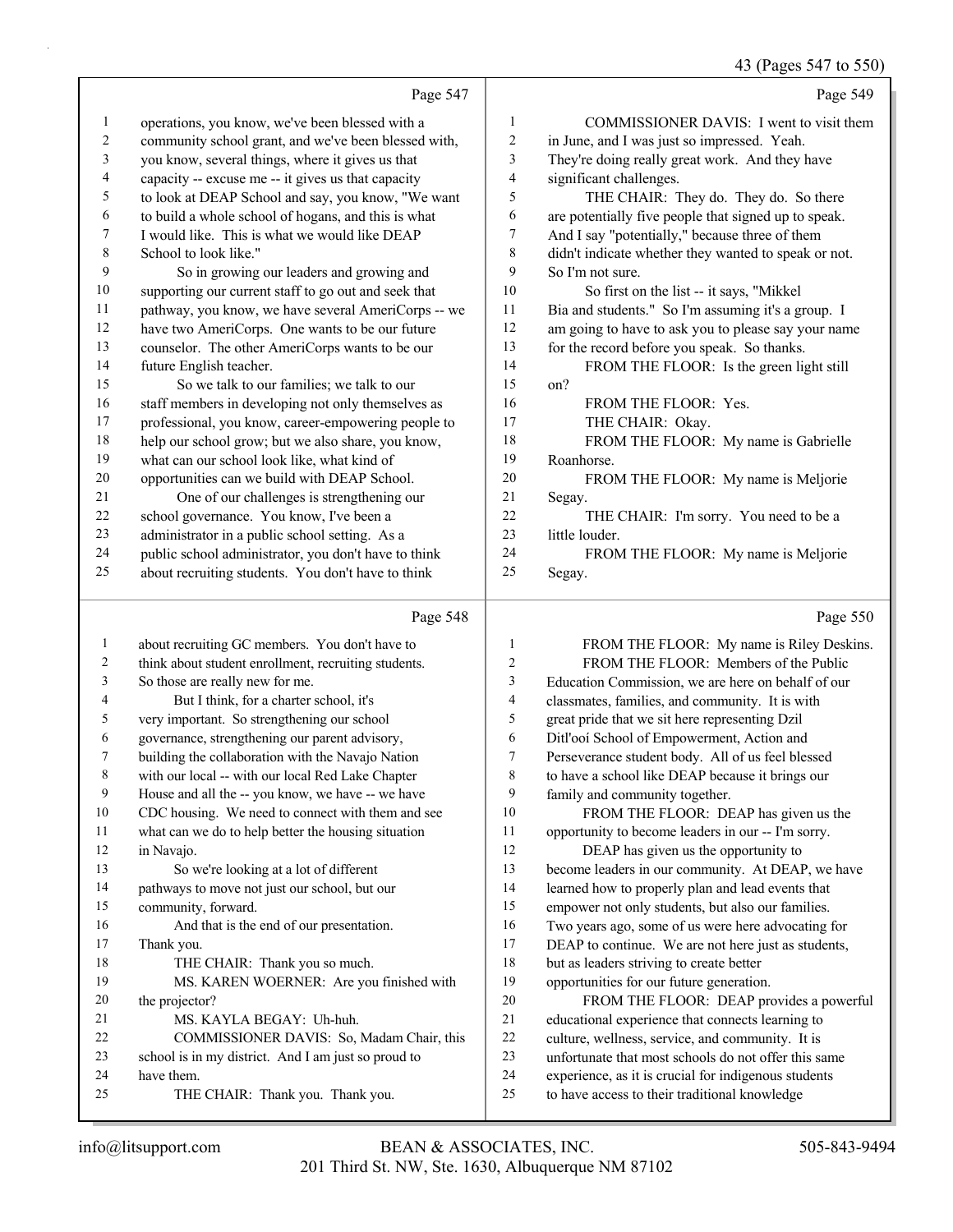## 43 (Pages 547 to 550)

|                          |                                                      |             | $15 \text{ (14500)}$                                 |
|--------------------------|------------------------------------------------------|-------------|------------------------------------------------------|
|                          | Page 547                                             |             | Page 549                                             |
| 1                        | operations, you know, we've been blessed with a      | 1           | COMMISSIONER DAVIS: I went to visit them             |
| 2                        | community school grant, and we've been blessed with, | 2           | in June, and I was just so impressed. Yeah.          |
| 3                        | you know, several things, where it gives us that     | 3           | They're doing really great work. And they have       |
| $\overline{\mathcal{A}}$ | capacity -- excuse me -- it gives us that capacity   | 4           | significant challenges.                              |
| 5                        | to look at DEAP School and say, you know, "We want   | 5           | THE CHAIR: They do. They do. So there                |
| 6                        | to build a whole school of hogans, and this is what  | 6           | are potentially five people that signed up to speak. |
| 7                        | I would like. This is what we would like DEAP        | 7           | And I say "potentially," because three of them       |
| $\,8\,$                  | School to look like."                                | $\,$ 8 $\,$ | didn't indicate whether they wanted to speak or not. |
| 9                        | So in growing our leaders and growing and            | 9           | So I'm not sure.                                     |
| $10\,$                   | supporting our current staff to go out and seek that | 10          | So first on the list -- it says, "Mikkel             |
| 11                       | pathway, you know, we have several AmeriCorps -- we  | 11          | Bia and students." So I'm assuming it's a group. I   |
| 12                       | have two AmeriCorps. One wants to be our future      | 12          | am going to have to ask you to please say your name  |
| 13                       | counselor. The other AmeriCorps wants to be our      | 13          | for the record before you speak. So thanks.          |
| 14                       | future English teacher.                              | 14          | FROM THE FLOOR: Is the green light still             |
| 15                       | So we talk to our families; we talk to our           | 15          | on?                                                  |
| 16                       | staff members in developing not only themselves as   | 16          | FROM THE FLOOR: Yes.                                 |
| $17\,$                   | professional, you know, career-empowering people to  | 17          | THE CHAIR: Okay.                                     |
| 18                       | help our school grow; but we also share, you know,   | 18          | FROM THE FLOOR: My name is Gabrielle                 |
| 19                       | what can our school look like, what kind of          | 19          | Roanhorse.                                           |
| $20\,$                   | opportunities can we build with DEAP School.         | 20          | FROM THE FLOOR: My name is Meljorie                  |
| 21                       | One of our challenges is strengthening our           | 21          | Segay.                                               |
| 22                       | school governance. You know, I've been a             | 22          | THE CHAIR: I'm sorry. You need to be a               |
| 23                       | administrator in a public school setting. As a       | 23          | little louder.                                       |
| 24                       | public school administrator, you don't have to think | 24          | FROM THE FLOOR: My name is Meljorie                  |
| 25                       | about recruiting students. You don't have to think   | 25          | Segay.                                               |
|                          | Page 548                                             |             | Page 550                                             |
| 1                        | about recruiting GC members. You don't have to       | 1           | FROM THE FLOOR: My name is Riley Deskins.            |
|                          |                                                      |             |                                                      |

|    | about recruiting GC members. You don't have to       | 1  | FROM THE FLOOR: My name is Riley Deskins.            |
|----|------------------------------------------------------|----|------------------------------------------------------|
| 2  | think about student enrollment, recruiting students. | 2  | FROM THE FLOOR: Members of the Public                |
| 3  | So those are really new for me.                      | 3  | Education Commission, we are here on behalf of our   |
| 4  | But I think, for a charter school, it's              | 4  | classmates, families, and community. It is with      |
| 5  | very important. So strengthening our school          | 5  | great pride that we sit here representing Dzil       |
| 6  | governance, strengthening our parent advisory,       | 6  | Ditl'ooi School of Empowerment, Action and           |
| 7  | building the collaboration with the Navajo Nation    | 7  | Perseverance student body. All of us feel blessed    |
| 8  | with our local -- with our local Red Lake Chapter    | 8  | to have a school like DEAP because it brings our     |
| 9  | House and all the -- you know, we have -- we have    | 9  | family and community together.                       |
| 10 | CDC housing. We need to connect with them and see    | 10 | FROM THE FLOOR: DEAP has given us the                |
| 11 | what can we do to help better the housing situation  | 11 | opportunity to become leaders in our -- I'm sorry.   |
| 12 | in Navajo.                                           | 12 | DEAP has given us the opportunity to                 |
| 13 | So we're looking at a lot of different               | 13 | become leaders in our community. At DEAP, we have    |
| 14 | pathways to move not just our school, but our        | 14 | learned how to properly plan and lead events that    |
| 15 | community, forward.                                  | 15 | empower not only students, but also our families.    |
| 16 | And that is the end of our presentation.             | 16 | Two years ago, some of us were here advocating for   |
| 17 | Thank you.                                           | 17 | DEAP to continue. We are not here just as students,  |
| 18 | THE CHAIR: Thank you so much.                        | 18 | but as leaders striving to create better             |
| 19 | MS. KAREN WOERNER: Are you finished with             | 19 | opportunities for our future generation.             |
| 20 | the projector?                                       | 20 | FROM THE FLOOR: DEAP provides a powerful             |
| 21 | MS. KAYLA BEGAY: Uh-huh.                             | 21 | educational experience that connects learning to     |
| 22 | COMMISSIONER DAVIS: So, Madam Chair, this            | 22 | culture, wellness, service, and community. It is     |
| 23 | school is in my district. And I am just so proud to  | 23 | unfortunate that most schools do not offer this same |
| 24 | have them.                                           | 24 | experience, as it is crucial for indigenous students |
| 25 | THE CHAIR: Thank you. Thank you.                     | 25 | to have access to their traditional knowledge        |
|    |                                                      |    |                                                      |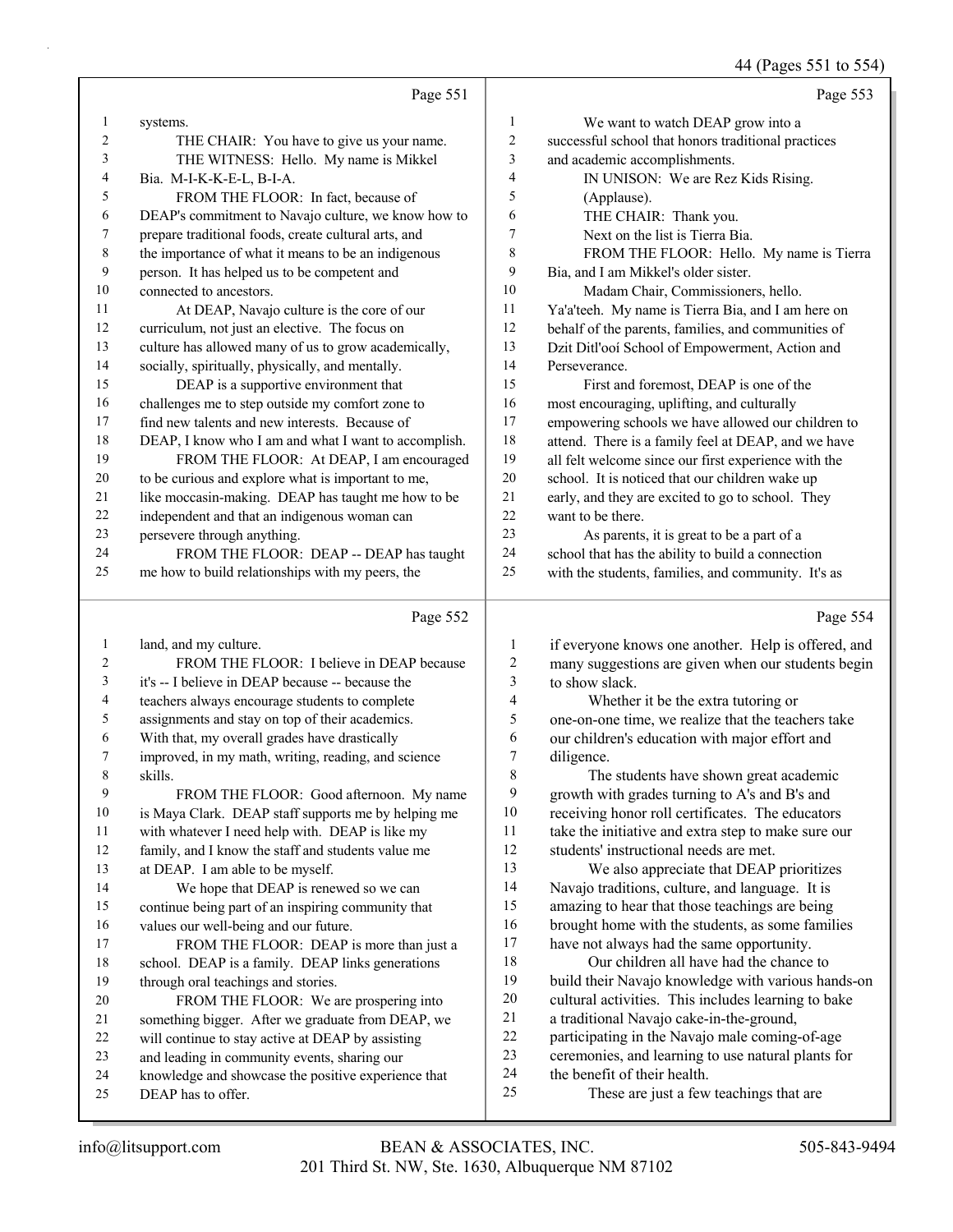44 (Pages 551 to 554)

|                |                                                                           |                         | $1 + \frac{1}{2}$ ugus 331 to 331                                       |
|----------------|---------------------------------------------------------------------------|-------------------------|-------------------------------------------------------------------------|
|                | Page 551                                                                  |                         | Page 553                                                                |
| 1              | systems.                                                                  | $\mathbf{1}$            | We want to watch DEAP grow into a                                       |
| $\overline{2}$ | THE CHAIR: You have to give us your name.                                 | $\overline{\mathbf{c}}$ | successful school that honors traditional practices                     |
| 3              | THE WITNESS: Hello. My name is Mikkel                                     | 3                       | and academic accomplishments.                                           |
| 4              | Bia. M-I-K-K-E-L, B-I-A.                                                  | 4                       | IN UNISON: We are Rez Kids Rising.                                      |
| 5              | FROM THE FLOOR: In fact, because of                                       | 5                       | (Applause).                                                             |
| 6              | DEAP's commitment to Navajo culture, we know how to                       | 6                       | THE CHAIR: Thank you.                                                   |
| 7              | prepare traditional foods, create cultural arts, and                      | 7                       | Next on the list is Tierra Bia.                                         |
| 8              | the importance of what it means to be an indigenous                       | 8                       | FROM THE FLOOR: Hello. My name is Tierra                                |
| 9              | person. It has helped us to be competent and                              | 9                       | Bia, and I am Mikkel's older sister.                                    |
| 10             | connected to ancestors.                                                   | 10                      | Madam Chair, Commissioners, hello.                                      |
| 11             | At DEAP, Navajo culture is the core of our                                | 11                      | Ya'a'teeh. My name is Tierra Bia, and I am here on                      |
| 12             | curriculum, not just an elective. The focus on                            | 12                      | behalf of the parents, families, and communities of                     |
| 13             | culture has allowed many of us to grow academically,                      | 13                      | Dzit Ditl'ooi School of Empowerment, Action and                         |
| 14             | socially, spiritually, physically, and mentally.                          | 14                      | Perseverance.                                                           |
| 15             | DEAP is a supportive environment that                                     | 15                      | First and foremost, DEAP is one of the                                  |
| 16             | challenges me to step outside my comfort zone to                          | 16                      | most encouraging, uplifting, and culturally                             |
| 17             | find new talents and new interests. Because of                            | 17                      | empowering schools we have allowed our children to                      |
| 18             | DEAP, I know who I am and what I want to accomplish.                      | 18                      | attend. There is a family feel at DEAP, and we have                     |
| 19             | FROM THE FLOOR: At DEAP, I am encouraged                                  | 19                      | all felt welcome since our first experience with the                    |
| 20             | to be curious and explore what is important to me,                        | 20                      | school. It is noticed that our children wake up                         |
| 21             | like moccasin-making. DEAP has taught me how to be                        | $21\,$                  | early, and they are excited to go to school. They                       |
| 22             | independent and that an indigenous woman can                              | 22                      | want to be there.                                                       |
| 23             | persevere through anything.                                               | 23                      | As parents, it is great to be a part of a                               |
| 24             | FROM THE FLOOR: DEAP -- DEAP has taught                                   | 24                      | school that has the ability to build a connection                       |
| 25             | me how to build relationships with my peers, the                          | 25                      | with the students, families, and community. It's as                     |
|                |                                                                           |                         |                                                                         |
|                | Page 552                                                                  |                         | Page 554                                                                |
| 1              | land, and my culture.                                                     | 1                       |                                                                         |
| 2              | FROM THE FLOOR: I believe in DEAP because                                 | $\sqrt{2}$              | if everyone knows one another. Help is offered, and                     |
| 3              | it's -- I believe in DEAP because -- because the                          | $\mathfrak{Z}$          | many suggestions are given when our students begin<br>to show slack.    |
| 4              | teachers always encourage students to complete                            | 4                       | Whether it be the extra tutoring or                                     |
| 5              | assignments and stay on top of their academics.                           | 5                       | one-on-one time, we realize that the teachers take                      |
| 6              | With that, my overall grades have drastically                             | 6                       | our children's education with major effort and                          |
| 7              | improved, in my math, writing, reading, and science                       | $\overline{7}$          | diligence.                                                              |
| 8              | skills.                                                                   | 8                       | The students have shown great academic                                  |
| 9              | FROM THE FLOOR: Good afternoon. My name                                   | 9                       | growth with grades turning to A's and B's and                           |
| $10\,$         | is Maya Clark. DEAP staff supports me by helping me                       | 10                      | receiving honor roll certificates. The educators                        |
| 11             | with whatever I need help with. DEAP is like my                           | 11                      | take the initiative and extra step to make sure our                     |
| 12             | family, and I know the staff and students value me                        | 12                      | students' instructional needs are met.                                  |
| 13             | at DEAP. I am able to be myself.                                          | 13                      | We also appreciate that DEAP prioritizes                                |
| 14             | We hope that DEAP is renewed so we can                                    | 14                      | Navajo traditions, culture, and language. It is                         |
| 15             | continue being part of an inspiring community that                        | 15                      | amazing to hear that those teachings are being                          |
| 16             | values our well-being and our future.                                     | 16                      | brought home with the students, as some families                        |
| 17             | FROM THE FLOOR: DEAP is more than just a                                  | 17                      | have not always had the same opportunity.                               |
| 18             | school. DEAP is a family. DEAP links generations                          | 18                      | Our children all have had the chance to                                 |
| 19             | through oral teachings and stories.                                       | 19                      | build their Navajo knowledge with various hands-on                      |
| 20             | FROM THE FLOOR: We are prospering into                                    | 20                      | cultural activities. This includes learning to bake                     |
| 21             | something bigger. After we graduate from DEAP, we                         | 21                      | a traditional Navajo cake-in-the-ground,                                |
| 22             | will continue to stay active at DEAP by assisting                         | 22                      | participating in the Navajo male coming-of-age                          |
| 23             | and leading in community events, sharing our                              | 23<br>24                | ceremonies, and learning to use natural plants for                      |
| 24<br>25       | knowledge and showcase the positive experience that<br>DEAP has to offer. | 25                      | the benefit of their health.<br>These are just a few teachings that are |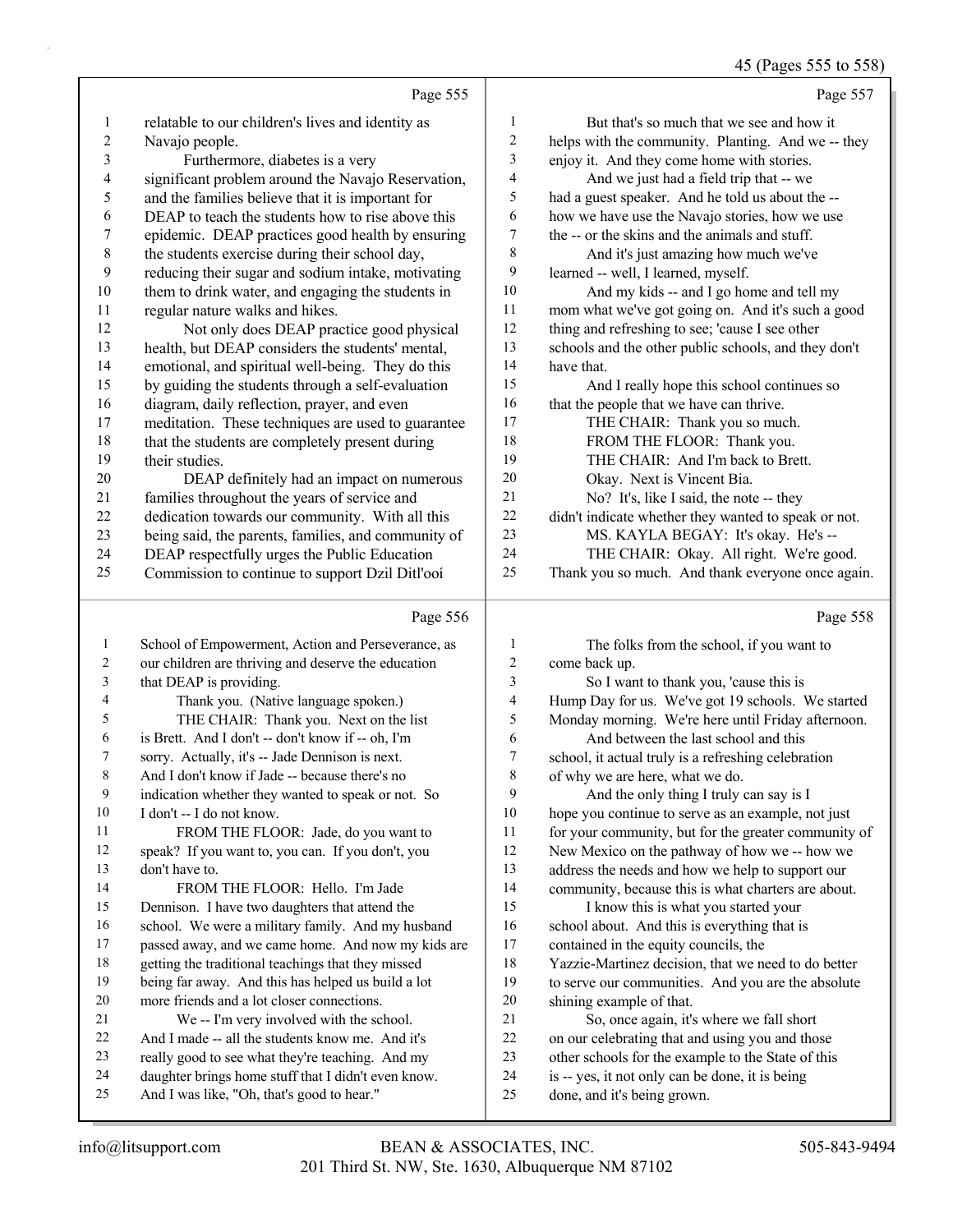|                |                                                     |                | 45 (Pages 555 to 558)                                |
|----------------|-----------------------------------------------------|----------------|------------------------------------------------------|
|                | Page 555                                            |                | Page 557                                             |
| 1              | relatable to our children's lives and identity as   | 1              | But that's so much that we see and how it            |
| $\mathfrak{2}$ | Navajo people.                                      | $\overline{c}$ | helps with the community. Planting. And we -- they   |
| 3              | Furthermore, diabetes is a very                     | 3              | enjoy it. And they come home with stories.           |
| 4              | significant problem around the Navajo Reservation,  | 4              | And we just had a field trip that -- we              |
| 5              | and the families believe that it is important for   | 5              | had a guest speaker. And he told us about the --     |
| 6              | DEAP to teach the students how to rise above this   | 6              | how we have use the Navajo stories, how we use       |
| 7              | epidemic. DEAP practices good health by ensuring    | 7              | the -- or the skins and the animals and stuff.       |
| $\,$ 8 $\,$    | the students exercise during their school day,      | 8              | And it's just amazing how much we've                 |
| 9              | reducing their sugar and sodium intake, motivating  | 9              | learned -- well, I learned, myself.                  |
| 10             | them to drink water, and engaging the students in   | 10             | And my kids -- and I go home and tell my             |
| 11             | regular nature walks and hikes.                     | 11             | mom what we've got going on. And it's such a good    |
| 12             | Not only does DEAP practice good physical           | 12             | thing and refreshing to see; 'cause I see other      |
| 13             | health, but DEAP considers the students' mental,    | 13             | schools and the other public schools, and they don't |
| 14             | emotional, and spiritual well-being. They do this   | 14             | have that.                                           |
| 15             | by guiding the students through a self-evaluation   | 15             | And I really hope this school continues so           |
| 16             | diagram, daily reflection, prayer, and even         | 16             | that the people that we have can thrive.             |
| 17             | meditation. These techniques are used to guarantee  | 17             | THE CHAIR: Thank you so much.                        |
| 18             | that the students are completely present during     | 18             | FROM THE FLOOR: Thank you.                           |
| 19             | their studies.                                      | 19             | THE CHAIR: And I'm back to Brett.                    |
| 20             | DEAP definitely had an impact on numerous           | 20             | Okay. Next is Vincent Bia.                           |
| 21             | families throughout the years of service and        | 21             | No? It's, like I said, the note -- they              |
| 22             | dedication towards our community. With all this     | 22             | didn't indicate whether they wanted to speak or not. |
| 23             | being said, the parents, families, and community of | 23             | MS. KAYLA BEGAY: It's okay. He's --                  |
| 24             | DEAP respectfully urges the Public Education        | 24             | THE CHAIR: Okay. All right. We're good.              |
| 25             | Commission to continue to support Dzil Ditl'ooi     | 25             | Thank you so much. And thank everyone once again.    |
|                | Page 556                                            |                | Page 558                                             |
| 1              | School of Empowerment, Action and Perseverance, as  | 1              | The folks from the school, if you want to            |
| 2              | our children are thriving and deserve the education | 2              | come back up.                                        |
| 3              | that DEAP is providing.                             | 3              | So I want to thank you, 'cause this is               |
| 4              | Thank you. (Native language spoken.)                | 4              | Hump Day for us. We've got 19 schools. We started    |
| 5              | THE CHAIR: Thank you. Next on the list              | 5              | Monday morning. We're here until Friday afternoon.   |

6 And between the last school and this

school, it actual truly is a refreshing celebration

of why we are here, what we do.

9 And the only thing I truly can say is I hope you continue to serve as an example, not just for your community, but for the greater community of New Mexico on the pathway of how we -- how we

address the needs and how we help to support our

community, because this is what charters are about.

- 15 I know this is what you started your
- school about. And this is everything that is
- 17 contained in the equity councils, the

Yazzie-Martinez decision, that we need to do better

- to serve our communities. And you are the absolute shining example of that.
- 21 So, once again, it's where we fall short
- on our celebrating that and using you and those
- other schools for the example to the State of this
- is -- yes, it not only can be done, it is being
- done, and it's being grown.

 is Brett. And I don't -- don't know if -- oh, I'm sorry. Actually, it's -- Jade Dennison is next. And I don't know if Jade -- because there's no indication whether they wanted to speak or not. So

11 FROM THE FLOOR: Jade, do you want to speak? If you want to, you can. If you don't, you

14 FROM THE FLOOR: Hello. I'm Jade Dennison. I have two daughters that attend the school. We were a military family. And my husband passed away, and we came home. And now my kids are getting the traditional teachings that they missed being far away. And this has helped us build a lot more friends and a lot closer connections.

21 We -- I'm very involved with the school.<br>22 And I made -- all the students know me And i

And I was like, "Oh, that's good to hear."

And I made -- all the students know me. And it's really good to see what they're teaching. And my daughter brings home stuff that I didn't even know.

I don't -- I do not know.

don't have to.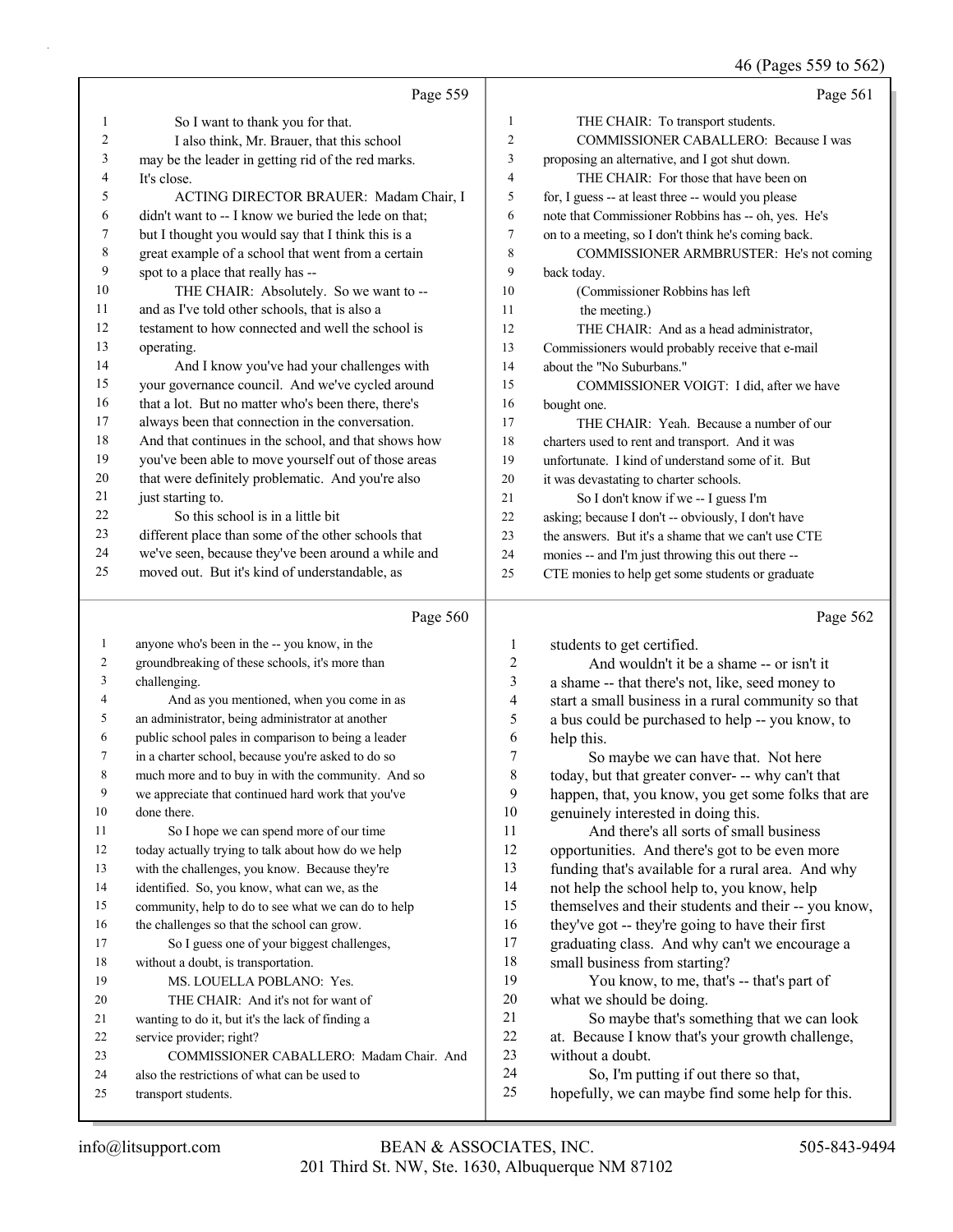46 (Pages 559 to 562)

|                |                                                                                                       |                | $10 \text{ (1460000)}$ to $202$                                                                   |
|----------------|-------------------------------------------------------------------------------------------------------|----------------|---------------------------------------------------------------------------------------------------|
|                | Page 559                                                                                              |                | Page 561                                                                                          |
| 1              | So I want to thank you for that.                                                                      | 1              | THE CHAIR: To transport students.                                                                 |
| $\overline{c}$ | I also think, Mr. Brauer, that this school                                                            | $\overline{c}$ | COMMISSIONER CABALLERO: Because I was                                                             |
| 3              | may be the leader in getting rid of the red marks.                                                    | 3              | proposing an alternative, and I got shut down.                                                    |
| 4              | It's close.                                                                                           | $\overline{4}$ | THE CHAIR: For those that have been on                                                            |
| 5              | ACTING DIRECTOR BRAUER: Madam Chair, I                                                                | 5              | for, I guess -- at least three -- would you please                                                |
| 6              | didn't want to -- I know we buried the lede on that;                                                  | 6              | note that Commissioner Robbins has -- oh, yes. He's                                               |
| 7              | but I thought you would say that I think this is a                                                    | $\overline{7}$ | on to a meeting, so I don't think he's coming back.                                               |
| 8              | great example of a school that went from a certain                                                    | 8              | COMMISSIONER ARMBRUSTER: He's not coming                                                          |
| 9              | spot to a place that really has --                                                                    | 9              | back today.                                                                                       |
| 10             | THE CHAIR: Absolutely. So we want to --                                                               | 10             | (Commissioner Robbins has left                                                                    |
| 11             | and as I've told other schools, that is also a                                                        | 11             | the meeting.)                                                                                     |
| 12             | testament to how connected and well the school is                                                     | 12             | THE CHAIR: And as a head administrator,                                                           |
| 13             | operating.                                                                                            | 13             | Commissioners would probably receive that e-mail                                                  |
| 14             | And I know you've had your challenges with                                                            | 14             | about the "No Suburbans."                                                                         |
| 15             | your governance council. And we've cycled around                                                      | 15             | COMMISSIONER VOIGT: I did, after we have                                                          |
| 16             | that a lot. But no matter who's been there, there's                                                   | 16             | bought one.                                                                                       |
| 17             | always been that connection in the conversation.                                                      | 17             | THE CHAIR: Yeah. Because a number of our                                                          |
| 18             | And that continues in the school, and that shows how                                                  | 18             | charters used to rent and transport. And it was                                                   |
| 19             | you've been able to move yourself out of those areas                                                  | 19             | unfortunate. I kind of understand some of it. But                                                 |
| 20             | that were definitely problematic. And you're also                                                     | 20             | it was devastating to charter schools.                                                            |
| 21             | just starting to.                                                                                     | 21             | So I don't know if we -- I guess I'm                                                              |
| 22<br>23       | So this school is in a little bit                                                                     | $22\,$         | asking; because I don't -- obviously, I don't have                                                |
| 24             | different place than some of the other schools that                                                   | 23             | the answers. But it's a shame that we can't use CTE                                               |
| 25             | we've seen, because they've been around a while and<br>moved out. But it's kind of understandable, as | 24<br>25       | monies -- and I'm just throwing this out there --                                                 |
|                |                                                                                                       |                | CTE monies to help get some students or graduate                                                  |
|                |                                                                                                       |                |                                                                                                   |
|                |                                                                                                       |                |                                                                                                   |
|                | Page 560                                                                                              |                | Page 562                                                                                          |
| 1              | anyone who's been in the -- you know, in the                                                          | 1              | students to get certified.                                                                        |
| 2              | groundbreaking of these schools, it's more than                                                       | $\overline{c}$ | And wouldn't it be a shame -- or isn't it                                                         |
| 3              | challenging.                                                                                          | 3              | a shame -- that there's not, like, seed money to                                                  |
| 4              | And as you mentioned, when you come in as                                                             | 4              | start a small business in a rural community so that                                               |
| 5              | an administrator, being administrator at another                                                      | 5              | a bus could be purchased to help -- you know, to                                                  |
| 6              | public school pales in comparison to being a leader                                                   | 6              | help this.                                                                                        |
| 7              | in a charter school, because you're asked to do so                                                    | 7              | So maybe we can have that. Not here                                                               |
| 8<br>9         | much more and to buy in with the community. And so                                                    | 8              | today, but that greater conver- -- why can't that                                                 |
| 10             | we appreciate that continued hard work that you've<br>done there.                                     | 9              | happen, that, you know, you get some folks that are                                               |
| 11             |                                                                                                       | 10<br>11       | genuinely interested in doing this.<br>And there's all sorts of small business                    |
| 12             | So I hope we can spend more of our time<br>today actually trying to talk about how do we help         | 12             | opportunities. And there's got to be even more                                                    |
| 13             |                                                                                                       | 13             |                                                                                                   |
| 14             | with the challenges, you know. Because they're<br>identified. So, you know, what can we, as the       | 14             | funding that's available for a rural area. And why<br>not help the school help to, you know, help |
| 15             | community, help to do to see what we can do to help                                                   | 15             | themselves and their students and their -- you know,                                              |
| 16             | the challenges so that the school can grow.                                                           | 16             | they've got -- they're going to have their first                                                  |
| 17             | So I guess one of your biggest challenges,                                                            | 17             | graduating class. And why can't we encourage a                                                    |
| 18             | without a doubt, is transportation.                                                                   | 18             | small business from starting?                                                                     |
| 19             | MS. LOUELLA POBLANO: Yes.                                                                             | 19             | You know, to me, that's -- that's part of                                                         |
| 20             | THE CHAIR: And it's not for want of                                                                   | 20             | what we should be doing.                                                                          |
| 21             | wanting to do it, but it's the lack of finding a                                                      | 21             | So maybe that's something that we can look                                                        |
| 22             | service provider; right?                                                                              | 22             | at. Because I know that's your growth challenge,                                                  |
| 23             | COMMISSIONER CABALLERO: Madam Chair. And                                                              | 23             | without a doubt.                                                                                  |
| 24<br>25       | also the restrictions of what can be used to<br>transport students.                                   | 24<br>25       | So, I'm putting if out there so that,<br>hopefully, we can maybe find some help for this.         |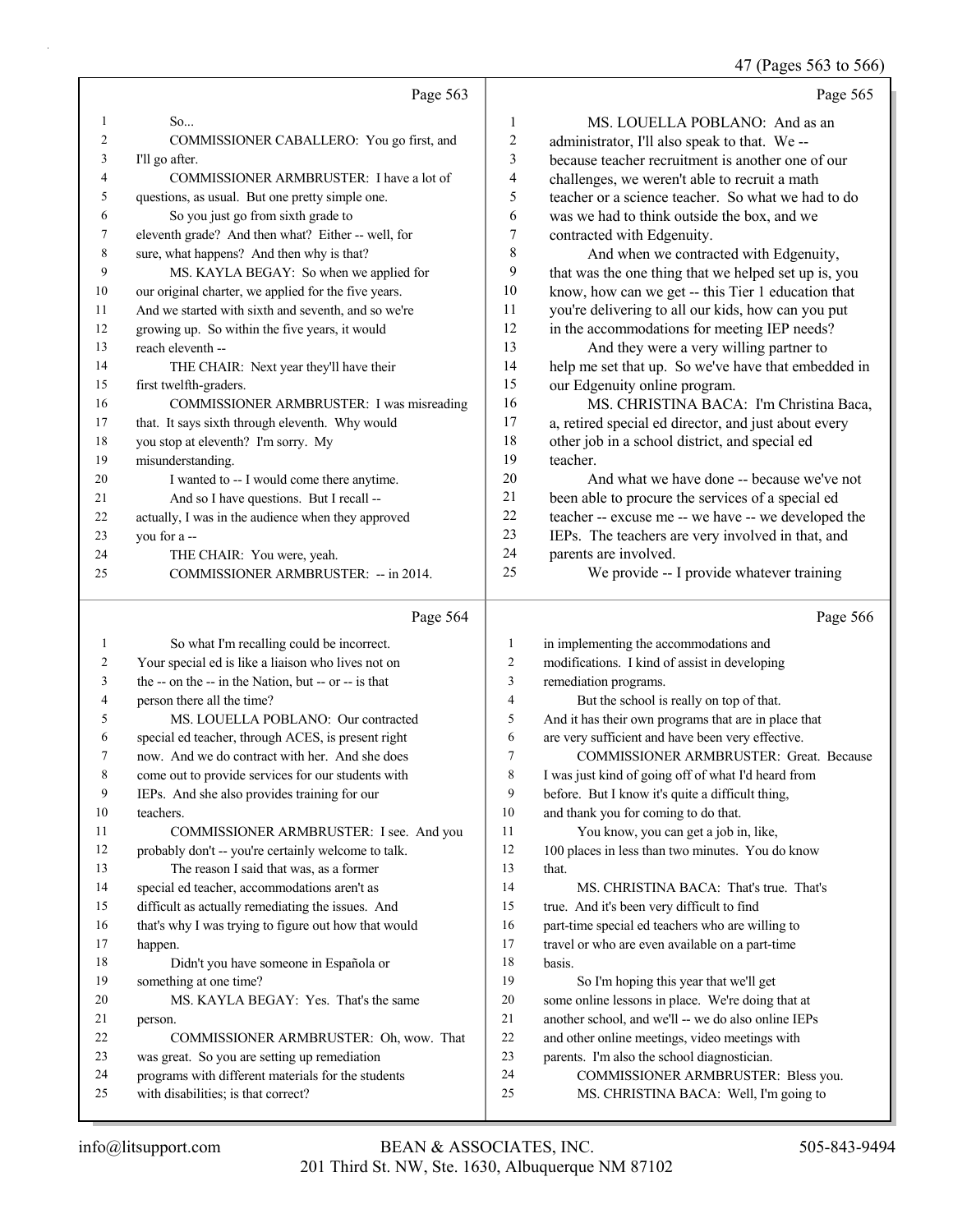|    |                                                      |                | 47 (Pages 563 to 566)                                |
|----|------------------------------------------------------|----------------|------------------------------------------------------|
|    | Page 563                                             |                | Page 565                                             |
| 1  | So                                                   | 1              | MS. LOUELLA POBLANO: And as an                       |
| 2  | COMMISSIONER CABALLERO: You go first, and            | $\overline{c}$ | administrator, I'll also speak to that. We --        |
| 3  | I'll go after.                                       | 3              | because teacher recruitment is another one of our    |
| 4  | COMMISSIONER ARMBRUSTER: I have a lot of             | $\overline{4}$ | challenges, we weren't able to recruit a math        |
| 5  | questions, as usual. But one pretty simple one.      | 5              | teacher or a science teacher. So what we had to do   |
| 6  | So you just go from sixth grade to                   | 6              | was we had to think outside the box, and we          |
| 7  | eleventh grade? And then what? Either -- well, for   | $\tau$         | contracted with Edgenuity.                           |
| 8  | sure, what happens? And then why is that?            | 8              | And when we contracted with Edgenuity,               |
| 9  | MS. KAYLA BEGAY: So when we applied for              | 9              | that was the one thing that we helped set up is, you |
| 10 | our original charter, we applied for the five years. | 10             | know, how can we get -- this Tier 1 education that   |
| 11 | And we started with sixth and seventh, and so we're  | 11             | you're delivering to all our kids, how can you put   |
| 12 | growing up. So within the five years, it would       | 12             | in the accommodations for meeting IEP needs?         |
| 13 | reach eleventh --                                    | 13             | And they were a very willing partner to              |
| 14 | THE CHAIR: Next year they'll have their              | 14             | help me set that up. So we've have that embedded in  |
| 15 | first twelfth-graders.                               | 15             | our Edgenuity online program.                        |
| 16 | COMMISSIONER ARMBRUSTER: I was misreading            | 16             | MS. CHRISTINA BACA: I'm Christina Baca,              |
| 17 | that. It says sixth through eleventh. Why would      | 17             | a, retired special ed director, and just about every |
| 18 | you stop at eleventh? I'm sorry. My                  | 18             | other job in a school district, and special ed       |
| 19 | misunderstanding.                                    | 19             | teacher.                                             |
| 20 | I wanted to -- I would come there anytime.           | 20             | And what we have done -- because we've not           |
| 21 | And so I have questions. But I recall --             | 21             | been able to procure the services of a special ed    |
| 22 | actually, I was in the audience when they approved   | 22             | teacher -- excuse me -- we have -- we developed the  |
| 23 | you for a --                                         | 23             | IEPs. The teachers are very involved in that, and    |
| 24 | THE CHAIR: You were, yeah.                           | 24             | parents are involved.                                |
| 25 | COMMISSIONER ARMBRUSTER: -- in 2014.                 | 25             | We provide -- I provide whatever training            |
|    | Page 564                                             |                | Page 566                                             |
| 1  | So what I'm recalling could be incorrect.            | $\mathbf{1}$   | in implementing the accommodations and               |
| 2  | Your special ed is like a liaison who lives not on   | $\overline{2}$ | modifications. I kind of assist in developing        |
| 3  | the -- on the -- in the Nation, but -- or -- is that | 3              | remediation programs.                                |
| 4  | person there all the time?                           | $\overline{4}$ | But the school is really on top of that.             |
| 5  | MS. LOUELLA POBLANO: Our contracted                  | 5              | And it has their own programs that are in place that |
| 6  | special ed teacher, through ACES, is present right   | 6              | are very sufficient and have been very effective.    |
|    | now. And we do contract with her. And she does       | 7              | COMMISSIONER ARMBRUSTER: Great. Because              |
| 8  | come out to provide services for our students with   | 8              | I was just kind of going off of what I'd heard from  |
| 9  | IEPs. And she also provides training for our         | 9              | before. But I know it's quite a difficult thing,     |
| 10 | teachers.                                            | 10             | and thank you for coming to do that.                 |
| 11 | COMMISSIONER ARMBRUSTER: I see. And you              | 11             | You know, you can get a job in, like,                |
| 12 | probably don't -- you're certainly welcome to talk.  | 12             | 100 places in less than two minutes. You do know     |
| 13 | The reason I said that was, as a former              | 13             | that.                                                |
| 14 | special ed teacher, accommodations aren't as         | 14             | MS. CHRISTINA BACA: That's true. That's              |
| 15 | difficult as actually remediating the issues. And    | 15             | true. And it's been very difficult to find           |
| 16 | that's why I was trying to figure out how that would | 16             | part-time special ed teachers who are willing to     |
| 17 | happen.                                              | 17             | travel or who are even available on a part-time      |
| 18 | Didn't you have someone in Española or               | 18             | basis.                                               |
|    |                                                      |                |                                                      |

22 COMMISSIONER ARMBRUSTER: Oh, wow. That 19 So I'm hoping this year that we'll get some online lessons in place. We're doing that at another school, and we'll -- we do also online IEPs and other online meetings, video meetings with

- parents. I'm also the school diagnostician.
- 24 COMMISSIONER ARMBRUSTER: Bless you.
- 25 MS. CHRISTINA BACA: Well, I'm going to

person.

something at one time?

20 MS. KAYLA BEGAY: Yes. That's the same

 was great. So you are setting up remediation programs with different materials for the students

with disabilities; is that correct?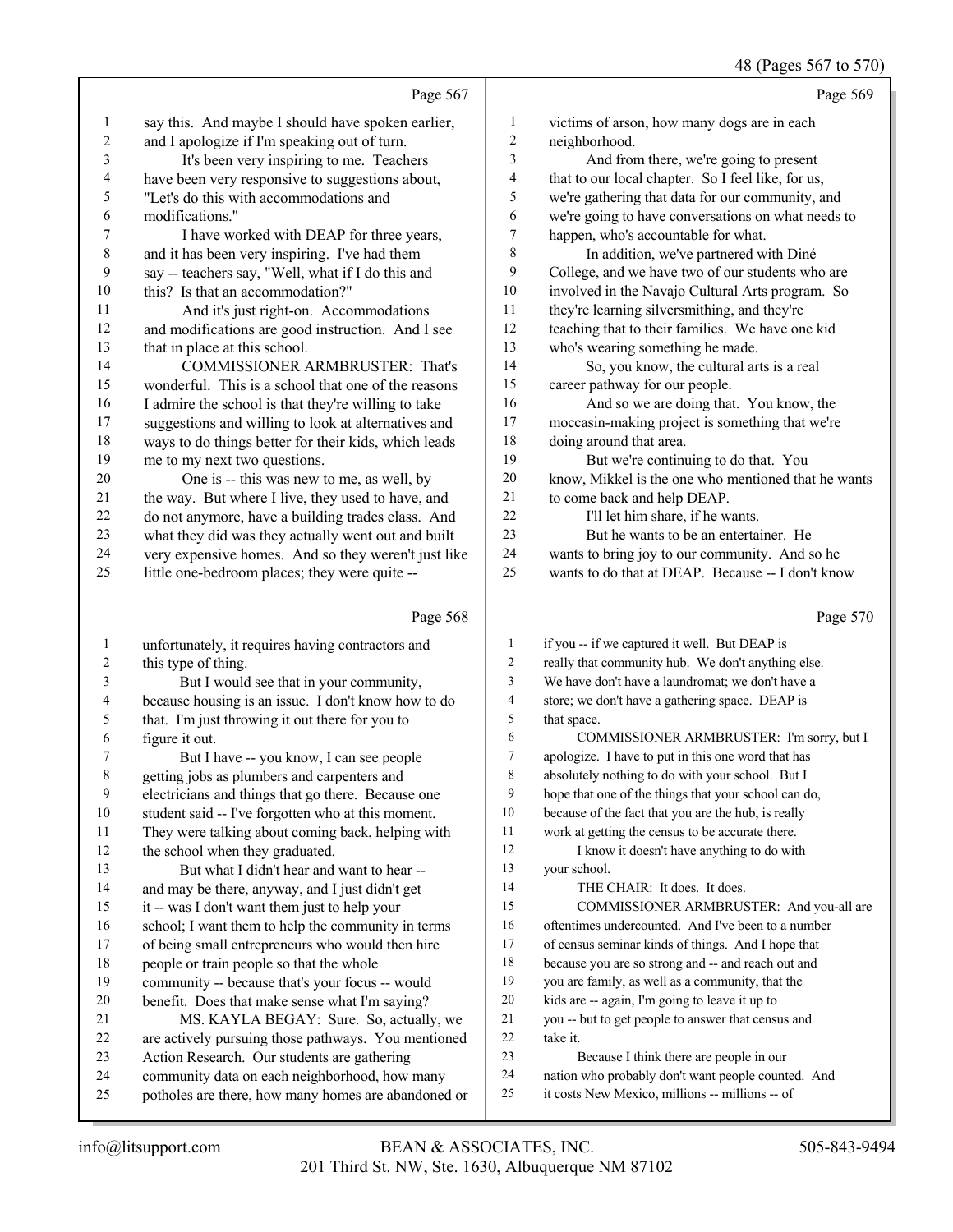|                  |                                                      |                  | 48 (Pages 567 to 570)                                |
|------------------|------------------------------------------------------|------------------|------------------------------------------------------|
|                  | Page 567                                             |                  | Page 569                                             |
| $\mathbf{1}$     | say this. And maybe I should have spoken earlier,    | $\mathbf{1}$     | victims of arson, how many dogs are in each          |
| $\boldsymbol{2}$ | and I apologize if I'm speaking out of turn.         | $\overline{c}$   | neighborhood.                                        |
| 3                | It's been very inspiring to me. Teachers             | 3                | And from there, we're going to present               |
| 4                | have been very responsive to suggestions about,      | 4                | that to our local chapter. So I feel like, for us,   |
| 5                | "Let's do this with accommodations and               | 5                | we're gathering that data for our community, and     |
| 6                | modifications."                                      | 6                | we're going to have conversations on what needs to   |
| $\boldsymbol{7}$ | I have worked with DEAP for three years,             | $\tau$           | happen, who's accountable for what.                  |
| $\,$ $\,$        | and it has been very inspiring. I've had them        | 8                | In addition, we've partnered with Diné               |
| 9                | say -- teachers say, "Well, what if I do this and    | 9                | College, and we have two of our students who are     |
| $10\,$           | this? Is that an accommodation?"                     | $10\,$           | involved in the Navajo Cultural Arts program. So     |
| 11               | And it's just right-on. Accommodations               | 11               | they're learning silversmithing, and they're         |
| 12               | and modifications are good instruction. And I see    | 12               | teaching that to their families. We have one kid     |
| 13               | that in place at this school.                        | 13               | who's wearing something he made.                     |
| 14               | COMMISSIONER ARMBRUSTER: That's                      | 14               | So, you know, the cultural arts is a real            |
| 15               | wonderful. This is a school that one of the reasons  | 15               | career pathway for our people.                       |
| 16               | I admire the school is that they're willing to take  | 16               | And so we are doing that. You know, the              |
| $17$             | suggestions and willing to look at alternatives and  | 17               | moccasin-making project is something that we're      |
| 18               | ways to do things better for their kids, which leads | 18               | doing around that area.                              |
| 19               | me to my next two questions.                         | 19               | But we're continuing to do that. You                 |
| 20               | One is -- this was new to me, as well, by            | 20               | know, Mikkel is the one who mentioned that he wants  |
| 21               | the way. But where I live, they used to have, and    | 21               | to come back and help DEAP.                          |
| 22               | do not anymore, have a building trades class. And    | 22               | I'll let him share, if he wants.                     |
| 23               | what they did was they actually went out and built   | 23               | But he wants to be an entertainer. He                |
| 24               | very expensive homes. And so they weren't just like  | 24               | wants to bring joy to our community. And so he       |
| 25               | little one-bedroom places; they were quite --        | 25               | wants to do that at DEAP. Because -- I don't know    |
|                  | Page 568                                             |                  | Page 570                                             |
| $\mathbf{1}$     | unfortunately, it requires having contractors and    | 1                | if you -- if we captured it well. But DEAP is        |
| $\boldsymbol{2}$ | this type of thing.                                  | $\overline{2}$   | really that community hub. We don't anything else.   |
| 3                | But I would see that in your community,              | 3                | We have don't have a laundromat; we don't have a     |
| 4                | because housing is an issue. I don't know how to do  | $\overline{4}$   | store; we don't have a gathering space. DEAP is      |
| 5                | that. I'm just throwing it out there for you to      | 5                | that space.                                          |
| 6                | figure it out.                                       | 6                | COMMISSIONER ARMBRUSTER: I'm sorry, but I            |
| $\boldsymbol{7}$ | But I have -- you know, I can see people             | $\boldsymbol{7}$ | apologize. I have to put in this one word that has   |
| $\,$ $\,$        | getting jobs as plumbers and carpenters and          | 8                | absolutely nothing to do with your school. But I     |
| 9                | electricians and things that go there. Because one   | 9                | hope that one of the things that your school can do, |
| 10               | student said -- I've forgotten who at this moment.   | 10               | because of the fact that you are the hub, is really  |
| 11               | They were talking about coming back, helping with    | 11               | work at getting the census to be accurate there.     |
|                  |                                                      |                  |                                                      |

- 12 I know it doesn't have anything to do with
	- your school.
	- 14 THE CHAIR: It does. It does.
	- 15 COMMISSIONER ARMBRUSTER: And you-all are
	- oftentimes undercounted. And I've been to a number
	- of census seminar kinds of things. And I hope that
	- because you are so strong and -- and reach out and
	- you are family, as well as a community, that the
	- kids are -- again, I'm going to leave it up to
	- you -- but to get people to answer that census and take it.
	- 23 Because I think there are people in our
	- nation who probably don't want people counted. And
	- it costs New Mexico, millions -- millions -- of

the school when they graduated.

13 But what I didn't hear and want to hear -- and may be there, anyway, and I just didn't get it -- was I don't want them just to help your school; I want them to help the community in terms of being small entrepreneurs who would then hire

 community -- because that's your focus -- would benefit. Does that make sense what I'm saying? 21 MS. KAYLA BEGAY: Sure. So, actually, we are actively pursuing those pathways. You mentioned

 Action Research. Our students are gathering community data on each neighborhood, how many potholes are there, how many homes are abandoned or

people or train people so that the whole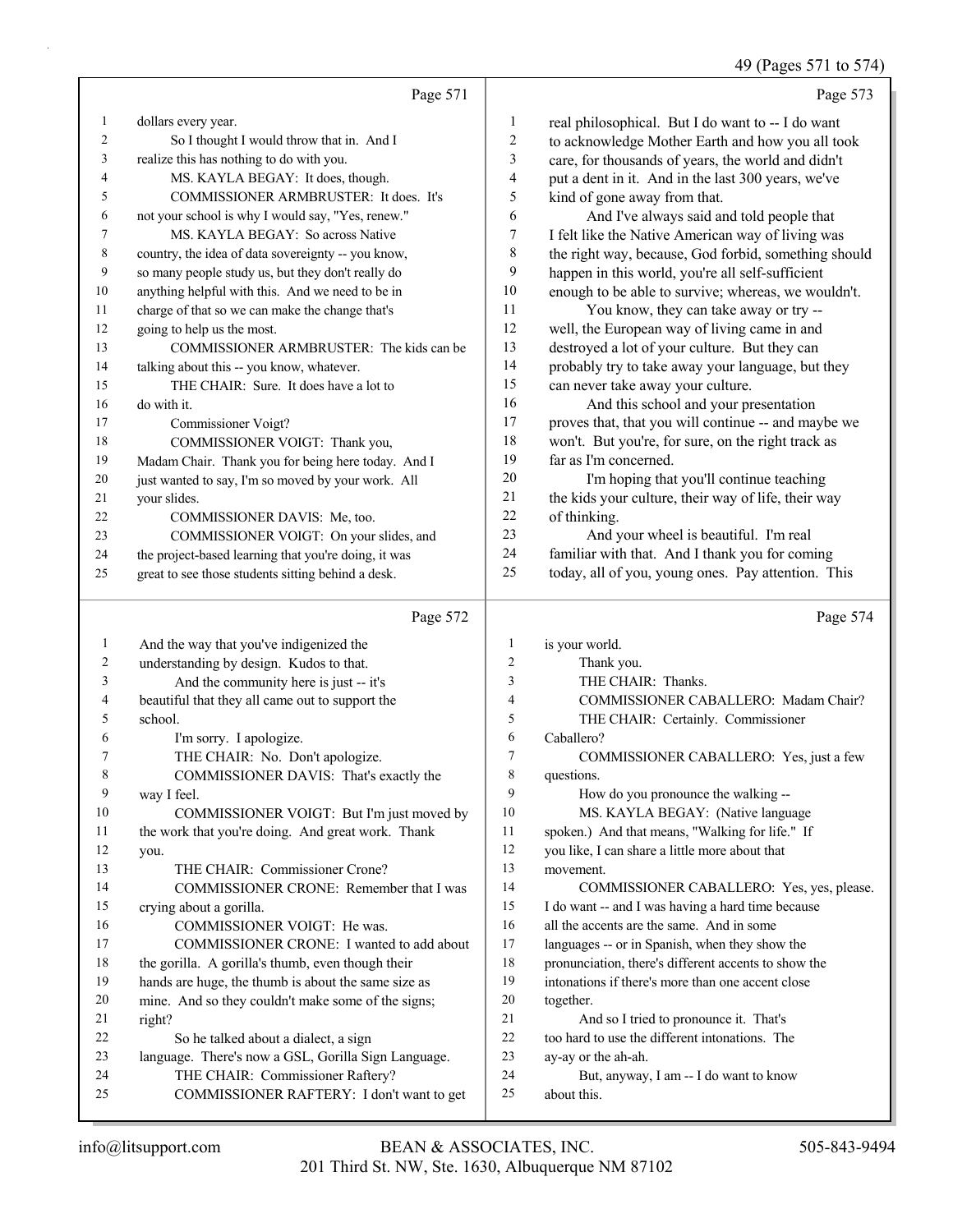49 (Pages 571 to 574)

|              |                                                      |                | 49 (Pages $5/1$ to $5/4$                             |
|--------------|------------------------------------------------------|----------------|------------------------------------------------------|
|              | Page 571                                             |                | Page 573                                             |
| $\mathbf{1}$ | dollars every year.                                  | $\mathbf{1}$   | real philosophical. But I do want to -- I do want    |
| 2            | So I thought I would throw that in. And I            | 2              | to acknowledge Mother Earth and how you all took     |
| 3            | realize this has nothing to do with you.             | 3              | care, for thousands of years, the world and didn't   |
| 4            | MS. KAYLA BEGAY: It does, though.                    | 4              | put a dent in it. And in the last 300 years, we've   |
| 5            | COMMISSIONER ARMBRUSTER: It does. It's               | 5              | kind of gone away from that.                         |
| 6            | not your school is why I would say, "Yes, renew."    | 6              | And I've always said and told people that            |
| $\tau$       | MS. KAYLA BEGAY: So across Native                    | 7              | I felt like the Native American way of living was    |
| 8            | country, the idea of data sovereignty -- you know,   | 8              | the right way, because, God forbid, something should |
| 9            | so many people study us, but they don't really do    | 9              | happen in this world, you're all self-sufficient     |
| 10           | anything helpful with this. And we need to be in     | 10             | enough to be able to survive; whereas, we wouldn't.  |
| 11           | charge of that so we can make the change that's      | 11             | You know, they can take away or try --               |
| 12           | going to help us the most.                           | 12             | well, the European way of living came in and         |
| 13           | COMMISSIONER ARMBRUSTER: The kids can be             | 13             | destroyed a lot of your culture. But they can        |
| 14           | talking about this -- you know, whatever.            | 14             | probably try to take away your language, but they    |
| 15           | THE CHAIR: Sure. It does have a lot to               | 15             | can never take away your culture.                    |
| 16           | do with it.                                          | 16             | And this school and your presentation                |
| 17           | Commissioner Voigt?                                  | 17             | proves that, that you will continue -- and maybe we  |
| 18           | COMMISSIONER VOIGT: Thank you,                       | 18             | won't. But you're, for sure, on the right track as   |
| 19           | Madam Chair. Thank you for being here today. And I   | 19             | far as I'm concerned.                                |
| 20           | just wanted to say, I'm so moved by your work. All   | $20\,$         | I'm hoping that you'll continue teaching             |
| 21           | your slides.                                         | 21             | the kids your culture, their way of life, their way  |
| 22           | COMMISSIONER DAVIS: Me, too.                         | 22             | of thinking.                                         |
| 23           | COMMISSIONER VOIGT: On your slides, and              | 23             | And your wheel is beautiful. I'm real                |
| 24           | the project-based learning that you're doing, it was | 24             | familiar with that. And I thank you for coming       |
| 25           | great to see those students sitting behind a desk.   | 25             | today, all of you, young ones. Pay attention. This   |
|              | Page 572                                             |                | Page 574                                             |
| $\mathbf{1}$ | And the way that you've indigenized the              | $\mathbf{1}$   | is your world.                                       |
| 2            | understanding by design. Kudos to that.              | $\overline{c}$ | Thank you.                                           |
| 3            | And the community here is just -- it's               | 3              | THE CHAIR: Thanks.                                   |
| 4            | beautiful that they all came out to support the      | 4              | COMMISSIONER CABALLERO: Madam Chair?                 |
| 5            | school.                                              | 5              | THE CHAIR: Certainly. Commissioner                   |
| 6            | I'm sorry. I apologize.                              | 6              | Caballero?                                           |
| 7            | THE CHAIR: No. Don't apologize.                      | 7              | COMMISSIONER CABALLERO: Yes, just a few              |
| 8            | COMMISSIONER DAVIS: That's exactly the               | 8              | questions.                                           |
| 9            | way I feel.                                          | 9              | How do you pronounce the walking --                  |
| 10           | COMMISSIONER VOIGT: But I'm just moved by            | 10             | MS. KAYLA BEGAY: (Native language                    |
| 11           | the work that you're doing. And great work. Thank    | 11             | spoken.) And that means, "Walking for life." If      |
| 12           | you.                                                 | 12             | you like, I can share a little more about that       |
| 13           | THE CHAIR: Commissioner Crone?                       | 13             | movement.                                            |
| 14           | COMMISSIONER CRONE: Remember that I was              | 14             | COMMISSIONER CABALLERO: Yes, yes, please.            |
| 15           | crying about a gorilla.                              | 15             | I do want -- and I was having a hard time because    |
| 16           | COMMISSIONER VOIGT: He was.                          | 16             | all the accents are the same. And in some            |
| 17           | COMMISSIONER CRONE: I wanted to add about            | 17             | languages -- or in Spanish, when they show the       |
| 18           | the gorilla. A gorilla's thumb, even though their    | 18             | pronunciation, there's different accents to show the |
| 19           | hands are huge, the thumb is about the same size as  | 19             | intonations if there's more than one accent close    |
| 20           | mine. And so they couldn't make some of the signs;   | 20             | together.                                            |
| 21           | right?                                               | 21             | And so I tried to pronounce it. That's               |
| 22           | So he talked about a dialect, a sign                 | 22             | too hard to use the different intonations. The       |
| 23           | language. There's now a GSL, Gorilla Sign Language.  | 23             | ay-ay or the ah-ah.                                  |
| 24           | THE CHAIR: Commissioner Raftery?                     | 24             | But, anyway, I am -- I do want to know               |
| 25           | COMMISSIONER RAFTERY: I don't want to get            | 25             | about this.                                          |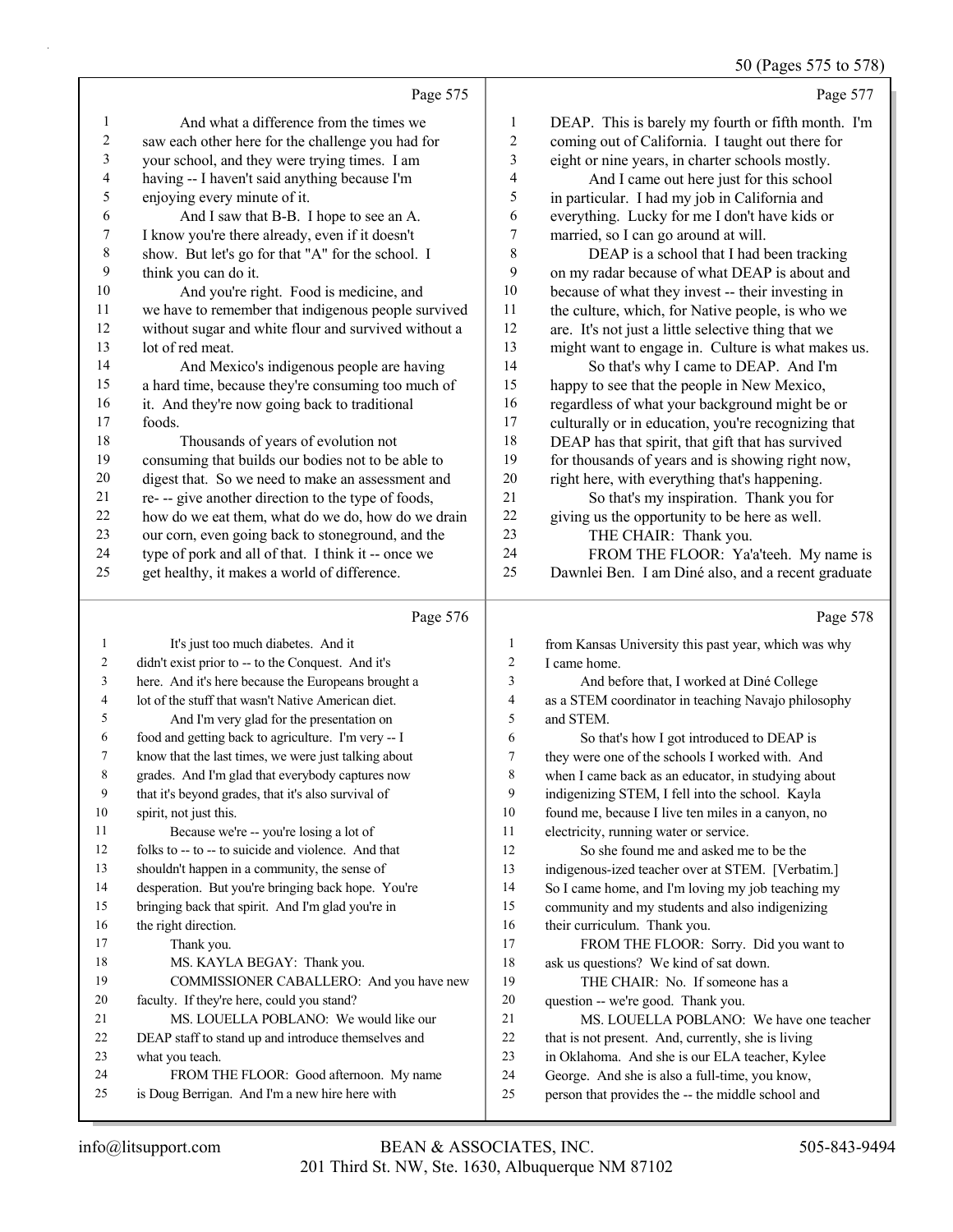50 (Pages 575 to 578)

Page 575 1 And what a difference from the times we saw each other here for the challenge you had for your school, and they were trying times. I am having -- I haven't said anything because I'm enjoying every minute of it. 6 And I saw that B-B. I hope to see an A. I know you're there already, even if it doesn't show. But let's go for that "A" for the school. I think you can do it. 10 And you're right. Food is medicine, and we have to remember that indigenous people survived without sugar and white flour and survived without a lot of red meat. 14 And Mexico's indigenous people are having a hard time, because they're consuming too much of 16 it. And they're now going back to traditional foods. 18 Thousands of years of evolution not consuming that builds our bodies not to be able to digest that. So we need to make an assessment and re- -- give another direction to the type of foods, how do we eat them, what do we do, how do we drain our corn, even going back to stoneground, and the type of pork and all of that. I think it -- once we get healthy, it makes a world of difference. Page 576 1 It's just too much diabetes Page 577 DEAP. This is barely my fourth or fifth month. I'm coming out of California. I taught out there for eight or nine years, in charter schools mostly. 4 And I came out here just for this school in particular. I had my job in California and everything. Lucky for me I don't have kids or married, so I can go around at will. 8 DEAP is a school that I had been tracking on my radar because of what DEAP is about and because of what they invest -- their investing in the culture, which, for Native people, is who we are. It's not just a little selective thing that we might want to engage in. Culture is what makes us. 14 So that's why I came to DEAP. And I'm happy to see that the people in New Mexico, regardless of what your background might be or culturally or in education, you're recognizing that DEAP has that spirit, that gift that has survived for thousands of years and is showing right now, right here, with everything that's happening. 21 So that's my inspiration. Thank you for giving us the opportunity to be here as well. 23 THE CHAIR: Thank you.<br>24 FROM THE ELOOR: Ya' FROM THE FLOOR: Ya'a'teeh. My name is Dawnlei Ben. I am Diné also, and a recent graduate Page 578

| $\overline{1}$ | It's just too much diabetes. And it                  | 1  | from Kansas University this past year, which was why |
|----------------|------------------------------------------------------|----|------------------------------------------------------|
| 2              | didn't exist prior to -- to the Conquest. And it's   | 2  | I came home.                                         |
| 3              | here. And it's here because the Europeans brought a  | 3  | And before that, I worked at Diné College            |
| 4              | lot of the stuff that wasn't Native American diet.   | 4  | as a STEM coordinator in teaching Navajo philosophy  |
| 5              | And I'm very glad for the presentation on            | 5  | and STEM.                                            |
| 6              | food and getting back to agriculture. I'm very -- I  | 6  | So that's how I got introduced to DEAP is            |
| 7              | know that the last times, we were just talking about | 7  | they were one of the schools I worked with. And      |
| 8              | grades. And I'm glad that everybody captures now     | 8  | when I came back as an educator, in studying about   |
| 9              | that it's beyond grades, that it's also survival of  | 9  | indigenizing STEM, I fell into the school. Kayla     |
| 10             | spirit, not just this.                               | 10 | found me, because I live ten miles in a canyon, no   |
| 11             | Because we're -- you're losing a lot of              | 11 | electricity, running water or service.               |
| 12             | folks to -- to -- to suicide and violence. And that  | 12 | So she found me and asked me to be the               |
| 13             | shouldn't happen in a community, the sense of        | 13 | indigenous-ized teacher over at STEM. [Verbatim.]    |
| 14             | desperation. But you're bringing back hope. You're   | 14 | So I came home, and I'm loving my job teaching my    |
| 15             | bringing back that spirit. And I'm glad you're in    | 15 | community and my students and also indigenizing      |
| 16             | the right direction.                                 | 16 | their curriculum. Thank you.                         |
| 17             | Thank you.                                           | 17 | FROM THE FLOOR: Sorry. Did you want to               |
| 18             | MS. KAYLA BEGAY: Thank you.                          | 18 | ask us questions? We kind of sat down.               |
| 19             | COMMISSIONER CABALLERO: And you have new             | 19 | THE CHAIR: No. If someone has a                      |
| 20             | faculty. If they're here, could you stand?           | 20 | question -- we're good. Thank you.                   |
| 21             | MS. LOUELLA POBLANO: We would like our               | 21 | MS. LOUELLA POBLANO: We have one teacher             |
| 22             | DEAP staff to stand up and introduce themselves and  | 22 | that is not present. And, currently, she is living   |
| 23             | what you teach.                                      | 23 | in Oklahoma. And she is our ELA teacher, Kylee       |
| 24             | FROM THE FLOOR: Good afternoon. My name              | 24 | George. And she is also a full-time, you know,       |
| 25             | is Doug Berrigan. And I'm a new hire here with       | 25 | person that provides the -- the middle school and    |
|                |                                                      |    |                                                      |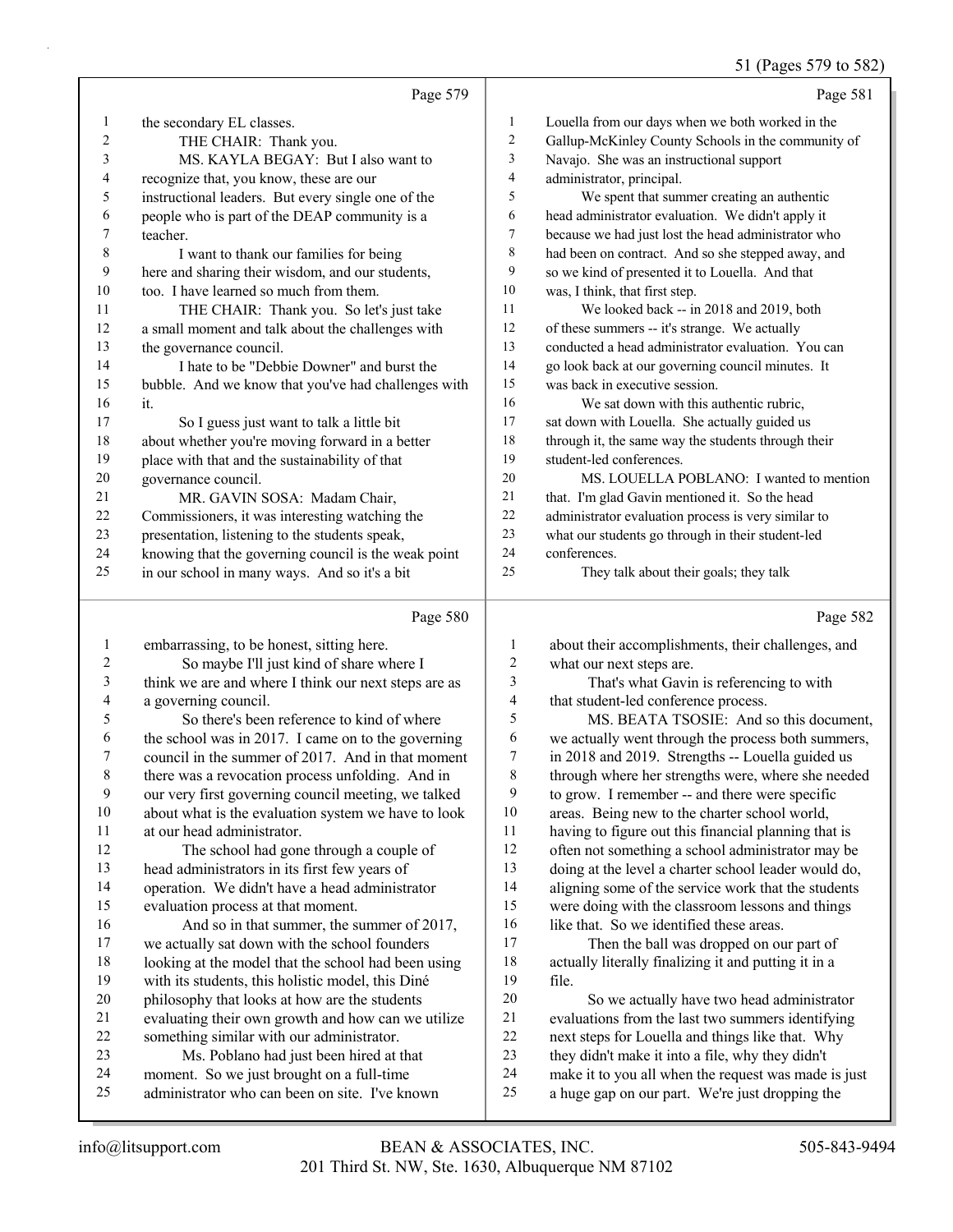## 51 (Pages 579 to 582)

|                          |                                                      |                          | $51 \text{ (1450)}$ $51$ to $50\text{m}$            |
|--------------------------|------------------------------------------------------|--------------------------|-----------------------------------------------------|
|                          | Page 579                                             |                          | Page 581                                            |
| $\mathbf{1}$             | the secondary EL classes.                            | $\mathbf{1}$             | Louella from our days when we both worked in the    |
| $\overline{c}$           | THE CHAIR: Thank you.                                | $\sqrt{2}$               | Gallup-McKinley County Schools in the community of  |
| 3                        | MS. KAYLA BEGAY: But I also want to                  | 3                        | Navajo. She was an instructional support            |
| 4                        | recognize that, you know, these are our              | $\overline{4}$           | administrator, principal.                           |
| 5                        | instructional leaders. But every single one of the   | 5                        | We spent that summer creating an authentic          |
| 6                        | people who is part of the DEAP community is a        | $\sqrt{6}$               | head administrator evaluation. We didn't apply it   |
| 7                        | teacher.                                             | $\tau$                   | because we had just lost the head administrator who |
| 8                        | I want to thank our families for being               | 8                        | had been on contract. And so she stepped away, and  |
| 9                        | here and sharing their wisdom, and our students,     | $\mathbf{9}$             | so we kind of presented it to Louella. And that     |
| 10                       | too. I have learned so much from them.               | $10\,$                   | was, I think, that first step.                      |
| 11                       | THE CHAIR: Thank you. So let's just take             | 11                       | We looked back -- in 2018 and 2019, both            |
| 12                       | a small moment and talk about the challenges with    | 12                       | of these summers -- it's strange. We actually       |
| 13                       | the governance council.                              | 13                       | conducted a head administrator evaluation. You can  |
| 14                       | I hate to be "Debbie Downer" and burst the           | 14                       | go look back at our governing council minutes. It   |
| 15                       | bubble. And we know that you've had challenges with  | 15                       | was back in executive session.                      |
| 16                       | it.                                                  | 16                       | We sat down with this authentic rubric,             |
| 17                       | So I guess just want to talk a little bit            | 17                       | sat down with Louella. She actually guided us       |
| 18                       | about whether you're moving forward in a better      | 18                       | through it, the same way the students through their |
| 19                       | place with that and the sustainability of that       | 19                       | student-led conferences.                            |
| $20\,$                   | governance council.                                  | 20                       | MS. LOUELLA POBLANO: I wanted to mention            |
| 21                       | MR. GAVIN SOSA: Madam Chair,                         | $21\,$                   | that. I'm glad Gavin mentioned it. So the head      |
| $22\,$                   | Commissioners, it was interesting watching the       | 22                       | administrator evaluation process is very similar to |
| 23                       | presentation, listening to the students speak,       | 23                       | what our students go through in their student-led   |
| 24                       | knowing that the governing council is the weak point | 24                       | conferences.                                        |
| 25                       | in our school in many ways. And so it's a bit        | 25                       | They talk about their goals; they talk              |
|                          | Page 580                                             |                          | Page 582                                            |
| $\mathbf{1}$             | embarrassing, to be honest, sitting here.            | 1                        | about their accomplishments, their challenges, and  |
| $\boldsymbol{2}$         | So maybe I'll just kind of share where I             | $\overline{c}$           | what our next steps are.                            |
| $\mathfrak{Z}$           | think we are and where I think our next steps are as | 3                        | That's what Gavin is referencing to with            |
| $\overline{\mathcal{L}}$ | a governing council.                                 | $\overline{\mathcal{L}}$ | that student-led conference process.                |
| 5                        | So there's been reference to kind of where           | 5                        | MS. BEATA TSOSIE: And so this document,             |
| 6                        | the school was in 2017. I came on to the governing   | 6                        | we actually went through the process both summers,  |
| 7                        | council in the summer of 2017. And in that moment    | $\boldsymbol{7}$         | in 2018 and 2019. Strengths -- Louella guided us    |
| $\,$ $\,$                | there was a revocation process unfolding. And in     | 8                        | through where her strengths were, where she needed  |
| 9                        | our very first governing council meeting, we talked  | 9                        | to grow. I remember -- and there were specific      |
| 10                       | about what is the evaluation system we have to look  | 10                       | areas. Being new to the charter school world,       |

at our head administrator.

- 12 The school had gone through a couple of head administrators in its first few years of operation. We didn't have a head administrator evaluation process at that moment.
- 16 And so in that summer, the summer of 2017, we actually sat down with the school founders looking at the model that the school had been using with its students, this holistic model, this Diné philosophy that looks at how are the students evaluating their own growth and how can we utilize something similar with our administrator. 23 Ms. Poblano had just been hired at that
- moment. So we just brought on a full-time
- administrator who can been on site. I've known

 areas. Being new to the charter school world, having to figure out this financial planning that is often not something a school administrator may be

 doing at the level a charter school leader would do, 14 aligning some of the service work that the students were doing with the classroom lessons and things 16 like that. So we identified these areas.

17 Then the ball was dropped on our part of actually literally finalizing it and putting it in a file.

20 So we actually have two head administrator evaluations from the last two summers identifying next steps for Louella and things like that. Why they didn't make it into a file, why they didn't make it to you all when the request was made is just a huge gap on our part. We're just dropping the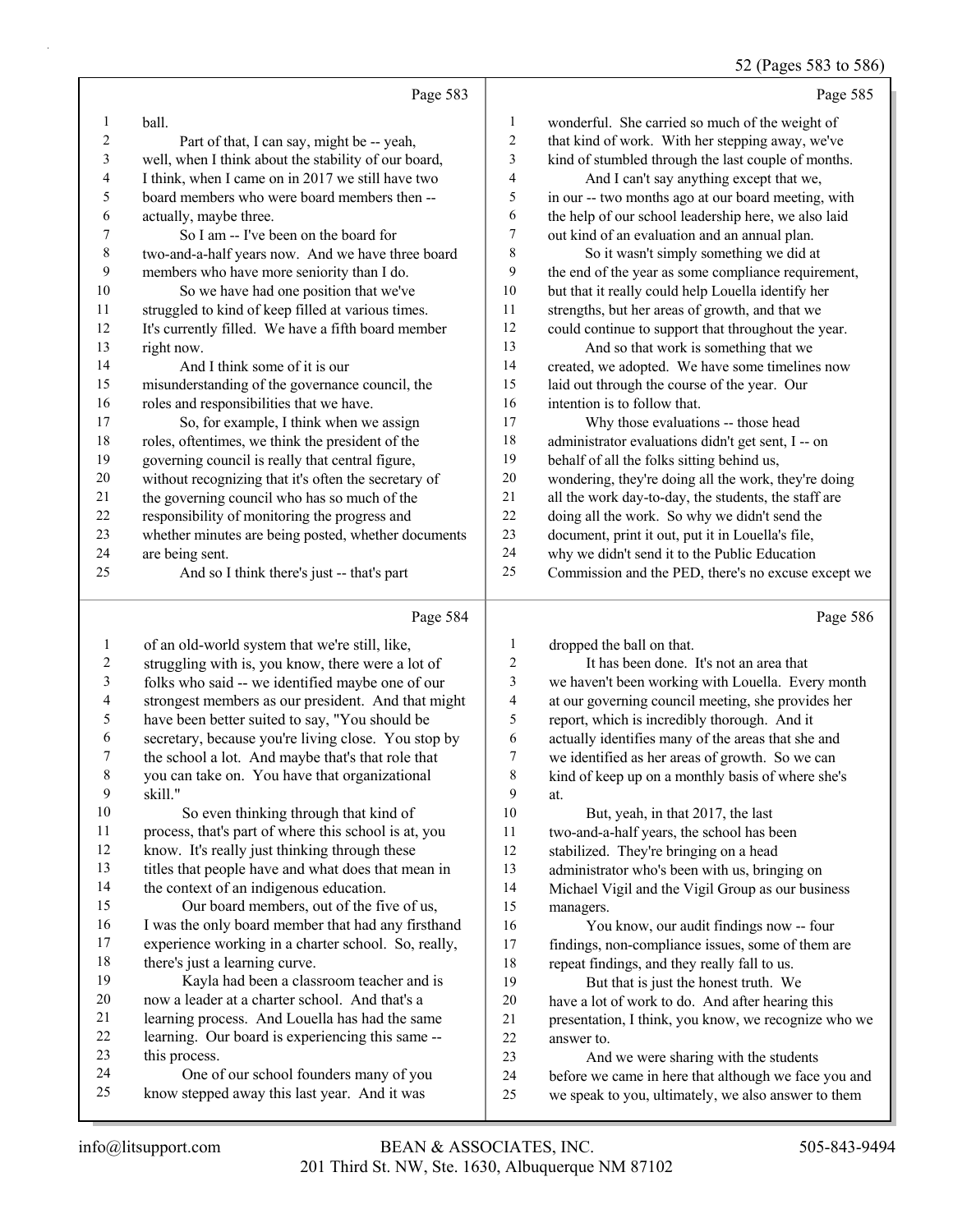## 52 (Pages 583 to 586)

|                | Page 583                                             |                | Page 585                                             |
|----------------|------------------------------------------------------|----------------|------------------------------------------------------|
| 1              | ball.                                                | $\mathbf{1}$   | wonderful. She carried so much of the weight of      |
| $\overline{c}$ | Part of that, I can say, might be -- yeah,           | 2              | that kind of work. With her stepping away, we've     |
| 3              | well, when I think about the stability of our board, | 3              | kind of stumbled through the last couple of months.  |
| 4              | I think, when I came on in 2017 we still have two    | 4              | And I can't say anything except that we,             |
| 5              | board members who were board members then --         | 5              | in our -- two months ago at our board meeting, with  |
| 6              | actually, maybe three.                               | 6              | the help of our school leadership here, we also laid |
| 7              | So I am -- I've been on the board for                | 7              | out kind of an evaluation and an annual plan.        |
| $\,$ $\,$      | two-and-a-half years now. And we have three board    | 8              | So it wasn't simply something we did at              |
| 9              | members who have more seniority than I do.           | 9              | the end of the year as some compliance requirement,  |
| 10             | So we have had one position that we've               | 10             | but that it really could help Louella identify her   |
| 11             | struggled to kind of keep filled at various times.   | 11             | strengths, but her areas of growth, and that we      |
| 12             | It's currently filled. We have a fifth board member  | 12             | could continue to support that throughout the year.  |
| 13             | right now.                                           | 13             | And so that work is something that we                |
| 14             | And I think some of it is our                        | 14             | created, we adopted. We have some timelines now      |
| 15             | misunderstanding of the governance council, the      | 15             | laid out through the course of the year. Our         |
| 16             | roles and responsibilities that we have.             | 16             | intention is to follow that.                         |
| 17             | So, for example, I think when we assign              | 17             | Why those evaluations -- those head                  |
| 18             | roles, oftentimes, we think the president of the     | 18             | administrator evaluations didn't get sent, I -- on   |
| 19             | governing council is really that central figure,     | 19             | behalf of all the folks sitting behind us,           |
| 20             | without recognizing that it's often the secretary of | 20             | wondering, they're doing all the work, they're doing |
| 21             | the governing council who has so much of the         | 21             | all the work day-to-day, the students, the staff are |
| $22\,$         | responsibility of monitoring the progress and        | 22             | doing all the work. So why we didn't send the        |
| 23             | whether minutes are being posted, whether documents  | 23             | document, print it out, put it in Louella's file,    |
| 24             | are being sent.                                      | 24             | why we didn't send it to the Public Education        |
| 25             | And so I think there's just -- that's part           | 25             | Commission and the PED, there's no excuse except we  |
|                | Page 584                                             |                | Page 586                                             |
| 1              | of an old-world system that we're still, like,       | $\mathbf{1}$   | dropped the ball on that.                            |
| $\overline{c}$ | struggling with is, you know, there were a lot of    | $\overline{c}$ | It has been done. It's not an area that              |
| 3              | folks who said -- we identified maybe one of our     | 3              | we haven't been working with Louella. Every month    |
| 4              | strongest members as our president. And that might   | 4              | at our governing council meeting, she provides her   |

have been better suited to say, "You should be

secretary, because you're living close. You stop by

the school a lot. And maybe that's that role that

you can take on. You have that organizational

- skill." 10 So even thinking through that kind of process, that's part of where this school is at, you 12 know. It's really just thinking through these
- titles that people have and what does that mean in

 the context of an indigenous education. 15 Our board members, out of the five of us, I was the only board member that had any firsthand

 experience working in a charter school. So, really, there's just a learning curve.

19 Kayla had been a classroom teacher and is now a leader at a charter school. And that's a

- learning process. And Louella has had the same learning. Our board is experiencing this same --
- this process.

24 One of our school founders many of you know stepped away this last year. And it was

 two-and-a-half years, the school has been stabilized. They're bringing on a head administrator who's been with us, bringing on Michael Vigil and the Vigil Group as our business

 report, which is incredibly thorough. And it actually identifies many of the areas that she and we identified as her areas of growth. So we can kind of keep up on a monthly basis of where she's

10 But, yeah, in that 2017, the last

 managers. 16 You know, our audit findings now -- four findings, non-compliance issues, some of them are repeat findings, and they really fall to us.

19 But that is just the honest truth. We have a lot of work to do. And after hearing this presentation, I think, you know, we recognize who we answer to.

23 And we were sharing with the students before we came in here that although we face you and we speak to you, ultimately, we also answer to them

at.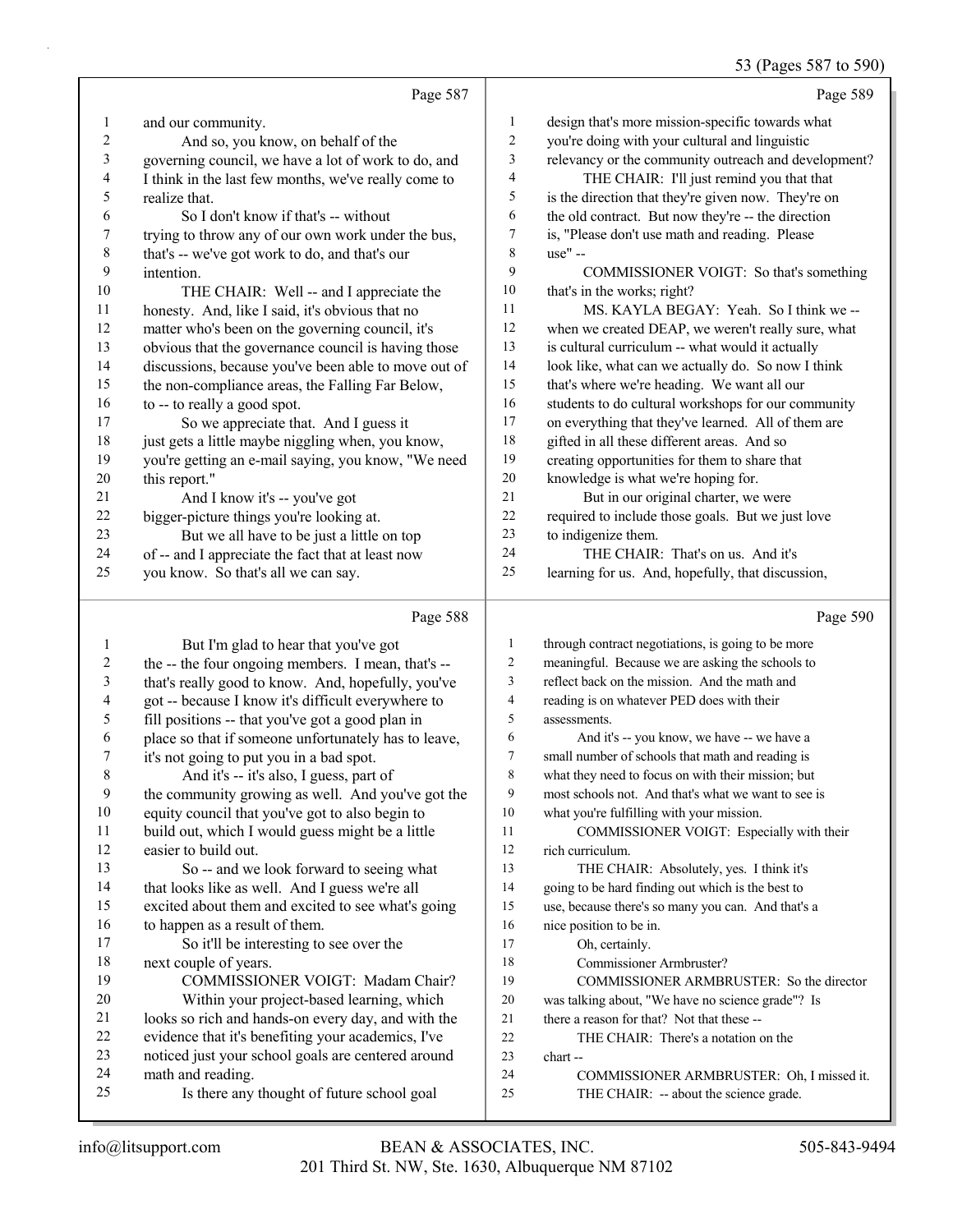## 53 (Pages 587 to 590)

|        |                                                      |                | ּס                                                   |
|--------|------------------------------------------------------|----------------|------------------------------------------------------|
|        | Page 587                                             |                | Page 589                                             |
| 1      | and our community.                                   | 1              | design that's more mission-specific towards what     |
| 2      | And so, you know, on behalf of the                   | 2              | you're doing with your cultural and linguistic       |
| 3      | governing council, we have a lot of work to do, and  | 3              | relevancy or the community outreach and development? |
| 4      | I think in the last few months, we've really come to | 4              | THE CHAIR: I'll just remind you that that            |
| 5      | realize that.                                        | 5              | is the direction that they're given now. They're on  |
| 6      | So I don't know if that's -- without                 | 6              | the old contract. But now they're -- the direction   |
| 7      | trying to throw any of our own work under the bus,   | 7              | is, "Please don't use math and reading. Please       |
| 8      | that's -- we've got work to do, and that's our       | 8              | use" --                                              |
| 9      | intention.                                           | 9              | COMMISSIONER VOIGT: So that's something              |
| 10     | THE CHAIR: Well -- and I appreciate the              | 10             | that's in the works; right?                          |
| 11     | honesty. And, like I said, it's obvious that no      | 11             | MS. KAYLA BEGAY: Yeah. So I think we --              |
| 12     | matter who's been on the governing council, it's     | 12             | when we created DEAP, we weren't really sure, what   |
| 13     | obvious that the governance council is having those  | 13             | is cultural curriculum -- what would it actually     |
| 14     | discussions, because you've been able to move out of | 14             | look like, what can we actually do. So now I think   |
| 15     | the non-compliance areas, the Falling Far Below,     | 15             | that's where we're heading. We want all our          |
| 16     | to -- to really a good spot.                         | 16             | students to do cultural workshops for our community  |
| 17     | So we appreciate that. And I guess it                | 17             | on everything that they've learned. All of them are  |
| 18     | just gets a little maybe niggling when, you know,    | 18             | gifted in all these different areas. And so          |
| 19     | you're getting an e-mail saying, you know, "We need  | 19             | creating opportunities for them to share that        |
| $20\,$ | this report."                                        | $20\,$         | knowledge is what we're hoping for.                  |
| 21     | And I know it's -- you've got                        | 21             | But in our original charter, we were                 |
| 22     | bigger-picture things you're looking at.             | $22\,$         | required to include those goals. But we just love    |
| 23     | But we all have to be just a little on top           | 23             | to indigenize them.                                  |
| 24     | of -- and I appreciate the fact that at least now    | 24             | THE CHAIR: That's on us. And it's                    |
| 25     | you know. So that's all we can say.                  | 25             | learning for us. And, hopefully, that discussion,    |
|        |                                                      |                |                                                      |
|        | Page 588                                             |                | Page 590                                             |
| 1      | But I'm glad to hear that you've got                 | $\mathbf{1}$   | through contract negotiations, is going to be more   |
| 2      | the -- the four ongoing members. I mean, that's --   | 2              | meaningful. Because we are asking the schools to     |
| 3      | that's really good to know. And, hopefully, you've   | 3              | reflect back on the mission. And the math and        |
| 4      | got -- because I know it's difficult everywhere to   | $\overline{4}$ | reading is on whatever PED does with their           |
| 5      | fill positions -- that you've got a good plan in     | 5              | assessments.                                         |
| 6      | place so that if someone unfortunately has to leave, | 6              | And it's -- you know, we have -- we have a           |
| 7      | it's not going to put you in a bad spot.             | $\tau$         | small number of schools that math and reading is     |
| 8      | And it's -- it's also, I guess, part of              | 8              | what they need to focus on with their mission; but   |
| 9      | the community growing as well. And you've got the    | 9              | most schools not. And that's what we want to see is  |
| $10\,$ | equity council that you've got to also begin to      | 10             | what you're fulfilling with your mission.            |
| 11     | build out, which I would guess might be a little     | 11             | COMMISSIONER VOIGT: Especially with their            |
| 12     | easier to build out.                                 | 12             | rich curriculum.                                     |
| 13     | So -- and we look forward to seeing what             | 13             | THE CHAIR: Absolutely, yes. I think it's             |
| 14     | that looks like as well. And I guess we're all       | 14             | going to be hard finding out which is the best to    |

excited about them and excited to see what's going

19 COMMISSIONER VOIGT: Madam Chair? 20 Within your project-based learning, which looks so rich and hands-on every day, and with the evidence that it's benefiting your academics, I've noticed just your school goals are centered around

25 Is there any thought of future school goal

17 So it'll be interesting to see over the

to happen as a result of them.

next couple of years.

math and reading.

use, because there's so many you can. And that's a

19 COMMISSIONER ARMBRUSTER: So the director was talking about, "We have no science grade"? Is

24 COMMISSIONER ARMBRUSTER: Oh, I missed it.

 nice position to be in. 17 Oh, certainly.

chart --

18 Commissioner Armbruster?

 there a reason for that? Not that these -- 22 THE CHAIR: There's a notation on the

25 THE CHAIR: -- about the science grade.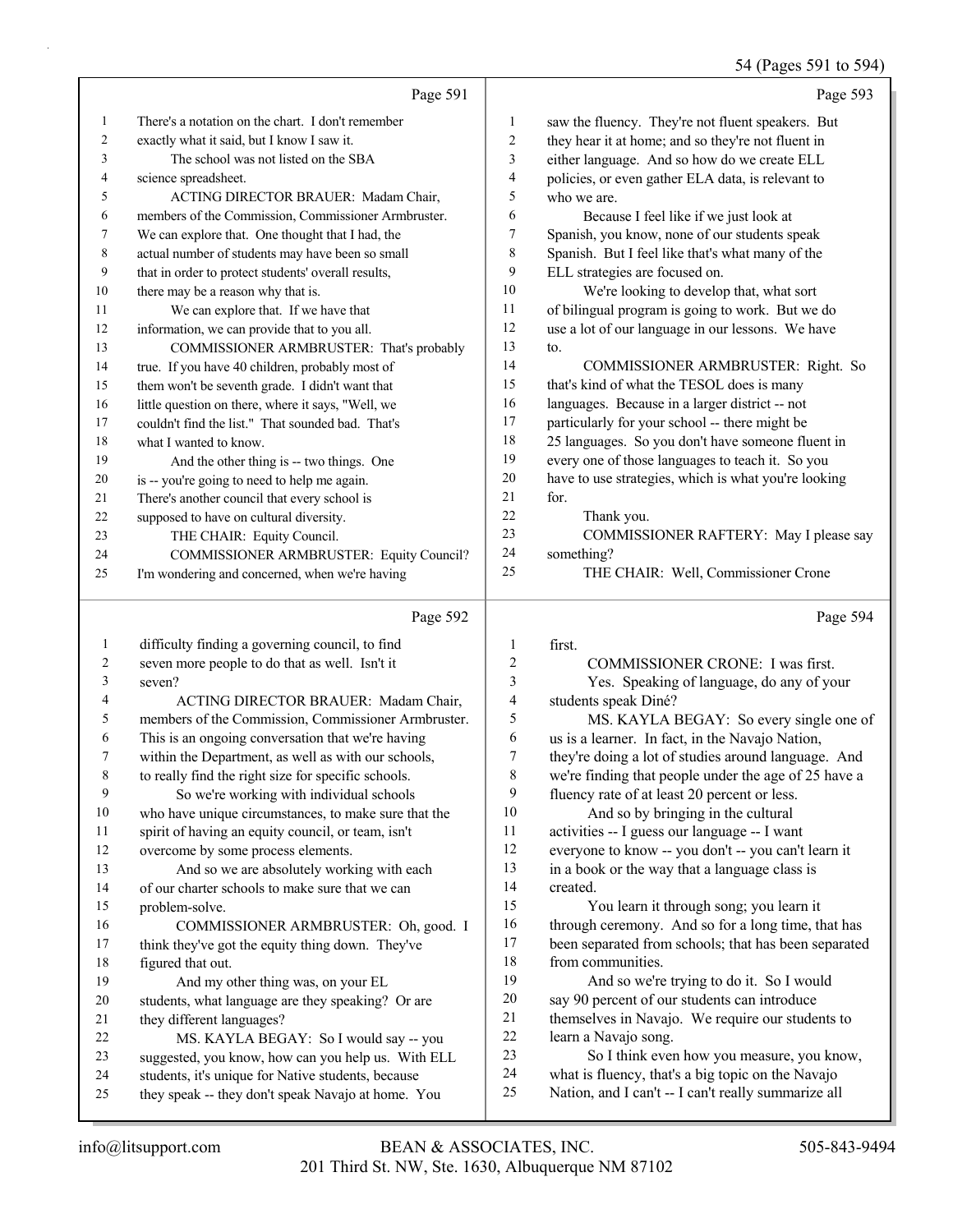54 (Pages 591 to 594)

|    | Page 591                                            |                | Page 593                                             |
|----|-----------------------------------------------------|----------------|------------------------------------------------------|
| 1  | There's a notation on the chart. I don't remember   | 1              | saw the fluency. They're not fluent speakers. But    |
| 2  | exactly what it said, but I know I saw it.          | $\overline{c}$ | they hear it at home; and so they're not fluent in   |
| 3  | The school was not listed on the SBA                | 3              | either language. And so how do we create ELL         |
| 4  | science spreadsheet.                                | 4              | policies, or even gather ELA data, is relevant to    |
| 5  | ACTING DIRECTOR BRAUER: Madam Chair,                | 5              | who we are.                                          |
| 6  | members of the Commission, Commissioner Armbruster. | 6              | Because I feel like if we just look at               |
| 7  | We can explore that. One thought that I had, the    | 7              | Spanish, you know, none of our students speak        |
| 8  | actual number of students may have been so small    | 8              | Spanish. But I feel like that's what many of the     |
| 9  | that in order to protect students' overall results, | 9              | ELL strategies are focused on.                       |
| 10 | there may be a reason why that is.                  | 10             | We're looking to develop that, what sort             |
| 11 | We can explore that. If we have that                | 11             | of bilingual program is going to work. But we do     |
| 12 | information, we can provide that to you all.        | 12             | use a lot of our language in our lessons. We have    |
| 13 | COMMISSIONER ARMBRUSTER: That's probably            | 13             | to.                                                  |
| 14 | true. If you have 40 children, probably most of     | 14             | COMMISSIONER ARMBRUSTER: Right. So                   |
| 15 | them won't be seventh grade. I didn't want that     | 15             | that's kind of what the TESOL does is many           |
| 16 | little question on there, where it says, "Well, we  | 16             | languages. Because in a larger district -- not       |
| 17 | couldn't find the list." That sounded bad. That's   | 17             | particularly for your school -- there might be       |
| 18 | what I wanted to know.                              | 18             | 25 languages. So you don't have someone fluent in    |
| 19 | And the other thing is -- two things. One           | 19             | every one of those languages to teach it. So you     |
| 20 | is -- you're going to need to help me again.        | 20             | have to use strategies, which is what you're looking |
| 21 | There's another council that every school is        | 21             | for.                                                 |
| 22 | supposed to have on cultural diversity.             | 22             | Thank you.                                           |
| 23 | THE CHAIR: Equity Council.                          | 23             | COMMISSIONER RAFTERY: May I please say               |
| 24 | COMMISSIONER ARMBRUSTER: Equity Council?            | 24             | something?                                           |
| 25 | I'm wondering and concerned, when we're having      | 25             | THE CHAIR: Well, Commissioner Crone                  |
|    | Page 592                                            |                | Page 594                                             |

# Page 592 |

| 1  | difficulty finding a governing council, to find      | 1  | first.                                               |
|----|------------------------------------------------------|----|------------------------------------------------------|
| 2  | seven more people to do that as well. Isn't it       | 2  | COMMISSIONER CRONE: I was first.                     |
| 3  | seven?                                               | 3  | Yes. Speaking of language, do any of your            |
| 4  | ACTING DIRECTOR BRAUER: Madam Chair,                 | 4  | students speak Diné?                                 |
| 5  | members of the Commission, Commissioner Armbruster.  | 5  | MS. KAYLA BEGAY: So every single one of              |
| 6  | This is an ongoing conversation that we're having    | 6  | us is a learner. In fact, in the Navajo Nation,      |
| 7  | within the Department, as well as with our schools,  | 7  | they're doing a lot of studies around language. And  |
| 8  | to really find the right size for specific schools.  | 8  | we're finding that people under the age of 25 have a |
| 9  | So we're working with individual schools             | 9  | fluency rate of at least 20 percent or less.         |
| 10 | who have unique circumstances, to make sure that the | 10 | And so by bringing in the cultural                   |
| 11 | spirit of having an equity council, or team, isn't   | 11 | activities -- I guess our language -- I want         |
| 12 | overcome by some process elements.                   | 12 | everyone to know -- you don't -- you can't learn it  |
| 13 | And so we are absolutely working with each           | 13 | in a book or the way that a language class is        |
| 14 | of our charter schools to make sure that we can      | 14 | created.                                             |
| 15 | problem-solve.                                       | 15 | You learn it through song; you learn it              |
| 16 | COMMISSIONER ARMBRUSTER: Oh, good. I                 | 16 | through ceremony. And so for a long time, that has   |
| 17 | think they've got the equity thing down. They've     | 17 | been separated from schools; that has been separated |
| 18 | figured that out.                                    | 18 | from communities.                                    |
| 19 | And my other thing was, on your EL                   | 19 | And so we're trying to do it. So I would             |
| 20 | students, what language are they speaking? Or are    | 20 | say 90 percent of our students can introduce         |
| 21 | they different languages?                            | 21 | themselves in Navajo. We require our students to     |
| 22 | MS. KAYLA BEGAY: So I would say -- you               | 22 | learn a Navajo song.                                 |
| 23 | suggested, you know, how can you help us. With ELL   | 23 | So I think even how you measure, you know,           |
| 24 | students, it's unique for Native students, because   | 24 | what is fluency, that's a big topic on the Navajo    |
| 25 | they speak -- they don't speak Navajo at home. You   | 25 | Nation, and I can't -- I can't really summarize all  |
|    |                                                      |    |                                                      |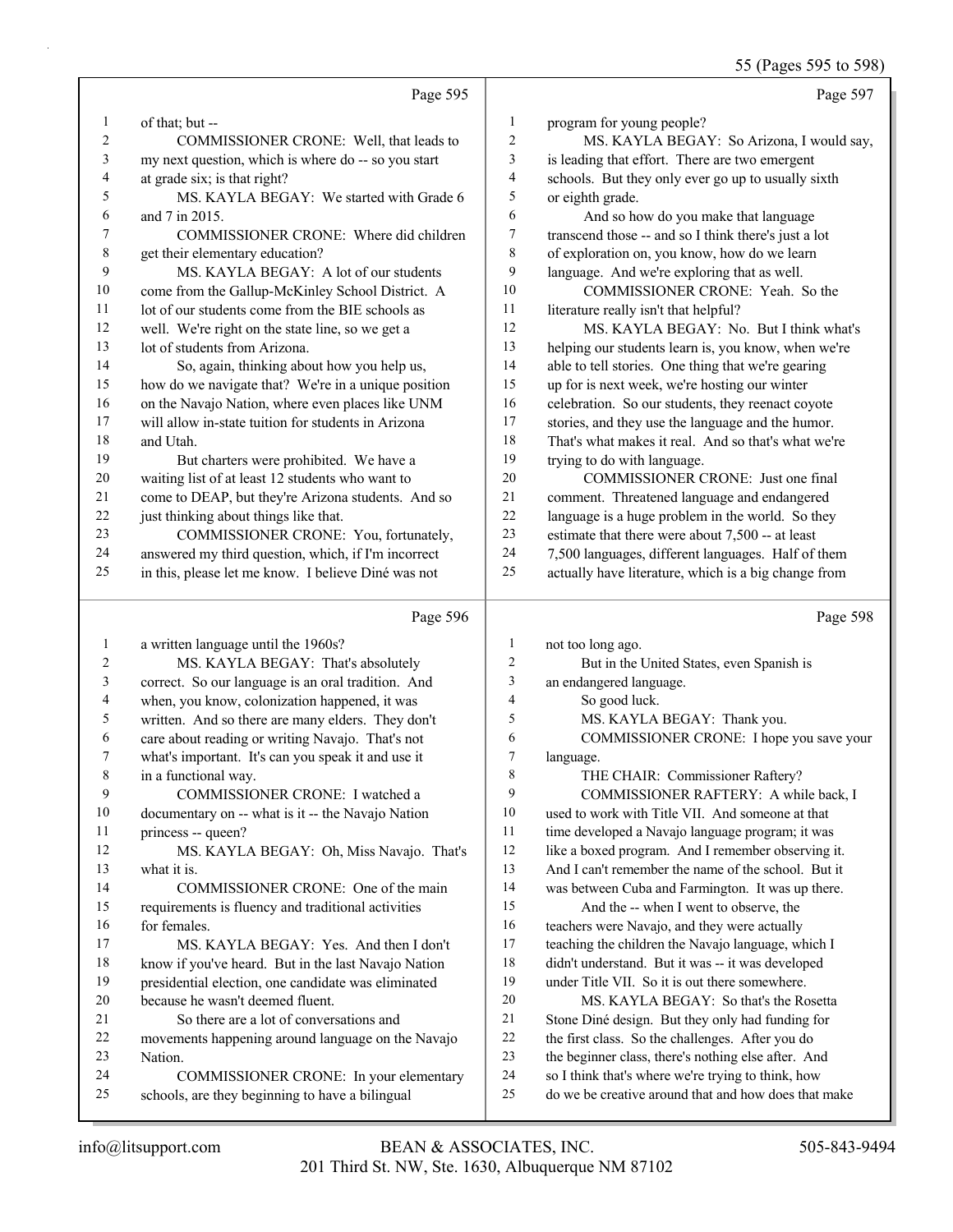|              |                                                     |                  | 55 (Pages 595 to 598)                                |
|--------------|-----------------------------------------------------|------------------|------------------------------------------------------|
|              | Page 595                                            |                  | Page 597                                             |
| 1            | of that; but --                                     | $\mathbf{1}$     | program for young people?                            |
| 2            | COMMISSIONER CRONE: Well, that leads to             | $\overline{c}$   | MS. KAYLA BEGAY: So Arizona, I would say,            |
| 3            | my next question, which is where do -- so you start | 3                | is leading that effort. There are two emergent       |
| 4            | at grade six; is that right?                        | $\overline{4}$   | schools. But they only ever go up to usually sixth   |
| 5            | MS. KAYLA BEGAY: We started with Grade 6            | 5                | or eighth grade.                                     |
| 6            | and 7 in 2015.                                      | 6                | And so how do you make that language                 |
| 7            | COMMISSIONER CRONE: Where did children              | $\boldsymbol{7}$ | transcend those -- and so I think there's just a lot |
| $\,$ 8 $\,$  | get their elementary education?                     | 8                | of exploration on, you know, how do we learn         |
| 9            | MS. KAYLA BEGAY: A lot of our students              | 9                | language. And we're exploring that as well.          |
| 10           | come from the Gallup-McKinley School District. A    | 10               | COMMISSIONER CRONE: Yeah. So the                     |
| 11           | lot of our students come from the BIE schools as    | 11               | literature really isn't that helpful?                |
| 12           | well. We're right on the state line, so we get a    | 12               | MS. KAYLA BEGAY: No. But I think what's              |
| 13           | lot of students from Arizona.                       | 13               | helping our students learn is, you know, when we're  |
| 14           | So, again, thinking about how you help us,          | 14               | able to tell stories. One thing that we're gearing   |
| 15           | how do we navigate that? We're in a unique position | 15               | up for is next week, we're hosting our winter        |
| 16           | on the Navajo Nation, where even places like UNM    | 16               | celebration. So our students, they reenact coyote    |
| 17           | will allow in-state tuition for students in Arizona | 17               | stories, and they use the language and the humor.    |
| 18           | and Utah.                                           | 18               | That's what makes it real. And so that's what we're  |
| 19           | But charters were prohibited. We have a             | 19               | trying to do with language.                          |
| 20           | waiting list of at least 12 students who want to    | 20               | COMMISSIONER CRONE: Just one final                   |
| 21           | come to DEAP, but they're Arizona students. And so  | 21               | comment. Threatened language and endangered          |
| 22           | just thinking about things like that.               | 22               | language is a huge problem in the world. So they     |
| 23           | COMMISSIONER CRONE: You, fortunately,               | 23               | estimate that there were about 7,500 -- at least     |
| 24           | answered my third question, which, if I'm incorrect | 24               | 7,500 languages, different languages. Half of them   |
| 25           | in this, please let me know. I believe Diné was not | 25               | actually have literature, which is a big change from |
|              | Page 596                                            |                  | Page 598                                             |
| $\mathbf{1}$ | a written language until the 1960s?                 | 1                | not too long ago.                                    |
| 2            | MS. KAYLA BEGAY: That's absolutely                  | $\mathfrak{2}$   | But in the United States, even Spanish is            |
| 3            | correct. So our language is an oral tradition. And  | 3                | an endangered language.                              |
| 4            | when, you know, colonization happened, it was       | 4                | So good luck.                                        |
| 5            | written. And so there are many elders. They don't   | 5                | MS. KAYLA BEGAY: Thank you.                          |
| 6            | care about reading or writing Navajo. That's not    | 6                | COMMISSIONER CRONE: I hope you save your             |
| 7            | what's important. It's can you speak it and use it  | 7                | language.                                            |
| $\,$ 8 $\,$  | in a functional way.                                | 8                | THE CHAIR: Commissioner Raftery?                     |
| 9            | COMMISSIONER CRONE: I watched a                     | 9                | COMMISSIONER RAFTERY: A while back, I                |
| 10           | documentary on -- what is it -- the Navajo Nation   | 10               | used to work with Title VII. And someone at that     |
| 11           | princess -- queen?                                  | 11               | time developed a Navajo language program; it was     |
| 12           | MS. KAYLA BEGAY: Oh, Miss Navajo. That's            | 12               | like a boxed program. And I remember observing it.   |
| 13           | what it is.                                         | 13               | And I can't remember the name of the school. But it  |
| 14           | COMMISSIONER CRONE: One of the main                 | 14               | was between Cuba and Farmington. It was up there.    |
| 15           | requirements is fluency and traditional activities  | 15               | And the -- when I went to observe, the               |
| 16           | for females.                                        | 16               | teachers were Navajo, and they were actually         |
| 17           | MS. KAYLA BEGAY: Yes. And then I don't              | 17               | teaching the children the Navajo language, which I   |
| 18           | know if you've heard. But in the last Navajo Nation | $18\,$           | didn't understand. But it was -- it was developed    |
| 19           | presidential election, one candidate was eliminated | 19               | under Title VII. So it is out there somewhere.       |
| 20           | because he wasn't deemed fluent.                    | 20               | MS. KAYLA BEGAY: So that's the Rosetta               |

21 Stone Diné design. But they only had funding for<br>22 the first class. So the challenges. After you do the first class. So the challenges. After you do the beginner class, there's nothing else after. And

so I think that's where we're trying to think, how

do we be creative around that and how does that make

Nation.

21 So there are a lot of conversations and

schools, are they beginning to have a bilingual

movements happening around language on the Navajo

24 COMMISSIONER CRONE: In your elementary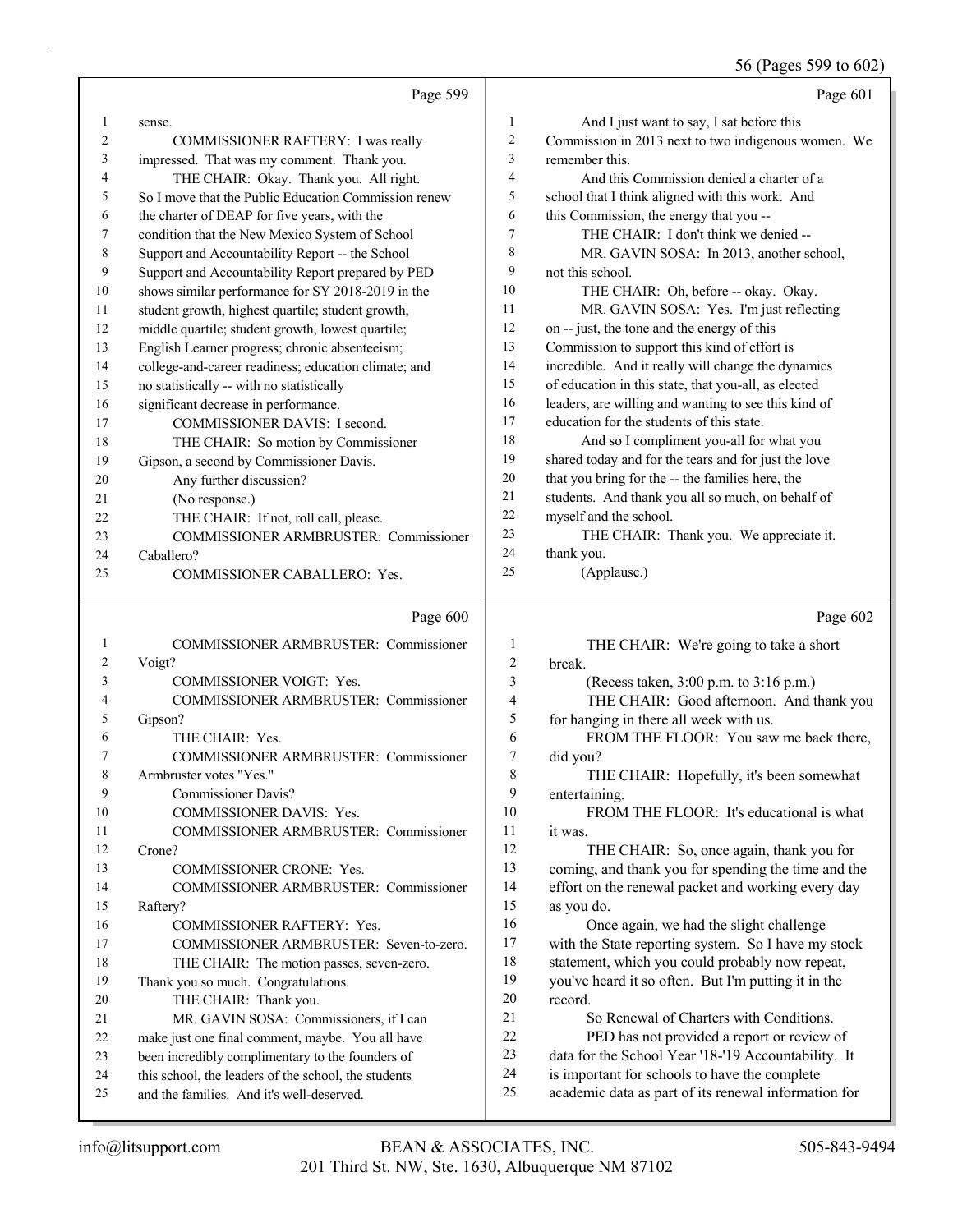56 (Pages 599 to 602)

|              | Page 599                                                                                          |                | Page 601                                                                                              |
|--------------|---------------------------------------------------------------------------------------------------|----------------|-------------------------------------------------------------------------------------------------------|
| $\mathbf{1}$ | sense.                                                                                            | $\mathbf{1}$   | And I just want to say, I sat before this                                                             |
| 2            | COMMISSIONER RAFTERY: I was really                                                                | $\overline{c}$ | Commission in 2013 next to two indigenous women. We                                                   |
| 3            | impressed. That was my comment. Thank you.                                                        | 3              | remember this.                                                                                        |
| 4            | THE CHAIR: Okay. Thank you. All right.                                                            | 4              | And this Commission denied a charter of a                                                             |
| 5            | So I move that the Public Education Commission renew                                              | 5              | school that I think aligned with this work. And                                                       |
| 6            | the charter of DEAP for five years, with the                                                      | 6              | this Commission, the energy that you --                                                               |
| 7            | condition that the New Mexico System of School                                                    | $\overline{7}$ | THE CHAIR: I don't think we denied --                                                                 |
| 8            | Support and Accountability Report -- the School                                                   | 8              | MR. GAVIN SOSA: In 2013, another school,                                                              |
| 9            | Support and Accountability Report prepared by PED                                                 | 9              | not this school.                                                                                      |
| 10           | shows similar performance for SY 2018-2019 in the                                                 | 10             | THE CHAIR: Oh, before -- okay. Okay.                                                                  |
| 11           | student growth, highest quartile; student growth,                                                 | 11             | MR. GAVIN SOSA: Yes. I'm just reflecting                                                              |
| 12           | middle quartile; student growth, lowest quartile;                                                 | 12             | on -- just, the tone and the energy of this                                                           |
| 13           | English Learner progress; chronic absenteeism;                                                    | 13             | Commission to support this kind of effort is                                                          |
| 14           | college-and-career readiness; education climate; and                                              | 14             | incredible. And it really will change the dynamics                                                    |
| 15           | no statistically -- with no statistically                                                         | 15             | of education in this state, that you-all, as elected                                                  |
| 16           | significant decrease in performance.                                                              | 16             | leaders, are willing and wanting to see this kind of                                                  |
| 17           | COMMISSIONER DAVIS: I second.                                                                     | 17             | education for the students of this state.                                                             |
| 18           | THE CHAIR: So motion by Commissioner                                                              | 18             | And so I compliment you-all for what you                                                              |
| 19           | Gipson, a second by Commissioner Davis.                                                           | 19             | shared today and for the tears and for just the love                                                  |
| 20           | Any further discussion?                                                                           | 20             | that you bring for the -- the families here, the                                                      |
| 21           | (No response.)                                                                                    | 21             | students. And thank you all so much, on behalf of                                                     |
| 22           | THE CHAIR: If not, roll call, please.                                                             | 22             | myself and the school.                                                                                |
| 23           | COMMISSIONER ARMBRUSTER: Commissioner                                                             | 23             | THE CHAIR: Thank you. We appreciate it.                                                               |
| 24           | Caballero?                                                                                        | 24             | thank you.                                                                                            |
| 25           | COMMISSIONER CABALLERO: Yes.                                                                      | 25             | (Applause.)                                                                                           |
|              | Page 600                                                                                          |                | Page 602                                                                                              |
|              |                                                                                                   |                |                                                                                                       |
| $\mathbf{1}$ | COMMISSIONER ARMBRUSTER: Commissioner                                                             | 1              | THE CHAIR: We're going to take a short                                                                |
| 2            | Voigt?                                                                                            | $\sqrt{2}$     | break.                                                                                                |
| 3            | COMMISSIONER VOIGT: Yes.                                                                          | 3              | (Recess taken, 3:00 p.m. to 3:16 p.m.)                                                                |
| 4            | COMMISSIONER ARMBRUSTER: Commissioner                                                             | $\overline{4}$ | THE CHAIR: Good afternoon. And thank you                                                              |
| 5            | Gipson?                                                                                           | 5              | for hanging in there all week with us.                                                                |
| 6            | THE CHAIR: Yes.                                                                                   | 6              | FROM THE FLOOR: You saw me back there,                                                                |
| 7            | COMMISSIONER ARMBRUSTER: Commissioner                                                             | 7              | did you?                                                                                              |
| 8            | Armbruster votes "Yes."                                                                           | 8              | THE CHAIR: Hopefully, it's been somewhat                                                              |
| 9            | Commissioner Davis?                                                                               | 9              | entertaining.                                                                                         |
| 10           | COMMISSIONER DAVIS: Yes.                                                                          | 10             | FROM THE FLOOR: It's educational is what                                                              |
| 11           | COMMISSIONER ARMBRUSTER: Commissioner                                                             | 11             | it was.                                                                                               |
| 12           | Crone?                                                                                            | 12             | THE CHAIR: So, once again, thank you for                                                              |
| 13           | COMMISSIONER CRONE: Yes.                                                                          | 13             | coming, and thank you for spending the time and the                                                   |
| 14           | COMMISSIONER ARMBRUSTER: Commissioner                                                             | 14             | effort on the renewal packet and working every day                                                    |
| 15           | Raftery?                                                                                          | 15             | as you do.                                                                                            |
| 16           | COMMISSIONER RAFTERY: Yes.                                                                        | 16             | Once again, we had the slight challenge                                                               |
| 17           | COMMISSIONER ARMBRUSTER: Seven-to-zero.                                                           | 17             | with the State reporting system. So I have my stock                                                   |
| 18           | THE CHAIR: The motion passes, seven-zero.                                                         | 18             | statement, which you could probably now repeat,                                                       |
| 19           | Thank you so much. Congratulations.                                                               | 19             | you've heard it so often. But I'm putting it in the                                                   |
| 20           | THE CHAIR: Thank you.                                                                             | 20             | record.                                                                                               |
| 21           | MR. GAVIN SOSA: Commissioners, if I can                                                           | 21             | So Renewal of Charters with Conditions.                                                               |
| 22           | make just one final comment, maybe. You all have                                                  | 22             | PED has not provided a report or review of                                                            |
| 23<br>24     | been incredibly complimentary to the founders of                                                  | 23<br>24       | data for the School Year '18-'19 Accountability. It                                                   |
| 25           | this school, the leaders of the school, the students<br>and the families. And it's well-deserved. | 25             | is important for schools to have the complete<br>academic data as part of its renewal information for |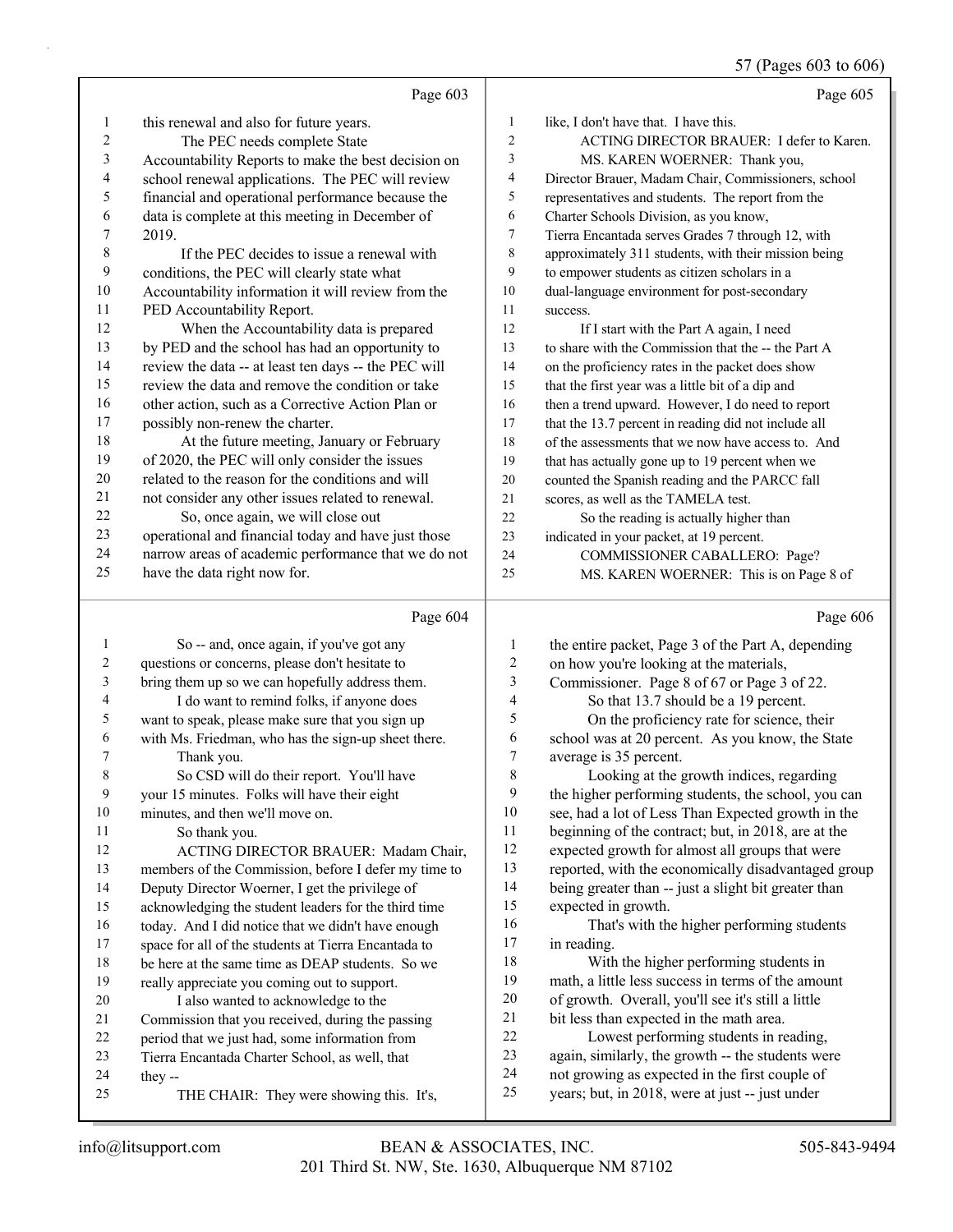57 (Pages 603 to 606)

|                  |                                                      |                         | $5/$ (Pages 603 to 606                                                                            |
|------------------|------------------------------------------------------|-------------------------|---------------------------------------------------------------------------------------------------|
|                  | Page 603                                             |                         | Page 605                                                                                          |
| 1                | this renewal and also for future years.              | 1                       | like, I don't have that. I have this.                                                             |
| $\mathbf{2}$     | The PEC needs complete State                         | $\overline{c}$          | ACTING DIRECTOR BRAUER: I defer to Karen.                                                         |
| $\mathfrak{Z}$   | Accountability Reports to make the best decision on  | 3                       | MS. KAREN WOERNER: Thank you,                                                                     |
| 4                | school renewal applications. The PEC will review     | 4                       | Director Brauer, Madam Chair, Commissioners, school                                               |
| 5                | financial and operational performance because the    | 5                       | representatives and students. The report from the                                                 |
| 6                | data is complete at this meeting in December of      | 6                       | Charter Schools Division, as you know,                                                            |
| $\boldsymbol{7}$ | 2019.                                                | 7                       | Tierra Encantada serves Grades 7 through 12, with                                                 |
| $\,$ $\,$        | If the PEC decides to issue a renewal with           | 8                       | approximately 311 students, with their mission being                                              |
| 9                | conditions, the PEC will clearly state what          | 9                       | to empower students as citizen scholars in a                                                      |
| $10\,$           | Accountability information it will review from the   | $10\,$                  | dual-language environment for post-secondary                                                      |
| 11               | PED Accountability Report.                           | 11                      | success.                                                                                          |
| 12               | When the Accountability data is prepared             | 12                      | If I start with the Part A again, I need                                                          |
| 13               | by PED and the school has had an opportunity to      | 13                      | to share with the Commission that the -- the Part A                                               |
| 14               | review the data -- at least ten days -- the PEC will | 14                      | on the proficiency rates in the packet does show                                                  |
| 15               | review the data and remove the condition or take     | 15                      | that the first year was a little bit of a dip and                                                 |
| 16               | other action, such as a Corrective Action Plan or    | 16                      | then a trend upward. However, I do need to report                                                 |
| $17\,$           | possibly non-renew the charter.                      | 17                      | that the 13.7 percent in reading did not include all                                              |
| $18\,$           | At the future meeting, January or February           | 18                      | of the assessments that we now have access to. And                                                |
| 19               | of 2020, the PEC will only consider the issues       | 19                      | that has actually gone up to 19 percent when we                                                   |
| $20\,$           | related to the reason for the conditions and will    | $20\,$                  | counted the Spanish reading and the PARCC fall                                                    |
| $21\,$           | not consider any other issues related to renewal.    | $21\,$                  | scores, as well as the TAMELA test.                                                               |
| $22\,$           | So, once again, we will close out                    | 22                      | So the reading is actually higher than                                                            |
| 23               | operational and financial today and have just those  | 23                      | indicated in your packet, at 19 percent.                                                          |
| 24               | narrow areas of academic performance that we do not  | 24                      | COMMISSIONER CABALLERO: Page?                                                                     |
| 25               | have the data right now for.                         | 25                      | MS. KAREN WOERNER: This is on Page 8 of                                                           |
|                  | Page 604                                             |                         | Page 606                                                                                          |
| $\mathbf{1}$     | So -- and, once again, if you've got any             | 1                       | the entire packet, Page 3 of the Part A, depending                                                |
| $\boldsymbol{2}$ | questions or concerns, please don't hesitate to      | $\overline{c}$          | on how you're looking at the materials,                                                           |
| 3                | bring them up so we can hopefully address them.      | 3                       | Commissioner. Page 8 of 67 or Page 3 of 22.                                                       |
| 4                | I do want to remind folks, if anyone does            | $\overline{\mathbf{4}}$ | So that 13.7 should be a 19 percent.                                                              |
| 5                | want to speak, please make sure that you sign up     | 5                       | On the proficiency rate for science, their                                                        |
| 6                | with Ms. Friedman, who has the sign-up sheet there.  | 6                       | school was at 20 percent. As you know, the State                                                  |
| 7                | Thank you.                                           | $\overline{7}$          | average is 35 percent.                                                                            |
| 8                | So CSD will do their report. You'll have             | 8                       | Looking at the growth indices, regarding                                                          |
| 9                | your 15 minutes. Folks will have their eight         | 9                       | the higher performing students, the school, you can                                               |
| 10               | minutes, and then we'll move on.                     | 10                      | see, had a lot of Less Than Expected growth in the                                                |
| 11               | So thank you.                                        | 11                      | beginning of the contract; but, in 2018, are at the                                               |
| 12               | ACTING DIRECTOR BRAUER: Madam Chair,                 | 12                      | expected growth for almost all groups that were                                                   |
| 13               | members of the Commission, before I defer my time to | 13                      | reported, with the economically disadvantaged group                                               |
| 14               | Deputy Director Woerner, I get the privilege of      | 14                      | being greater than -- just a slight bit greater than                                              |
| 15               | acknowledging the student leaders for the third time | 15                      | expected in growth.                                                                               |
| 16               | today. And I did notice that we didn't have enough   | 16                      | That's with the higher performing students                                                        |
| 17               | space for all of the students at Tierra Encantada to | 17                      | in reading.                                                                                       |
| 18               | be here at the same time as DEAP students. So we     | 18                      | With the higher performing students in                                                            |
| 19               | really appreciate you coming out to support.         | 19                      | math, a little less success in terms of the amount                                                |
| 20               | I also wanted to acknowledge to the                  | $20\,$                  | of growth. Overall, you'll see it's still a little                                                |
| 21               | Commission that you received, during the passing     | 21<br>$22\,$            | bit less than expected in the math area.<br>Lowest performing students in reading,                |
| 22               |                                                      |                         |                                                                                                   |
|                  | period that we just had, some information from       |                         |                                                                                                   |
| 23               | Tierra Encantada Charter School, as well, that       | 23                      | again, similarly, the growth -- the students were                                                 |
| 24<br>25         | they --<br>THE CHAIR: They were showing this. It's,  | 24<br>25                | not growing as expected in the first couple of<br>years; but, in 2018, were at just -- just under |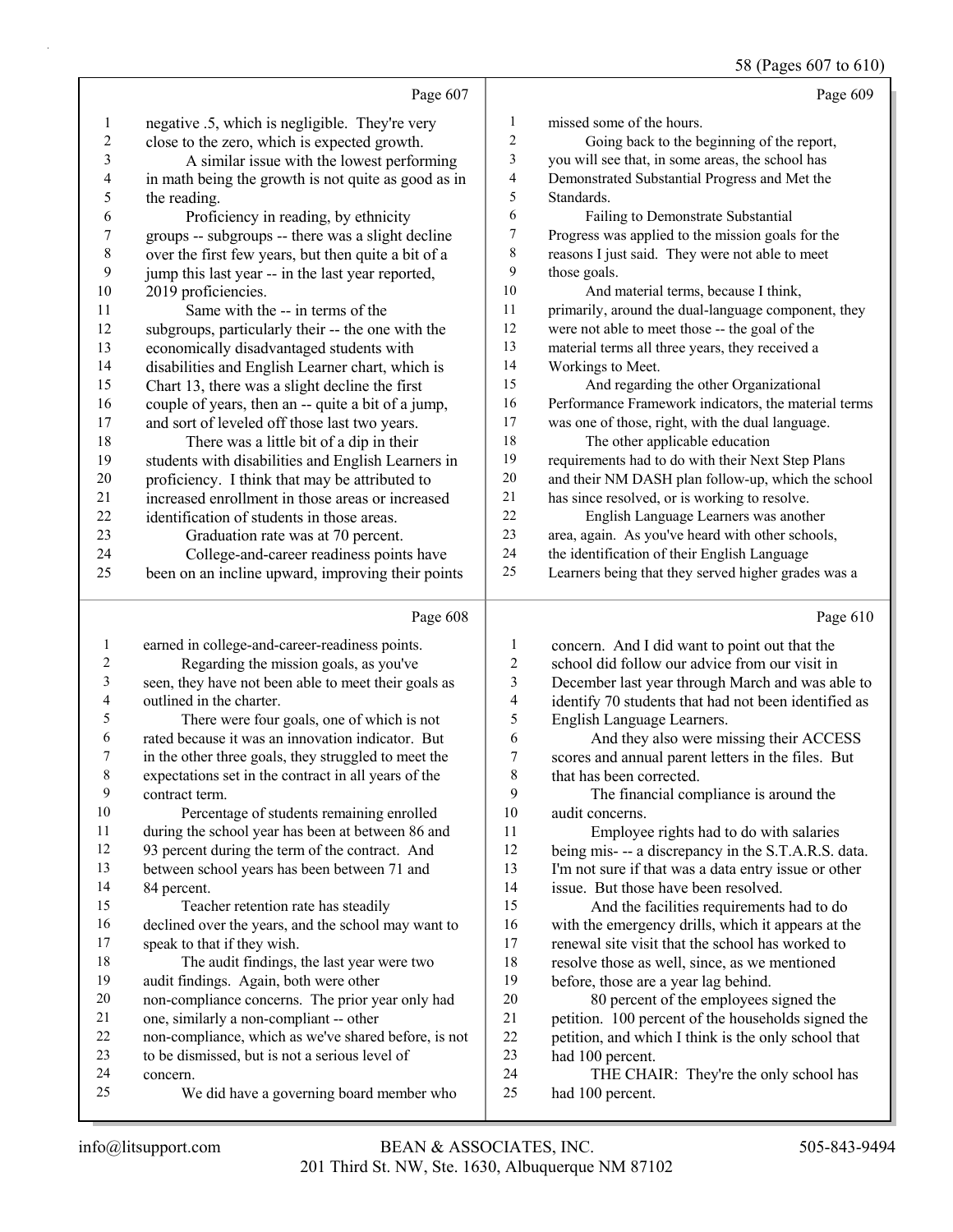58 (Pages 607 to 610)

|                          |                                                      |                         | $30$ (rages 00/ to 010)                              |
|--------------------------|------------------------------------------------------|-------------------------|------------------------------------------------------|
|                          | Page 607                                             |                         | Page 609                                             |
| $\mathbf{1}$             | negative .5, which is negligible. They're very       | 1                       | missed some of the hours.                            |
| $\sqrt{2}$               | close to the zero, which is expected growth.         | $\overline{c}$          | Going back to the beginning of the report,           |
| $\mathfrak{Z}$           | A similar issue with the lowest performing           | 3                       | you will see that, in some areas, the school has     |
| $\overline{4}$           | in math being the growth is not quite as good as in  | $\overline{\mathbf{4}}$ | Demonstrated Substantial Progress and Met the        |
| 5                        | the reading.                                         | 5                       | Standards.                                           |
| 6                        | Proficiency in reading, by ethnicity                 | 6                       | Failing to Demonstrate Substantial                   |
| $\boldsymbol{7}$         | groups -- subgroups -- there was a slight decline    | 7                       | Progress was applied to the mission goals for the    |
| $\,$ $\,$                | over the first few years, but then quite a bit of a  | $\,$ 8 $\,$             | reasons I just said. They were not able to meet      |
| 9                        | jump this last year -- in the last year reported,    | 9                       | those goals.                                         |
| $10\,$                   | 2019 proficiencies.                                  | 10                      | And material terms, because I think,                 |
| 11                       | Same with the -- in terms of the                     | 11                      | primarily, around the dual-language component, they  |
| 12                       | subgroups, particularly their -- the one with the    | 12                      | were not able to meet those -- the goal of the       |
| 13                       | economically disadvantaged students with             | 13                      | material terms all three years, they received a      |
| 14                       | disabilities and English Learner chart, which is     | 14                      | Workings to Meet.                                    |
| 15                       | Chart 13, there was a slight decline the first       | 15                      | And regarding the other Organizational               |
| 16                       | couple of years, then an -- quite a bit of a jump,   | 16                      | Performance Framework indicators, the material terms |
| 17                       | and sort of leveled off those last two years.        | 17                      | was one of those, right, with the dual language.     |
| 18                       | There was a little bit of a dip in their             | 18                      | The other applicable education                       |
| 19                       | students with disabilities and English Learners in   | 19                      | requirements had to do with their Next Step Plans    |
| $20\,$                   | proficiency. I think that may be attributed to       | $20\,$                  | and their NM DASH plan follow-up, which the school   |
| 21                       | increased enrollment in those areas or increased     | $21\,$                  | has since resolved, or is working to resolve.        |
| 22                       | identification of students in those areas.           | 22                      | English Language Learners was another                |
| 23                       | Graduation rate was at 70 percent.                   | 23                      | area, again. As you've heard with other schools,     |
| 24                       | College-and-career readiness points have             | 24                      | the identification of their English Language         |
| 25                       | been on an incline upward, improving their points    | 25                      | Learners being that they served higher grades was a  |
|                          | Page 608                                             |                         | Page 610                                             |
| $\mathbf{1}$             | earned in college-and-career-readiness points.       | $\mathbf{1}$            | concern. And I did want to point out that the        |
| $\overline{\mathbf{c}}$  | Regarding the mission goals, as you've               | $\overline{c}$          | school did follow our advice from our visit in       |
| 3                        | seen, they have not been able to meet their goals as | 3                       | December last year through March and was able to     |
| $\overline{\mathcal{A}}$ | outlined in the charter.                             | $\overline{\mathbf{4}}$ | identify 70 students that had not been identified as |
| 5                        | There were four goals, one of which is not           | 5                       | English Language Learners.                           |
| 6                        | rated because it was an innovation indicator. But    | 6                       | And they also were missing their ACCESS              |
| 7                        | in the other three goals, they struggled to meet the | $\boldsymbol{7}$        | scores and annual parent letters in the files. But   |
| 8                        | expectations set in the contract in all years of the | $\,$ $\,$               | that has been corrected.                             |
| 9                        | contract term.                                       | 9                       | The financial compliance is around the               |
| $10\,$                   | Percentage of students remaining enrolled            | 10                      | audit concerns.                                      |
| 11                       | during the school year has been at between 86 and    | 11                      | Employee rights had to do with salaries              |
| 12                       | 93 percent during the term of the contract. And      | 12                      | being mis- -- a discrepancy in the S.T.A.R.S. data.  |
| 13                       | between school years has been between 71 and         | 13                      | I'm not sure if that was a data entry issue or other |
| 14                       | 84 percent.                                          | 14                      | issue. But those have been resolved.                 |
| 15                       | Teacher retention rate has steadily                  | 15                      | And the facilities requirements had to do            |
| 16                       | declined over the years, and the school may want to  | 16                      | with the emergency drills, which it appears at the   |
| 17                       | speak to that if they wish.                          | 17                      | renewal site visit that the school has worked to     |
| 18                       | The audit findings, the last year were two           | 18                      | resolve those as well, since, as we mentioned        |
| 19                       | audit findings. Again, both were other               | 19                      | before, those are a year lag behind.                 |
|                          |                                                      |                         |                                                      |
| $20\,$<br>21             | non-compliance concerns. The prior year only had     | $20\,$<br>21            | 80 percent of the employees signed the               |

 petition. 100 percent of the households signed the petition, and which I think is the only school that had 100 percent.

24 THE CHAIR: They're the only school has had 100 percent.

concern.

non-compliance, which as we've shared before, is not

25 We did have a governing board member who

to be dismissed, but is not a serious level of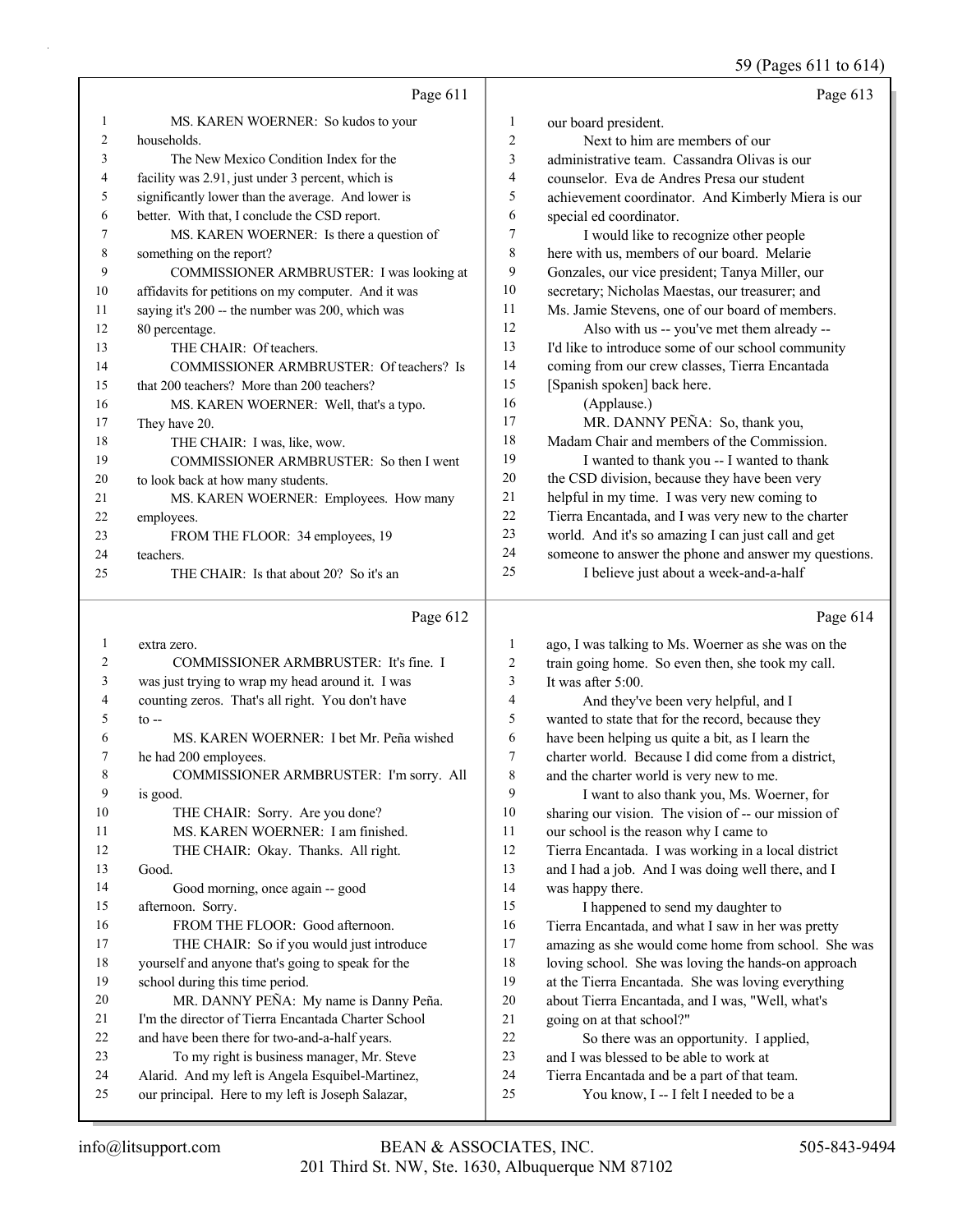59 (Pages 611 to 614)

|    | Page 611                                            |                | Page 613                                             |
|----|-----------------------------------------------------|----------------|------------------------------------------------------|
| 1  | MS. KAREN WOERNER: So kudos to your                 | 1              | our board president.                                 |
| 2  | households.                                         | $\overline{2}$ | Next to him are members of our                       |
| 3  | The New Mexico Condition Index for the              | 3              | administrative team. Cassandra Olivas is our         |
| 4  | facility was 2.91, just under 3 percent, which is   | 4              | counselor. Eva de Andres Presa our student           |
| 5  | significantly lower than the average. And lower is  | 5              | achievement coordinator. And Kimberly Miera is our   |
| 6  | better. With that, I conclude the CSD report.       | 6              | special ed coordinator.                              |
|    | MS. KAREN WOERNER: Is there a question of           | 7              | I would like to recognize other people               |
| 8  | something on the report?                            | 8              | here with us, members of our board. Melarie          |
| 9  | COMMISSIONER ARMBRUSTER: I was looking at           | 9              | Gonzales, our vice president; Tanya Miller, our      |
| 10 | affidavits for petitions on my computer. And it was | 10             | secretary; Nicholas Maestas, our treasurer; and      |
| 11 | saying it's 200 -- the number was 200, which was    | 11             | Ms. Jamie Stevens, one of our board of members.      |
| 12 | 80 percentage.                                      | 12             | Also with us -- you've met them already --           |
| 13 | THE CHAIR: Of teachers.                             | 13             | I'd like to introduce some of our school community   |
| 14 | COMMISSIONER ARMBRUSTER: Of teachers? Is            | 14             | coming from our crew classes, Tierra Encantada       |
| 15 | that 200 teachers? More than 200 teachers?          | 15             | [Spanish spoken] back here.                          |
| 16 | MS. KAREN WOERNER: Well, that's a typo.             | 16             | (Applause.)                                          |
| 17 | They have 20.                                       | 17             | MR. DANNY PEÑA: So, thank you,                       |
| 18 | THE CHAIR: I was, like, wow.                        | 18             | Madam Chair and members of the Commission.           |
| 19 | COMMISSIONER ARMBRUSTER: So then I went             | 19             | I wanted to thank you -- I wanted to thank           |
| 20 | to look back at how many students.                  | 20             | the CSD division, because they have been very        |
| 21 | MS. KAREN WOERNER: Employees. How many              | 21             | helpful in my time. I was very new coming to         |
| 22 | employees.                                          | 22             | Tierra Encantada, and I was very new to the charter  |
| 23 | FROM THE FLOOR: 34 employees, 19                    | 23             | world. And it's so amazing I can just call and get   |
| 24 | teachers.                                           | 24             | someone to answer the phone and answer my questions. |
| 25 | THE CHAIR: Is that about 20? So it's an             | 25             | I believe just about a week-and-a-half               |
|    |                                                     |                |                                                      |

# Page 612  $\vert$

|                | Page 612                                            |                | Page 614                                            |
|----------------|-----------------------------------------------------|----------------|-----------------------------------------------------|
| 1              | extra zero.                                         | 1              | ago, I was talking to Ms. Woerner as she was on the |
| $\overline{c}$ | COMMISSIONER ARMBRUSTER: It's fine. I               | $\overline{2}$ | train going home. So even then, she took my call.   |
| 3              | was just trying to wrap my head around it. I was    | 3              | It was after $5:00$ .                               |
| 4              | counting zeros. That's all right. You don't have    | 4              | And they've been very helpful, and I                |
| 5              | $\infty$ --                                         | 5              | wanted to state that for the record, because they   |
| 6              | MS. KAREN WOERNER: I bet Mr. Peña wished            | 6              | have been helping us quite a bit, as I learn the    |
| 7              | he had 200 employees.                               | 7              | charter world. Because I did come from a district,  |
| 8              | COMMISSIONER ARMBRUSTER: I'm sorry. All             | 8              | and the charter world is very new to me.            |
| 9              | is good.                                            | 9              | I want to also thank you, Ms. Woerner, for          |
| 10             | THE CHAIR: Sorry. Are you done?                     | 10             | sharing our vision. The vision of -- our mission of |
| 11             | MS. KAREN WOERNER: I am finished.                   | 11             | our school is the reason why I came to              |
| 12             | THE CHAIR: Okay. Thanks. All right.                 | 12             | Tierra Encantada. I was working in a local district |
| 13             | Good.                                               | 13             | and I had a job. And I was doing well there, and I  |
| 14             | Good morning, once again -- good                    | 14             | was happy there.                                    |
| 15             | afternoon. Sorry.                                   | 15             | I happened to send my daughter to                   |
| 16             | FROM THE FLOOR: Good afternoon.                     | 16             | Tierra Encantada, and what I saw in her was pretty  |
| 17             | THE CHAIR: So if you would just introduce           | 17             | amazing as she would come home from school. She was |
| 18             | yourself and anyone that's going to speak for the   | 18             | loving school. She was loving the hands-on approach |
| 19             | school during this time period.                     | 19             | at the Tierra Encantada. She was loving everything  |
| 20             | MR. DANNY PEÑA: My name is Danny Peña.              | 20             | about Tierra Encantada, and I was, "Well, what's    |
| 21             | I'm the director of Tierra Encantada Charter School | 21             | going on at that school?"                           |
| 22             | and have been there for two-and-a-half years.       | 22             | So there was an opportunity. I applied,             |
| 23             | To my right is business manager, Mr. Steve          | 23             | and I was blessed to be able to work at             |
| 24             | Alarid. And my left is Angela Esquibel-Martinez,    | 24             | Tierra Encantada and be a part of that team.        |
| 25             | our principal. Here to my left is Joseph Salazar,   | 25             | You know, I -- I felt I needed to be a              |
|                |                                                     |                |                                                     |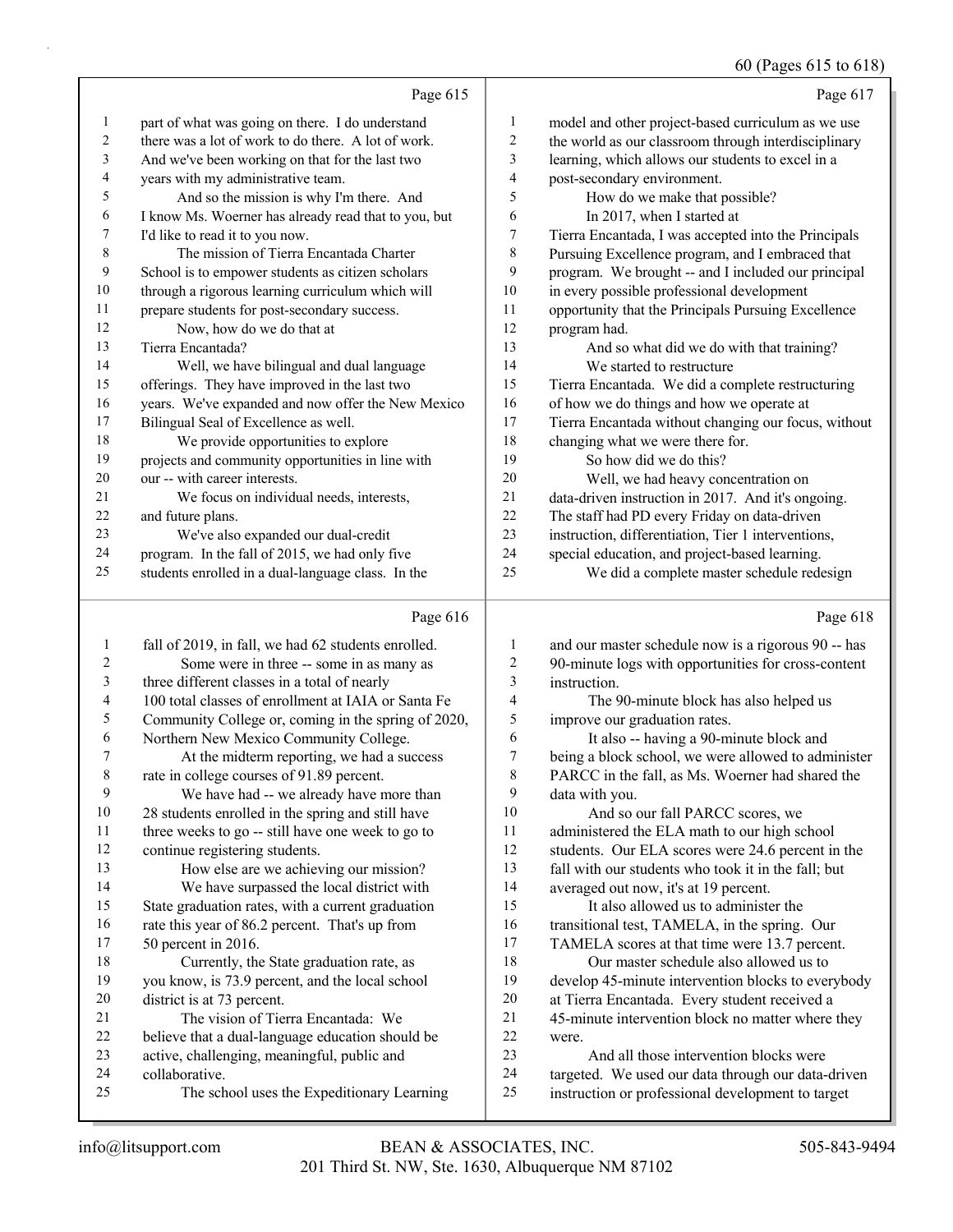# 60 (Pages 615 to 618)

|                | Page 615                                             |                | Page 617                                             |
|----------------|------------------------------------------------------|----------------|------------------------------------------------------|
| 1              | part of what was going on there. I do understand     | 1              | model and other project-based curriculum as we use   |
| 2              | there was a lot of work to do there. A lot of work.  | 2              | the world as our classroom through interdisciplinary |
| 3              | And we've been working on that for the last two      | 3              | learning, which allows our students to excel in a    |
| $\overline{4}$ | years with my administrative team.                   | $\overline{4}$ | post-secondary environment.                          |
| 5              | And so the mission is why I'm there. And             | 5              | How do we make that possible?                        |
| 6              | I know Ms. Woerner has already read that to you, but | 6              | In 2017, when I started at                           |
| 7              | I'd like to read it to you now.                      | 7              | Tierra Encantada, I was accepted into the Principals |
| 8              | The mission of Tierra Encantada Charter              | 8              | Pursuing Excellence program, and I embraced that     |
| 9              | School is to empower students as citizen scholars    | 9              | program. We brought -- and I included our principal  |
| 10             | through a rigorous learning curriculum which will    | 10             | in every possible professional development           |
| 11             | prepare students for post-secondary success.         | 11             | opportunity that the Principals Pursuing Excellence  |
| 12             | Now, how do we do that at                            | 12             | program had.                                         |
| 13             | Tierra Encantada?                                    | 13             | And so what did we do with that training?            |
| 14             | Well, we have bilingual and dual language            | 14             | We started to restructure                            |
| 15             | offerings. They have improved in the last two        | 15             | Tierra Encantada. We did a complete restructuring    |
| 16             | years. We've expanded and now offer the New Mexico   | 16             | of how we do things and how we operate at            |
| 17             | Bilingual Seal of Excellence as well.                | 17             | Tierra Encantada without changing our focus, without |
| 18             | We provide opportunities to explore                  | 18             | changing what we were there for.                     |
| 19             | projects and community opportunities in line with    | 19             | So how did we do this?                               |
| 20             | our -- with career interests.                        | 20             | Well, we had heavy concentration on                  |
| 21             | We focus on individual needs, interests,             | 21             | data-driven instruction in 2017. And it's ongoing.   |
| 22             | and future plans.                                    | 22             | The staff had PD every Friday on data-driven         |
| 23             | We've also expanded our dual-credit                  | 23             | instruction, differentiation, Tier 1 interventions,  |
| 24             | program. In the fall of 2015, we had only five       | 24             | special education, and project-based learning.       |
| 25             | students enrolled in a dual-language class. In the   | 25             | We did a complete master schedule redesign           |
|                |                                                      |                |                                                      |

# Page

|         | Page 616                                            |                | Page 618                                            |
|---------|-----------------------------------------------------|----------------|-----------------------------------------------------|
| $\perp$ | fall of 2019, in fall, we had 62 students enrolled. | 1              | and our master schedule now is a rigorous 90 -- has |
| 2       | Some were in three -- some in as many as            | $\overline{c}$ | 90-minute logs with opportunities for cross-content |
| 3       | three different classes in a total of nearly        | 3              | instruction.                                        |
| 4       | 100 total classes of enrollment at IAIA or Santa Fe | 4              | The 90-minute block has also helped us              |
| 5       | Community College or, coming in the spring of 2020, | 5              | improve our graduation rates.                       |
| 6       | Northern New Mexico Community College.              | 6              | It also -- having a 90-minute block and             |
| 7       | At the midterm reporting, we had a success          | 7              | being a block school, we were allowed to administer |
| 8       | rate in college courses of 91.89 percent.           | 8              | PARCC in the fall, as Ms. Woerner had shared the    |
| 9       | We have had -- we already have more than            | 9              | data with you.                                      |
| 10      | 28 students enrolled in the spring and still have   | 10             | And so our fall PARCC scores, we                    |
| 11      | three weeks to go -- still have one week to go to   | 11             | administered the ELA math to our high school        |
| 12      | continue registering students.                      | 12             | students. Our ELA scores were 24.6 percent in the   |
| 13      | How else are we achieving our mission?              | 13             | fall with our students who took it in the fall; but |
| 14      | We have surpassed the local district with           | 14             | averaged out now, it's at 19 percent.               |
| 15      | State graduation rates, with a current graduation   | 15             | It also allowed us to administer the                |
| 16      | rate this year of 86.2 percent. That's up from      | 16             | transitional test, TAMELA, in the spring. Our       |
| 17      | 50 percent in 2016.                                 | 17             | TAMELA scores at that time were 13.7 percent.       |
| 18      | Currently, the State graduation rate, as            | 18             | Our master schedule also allowed us to              |
| 19      | you know, is 73.9 percent, and the local school     | 19             | develop 45-minute intervention blocks to everybody  |
| 20      | district is at 73 percent.                          | 20             | at Tierra Encantada. Every student received a       |
| 21      | The vision of Tierra Encantada: We                  | 21             | 45-minute intervention block no matter where they   |
| 22      | believe that a dual-language education should be    | 22             | were.                                               |
| 23      | active, challenging, meaningful, public and         | 23             | And all those intervention blocks were              |
| 24      | collaborative.                                      | 24             | targeted. We used our data through our data-driven  |
| 25      | The school uses the Expeditionary Learning          | 25             | instruction or professional development to target   |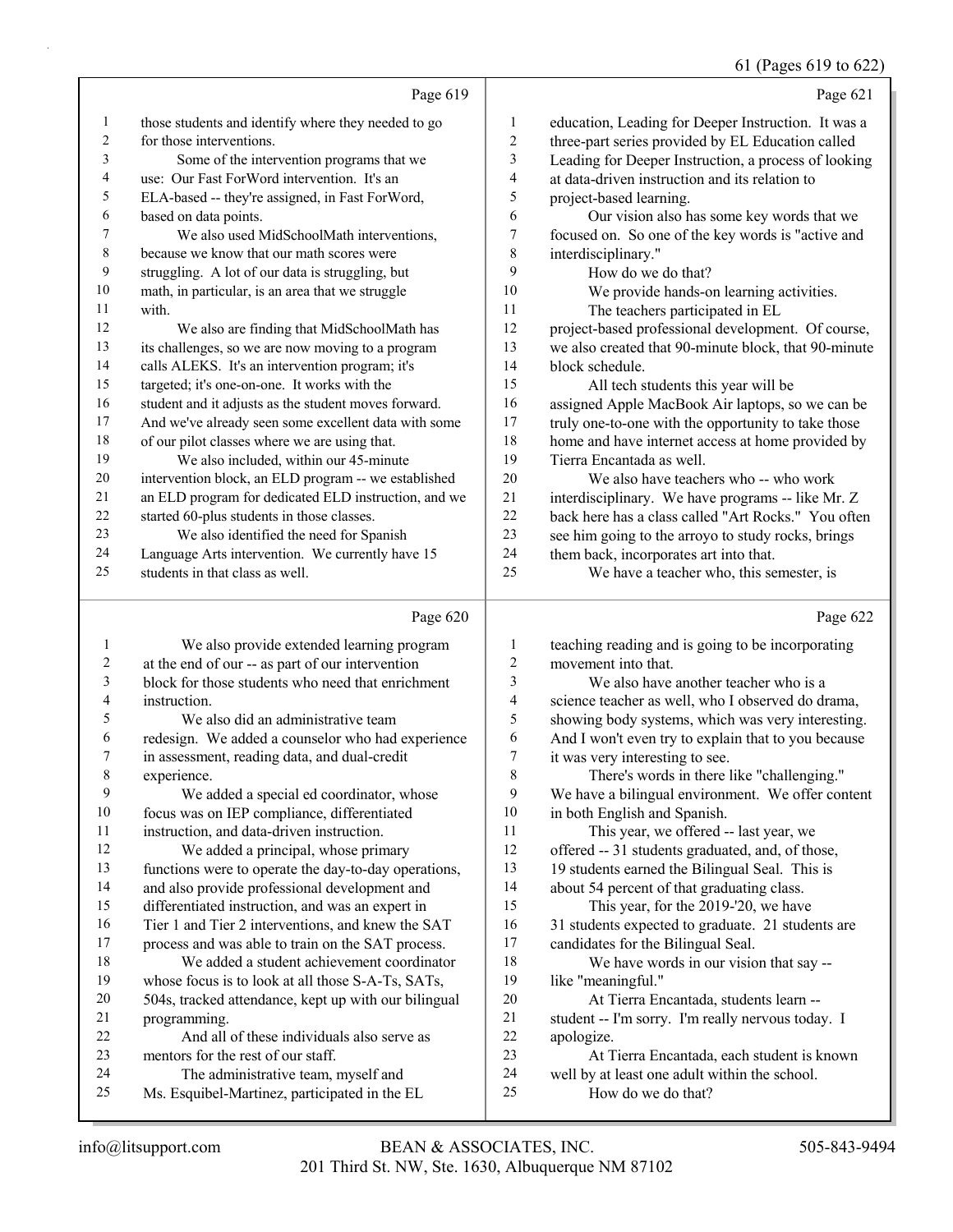61 (Pages 619 to 622)

|                  |                                                      |                | 61 (Pages 619 to 622)                                |
|------------------|------------------------------------------------------|----------------|------------------------------------------------------|
|                  | Page 619                                             |                | Page 621                                             |
| 1                | those students and identify where they needed to go  | 1              | education, Leading for Deeper Instruction. It was a  |
| 2                | for those interventions.                             | $\overline{c}$ | three-part series provided by EL Education called    |
| 3                | Some of the intervention programs that we            | 3              | Leading for Deeper Instruction, a process of looking |
| 4                | use: Our Fast ForWord intervention. It's an          | 4              | at data-driven instruction and its relation to       |
| 5                | ELA-based -- they're assigned, in Fast ForWord,      | 5              | project-based learning.                              |
| 6                | based on data points.                                | 6              | Our vision also has some key words that we           |
| 7                | We also used MidSchoolMath interventions,            | $\tau$         | focused on. So one of the key words is "active and   |
| 8                | because we know that our math scores were            | $\,$ 8 $\,$    | interdisciplinary."                                  |
| 9                | struggling. A lot of our data is struggling, but     | 9              | How do we do that?                                   |
| 10               | math, in particular, is an area that we struggle     | 10             | We provide hands-on learning activities.             |
| 11               | with.                                                | 11             | The teachers participated in EL                      |
| 12               | We also are finding that MidSchoolMath has           | 12             | project-based professional development. Of course,   |
| 13               | its challenges, so we are now moving to a program    | 13             | we also created that 90-minute block, that 90-minute |
| 14               | calls ALEKS. It's an intervention program; it's      | 14             | block schedule.                                      |
| 15               | targeted; it's one-on-one. It works with the         | 15             | All tech students this year will be                  |
| 16               | student and it adjusts as the student moves forward. | 16             | assigned Apple MacBook Air laptops, so we can be     |
| 17               | And we've already seen some excellent data with some | 17             | truly one-to-one with the opportunity to take those  |
| $18\,$           | of our pilot classes where we are using that.        | 18             | home and have internet access at home provided by    |
| 19               | We also included, within our 45-minute               | 19             | Tierra Encantada as well.                            |
| 20               | intervention block, an ELD program -- we established | 20             | We also have teachers who -- who work                |
| 21               | an ELD program for dedicated ELD instruction, and we | 21             | interdisciplinary. We have programs -- like Mr. Z    |
| 22               | started 60-plus students in those classes.           | 22             | back here has a class called "Art Rocks." You often  |
| 23               | We also identified the need for Spanish              | 23             | see him going to the arroyo to study rocks, brings   |
| 24               | Language Arts intervention. We currently have 15     | 24             | them back, incorporates art into that.               |
| 25               | students in that class as well.                      | 25             | We have a teacher who, this semester, is             |
|                  | Page 620                                             |                | Page 622                                             |
| 1                | We also provide extended learning program            | 1              | teaching reading and is going to be incorporating    |
| $\boldsymbol{2}$ | at the end of our -- as part of our intervention     | 2              | movement into that.                                  |
| 3                | block for those students who need that enrichment    | 3              | We also have another teacher who is a                |
| 4                | instruction.                                         | 4              | science teacher as well, who I observed do drama,    |
| 5                | We also did an administrative team                   | 5              | showing body systems, which was very interesting.    |
| 6                | redesign. We added a counselor who had experience    | 6              | And I won't even try to explain that to you because  |
|                  | in assessment, reading data, and dual-credit         | 7              | it was very interesting to see.                      |
| 8                | experience.                                          | 8              | There's words in there like "challenging."           |
| 9                | We added a special ed coordinator, whose             | 9              | We have a bilingual environment. We offer content    |
| 10               | focus was on IEP compliance, differentiated          | 10             | in both English and Spanish.                         |
| 11               | instruction, and data-driven instruction.            | 11             | This year, we offered -- last year, we               |
| 12               | We added a principal, whose primary                  | 12             | offered -- 31 students graduated, and, of those,     |
| 13               | functions were to operate the day-to-day operations, | 13             | 19 students earned the Bilingual Seal. This is       |
| 14               | and also provide professional development and        | 14             | about 54 percent of that graduating class.           |

 differentiated instruction, and was an expert in Tier 1 and Tier 2 interventions, and knew the SAT

process and was able to train on the SAT process.

18 We added a student achievement coordinator whose focus is to look at all those S-A-Ts, SATs, 504s, tracked attendance, kept up with our bilingual programming.

22 And all of these individuals also serve as mentors for the rest of our staff. 24 The administrative team, myself and

Ms. Esquibel-Martinez, participated in the EL

15 This year, for the 2019-'20, we have 31 students expected to graduate. 21 students are candidates for the Bilingual Seal.

18 We have words in our vision that say -- like "meaningful."

20 At Tierra Encantada, students learn --

 student -- I'm sorry. I'm really nervous today. I apologize.

23 At Tierra Encantada, each student is known

well by at least one adult within the school.

25 How do we do that?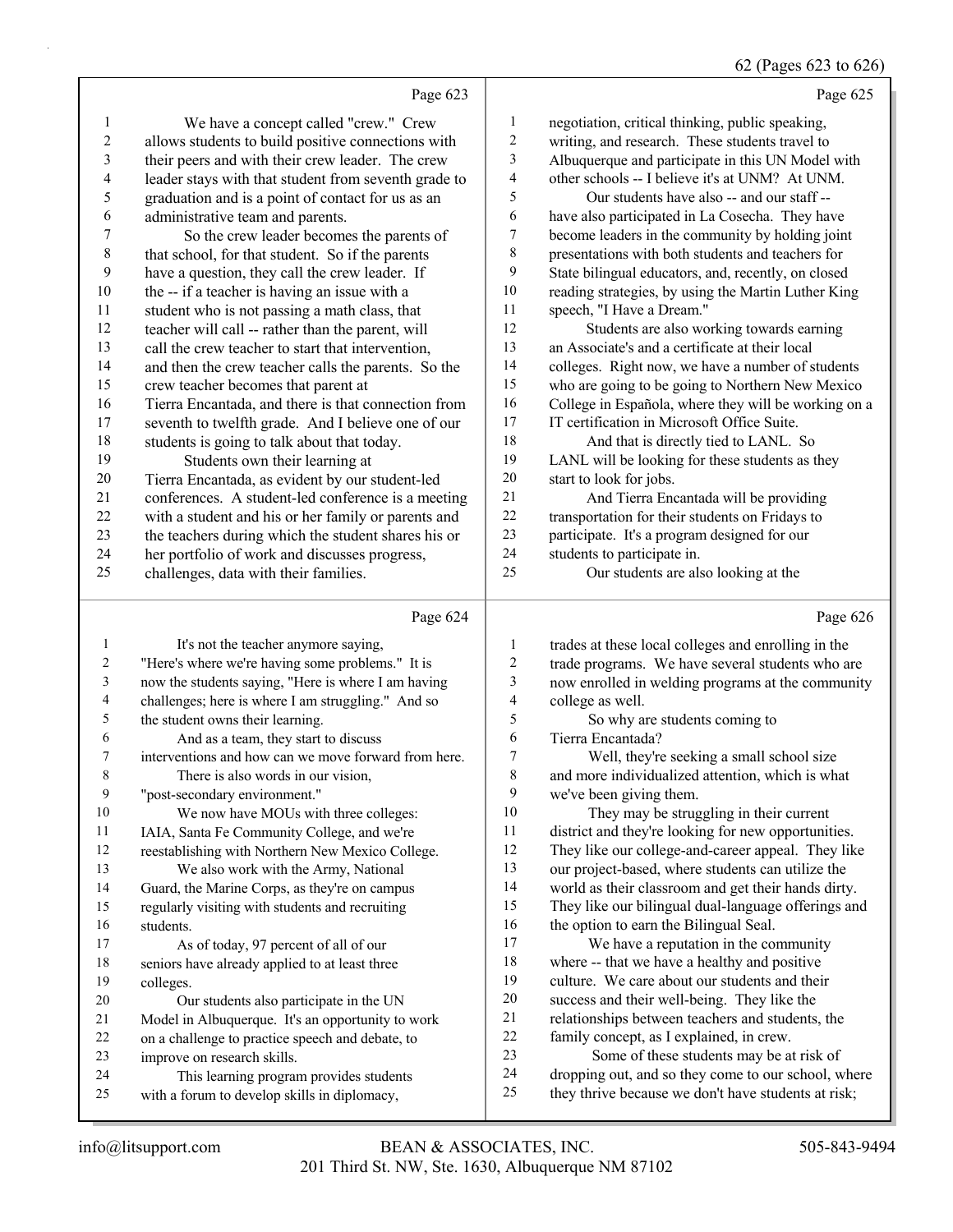# 62 (Pages 623 to 626)

|                          |                                                                                          |                  | $0 - \frac{1}{2}$ to $0 - \frac{1}{2}$                                                                  |
|--------------------------|------------------------------------------------------------------------------------------|------------------|---------------------------------------------------------------------------------------------------------|
|                          | Page 623                                                                                 |                  | Page 625                                                                                                |
| 1                        | We have a concept called "crew." Crew                                                    | 1                | negotiation, critical thinking, public speaking,                                                        |
| $\sqrt{2}$               | allows students to build positive connections with                                       | $\boldsymbol{2}$ | writing, and research. These students travel to                                                         |
| 3                        | their peers and with their crew leader. The crew                                         | 3                | Albuquerque and participate in this UN Model with                                                       |
| $\overline{4}$           | leader stays with that student from seventh grade to                                     | 4                | other schools -- I believe it's at UNM? At UNM.                                                         |
| 5                        | graduation and is a point of contact for us as an                                        | 5                | Our students have also -- and our staff --                                                              |
| 6                        | administrative team and parents.                                                         | 6                | have also participated in La Cosecha. They have                                                         |
| 7                        | So the crew leader becomes the parents of                                                | 7                | become leaders in the community by holding joint                                                        |
| $\,$ 8 $\,$              | that school, for that student. So if the parents                                         | $\,$ $\,$        | presentations with both students and teachers for                                                       |
| 9                        | have a question, they call the crew leader. If                                           | 9                | State bilingual educators, and, recently, on closed                                                     |
| 10                       | the -- if a teacher is having an issue with a                                            | $10\,$           | reading strategies, by using the Martin Luther King                                                     |
| 11                       | student who is not passing a math class, that                                            | 11               | speech, "I Have a Dream."                                                                               |
| 12                       | teacher will call -- rather than the parent, will                                        | 12               | Students are also working towards earning                                                               |
| 13                       | call the crew teacher to start that intervention,                                        | 13               | an Associate's and a certificate at their local                                                         |
| 14                       | and then the crew teacher calls the parents. So the                                      | 14               | colleges. Right now, we have a number of students                                                       |
| 15                       | crew teacher becomes that parent at                                                      | 15               | who are going to be going to Northern New Mexico                                                        |
| 16                       | Tierra Encantada, and there is that connection from                                      | 16               | College in Española, where they will be working on a                                                    |
| 17                       | seventh to twelfth grade. And I believe one of our                                       | 17               | IT certification in Microsoft Office Suite.                                                             |
| 18                       | students is going to talk about that today.                                              | 18               | And that is directly tied to LANL. So                                                                   |
| 19                       | Students own their learning at                                                           | 19               | LANL will be looking for these students as they                                                         |
| 20                       | Tierra Encantada, as evident by our student-led                                          | 20               | start to look for jobs.                                                                                 |
| 21                       | conferences. A student-led conference is a meeting                                       | 21               | And Tierra Encantada will be providing                                                                  |
| 22                       | with a student and his or her family or parents and                                      | $22\,$           | transportation for their students on Fridays to                                                         |
| 23                       | the teachers during which the student shares his or                                      | 23               | participate. It's a program designed for our                                                            |
| 24                       | her portfolio of work and discusses progress,                                            | 24               | students to participate in.                                                                             |
| 25                       | challenges, data with their families.                                                    | 25               | Our students are also looking at the                                                                    |
|                          |                                                                                          |                  |                                                                                                         |
|                          | Page 624                                                                                 |                  | Page 626                                                                                                |
| 1                        |                                                                                          | 1                |                                                                                                         |
| 2                        | It's not the teacher anymore saying,<br>"Here's where we're having some problems." It is | $\mathbf{2}$     | trades at these local colleges and enrolling in the<br>trade programs. We have several students who are |
| 3                        | now the students saying, "Here is where I am having                                      | 3                | now enrolled in welding programs at the community                                                       |
| $\overline{\mathcal{A}}$ | challenges; here is where I am struggling." And so                                       | 4                | college as well.                                                                                        |
| 5                        | the student owns their learning.                                                         | 5                | So why are students coming to                                                                           |
| 6                        | And as a team, they start to discuss                                                     | 6                | Tierra Encantada?                                                                                       |
| 7                        | interventions and how can we move forward from here.                                     | $\tau$           | Well, they're seeking a small school size                                                               |
| 8                        | There is also words in our vision,                                                       | $\,$ $\,$        | and more individualized attention, which is what                                                        |
| 9                        | "post-secondary environment."                                                            | 9                | we've been giving them.                                                                                 |
| 10                       | We now have MOUs with three colleges:                                                    | 10               | They may be struggling in their current                                                                 |
| 11                       | IAIA, Santa Fe Community College, and we're                                              | 11               | district and they're looking for new opportunities.                                                     |
| 12                       | reestablishing with Northern New Mexico College.                                         | 12               | They like our college-and-career appeal. They like                                                      |
| 13                       | We also work with the Army, National                                                     | 13               | our project-based, where students can utilize the                                                       |
| 14                       | Guard, the Marine Corps, as they're on campus                                            | 14               | world as their classroom and get their hands dirty.                                                     |
| 15                       | regularly visiting with students and recruiting                                          | 15               | They like our bilingual dual-language offerings and                                                     |
| 16                       | students.                                                                                | 16               | the option to earn the Bilingual Seal.                                                                  |
| 17                       | As of today, 97 percent of all of our                                                    | $17$             | We have a reputation in the community                                                                   |
| $18\,$                   | seniors have already applied to at least three                                           | 18               | where -- that we have a healthy and positive                                                            |
| 19                       | colleges.                                                                                | 19               | culture. We care about our students and their                                                           |
| 20                       | Our students also participate in the UN                                                  | $20\,$           | success and their well-being. They like the                                                             |
| 21                       | Model in Albuquerque. It's an opportunity to work                                        | 21               | relationships between teachers and students, the                                                        |
| 22<br>23                 | on a challenge to practice speech and debate, to                                         | $22\,$<br>23     | family concept, as I explained, in crew.<br>Some of these students may be at risk of                    |
| 24                       | improve on research skills.<br>This learning program provides students                   | 24               | dropping out, and so they come to our school, where                                                     |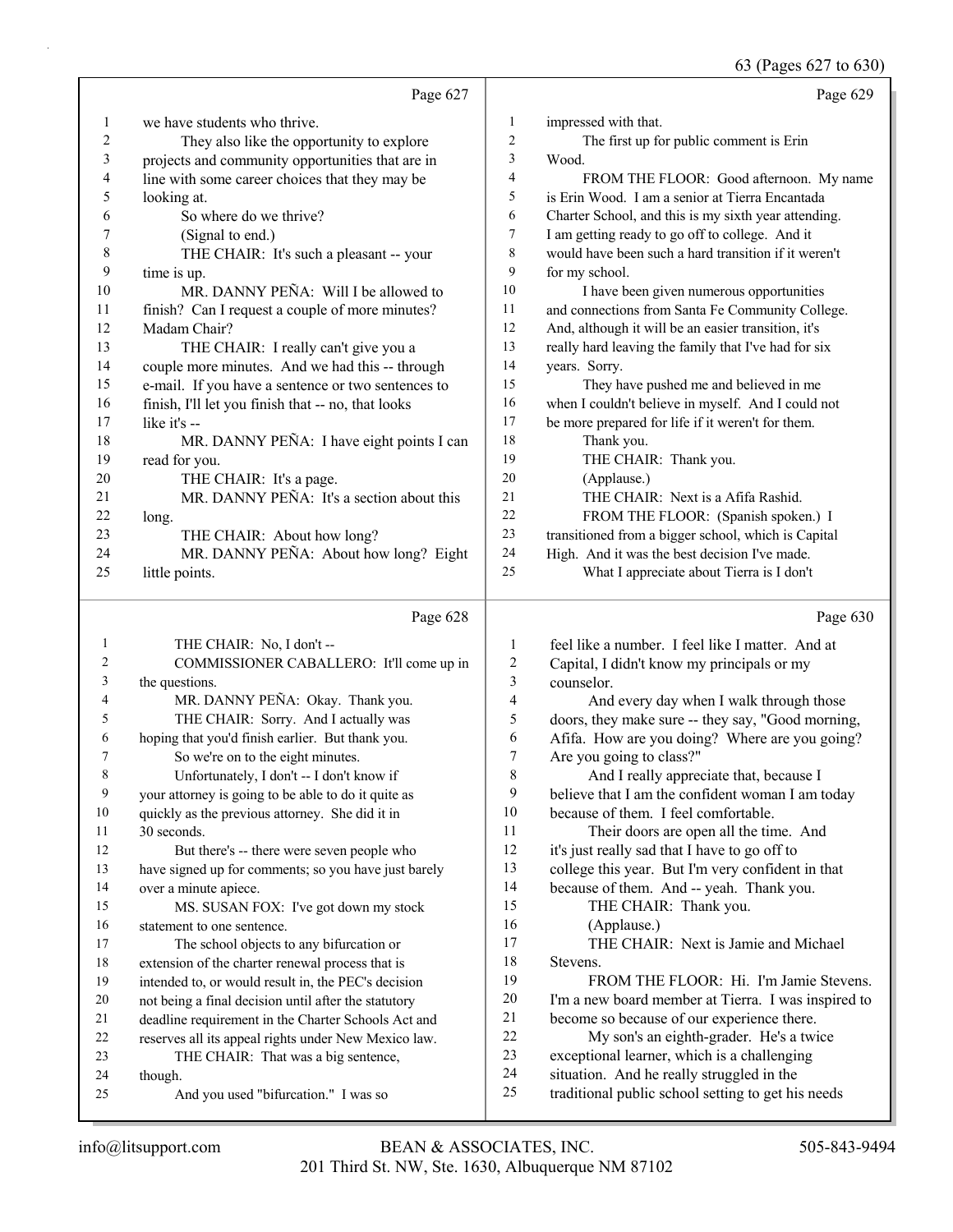63 (Pages 627 to 630)

|          | Page 627                                             |                         | Page 629                                                                                        |
|----------|------------------------------------------------------|-------------------------|-------------------------------------------------------------------------------------------------|
| 1        | we have students who thrive.                         | $\mathbf{1}$            | impressed with that.                                                                            |
| 2        | They also like the opportunity to explore            | $\overline{\mathbf{c}}$ | The first up for public comment is Erin                                                         |
| 3        | projects and community opportunities that are in     | 3                       | Wood.                                                                                           |
| 4        | line with some career choices that they may be       | 4                       | FROM THE FLOOR: Good afternoon. My name                                                         |
| 5        | looking at.                                          | 5                       | is Erin Wood. I am a senior at Tierra Encantada                                                 |
| 6        | So where do we thrive?                               | 6                       | Charter School, and this is my sixth year attending.                                            |
| 7        | (Signal to end.)                                     | 7                       | I am getting ready to go off to college. And it                                                 |
| 8        | THE CHAIR: It's such a pleasant -- your              | 8                       | would have been such a hard transition if it weren't                                            |
| 9        | time is up.                                          | 9                       | for my school.                                                                                  |
| 10       | MR. DANNY PEÑA: Will I be allowed to                 | 10                      | I have been given numerous opportunities                                                        |
| 11       | finish? Can I request a couple of more minutes?      | 11                      | and connections from Santa Fe Community College.                                                |
| 12       | Madam Chair?                                         | 12                      | And, although it will be an easier transition, it's                                             |
| 13       | THE CHAIR: I really can't give you a                 | 13                      | really hard leaving the family that I've had for six                                            |
| 14       | couple more minutes. And we had this -- through      | 14                      | years. Sorry.                                                                                   |
| 15       | e-mail. If you have a sentence or two sentences to   | 15                      | They have pushed me and believed in me                                                          |
| 16       | finish, I'll let you finish that -- no, that looks   | 16                      | when I couldn't believe in myself. And I could not                                              |
| 17       | like it's --                                         | 17                      | be more prepared for life if it weren't for them.                                               |
| 18       | MR. DANNY PEÑA: I have eight points I can            | 18                      | Thank you.                                                                                      |
| 19       | read for you.                                        | 19                      | THE CHAIR: Thank you.                                                                           |
| 20       | THE CHAIR: It's a page.                              | 20                      | (Applause.)                                                                                     |
| 21       | MR. DANNY PEÑA: It's a section about this            | 21                      | THE CHAIR: Next is a Afifa Rashid.                                                              |
| 22       | long.                                                | 22                      | FROM THE FLOOR: (Spanish spoken.) I                                                             |
| 23       | THE CHAIR: About how long?                           | 23                      | transitioned from a bigger school, which is Capital                                             |
| 24       | MR. DANNY PEÑA: About how long? Eight                | 24                      | High. And it was the best decision I've made.                                                   |
| 25       | little points.                                       | 25                      | What I appreciate about Tierra is I don't                                                       |
|          |                                                      |                         |                                                                                                 |
|          |                                                      |                         |                                                                                                 |
|          | Page 628                                             |                         | Page 630                                                                                        |
| 1        | THE CHAIR: No, I don't --                            | 1                       | feel like a number. I feel like I matter. And at                                                |
| 2        | COMMISSIONER CABALLERO: It'll come up in             | $\sqrt{2}$              | Capital, I didn't know my principals or my                                                      |
| 3        | the questions.                                       | $\mathfrak{Z}$          | counselor.                                                                                      |
| 4        | MR. DANNY PEÑA: Okay. Thank you.                     | $\overline{4}$          | And every day when I walk through those                                                         |
| 5        | THE CHAIR: Sorry. And I actually was                 | 5                       | doors, they make sure -- they say, "Good morning,                                               |
| 6        | hoping that you'd finish earlier. But thank you.     | 6                       | Afifa. How are you doing? Where are you going?                                                  |
| 7        | So we're on to the eight minutes.                    | $\boldsymbol{7}$        | Are you going to class?"                                                                        |
| 8        | Unfortunately, I don't -- I don't know if            | 8                       | And I really appreciate that, because I                                                         |
| 9        | your attorney is going to be able to do it quite as  | 9                       | believe that I am the confident woman I am today                                                |
| 10       | quickly as the previous attorney. She did it in      | 10                      | because of them. I feel comfortable.                                                            |
| 11       | 30 seconds.                                          | 11                      | Their doors are open all the time. And                                                          |
| 12       | But there's -- there were seven people who           | 12                      | it's just really sad that I have to go off to                                                   |
| 13       | have signed up for comments; so you have just barely | 13                      | college this year. But I'm very confident in that                                               |
| 14       | over a minute apiece.                                | 14                      | because of them. And -- yeah. Thank you.                                                        |
| 15       | MS. SUSAN FOX: I've got down my stock                | 15                      | THE CHAIR: Thank you.                                                                           |
| 16       | statement to one sentence.                           | 16                      | (Applause.)                                                                                     |
| 17       | The school objects to any bifurcation or             | 17                      | THE CHAIR: Next is Jamie and Michael                                                            |
| 18       | extension of the charter renewal process that is     | 18                      | Stevens.                                                                                        |
| 19       | intended to, or would result in, the PEC's decision  | 19                      | FROM THE FLOOR: Hi. I'm Jamie Stevens.                                                          |
| 20       | not being a final decision until after the statutory | 20                      | I'm a new board member at Tierra. I was inspired to                                             |
| 21       | deadline requirement in the Charter Schools Act and  | 21                      | become so because of our experience there.                                                      |
| 22       | reserves all its appeal rights under New Mexico law. | $22\,$                  | My son's an eighth-grader. He's a twice                                                         |
| 23       | THE CHAIR: That was a big sentence,                  | 23<br>24                | exceptional learner, which is a challenging                                                     |
| 24<br>25 | though.<br>And you used "bifurcation." I was so      | 25                      | situation. And he really struggled in the<br>traditional public school setting to get his needs |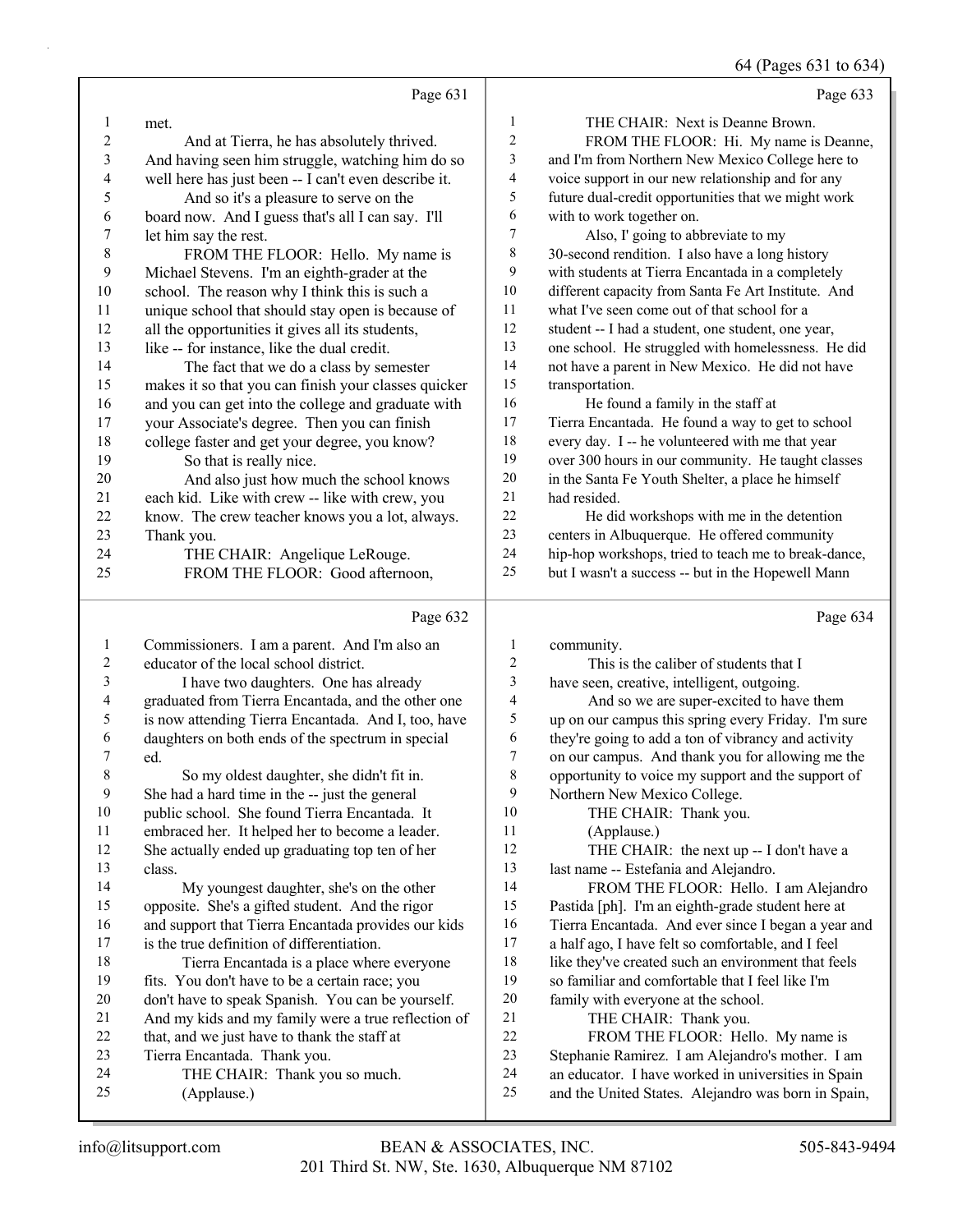64 (Pages 631 to 634)

|                         |                                                                                                          |                | $0 + (1$ ages $0.1 \text{ W} 0.7 +$                                                                    |
|-------------------------|----------------------------------------------------------------------------------------------------------|----------------|--------------------------------------------------------------------------------------------------------|
|                         | Page 631                                                                                                 |                | Page 633                                                                                               |
| $\mathbf{1}$            | met.                                                                                                     | $\mathbf{1}$   | THE CHAIR: Next is Deanne Brown.                                                                       |
| $\overline{c}$          | And at Tierra, he has absolutely thrived.                                                                | $\sqrt{2}$     | FROM THE FLOOR: Hi. My name is Deanne,                                                                 |
| 3                       | And having seen him struggle, watching him do so                                                         | $\mathfrak{Z}$ | and I'm from Northern New Mexico College here to                                                       |
| 4                       | well here has just been -- I can't even describe it.                                                     | $\overline{4}$ | voice support in our new relationship and for any                                                      |
| 5                       | And so it's a pleasure to serve on the                                                                   | 5              | future dual-credit opportunities that we might work                                                    |
| 6                       | board now. And I guess that's all I can say. I'll                                                        | 6              | with to work together on.                                                                              |
| 7                       | let him say the rest.                                                                                    | 7              | Also, I' going to abbreviate to my                                                                     |
| $\,$ 8 $\,$             | FROM THE FLOOR: Hello. My name is                                                                        | $\,$ $\,$      | 30-second rendition. I also have a long history                                                        |
| 9                       | Michael Stevens. I'm an eighth-grader at the                                                             | 9              | with students at Tierra Encantada in a completely                                                      |
| 10                      | school. The reason why I think this is such a                                                            | 10             | different capacity from Santa Fe Art Institute. And                                                    |
| 11                      | unique school that should stay open is because of                                                        | 11             | what I've seen come out of that school for a                                                           |
| 12                      | all the opportunities it gives all its students,                                                         | 12             | student -- I had a student, one student, one year,                                                     |
| 13                      | like -- for instance, like the dual credit.                                                              | 13             | one school. He struggled with homelessness. He did                                                     |
| 14                      | The fact that we do a class by semester                                                                  | 14             | not have a parent in New Mexico. He did not have                                                       |
| 15                      | makes it so that you can finish your classes quicker                                                     | 15             | transportation.                                                                                        |
| 16                      | and you can get into the college and graduate with                                                       | 16             | He found a family in the staff at                                                                      |
| 17                      | your Associate's degree. Then you can finish                                                             | 17             | Tierra Encantada. He found a way to get to school                                                      |
| 18                      | college faster and get your degree, you know?                                                            | 18             | every day. I -- he volunteered with me that year                                                       |
| 19                      | So that is really nice.                                                                                  | 19             | over 300 hours in our community. He taught classes                                                     |
| 20                      | And also just how much the school knows                                                                  | 20             | in the Santa Fe Youth Shelter, a place he himself                                                      |
| 21                      | each kid. Like with crew -- like with crew, you                                                          | 21             | had resided.                                                                                           |
| 22                      | know. The crew teacher knows you a lot, always.                                                          | 22             | He did workshops with me in the detention                                                              |
| 23                      | Thank you.                                                                                               | 23             | centers in Albuquerque. He offered community                                                           |
| 24                      | THE CHAIR: Angelique LeRouge.                                                                            | 24             | hip-hop workshops, tried to teach me to break-dance,                                                   |
| 25                      | FROM THE FLOOR: Good afternoon,                                                                          | 25             | but I wasn't a success -- but in the Hopewell Mann                                                     |
|                         |                                                                                                          |                |                                                                                                        |
|                         |                                                                                                          |                |                                                                                                        |
|                         | Page 632                                                                                                 |                | Page 634                                                                                               |
| $\mathbf{1}$            |                                                                                                          | $\mathbf{1}$   |                                                                                                        |
| $\overline{\mathbf{c}}$ | Commissioners. I am a parent. And I'm also an<br>educator of the local school district.                  | $\sqrt{2}$     | community.<br>This is the caliber of students that I                                                   |
| 3                       |                                                                                                          | $\mathfrak{Z}$ |                                                                                                        |
| 4                       | I have two daughters. One has already                                                                    | 4              | have seen, creative, intelligent, outgoing.                                                            |
| 5                       | graduated from Tierra Encantada, and the other one                                                       | 5              | And so we are super-excited to have them                                                               |
| 6                       | is now attending Tierra Encantada. And I, too, have<br>daughters on both ends of the spectrum in special | 6              | up on our campus this spring every Friday. I'm sure                                                    |
| 7                       | ed.                                                                                                      | 7              | they're going to add a ton of vibrancy and activity                                                    |
| $\,$ 8 $\,$             | So my oldest daughter, she didn't fit in.                                                                | $\,$ $\,$      | on our campus. And thank you for allowing me the<br>opportunity to voice my support and the support of |
| 9                       | She had a hard time in the -- just the general                                                           | 9              | Northern New Mexico College.                                                                           |
| 10                      | public school. She found Tierra Encantada. It                                                            | 10             | THE CHAIR: Thank you.                                                                                  |
| 11                      | embraced her. It helped her to become a leader.                                                          | 11             | (Applause.)                                                                                            |
| 12                      | She actually ended up graduating top ten of her                                                          | 12             | THE CHAIR: the next up -- I don't have a                                                               |
| 13                      | class.                                                                                                   | 13             | last name -- Estefania and Alejandro.                                                                  |
| 14                      |                                                                                                          | 14             | FROM THE FLOOR: Hello. I am Alejandro                                                                  |
| 15                      | My youngest daughter, she's on the other<br>opposite. She's a gifted student. And the rigor              | 15             | Pastida [ph]. I'm an eighth-grade student here at                                                      |
| 16                      | and support that Tierra Encantada provides our kids                                                      | 16             | Tierra Encantada. And ever since I began a year and                                                    |
| 17                      | is the true definition of differentiation.                                                               | 17             | a half ago, I have felt so comfortable, and I feel                                                     |
| 18                      | Tierra Encantada is a place where everyone                                                               | 18             | like they've created such an environment that feels                                                    |
| 19                      | fits. You don't have to be a certain race; you                                                           | 19             | so familiar and comfortable that I feel like I'm                                                       |
| 20                      | don't have to speak Spanish. You can be yourself.                                                        | 20             | family with everyone at the school.                                                                    |
| 21                      | And my kids and my family were a true reflection of                                                      | $21\,$         | THE CHAIR: Thank you.                                                                                  |
| 22                      | that, and we just have to thank the staff at                                                             | 22             | FROM THE FLOOR: Hello. My name is                                                                      |
| 23                      | Tierra Encantada. Thank you.                                                                             | 23             | Stephanie Ramirez. I am Alejandro's mother. I am                                                       |
| 24                      | THE CHAIR: Thank you so much.                                                                            | 24             | an educator. I have worked in universities in Spain                                                    |
| 25                      | (Applause.)                                                                                              | 25             | and the United States. Alejandro was born in Spain,                                                    |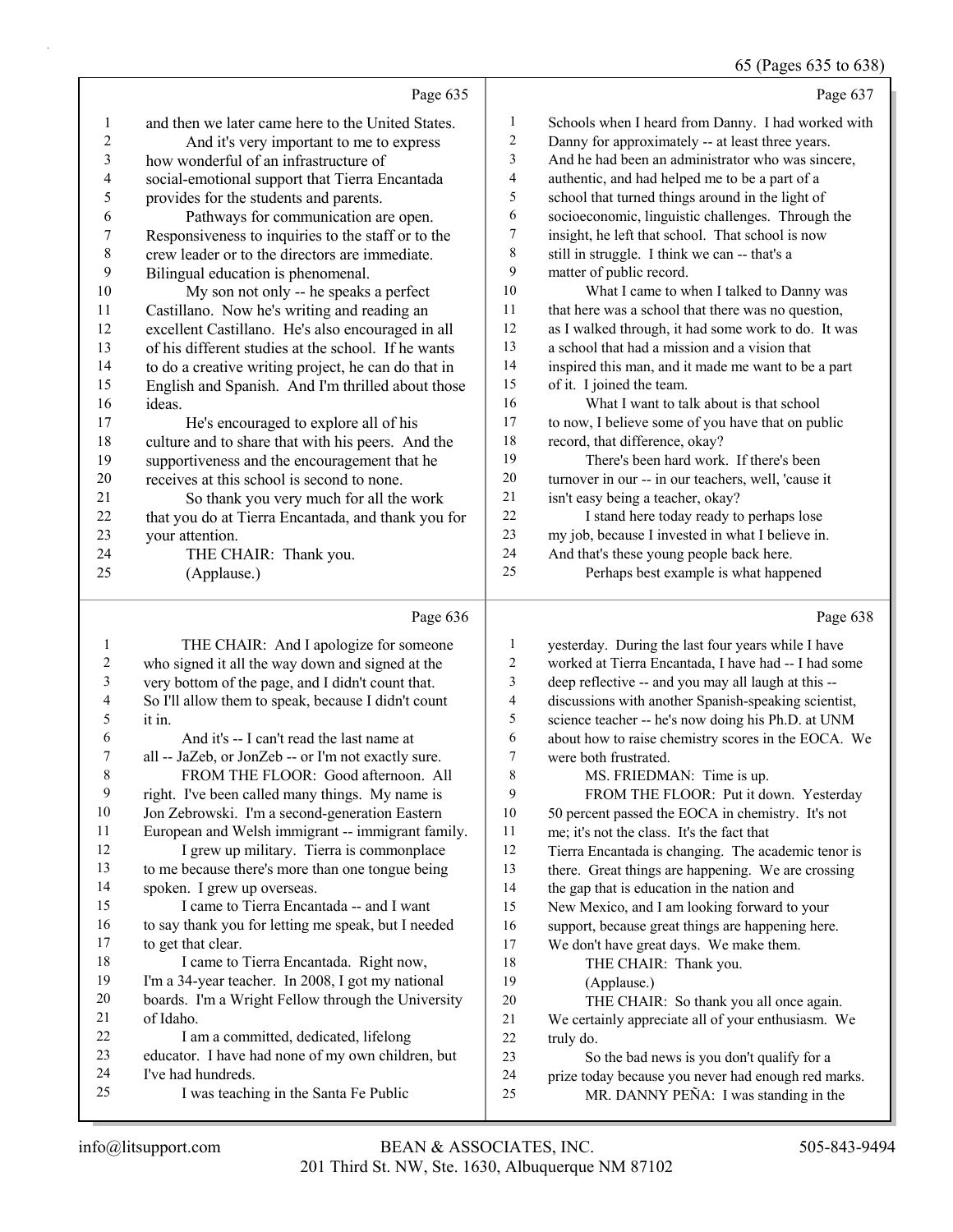65 (Pages 635 to 638)

Page 635 1 and then we later came here to the United States. 2 And it's very important to me to express 3 how wonderful of an infrastructure of 4 social-emotional support that Tierra Encantada<br>5 originals for the students and parents. provides for the students and parents. 6 Pathways for communication are open. 7 Responsiveness to inquiries to the staff or to the 8 crew leader or to the directors are immediate. 9 Bilingual education is phenomenal.<br>10 My son not only -- he speaks My son not only -- he speaks a perfect 11 Castillano. Now he's writing and reading an 12 excellent Castillano. He's also encouraged in all 13 of his different studies at the school. If he wants 14 to do a creative writing project, he can do that in<br>15 English and Spanish. And I'm thrilled about thos English and Spanish. And I'm thrilled about those 16 ideas. 17 He's encouraged to explore all of his<br>18 culture and to share that with his neers. An culture and to share that with his peers. And the 19 supportiveness and the encouragement that he<br>20 receives at this school is second to none. receives at this school is second to none. 21 So thank you very much for all the work<br>22 that you do at Tierra Encantada, and thank you that you do at Tierra Encantada, and thank you for 23 your attention. 24 THE CHAIR: Thank you. 25 (Applause.) Page 637 1 Schools when I heard from Danny. I had worked with 2 Danny for approximately -- at least three years. 3 And he had been an administrator who was sincere, 4 authentic, and had helped me to be a part of a<br>5 school that turned things around in the light of school that turned things around in the light of 6 socioeconomic, linguistic challenges. Through the 7 insight, he left that school. That school is now 8 still in struggle. I think we can -- that's a 9 matter of public record. 10 What I came to when I talked to Danny was 11 that here was a school that there was no question, 12 as I walked through, it had some work to do. It was 13 a school that had a mission and a vision that 14 inspired this man, and it made me want to be a part 15 of it. I joined the team. 16 What I want to talk about is that school 17 to now, I believe some of you have that on public 18 record, that difference, okay? 19 There's been hard work. If there's been 20 turnover in our -- in our teachers, well, 'cause it 21 isn't easy being a teacher, okay? 22 I stand here today ready to perhaps lose 23 my job, because I invested in what I believe in. 24 And that's these young people back here. 25 Perhaps best example is what happened

|    | Page 636                                            |    | Page 638                                             |
|----|-----------------------------------------------------|----|------------------------------------------------------|
| 1  | THE CHAIR: And I apologize for someone              | 1  | yesterday. During the last four years while I have   |
| 2  | who signed it all the way down and signed at the    | 2  | worked at Tierra Encantada, I have had -- I had some |
| 3  | very bottom of the page, and I didn't count that.   | 3  | deep reflective -- and you may all laugh at this --  |
| 4  | So I'll allow them to speak, because I didn't count | 4  | discussions with another Spanish-speaking scientist, |
| 5  | it in.                                              | 5  | science teacher -- he's now doing his Ph.D. at UNM   |
| 6  | And it's -- I can't read the last name at           | 6  | about how to raise chemistry scores in the EOCA. We  |
| 7  | all -- JaZeb, or JonZeb -- or I'm not exactly sure. | 7  | were both frustrated.                                |
| 8  | FROM THE FLOOR: Good afternoon. All                 | 8  | MS. FRIEDMAN: Time is up.                            |
| 9  | right. I've been called many things. My name is     | 9  | FROM THE FLOOR: Put it down. Yesterday               |
| 10 | Jon Zebrowski. I'm a second-generation Eastern      | 10 | 50 percent passed the EOCA in chemistry. It's not    |
| 11 | European and Welsh immigrant -- immigrant family.   | 11 | me; it's not the class. It's the fact that           |
| 12 | I grew up military. Tierra is commonplace           | 12 | Tierra Encantada is changing. The academic tenor is  |
| 13 | to me because there's more than one tongue being    | 13 | there. Great things are happening. We are crossing   |
| 14 | spoken. I grew up overseas.                         | 14 | the gap that is education in the nation and          |
| 15 | I came to Tierra Encantada -- and I want            | 15 | New Mexico, and I am looking forward to your         |
| 16 | to say thank you for letting me speak, but I needed | 16 | support, because great things are happening here.    |
| 17 | to get that clear.                                  | 17 | We don't have great days. We make them.              |
| 18 | I came to Tierra Encantada. Right now,              | 18 | THE CHAIR: Thank you.                                |
| 19 | I'm a 34-year teacher. In 2008, I got my national   | 19 | (Applause.)                                          |
| 20 | boards. I'm a Wright Fellow through the University  | 20 | THE CHAIR: So thank you all once again.              |
| 21 | of Idaho.                                           | 21 | We certainly appreciate all of your enthusiasm. We   |
| 22 | I am a committed, dedicated, lifelong               | 22 | truly do.                                            |
| 23 | educator. I have had none of my own children, but   | 23 | So the bad news is you don't qualify for a           |
| 24 | I've had hundreds.                                  | 24 | prize today because you never had enough red marks.  |
| 25 | I was teaching in the Santa Fe Public               | 25 | MR. DANNY PEÑA: I was standing in the                |
|    |                                                     |    |                                                      |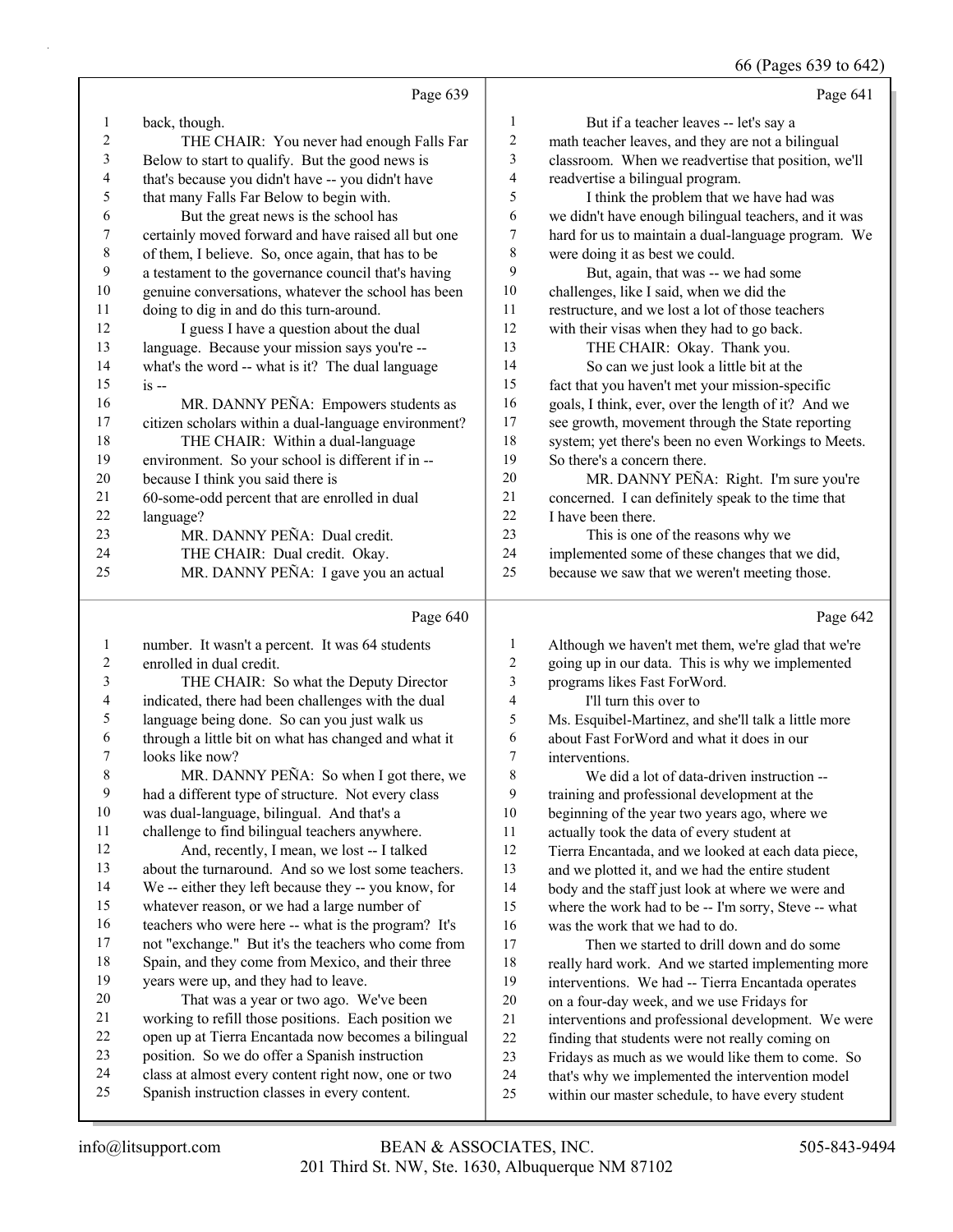66 (Pages 639 to 642)

|                |                                                      |                | $\sim$ $(1 - \frac{1}{2})$ $\sim$ $(2 - \frac{1}{2})$ |
|----------------|------------------------------------------------------|----------------|-------------------------------------------------------|
|                | Page 639                                             |                | Page 641                                              |
| 1              | back, though.                                        | 1              | But if a teacher leaves -- let's say a                |
| 2              | THE CHAIR: You never had enough Falls Far            | $\sqrt{2}$     | math teacher leaves, and they are not a bilingual     |
| 3              | Below to start to qualify. But the good news is      | 3              | classroom. When we readvertise that position, we'll   |
| 4              | that's because you didn't have -- you didn't have    | $\overline{4}$ | readvertise a bilingual program.                      |
| 5              | that many Falls Far Below to begin with.             | 5              | I think the problem that we have had was              |
| 6              | But the great news is the school has                 | 6              | we didn't have enough bilingual teachers, and it was  |
| 7              | certainly moved forward and have raised all but one  | 7              | hard for us to maintain a dual-language program. We   |
| $\,$ 8 $\,$    | of them, I believe. So, once again, that has to be   | 8              | were doing it as best we could.                       |
| 9              | a testament to the governance council that's having  | $\mathbf{Q}$   | But, again, that was -- we had some                   |
| 10             | genuine conversations, whatever the school has been  | 10             | challenges, like I said, when we did the              |
| 11             | doing to dig in and do this turn-around.             | 11             | restructure, and we lost a lot of those teachers      |
| 12             | I guess I have a question about the dual             | 12             | with their visas when they had to go back.            |
| 13             | language. Because your mission says you're --        | 13             | THE CHAIR: Okay. Thank you.                           |
| 14             | what's the word -- what is it? The dual language     | 14             | So can we just look a little bit at the               |
| 15             | $is -$                                               | 15             | fact that you haven't met your mission-specific       |
| 16             | MR. DANNY PEÑA: Empowers students as                 | 16             | goals, I think, ever, over the length of it? And we   |
| 17             | citizen scholars within a dual-language environment? | 17             | see growth, movement through the State reporting      |
| 18             | THE CHAIR: Within a dual-language                    | 18             | system; yet there's been no even Workings to Meets.   |
| 19             | environment. So your school is different if in --    | 19             | So there's a concern there.                           |
| 20             | because I think you said there is                    | 20             | MR. DANNY PEÑA: Right. I'm sure you're                |
| 21             | 60-some-odd percent that are enrolled in dual        | 21             | concerned. I can definitely speak to the time that    |
| 22             | language?                                            | 22             | I have been there.                                    |
| 23             | MR. DANNY PEÑA: Dual credit.                         | 23             | This is one of the reasons why we                     |
| 24             | THE CHAIR: Dual credit. Okay.                        | 24             | implemented some of these changes that we did,        |
| 25             | MR. DANNY PEÑA: I gave you an actual                 | 25             | because we saw that we weren't meeting those.         |
|                | Page 640                                             |                | Page 642                                              |
|                | number. It wasn't a percent. It was 64 students      |                | Although we haven't met them, we're glad that we're   |
| $\overline{c}$ | enrolled in dual credit.                             | $\overline{2}$ | going up in our data. This is why we implemented      |

| 3  | THE CHAIR: So what the Deputy Director               |
|----|------------------------------------------------------|
| 4  | indicated, there had been challenges with the dual   |
| 5  | language being done. So can you just walk us         |
| 6  | through a little bit on what has changed and what it |
| 7  | looks like now?                                      |
| 8  | MR. DANNY PEÑA: So when I got there, we              |
| 9  | had a different type of structure. Not every class   |
| 10 | was dual-language, bilingual. And that's a           |
| 11 | challenge to find bilingual teachers anywhere.       |

12 And, recently, I mean, we lost -- I talked about the turnaround. And so we lost some teachers. We -- either they left because they -- you know, for whatever reason, or we had a large number of teachers who were here -- what is the program? It's not "exchange." But it's the teachers who come from Spain, and they come from Mexico, and their three years were up, and they had to leave. 20 That was a year or two ago. We've been working to refill those positions. Each position we open up at Tierra Encantada now becomes a bilingual

- position. So we do offer a Spanish instruction
- class at almost every content right now, one or two Spanish instruction classes in every content.

 programs likes Fast ForWord. 4 I'll turn this over to Ms. Esquibel-Martinez, and she'll talk a little more

 about Fast ForWord and what it does in our interventions.

8 We did a lot of data-driven instruction -- training and professional development at the beginning of the year two years ago, where we actually took the data of every student at Tierra Encantada, and we looked at each data piece, and we plotted it, and we had the entire student body and the staff just look at where we were and where the work had to be -- I'm sorry, Steve -- what was the work that we had to do. 17 Then we started to drill down and do some really hard work. And we started implementing more interventions. We had -- Tierra Encantada operates on a four-day week, and we use Fridays for interventions and professional development. We were finding that students were not really coming on Fridays as much as we would like them to come. So that's why we implemented the intervention model within our master schedule, to have every student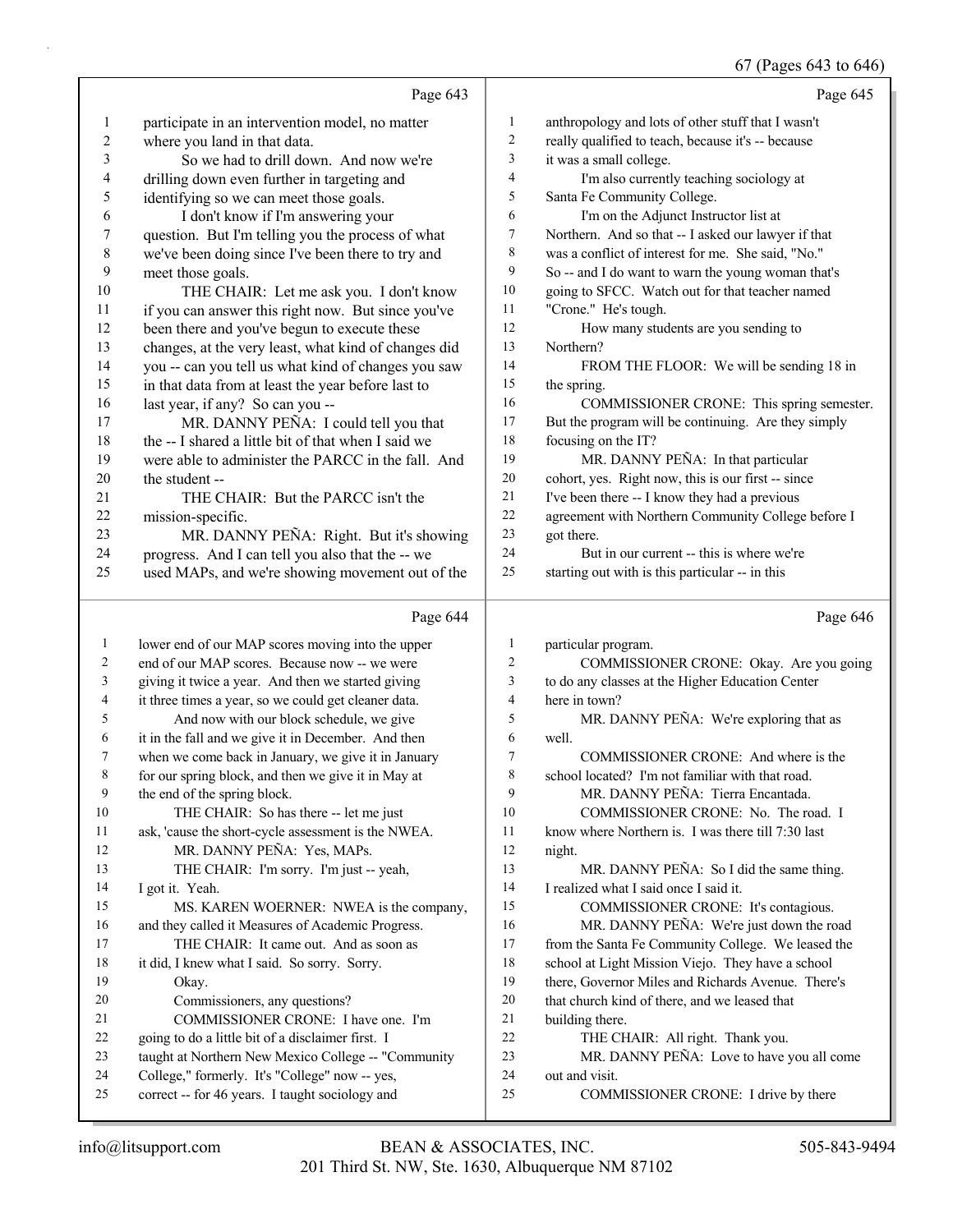67 (Pages 643 to 646)

|                          |                                                                                                       |                  | 0/ (rages 045 to 040)                                       |
|--------------------------|-------------------------------------------------------------------------------------------------------|------------------|-------------------------------------------------------------|
|                          | Page 643                                                                                              |                  | Page 645                                                    |
| $\mathbf{1}$             | participate in an intervention model, no matter                                                       | $\mathbf{1}$     | anthropology and lots of other stuff that I wasn't          |
| 2                        | where you land in that data.                                                                          | $\sqrt{2}$       | really qualified to teach, because it's -- because          |
| 3                        | So we had to drill down. And now we're                                                                | 3                | it was a small college.                                     |
| $\overline{\mathcal{A}}$ | drilling down even further in targeting and                                                           | 4                | I'm also currently teaching sociology at                    |
| 5                        | identifying so we can meet those goals.                                                               | $\mathfrak s$    | Santa Fe Community College.                                 |
| 6                        | I don't know if I'm answering your                                                                    | 6                | I'm on the Adjunct Instructor list at                       |
| 7                        | question. But I'm telling you the process of what                                                     | $\boldsymbol{7}$ | Northern. And so that -- I asked our lawyer if that         |
| $\,$ $\,$                | we've been doing since I've been there to try and                                                     | 8                | was a conflict of interest for me. She said, "No."          |
| 9                        | meet those goals.                                                                                     | 9                | So -- and I do want to warn the young woman that's          |
| 10                       | THE CHAIR: Let me ask you. I don't know                                                               | 10               | going to SFCC. Watch out for that teacher named             |
| 11                       | if you can answer this right now. But since you've                                                    | 11               | "Crone." He's tough.                                        |
| 12                       | been there and you've begun to execute these                                                          | 12               | How many students are you sending to                        |
| 13                       | changes, at the very least, what kind of changes did                                                  | 13               | Northern?                                                   |
| 14                       | you -- can you tell us what kind of changes you saw                                                   | 14               | FROM THE FLOOR: We will be sending 18 in                    |
| 15                       | in that data from at least the year before last to                                                    | $15\,$           | the spring.                                                 |
| 16                       | last year, if any? So can you --                                                                      | 16               | COMMISSIONER CRONE: This spring semester.                   |
| 17                       | MR. DANNY PEÑA: I could tell you that                                                                 | 17               | But the program will be continuing. Are they simply         |
| 18                       | the -- I shared a little bit of that when I said we                                                   | 18               | focusing on the IT?                                         |
| 19                       | were able to administer the PARCC in the fall. And                                                    | 19               | MR. DANNY PEÑA: In that particular                          |
| 20                       | the student --                                                                                        | 20               | cohort, yes. Right now, this is our first -- since          |
| 21                       | THE CHAIR: But the PARCC isn't the                                                                    | 21               | I've been there -- I know they had a previous               |
| 22                       | mission-specific.                                                                                     | 22               | agreement with Northern Community College before I          |
| 23                       | MR. DANNY PEÑA: Right. But it's showing                                                               | 23               | got there.                                                  |
| 24                       | progress. And I can tell you also that the -- we                                                      | 24               | But in our current -- this is where we're                   |
| 25                       | used MAPs, and we're showing movement out of the                                                      | 25               | starting out with is this particular -- in this             |
|                          |                                                                                                       |                  |                                                             |
|                          | Page 644                                                                                              |                  | Page 646                                                    |
| $\mathbf{1}$             | lower end of our MAP scores moving into the upper                                                     | $\mathbf{1}$     | particular program.                                         |
| 2                        | end of our MAP scores. Because now -- we were                                                         | $\overline{c}$   | COMMISSIONER CRONE: Okay. Are you going                     |
| 3                        | giving it twice a year. And then we started giving                                                    | $\mathfrak{Z}$   | to do any classes at the Higher Education Center            |
| 4                        | it three times a year, so we could get cleaner data.                                                  | 4                | here in town?                                               |
| 5                        | And now with our block schedule, we give                                                              | 5                | MR. DANNY PEÑA: We're exploring that as                     |
| 6                        | it in the fall and we give it in December. And then                                                   | 6                | well.                                                       |
| 7                        | when we come back in January, we give it in January                                                   | 7                | COMMISSIONER CRONE: And where is the                        |
| 8                        | for our spring block, and then we give it in May at                                                   | 8                | school located? I'm not familiar with that road.            |
| 9                        | the end of the spring block.                                                                          | 9                | MR. DANNY PEÑA: Tierra Encantada.                           |
| 10                       | THE CHAIR: So has there -- let me just                                                                | 10               | COMMISSIONER CRONE: No. The road. I                         |
| 11                       | ask, 'cause the short-cycle assessment is the NWEA.                                                   | 11               | know where Northern is. I was there till 7:30 last          |
| 12                       | MR. DANNY PEÑA: Yes, MAPs.                                                                            | 12               | night.                                                      |
| 13                       | THE CHAIR: I'm sorry. I'm just -- yeah,                                                               | 13               | MR. DANNY PEÑA: So I did the same thing.                    |
| 14                       | I got it. Yeah.                                                                                       | 14               | I realized what I said once I said it.                      |
| 15                       | MS. KAREN WOERNER: NWEA is the company,                                                               | 15               | COMMISSIONER CRONE: It's contagious.                        |
| 16                       | and they called it Measures of Academic Progress.                                                     | 16               | MR. DANNY PEÑA: We're just down the road                    |
| 17                       | THE CHAIR: It came out. And as soon as                                                                | 17               | from the Santa Fe Community College. We leased the          |
| 18                       | it did, I knew what I said. So sorry. Sorry.                                                          | 18               | school at Light Mission Viejo. They have a school           |
| 19                       | Okay.                                                                                                 | 19               | there, Governor Miles and Richards Avenue. There's          |
| 20                       | Commissioners, any questions?                                                                         | 20               | that church kind of there, and we leased that               |
| 21<br>22                 | COMMISSIONER CRONE: I have one. I'm                                                                   | 21<br>22         | building there.                                             |
| 23                       | going to do a little bit of a disclaimer first. I                                                     | 23               | THE CHAIR: All right. Thank you.                            |
| 24                       | taught at Northern New Mexico College -- "Community<br>College," formerly. It's "College" now -- yes, | 24               | MR. DANNY PEÑA: Love to have you all come<br>out and visit. |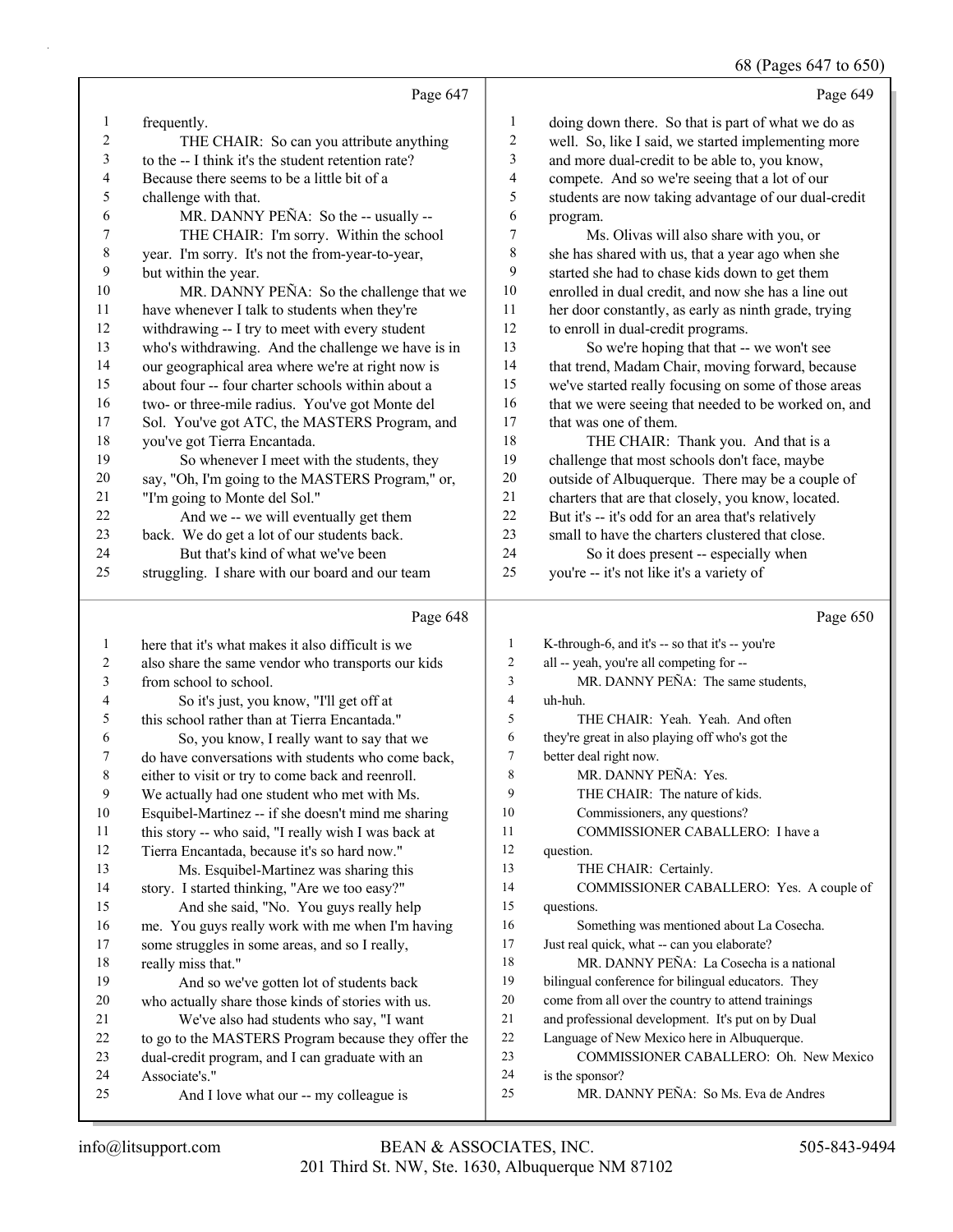# 68 (Pages 647 to 650)

|                |                                                                  |                          | 08 (Pages 04/ to 05)                                                                    |
|----------------|------------------------------------------------------------------|--------------------------|-----------------------------------------------------------------------------------------|
|                | Page 647                                                         |                          | Page 649                                                                                |
| $\mathbf{1}$   | frequently.                                                      | 1                        | doing down there. So that is part of what we do as                                      |
| $\overline{c}$ | THE CHAIR: So can you attribute anything                         | $\overline{c}$           | well. So, like I said, we started implementing more                                     |
| 3              | to the -- I think it's the student retention rate?               | 3                        | and more dual-credit to be able to, you know,                                           |
| 4              | Because there seems to be a little bit of a                      | 4                        | compete. And so we're seeing that a lot of our                                          |
| 5              | challenge with that.                                             | 5                        | students are now taking advantage of our dual-credit                                    |
| 6              | MR. DANNY PEÑA: So the -- usually --                             | 6                        | program.                                                                                |
| $\tau$         | THE CHAIR: I'm sorry. Within the school                          | $\sqrt{ }$               | Ms. Olivas will also share with you, or                                                 |
| $\,8\,$        | year. I'm sorry. It's not the from-year-to-year,                 | 8                        | she has shared with us, that a year ago when she                                        |
| 9              | but within the year.                                             | 9                        | started she had to chase kids down to get them                                          |
| 10             | MR. DANNY PEÑA: So the challenge that we                         | 10                       | enrolled in dual credit, and now she has a line out                                     |
| 11             | have whenever I talk to students when they're                    | 11                       | her door constantly, as early as ninth grade, trying                                    |
| 12             | withdrawing -- I try to meet with every student                  | 12                       | to enroll in dual-credit programs.                                                      |
| 13             | who's withdrawing. And the challenge we have is in               | 13                       | So we're hoping that that -- we won't see                                               |
| 14             | our geographical area where we're at right now is                | 14                       | that trend, Madam Chair, moving forward, because                                        |
| 15             | about four -- four charter schools within about a                | 15                       | we've started really focusing on some of those areas                                    |
| 16             | two- or three-mile radius. You've got Monte del                  | 16                       | that we were seeing that needed to be worked on, and                                    |
| 17             | Sol. You've got ATC, the MASTERS Program, and                    | 17                       | that was one of them.                                                                   |
| 18             | you've got Tierra Encantada.                                     | 18                       | THE CHAIR: Thank you. And that is a                                                     |
| 19             | So whenever I meet with the students, they                       | 19                       | challenge that most schools don't face, maybe                                           |
| 20             | say, "Oh, I'm going to the MASTERS Program," or,                 | 20                       | outside of Albuquerque. There may be a couple of                                        |
| 21             | "I'm going to Monte del Sol."                                    | 21                       | charters that are that closely, you know, located.                                      |
| 22             | And we -- we will eventually get them                            | 22                       | But it's -- it's odd for an area that's relatively                                      |
| 23             | back. We do get a lot of our students back.                      | 23                       | small to have the charters clustered that close.                                        |
| 24             | But that's kind of what we've been                               | 24                       | So it does present -- especially when                                                   |
| 25             | struggling. I share with our board and our team                  | 25                       | you're -- it's not like it's a variety of                                               |
|                | Page 648                                                         |                          | Page 650                                                                                |
|                |                                                                  |                          |                                                                                         |
| $\mathbf{1}$   | here that it's what makes it also difficult is we                | $\mathbf{1}$             | K-through-6, and it's -- so that it's -- you're                                         |
| $\overline{c}$ | also share the same vendor who transports our kids               | 2                        | all -- yeah, you're all competing for --                                                |
| 3              | from school to school.                                           | 3                        | MR. DANNY PEÑA: The same students,                                                      |
| 4              | So it's just, you know, "I'll get off at                         | $\overline{\mathcal{L}}$ | uh-huh.                                                                                 |
| 5              | this school rather than at Tierra Encantada."                    | 5                        | THE CHAIR: Yeah. Yeah. And often                                                        |
| 6              | So, you know, I really want to say that we                       | 6                        | they're great in also playing off who's got the                                         |
| 7              | do have conversations with students who come back,               | $\tau$                   | better deal right now.                                                                  |
| 8              | either to visit or try to come back and reenroll.                | 8                        | MR. DANNY PEÑA: Yes.                                                                    |
| 9              | We actually had one student who met with Ms.                     | 9                        | THE CHAIR: The nature of kids.                                                          |
| 10             | Esquibel-Martinez -- if she doesn't mind me sharing              | 10                       | Commissioners, any questions?                                                           |
| 11             | this story -- who said, "I really wish I was back at             | 11                       | COMMISSIONER CABALLERO: I have a                                                        |
| 12             | Tierra Encantada, because it's so hard now."                     | 12<br>13                 | question.                                                                               |
| 13             | Ms. Esquibel-Martinez was sharing this                           | 14                       | THE CHAIR: Certainly.                                                                   |
| 14             | story. I started thinking, "Are we too easy?"                    | 15                       | COMMISSIONER CABALLERO: Yes. A couple of                                                |
| 15             | And she said, "No. You guys really help                          | 16                       | questions.                                                                              |
| 16             | me. You guys really work with me when I'm having                 |                          | Something was mentioned about La Cosecha.                                               |
| 17             | some struggles in some areas, and so I really,                   | 17                       | Just real quick, what -- can you elaborate?<br>MR. DANNY PEÑA: La Cosecha is a national |
| 18             | really miss that."                                               | 18                       |                                                                                         |
| 19             | And so we've gotten lot of students back                         | 19                       | bilingual conference for bilingual educators. They                                      |
| 20             | who actually share those kinds of stories with us.               | $20\,$                   | come from all over the country to attend trainings                                      |
| 21             | We've also had students who say, "I want                         | 21<br>$22\,$             | and professional development. It's put on by Dual                                       |
| 22<br>23       | to go to the MASTERS Program because they offer the              | 23                       | Language of New Mexico here in Albuquerque.<br>COMMISSIONER CABALLERO: Oh. New Mexico   |
| 24             | dual-credit program, and I can graduate with an<br>Associate's." | 24                       |                                                                                         |
| 25             | And I love what our -- my colleague is                           | 25                       | is the sponsor?<br>MR. DANNY PEÑA: So Ms. Eva de Andres                                 |
|                |                                                                  |                          |                                                                                         |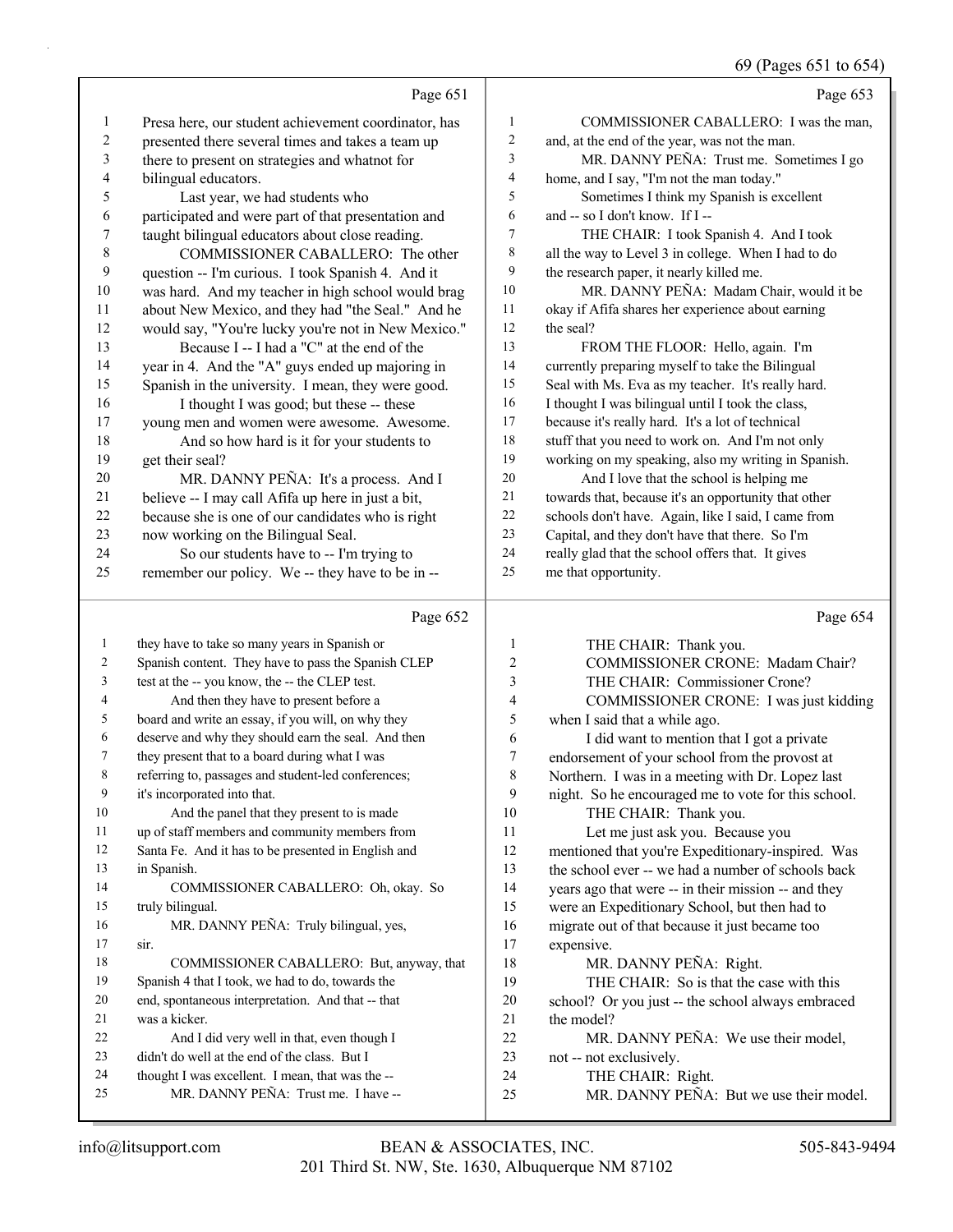## 69 (Pages 651 to 654)

|              |                                                                                             |                         | 69 (Pages 651 to 654)                                |
|--------------|---------------------------------------------------------------------------------------------|-------------------------|------------------------------------------------------|
|              | Page 651                                                                                    |                         | Page 653                                             |
| 1            | Presa here, our student achievement coordinator, has                                        | 1                       | COMMISSIONER CABALLERO: I was the man,               |
| 2            | presented there several times and takes a team up                                           | 2                       | and, at the end of the year, was not the man.        |
| 3            | there to present on strategies and whatnot for                                              | 3                       | MR. DANNY PEÑA: Trust me. Sometimes I go             |
| 4            | bilingual educators.                                                                        | 4                       | home, and I say, "I'm not the man today."            |
| 5            | Last year, we had students who                                                              | 5                       | Sometimes I think my Spanish is excellent            |
| 6            | participated and were part of that presentation and                                         | 6                       | and -- so I don't know. If I --                      |
| 7            | taught bilingual educators about close reading.                                             | 7                       | THE CHAIR: I took Spanish 4. And I took              |
| 8            | COMMISSIONER CABALLERO: The other                                                           | 8                       | all the way to Level 3 in college. When I had to do  |
| 9            | question -- I'm curious. I took Spanish 4. And it                                           | 9                       | the research paper, it nearly killed me.             |
| 10           | was hard. And my teacher in high school would brag                                          | 10                      | MR. DANNY PEÑA: Madam Chair, would it be             |
| 11           | about New Mexico, and they had "the Seal." And he                                           | 11                      | okay if Afifa shares her experience about earning    |
| 12           | would say, "You're lucky you're not in New Mexico."                                         | 12                      | the seal?                                            |
| 13           | Because I -- I had a "C" at the end of the                                                  | 13                      | FROM THE FLOOR: Hello, again. I'm                    |
| 14           | year in 4. And the "A" guys ended up majoring in                                            | 14                      | currently preparing myself to take the Bilingual     |
| 15           | Spanish in the university. I mean, they were good.                                          | 15                      | Seal with Ms. Eva as my teacher. It's really hard.   |
| 16           | I thought I was good; but these -- these                                                    | 16                      | I thought I was bilingual until I took the class,    |
| 17           | young men and women were awesome. Awesome.                                                  | 17                      | because it's really hard. It's a lot of technical    |
| 18           | And so how hard is it for your students to                                                  | 18                      | stuff that you need to work on. And I'm not only     |
| 19           | get their seal?                                                                             | 19                      | working on my speaking, also my writing in Spanish.  |
| 20           | MR. DANNY PEÑA: It's a process. And I                                                       | $20\,$                  | And I love that the school is helping me             |
| 21           | believe -- I may call Afifa up here in just a bit,                                          | 21                      | towards that, because it's an opportunity that other |
| $22\,$       | because she is one of our candidates who is right                                           | 22                      | schools don't have. Again, like I said, I came from  |
| 23           | now working on the Bilingual Seal.                                                          | 23<br>24                | Capital, and they don't have that there. So I'm      |
| 24           | So our students have to -- I'm trying to                                                    | 25                      | really glad that the school offers that. It gives    |
| 25           | remember our policy. We -- they have to be in --                                            |                         | me that opportunity.                                 |
|              | Page 652                                                                                    |                         | Page 654                                             |
| $\mathbf{1}$ | they have to take so many years in Spanish or                                               | 1                       | THE CHAIR: Thank you.                                |
| 2            | Spanish content. They have to pass the Spanish CLEP                                         | $\overline{\mathbf{c}}$ | COMMISSIONER CRONE: Madam Chair?                     |
| 3            | test at the -- you know, the -- the CLEP test.                                              | 3                       | THE CHAIR: Commissioner Crone?                       |
| 4            | And then they have to present before a                                                      | 4                       | COMMISSIONER CRONE: I was just kidding               |
| 5            | board and write an essay, if you will, on why they                                          | 5                       | when I said that a while ago.                        |
| 6            | deserve and why they should earn the seal. And then                                         | 6                       | I did want to mention that I got a private           |
| 7            | they present that to a board during what I was                                              | 7                       | endorsement of your school from the provost at       |
| 8            | referring to, passages and student-led conferences;                                         | 8                       | Northern. I was in a meeting with Dr. Lopez last     |
| 9            | it's incorporated into that.                                                                | 9                       | night. So he encouraged me to vote for this school.  |
| 10           | And the panel that they present to is made                                                  | 10                      | THE CHAIR: Thank you.                                |
| 11           | up of staff members and community members from                                              | 11                      | Let me just ask you. Because you                     |
| 12           | Santa Fe. And it has to be presented in English and                                         | 12                      | mentioned that you're Expeditionary-inspired. Was    |
| 13           | in Spanish.                                                                                 | 13                      | the school ever -- we had a number of schools back   |
| 14           | COMMISSIONER CABALLERO: Oh, okay. So                                                        | 14                      | years ago that were -- in their mission -- and they  |
| 15           | truly bilingual.                                                                            | 15                      | were an Expeditionary School, but then had to        |
| 16           | MR. DANNY PEÑA: Truly bilingual, yes,                                                       | 16                      | migrate out of that because it just became too       |
| 17           | sir.                                                                                        | 17                      | expensive.                                           |
| 18           | COMMISSIONER CABALLERO: But, anyway, that                                                   | 18                      | MR. DANNY PEÑA: Right.                               |
| 19           | Spanish 4 that I took, we had to do, towards the                                            | 19                      | THE CHAIR: So is that the case with this             |
| 20           | end, spontaneous interpretation. And that -- that                                           | 20                      | school? Or you just -- the school always embraced    |
| 21           | was a kicker.                                                                               | 21                      | the model?                                           |
| 22<br>23     | And I did very well in that, even though I<br>didn't do well at the end of the class. But I | 22<br>23                | MR. DANNY PEÑA: We use their model,                  |
| 24           | thought I was excellent. I mean, that was the --                                            | 24                      | not -- not exclusively.<br>THE CHAIR: Right.         |
|              |                                                                                             |                         |                                                      |

<sup>24</sup> THE CHAIR: Right.

25 MR. DANNY PEÑA: Trust me. I have --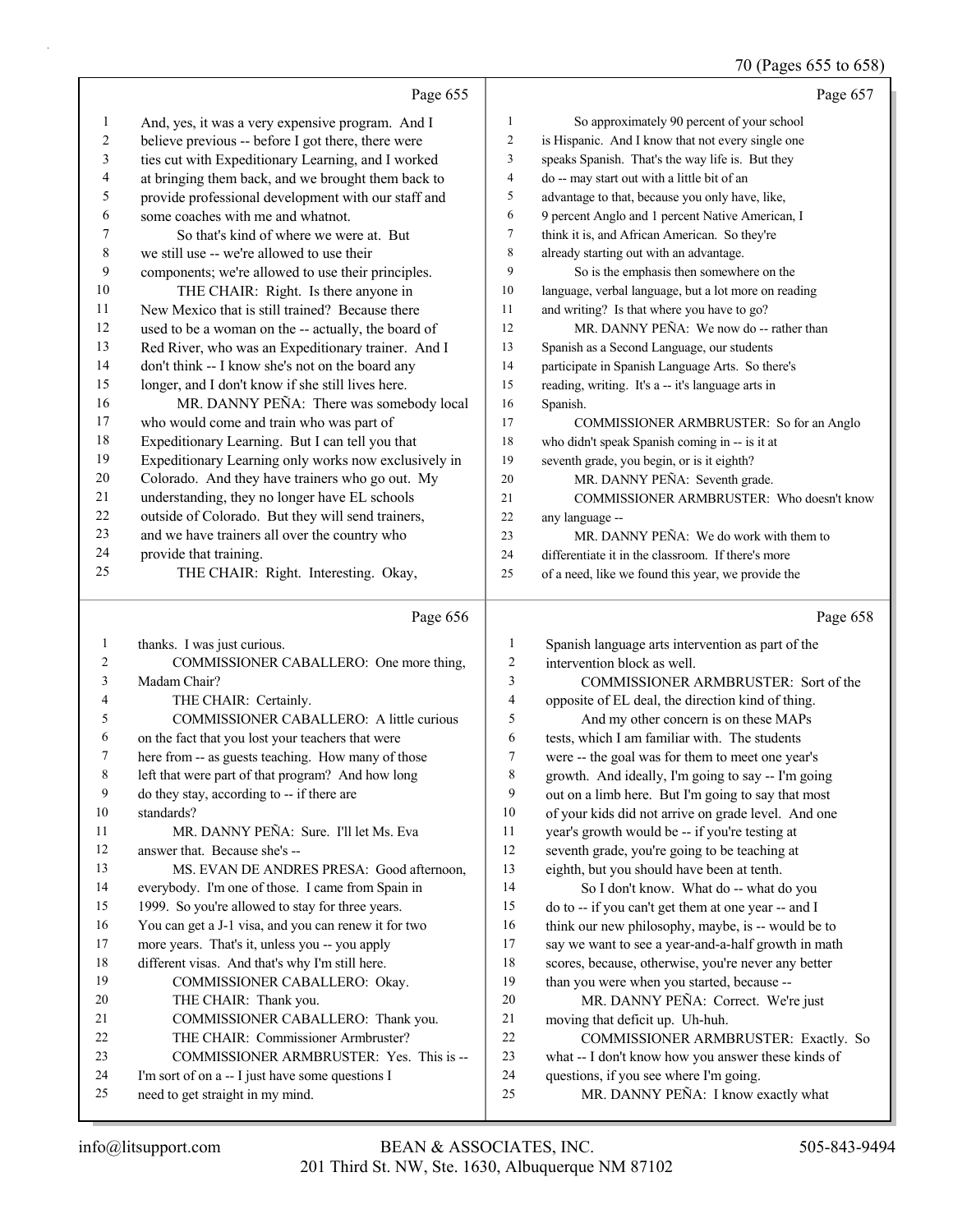## 70 (Pages 655 to 658)

|              |                                                      |                | $, \circ$ $\alpha$<br>$\sim$ 000 0000 000            |
|--------------|------------------------------------------------------|----------------|------------------------------------------------------|
|              | Page 655                                             |                | Page 657                                             |
| 1            | And, yes, it was a very expensive program. And I     | 1              | So approximately 90 percent of your school           |
| 2            | believe previous -- before I got there, there were   | $\overline{c}$ | is Hispanic. And I know that not every single one    |
| 3            | ties cut with Expeditionary Learning, and I worked   | 3              | speaks Spanish. That's the way life is. But they     |
| 4            | at bringing them back, and we brought them back to   | 4              | do -- may start out with a little bit of an          |
| 5            | provide professional development with our staff and  | 5              | advantage to that, because you only have, like,      |
| 6            | some coaches with me and whatnot.                    | 6              | 9 percent Anglo and 1 percent Native American, I     |
| 7            | So that's kind of where we were at. But              | 7              | think it is, and African American. So they're        |
| 8            | we still use -- we're allowed to use their           | 8              | already starting out with an advantage.              |
| 9            | components; we're allowed to use their principles.   | 9              | So is the emphasis then somewhere on the             |
| 10           | THE CHAIR: Right. Is there anyone in                 | 10             | language, verbal language, but a lot more on reading |
| 11           | New Mexico that is still trained? Because there      | 11             | and writing? Is that where you have to go?           |
| 12           | used to be a woman on the -- actually, the board of  | 12             | MR. DANNY PEÑA: We now do -- rather than             |
| 13           | Red River, who was an Expeditionary trainer. And I   | 13             | Spanish as a Second Language, our students           |
| 14           | don't think -- I know she's not on the board any     | 14             | participate in Spanish Language Arts. So there's     |
| 15           | longer, and I don't know if she still lives here.    | 15             | reading, writing. It's a -- it's language arts in    |
| 16           | MR. DANNY PEÑA: There was somebody local             | 16             | Spanish.                                             |
| 17           | who would come and train who was part of             | 17             | COMMISSIONER ARMBRUSTER: So for an Anglo             |
| 18           | Expeditionary Learning. But I can tell you that      | 18             | who didn't speak Spanish coming in -- is it at       |
| 19           | Expeditionary Learning only works now exclusively in | 19             | seventh grade, you begin, or is it eighth?           |
| 20           | Colorado. And they have trainers who go out. My      | 20             | MR. DANNY PEÑA: Seventh grade.                       |
| 21           | understanding, they no longer have EL schools        | 21             | COMMISSIONER ARMBRUSTER: Who doesn't know            |
| 22           | outside of Colorado. But they will send trainers,    | 22             | any language --                                      |
| 23           | and we have trainers all over the country who        | 23             | MR. DANNY PEÑA: We do work with them to              |
| 24           | provide that training.                               | 24             | differentiate it in the classroom. If there's more   |
| 25           | THE CHAIR: Right. Interesting. Okay,                 | 25             | of a need, like we found this year, we provide the   |
|              | Page 656                                             |                | Page 658                                             |
| $\mathbf{1}$ | thanks. I was just curious.                          | $\mathbf{1}$   | Spanish language arts intervention as part of the    |
| 2            | COMMISSIONER CABALLERO: One more thing,              | $\overline{c}$ | intervention block as well.                          |
| 3            | Madam Chair?                                         | $\mathfrak{Z}$ | COMMISSIONER ARMBRUSTER: Sort of the                 |
| 4            | THE CHAIR: Certainly.                                | $\overline{4}$ | opposite of EL deal, the direction kind of thing.    |
| 5            | COMMISSIONER CABALLERO: A little curious             | 5              | And my other concern is on these MAPs                |
| 6            | on the fact that you lost your teachers that were    | 6              | tests, which I am familiar with. The students        |
| 7            | here from -- as guests teaching. How many of those   | $\overline{7}$ | were -- the goal was for them to meet one year's     |
| 8            | left that were part of that program? And how long    | $\,$ 8 $\,$    | growth. And ideally, I'm going to say -- I'm going   |
| 9            | do they stay, according to -- if there are           | 9              | out on a limb here. But I'm going to say that most   |
| 10           | standards?                                           | 10             | of your kids did not arrive on grade level. And one  |
| 11           | MR. DANNY PEÑA: Sure. I'll let Ms. Eva               | 11             | year's growth would be -- if you're testing at       |
| 12           | answer that. Because she's --                        | 12             | seventh grade, you're going to be teaching at        |
| 13           | MS. EVAN DE ANDRES PRESA: Good afternoon,            | 13             | eighth, but you should have been at tenth.           |
| 14           | everybody. I'm one of those. I came from Spain in    | 14             | So I don't know. What do -- what do you              |
| 15           | 1999. So you're allowed to stay for three years.     | 15             | do to -- if you can't get them at one year -- and I  |
| 16           | You can get a J-1 visa, and you can renew it for two | 16             | think our new philosophy, maybe, is -- would be to   |
| 17           | more years. That's it, unless you -- you apply       | 17             | say we want to see a year-and-a-half growth in math  |
| 18           | different visas. And that's why I'm still here.      | 18             | scores, because, otherwise, you're never any better  |
| 19           | COMMISSIONER CABALLERO: Okay.                        | 19             | than you were when you started, because --           |
| 20           | THE CHAIR: Thank you.                                | 20             | MR. DANNY PEÑA: Correct. We're just                  |
| 21           | COMMISSIONER CABALLERO: Thank you.                   | 21             | moving that deficit up. Uh-huh.                      |
| 22           |                                                      |                | COMMISSIONER ARMBRUSTER: Exactly. So                 |
|              | THE CHAIR: Commissioner Armbruster?                  | 22             |                                                      |
| 23           | COMMISSIONER ARMBRUSTER: Yes. This is --             | 23             | what -- I don't know how you answer these kinds of   |
| 24           | I'm sort of on a -- I just have some questions I     | 24             | questions, if you see where I'm going.               |
| 25           | need to get straight in my mind.                     | 25             | MR. DANNY PEÑA: I know exactly what                  |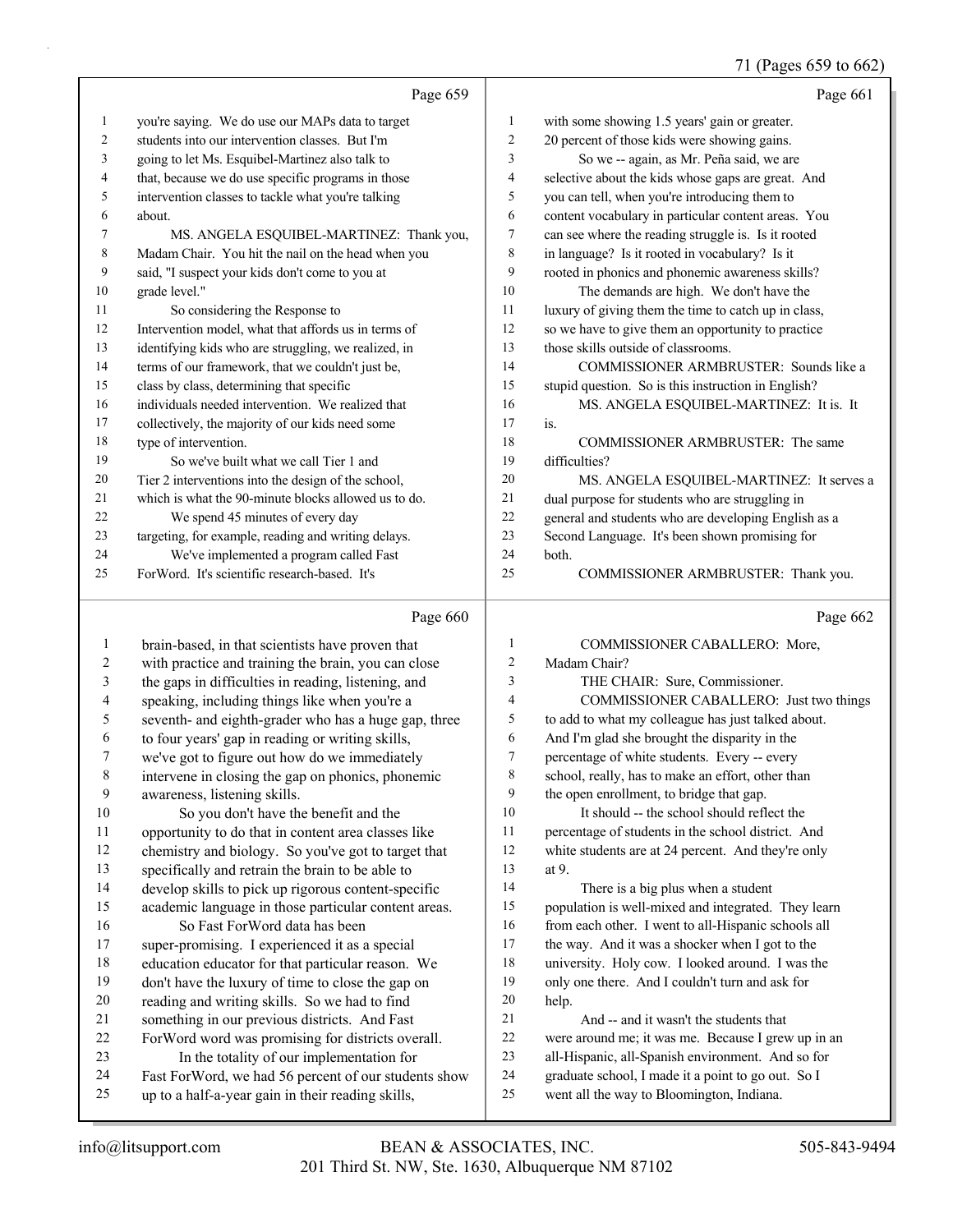## 71 (Pages 659 to 662)

|              | Page 659                                             |                | Page 661                                             |
|--------------|------------------------------------------------------|----------------|------------------------------------------------------|
| $\mathbf{1}$ | you're saying. We do use our MAPs data to target     | 1              | with some showing 1.5 years' gain or greater.        |
| 2            | students into our intervention classes. But I'm      | $\overline{c}$ | 20 percent of those kids were showing gains.         |
| 3            | going to let Ms. Esquibel-Martinez also talk to      | 3              | So we -- again, as Mr. Peña said, we are             |
| 4            | that, because we do use specific programs in those   | 4              | selective about the kids whose gaps are great. And   |
| 5            | intervention classes to tackle what you're talking   | 5              | you can tell, when you're introducing them to        |
| 6            | about.                                               | 6              | content vocabulary in particular content areas. You  |
| 7            | MS. ANGELA ESQUIBEL-MARTINEZ: Thank you,             | 7              | can see where the reading struggle is. Is it rooted  |
| 8            | Madam Chair. You hit the nail on the head when you   | $\,$ 8 $\,$    | in language? Is it rooted in vocabulary? Is it       |
| 9            | said, "I suspect your kids don't come to you at      | 9              | rooted in phonics and phonemic awareness skills?     |
| 10           | grade level."                                        | 10             | The demands are high. We don't have the              |
| 11           | So considering the Response to                       | 11             | luxury of giving them the time to catch up in class, |
| 12           | Intervention model, what that affords us in terms of | 12             | so we have to give them an opportunity to practice   |
| 13           | identifying kids who are struggling, we realized, in | 13             | those skills outside of classrooms.                  |
| 14           | terms of our framework, that we couldn't just be,    | 14             | COMMISSIONER ARMBRUSTER: Sounds like a               |
| 15           | class by class, determining that specific            | 15             | stupid question. So is this instruction in English?  |
| 16           | individuals needed intervention. We realized that    | 16             | MS. ANGELA ESQUIBEL-MARTINEZ: It is. It              |
| 17           | collectively, the majority of our kids need some     | 17             | is.                                                  |
| 18           | type of intervention.                                | 18             | COMMISSIONER ARMBRUSTER: The same                    |
| 19           | So we've built what we call Tier 1 and               | 19             | difficulties?                                        |
| 20           | Tier 2 interventions into the design of the school,  | 20             | MS. ANGELA ESQUIBEL-MARTINEZ: It serves a            |
| 21           | which is what the 90-minute blocks allowed us to do. | 21             | dual purpose for students who are struggling in      |
| 22           | We spend 45 minutes of every day                     | 22             | general and students who are developing English as a |
| 23           | targeting, for example, reading and writing delays.  | 23             | Second Language. It's been shown promising for       |
| 24           | We've implemented a program called Fast              | 24             | both.                                                |
| 25           | ForWord. It's scientific research-based. It's        | 25             | COMMISSIONER ARMBRUSTER: Thank you.                  |
|              |                                                      |                |                                                      |
|              | Page 660                                             |                | Page 662                                             |
| 1            | brain-based, in that scientists have proven that     | 1              | COMMISSIONER CABALLERO: More,                        |
| 2            | with practice and training the brain, you can close  | $\overline{c}$ | Madam Chair?                                         |
| 3            | the gaps in difficulties in reading, listening, and  | $\mathfrak{Z}$ | THE CHAIR: Sure, Commissioner.                       |
| 4            | speaking, including things like when you're a        | $\overline{4}$ | COMMISSIONER CABALLERO: Just two things              |
| 5            | seventh- and eighth-grader who has a huge gap, three | 5              | to add to what my colleague has just talked about.   |
| 6            | to four years' gap in reading or writing skills,     | 6              | And I'm glad she brought the disparity in the        |
| 7            | we've got to figure out how do we immediately        | $\tau$         | percentage of white students. Every -- every         |
| 8            | intervene in closing the gap on phonics, phonemic    | 8              | school, really, has to make an effort, other than    |
| 9            | awareness, listening skills.                         | 9              | the open enrollment, to bridge that gap.             |
| $10\,$       | So you don't have the benefit and the                | 10             | It should -- the school should reflect the           |
| 11           | opportunity to do that in content area classes like  | 11             | percentage of students in the school district. And   |
| 12           | chemistry and biology. So you've got to target that  | 12             | white students are at 24 percent. And they're only   |
| 13           | specifically and retrain the brain to be able to     | 13             | at 9.                                                |
| 14           | develop skills to pick up rigorous content-specific  | 14             | There is a big plus when a student                   |
| 15           | academic language in those particular content areas. | 15             | population is well-mixed and integrated. They learn  |
| 16           | So Fast ForWord data has been                        | 16             | from each other. I went to all-Hispanic schools all  |
| 17           | super-promising. I experienced it as a special       | 17             | the way. And it was a shocker when I got to the      |

- education educator for that particular reason. We don't have the luxury of time to close the gap on
	- reading and writing skills. So we had to find
	- something in our previous districts. And Fast
	- ForWord word was promising for districts overall.
	- 23 In the totality of our implementation for
	- Fast ForWord, we had 56 percent of our students show up to a half-a-year gain in their reading skills,
- all-Hispanic, all-Spanish environment. And so for graduate school, I made it a point to go out. So I went all the way to Bloomington, Indiana.

were around me; it was me. Because I grew up in an

 university. Holy cow. I looked around. I was the only one there. And I couldn't turn and ask for

21 And -- and it wasn't the students that

help.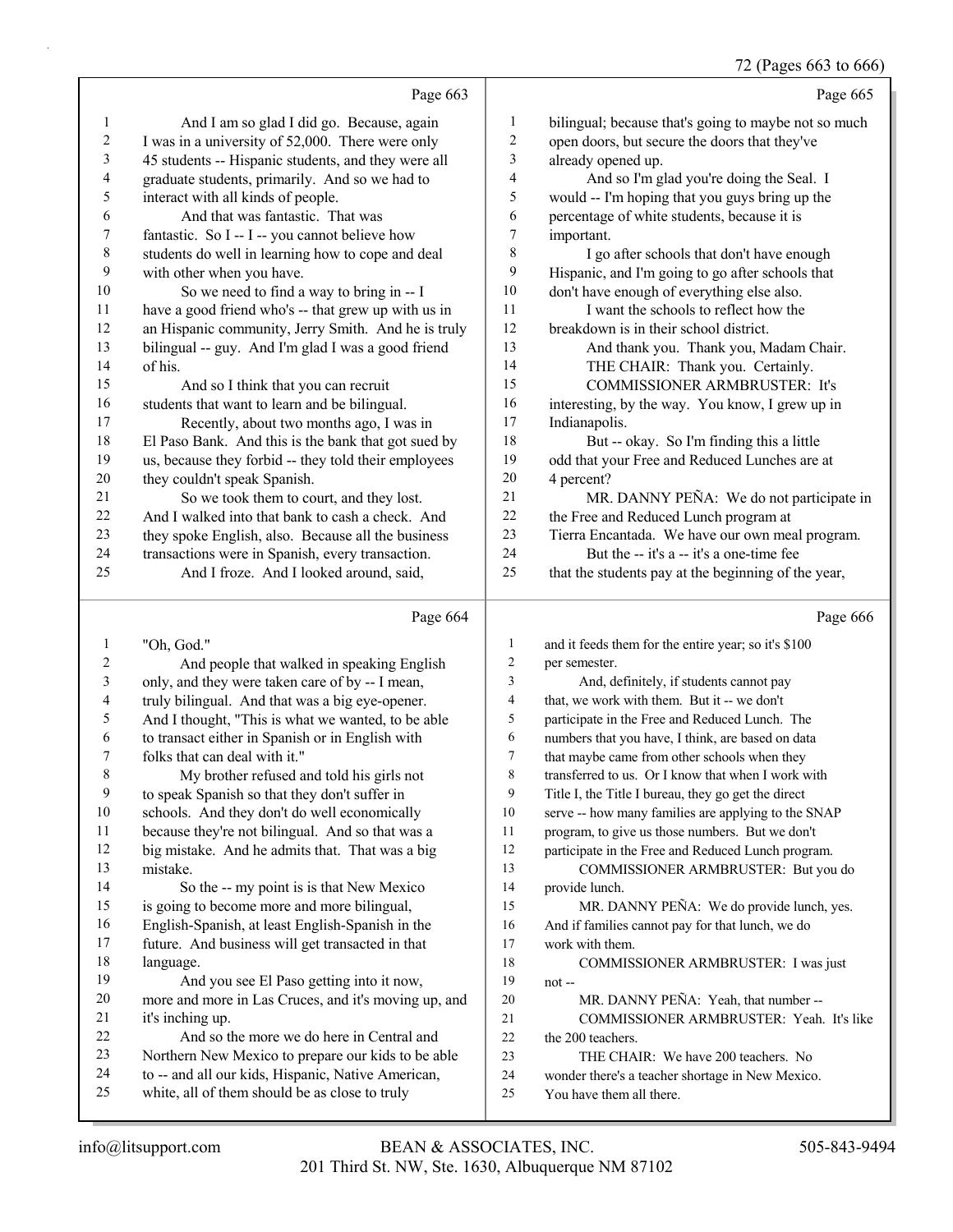## 72 (Pages 663 to 666)

|                          |                                                                                                  |                         | $12$ (1 ages 003 to 000                                                                            |
|--------------------------|--------------------------------------------------------------------------------------------------|-------------------------|----------------------------------------------------------------------------------------------------|
|                          | Page 663                                                                                         |                         | Page 665                                                                                           |
| $\mathbf{1}$             | And I am so glad I did go. Because, again                                                        | $\mathbf{1}$            | bilingual; because that's going to maybe not so much                                               |
| $\overline{c}$           | I was in a university of 52,000. There were only                                                 | $\overline{c}$          | open doors, but secure the doors that they've                                                      |
| $\mathfrak{Z}$           | 45 students -- Hispanic students, and they were all                                              | 3                       | already opened up.                                                                                 |
| $\overline{\mathcal{L}}$ | graduate students, primarily. And so we had to                                                   | $\overline{\mathbf{4}}$ | And so I'm glad you're doing the Seal. I                                                           |
| 5                        | interact with all kinds of people.                                                               | 5                       | would -- I'm hoping that you guys bring up the                                                     |
| 6                        | And that was fantastic. That was                                                                 | 6                       | percentage of white students, because it is                                                        |
| $\boldsymbol{7}$         | fantastic. So I -- I -- you cannot believe how                                                   | $\tau$                  | important.                                                                                         |
| $\,$ $\,$                | students do well in learning how to cope and deal                                                | $\,$ 8 $\,$             | I go after schools that don't have enough                                                          |
| $\mathbf{9}$             | with other when you have.                                                                        | 9                       | Hispanic, and I'm going to go after schools that                                                   |
| $10\,$                   | So we need to find a way to bring in -- I                                                        | 10                      | don't have enough of everything else also.                                                         |
| 11                       | have a good friend who's -- that grew up with us in                                              | 11                      | I want the schools to reflect how the                                                              |
| 12                       | an Hispanic community, Jerry Smith. And he is truly                                              | 12                      | breakdown is in their school district.                                                             |
| 13                       | bilingual -- guy. And I'm glad I was a good friend                                               | 13                      | And thank you. Thank you, Madam Chair.                                                             |
| 14                       | of his.                                                                                          | 14                      | THE CHAIR: Thank you. Certainly.                                                                   |
| 15                       | And so I think that you can recruit                                                              | 15                      | COMMISSIONER ARMBRUSTER: It's                                                                      |
| 16                       | students that want to learn and be bilingual.                                                    | 16                      | interesting, by the way. You know, I grew up in                                                    |
| 17                       | Recently, about two months ago, I was in                                                         | 17                      | Indianapolis.                                                                                      |
| 18                       | El Paso Bank. And this is the bank that got sued by                                              | 18                      | But -- okay. So I'm finding this a little                                                          |
| 19                       | us, because they forbid -- they told their employees                                             | 19                      | odd that your Free and Reduced Lunches are at                                                      |
| $20\,$                   | they couldn't speak Spanish.                                                                     | $20\,$                  | 4 percent?                                                                                         |
| 21                       | So we took them to court, and they lost.                                                         | 21                      | MR. DANNY PEÑA: We do not participate in                                                           |
| 22                       | And I walked into that bank to cash a check. And                                                 | 22                      | the Free and Reduced Lunch program at                                                              |
| 23                       | they spoke English, also. Because all the business                                               | 23                      | Tierra Encantada. We have our own meal program.                                                    |
| 24                       | transactions were in Spanish, every transaction.                                                 | 24                      | But the -- it's a -- it's a one-time fee                                                           |
| 25                       | And I froze. And I looked around, said,                                                          | 25                      | that the students pay at the beginning of the year,                                                |
|                          |                                                                                                  |                         |                                                                                                    |
|                          |                                                                                                  |                         |                                                                                                    |
|                          | Page 664                                                                                         |                         | Page 666                                                                                           |
|                          |                                                                                                  |                         |                                                                                                    |
| $\mathbf{1}$             | "Oh, God."                                                                                       | $\mathbf{1}$<br>2       | and it feeds them for the entire year; so it's \$100                                               |
| $\boldsymbol{2}$         | And people that walked in speaking English                                                       | 3                       | per semester.                                                                                      |
| 3                        | only, and they were taken care of by -- I mean,                                                  | 4                       | And, definitely, if students cannot pay                                                            |
| 4                        | truly bilingual. And that was a big eye-opener.                                                  | 5                       | that, we work with them. But it -- we don't                                                        |
| 5                        | And I thought, "This is what we wanted, to be able                                               | 6                       | participate in the Free and Reduced Lunch. The                                                     |
| 6<br>$\boldsymbol{7}$    | to transact either in Spanish or in English with                                                 | 7                       | numbers that you have, I think, are based on data                                                  |
| $\,$ 8 $\,$              | folks that can deal with it."                                                                    | 8                       | that maybe came from other schools when they<br>transferred to us. Or I know that when I work with |
| 9                        | My brother refused and told his girls not                                                        | 9                       | Title I, the Title I bureau, they go get the direct                                                |
| 10                       | to speak Spanish so that they don't suffer in                                                    | 10                      |                                                                                                    |
| 11                       | schools. And they don't do well economically                                                     | 11                      | serve -- how many families are applying to the SNAP                                                |
| 12                       | because they're not bilingual. And so that was a                                                 | 12                      | program, to give us those numbers. But we don't                                                    |
| 13                       | big mistake. And he admits that. That was a big<br>mistake.                                      | 13                      | participate in the Free and Reduced Lunch program.                                                 |
| 14                       |                                                                                                  | 14                      | COMMISSIONER ARMBRUSTER: But you do<br>provide lunch.                                              |
| 15                       | So the -- my point is is that New Mexico                                                         | 15                      |                                                                                                    |
| 16                       | is going to become more and more bilingual,<br>English-Spanish, at least English-Spanish in the  | 16                      | MR. DANNY PEÑA: We do provide lunch, yes.                                                          |
| 17                       |                                                                                                  | 17                      | And if families cannot pay for that lunch, we do<br>work with them.                                |
| 18                       | future. And business will get transacted in that<br>language.                                    | 18                      |                                                                                                    |
| 19                       |                                                                                                  | 19                      | COMMISSIONER ARMBRUSTER: I was just                                                                |
| 20                       | And you see El Paso getting into it now,<br>more and more in Las Cruces, and it's moving up, and | 20                      | not-<br>MR. DANNY PEÑA: Yeah, that number --                                                       |
| 21                       | it's inching up.                                                                                 | 21                      | COMMISSIONER ARMBRUSTER: Yeah. It's like                                                           |
| 22                       | And so the more we do here in Central and                                                        | $22\,$                  | the 200 teachers.                                                                                  |
| 23                       | Northern New Mexico to prepare our kids to be able                                               | 23                      | THE CHAIR: We have 200 teachers. No                                                                |
| 24                       | to -- and all our kids, Hispanic, Native American,                                               | 24                      | wonder there's a teacher shortage in New Mexico.                                                   |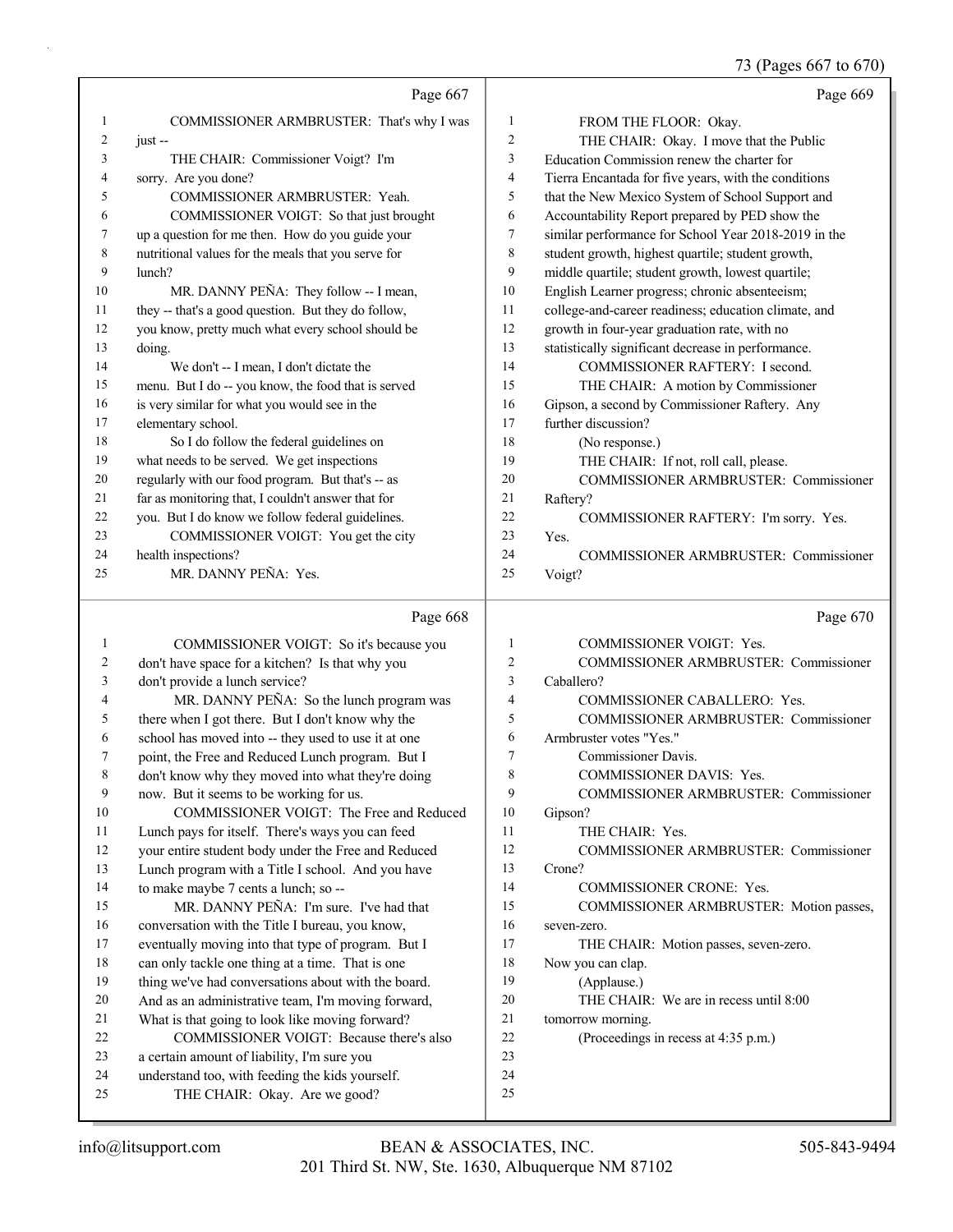73 (Pages 667 to 670)

|          | Page 667                                                                                   |                          | Page 669                                             |
|----------|--------------------------------------------------------------------------------------------|--------------------------|------------------------------------------------------|
| 1        | COMMISSIONER ARMBRUSTER: That's why I was                                                  | 1                        | FROM THE FLOOR: Okay.                                |
| 2        | just-                                                                                      | $\overline{c}$           | THE CHAIR: Okay. I move that the Public              |
| 3        | THE CHAIR: Commissioner Voigt? I'm                                                         | 3                        | Education Commission renew the charter for           |
| 4        | sorry. Are you done?                                                                       | $\overline{\mathcal{A}}$ | Tierra Encantada for five years, with the conditions |
| 5        | COMMISSIONER ARMBRUSTER: Yeah.                                                             | 5                        | that the New Mexico System of School Support and     |
| 6        | COMMISSIONER VOIGT: So that just brought                                                   | 6                        | Accountability Report prepared by PED show the       |
| 7        | up a question for me then. How do you guide your                                           | 7                        | similar performance for School Year 2018-2019 in the |
| 8        | nutritional values for the meals that you serve for                                        | 8                        | student growth, highest quartile; student growth,    |
| 9        | lunch?                                                                                     | 9                        | middle quartile; student growth, lowest quartile;    |
| 10       | MR. DANNY PEÑA: They follow -- I mean,                                                     | 10                       | English Learner progress; chronic absenteeism;       |
| 11       | they -- that's a good question. But they do follow,                                        | 11                       | college-and-career readiness; education climate, and |
| 12       | you know, pretty much what every school should be                                          | 12                       | growth in four-year graduation rate, with no         |
| 13       | doing.                                                                                     | 13                       | statistically significant decrease in performance.   |
| 14       | We don't -- I mean, I don't dictate the                                                    | 14                       | COMMISSIONER RAFTERY: I second.                      |
| 15       | menu. But I do -- you know, the food that is served                                        | 15                       | THE CHAIR: A motion by Commissioner                  |
| 16       | is very similar for what you would see in the                                              | 16                       | Gipson, a second by Commissioner Raftery. Any        |
| 17       | elementary school.                                                                         | 17                       | further discussion?                                  |
| 18       | So I do follow the federal guidelines on                                                   | 18                       | (No response.)                                       |
| 19       | what needs to be served. We get inspections                                                | 19                       | THE CHAIR: If not, roll call, please.                |
| 20       | regularly with our food program. But that's -- as                                          | 20                       | <b>COMMISSIONER ARMBRUSTER: Commissioner</b>         |
| 21       | far as monitoring that, I couldn't answer that for                                         | 21                       | Raftery?                                             |
| 22       | you. But I do know we follow federal guidelines.                                           | 22                       | COMMISSIONER RAFTERY: I'm sorry. Yes.                |
| 23       | COMMISSIONER VOIGT: You get the city                                                       | 23                       | Yes.                                                 |
| 24       | health inspections?                                                                        | 24                       | COMMISSIONER ARMBRUSTER: Commissioner                |
| 25       | MR. DANNY PEÑA: Yes.                                                                       | 25                       | Voigt?                                               |
|          |                                                                                            |                          |                                                      |
|          | Page 668                                                                                   |                          | Page 670                                             |
| 1        |                                                                                            | 1                        | COMMISSIONER VOIGT: Yes.                             |
| 2        | COMMISSIONER VOIGT: So it's because you<br>don't have space for a kitchen? Is that why you | $\overline{2}$           | COMMISSIONER ARMBRUSTER: Commissioner                |
| 3        | don't provide a lunch service?                                                             | 3                        | Caballero?                                           |
| 4        | MR. DANNY PEÑA: So the lunch program was                                                   | $\overline{4}$           | COMMISSIONER CABALLERO: Yes.                         |
| 5        | there when I got there. But I don't know why the                                           | 5                        | COMMISSIONER ARMBRUSTER: Commissioner                |
| 6        | school has moved into -- they used to use it at one                                        | 6                        | Armbruster votes "Yes."                              |
| 7        | point, the Free and Reduced Lunch program. But I                                           | 7                        | Commissioner Davis.                                  |
| 8        | don't know why they moved into what they're doing                                          | 8                        | COMMISSIONER DAVIS: Yes.                             |
| 9        | now. But it seems to be working for us.                                                    | 9                        | COMMISSIONER ARMBRUSTER: Commissioner                |
| 10       | COMMISSIONER VOIGT: The Free and Reduced                                                   | 10                       | Gipson?                                              |
| 11       | Lunch pays for itself. There's ways you can feed                                           | 11                       | THE CHAIR: Yes.                                      |
| 12       | your entire student body under the Free and Reduced                                        | 12                       | COMMISSIONER ARMBRUSTER: Commissioner                |
| 13       | Lunch program with a Title I school. And you have                                          | 13                       | Crone?                                               |
| 14       | to make maybe 7 cents a lunch; so --                                                       | 14                       | <b>COMMISSIONER CRONE: Yes.</b>                      |
| 15       | MR. DANNY PEÑA: I'm sure. I've had that                                                    | 15                       | COMMISSIONER ARMBRUSTER: Motion passes,              |
| 16       | conversation with the Title I bureau, you know,                                            | 16                       | seven-zero.                                          |
| 17       | eventually moving into that type of program. But I                                         | 17                       | THE CHAIR: Motion passes, seven-zero.                |
| 18       | can only tackle one thing at a time. That is one                                           | 18                       | Now you can clap.                                    |
| 19       | thing we've had conversations about with the board.                                        | 19                       | (Applause.)                                          |
| 20       | And as an administrative team, I'm moving forward,                                         | 20                       | THE CHAIR: We are in recess until 8:00               |
| 21       | What is that going to look like moving forward?                                            | 21                       | tomorrow morning.                                    |
| 22       | COMMISSIONER VOIGT: Because there's also                                                   | 22                       | (Proceedings in recess at 4:35 p.m.)                 |
| 23       | a certain amount of liability, I'm sure you                                                | 23                       |                                                      |
| 24<br>25 | understand too, with feeding the kids yourself.<br>THE CHAIR: Okay. Are we good?           | 24<br>25                 |                                                      |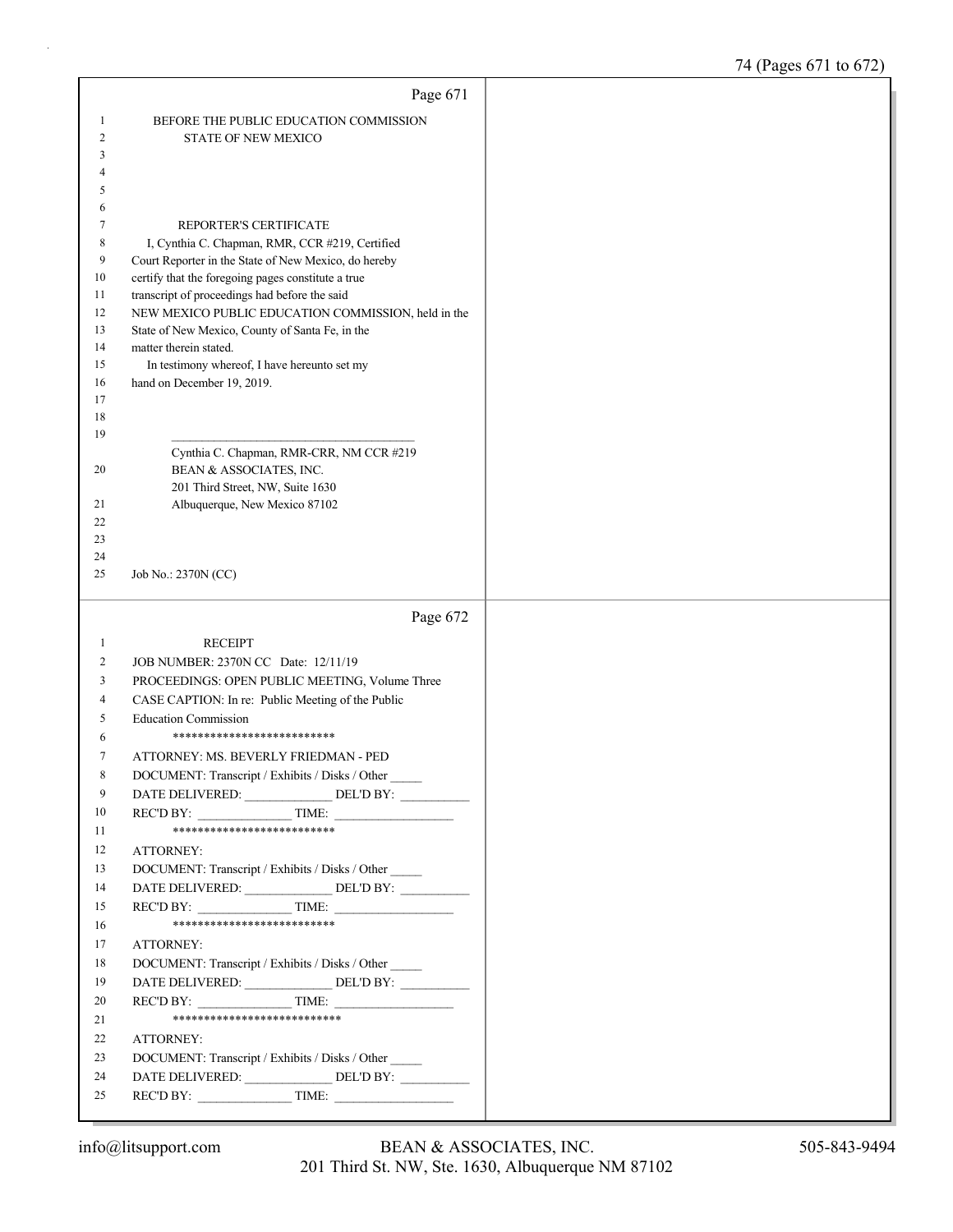|              | Page 671                                                                   |
|--------------|----------------------------------------------------------------------------|
| 1            | BEFORE THE PUBLIC EDUCATION COMMISSION                                     |
| 2            | <b>STATE OF NEW MEXICO</b>                                                 |
| 3            |                                                                            |
| 4            |                                                                            |
| 5            |                                                                            |
| 6            |                                                                            |
| 7<br>8       | REPORTER'S CERTIFICATE<br>I, Cynthia C. Chapman, RMR, CCR #219, Certified  |
| 9            | Court Reporter in the State of New Mexico, do hereby                       |
| 10           | certify that the foregoing pages constitute a true                         |
| 11           | transcript of proceedings had before the said                              |
| 12           | NEW MEXICO PUBLIC EDUCATION COMMISSION, held in the                        |
| 13           | State of New Mexico, County of Santa Fe, in the                            |
| 14           | matter therein stated.                                                     |
| 15<br>16     | In testimony whereof, I have hereunto set my<br>hand on December 19, 2019. |
| 17           |                                                                            |
| 18           |                                                                            |
| 19           |                                                                            |
|              | Cynthia C. Chapman, RMR-CRR, NM CCR #219                                   |
| 20           | BEAN & ASSOCIATES, INC.                                                    |
|              | 201 Third Street, NW, Suite 1630                                           |
| 21<br>22     | Albuquerque, New Mexico 87102                                              |
| 23           |                                                                            |
| 24           |                                                                            |
| 25           | Job No.: 2370N (CC)                                                        |
|              |                                                                            |
|              | Page 672                                                                   |
| $\mathbf{1}$ | <b>RECEIPT</b>                                                             |
|              | JOB NUMBER: 2370N CC Date: 12/11/19                                        |
| 2            |                                                                            |
| 3            | PROCEEDINGS: OPEN PUBLIC MEETING, Volume Three                             |
| 4            | CASE CAPTION: In re: Public Meeting of the Public                          |
| 5            | <b>Education Commission</b>                                                |
| 6            | **************************                                                 |
| 7            | ATTORNEY: MS. BEVERLY FRIEDMAN - PED                                       |
| 8            | DOCUMENT: Transcript / Exhibits / Disks / Other                            |
| 9<br>10      | DATE DELIVERED: DEL'D BY:                                                  |
| 11           | REC'D BY: TIME:<br>**************************                              |
| 12           | ATTORNEY:                                                                  |
| 13           | DOCUMENT: Transcript / Exhibits / Disks / Other                            |
| 14           |                                                                            |
| 15           | $RECD BY:$ TIME:                                                           |
| 16           | **************************                                                 |
| 17           | ATTORNEY:                                                                  |
| 18           | DOCUMENT: Transcript / Exhibits / Disks / Other                            |
| 19           |                                                                            |
| 20           | $RECD BY:$ TIME:                                                           |
| 21           | ***************************                                                |
| 22           | ATTORNEY:                                                                  |
| 23           | DOCUMENT: Transcript / Exhibits / Disks / Other                            |
| 24<br>25     | DATE DELIVERED: ________________ DEL'D BY: __________<br>$RECD BY:$ TIME:  |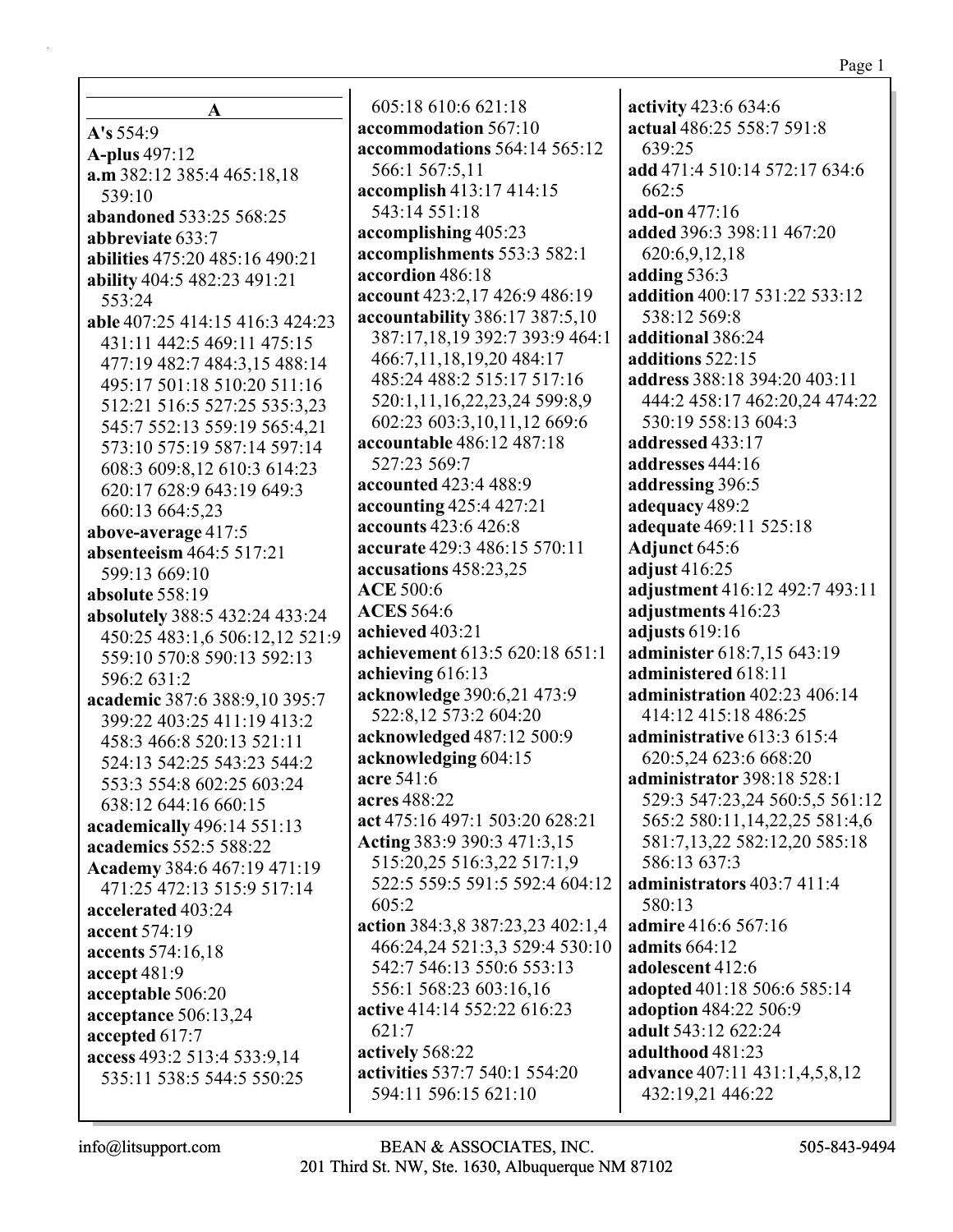$\mathbf{A}$  $A's 554:9$ **A-plus** 497:12 a.m 382:12 385:4 465:18,18 539:10 abandoned 533:25 568:25 abbreviate 633:7 abilities 475:20 485:16 490:21 ability 404:5 482:23 491:21 553:24 able 407:25 414:15 416:3 424:23 431:11 442:5 469:11 475:15 477:19 482:7 484:3,15 488:14 495:17 501:18 510:20 511:16 512:21 516:5 527:25 535:3.23 545:7 552:13 559:19 565:4,21 573:10 575:19 587:14 597:14 608:3 609:8,12 610:3 614:23 620:17 628:9 643:19 649:3 660:13 664:5,23 above-average 417:5 absenteeism 464:5 517:21 599:13 669:10 absolute  $558:19$ absolutely 388:5 432:24 433:24 450:25 483:1,6 506:12,12 521:9 559:10 570:8 590:13 592:13  $596:2631:2$ academic 387:6 388:9,10 395:7 399:22 403:25 411:19 413:2 458:3 466:8 520:13 521:11 524:13 542:25 543:23 544:2 553:3 554:8 602:25 603:24 638:12 644:16 660:15 academically 496:14 551:13 academics 552:5 588:22 Academy 384:6 467:19 471:19 471:25 472:13 515:9 517:14 accelerated 403:24 accent 574:19 accents 574:16,18 accept  $481:9$ acceptable 506:20 acceptance 506:13,24 accepted 617:7 access 493:2 513:4 533:9,14 535:11 538:5 544:5 550:25

605:18 610:6 621:18 accommodation 567:10 accommodations 564:14 565:12 566:1 567:5,11 accomplish 413:17 414:15 543:14 551:18 accomplishing 405:23 accomplishments 553:3 582:1 accordion 486:18 account 423:2,17 426:9 486:19 accountability 386:17 387:5,10 387:17,18,19 392:7 393:9 464:1 466:7,11,18,19,20 484:17 485:24 488:2 515:17 517:16 520:1,11,16,22,23,24 599:8,9 602:23 603:3.10.11.12 669:6 accountable 486:12 487:18 527:23 569:7 accounted 423:4 488:9 accounting 425:4 427:21 accounts 423:6 426:8 accurate 429:3 486:15 570:11 accusations 458:23,25 **ACE 500:6 ACES** 564:6 achieved 403:21 achievement 613:5 620:18 651:1 achieving  $616:13$ acknowledge 390:6,21 473:9 522:8,12 573:2 604:20 acknowledged 487:12 500:9 acknowledging 604:15 acre 541:6 acres 488:22 act 475:16 497:1 503:20 628:21 Acting 383:9 390:3 471:3,15 515:20,25 516:3,22 517:1,9 522:5 559:5 591:5 592:4 604:12  $605:2$ action 384:3,8 387:23,23 402:1,4 466:24,24 521:3,3 529:4 530:10 542:7 546:13 550:6 553:13 556:1 568:23 603:16.16 active 414:14 552:22 616:23  $621:7$ actively 568:22 activities 537:7 540:1 554:20 594:11 596:15 621:10

activity 423:6 634:6 actual 486:25 558:7 591:8  $639:25$ add 471:4 510:14 572:17 634:6  $662:5$ add-on 477:16 added 396:3 398:11 467:20 620:6,9,12,18 adding  $536:3$ addition 400:17 531:22 533:12 538:12 569:8 additional 386:24 additions 522:15 address 388:18 394:20 403:11 444:2 458:17 462:20,24 474:22 530:19 558:13 604:3 addressed 433:17 addresses 444:16 addressing 396:5 adequacy 489:2 adequate 469:11 525:18 Adjunct 645:6 adjust  $416:25$ adjustment 416:12 492:7 493:11 adjustments 416:23 adjusts 619:16 administer 618:7.15 643:19 administered 618:11 administration 402:23 406:14 414:12 415:18 486:25 administrative 613:3 615:4 620:5.24 623:6 668:20 administrator 398:18 528:1 529:3 547:23,24 560:5,5 561:12 565:2 580:11,14,22,25 581:4,6 581:7,13,22 582:12,20 585:18 586:13 637:3 administrators  $403:7411:4$ 580:13 **admire** 416:6 567:16 admits  $664:12$ adolescent 412:6 adopted 401:18 506:6 585:14 adoption 484:22 506:9 adult 543:12 622:24 adulthood 481:23 advance 407:11 431:1,4,5,8,12 432:19,21 446:22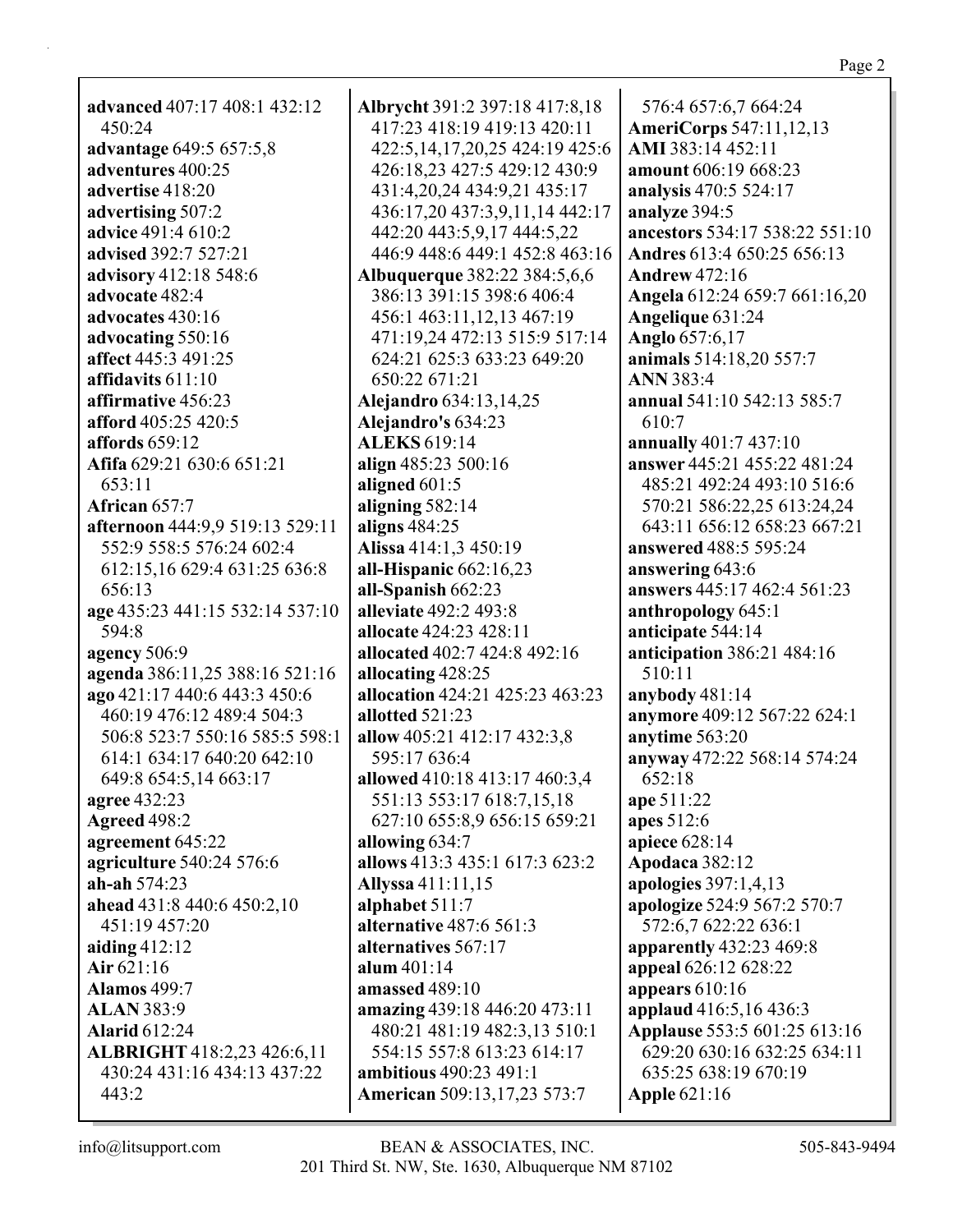| 576:4 657:6,7 664:24               |  |
|------------------------------------|--|
| <b>AmeriCorps</b> 547:11,12,13     |  |
| AMI 383:14 452:11                  |  |
| amount 606:19 668:23               |  |
| analysis 470:5 524:17              |  |
| analyze 394:5                      |  |
| ancestors 534:17 538:22 551:10     |  |
| Andres 613:4 650:25 656:13         |  |
| <b>Andrew 472:16</b>               |  |
| Angela 612:24 659:7 661:16,20      |  |
| Angelique 631:24                   |  |
| Anglo 657:6,17                     |  |
| animals 514:18,20 557:7            |  |
| <b>ANN</b> 383:4                   |  |
| annual 541:10 542:13 585:7         |  |
| 610:7                              |  |
| annually 401:7 437:10              |  |
|                                    |  |
| answer 445:21 455:22 481:24        |  |
| 485:21 492:24 493:10 516:6         |  |
| 570:21 586:22,25 613:24,24         |  |
| 643:11 656:12 658:23 667:21        |  |
| $_{\rm measured}$ $100.5$ $505.24$ |  |

Page 2

advanced 407:17 408:1 432:12  $450:24$ advantage 649:5 657:5,8 adventures 400:25 advertise 418:20 advertising 507:2 **advice** 491:4 610:2 advised 392:7 527:21 advisory 412:18 548:6 advocate 482:4 advocates 430:16 advocating 550:16 affect 445:3 491:25 affidavits  $611:10$ affirmative 456:23 afford 405:25 420:5 affords  $659:12$ Afifa 629:21 630:6 651:21  $653:11$ African  $657:7$ afternoon 444:9,9 519:13 529:11 552:9 558:5 576:24 602:4 612:15,16 629:4 631:25 636:8 656:13 age 435:23 441:15 532:14 537:10 594:8 agency  $506:9$ agenda 386:11,25 388:16 521:16 ago 421:17 440:6 443:3 450:6 460:19 476:12 489:4 504:3 506:8 523:7 550:16 585:5 598:1 614:1 634:17 640:20 642:10 649:8 654:5,14 663:17 agree 432:23 **Agreed 498:2** agreement 645:22 agriculture 540:24 576:6 ah-ah  $574:23$ ahead  $431:8$   $440:6$   $450:2,10$ 451:19 457:20 aiding  $412:12$ Air  $621:16$ **Alamos** 499:7 **ALAN 383:9 Alarid 612:24** ALBRIGHT 418:2,23 426:6,11 430:24 431:16 434:13 437:22 443:2

**Albrycht** 391:2 397:18 417:8,18 417:23 418:19 419:13 420:11 422:5,14,17,20,25 424:19 425:6 426:18,23 427:5 429:12 430:9 431:4,20,24 434:9,21 435:17 436:17,20 437:3,9,11,14 442:17 442:20 443:5,9,17 444:5,22 446:9 448:6 449:1 452:8 463:16 **Albuquerque** 382:22 384:5,6,6 386:13 391:15 398:6 406:4 456:1 463:11,12,13 467:19 471:19,24 472:13 515:9 517:14 624:21 625:3 633:23 649:20 650:22 671:21 Alejandro 634:13,14,25 Alejandro's 634:23 **ALEKS 619:14** align 485:23 500:16 aligned  $601:5$ aligning  $582:14$ aligns  $484:25$ Alissa 414:1,3 450:19 all-Hispanic  $662:16,23$ all-Spanish 662:23 alleviate 492:2 493:8 allocate 424:23 428:11 allocated 402:7 424:8 492:16 allocating 428:25 allocation 424:21 425:23 463:23 allotted  $521:23$ allow 405:21 412:17 432:3,8 595:17 636:4 allowed 410:18 413:17 460:3,4 551:13 553:17 618:7,15,18 627:10 655:8,9 656:15 659:21 allowing  $634:7$ allows 413:3 435:1 617:3 623:2 Allyssa 411:11,15 alphabet  $511:7$ alternative 487:6 561:3 alternatives 567:17 alum  $401:14$ **amassed** 489:10 amazing 439:18 446:20 473:11 480:21 481:19 482:3,13 510:1 554:15 557:8 613:23 614:17 **ambitious** 490:23 491:1 **American** 509:13,17,23 573:7

**Angela 612:24 659** Angelique 631:24 **Anglo** 657:6,17 animals 514:18,20 **ANN** 383:4 annual 541:10 542 610:7 annually  $401:743'$ **answer** 445:21 45: 485:21 492:24 49 570:21 586:22,2: 643:11 656:12 6: answered 488:5 595:24 answering  $643:6$ answers 445:17 462:4 561:23 anthropology  $645:1$ anticipate 544:14 **anticipation** 386:21 484:16 510:11 anybody  $481:14$ **anymore** 409:12 567:22 624:1 anytime 563:20 anyway 472:22 568:14 574:24 652:18 ape 511:22 apes 512:6 apiece  $628:14$ Apodaca 382:12 apologies  $397:1,4,13$ apologize 524:9 567:2 570:7 572:6,7 622:22 636:1 **apparently** 432:23 469:8 appeal 626:12 628:22 appears  $610:16$ applaud 416:5,16 436:3 **Applause** 553:5 601:25 613:16 629:20 630:16 632:25 634:11 635:25 638:19 670:19 **Apple 621:16**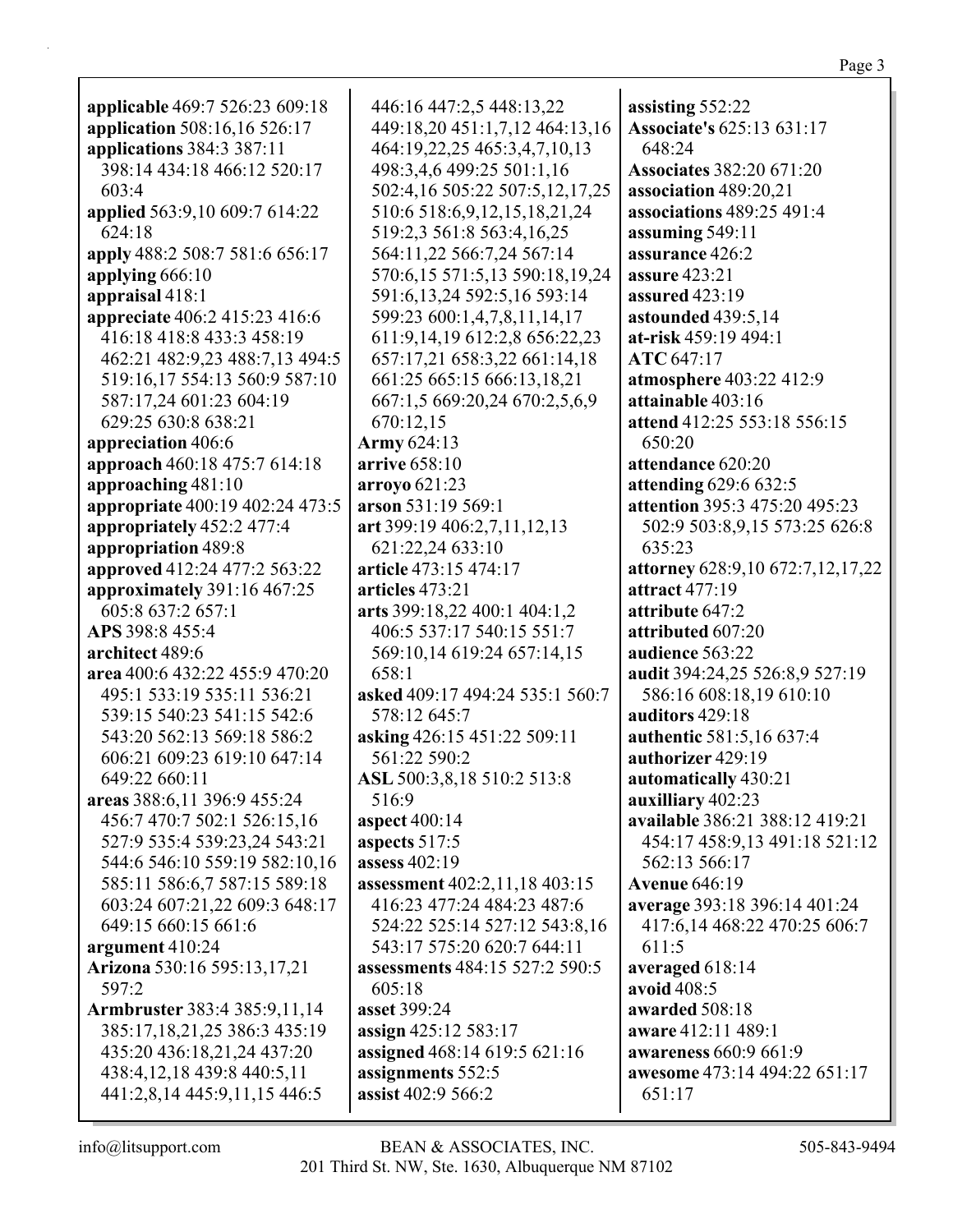| <b>applicable</b> 469:7 526:23 609:18 | 446:16 447:2,5 448:13,22           | assisting 552:22                 |
|---------------------------------------|------------------------------------|----------------------------------|
| application 508:16,16 526:17          | 449:18,20 451:1,7,12 464:13,16     | <b>Associate's 625:13 631:17</b> |
| applications 384:3 387:11             | 464:19,22,25 465:3,4,7,10,13       | 648:24                           |
| 398:14 434:18 466:12 520:17           | 498:3,4,6 499:25 501:1,16          | <b>Associates 382:20 671:20</b>  |
| 603:4                                 | 502:4,16 505:22 507:5,12,17,25     | association 489:20,21            |
| applied 563:9,10 609:7 614:22         | 510:6 518:6, 9, 12, 15, 18, 21, 24 | associations 489:25 491:4        |
| 624:18                                | 519:2,3 561:8 563:4,16,25          | assuming 549:11                  |
| apply 488:2 508:7 581:6 656:17        | 564:11,22 566:7,24 567:14          | assurance 426:2                  |
| applying 666:10                       | 570:6,15 571:5,13 590:18,19,24     | <b>assure</b> 423:21             |
| appraisal 418:1                       | 591:6, 13, 24 592: 5, 16 593: 14   | assured 423:19                   |
| appreciate 406:2 415:23 416:6         | 599:23 600:1,4,7,8,11,14,17        | astounded 439:5,14               |
| 416:18 418:8 433:3 458:19             | 611:9,14,19 612:2,8 656:22,23      | at-risk 459:19 494:1             |
| 462:21 482:9,23 488:7,13 494:5        | 657:17,21 658:3,22 661:14,18       | ATC 647:17                       |
| 519:16,17 554:13 560:9 587:10         | 661:25 665:15 666:13,18,21         | atmosphere 403:22 412:9          |
| 587:17,24 601:23 604:19               | 667:1,5 669:20,24 670:2,5,6,9      | attainable 403:16                |
| 629:25 630:8 638:21                   | 670:12,15                          | attend 412:25 553:18 556:15      |
| appreciation 406:6                    | Army 624:13                        | 650:20                           |
| approach 460:18 475:7 614:18          | arrive 658:10                      | attendance 620:20                |
| approaching 481:10                    | arroyo 621:23                      | attending 629:6 632:5            |
| appropriate 400:19 402:24 473:5       | arson 531:19 569:1                 | attention 395:3 475:20 495:23    |
| appropriately 452:2 477:4             | art 399:19 406:2,7,11,12,13        | 502:9 503:8,9,15 573:25 626:8    |
| appropriation 489:8                   | 621:22,24 633:10                   | 635:23                           |
| approved 412:24 477:2 563:22          | article 473:15 474:17              | attorney 628:9,10 672:7,12,17,22 |
| approximately 391:16 467:25           | articles 473:21                    | attract 477:19                   |
| 605:8 637:2 657:1                     | arts 399:18,22 400:1 404:1,2       | attribute 647:2                  |
| APS 398:8 455:4                       | 406:5 537:17 540:15 551:7          | attributed 607:20                |
| architect 489:6                       | 569:10,14 619:24 657:14,15         | audience 563:22                  |
| area 400:6 432:22 455:9 470:20        | 658:1                              | audit 394:24,25 526:8,9 527:19   |
| 495:1 533:19 535:11 536:21            | asked 409:17 494:24 535:1 560:7    | 586:16 608:18,19 610:10          |
| 539:15 540:23 541:15 542:6            | 578:12 645:7                       | auditors 429:18                  |
| 543:20 562:13 569:18 586:2            | asking 426:15 451:22 509:11        | authentic 581:5,16 637:4         |
| 606:21 609:23 619:10 647:14           | 561:22 590:2                       | authorizer 429:19                |
| 649:22 660:11                         | ASL 500:3,8,18 510:2 513:8         | automatically 430:21             |
| areas 388:6,11 396:9 455:24           | 516:9                              | auxilliary 402:23                |
| 456:7 470:7 502:1 526:15,16           | aspect 400:14                      | available 386:21 388:12 419:21   |
| 527:9 535:4 539:23,24 543:21          | aspects 517:5                      | 454:17 458:9,13 491:18 521:12    |
| 544:6 546:10 559:19 582:10,16         | assess 402:19                      | 562:13 566:17                    |
| 585:11 586:6,7 587:15 589:18          | assessment 402:2,11,18 403:15      | <b>Avenue 646:19</b>             |
| 603:24 607:21,22 609:3 648:17         | 416:23 477:24 484:23 487:6         | average 393:18 396:14 401:24     |
| 649:15 660:15 661:6                   | 524:22 525:14 527:12 543:8,16      | 417:6,14 468:22 470:25 606:7     |
| argument 410:24                       | 543:17 575:20 620:7 644:11         | 611:5                            |
| Arizona 530:16 595:13,17,21           | assessments 484:15 527:2 590:5     | averaged 618:14                  |
| 597:2                                 | 605:18                             | avoid 408:5                      |
| Armbruster 383:4 385:9,11,14          | asset 399:24                       | awarded 508:18                   |
| 385:17,18,21,25 386:3 435:19          | assign 425:12 583:17               | aware 412:11 489:1               |
| 435:20 436:18,21,24 437:20            | assigned 468:14 619:5 621:16       | <b>awareness</b> 660:9 661:9     |
| 438:4,12,18 439:8 440:5,11            | assignments 552:5                  | awesome 473:14 494:22 651:17     |
| 441:2,8,14 445:9,11,15 446:5          | assist 402:9 566:2                 | 651:17                           |
|                                       |                                    |                                  |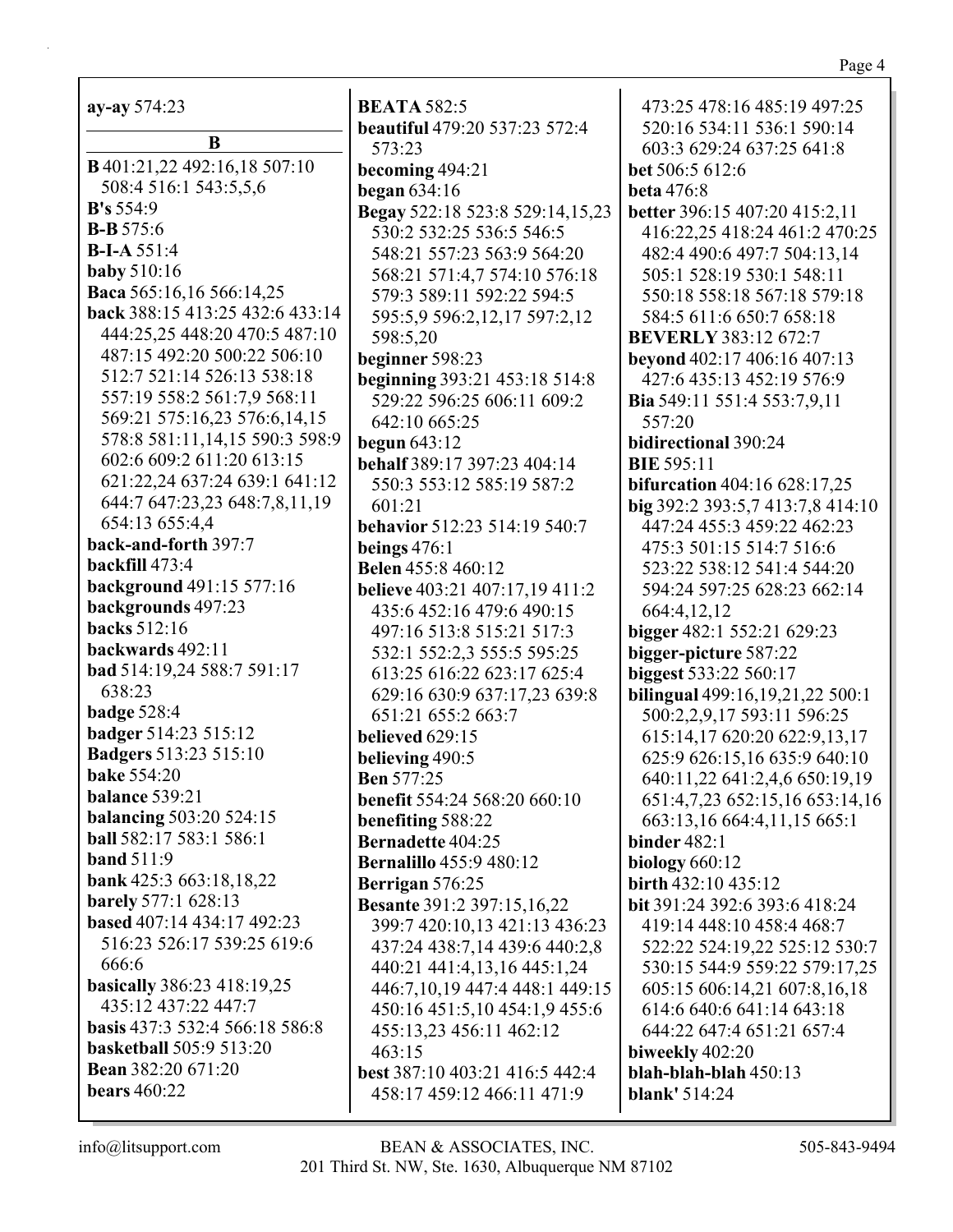| <b>ay-ay</b> 574:23                 |  |  |  |
|-------------------------------------|--|--|--|
| B                                   |  |  |  |
| <b>B</b> 401:21,22 492:16,18 507:10 |  |  |  |
| 508:4 516:1 543:5,5,6               |  |  |  |
| B's 554:9                           |  |  |  |
| <b>B-B</b> 575:6                    |  |  |  |
| $B-I-A 551:4$                       |  |  |  |
| <b>baby</b> 510:16                  |  |  |  |
| Baca 565:16,16 566:14,25            |  |  |  |
| back 388:15 413:25 432:6 433:14     |  |  |  |
| 444:25,25 448:20 470:5 487:10       |  |  |  |
| 487:15 492:20 500:22 506:10         |  |  |  |
| 512:7 521:14 526:13 538:18          |  |  |  |
| 557:19 558:2 561:7,9 568:11         |  |  |  |
| 569:21 575:16,23 576:6,14,15        |  |  |  |
| 578:8 581:11,14,15 590:3 598:9      |  |  |  |
| 602:6 609:2 611:20 613:15           |  |  |  |
| 621:22,24 637:24 639:1 641:12       |  |  |  |
| 644:7 647:23,23 648:7,8,11,19       |  |  |  |
| 654:13 655:4,4                      |  |  |  |
| back-and-forth 397:7                |  |  |  |
| <b>backfill</b> 473:4               |  |  |  |
| background 491:15 577:16            |  |  |  |
| backgrounds 497:23                  |  |  |  |
| <b>backs</b> 512:16                 |  |  |  |
| backwards 492:11                    |  |  |  |
| bad 514:19,24 588:7 591:17          |  |  |  |
| 638:23                              |  |  |  |
| <b>badge 528:4</b>                  |  |  |  |
| badger 514:23 515:12                |  |  |  |
| <b>Badgers</b> 513:23 515:10        |  |  |  |
| <b>bake 554:20</b>                  |  |  |  |
| <b>balance</b> 539:21               |  |  |  |
| <b>balancing 503:20 524:15</b>      |  |  |  |
| ball 582:17 583:1 586:1             |  |  |  |
| <b>band</b> 511:9                   |  |  |  |
| bank 425:3 663:18,18,22             |  |  |  |
| <b>barely</b> 577:1 628:13          |  |  |  |
| based 407:14 434:17 492:23          |  |  |  |
| 516:23 526:17 539:25 619:6          |  |  |  |
| 666:6                               |  |  |  |
| <b>basically</b> 386:23 418:19,25   |  |  |  |
| 435:12 437:22 447:7                 |  |  |  |
| basis 437:3 532:4 566:18 586:8      |  |  |  |
| <b>basketball</b> 505:9 513:20      |  |  |  |
| <b>Bean</b> 382:20 671:20           |  |  |  |
| <b>bears</b> 460:22                 |  |  |  |

**BEATA 582:5** beautiful 479:20 537:23 572:4 573:23 becoming 494:21 began  $634:16$ Begay 522:18 523:8 529:14,15,23 530:2 532:25 536:5 546:5 548:21 557:23 563:9 564:20 568:21 571:4,7 574:10 576:18 579:3 589:11 592:22 594:5 595:5,9 596:2,12,17 597:2,12 598:5,20 beginner 598:23 beginning 393:21 453:18 514:8 529:22 596:25 606:11 609:2 642:10 665:25 begun  $643:12$ **behalf** 389:17 397:23 404:14 550:3 553:12 585:19 587:2  $601:21$ behavior 512:23 514:19 540:7 beings  $476:1$ **Belen** 455:8 460:12 **believe** 403:21 407:17,19 411:2 435:6 452:16 479:6 490:15 497:16 513:8 515:21 517:3 532:1 552:2.3 555:5 595:25 613:25 616:22 623:17 625:4 629:16 630:9 637:17,23 639:8 651:21 655:2 663:7 believed 629:15 believing  $490:5$ **Ben 577:25 benefit 554:24 568:20 660:10** benefiting 588:22 **Bernadette 404:25 Bernalillo** 455:9 480:12 Berrigan 576:25 **Besante 391:2 397:15,16,22** 399:7 420:10.13 421:13 436:23 437:24 438:7,14 439:6 440:2,8 440:21 441:4,13,16 445:1,24 446:7, 10, 19 447: 448: 1449: 15 450:16 451:5,10 454:1,9 455:6 455:13,23 456:11 462:12  $463:15$ **best** 387:10 403:21 416:5 442:4 458:17 459:12 466:11 471:9

473:25 478:16 485:19 497:25 520:16 534:11 536:1 590:14 603:3 629:24 637:25 641:8 bet 506:5 612:6 **beta** 476:8 **better** 396:15 407:20 415:2,11 416:22,25 418:24 461:2 470:25 482:4 490:6 497:7 504:13,14 505:1 528:19 530:1 548:11 550:18 558:18 567:18 579:18 584:5 611:6 650:7 658:18 **BEVERLY 383:12 672:7** beyond 402:17 406:16 407:13 427:6 435:13 452:19 576:9 Bia 549:11 551:4 553:7,9,11 557:20 bidirectional 390:24 **BIE 595:11 bifurcation** 404:16 628:17,25 big 392:2 393:5,7 413:7,8 414:10 447:24 455:3 459:22 462:23 475:3 501:15 514:7 516:6 523:22 538:12 541:4 544:20 594:24 597:25 628:23 662:14 664:4.12.12 bigger 482:1 552:21 629:23 bigger-picture 587:22 **biggest** 533:22 560:17 **bilingual** 499:16,19,21,22 500:1 500:2,2,9,17 593:11 596:25 615:14,17 620:20 622:9,13,17 625:9 626:15,16 635:9 640:10 640:11,22 641:2,4,6 650:19,19 651:4,7,23 652:15,16 653:14,16 663:13,16 664:4,11,15 665:1 binder  $482:1$ **biology** 660:12 birth 432:10 435:12 **bit** 391:24 392:6 393:6 418:24 419:14 448:10 458:4 468:7 522:22 524:19,22 525:12 530:7 530:15 544:9 559:22 579:17,25 605:15 606:14,21 607:8,16,18 614:6 640:6 641:14 643:18 644:22 647:4 651:21 657:4 biweekly 402:20  $blah-blah-blah 450:13$ **blank'** 514:24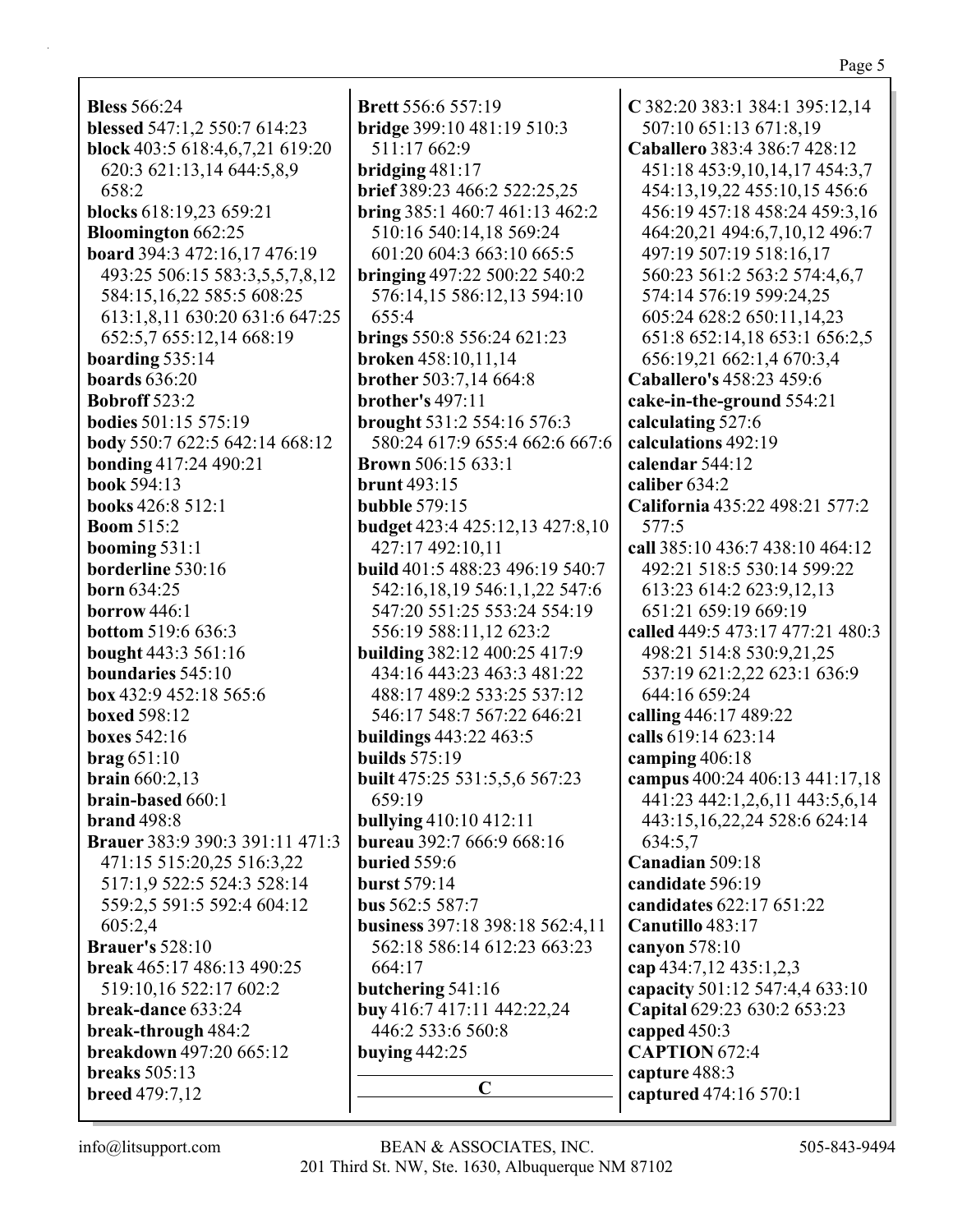| <b>Bless</b> 566:24                                  | Br             |
|------------------------------------------------------|----------------|
| blessed 547:1,2 550:7 614:23                         | br             |
| block 403:5 618:4,6,7,21 619:20                      |                |
| 620:3 621:13,14 644:5,8,9                            | br             |
| 658:2                                                | br             |
|                                                      |                |
| blocks 618:19,23 659:21<br><b>Bloomington</b> 662:25 | br             |
|                                                      | $\epsilon$     |
| board 394:3 472:16,17 476:19                         | br             |
| 493:25 506:15 583:3,5,5,7,8,12                       |                |
| 584:15,16,22 585:5 608:25                            |                |
| 613:1,8,11 630:20 631:6 647:25                       | $\epsilon$     |
| 652:5,7 655:12,14 668:19                             | br             |
| boarding $535:14$                                    | br             |
| <b>boards</b> 636:20                                 | br             |
| <b>Bobroff</b> 523:2                                 | br             |
| <b>bodies</b> 501:15 575:19                          | br             |
| body 550:7 622:5 642:14 668:12                       | $\ddot{\cdot}$ |
| bonding 417:24 490:21                                | Br             |
| book 594:13                                          | br             |
| books 426:8 512:1                                    | bu             |
| <b>Boom 515:2</b>                                    | bu             |
| booming $531:1$                                      | $\angle$       |
| borderline 530:16                                    | bu             |
| <b>born</b> 634:25                                   |                |
| borrow $446:1$                                       |                |
| <b>bottom</b> 519:6 636:3                            | $\ddot{\cdot}$ |
| bought 443:3 561:16                                  | bu             |
| boundaries 545:10                                    | $\angle$       |
| box 432:9 452:18 565:6                               | $\angle$       |
| <b>boxed 598:12</b>                                  | Ś              |
| <b>boxes</b> 542:16                                  | bu             |
| $\mathbf{brag}\,651:10$                              | bu             |
| <b>brain</b> $660:2,13$                              | bu             |
| <b>brain-based 660:1</b>                             | $\epsilon$     |
| <b>brand</b> 498:8                                   | bu             |
| Brauer 383:9 390:3 391:11 471:3                      | bu             |
| 471:15 515:20,25 516:3,22                            | bu             |
| 517:1,9 522:5 524:3 528:14                           | bu             |
| 559:2,5 591:5 592:4 604:12                           | bu             |
| 605:2,4                                              | bu             |
| <b>Brauer's</b> 528:10                               | $\ddot{\cdot}$ |
| break 465:17 486:13 490:25                           | $\epsilon$     |
| 519:10,16 522:17 602:2                               | bu             |
| break-dance 633:24                                   | bu             |
| break-through 484:2                                  | ∠              |
| breakdown 497:20 665:12                              | bu             |
| breaks $505:13$                                      |                |
| <b>breed</b> $479:7,12$                              |                |
|                                                      |                |

**Brett** 556:6 557:19 **bridge** 399:10 481:19 510:3 511:17 662:9 **bridging** 481:17 **brief** 389:23 466:2 522:25,25 **bring** 385:1 460:7 461:13 462:2 510:16 540:14,18 569:24 601:20 604:3 663:10 665:5 **bringing** 497:22 500:22 540:2 576:14,15 586:12,13 594:10 655:4 **brings** 550:8 556:24 621:23 **broken** 458:10,11,14 **brother** 503:7,14 664:8 **brother's** 497:11 **brought** 531:2 554:16 576:3 580:24 617:9 655:4 662:6 667:6 **Brown** 506:15 633:1 **brunt** 493:15 **bubble** 579:15 **budget** 423:4 425:12,13 427:8,10 427:17 492:10,11 **build** 401:5 488:23 496:19 540:7 542:16,18,19 546:1,1,22 547:6 547:20 551:25 553:24 554:19 556:19 588:11,12 623:2 **building** 382:12 400:25 417:9 434:16 443:23 463:3 481:22 488:17 489:2 533:25 537:12 546:17 548:7 567:22 646:21 **buildings** 443:22 463:5 **builds** 575:19 **built** 475:25 531:5,5,6 567:23 659:19 **bullying** 410:10 412:11 **bureau** 392:7 666:9 668:16 **buried** 559:6 **burst** 579:14 **bus** 562:5 587:7 **business** 397:18 398:18 562:4,11 562:18 586:14 612:23 663:23 664:17 **butchering** 541:16 **buy** 416:7 417:11 442:22,24 446:2 533:6 560:8 **buying** 442:25 **C**

**C** 382:20 383:1 384:1 395:12,14 507:10 651:13 671:8,19 **Caballero** 383:4 386:7 428:12 451:18 453:9,10,14,17 454:3,7 454:13,19,22 455:10,15 456:6 456:19 457:18 458:24 459:3,16 464:20,21 494:6,7,10,12 496:7 497:19 507:19 518:16,17 560:23 561:2 563:2 574:4,6,7 574:14 576:19 599:24,25 605:24 628:2 650:11,14,23 651:8 652:14,18 653:1 656:2,5 656:19,21 662:1,4 670:3,4 **Caballero's** 458:23 459:6 **cake-in-the-ground** 554:21 **calculating** 527:6 **calculations** 492:19 **calendar** 544:12 **caliber** 634:2 **California** 435:22 498:21 577:2 577:5 **call** 385:10 436:7 438:10 464:12 492:21 518:5 530:14 599:22 613:23 614:2 623:9,12,13 651:21 659:19 669:19 **called** 449:5 473:17 477:21 480:3 498:21 514:8 530:9,21,25 537:19 621:2,22 623:1 636:9 644:16 659:24 **calling** 446:17 489:22 **calls** 619:14 623:14 **camping** 406:18 **campus** 400:24 406:13 441:17,18 441:23 442:1,2,6,11 443:5,6,14 443:15,16,22,24 528:6 624:14 634:5,7 **Canadian** 509:18 **candidate** 596:19 **candidates** 622:17 651:22 **Canutillo** 483:17 **canyon** 578:10 **cap** 434:7,12 435:1,2,3 **capacity** 501:12 547:4,4 633:10 **Capital** 629:23 630:2 653:23 **capped** 450:3 **CAPTION** 672:4 **capture** 488:3 **captured** 474:16 570:1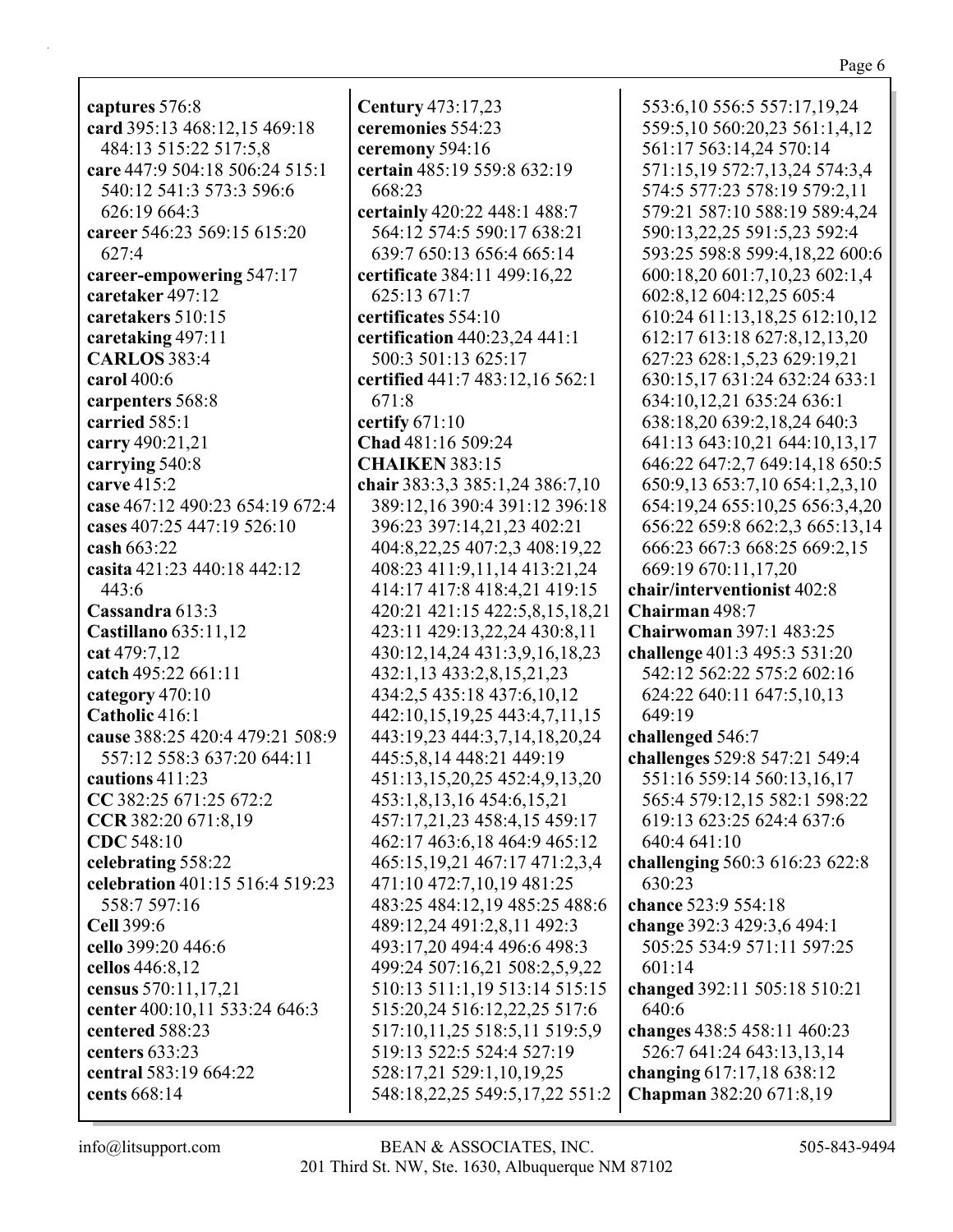| captures 576:8                    |
|-----------------------------------|
| card 395:13 468:12,15 469:18      |
| 484:13 515:22 517:5,8             |
| care 447:9 504:18 506:24 515:1    |
| 540:12 541:3 573:3 596:6          |
| 626:19 664:3                      |
| career 546:23 569:15 615:20       |
| 627:4                             |
| career-empowering 547:17          |
| caretaker 497:12                  |
| caretakers 510:15                 |
| caretaking 497:11                 |
| <b>CARLOS</b> 383:4               |
| carol 400:6                       |
|                                   |
| carpenters 568:8<br>carried 585:1 |
|                                   |
| carry 490:21,21                   |
| carrying 540:8                    |
| carve 415:2                       |
| case 467:12 490:23 654:19 672:4   |
| cases 407:25 447:19 526:10        |
| cash 663:22                       |
| casita 421:23 440:18 442:12       |
| 443:6                             |
| Cassandra 613:3                   |
| Castillano 635:11,12              |
| cat 479:7,12                      |
| catch 495:22 661:11               |
| category 470:10                   |
| Catholic 416:1                    |
| cause 388:25 420:4 479:21 508:9   |
| 557:12 558:3 637:20 644:11        |
| cautions 411:23                   |
| CC 382:25 671:25 672:2            |
| CCR 382:20 671:8,19               |
| CDC 548:10                        |
| celebrating 558:22                |
| celebration 401:15 516:4 519:23   |
| 558:7 597:16                      |
| Cell 399:6                        |
| cello 399:20 446:6                |
| cellos 446:8,12                   |
| census 570:11,17,21               |
| center 400:10,11 533:24 646:3     |
| centered 588:23                   |
| centers 633:23                    |
| central 583:19 664:22             |
| cents 668:14                      |
|                                   |

ceremony 594:16 certain 485:19 559:8 632:19 668:23 certainly 420:22 448:1 488:7 564:12 574:5 590:17 638:21 639:7 650:13 656:4 665:14 certificate 384:11 499:16,22 625:13 671:7 certificates 554:10 certification 440:23,24 441:1 500:3 501:13 625:17 certified 441:7 483:12,16 562:1 671:8 certify  $671:10$ Chad 481:16 509:24 **CHAIKEN 383:15** chair 383:3,3 385:1,24 386:7,10 389:12,16 390:4 391:12 396:18 396:23 397:14,21,23 402:21 404:8,22,25 407:2,3 408:19,22 408:23 411:9,11,14 413:21,24 414:17 417:8 418:4,21 419:15 420:21 421:15 422:5,8,15,18,21 423:11 429:13,22,24 430:8,11 430:12,14,24 431:3,9,16,18,23 432:1,13 433:2,8,15,21,23 434:2,5 435:18 437:6,10,12 442:10,15,19,25 443:4,7,11,15 443:19,23 444:3,7,14,18,20,24 445:5,8,14 448:21 449:19 451:13,15,20,25 452:4,9,13,20 453:1,8,13,16 454:6,15,21 457:17,21,23 458:4,15 459:17 462:17 463:6,18 464:9 465:12 465:15,19,21 467:17 471:2,3,4 471:10 472:7,10,19 481:25 483:25 484:12,19 485:25 488:6 489:12,24 491:2,8,11 492:3 493:17,20 494:4 496:6 498:3 499:24 507:16,21 508:2,5,9,22 510:13 511:1,19 513:14 515:15 515:20,24 516:12,22,25 517:6 517:10,11,25 518:5,11 519:5,9 519:13 522:5 524:4 527:19 528:17,21 529:1,10,19,25 548:18,22,25 549:5,17,22 551:2 BEAN & ASSOCIATES, INC.

**Century** 473:17,23

ceremonies 554:23

553:6,10 556:5 557:17,19,24 559:5,10 560:20,23 561:1,4,12 561:17 563:14,24 570:14 571:15,19 572:7,13,24 574:3,4 574:5 577:23 578:19 579:2,11 579:21 587:10 588:19 589:4,24 590:13.22.25 591:5.23 592:4 593:25 598:8 599:4,18,22 600:6 600:18,20 601:7,10,23 602:1,4 602:8,12 604:12,25 605:4 610:24 611:13,18,25 612:10,12 612:17 613:18 627:8,12,13,20 627:23 628:1,5,23 629:19,21 630:15,17 631:24 632:24 633:1 634:10,12,21 635:24 636:1 638:18,20 639:2,18,24 640:3 641:13 643:10,21 644:10,13,17 646:22 647:2,7 649:14,18 650:5 650:9,13 653:7,10 654:1,2,3,10 654:19,24 655:10,25 656:3,4,20 656:22 659:8 662:2,3 665:13,14 666:23 667:3 668:25 669:2,15 669:19 670:11,17,20 chair/interventionist 402:8 Chairman 498:7 **Chairwoman 397:1 483:25** challenge  $401:3$  495:3 531:20 542:12 562:22 575:2 602:16 624:22 640:11 647:5,10,13 649:19 challenged 546:7 challenges 529:8 547:21 549:4 551:16 559:14 560:13,16,17 565:4 579:12.15 582:1 598:22 619:13 623:25 624:4 637:6 640:4 641:10 challenging 560:3 616:23 622:8 630:23 chance 523:9 554:18 change 392:3 429:3,6 494:1 505:25 534:9 571:11 597:25 601:14 changed 392:11 505:18 510:21 640:6 changes 438:5 458:11 460:23 526:7 641:24 643:13,13,14 changing  $617:17,18638:12$ Chapman 382:20 671:8,19

Page 6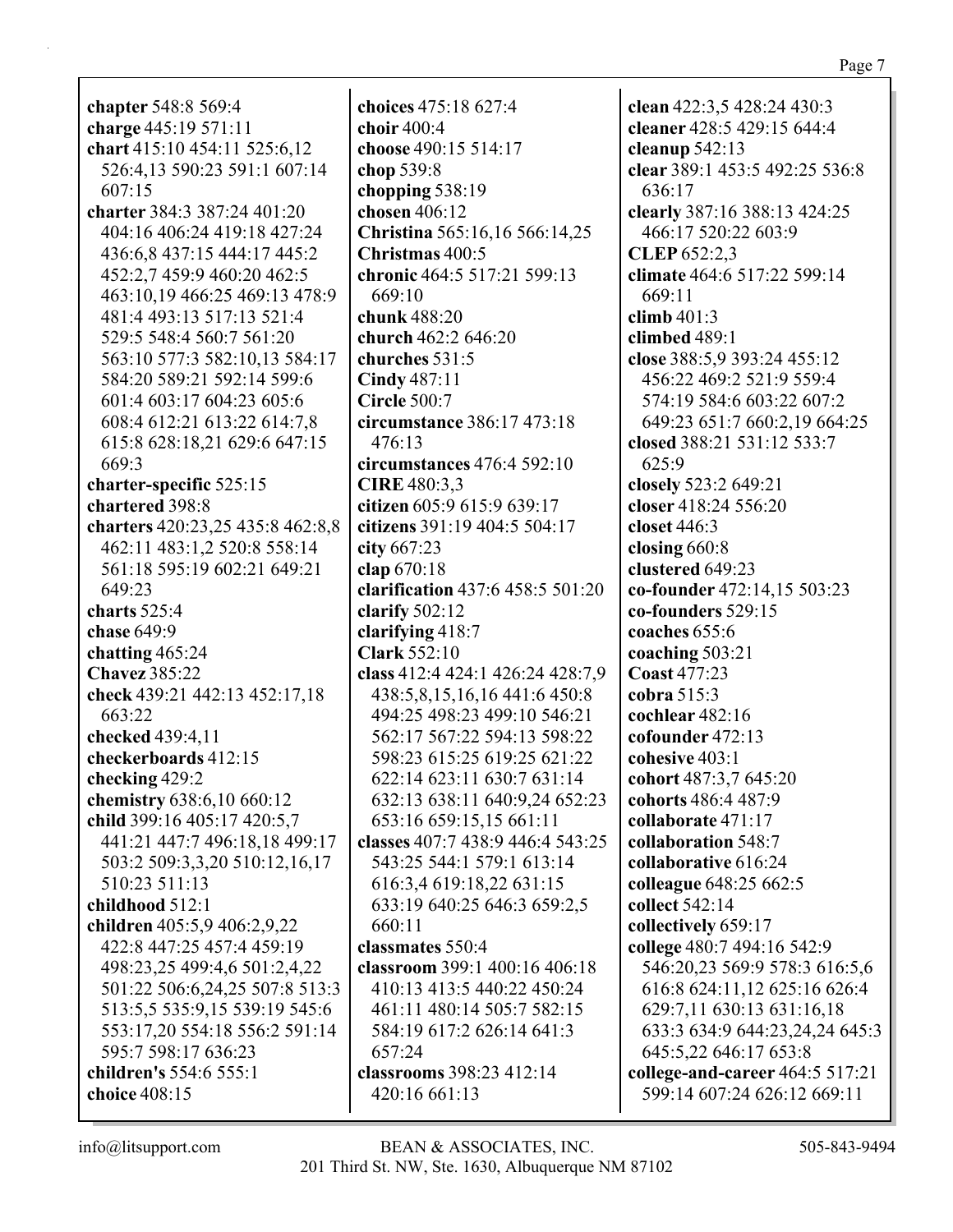**chapter** 548:8 569:4 **charge** 445:19 571:11 **chart** 415:10 454:11 525:6,12 526:4,13 590:23 591:1 607:14 607:15 **charter** 384:3 387:24 401:20 404:16 406:24 419:18 427:24 436:6,8 437:15 444:17 445:2 452:2,7 459:9 460:20 462:5 463:10,19 466:25 469:13 478:9 481:4 493:13 517:13 521:4 529:5 548:4 560:7 561:20 563:10 577:3 582:10,13 584:17 584:20 589:21 592:14 599:6 601:4 603:17 604:23 605:6 608:4 612:21 613:22 614:7,8 615:8 628:18,21 629:6 647:15 669:3 **charter-specific** 525:15 **chartered** 398:8 **charters** 420:23,25 435:8 462:8,8 462:11 483:1,2 520:8 558:14 561:18 595:19 602:21 649:21 649:23 **charts** 525:4 **chase** 649:9 **chatting** 465:24 **Chavez** 385:22 **check** 439:21 442:13 452:17,18 663:22 **checked** 439:4,11 **checkerboards** 412:15 **checking** 429:2 **chemistry** 638:6,10 660:12 **child** 399:16 405:17 420:5,7 441:21 447:7 496:18,18 499:17 503:2 509:3,3,20 510:12,16,17 510:23 511:13 **childhood** 512:1 **children** 405:5,9 406:2,9,22 422:8 447:25 457:4 459:19 498:23,25 499:4,6 501:2,4,22 501:22 506:6,24,25 507:8 513:3 513:5,5 535:9,15 539:19 545:6 553:17,20 554:18 556:2 591:14 595:7 598:17 636:23 **children's** 554:6 555:1 **choice** 408:15

**choices** 475:18 627:4 **choir** 400:4 **choose** 490:15 514:17 **chop** 539:8 **chopping** 538:19 **chosen** 406:12 **Christina** 565:16,16 566:14,25 **Christmas** 400:5 **chronic** 464:5 517:21 599:13 669:10 **chunk** 488:20 **church** 462:2 646:20 **churches** 531:5 **Cindy** 487:11 **Circle** 500:7 **circumstance** 386:17 473:18 476:13 **circumstances** 476:4 592:10 **CIRE** 480:3,3 **citizen** 605:9 615:9 639:17 **citizens** 391:19 404:5 504:17 **city** 667:23 **clap** 670:18 **clarification** 437:6 458:5 501:20 **clarify** 502:12 **clarifying** 418:7 **Clark** 552:10 **class** 412:4 424:1 426:24 428:7,9 438:5,8,15,16,16 441:6 450:8 494:25 498:23 499:10 546:21 562:17 567:22 594:13 598:22 598:23 615:25 619:25 621:22 622:14 623:11 630:7 631:14 632:13 638:11 640:9,24 652:23 653:16 659:15,15 661:11 **classes** 407:7 438:9 446:4 543:25 543:25 544:1 579:1 613:14 616:3,4 619:18,22 631:15 633:19 640:25 646:3 659:2,5 660:11 **classmates** 550:4 **classroom** 399:1 400:16 406:18 410:13 413:5 440:22 450:24 461:11 480:14 505:7 582:15 584:19 617:2 626:14 641:3 657:24 **classrooms** 398:23 412:14 420:16 661:13

**clean** 422:3,5 428:24 430:3 **cleaner** 428:5 429:15 644:4 **cleanup** 542:13 **clear** 389:1 453:5 492:25 536:8 636:17 **clearly** 387:16 388:13 424:25 466:17 520:22 603:9 **CLEP** 652:2,3 **climate** 464:6 517:22 599:14 669:11 **climb** 401:3 **climbed** 489:1 **close** 388:5,9 393:24 455:12 456:22 469:2 521:9 559:4 574:19 584:6 603:22 607:2 649:23 651:7 660:2,19 664:25 **closed** 388:21 531:12 533:7 625:9 **closely** 523:2 649:21 **closer** 418:24 556:20 **closet** 446:3 **closing** 660:8 **clustered** 649:23 **co-founder** 472:14,15 503:23 **co-founders** 529:15 **coaches** 655:6 **coaching** 503:21 **Coast** 477:23 **cobra** 515:3 **cochlear** 482:16 **cofounder** 472:13 **cohesive** 403:1 **cohort** 487:3,7 645:20 **cohorts** 486:4 487:9 **collaborate** 471:17 **collaboration** 548:7 **collaborative** 616:24 **colleague** 648:25 662:5 **collect** 542:14 **collectively** 659:17 **college** 480:7 494:16 542:9 546:20,23 569:9 578:3 616:5,6 616:8 624:11,12 625:16 626:4 629:7,11 630:13 631:16,18 633:3 634:9 644:23,24,24 645:3 645:5,22 646:17 653:8 **college-and-career** 464:5 517:21 599:14 607:24 626:12 669:11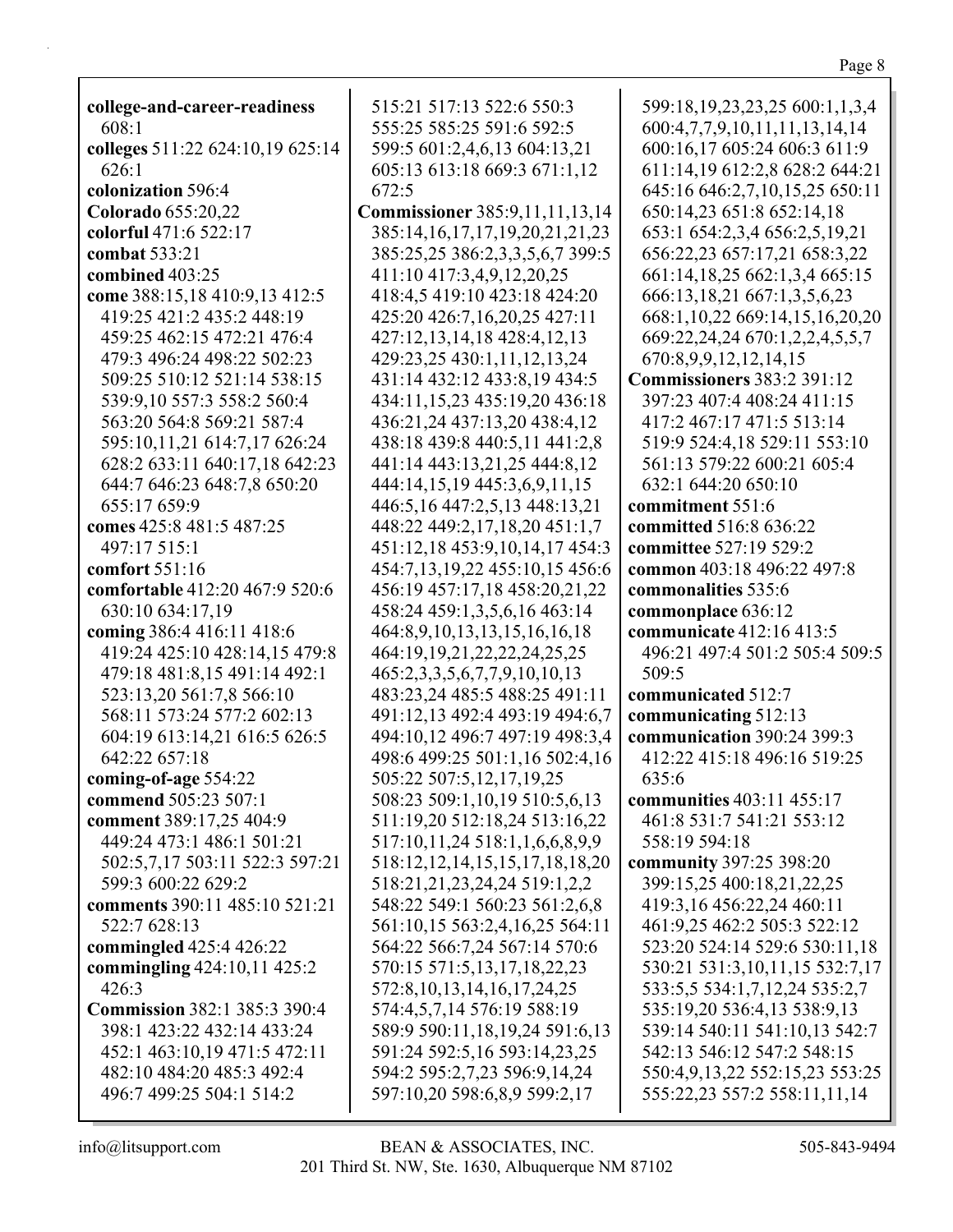**college-and-career-readiness** 608:1 **colleges** 511:22 624:10,19 625:14 626:1 **colonization** 596:4 **Colorado** 655:20,22 **colorful** 471:6 522:17 **combat** 533:21 **combined** 403:25 **come** 388:15,18 410:9,13 412:5 419:25 421:2 435:2 448:19 459:25 462:15 472:21 476:4 479:3 496:24 498:22 502:23 509:25 510:12 521:14 538:15 539:9,10 557:3 558:2 560:4 563:20 564:8 569:21 587:4 595:10,11,21 614:7,17 626:24 628:2 633:11 640:17,18 642:23 644:7 646:23 648:7,8 650:20 655:17 659:9 **comes** 425:8 481:5 487:25 497:17 515:1 **comfort** 551:16 **comfortable** 412:20 467:9 520:6 630:10 634:17,19 **coming** 386:4 416:11 418:6 419:24 425:10 428:14,15 479:8 479:18 481:8,15 491:14 492:1 523:13,20 561:7,8 566:10 568:11 573:24 577:2 602:13 604:19 613:14,21 616:5 626:5 642:22 657:18 **coming-of-age** 554:22 **commend** 505:23 507:1 **comment** 389:17,25 404:9 449:24 473:1 486:1 501:21 502:5,7,17 503:11 522:3 597:21 599:3 600:22 629:2 **comments** 390:11 485:10 521:21 522:7 628:13 **commingled** 425:4 426:22 **commingling** 424:10,11 425:2 426:3 **Commission** 382:1 385:3 390:4 398:1 423:22 432:14 433:24 452:1 463:10,19 471:5 472:11 482:10 484:20 485:3 492:4 496:7 499:25 504:1 514:2 515:21 517:13 522:6 550:3 555:25 585:25 591:6 592:5 599:5 601:2,4,6,13 604:13,21 605:13 613:18 669:3 671:1,12 672:5 **Commissioner** 385:9,11,11,13,14 385:14,16,17,17,19,20,21,21,23 385:25,25 386:2,3,3,5,6,7 399:5 411:10 417:3,4,9,12,20,25 418:4,5 419:10 423:18 424:20 425:20 426:7,16,20,25 427:11 427:12,13,14,18 428:4,12,13 429:23,25 430:1,11,12,13,24 431:14 432:12 433:8,19 434:5 434:11,15,23 435:19,20 436:18 436:21,24 437:13,20 438:4,12 438:18 439:8 440:5,11 441:2,8 441:14 443:13,21,25 444:8,12 444:14,15,19 445:3,6,9,11,15 446:5,16 447:2,5,13 448:13,21 448:22 449:2,17,18,20 451:1,7 451:12,18 453:9,10,14,17 454:3 454:7,13,19,22 455:10,15 456:6 456:19 457:17,18 458:20,21,22 458:24 459:1,3,5,6,16 463:14 464:8,9,10,13,13,15,16,16,18 464:19,19,21,22,22,24,25,25 465:2,3,3,5,6,7,7,9,10,10,13 483:23,24 485:5 488:25 491:11 491:12,13 492:4 493:19 494:6,7 494:10,12 496:7 497:19 498:3,4 498:6 499:25 501:1,16 502:4,16 505:22 507:5,12,17,19,25 508:23 509:1,10,19 510:5,6,13 511:19,20 512:18,24 513:16,22 517:10,11,24 518:1,1,6,6,8,9,9 518:12,12,14,15,15,17,18,18,20 518:21,21,23,24,24 519:1,2,2 548:22 549:1 560:23 561:2,6,8 561:10,15 563:2,4,16,25 564:11 564:22 566:7,24 567:14 570:6 570:15 571:5,13,17,18,22,23 572:8,10,13,14,16,17,24,25 574:4,5,7,14 576:19 588:19 589:9 590:11,18,19,24 591:6,13 591:24 592:5,16 593:14,23,25 594:2 595:2,7,23 596:9,14,24 597:10,20 598:6,8,9 599:2,17

599:18,19,23,23,25 600:1,1,3,4 600:4,7,7,9,10,11,11,13,14,14 600:16,17 605:24 606:3 611:9 611:14,19 612:2,8 628:2 644:21 645:16 646:2,7,10,15,25 650:11 650:14,23 651:8 652:14,18 653:1 654:2,3,4 656:2,5,19,21 656:22,23 657:17,21 658:3,22 661:14,18,25 662:1,3,4 665:15 666:13,18,21 667:1,3,5,6,23 668:1,10,22 669:14,15,16,20,20 669:22,24,24 670:1,2,2,4,5,5,7 670:8,9,9,12,12,14,15 **Commissioners** 383:2 391:12 397:23 407:4 408:24 411:15 417:2 467:17 471:5 513:14 519:9 524:4,18 529:11 553:10 561:13 579:22 600:21 605:4 632:1 644:20 650:10 **commitment** 551:6 **committed** 516:8 636:22 **committee** 527:19 529:2 **common** 403:18 496:22 497:8 **commonalities** 535:6 **commonplace** 636:12 **communicate** 412:16 413:5 496:21 497:4 501:2 505:4 509:5 509:5 **communicated** 512:7 **communicating** 512:13 **communication** 390:24 399:3 412:22 415:18 496:16 519:25 635:6 **communities** 403:11 455:17 461:8 531:7 541:21 553:12 558:19 594:18 **community** 397:25 398:20 399:15,25 400:18,21,22,25 419:3,16 456:22,24 460:11 461:9,25 462:2 505:3 522:12 523:20 524:14 529:6 530:11,18 530:21 531:3,10,11,15 532:7,17 533:5,5 534:1,7,12,24 535:2,7 535:19,20 536:4,13 538:9,13 539:14 540:11 541:10,13 542:7 542:13 546:12 547:2 548:15 550:4,9,13,22 552:15,23 553:25 555:22,23 557:2 558:11,11,14

Page 8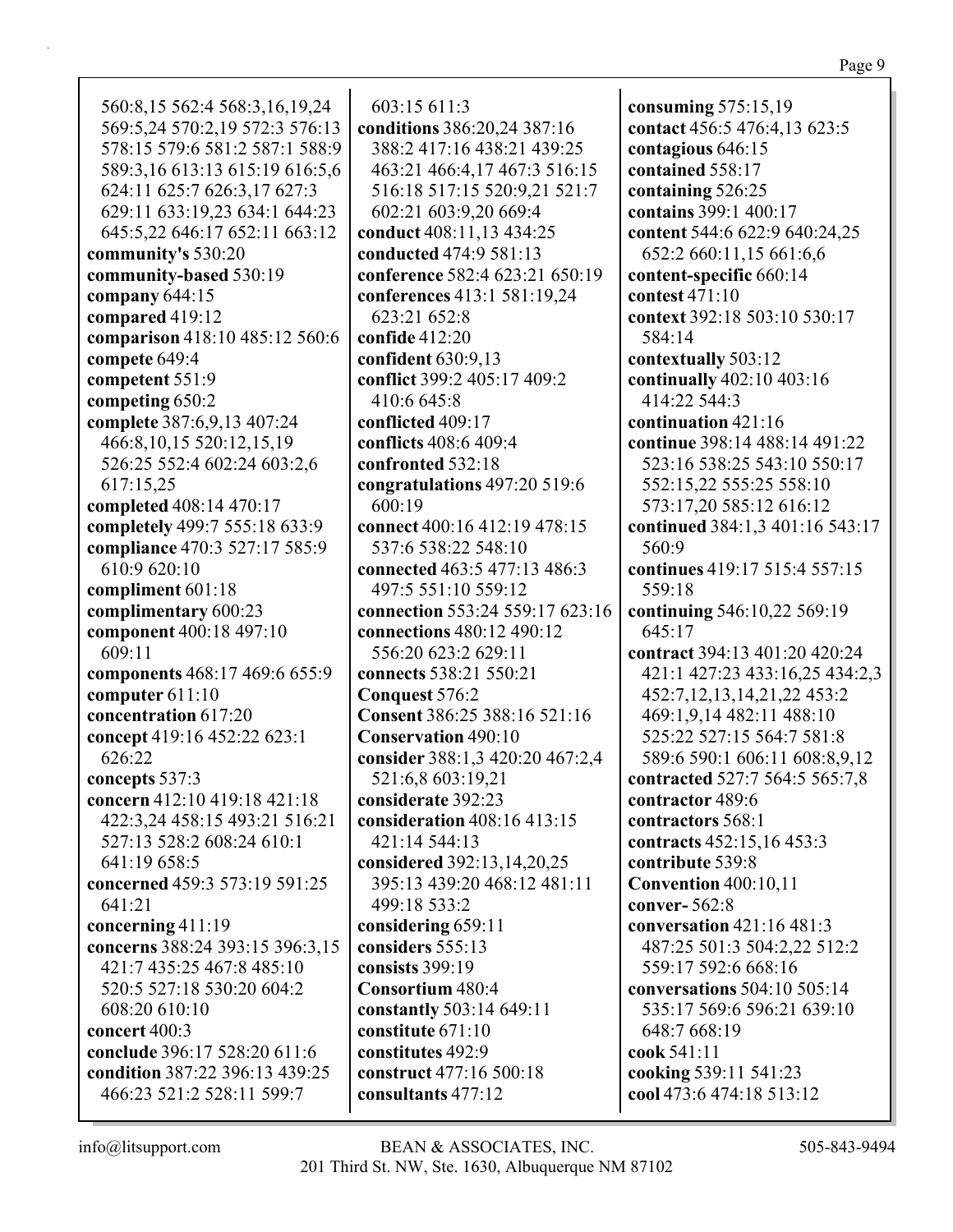560:8,15 562:4 568:3,16,19,24 569:5,24 570:2,19 572:3 576:13 578:15 579:6 581:2 587:1 588:9 589:3,16 613:13 615:19 616:5,6 624:11 625:7 626:3,17 627:3 629:11 633:19,23 634:1 644:23 645:5,22 646:17 652:11 663:12 **community's** 530:20 **community-based** 530:19 **company** 644:15 **compared** 419:12 **comparison** 418:10 485:12 560:6 **compete** 649:4 **competent** 551:9 **competing** 650:2 **complete** 387:6,9,13 407:24 466:8,10,15 520:12,15,19 526:25 552:4 602:24 603:2,6 617:15,25 **completed** 408:14 470:17 **completely** 499:7 555:18 633:9 **compliance** 470:3 527:17 585:9 610:9 620:10 **compliment** 601:18 **complimentary** 600:23 **component** 400:18 497:10 609:11 **components** 468:17 469:6 655:9 **computer** 611:10 **concentration** 617:20 **concept** 419:16 452:22 623:1 626:22 **concepts** 537:3 **concern** 412:10 419:18 421:18 422:3,24 458:15 493:21 516:21 527:13 528:2 608:24 610:1 641:19 658:5 **concerned** 459:3 573:19 591:25 641:21 **concerning** 411:19 **concerns** 388:24 393:15 396:3,15 421:7 435:25 467:8 485:10 520:5 527:18 530:20 604:2 608:20 610:10 **concert** 400:3 **conclude** 396:17 528:20 611:6 **condition** 387:22 396:13 439:25 466:23 521:2 528:11 599:7

603:15 611:3 **conditions** 386:20,24 387:16 388:2 417:16 438:21 439:25 463:21 466:4,17 467:3 516:15 516:18 517:15 520:9,21 521:7 602:21 603:9,20 669:4 **conduct** 408:11,13 434:25 **conducted** 474:9 581:13 **conference** 582:4 623:21 650:19 **conferences** 413:1 581:19,24 623:21 652:8 **confide** 412:20 **confident** 630:9,13 **conflict** 399:2 405:17 409:2 410:6 645:8 **conflicted** 409:17 **conflicts** 408:6 409:4 **confronted** 532:18 **congratulations** 497:20 519:6 600:19 **connect** 400:16 412:19 478:15 537:6 538:22 548:10 **connected** 463:5 477:13 486:3 497:5 551:10 559:12 **connection** 553:24 559:17 623:16 **connections** 480:12 490:12 556:20 623:2 629:11 **connects** 538:21 550:21 **Conquest** 576:2 **Consent** 386:25 388:16 521:16 **Conservation** 490:10 **consider** 388:1,3 420:20 467:2,4 521:6,8 603:19,21 **considerate** 392:23 **consideration** 408:16 413:15 421:14 544:13 **considered** 392:13,14,20,25 395:13 439:20 468:12 481:11 499:18 533:2 **considering** 659:11 **considers** 555:13 **consists** 399:19 **Consortium** 480:4 **constantly** 503:14 649:11 **constitute** 671:10 **constitutes** 492:9 **construct** 477:16 500:18 **consultants** 477:12

**consuming** 575:15,19 **contact** 456:5 476:4,13 623:5 **contagious** 646:15 **contained** 558:17 **containing** 526:25 **contains** 399:1 400:17 **content** 544:6 622:9 640:24,25 652:2 660:11,15 661:6,6 **content-specific** 660:14 **contest** 471:10 **context** 392:18 503:10 530:17 584:14 **contextually** 503:12 **continually** 402:10 403:16 414:22 544:3 **continuation** 421:16 **continue** 398:14 488:14 491:22 523:16 538:25 543:10 550:17 552:15,22 555:25 558:10 573:17,20 585:12 616:12 **continued** 384:1,3 401:16 543:17 560:9 **continues** 419:17 515:4 557:15 559:18 **continuing** 546:10,22 569:19 645:17 **contract** 394:13 401:20 420:24 421:1 427:23 433:16,25 434:2,3 452:7,12,13,14,21,22 453:2 469:1,9,14 482:11 488:10 525:22 527:15 564:7 581:8 589:6 590:1 606:11 608:8,9,12 **contracted** 527:7 564:5 565:7,8 **contractor** 489:6 **contractors** 568:1 **contracts** 452:15,16 453:3 **contribute** 539:8 **Convention** 400:10,11 **conver-** 562:8 **conversation** 421:16 481:3 487:25 501:3 504:2,22 512:2 559:17 592:6 668:16 **conversations** 504:10 505:14 535:17 569:6 596:21 639:10 648:7 668:19 **cook** 541:11 **cooking** 539:11 541:23 **cool** 473:6 474:18 513:12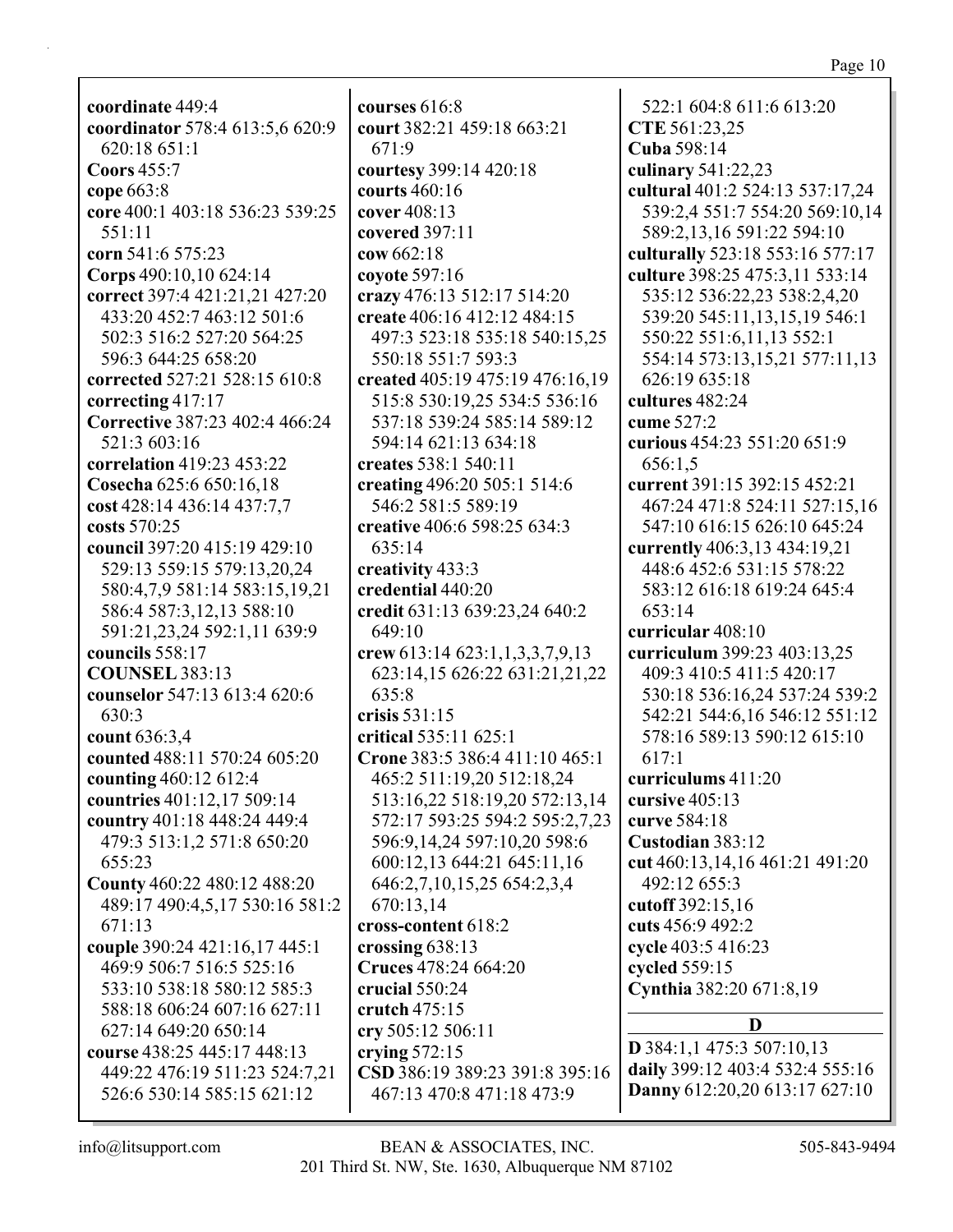coordinate 449:4 coordinator 578:4 613:5,6 620:9 620:18 651:1 Coors  $455:7$ cope  $663:8$ core 400:1 403:18 536:23 539:25 551:11 corn 541:6 575:23 Corps 490:10,10 624:14 correct 397:4 421:21,21 427:20 433:20 452:7 463:12 501:6 502:3 516:2 527:20 564:25 596:3 644:25 658:20 corrected 527:21 528:15 610:8 correcting  $417:17$ **Corrective 387:23 402:4 466:24** 521:3 603:16 **correlation** 419:23 453:22 Cosecha 625:6 650:16,18 cost 428:14 436:14 437:7,7 costs  $570:25$ council 397:20 415:19 429:10 529:13 559:15 579:13,20,24 580:4,7,9 581:14 583:15,19,21 586:4 587:3,12,13 588:10 591:21,23,24 592:1,11 639:9 councils  $558:17$ **COUNSEL 383:13** counselor 547:13 613:4 620:6 630:3 count 636:3,4 counted 488:11 570:24 605:20 counting 460:12 612:4 **countries** 401:12,17 509:14 country 401:18 448:24 449:4 479:3 513:1.2 571:8 650:20 655:23 County 460:22 480:12 488:20 489:17 490:4,5,17 530:16 581:2 671:13 couple 390:24 421:16,17 445:1 469:9 506:7 516:5 525:16 533:10 538:18 580:12 585:3 588:18 606:24 607:16 627:11 627:14 649:20 650:14 course 438:25 445:17 448:13 449:22 476:19 511:23 524:7,21 526:6 530:14 585:15 621:12

courses  $616:8$ court 382:21 459:18 663:21  $671:9$ courtesy 399:14 420:18 courts  $460:16$ cover 408:13 covered 397:11  $cov 662:18$ covote  $597:16$ crazy 476:13 512:17 514:20 create 406:16 412:12 484:15 497:3 523:18 535:18 540:15,25 550:18 551:7 593:3 created 405:19 475:19 476:16.19 515:8 530:19,25 534:5 536:16 537:18 539:24 585:14 589:12 594:14 621:13 634:18 creates 538:1 540:11 creating 496:20 505:1 514:6 546:2 581:5 589:19 creative 406:6 598:25 634:3 635:14 creativity 433:3 credential 440:20 credit 631:13 639:23,24 640:2 649:10 crew 613:14 623:1,1,3,3,7,9,13 623:14,15 626:22 631:21,21,22 635:8 crisis  $531:15$ critical 535:11 625:1 Crone 383:5 386:4 411:10 465:1 465:2 511:19,20 512:18,24 513:16,22 518:19,20 572:13,14 572:17 593:25 594:2 595:2,7,23 596:9,14,24 597:10,20 598:6 600:12,13 644:21 645:11,16 646:2,7,10,15,25 654:2,3,4 670:13.14 cross-content 618:2 crossing  $638:13$ Cruces 478:24 664:20 crucial  $550:24$ crutch  $475:15$ cry 505:12 506:11 crying  $572:15$ CSD 386:19 389:23 391:8 395:16 467:13 470:8 471:18 473:9

522:1 604:8 611:6 613:20 CTE 561:23.25 Cuba 598:14 culinary 541:22,23 cultural 401:2 524:13 537:17,24 539:2,4 551:7 554:20 569:10,14 589:2,13,16 591:22 594:10 culturally 523:18 553:16 577:17 culture 398:25 475:3,11 533:14 535:12 536:22,23 538:2,4,20 539:20 545:11,13,15,19 546:1 550:22 551:6,11,13 552:1 554:14 573:13,15,21 577:11,13 626:19 635:18 cultures 482:24 cume  $527:2$ curious 454:23 551:20 651:9 656:1.5 current 391:15 392:15 452:21 467:24 471:8 524:11 527:15,16 547:10 616:15 626:10 645:24 currently 406:3,13 434:19,21 448:6 452:6 531:15 578:22 583:12 616:18 619:24 645:4  $653:14$ curricular 408:10 curriculum 399:23 403:13.25 409:3 410:5 411:5 420:17 530:18 536:16,24 537:24 539:2 542:21 544:6,16 546:12 551:12 578:16 589:13 590:12 615:10  $617:1$ curriculums 411:20 cursive  $405:13$ curve 584:18 Custodian 383:12 cut 460:13,14,16 461:21 491:20 492:12 655:3 cutoff 392:15,16 cuts 456:9 492:2 cycle 403:5 416:23 cycled 559:15 Cynthia 382:20 671:8,19 D

 $D$  384:1,1 475:3 507:10,13 daily 399:12 403:4 532:4 555:16 Danny 612:20,20 613:17 627:10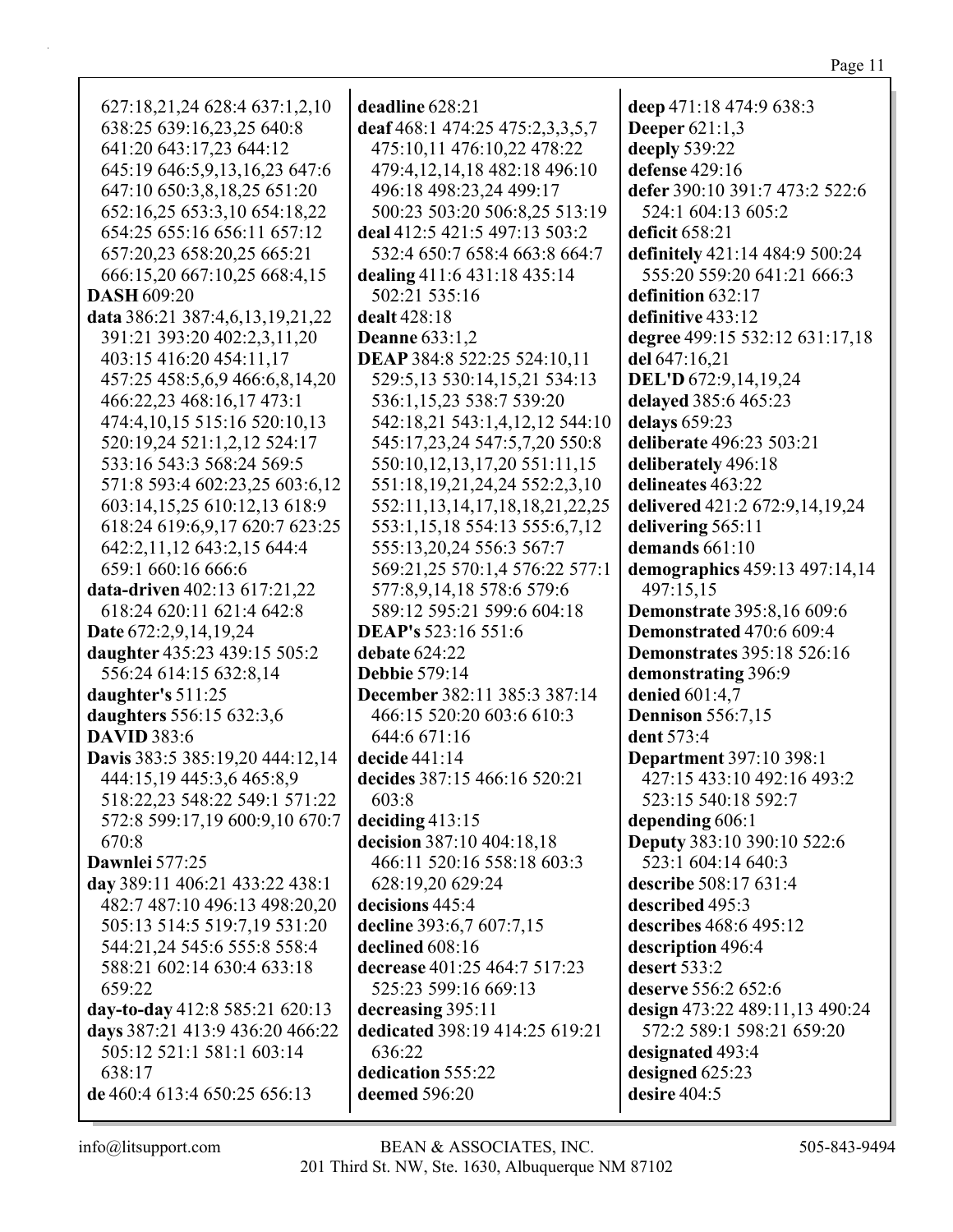| 627:18,21,24 628:4 637:1,2,10     | deadline 628:21                        | deep 471:18 474:9 638:3           |
|-----------------------------------|----------------------------------------|-----------------------------------|
| 638:25 639:16,23,25 640:8         | deaf 468:1 474:25 475:2,3,3,5,7        | <b>Deeper</b> 621:1,3             |
| 641:20 643:17,23 644:12           | 475:10,11 476:10,22 478:22             | deeply 539:22                     |
| 645:19 646:5,9,13,16,23 647:6     | 479:4,12,14,18 482:18 496:10           | defense 429:16                    |
| 647:10 650:3,8,18,25 651:20       | 496:18 498:23,24 499:17                | defer 390:10 391:7 473:2 522:6    |
| 652:16,25 653:3,10 654:18,22      | 500:23 503:20 506:8,25 513:19          | 524:1 604:13 605:2                |
| 654:25 655:16 656:11 657:12       | deal 412:5 421:5 497:13 503:2          | deficit 658:21                    |
| 657:20,23 658:20,25 665:21        | 532:4 650:7 658:4 663:8 664:7          | definitely 421:14 484:9 500:24    |
| 666:15,20 667:10,25 668:4,15      | dealing 411:6 431:18 435:14            | 555:20 559:20 641:21 666:3        |
| <b>DASH 609:20</b>                | 502:21 535:16                          | definition 632:17                 |
| data 386:21 387:4,6,13,19,21,22   | dealt 428:18                           | definitive 433:12                 |
| 391:21 393:20 402:2,3,11,20       | <b>Deanne</b> 633:1,2                  | degree 499:15 532:12 631:17,18    |
| 403:15 416:20 454:11,17           | DEAP 384:8 522:25 524:10,11            | del 647:16,21                     |
| 457:25 458:5,6,9 466:6,8,14,20    | 529:5,13 530:14,15,21 534:13           | DEL'D 672:9,14,19,24              |
| 466:22,23 468:16,17 473:1         | 536:1,15,23 538:7 539:20               | delayed 385:6 465:23              |
| 474:4, 10, 15 515: 16 520: 10, 13 | 542:18,21 543:1,4,12,12 544:10         | delays 659:23                     |
| 520:19,24 521:1,2,12 524:17       | 545:17,23,24 547:5,7,20 550:8          | deliberate 496:23 503:21          |
| 533:16 543:3 568:24 569:5         | 550:10,12,13,17,20 551:11,15           | deliberately 496:18               |
| 571:8 593:4 602:23,25 603:6,12    | 551:18, 19, 21, 24, 24 552: 2, 3, 10   | delineates 463:22                 |
| 603:14,15,25 610:12,13 618:9      | 552:11, 13, 14, 17, 18, 18, 21, 22, 25 | delivered 421:2 672:9,14,19,24    |
| 618:24 619:6,9,17 620:7 623:25    | 553:1,15,18 554:13 555:6,7,12          | delivering 565:11                 |
| 642:2,11,12 643:2,15 644:4        | 555:13,20,24 556:3 567:7               | demands 661:10                    |
| 659:1 660:16 666:6                | 569:21,25 570:1,4 576:22 577:1         | demographics 459:13 497:14,14     |
| data-driven 402:13 617:21,22      | 577:8,9,14,18 578:6 579:6              | 497:15,15                         |
| 618:24 620:11 621:4 642:8         | 589:12 595:21 599:6 604:18             | <b>Demonstrate</b> 395:8,16 609:6 |
| Date 672:2,9,14,19,24             | <b>DEAP's</b> 523:16 551:6             | <b>Demonstrated 470:6 609:4</b>   |
| daughter 435:23 439:15 505:2      | debate 624:22                          | <b>Demonstrates</b> 395:18 526:16 |
| 556:24 614:15 632:8,14            | <b>Debbie 579:14</b>                   | demonstrating 396:9               |
| daughter's 511:25                 | December 382:11 385:3 387:14           | denied 601:4,7                    |
| daughters 556:15 632:3,6          | 466:15 520:20 603:6 610:3              | <b>Dennison</b> 556:7,15          |
| <b>DAVID</b> 383:6                | 644:6 671:16                           | dent 573:4                        |
| Davis 383:5 385:19,20 444:12,14   | decide 441:14                          | <b>Department 397:10 398:1</b>    |
| 444:15,19 445:3,6 465:8,9         | decides 387:15 466:16 520:21           | 427:15 433:10 492:16 493:2        |
| 518:22,23 548:22 549:1 571:22     | 603:8                                  | 523:15 540:18 592:7               |
| 572:8 599:17,19 600:9,10 670:7    | deciding $413:15$                      | depending 606:1                   |
| 670:8                             | decision 387:10 404:18,18              | <b>Deputy 383:10 390:10 522:6</b> |
| Dawnlei 577:25                    | 466:11 520:16 558:18 603:3             | 523:1 604:14 640:3                |
| day 389:11 406:21 433:22 438:1    | 628:19,20 629:24                       | describe 508:17 631:4             |
| 482:7 487:10 496:13 498:20,20     | decisions 445:4                        | described 495:3                   |
| 505:13 514:5 519:7,19 531:20      | decline 393:6,7 607:7,15               | describes 468:6 495:12            |
| 544:21,24 545:6 555:8 558:4       | declined 608:16                        | description 496:4                 |
| 588:21 602:14 630:4 633:18        | decrease 401:25 464:7 517:23           | desert 533:2                      |
| 659:22                            | 525:23 599:16 669:13                   | deserve 556:2 652:6               |
| day-to-day 412:8 585:21 620:13    | decreasing 395:11                      | design 473:22 489:11,13 490:24    |
| days 387:21 413:9 436:20 466:22   | dedicated 398:19 414:25 619:21         | 572:2 589:1 598:21 659:20         |
| 505:12 521:1 581:1 603:14         | 636:22                                 | designated 493:4                  |
| 638:17                            | dedication 555:22                      | designed 625:23                   |
| de 460:4 613:4 650:25 656:13      | deemed 596:20                          | desire 404:5                      |
|                                   |                                        |                                   |

 $\mathsf{info@llitsupport.com}$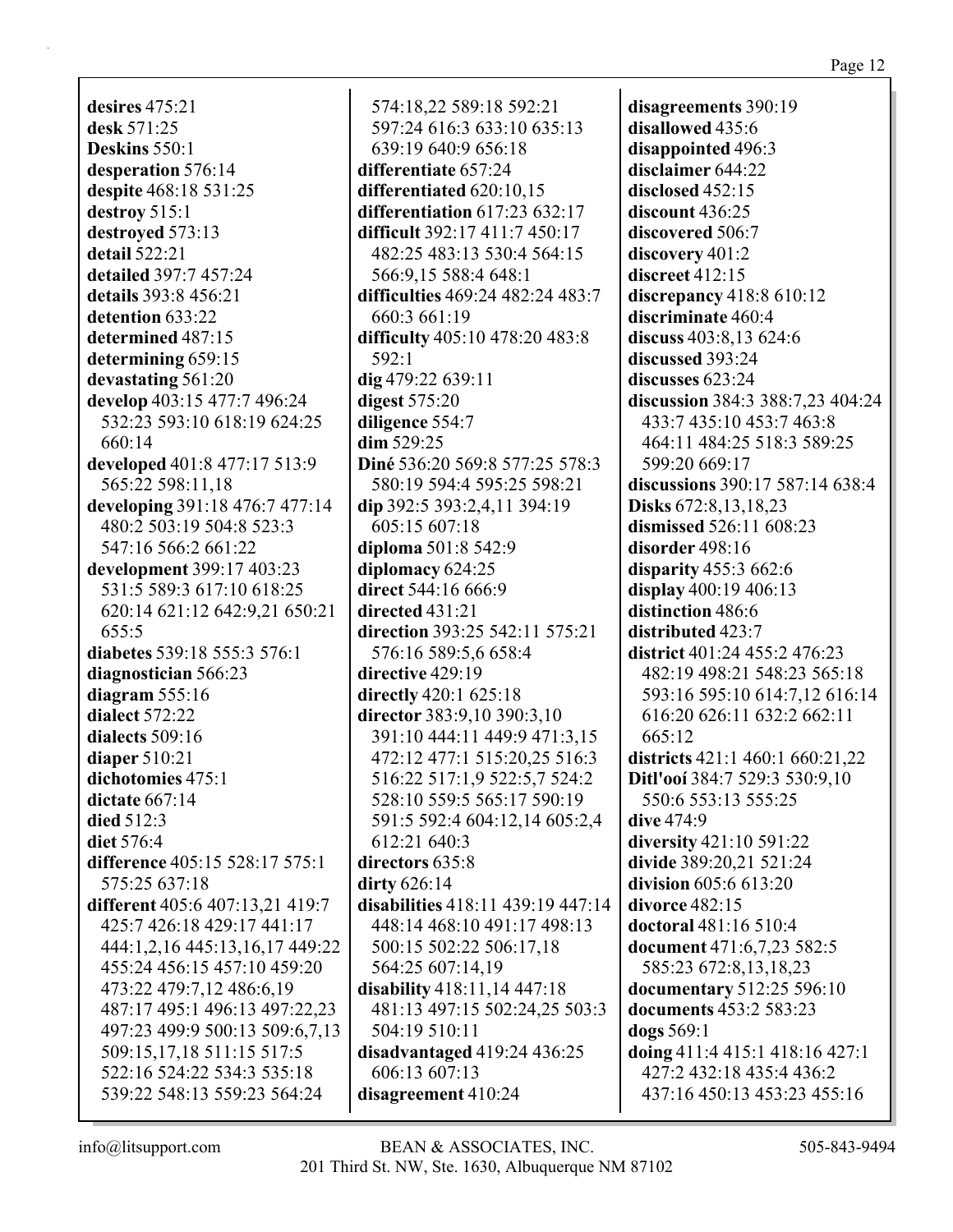**desires** 475:21 **desk** 571:25 **Deskins** 550:1 **desperation** 576:14 **despite** 468:18 531:25 **destroy** 515:1 **destroyed** 573:13 **detail** 522:21 **detailed** 397:7 457:24 **details** 393:8 456:21 **detention** 633:22 **determined** 487:15 **determining** 659:15 **devastating** 561:20 **develop** 403:15 477:7 496:24 532:23 593:10 618:19 624:25 660:14 **developed** 401:8 477:17 513:9 565:22 598:11,18 **developing** 391:18 476:7 477:14 480:2 503:19 504:8 523:3 547:16 566:2 661:22 **development** 399:17 403:23 531:5 589:3 617:10 618:25 620:14 621:12 642:9,21 650:21 655:5 **diabetes** 539:18 555:3 576:1 **diagnostician** 566:23 **diagram** 555:16 **dialect** 572:22 **dialects** 509:16 **diaper** 510:21 **dichotomies** 475:1 **dictate** 667:14 **died** 512:3 **diet** 576:4 **difference** 405:15 528:17 575:1 575:25 637:18 **different** 405:6 407:13,21 419:7 425:7 426:18 429:17 441:17 444:1,2,16 445:13,16,17 449:22 455:24 456:15 457:10 459:20 473:22 479:7,12 486:6,19 487:17 495:1 496:13 497:22,23 497:23 499:9 500:13 509:6,7,13 509:15,17,18 511:15 517:5 522:16 524:22 534:3 535:18 539:22 548:13 559:23 564:24

574:18,22 589:18 592:21 597:24 616:3 633:10 635:13 639:19 640:9 656:18 **differentiate** 657:24 **differentiated** 620:10,15 **differentiation** 617:23 632:17 **difficult** 392:17 411:7 450:17 482:25 483:13 530:4 564:15 566:9,15 588:4 648:1 **difficulties** 469:24 482:24 483:7 660:3 661:19 **difficulty** 405:10 478:20 483:8 592:1 **dig** 479:22 639:11 **digest** 575:20 **diligence** 554:7 **dim** 529:25 **Diné** 536:20 569:8 577:25 578:3 580:19 594:4 595:25 598:21 **dip** 392:5 393:2,4,11 394:19 605:15 607:18 **diploma** 501:8 542:9 **diplomacy** 624:25 **direct** 544:16 666:9 **directed** 431:21 **direction** 393:25 542:11 575:21 576:16 589:5,6 658:4 **directive** 429:19 **directly** 420:1 625:18 **director** 383:9,10 390:3,10 391:10 444:11 449:9 471:3,15 472:12 477:1 515:20,25 516:3 516:22 517:1,9 522:5,7 524:2 528:10 559:5 565:17 590:19 591:5 592:4 604:12,14 605:2,4 612:21 640:3 **directors** 635:8 **dirty** 626:14 **disabilities** 418:11 439:19 447:14 448:14 468:10 491:17 498:13 500:15 502:22 506:17,18 564:25 607:14,19 **disability** 418:11,14 447:18 481:13 497:15 502:24,25 503:3 504:19 510:11 **disadvantaged** 419:24 436:25 606:13 607:13 **disagreement** 410:24

**disagreements** 390:19 **disallowed** 435:6 **disappointed** 496:3 **disclaimer** 644:22 **disclosed** 452:15 **discount** 436:25 **discovered** 506:7 **discovery** 401:2 **discreet** 412:15 **discrepancy** 418:8 610:12 **discriminate** 460:4 **discuss** 403:8,13 624:6 **discussed** 393:24 **discusses** 623:24 **discussion** 384:3 388:7,23 404:24 433:7 435:10 453:7 463:8 464:11 484:25 518:3 589:25 599:20 669:17 **discussions** 390:17 587:14 638:4 **Disks** 672:8,13,18,23 **dismissed** 526:11 608:23 **disorder** 498:16 **disparity** 455:3 662:6 **display** 400:19 406:13 **distinction** 486:6 **distributed** 423:7 **district** 401:24 455:2 476:23 482:19 498:21 548:23 565:18 593:16 595:10 614:7,12 616:14 616:20 626:11 632:2 662:11 665:12 **districts** 421:1 460:1 660:21,22 **Ditl'ooí** 384:7 529:3 530:9,10 550:6 553:13 555:25 **dive** 474:9 **diversity** 421:10 591:22 **divide** 389:20,21 521:24 **division** 605:6 613:20 **divorce** 482:15 **doctoral** 481:16 510:4 **document** 471:6,7,23 582:5 585:23 672:8,13,18,23 **documentary** 512:25 596:10 **documents** 453:2 583:23 **dogs** 569:1 **doing** 411:4 415:1 418:16 427:1 427:2 432:18 435:4 436:2 437:16 450:13 453:23 455:16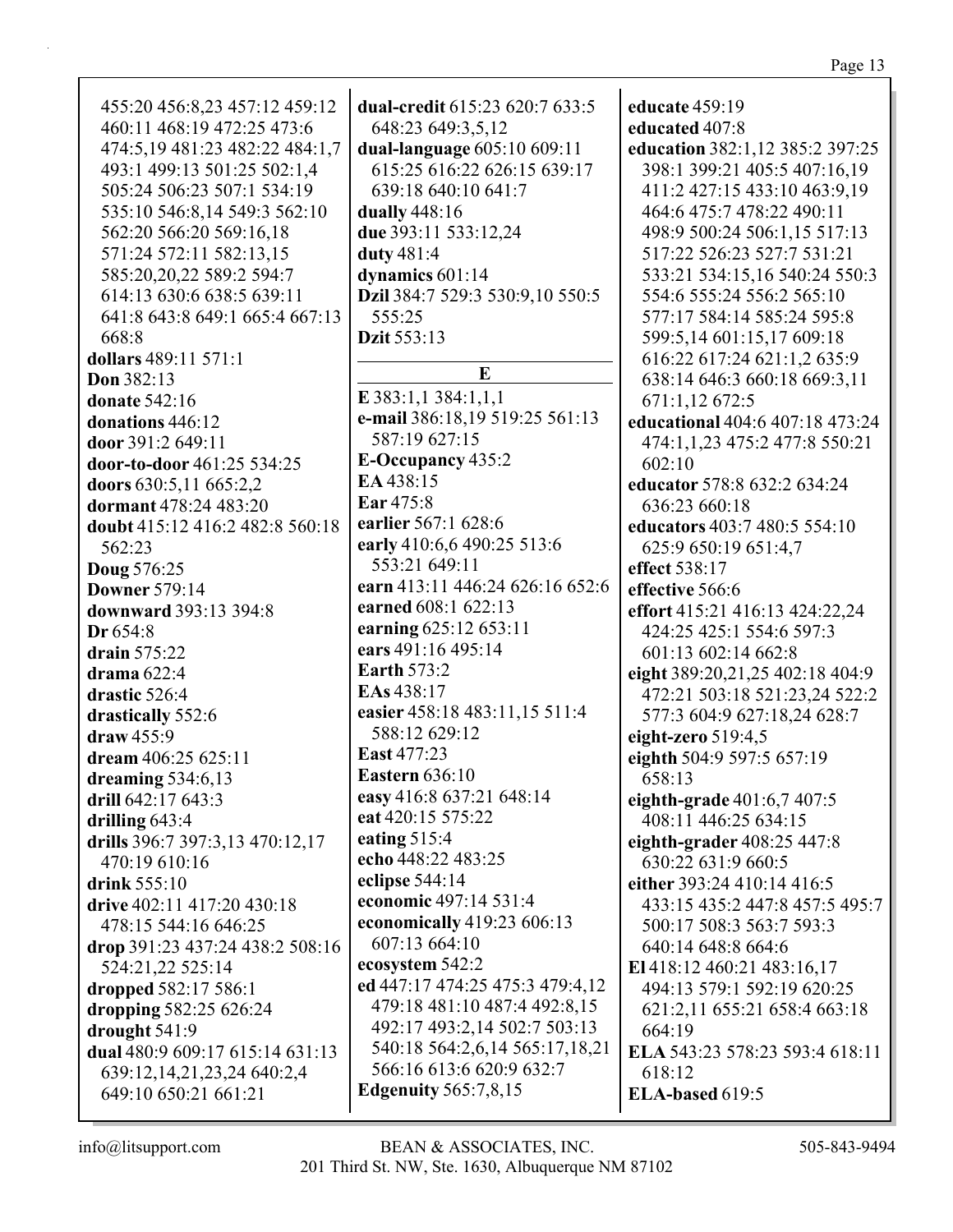| 455:20 456:8,23 457:12 459:12   | <b>dual-credit 615:23 620:7 633:5</b> | educate 459:19                  |
|---------------------------------|---------------------------------------|---------------------------------|
| 460:11 468:19 472:25 473:6      | 648:23 649:3,5,12                     | educated 407:8                  |
| 474:5,19 481:23 482:22 484:1,7  | dual-language 605:10 609:11           | education 382:1,12 385:2 397:25 |
|                                 |                                       |                                 |
| 493:1 499:13 501:25 502:1,4     | 615:25 616:22 626:15 639:17           | 398:1 399:21 405:5 407:16,19    |
| 505:24 506:23 507:1 534:19      | 639:18 640:10 641:7                   | 411:2 427:15 433:10 463:9,19    |
| 535:10 546:8,14 549:3 562:10    | dually 448:16                         | 464:6 475:7 478:22 490:11       |
| 562:20 566:20 569:16,18         | due 393:11 533:12,24                  | 498:9 500:24 506:1,15 517:13    |
| 571:24 572:11 582:13,15         | duty 481:4                            | 517:22 526:23 527:7 531:21      |
| 585:20,20,22 589:2 594:7        | dynamics 601:14                       | 533:21 534:15,16 540:24 550:3   |
| 614:13 630:6 638:5 639:11       | Dzil 384:7 529:3 530:9,10 550:5       | 554:6 555:24 556:2 565:10       |
| 641:8 643:8 649:1 665:4 667:13  | 555:25                                | 577:17 584:14 585:24 595:8      |
| 668:8                           | Dzit 553:13                           | 599:5,14 601:15,17 609:18       |
| dollars 489:11 571:1            |                                       | 616:22 617:24 621:1,2 635:9     |
| Don 382:13                      | E                                     | 638:14 646:3 660:18 669:3,11    |
| <b>donate</b> 542:16            | $E$ 383:1,1 384:1,1,1                 | 671:1,12 672:5                  |
| donations 446:12                | e-mail 386:18,19 519:25 561:13        | educational 404:6 407:18 473:24 |
| door 391:2 649:11               | 587:19 627:15                         |                                 |
|                                 | <b>E-Occupancy</b> 435:2              | 474:1,1,23 475:2 477:8 550:21   |
| door-to-door 461:25 534:25      | EA 438:15                             | 602:10                          |
| doors 630:5,11 665:2,2          | Ear 475:8                             | educator 578:8 632:2 634:24     |
| dormant 478:24 483:20           |                                       | 636:23 660:18                   |
| doubt 415:12 416:2 482:8 560:18 | earlier 567:1 628:6                   | educators 403:7 480:5 554:10    |
| 562:23                          | early 410:6,6 490:25 513:6            | 625:9 650:19 651:4,7            |
| <b>Doug 576:25</b>              | 553:21 649:11                         | effect 538:17                   |
| <b>Downer 579:14</b>            | earn 413:11 446:24 626:16 652:6       | effective 566:6                 |
| downward 393:13 394:8           | earned 608:1 622:13                   | effort 415:21 416:13 424:22,24  |
| Dr 654:8                        | earning 625:12 653:11                 | 424:25 425:1 554:6 597:3        |
| drain $575:22$                  | ears 491:16 495:14                    | 601:13 602:14 662:8             |
| drama $622:4$                   | <b>Earth 573:2</b>                    | eight 389:20,21,25 402:18 404:9 |
| drastic 526:4                   | EAs 438:17                            | 472:21 503:18 521:23,24 522:2   |
| drastically 552:6               | easier 458:18 483:11,15 511:4         | 577:3 604:9 627:18,24 628:7     |
| draw 455:9                      | 588:12 629:12                         | eight-zero $519:4,5$            |
| dream 406:25 625:11             | <b>East 477:23</b>                    | eighth 504:9 597:5 657:19       |
| dreaming 534:6,13               | <b>Eastern</b> 636:10                 | 658:13                          |
| drill 642:17 643:3              | easy 416:8 637:21 648:14              | eighth-grade 401:6,7 407:5      |
| drilling $643:4$                | eat 420:15 575:22                     | 408:11 446:25 634:15            |
| drills 396:7 397:3,13 470:12,17 | eating $515:4$                        | eighth-grader 408:25 447:8      |
|                                 | echo 448:22 483:25                    |                                 |
| 470:19 610:16                   | eclipse 544:14                        | 630:22 631:9 660:5              |
| drink 555:10                    | economic 497:14 531:4                 | either 393:24 410:14 416:5      |
| drive 402:11 417:20 430:18      |                                       | 433:15 435:2 447:8 457:5 495:7  |
| 478:15 544:16 646:25            | economically 419:23 606:13            | 500:17 508:3 563:7 593:3        |
| drop 391:23 437:24 438:2 508:16 | 607:13 664:10                         | 640:14 648:8 664:6              |
| 524:21,22 525:14                | ecosystem 542:2                       | El 418:12 460:21 483:16,17      |
| dropped 582:17 586:1            | ed 447:17 474:25 475:3 479:4,12       | 494:13 579:1 592:19 620:25      |
| dropping 582:25 626:24          | 479:18 481:10 487:4 492:8,15          | 621:2,11 655:21 658:4 663:18    |
| drought 541:9                   | 492:17 493:2,14 502:7 503:13          | 664:19                          |
| dual 480:9 609:17 615:14 631:13 | 540:18 564:2,6,14 565:17,18,21        | ELA 543:23 578:23 593:4 618:11  |
| 639:12,14,21,23,24 640:2,4      | 566:16 613:6 620:9 632:7              | 618:12                          |
| 649:10 650:21 661:21            | <b>Edgenuity 565:7,8,15</b>           | ELA-based 619:5                 |
|                                 |                                       |                                 |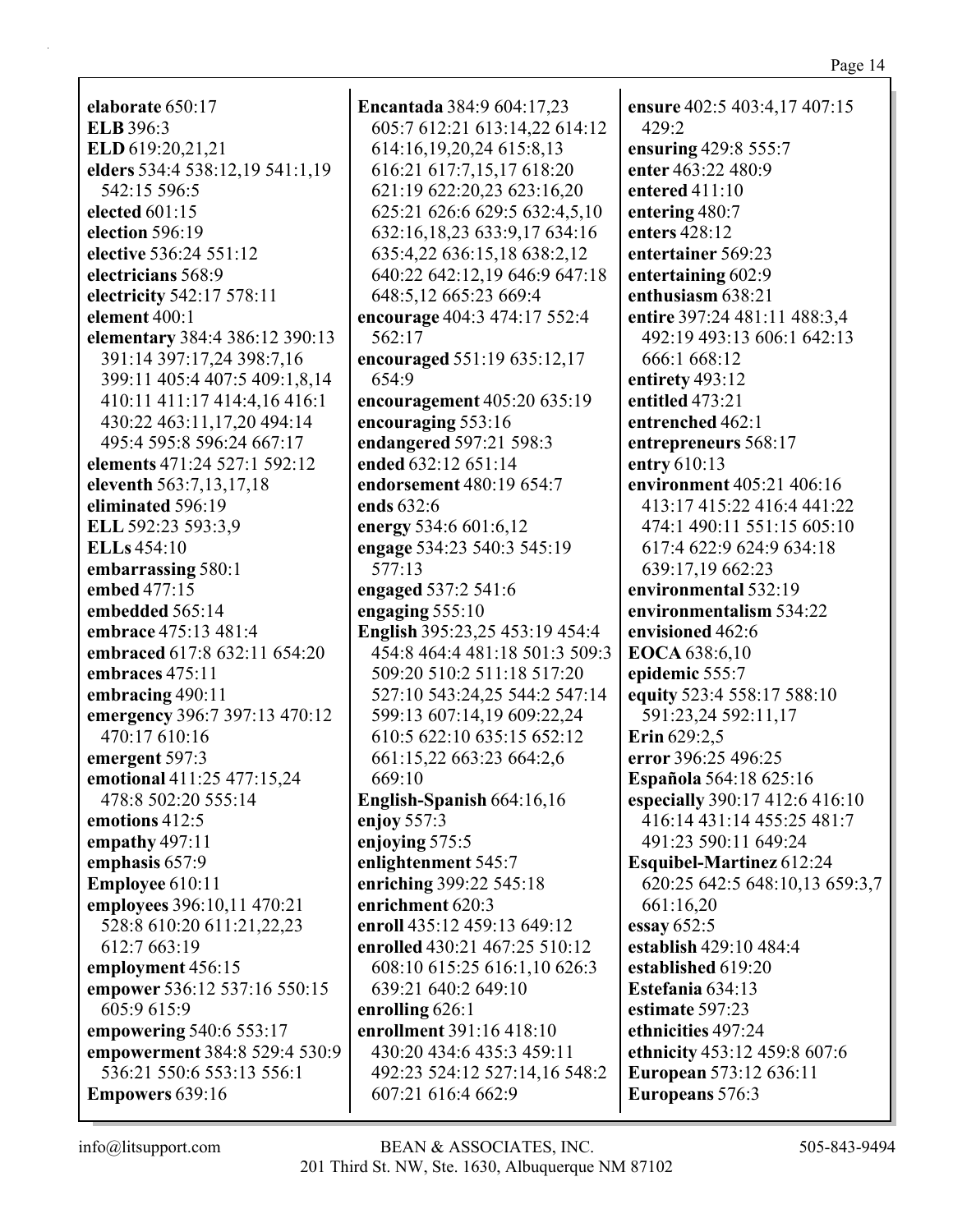**elaborate** 650:17 **ELB** 396:3 **ELD** 619:20,21,21 **elders** 534:4 538:12,19 541:1,19 542:15 596:5 **elected** 601:15 **election** 596:19 **elective** 536:24 551:12 **electricians** 568:9 **electricity** 542:17 578:11 **element** 400:1 **elementary** 384:4 386:12 390:13 391:14 397:17,24 398:7,16 399:11 405:4 407:5 409:1,8,14 410:11 411:17 414:4,16 416:1 430:22 463:11,17,20 494:14 495:4 595:8 596:24 667:17 **elements** 471:24 527:1 592:12 **eleventh** 563:7,13,17,18 **eliminated** 596:19 **ELL** 592:23 593:3,9 **ELLs** 454:10 **embarrassing** 580:1 **embed** 477:15 **embedded** 565:14 **embrace** 475:13 481:4 **embraced** 617:8 632:11 654:20 **embraces** 475:11 **embracing** 490:11 **emergency** 396:7 397:13 470:12 470:17 610:16 **emergent** 597:3 **emotional** 411:25 477:15,24 478:8 502:20 555:14 **emotions** 412:5 **empathy** 497:11 **emphasis** 657:9 **Employee** 610:11 **employees** 396:10,11 470:21 528:8 610:20 611:21,22,23 612:7 663:19 **employment** 456:15 **empower** 536:12 537:16 550:15 605:9 615:9 **empowering** 540:6 553:17 **empowerment** 384:8 529:4 530:9 536:21 550:6 553:13 556:1 **Empowers** 639:16

**Encantada** 384:9 604:17,23 605:7 612:21 613:14,22 614:12 614:16,19,20,24 615:8,13 616:21 617:7,15,17 618:20 621:19 622:20,23 623:16,20 625:21 626:6 629:5 632:4,5,10 632:16,18,23 633:9,17 634:16 635:4,22 636:15,18 638:2,12 640:22 642:12,19 646:9 647:18 648:5,12 665:23 669:4 **encourage** 404:3 474:17 552:4 562:17 **encouraged** 551:19 635:12,17 654:9 **encouragement** 405:20 635:19 **encouraging** 553:16 **endangered** 597:21 598:3 **ended** 632:12 651:14 **endorsement** 480:19 654:7 **ends** 632:6 **energy** 534:6 601:6,12 **engage** 534:23 540:3 545:19 577:13 **engaged** 537:2 541:6 **engaging** 555:10 **English** 395:23,25 453:19 454:4 454:8 464:4 481:18 501:3 509:3 509:20 510:2 511:18 517:20 527:10 543:24,25 544:2 547:14 599:13 607:14,19 609:22,24 610:5 622:10 635:15 652:12 661:15,22 663:23 664:2,6 669:10 **English-Spanish** 664:16,16 **enjoy** 557:3 **enjoying** 575:5 **enlightenment** 545:7 **enriching** 399:22 545:18 **enrichment** 620:3 **enroll** 435:12 459:13 649:12 **enrolled** 430:21 467:25 510:12 608:10 615:25 616:1,10 626:3 639:21 640:2 649:10 **enrolling** 626:1 **enrollment** 391:16 418:10 430:20 434:6 435:3 459:11 492:23 524:12 527:14,16 548:2 607:21 616:4 662:9

**ensure** 402:5 403:4,17 407:15 429:2 **ensuring** 429:8 555:7 **enter** 463:22 480:9 **entered** 411:10 **entering** 480:7 **enters** 428:12 **entertainer** 569:23 **entertaining** 602:9 **enthusiasm** 638:21 **entire** 397:24 481:11 488:3,4 492:19 493:13 606:1 642:13 666:1 668:12 **entirety** 493:12 **entitled** 473:21 **entrenched** 462:1 **entrepreneurs** 568:17 **entry** 610:13 **environment** 405:21 406:16 413:17 415:22 416:4 441:22 474:1 490:11 551:15 605:10 617:4 622:9 624:9 634:18 639:17,19 662:23 **environmental** 532:19 **environmentalism** 534:22 **envisioned** 462:6 **EOCA** 638:6,10 **epidemic** 555:7 **equity** 523:4 558:17 588:10 591:23,24 592:11,17 **Erin** 629:2,5 **error** 396:25 496:25 **Española** 564:18 625:16 **especially** 390:17 412:6 416:10 416:14 431:14 455:25 481:7 491:23 590:11 649:24 **Esquibel-Martinez** 612:24 620:25 642:5 648:10,13 659:3,7 661:16,20 **essay** 652:5 **establish** 429:10 484:4 **established** 619:20 **Estefania** 634:13 **estimate** 597:23 **ethnicities** 497:24 **ethnicity** 453:12 459:8 607:6 **European** 573:12 636:11 **Europeans** 576:3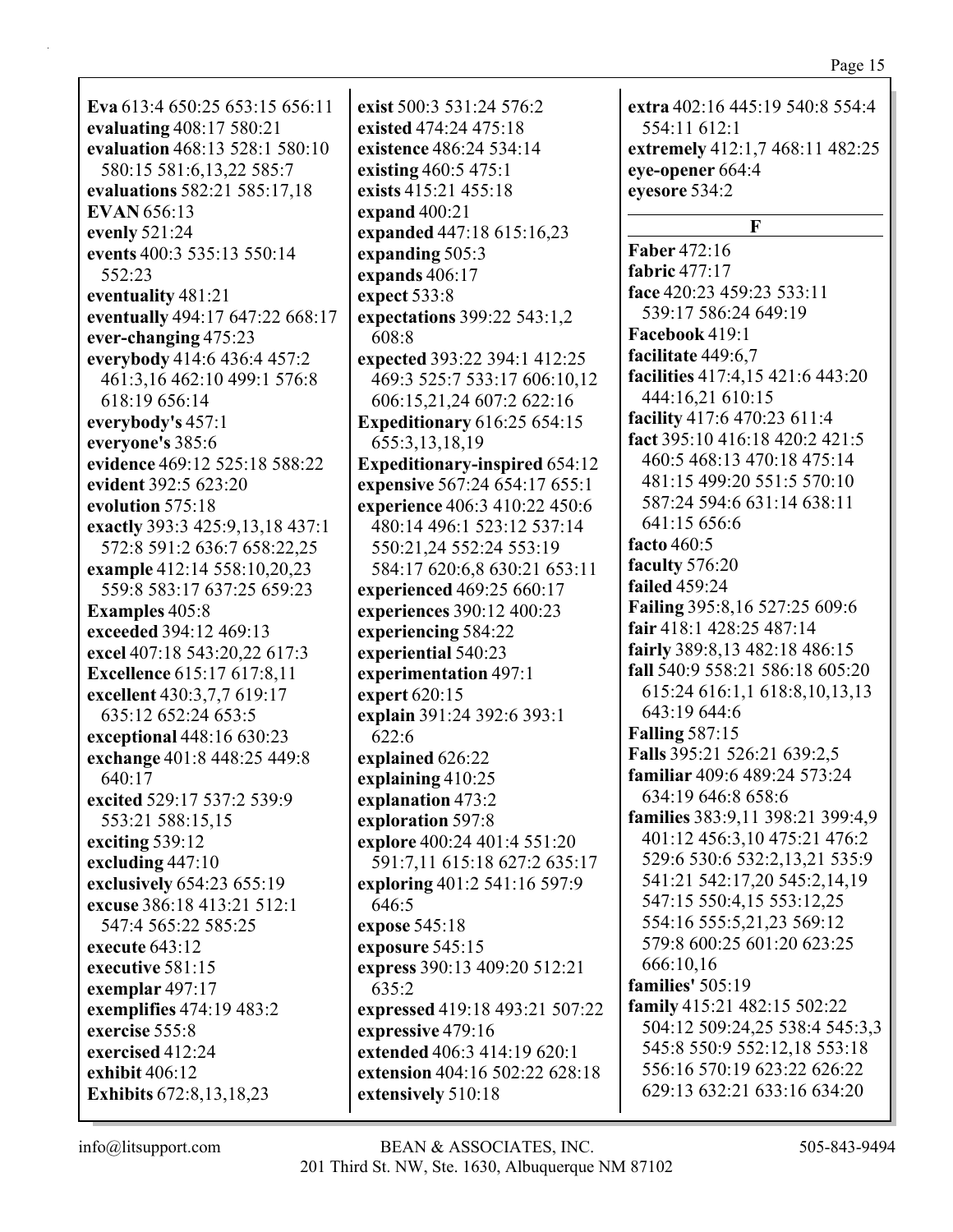| Eva 613:4 650:25 653:15 656:11    |
|-----------------------------------|
| evaluating 408:17 580:21          |
| evaluation 468:13 528:1 580:10    |
| 580:15 581:6,13,22 585:7          |
|                                   |
| evaluations 582:21 585:17,18      |
| <b>EVAN</b> 656:13                |
| evenly 521:24                     |
| events 400:3 535:13 550:14        |
| 552:23                            |
| eventuality 481:21                |
| eventually 494:17 647:22 668:17   |
| ever-changing 475:23              |
| everybody 414:6 436:4 457:2       |
| 461:3,16 462:10 499:1 576:8       |
| 618:19 656:14                     |
| everybody's 457:1                 |
| everyone's 385:6                  |
| evidence 469:12 525:18 588:22     |
| evident 392:5 623:20              |
| evolution 575:18                  |
| exactly 393:3 425:9, 13, 18 437:1 |
| 572:8 591:2 636:7 658:22,25       |
| example 412:14 558:10,20,23       |
| 559:8 583:17 637:25 659:23        |
| <b>Examples</b> 405:8             |
| exceeded 394:12 469:13            |
| excel 407:18 543:20,22 617:3      |
| <b>Excellence</b> 615:17 617:8,11 |
| excellent 430:3,7,7 619:17        |
|                                   |
| 635:12 652:24 653:5               |
| exceptional 448:16 630:23         |
| exchange 401:8 448:25 449:8       |
| 640:17                            |
| excited 529:17 537:2 539:9        |
| 553:21 588:15,15                  |
| exciting 539:12                   |
| excluding 447:10                  |
| exclusively 654:23 655:19         |
| excuse 386:18 413:21 512:1        |
| 547:4 565:22 585:25               |
| execute 643:12                    |
| executive 581:15                  |
| exemplar 497:17                   |
| exemplifies 474:19 483:2          |
| exercise 555:8                    |
| exercised 412:24                  |
| exhibit 406:12                    |
| Exhibits 672:8,13,18,23           |

**exist** 500:3 531:24 576:2 **existed** 474:24 475:18 **existence** 486:24 534:14 **existing** 460:5 475:1 **exists** 415:21 455:18 **expand** 400:21 **expanded** 447:18 615:16,23 **expanding** 505:3 **expands** 406:17 **expect** 533:8 **expectations** 399:22 543:1,2 608:8 **expected** 393:22 394:1 412:25 469:3 525:7 533:17 606:10,12 606:15,21,24 607:2 622:16 **Expeditionary** 616:25 654:15 655:3,13,18,19 **Expeditionary-inspired** 654:12 **expensive** 567:24 654:17 655:1 **experience** 406:3 410:22 450:6 480:14 496:1 523:12 537:14 550:21,24 552:24 553:19 584:17 620:6,8 630:21 653:11 **experienced** 469:25 660:17 **experiences** 390:12 400:23 **experiencing** 584:22 **experiential** 540:23 **experimentation** 497:1 **expert** 620:15 **explain** 391:24 392:6 393:1 622:6 **explained** 626:22 **explaining** 410:25 **explanation** 473:2 **exploration** 597:8 **explore** 400:24 401:4 551:20 591:7,11 615:18 627:2 635:17 **exploring** 401:2 541:16 597:9 646:5 **expose** 545:18 **exposure** 545:15 **express** 390:13 409:20 512:21 635:2 **expressed** 419:18 493:21 507:22 **expressive** 479:16 **extended** 406:3 414:19 620:1 **extension** 404:16 502:22 628:18 **extensively** 510:18

**extra** 402:16 445:19 540:8 554:4 554:11 612:1 **extremely** 412:1,7 468:11 482:25 **eye-opener** 664:4 **eyesore** 534:2 **F Faber** 472:16 **fabric** 477:17 **face** 420:23 459:23 533:11 539:17 586:24 649:19 **Facebook** 419:1 **facilitate** 449:6,7 **facilities** 417:4,15 421:6 443:20 444:16,21 610:15 **facility** 417:6 470:23 611:4 **fact** 395:10 416:18 420:2 421:5 460:5 468:13 470:18 475:14 481:15 499:20 551:5 570:10 587:24 594:6 631:14 638:11 641:15 656:6 **facto** 460:5 **faculty** 576:20 **failed** 459:24 **Failing** 395:8,16 527:25 609:6 **fair** 418:1 428:25 487:14 **fairly** 389:8,13 482:18 486:15 **fall** 540:9 558:21 586:18 605:20 615:24 616:1,1 618:8,10,13,13 643:19 644:6 **Falling** 587:15 **Falls** 395:21 526:21 639:2,5 **familiar** 409:6 489:24 573:24 634:19 646:8 658:6 **families** 383:9,11 398:21 399:4,9 401:12 456:3,10 475:21 476:2 529:6 530:6 532:2,13,21 535:9 541:21 542:17,20 545:2,14,19 547:15 550:4,15 553:12,25 554:16 555:5,21,23 569:12 579:8 600:25 601:20 623:25 666:10,16 **families'** 505:19 **family** 415:21 482:15 502:22 504:12 509:24,25 538:4 545:3,3 545:8 550:9 552:12,18 553:18 556:16 570:19 623:22 626:22 629:13 632:21 633:16 634:20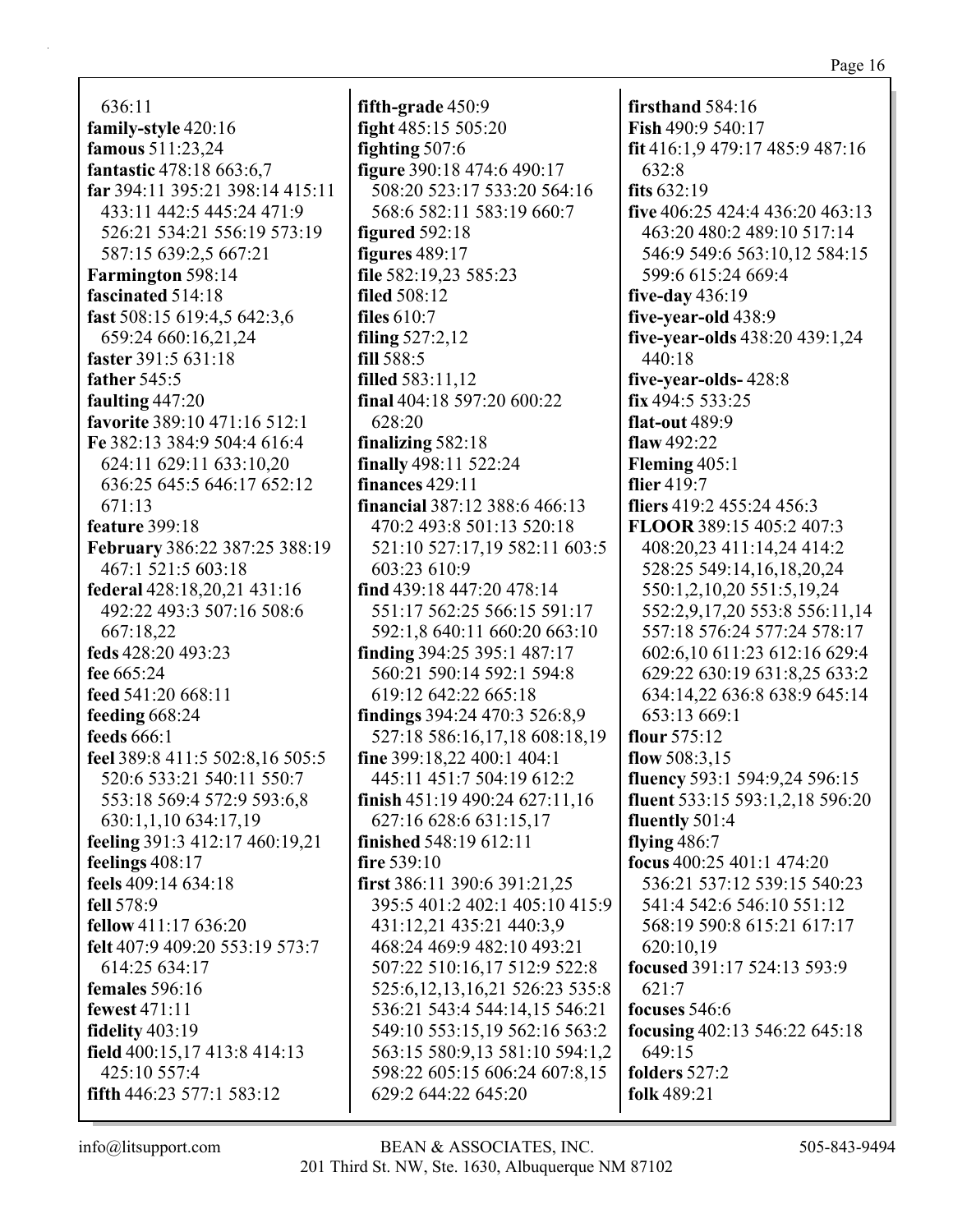636:11 **family-style** 420:16 **famous** 511:23,24 **fantastic** 478:18 663:6,7 **far** 394:11 395:21 398:14 415:11 433:11 442:5 445:24 471:9 526:21 534:21 556:19 573:19 587:15 639:2,5 667:21 **Farmington** 598:14 **fascinated** 514:18 **fast** 508:15 619:4,5 642:3,6 659:24 660:16,21,24 **faster** 391:5 631:18 **father** 545:5 **faulting** 447:20 **favorite** 389:10 471:16 512:1 **Fe** 382:13 384:9 504:4 616:4 624:11 629:11 633:10,20 636:25 645:5 646:17 652:12 671:13 **feature** 399:18 **February** 386:22 387:25 388:19 467:1 521:5 603:18 **federal** 428:18,20,21 431:16 492:22 493:3 507:16 508:6 667:18,22 **feds** 428:20 493:23 **fee** 665:24 **feed** 541:20 668:11 **feeding** 668:24 **feeds** 666:1 **feel** 389:8 411:5 502:8,16 505:5 520:6 533:21 540:11 550:7 553:18 569:4 572:9 593:6,8 630:1,1,10 634:17,19 **feeling** 391:3 412:17 460:19,21 **feelings** 408:17 **feels** 409:14 634:18 **fell** 578:9 **fellow** 411:17 636:20 **felt** 407:9 409:20 553:19 573:7 614:25 634:17 **females** 596:16 **fewest** 471:11 **fidelity** 403:19 **field** 400:15,17 413:8 414:13 425:10 557:4 **fifth** 446:23 577:1 583:12

**fifth-grade** 450:9 **fight** 485:15 505:20 **fighting** 507:6 **figure** 390:18 474:6 490:17 508:20 523:17 533:20 564:16 568:6 582:11 583:19 660:7 **figured** 592:18 **figures** 489:17 **file** 582:19,23 585:23 **filed** 508:12 **files** 610:7 **filing** 527:2,12 **fill** 588:5 **filled** 583:11,12 **final** 404:18 597:20 600:22 628:20 **finalizing** 582:18 **finally** 498:11 522:24 **finances** 429:11 **financial** 387:12 388:6 466:13 470:2 493:8 501:13 520:18 521:10 527:17,19 582:11 603:5 603:23 610:9 **find** 439:18 447:20 478:14 551:17 562:25 566:15 591:17 592:1,8 640:11 660:20 663:10 **finding** 394:25 395:1 487:17 560:21 590:14 592:1 594:8 619:12 642:22 665:18 **findings** 394:24 470:3 526:8,9 527:18 586:16,17,18 608:18,19 **fine** 399:18,22 400:1 404:1 445:11 451:7 504:19 612:2 **finish** 451:19 490:24 627:11,16 627:16 628:6 631:15,17 **finished** 548:19 612:11 **fire** 539:10 **first** 386:11 390:6 391:21,25 395:5 401:2 402:1 405:10 415:9 431:12,21 435:21 440:3,9 468:24 469:9 482:10 493:21 507:22 510:16,17 512:9 522:8 525:6,12,13,16,21 526:23 535:8 536:21 543:4 544:14,15 546:21 549:10 553:15,19 562:16 563:2 563:15 580:9,13 581:10 594:1,2 598:22 605:15 606:24 607:8,15 629:2 644:22 645:20

**firsthand** 584:16 **Fish** 490:9 540:17 **fit** 416:1,9 479:17 485:9 487:16 632:8 **fits** 632:19 **five** 406:25 424:4 436:20 463:13 463:20 480:2 489:10 517:14 546:9 549:6 563:10,12 584:15 599:6 615:24 669:4 **five-day** 436:19 **five-year-old** 438:9 **five-year-olds** 438:20 439:1,24 440:18 **five-year-olds-** 428:8 **fix** 494:5 533:25 **flat-out** 489:9 **flaw** 492:22 **Fleming** 405:1 **flier** 419:7 **fliers** 419:2 455:24 456:3 **FLOOR** 389:15 405:2 407:3 408:20,23 411:14,24 414:2 528:25 549:14,16,18,20,24 550:1,2,10,20 551:5,19,24 552:2,9,17,20 553:8 556:11,14 557:18 576:24 577:24 578:17 602:6,10 611:23 612:16 629:4 629:22 630:19 631:8,25 633:2 634:14,22 636:8 638:9 645:14 653:13 669:1 **flour** 575:12 **flow** 508:3,15 **fluency** 593:1 594:9,24 596:15 **fluent** 533:15 593:1,2,18 596:20 **fluently** 501:4 **flying** 486:7 **focus** 400:25 401:1 474:20 536:21 537:12 539:15 540:23 541:4 542:6 546:10 551:12 568:19 590:8 615:21 617:17 620:10,19 **focused** 391:17 524:13 593:9 621:7 **focuses** 546:6 **focusing** 402:13 546:22 645:18 649:15 **folders** 527:2 **folk** 489:21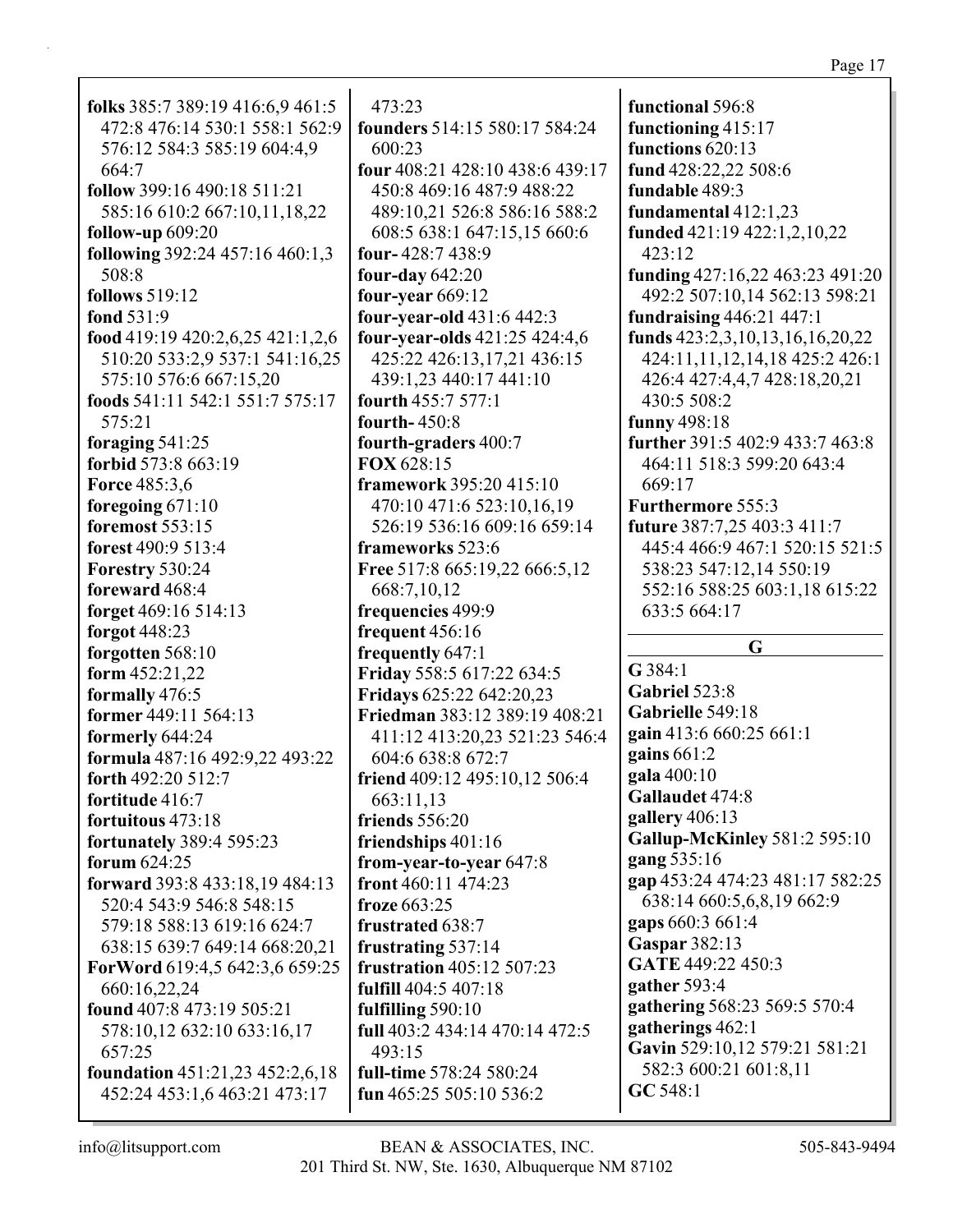| 472:8 476:14 530:1 558:1 562:9   | founders 514:1        |
|----------------------------------|-----------------------|
| 576:12 584:3 585:19 604:4,9      | 600:23                |
| 664:7                            | four 408:21 42        |
| follow 399:16 490:18 511:21      | 450:8 469:16          |
| 585:16 610:2 667:10,11,18,22     | 489:10,21 52          |
| <b>follow-up</b> 609:20          | 608:5 638:1 6         |
| following 392:24 457:16 460:1,3  | four-428:7438         |
| 508:8                            | four-day $642:2$      |
| <b>follows</b> 519:12            | four-year $669$ :     |
| fond 531:9                       | four-year-old         |
| food 419:19 420:2,6,25 421:1,2,6 | four-year-olds        |
| 510:20 533:2,9 537:1 541:16,25   | 425:22 426:1          |
| 575:10 576:6 667:15,20           | 439:1,23 440          |
| foods 541:11 542:1 551:7 575:17  | fourth 455:7 5        |
| 575:21                           | fourth-450:8          |
| foraging $541:25$                | fourth-graders        |
| forbid 573:8 663:19              | FOX 628:15            |
| <b>Force 485:3,6</b>             | framework 39:         |
| foregoing $671:10$               | 470:10 471:6          |
| foremost 553:15                  | 526:19 536:1          |
| forest 490:9 513:4               | frameworks 52         |
| Forestry 530:24                  | <b>Free 517:8 665</b> |
| foreward 468:4                   | 668:7,10,12           |
| forget 469:16 514:13             | frequencies 49        |
| forgot 448:23                    | frequent $456:1$      |
| forgotten 568:10                 | frequently 647        |
| form $452:21,22$                 | <b>Friday 558:56</b>  |
| formally 476:5                   | <b>Fridays</b> 625:22 |
| former 449:11 564:13             | Friedman 383:         |
| formerly 644:24                  | 411:12 413:2          |
| formula 487:16 492:9,22 493:22   | 604:6 638:8 6         |
| forth 492:20 512:7               | friend 409:12 4       |
| fortitude 416:7                  | 663:11,13             |
| fortuitous 473:18                | friends 556:20        |
| <b>fortunately 389:4 595:23</b>  | friendships 40        |
| forum 624:25                     | from-year-to-y        |
| forward 393:8 433:18,19 484:13   | front 460:11 47       |
| 520:4 543:9 546:8 548:15         | froze 663:25          |
| 579:18 588:13 619:16 624:7       | frustrated 638        |
| 638:15 639:7 649:14 668:20,21    | frustrating 537       |
| ForWord 619:4,5 642:3,6 659:25   | frustration 405       |
| 660:16,22,24                     | fulfill 404:5 40      |
| found 407:8 473:19 505:21        | fulfilling 590:1      |
| 578:10,12 632:10 633:16,17       | full 403:2 434:1      |

 $473:23$ 

folks  $385:7389:19416:69461:5$ 

514:15 580:17 584:24 8:10 438:6 439:17 487:9 488:22 6:8 586:16 588:2 647:15.15 660:6 8:9  $0.$ 12 431:6 442:3 421:25 424:4,6 3, 17, 21 436: 15  $:17441:10$  $77:1$  $s\,400:7$ 5:20 415:10 523:10,16,19 6 609:16 659:14  $23:6$  $:19,22666:5,12$  $9:9$ 6  $\cdot$ 1 17:22 634:5 642:20.23 12 389:19 408:21 0.23 521:23 546:4 572:7 495:10,12 506:4  $1:16$ vear 647:8 74:23  $:7$  $7:14$ 5:12 507:23  $7:18$  $\Omega$ 14 470:14 472:5  $493:15$ full-time 578:24 580:24 fun 465:25 505:10 536:2

functional 596:8 functioning 415:17 functions 620:13 fund 428:22.22 508:6 fundable 489:3 fundamental  $412:1,23$ funded 421:19 422:1,2,10,22  $423:12$ funding  $427:16.22$   $463:23$   $491:20$ 492:2 507:10,14 562:13 598:21 fundraising 446:21 447:1 funds  $423:2,3,10,13,16,16,20,22$ 424:11,11,12,14,18 425:2 426:1 426:4 427:4,4,7 428:18,20,21 430:5 508:2 funny  $498:18$ further  $391:5402:9433:7463:8$ 464:11 518:3 599:20 643:4 669:17 Furthermore 555:3 **future** 387:7,25 403:3 411:7 445:4 466:9 467:1 520:15 521:5 538:23 547:12,14 550:19 552:16 588:25 603:1,18 615:22 633:5 664:17

## G

 $G$  384:1 Gabriel 523:8 Gabrielle 549:18 gain 413:6 660:25 661:1 gains  $661:2$ gala 400:10 Gallaudet 474:8 gallery  $406:13$ **Gallup-McKinley 581:2 595:10** gang 535:16 gap 453:24 474:23 481:17 582:25 638:14 660:5,6,8,19 662:9 gaps 660:3 661:4 **Gaspar** 382:13 GATE 449:22 450:3 gather  $593:4$ gathering 568:23 569:5 570:4 gatherings 462:1 Gavin 529:10,12 579:21 581:21 582:3 600:21 601:8,11  $GC 548:1$ 

**foundation** 451:21,23 452:2,6,18

452:24 453:1,6 463:21 473:17

657:25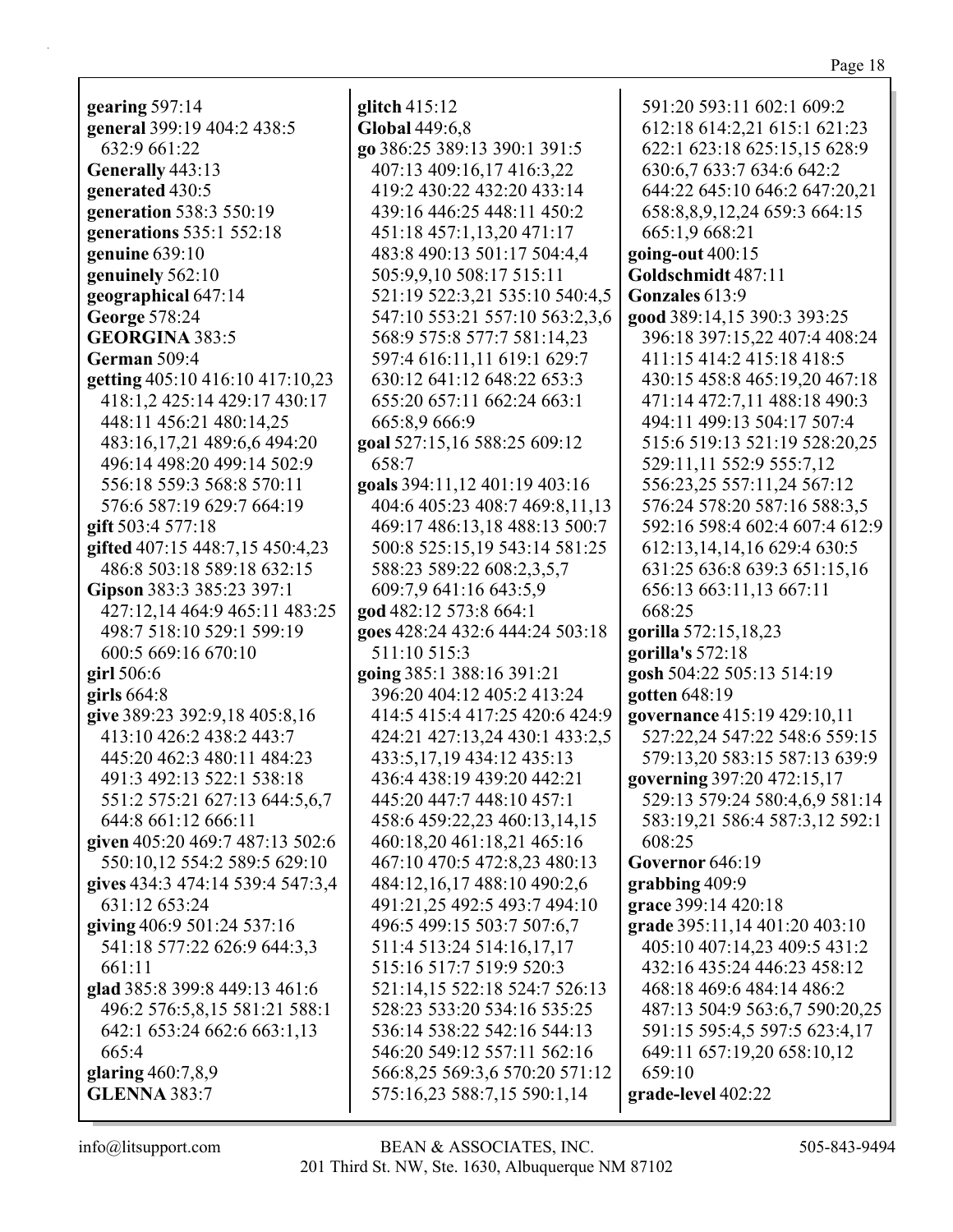| ш<br>ī. |  |
|---------|--|
|         |  |

| gearing $597:14$                 |        |
|----------------------------------|--------|
| general 399:19 404:2 438:5       | g<br>C |
| 632:9 661:22                     | g      |
| Generally 443:13                 |        |
| generated 430:5                  |        |
| generation 538:3 550:19          |        |
| generations 535:1 552:18         |        |
| genuine $639:10$                 |        |
| genuinely 562:10                 |        |
| geographical 647:14              |        |
| George 578:24                    |        |
| <b>GEORGINA 383:5</b>            |        |
| German 509:4                     |        |
| getting 405:10 416:10 417:10,23  |        |
| 418:1,2 425:14 429:17 430:17     |        |
| 448:11 456:21 480:14,25          |        |
| 483:16,17,21 489:6,6 494:20      | g      |
| 496:14 498:20 499:14 502:9       |        |
| 556:18 559:3 568:8 570:11        | g      |
| 576:6 587:19 629:7 664:19        |        |
| gift 503:4 577:18                |        |
| gifted 407:15 448:7,15 450:4,23  |        |
| 486:8 503:18 589:18 632:15       |        |
| Gipson 383:3 385:23 397:1        |        |
| 427:12,14 464:9 465:11 483:25    |        |
| 498:7 518:10 529:1 599:19        | g<br>g |
| 600:5 669:16 670:10              |        |
| girl $506:6$                     | g      |
| girls $664:8$                    |        |
| give 389:23 392:9,18 405:8,16    |        |
| 413:10 426:2 438:2 443:7         |        |
| 445:20 462:3 480:11 484:23       |        |
| 491:3 492:13 522:1 538:18        |        |
| 551:2 575:21 627:13 644:5,6,7    |        |
| 644:8 661:12 666:11              |        |
| given 405:20 469:7 487:13 502:6  |        |
| 550:10,12 554:2 589:5 629:10     |        |
| gives 434:3 474:14 539:4 547:3,4 |        |
| 631:12 653:24                    |        |
| giving 406:9 501:24 537:16       |        |
| 541:18 577:22 626:9 644:3,3      |        |
| 661:11                           |        |
| glad 385:8 399:8 449:13 461:6    |        |
| 496:2 576:5,8,15 581:21 588:1    |        |
| 642:1 653:24 662:6 663:1,13      |        |
| 665:4                            |        |
| glaring $460:7,8,9$              |        |
| <b>GLENNA 383:7</b>              |        |
|                                  |        |

**glitch** 415:12 **Global** 449:6,8 **go** 386:25 389:13 390:1 391:5 407:13 409:16,17 416:3,22 419:2 430:22 432:20 433:14 439:16 446:25 448:11 450:2 451:18 457:1,13,20 471:17 483:8 490:13 501:17 504:4,4 505:9,9,10 508:17 515:11 521:19 522:3,21 535:10 540:4,5 547:10 553:21 557:10 563:2,3,6 568:9 575:8 577:7 581:14,23 597:4 616:11,11 619:1 629:7 630:12 641:12 648:22 653:3 655:20 657:11 662:24 663:1 665:8,9 666:9 **goal** 527:15,16 588:25 609:12 658:7 **goals** 394:11,12 401:19 403:16 404:6 405:23 408:7 469:8,11,13 469:17 486:13,18 488:13 500:7 500:8 525:15,19 543:14 581:25 588:23 589:22 608:2,3,5,7 609:7,9 641:16 643:5,9 **god** 482:12 573:8 664:1 **goes** 428:24 432:6 444:24 503:18 511:10 515:3 **going** 385:1 388:16 391:21 396:20 404:12 405:2 413:24 414:5 415:4 417:25 420:6 424:9 424:21 427:13,24 430:1 433:2,5 433:5,17,19 434:12 435:13 436:4 438:19 439:20 442:21 445:20 447:7 448:10 457:1 458:6 459:22,23 460:13,14,15 460:18,20 461:18,21 465:16 467:10 470:5 472:8,23 480:13 484:12,16,17 488:10 490:2,6 491:21,25 492:5 493:7 494:10 496:5 499:15 503:7 507:6,7 511:4 513:24 514:16,17,17 515:16 517:7 519:9 520:3 521:14,15 522:18 524:7 526:13 528:23 533:20 534:16 535:25 536:14 538:22 542:16 544:13 546:20 549:12 557:11 562:16 566:8,25 569:3,6 570:20 571:12 575:16,23 588:7,15 590:1,14 591:20 593:11 602:1 609:2 612:18 614:2,21 615:1 621:23 622:1 623:18 625:15,15 628:9 630:6,7 633:7 634:6 642:2 591:15 595:4,5 597:5 623:4,17 649:11 657:19,20 658:10,12

644:22 645:10 646:2 647:20,21 658:8,8,9,12,24 659:3 664:15 665:1,9 668:21 **going-out** 400:15 **Goldschmidt** 487:11 **Gonzales** 613:9 **good** 389:14,15 390:3 393:25 396:18 397:15,22 407:4 408:24 411:15 414:2 415:18 418:5 430:15 458:8 465:19,20 467:18 471:14 472:7,11 488:18 490:3 494:11 499:13 504:17 507:4 515:6 519:13 521:19 528:20,25 529:11,11 552:9 555:7,12 556:23,25 557:11,24 567:12 576:24 578:20 587:16 588:3,5 592:16 598:4 602:4 607:4 612:9 612:13,14,14,16 629:4 630:5 631:25 636:8 639:3 651:15,16 656:13 663:11,13 667:11 668:25 **gorilla** 572:15,18,23 **gorilla's** 572:18 **gosh** 504:22 505:13 514:19 **gotten** 648:19 **governance** 415:19 429:10,11 527:22,24 547:22 548:6 559:15 579:13,20 583:15 587:13 639:9 **governing** 397:20 472:15,17 529:13 579:24 580:4,6,9 581:14 583:19,21 586:4 587:3,12 592:1 608:25 **Governor** 646:19 **grabbing** 409:9 **grace** 399:14 420:18 **grade** 395:11,14 401:20 403:10 405:10 407:14,23 409:5 431:2 432:16 435:24 446:23 458:12 468:18 469:6 484:14 486:2 487:13 504:9 563:6,7 590:20,25

659:10 **grade-level** 402:22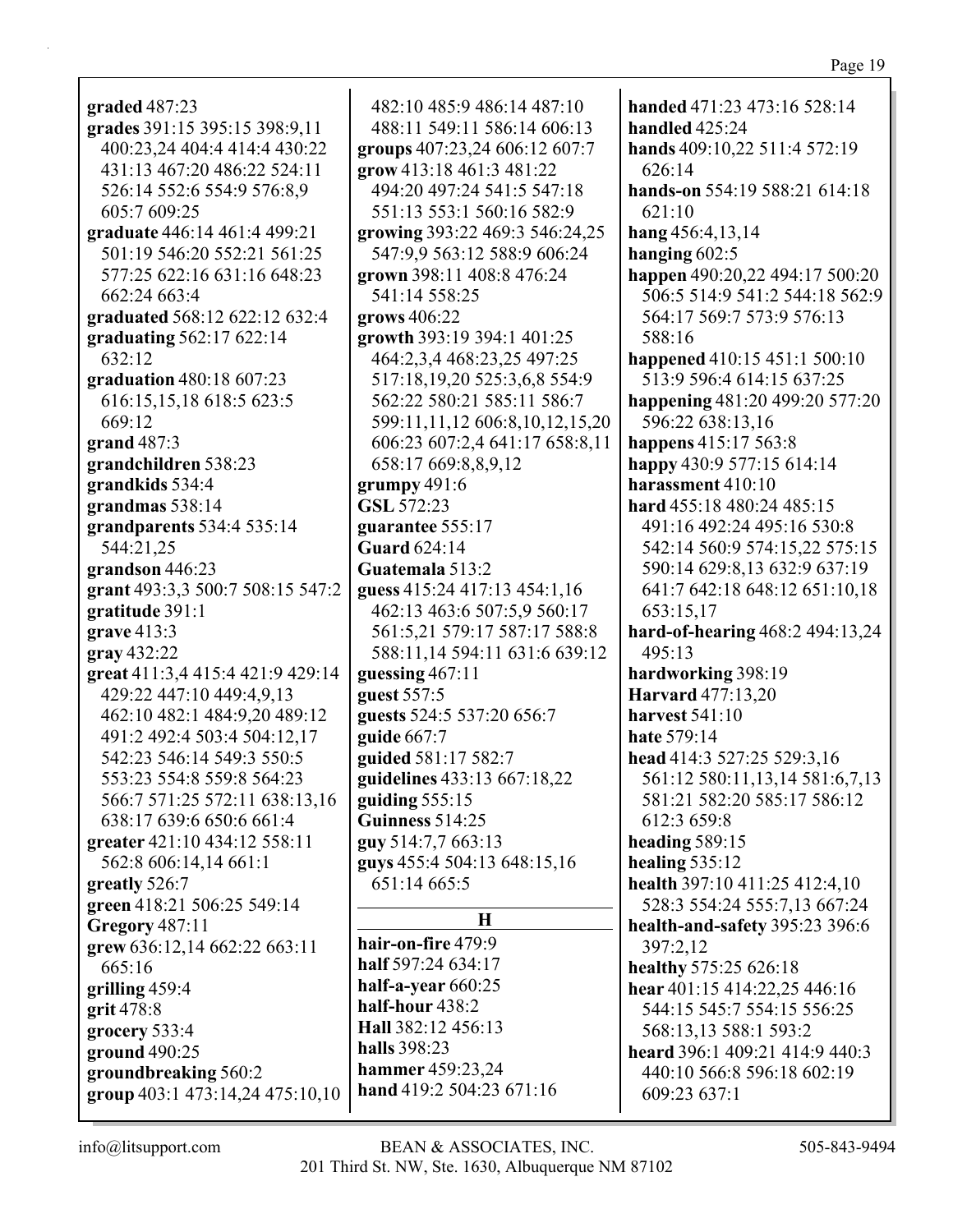| graded 487:23                    | 482:10 485:9 486:14 487:10     | han         |
|----------------------------------|--------------------------------|-------------|
| grades 391:15 395:15 398:9,11    | 488:11 549:11 586:14 606:13    | han         |
| 400:23,24 404:4 414:4 430:22     | groups 407:23,24 606:12 607:7  | han         |
| 431:13 467:20 486:22 524:11      | grow 413:18 461:3 481:22       |             |
| 526:14 552:6 554:9 576:8,9       | 494:20 497:24 541:5 547:18     | han         |
| 605:7 609:25                     | 551:13 553:1 560:16 582:9      |             |
| graduate 446:14 461:4 499:21     | growing 393:22 469:3 546:24,25 | han         |
| 501:19 546:20 552:21 561:25      | 547:9,9 563:12 588:9 606:24    | han         |
| 577:25 622:16 631:16 648:23      | grown 398:11 408:8 476:24      | hap         |
| 662:24 663:4                     | 541:14 558:25                  |             |
| graduated 568:12 622:12 632:4    | grows $406:22$                 |             |
| graduating 562:17 622:14         | growth 393:19 394:1 401:25     |             |
| 632:12                           | 464:2,3,4 468:23,25 497:25     | hap         |
| graduation 480:18 607:23         | 517:18,19,20 525:3,6,8 554:9   |             |
| 616:15,15,18 618:5 623:5         | 562:22 580:21 585:11 586:7     | hap         |
| 669:12                           | 599:11,11,12 606:8,10,12,15,20 |             |
|                                  |                                |             |
| grand 487:3                      | 606:23 607:2,4 641:17 658:8,11 | hap         |
| grandchildren 538:23             | 658:17 669:8,8,9,12            | hap<br>hara |
| grandkids 534:4                  | grumpy 491:6                   |             |
| grandmas 538:14                  | GSL 572:23                     | haro        |
| grandparents 534:4 535:14        | guarantee 555:17               |             |
| 544:21,25                        | <b>Guard</b> 624:14            |             |
| grandson 446:23                  | Guatemala 513:2                |             |
| grant 493:3,3 500:7 508:15 547:2 | guess 415:24 417:13 454:1,16   |             |
| gratitude 391:1                  | 462:13 463:6 507:5,9 560:17    | hard        |
| grave 413:3                      | 561:5,21 579:17 587:17 588:8   |             |
| gray 432:22                      | 588:11,14 594:11 631:6 639:12  |             |
| great 411:3,4 415:4 421:9 429:14 | guessing 467:11                | haro        |
| 429:22 447:10 449:4,9,13         | guest 557:5                    |             |
| 462:10 482:1 484:9,20 489:12     | guests 524:5 537:20 656:7      |             |
| 491:2 492:4 503:4 504:12,17      | guide $667:7$                  |             |
| 542:23 546:14 549:3 550:5        | guided 581:17 582:7            |             |
| 553:23 554:8 559:8 564:23        | guidelines 433:13 667:18,22    |             |
| 566:7 571:25 572:11 638:13,16    | guiding 555:15                 |             |
| 638:17 639:6 650:6 661:4         | Guinness 514:25                |             |
| greater 421:10 434:12 558:11     | guy 514:7,7 663:13             | hea         |
| 562:8 606:14,14 661:1            | guys 455:4 504:13 648:15,16    | heal        |
| greatly 526:7                    | 651:14 665:5                   | heal        |
| green 418:21 506:25 549:14       |                                |             |
| Gregory 487:11                   | $\bf H$                        | heal        |
| grew 636:12,14 662:22 663:11     | hair-on-fire 479:9             |             |
| 665:16                           | half 597:24 634:17             | heal        |
| grilling 459:4                   | half-a-year 660:25             | heal        |
| grit 478:8                       | half-hour 438:2                |             |
| grocery 533:4                    | Hall 382:12 456:13             |             |
| ground 490:25                    | halls 398:23                   | hea         |
| groundbreaking 560:2             | <b>hammer</b> 459:23,24        |             |
| group 403:1 473:14,24 475:10,10  | hand 419:2 504:23 671:16       |             |
|                                  |                                |             |

**handed** 471:23 473:16 528:14 **dled** 425:24 **hands** 409:10,22 511:4 572:19  $26:14$ **hands-on** 554:19 588:21 614:18  $21:10$ **hang** 456:4,13,14 **ging** 602:5 **pen** 490:20,22 494:17 500:20 506:5 514:9 541:2 544:18 562:9 564:17 569:7 573:9 576:13 588:16 **pened** 410:15 451:1 500:10 513:9 596:4 614:15 637:25 **happening** 481:20 499:20 577:20 596:22 638:13,16 **happens** 415:17 563:8 **happy** 430:9 577:15 614:14 **harassment** 410:10 **hard** 455:18 480:24 485:15 491:16 492:24 495:16 530:8 542:14 560:9 574:15,22 575:15 590:14 629:8,13 632:9 637:19 641:7 642:18 648:12 651:10,18 653:15,17 **hard-of-hearing** 468:2 494:13,24  $95:13$ **hardworking** 398:19 **Harvard** 477:13,20 **harvest** 541:10 **hate** 579:14 **head** 414:3 527:25 529:3,16 561:12 580:11,13,14 581:6,7,13 581:21 582:20 585:17 586:12 2:3 659:8 **ding** 589:15  $\lim_{2} 535:12$ **health** 397:10 411:25 412:4,10 528:3 554:24 555:7,13 667:24 **lth-and-safety** 395:23 396:6 397:2,12 **healthy** 575:25 626:18 **hear** 401:15 414:22,25 446:16 544:15 545:7 554:15 556:25 568:13,13 588:1 593:2 **heard** 396:1 409:21 414:9 440:3 440:10 566:8 596:18 602:19 609:23 637:1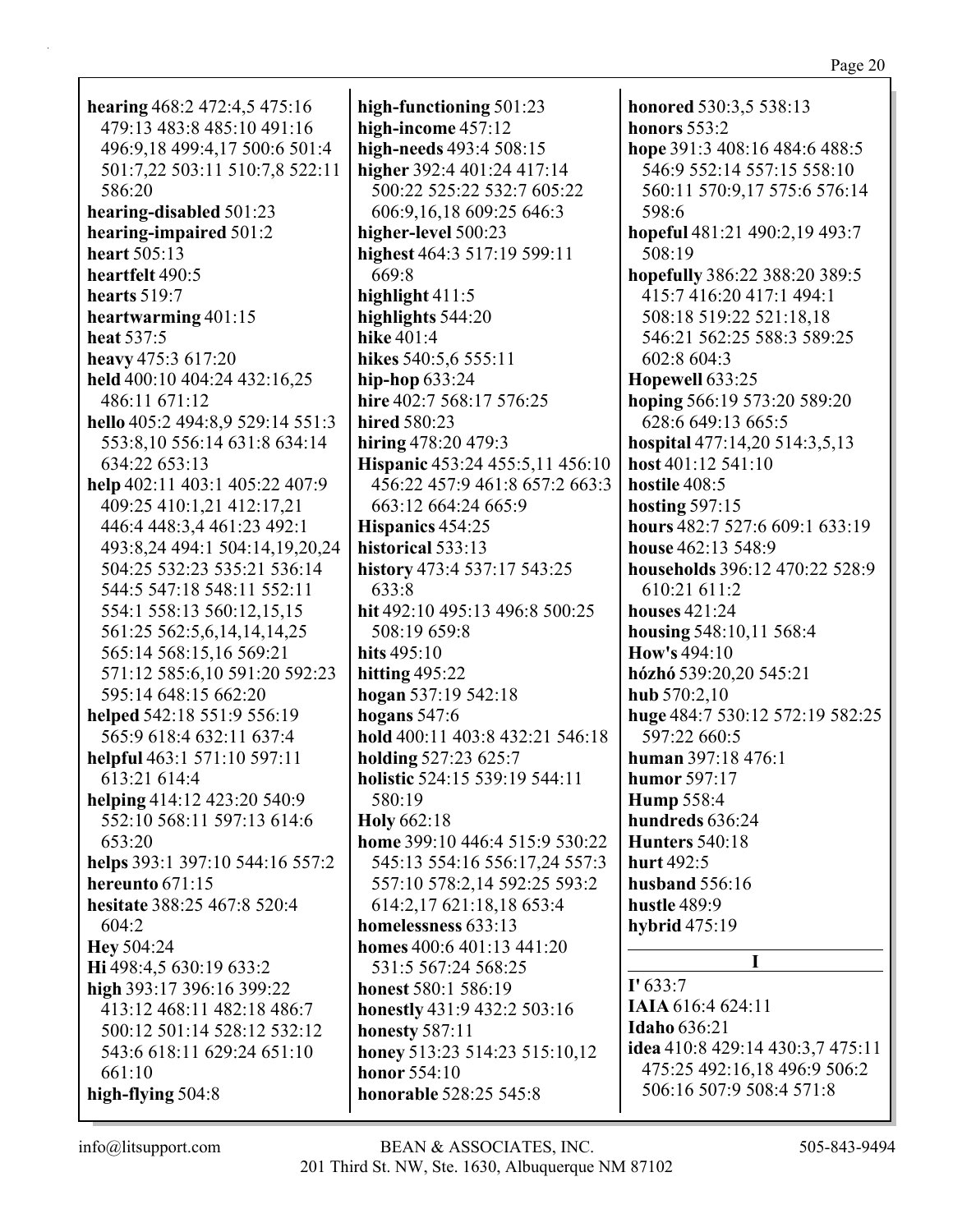honored 530:3,5 538:13 **honors** 553:2 hope 391:3 408:16 484:6 488:5 546:9 552:14 557:15 558:10 560:11 570:9,17 575:6 576:14 598:6 hopeful 481:21 490:2,19 493:7 508:19 hopefully 386:22 388:20 389:5 415:7 416:20 417:1 494:1 508:18 519:22 521:18,18 546:21 562:25 588:3 589:25 602:8 604:3 Hopewell 633:25 hoping 566:19 573:20 589:20 628:6 649:13 665:5 hospital  $477:14,20\,514:3,5,13$ host  $401:12$  541:10 hostile 408:5 hosting  $597:15$ hours 482:7 527:6 609:1 633:19 house 462:13 548:9 households 396:12 470:22 528:9 610:21 611:2 houses  $421:24$ housing 548:10,11 568:4 How's  $494:10$ hózhó 539:20,20 545:21 hub 570:2.10 huge 484:7 530:12 572:19 582:25 597:22 660:5 **human** 397:18 476:1 humor 597:17 Hump 558:4 hundreds 636:24 Hunters  $540:18$ hurt 492:5 husband  $556:16$ hustle 489:9 hybrid 475:19  $\mathbf{I}$  $\Gamma$  633:7 **IAIA** 616:4 624:11 **Idaho 636:21** idea 410:8 429:14 430:3,7 475:11 475:25 492:16,18 496:9 506:2 506:16 507:9 508:4 571:8

hearing  $468:2$  472:4,5 475:16 479:13 483:8 485:10 491:16 496:9,18 499:4,17 500:6 501:4 501:7,22 503:11 510:7,8 522:11 586:20 hearing-disabled 501:23 hearing-impaired 501:2 heart 505:13 heartfelt 490:5 hearts  $519:7$ heartwarming 401:15 heat 537:5 heavy 475:3 617:20 held 400:10 404:24 432:16,25 486:11 671:12 hello 405:2 494:8,9 529:14 551:3 553:8,10 556:14 631:8 634:14 634:22 653:13 help 402:11 403:1 405:22 407:9 409:25 410:1,21 412:17,21 446:4 448:3,4 461:23 492:1 493:8,24 494:1 504:14,19,20,24 504:25 532:23 535:21 536:14 544:5 547:18 548:11 552:11 554:1 558:13 560:12.15.15 561:25 562:5,6,14,14,14,25 565:14 568:15,16 569:21 571:12 585:6,10 591:20 592:23 595:14 648:15 662:20 helped 542:18 551:9 556:19 565:9 618:4 632:11 637:4 helpful 463:1 571:10 597:11 613:21 614:4 helping 414:12 423:20 540:9 552:10 568:11 597:13 614:6  $653:20$ helps 393:1 397:10 544:16 557:2 hereunto  $671:15$ hesitate 388:25 467:8 520:4 604:2 **Hey** 504:24 Hi 498:4,5 630:19 633:2 high  $393:17396:16399:22$ 413:12 468:11 482:18 486:7 500:12 501:14 528:12 532:12 543:6 618:11 629:24 651:10 661:10 high-flying 504:8

high-functioning 501:23 high-income 457:12 high-needs 493:4 508:15 higher 392:4 401:24 417:14 500:22 525:22 532:7 605:22 606:9,16,18 609:25 646:3 higher-level 500:23 highest 464:3 517:19 599:11 669:8 highlight  $411:5$ highlights  $544:20$ **hike 401:4** hikes 540:5,6 555:11 hip-hop  $633:24$ hire 402:7 568:17 576:25 hired 580:23 hiring  $478:20\,479:3$ Hispanic 453:24 455:5,11 456:10 456:22 457:9 461:8 657:2 663:3 663:12 664:24 665:9 Hispanics 454:25 historical 533:13 history 473:4 537:17 543:25 633:8 hit 492:10 495:13 496:8 500:25 508:19 659:8 hits  $495:10$ hitting  $495:22$ hogan  $537:19542:18$ hogans  $547:6$ hold 400:11 403:8 432:21 546:18 holding 527:23 625:7 holistic 524:15 539:19 544:11 580:19 Holy 662:18 home 399:10 446:4 515:9 530:22 545:13 554:16 556:17,24 557:3 557:10 578:2,14 592:25 593:2 614:2,17 621:18,18 653:4 homelessness 633:13 homes 400:6 401:13 441:20 531:5 567:24 568:25 honest  $580:1, 586:19$ honestly 431:9 432:2 503:16 honesty  $587:11$ honey 513:23 514:23 515:10,12 **honor**  $554:10$ honorable 528:25 545:8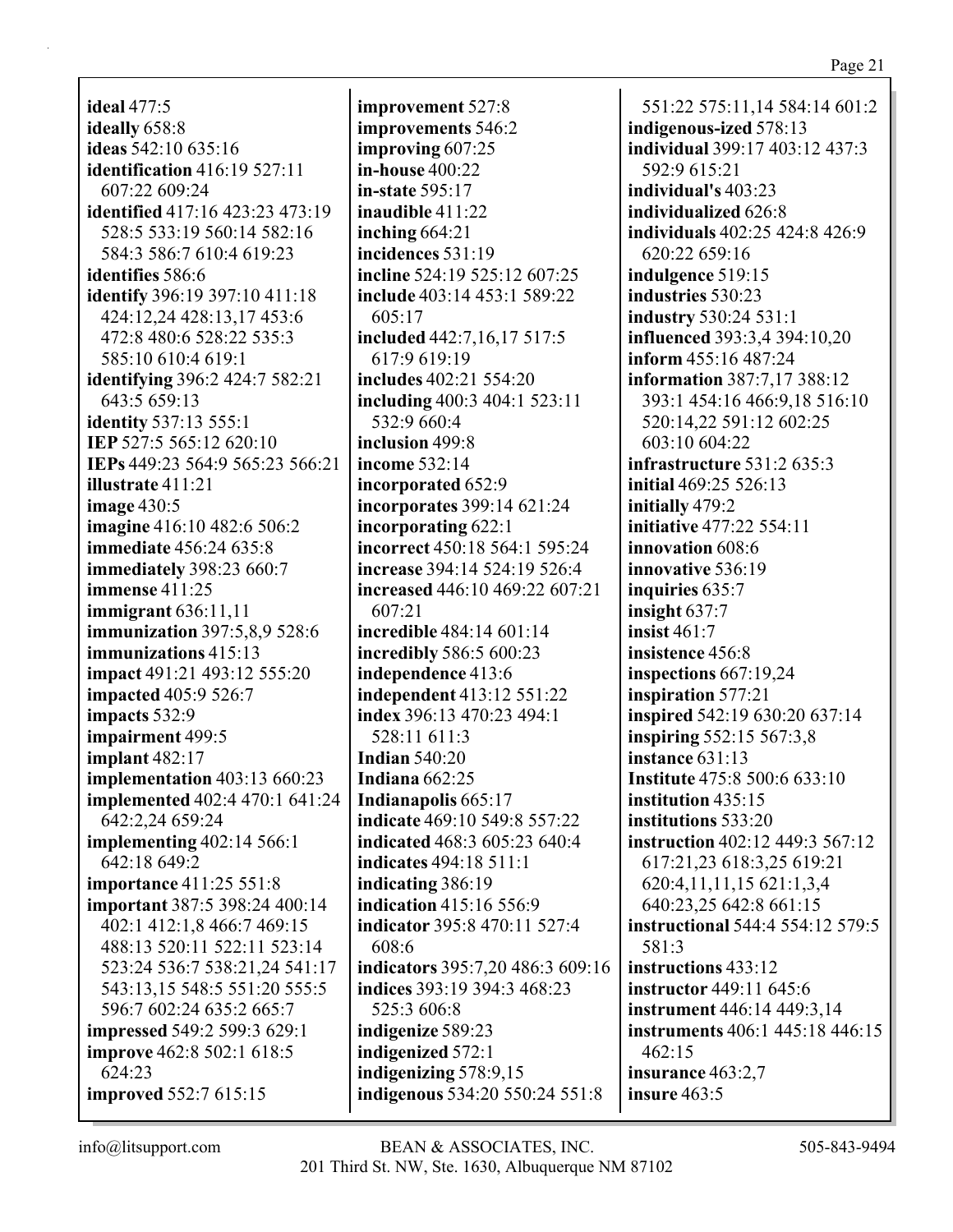**ideal** 477:5 **ideally** 658:8 **ideas** 542:10 635:16 **identification** 416:19 527:11 607:22 609:24 **identified** 417:16 423:23 473:19 528:5 533:19 560:14 582:16 584:3 586:7 610:4 619:23 **identifies** 586:6 **identify** 396:19 397:10 411:18 424:12,24 428:13,17 453:6 472:8 480:6 528:22 535:3 585:10 610:4 619:1 **identifying** 396:2 424:7 582:21 643:5 659:13 **identity** 537:13 555:1 **IEP** 527:5 565:12 620:10 **IEPs** 449:23 564:9 565:23 566:21 **illustrate** 411:21 **image** 430:5 **imagine** 416:10 482:6 506:2 **immediate** 456:24 635:8 **immediately** 398:23 660:7 **immense** 411:25 **immigrant** 636:11,11 **immunization** 397:5,8,9 528:6 **immunizations** 415:13 **impact** 491:21 493:12 555:20 **impacted** 405:9 526:7 **impacts** 532:9 **impairment** 499:5 **implant** 482:17 **implementation** 403:13 660:23 **implemented** 402:4 470:1 641:24 642:2,24 659:24 **implementing** 402:14 566:1 642:18 649:2 **importance** 411:25 551:8 **important** 387:5 398:24 400:14 402:1 412:1,8 466:7 469:15 488:13 520:11 522:11 523:14 523:24 536:7 538:21,24 541:17 543:13,15 548:5 551:20 555:5 596:7 602:24 635:2 665:7 **impressed** 549:2 599:3 629:1 **improve** 462:8 502:1 618:5 624:23 **improved** 552:7 615:15

**improvement** 527:8 **improvements** 546:2 **improving** 607:25 **in-house** 400:22 **in-state** 595:17 **inaudible** 411:22 **inching** 664:21 **incidences** 531:19 **incline** 524:19 525:12 607:25 **include** 403:14 453:1 589:22 605:17 **included** 442:7,16,17 517:5 617:9 619:19 **includes** 402:21 554:20 **including** 400:3 404:1 523:11 532:9 660:4 **inclusion** 499:8 **income** 532:14 **incorporated** 652:9 **incorporates** 399:14 621:24 **incorporating** 622:1 **incorrect** 450:18 564:1 595:24 **increase** 394:14 524:19 526:4 **increased** 446:10 469:22 607:21 607:21 **incredible** 484:14 601:14 **incredibly** 586:5 600:23 **independence** 413:6 **independent** 413:12 551:22 **index** 396:13 470:23 494:1 528:11 611:3 **Indian** 540:20 **Indiana** 662:25 **Indianapolis** 665:17 **indicate** 469:10 549:8 557:22 **indicated** 468:3 605:23 640:4 **indicates** 494:18 511:1 **indicating** 386:19 **indication** 415:16 556:9 **indicator** 395:8 470:11 527:4 608:6 **indicators** 395:7,20 486:3 609:16 **indices** 393:19 394:3 468:23 525:3 606:8 **indigenize** 589:23 **indigenized** 572:1 **indigenizing** 578:9,15 **indigenous** 534:20 550:24 551:8

551:22 575:11,14 584:14 601:2 **indigenous-ized** 578:13 **individual** 399:17 403:12 437:3 592:9 615:21 **individual's** 403:23 **individualized** 626:8 **individuals** 402:25 424:8 426:9 620:22 659:16 **indulgence** 519:15 **industries** 530:23 **industry** 530:24 531:1 **influenced** 393:3,4 394:10,20 **inform** 455:16 487:24 **information** 387:7,17 388:12 393:1 454:16 466:9,18 516:10 520:14,22 591:12 602:25 603:10 604:22 **infrastructure** 531:2 635:3 **initial** 469:25 526:13 **initially** 479:2 **initiative** 477:22 554:11 **innovation** 608:6 **innovative** 536:19 **inquiries** 635:7 **insight** 637:7 **insist** 461:7 **insistence** 456:8 **inspections** 667:19,24 **inspiration** 577:21 **inspired** 542:19 630:20 637:14 **inspiring** 552:15 567:3,8 **instance** 631:13 **Institute** 475:8 500:6 633:10 **institution** 435:15 **institutions** 533:20 **instruction** 402:12 449:3 567:12 617:21,23 618:3,25 619:21 620:4,11,11,15 621:1,3,4 640:23,25 642:8 661:15 **instructional** 544:4 554:12 579:5 581:3 **instructions** 433:12 **instructor** 449:11 645:6 **instrument** 446:14 449:3,14 **instruments** 406:1 445:18 446:15 462:15 **insurance** 463:2,7 **insure** 463:5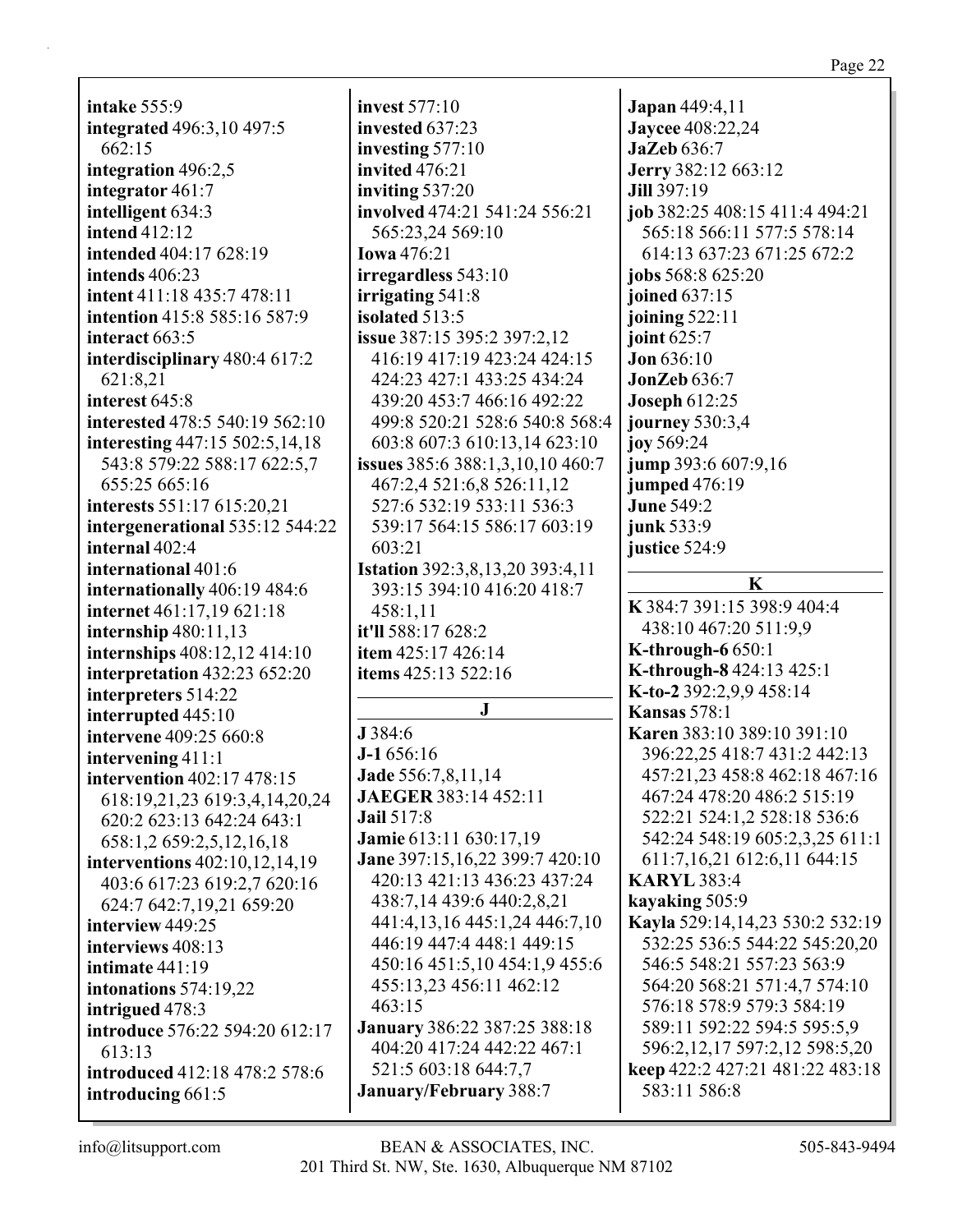**intake** 555:9 **integrated** 496:3,10 497:5 662:15 **integration** 496:2,5 **integrator** 461:7 **intelligent** 634:3 **intend** 412:12 **intended** 404:17 628:19 **intends** 406:23 **intent** 411:18 435:7 478:11 **intention** 415:8 585:16 587:9 **interact** 663:5 **interdisciplinary** 480:4 617:2 621:8,21 **interest** 645:8 **interested** 478:5 540:19 562:10 **interesting** 447:15 502:5,14,18 543:8 579:22 588:17 622:5,7 655:25 665:16 **interests** 551:17 615:20,21 **intergenerational** 535:12 544:22 **internal** 402:4 **international** 401:6 **internationally** 406:19 484:6 **internet** 461:17,19 621:18 **internship** 480:11,13 **internships** 408:12,12 414:10 **interpretation** 432:23 652:20 **interpreters** 514:22 **interrupted** 445:10 **intervene** 409:25 660:8 **intervening** 411:1 **intervention** 402:17 478:15 618:19,21,23 619:3,4,14,20,24 620:2 623:13 642:24 643:1 658:1,2 659:2,5,12,16,18 **interventions** 402:10,12,14,19 403:6 617:23 619:2,7 620:16 624:7 642:7,19,21 659:20 **interview** 449:25 **interviews** 408:13 **intimate** 441:19 **intonations** 574:19,22 **intrigued** 478:3 **introduce** 576:22 594:20 612:17 613:13 **introduced** 412:18 478:2 578:6 **introducing** 661:5

**invest** 577:10 **invested** 637:23 **investing** 577:10 **invited** 476:21 **inviting** 537:20 **involved** 474:21 541:24 556:21 565:23,24 569:10 **Iowa** 476:21 **irregardless** 543:10 **irrigating** 541:8 **isolated** 513:5 **issue** 387:15 395:2 397:2,12 416:19 417:19 423:24 424:15 424:23 427:1 433:25 434:24 439:20 453:7 466:16 492:22 499:8 520:21 528:6 540:8 568:4 603:8 607:3 610:13,14 623:10 **issues** 385:6 388:1,3,10,10 460:7 467:2,4 521:6,8 526:11,12 527:6 532:19 533:11 536:3 539:17 564:15 586:17 603:19 603:21 **Istation** 392:3,8,13,20 393:4,11 393:15 394:10 416:20 418:7 458:1,11 **it'll** 588:17 628:2 **item** 425:17 426:14 **items** 425:13 522:16 **J J** 384:6 **J-1** 656:16 **Jade** 556:7,8,11,14 **JAEGER** 383:14 452:11 **Jail** 517:8 **Jamie** 613:11 630:17,19 **Jane** 397:15,16,22 399:7 420:10 420:13 421:13 436:23 437:24 438:7,14 439:6 440:2,8,21 441:4,13,16 445:1,24 446:7,10 446:19 447:4 448:1 449:15 450:16 451:5,10 454:1,9 455:6 455:13,23 456:11 462:12 463:15 **January** 386:22 387:25 388:18 404:20 417:24 442:22 467:1 521:5 603:18 644:7,7 **January/February** 388:7

**Japan** 449:4,11 **Jaycee** 408:22,24 **JaZeb** 636:7 **Jerry** 382:12 663:12 **Jill** 397:19 **job** 382:25 408:15 411:4 494:21 565:18 566:11 577:5 578:14 614:13 637:23 671:25 672:2 **jobs** 568:8 625:20 **joined** 637:15 **joining** 522:11 **joint** 625:7 **Jon** 636:10 **JonZeb** 636:7 **Joseph** 612:25 **journey** 530:3,4 **joy** 569:24 **jump** 393:6 607:9,16 **jumped** 476:19 **June** 549:2 **junk** 533:9 **justice** 524:9 **K K** 384:7 391:15 398:9 404:4 438:10 467:20 511:9,9 **K-through-6** 650:1 **K-through-8** 424:13 425:1 **K-to-2** 392:2,9,9 458:14 **Kansas** 578:1 **Karen** 383:10 389:10 391:10 396:22,25 418:7 431:2 442:13 457:21,23 458:8 462:18 467:16 467:24 478:20 486:2 515:19 522:21 524:1,2 528:18 536:6 542:24 548:19 605:2,3,25 611:1 611:7,16,21 612:6,11 644:15 **KARYL** 383:4 **kayaking** 505:9 **Kayla** 529:14,14,23 530:2 532:19 532:25 536:5 544:22 545:20,20 546:5 548:21 557:23 563:9 564:20 568:21 571:4,7 574:10 576:18 578:9 579:3 584:19 589:11 592:22 594:5 595:5,9 596:2,12,17 597:2,12 598:5,20 **keep** 422:2 427:21 481:22 483:18 583:11 586:8

Page 22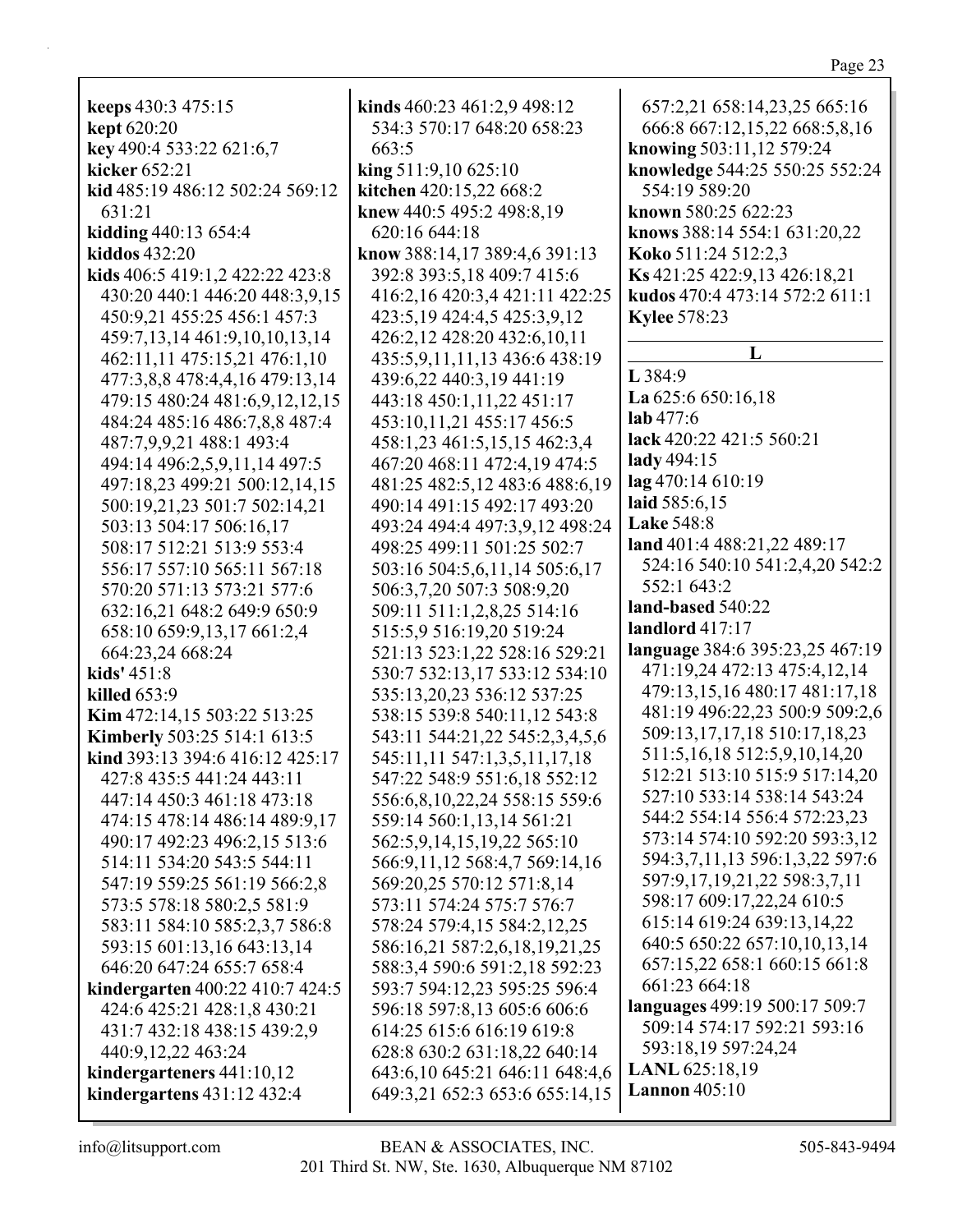**kept** 620:20 **key** 490:4 533:22 621:6,7 **kicker** 652:21 **kid** 485:19 486:12 502:24 569:12 631:21 **kidding** 440:13 654:4 **kiddos** 432:20 **kids** 406:5 419:1,2 422:22 423:8 430:20 440:1 446:20 448:3,9,15 450:9,21 455:25 456:1 457:3 459:7,13,14 461:9,10,10,13,14 462:11,11 475:15,21 476:1,10 477:3,8,8 478:4,4,16 479:13,14 479:15 480:24 481:6,9,12,12,15 484:24 485:16 486:7,8,8 487:4 487:7,9,9,21 488:1 493:4 494:14 496:2,5,9,11,14 497:5 497:18,23 499:21 500:12,14,15 500:19,21,23 501:7 502:14,21 503:13 504:17 506:16,17 508:17 512:21 513:9 553:4 556:17 557:10 565:11 567:18 570:20 571:13 573:21 577:6 632:16,21 648:2 649:9 650:9 658:10 659:9,13,17 661:2,4 664:23,24 668:24 **kids'** 451:8 **killed** 653:9 **Kim** 472:14,15 503:22 513:25 **Kimberly** 503:25 514:1 613:5 **kind** 393:13 394:6 416:12 425:17 427:8 435:5 441:24 443:11 447:14 450:3 461:18 473:18 474:15 478:14 486:14 489:9,17 490:17 492:23 496:2,15 513:6 514:11 534:20 543:5 544:11 547:19 559:25 561:19 566:2,8 573:5 578:18 580:2,5 581:9 583:11 584:10 585:2,3,7 586:8 593:15 601:13,16 643:13,14 646:20 647:24 655:7 658:4 **kindergarten** 400:22 410:7 424:5 424:6 425:21 428:1,8 430:21 431:7 432:18 438:15 439:2,9 440:9,12,22 463:24 **kindergarteners** 441:10,12 **kindergartens** 431:12 432:4

**keeps** 430:3 475:15

**kinds** 460:23 461:2,9 498:12 534:3 570:17 648:20 658:23 663:5 **king** 511:9,10 625:10 **kitchen** 420:15,22 668:2 **knew** 440:5 495:2 498:8,19 620:16 644:18 **know** 388:14,17 389:4,6 391:13 392:8 393:5,18 409:7 415:6 416:2,16 420:3,4 421:11 422:25 423:5,19 424:4,5 425:3,9,12 426:2,12 428:20 432:6,10,11 435:5,9,11,11,13 436:6 438:19 439:6,22 440:3,19 441:19 443:18 450:1,11,22 451:17 453:10,11,21 455:17 456:5 458:1,23 461:5,15,15 462:3,4 467:20 468:11 472:4,19 474:5 481:25 482:5,12 483:6 488:6,19 490:14 491:15 492:17 493:20 493:24 494:4 497:3,9,12 498:24 498:25 499:11 501:25 502:7 503:16 504:5,6,11,14 505:6,17 506:3,7,20 507:3 508:9,20 509:11 511:1,2,8,25 514:16 515:5,9 516:19,20 519:24 521:13 523:1,22 528:16 529:21 530:7 532:13,17 533:12 534:10 535:13,20,23 536:12 537:25 538:15 539:8 540:11,12 543:8 543:11 544:21,22 545:2,3,4,5,6 545:11,11 547:1,3,5,11,17,18 547:22 548:9 551:6,18 552:12 556:6,8,10,22,24 558:15 559:6 559:14 560:1,13,14 561:21 562:5,9,14,15,19,22 565:10 566:9,11,12 568:4,7 569:14,16 569:20,25 570:12 571:8,14 573:11 574:24 575:7 576:7 578:24 579:4,15 584:2,12,25 586:16,21 587:2,6,18,19,21,25 588:3,4 590:6 591:2,18 592:23 593:7 594:12,23 595:25 596:4 596:18 597:8,13 605:6 606:6 614:25 615:6 616:19 619:8 628:8 630:2 631:18,22 640:14 643:6,10 645:21 646:11 648:4,6 649:3,21 652:3 653:6 655:14,15

657:2,21 658:14,23,25 665:16 666:8 667:12,15,22 668:5,8,16 **knowing** 503:11,12 579:24 **knowledge** 544:25 550:25 552:24 554:19 589:20 **known** 580:25 622:23 **knows** 388:14 554:1 631:20,22 **Koko** 511:24 512:2,3 **Ks** 421:25 422:9,13 426:18,21 **kudos** 470:4 473:14 572:2 611:1 **Kylee** 578:23 **L L** 384:9 **La** 625:6 650:16,18 **lab** 477:6 **lack** 420:22 421:5 560:21 **lady** 494:15 **lag** 470:14 610:19 **laid** 585:6,15 **Lake** 548:8 **land** 401:4 488:21,22 489:17 524:16 540:10 541:2,4,20 542:2 552:1 643:2 **land-based** 540:22 **landlord** 417:17 **language** 384:6 395:23,25 467:19 471:19,24 472:13 475:4,12,14 479:13,15,16 480:17 481:17,18 481:19 496:22,23 500:9 509:2,6 509:13,17,17,18 510:17,18,23 511:5,16,18 512:5,9,10,14,20 512:21 513:10 515:9 517:14,20 527:10 533:14 538:14 543:24 544:2 554:14 556:4 572:23,23 573:14 574:10 592:20 593:3,12 594:3,7,11,13 596:1,3,22 597:6 597:9,17,19,21,22 598:3,7,11 598:17 609:17,22,24 610:5 615:14 619:24 639:13,14,22 640:5 650:22 657:10,10,13,14 657:15,22 658:1 660:15 661:8 661:23 664:18 **languages** 499:19 500:17 509:7 509:14 574:17 592:21 593:16 593:18,19 597:24,24

**LANL** 625:18,19 **Lannon** 405:10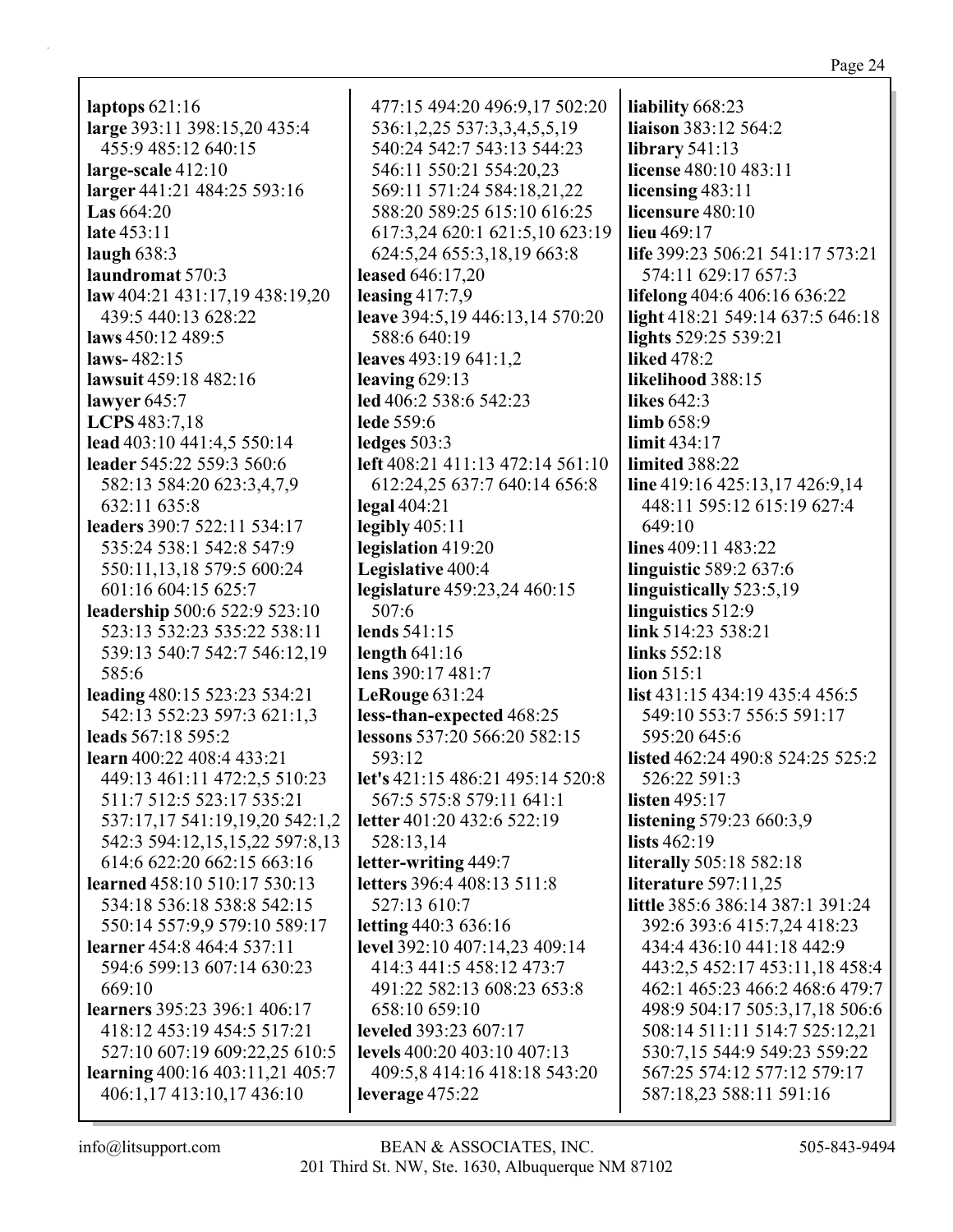| laptops $621:16$                     | 477:15 494:20 496:9,17 502:20    | liability 668:23                      |
|--------------------------------------|----------------------------------|---------------------------------------|
| large 393:11 398:15,20 435:4         | 536:1,2,25 537:3,3,4,5,5,19      | liaison 383:12 564:2                  |
| 455:9 485:12 640:15                  | 540:24 542:7 543:13 544:23       | library $541:13$                      |
| large-scale $412:10$                 | 546:11 550:21 554:20,23          | license 480:10 483:11                 |
| larger 441:21 484:25 593:16          | 569:11 571:24 584:18,21,22       | licensing $483:11$                    |
| <b>Las</b> $664:20$                  | 588:20 589:25 615:10 616:25      | licensure 480:10                      |
| late 453:11                          | 617:3,24 620:1 621:5,10 623:19   | lieu 469:17                           |
| laugh $638:3$                        | 624:5,24 655:3,18,19 663:8       | life 399:23 506:21 541:17 573:21      |
| laundromat 570:3                     | leased 646:17,20                 | 574:11 629:17 657:3                   |
| law $404:21$ $431:17,19$ $438:19,20$ | leasing $417:7,9$                | lifelong 404:6 406:16 636:22          |
| 439:5 440:13 628:22                  | leave 394:5,19 446:13,14 570:20  | light 418:21 549:14 637:5 646:18      |
| laws 450:12 489:5                    | 588:6 640:19                     | lights 529:25 539:21                  |
| laws- $482:15$                       | leaves $493:19641:1,2$           | <b>liked</b> 478:2                    |
| lawsuit 459:18 482:16                | leaving $629:13$                 | likelihood 388:15                     |
| lawyer $645:7$                       | led 406:2 538:6 542:23           | likes $642:3$                         |
| LCPS 483:7,18                        | <b>lede</b> 559:6                | limb 658:9                            |
| lead 403:10 441:4,5 550:14           | ledges $503:3$                   | limit $434:17$                        |
| leader 545:22 559:3 560:6            | left 408:21 411:13 472:14 561:10 | limited 388:22                        |
| 582:13 584:20 623:3,4,7,9            | 612:24,25 637:7 640:14 656:8     | line 419:16 425:13,17 426:9,14        |
| 632:11 635:8                         | $\text{legal }404:21$            | 448:11 595:12 615:19 627:4            |
| leaders 390:7 522:11 534:17          | legibly $405:11$                 | 649:10                                |
| 535:24 538:1 542:8 547:9             | legislation 419:20               | lines 409:11 483:22                   |
| 550:11,13,18 579:5 600:24            | Legislative 400:4                | linguistic 589:2 637:6                |
| 601:16 604:15 625:7                  | legislature 459:23,24 460:15     | linguistically 523:5,19               |
| leadership 500:6 522:9 523:10        | 507:6                            | linguistics 512:9                     |
| 523:13 532:23 535:22 538:11          | lends 541:15                     | link 514:23 538:21                    |
| 539:13 540:7 542:7 546:12,19         | length $641:16$                  | links 552:18                          |
| 585:6                                | lens 390:17 481:7                | $\lim 515:1$                          |
| leading 480:15 523:23 534:21         | LeRouge $631:24$                 | <b>list</b> 431:15 434:19 435:4 456:5 |
| 542:13 552:23 597:3 621:1,3          | less-than-expected 468:25        | 549:10 553:7 556:5 591:17             |
| leads 567:18 595:2                   | lessons 537:20 566:20 582:15     | 595:20 645:6                          |
| learn 400:22 408:4 433:21            | 593:12                           | listed 462:24 490:8 524:25 525:2      |
| 449:13 461:11 472:2,5 510:23         | let's 421:15 486:21 495:14 520:8 | 526:22 591:3                          |
| 511:7 512:5 523:17 535:21            | 567:5 575:8 579:11 641:1         | listen 495:17                         |
| 537:17,17 541:19,19,20 542:1,2       | letter 401:20 432:6 522:19       | listening 579:23 660:3,9              |
| 542:3 594:12,15,15,22 597:8,13       | 528:13,14                        | lists $462:19$                        |
| 614:6 622:20 662:15 663:16           | letter-writing 449:7             | <b>literally</b> 505:18 582:18        |
| learned 458:10 510:17 530:13         | letters 396:4 408:13 511:8       | <b>literature</b> 597:11,25           |
| 534:18 536:18 538:8 542:15           | 527:13 610:7                     | little 385:6 386:14 387:1 391:24      |
| 550:14 557:9,9 579:10 589:17         | letting 440:3 636:16             | 392:6 393:6 415:7,24 418:23           |
| learner 454:8 464:4 537:11           | level 392:10 407:14,23 409:14    | 434:4 436:10 441:18 442:9             |
| 594:6 599:13 607:14 630:23           | 414:3 441:5 458:12 473:7         | 443:2,5 452:17 453:11,18 458:4        |
| 669:10                               | 491:22 582:13 608:23 653:8       | 462:1 465:23 466:2 468:6 479:7        |
| learners 395:23 396:1 406:17         | 658:10 659:10                    | 498:9 504:17 505:3,17,18 506:6        |
| 418:12 453:19 454:5 517:21           | leveled 393:23 607:17            | 508:14 511:11 514:7 525:12,21         |
| 527:10 607:19 609:22,25 610:5        | levels 400:20 403:10 407:13      | 530:7,15 544:9 549:23 559:22          |
| learning 400:16 403:11,21 405:7      | 409:5,8 414:16 418:18 543:20     | 567:25 574:12 577:12 579:17           |
| 406:1,17 413:10,17 436:10            | leverage 475:22                  | 587:18,23 588:11 591:16               |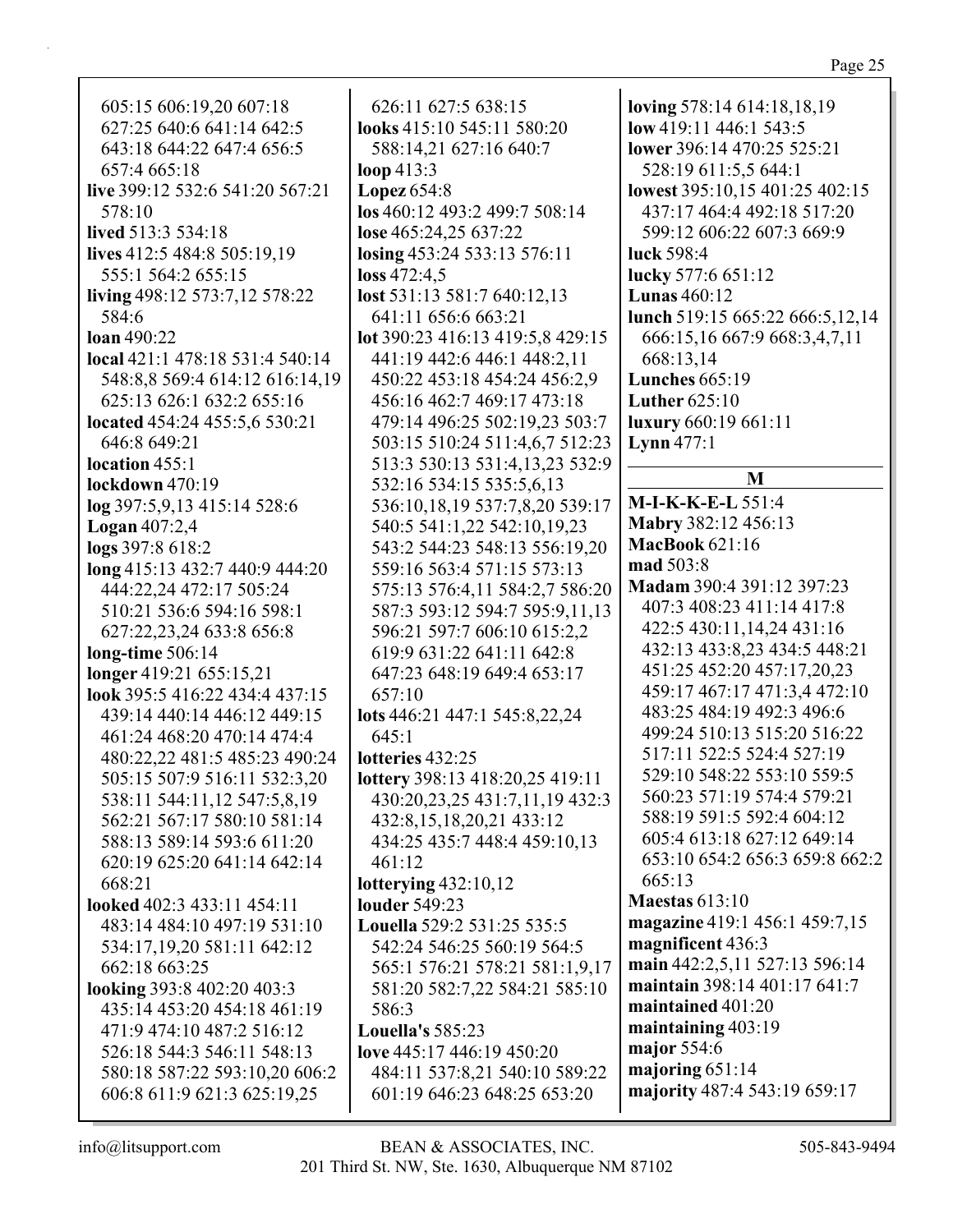605:15 606:19,20 607:18 627:25 640:6 641:14 642:5 643:18 644:22 647:4 656:5 657:4 665:18 **live** 399:12 532:6 541:20 567:21 578:10 **lived** 513:3 534:18 **lives** 412:5 484:8 505:19,19 555:1 564:2 655:15 **living** 498:12 573:7,12 578:22 584:6 **loan** 490:22 **local** 421:1 478:18 531:4 540:14 548:8,8 569:4 614:12 616:14,19 625:13 626:1 632:2 655:16 **located** 454:24 455:5,6 530:21 646:8 649:21 **location** 455:1 **lockdown** 470:19 **log** 397:5,9,13 415:14 528:6 **Logan** 407:2,4 **logs** 397:8 618:2 **long** 415:13 432:7 440:9 444:20 444:22,24 472:17 505:24 510:21 536:6 594:16 598:1 627:22,23,24 633:8 656:8 **long-time** 506:14 **longer** 419:21 655:15,21 **look** 395:5 416:22 434:4 437:15 439:14 440:14 446:12 449:15 461:24 468:20 470:14 474:4 480:22,22 481:5 485:23 490:24 505:15 507:9 516:11 532:3,20 538:11 544:11,12 547:5,8,19 562:21 567:17 580:10 581:14 588:13 589:14 593:6 611:20 620:19 625:20 641:14 642:14 668:21 **looked** 402:3 433:11 454:11 483:14 484:10 497:19 531:10 534:17,19,20 581:11 642:12 662:18 663:25 **looking** 393:8 402:20 403:3 435:14 453:20 454:18 461:19 471:9 474:10 487:2 516:12 526:18 544:3 546:11 548:13 580:18 587:22 593:10,20 606:2

626:11 627:5 638:15 **looks** 415:10 545:11 580:20 588:14,21 627:16 640:7 **loop** 413:3 **Lopez** 654:8 **los** 460:12 493:2 499:7 508:14 **lose** 465:24,25 637:22 **losing** 453:24 533:13 576:11 **loss** 472:4,5 **lost** 531:13 581:7 640:12,13 641:11 656:6 663:21 **lot** 390:23 416:13 419:5,8 429:15 441:19 442:6 446:1 448:2,11 450:22 453:18 454:24 456:2,9 456:16 462:7 469:17 473:18 479:14 496:25 502:19,23 503:7 503:15 510:24 511:4,6,7 512:23 513:3 530:13 531:4,13,23 532:9 532:16 534:15 535:5,6,13 536:10,18,19 537:7,8,20 539:17 540:5 541:1,22 542:10,19,23 543:2 544:23 548:13 556:19,20 559:16 563:4 571:15 573:13 575:13 576:4,11 584:2,7 586:20 587:3 593:12 594:7 595:9,11,13 596:21 597:7 606:10 615:2,2 619:9 631:22 641:11 642:8 647:23 648:19 649:4 653:17 657:10 **lots** 446:21 447:1 545:8,22,24 645:1 **lotteries** 432:25 **lottery** 398:13 418:20,25 419:11 430:20,23,25 431:7,11,19 432:3 432:8,15,18,20,21 433:12 434:25 435:7 448:4 459:10,13 461:12 **lotterying** 432:10,12 **louder** 549:23 **Louella** 529:2 531:25 535:5 542:24 546:25 560:19 564:5 565:1 576:21 578:21 581:1,9,17 581:20 582:7,22 584:21 585:10 586:3 **Louella's** 585:23 **love** 445:17 446:19 450:20 484:11 537:8,21 540:10 589:22

**loving** 578:14 614:18,18,19 **low** 419:11 446:1 543:5 **lower** 396:14 470:25 525:21 528:19 611:5,5 644:1 **lowest** 395:10,15 401:25 402:15 437:17 464:4 492:18 517:20 599:12 606:22 607:3 669:9 **luck** 598:4 **lucky** 577:6 651:12 **Lunas** 460:12 **lunch** 519:15 665:22 666:5,12,14 666:15,16 667:9 668:3,4,7,11 668:13,14 **Lunches** 665:19 **Luther** 625:10 **luxury** 660:19 661:11 **Lynn** 477:1 **M M-I-K-K-E-L** 551:4 **Mabry** 382:12 456:13 **MacBook** 621:16 **mad** 503:8 **Madam** 390:4 391:12 397:23 407:3 408:23 411:14 417:8 422:5 430:11,14,24 431:16 432:13 433:8,23 434:5 448:21 451:25 452:20 457:17,20,23 459:17 467:17 471:3,4 472:10 483:25 484:19 492:3 496:6 499:24 510:13 515:20 516:22 517:11 522:5 524:4 527:19 529:10 548:22 553:10 559:5 560:23 571:19 574:4 579:21 588:19 591:5 592:4 604:12 605:4 613:18 627:12 649:14 653:10 654:2 656:3 659:8 662:2 665:13 **Maestas** 613:10 **magazine** 419:1 456:1 459:7,15 **magnificent** 436:3 **main** 442:2,5,11 527:13 596:14 **maintain** 398:14 401:17 641:7 **maintained** 401:20 **maintaining** 403:19 **major** 554:6 **majoring** 651:14 **majority** 487:4 543:19 659:17

606:8 611:9 621:3 625:19,25

601:19 646:23 648:25 653:20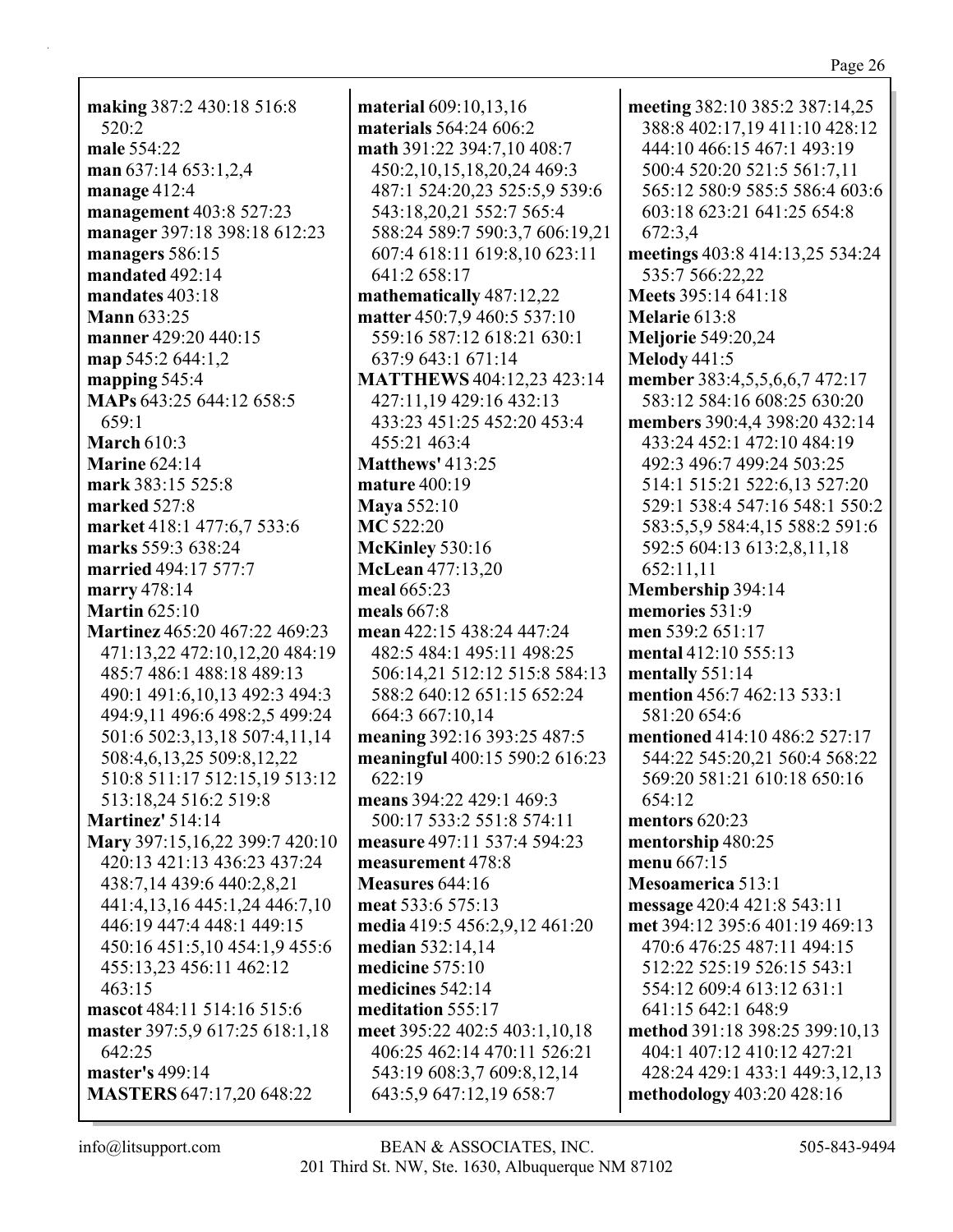**making** 387:2 430:18 516:8 520:2 **male** 554:22 **man** 637:14 653:1,2,4 **manage** 412:4 **management** 403:8 527:23 **manager** 397:18 398:18 612:23 **managers** 586:15 **mandated** 492:14 **mandates** 403:18 **Mann** 633:25 **manner** 429:20 440:15 **map** 545:2 644:1,2 **mapping** 545:4 **MAPs** 643:25 644:12 658:5 659:1 **March** 610:3 **Marine** 624:14 **mark** 383:15 525:8 **marked** 527:8 **market** 418:1 477:6,7 533:6 **marks** 559:3 638:24 **married** 494:17 577:7 **marry** 478:14 **Martin** 625:10 **Martinez** 465:20 467:22 469:23 471:13,22 472:10,12,20 484:19 485:7 486:1 488:18 489:13 490:1 491:6,10,13 492:3 494:3 494:9,11 496:6 498:2,5 499:24 501:6 502:3,13,18 507:4,11,14 508:4,6,13,25 509:8,12,22 510:8 511:17 512:15,19 513:12 513:18,24 516:2 519:8 **Martinez'** 514:14 **Mary** 397:15,16,22 399:7 420:10 420:13 421:13 436:23 437:24 438:7,14 439:6 440:2,8,21 441:4,13,16 445:1,24 446:7,10 446:19 447:4 448:1 449:15 450:16 451:5,10 454:1,9 455:6 455:13,23 456:11 462:12 463:15 **mascot** 484:11 514:16 515:6 **master** 397:5,9 617:25 618:1,18 642:25 **master's** 499:14 **MASTERS** 647:17,20 648:22

**material** 609:10,13,16 **materials** 564:24 606:2 **math** 391:22 394:7,10 408:7 450:2,10,15,18,20,24 469:3 487:1 524:20,23 525:5,9 539:6 543:18,20,21 552:7 565:4 588:24 589:7 590:3,7 606:19,21 607:4 618:11 619:8,10 623:11 641:2 658:17 **mathematically** 487:12,22 **matter** 450:7,9 460:5 537:10 559:16 587:12 618:21 630:1 637:9 643:1 671:14 **MATTHEWS** 404:12,23 423:14 427:11,19 429:16 432:13 433:23 451:25 452:20 453:4 455:21 463:4 **Matthews'** 413:25 **mature** 400:19 **Maya** 552:10 **MC** 522:20 **McKinley** 530:16 **McLean** 477:13,20 **meal** 665:23 **meals** 667:8 **mean** 422:15 438:24 447:24 482:5 484:1 495:11 498:25 506:14,21 512:12 515:8 584:13 588:2 640:12 651:15 652:24 664:3 667:10,14 **meaning** 392:16 393:25 487:5 **meaningful** 400:15 590:2 616:23 622:19 **means** 394:22 429:1 469:3 500:17 533:2 551:8 574:11 **measure** 497:11 537:4 594:23 **measurement** 478:8 **Measures** 644:16 **meat** 533:6 575:13 **media** 419:5 456:2,9,12 461:20 **median** 532:14,14 **medicine** 575:10 **medicines** 542:14 **meditation** 555:17 **meet** 395:22 402:5 403:1,10,18 406:25 462:14 470:11 526:21 543:19 608:3,7 609:8,12,14 643:5,9 647:12,19 658:7

**meeting** 382:10 385:2 387:14,25 388:8 402:17,19 411:10 428:12 444:10 466:15 467:1 493:19 500:4 520:20 521:5 561:7,11 565:12 580:9 585:5 586:4 603:6 603:18 623:21 641:25 654:8 672:3,4 **meetings** 403:8 414:13,25 534:24 535:7 566:22,22 **Meets** 395:14 641:18 **Melarie** 613:8 **Meljorie** 549:20,24 **Melody** 441:5 **member** 383:4,5,5,6,6,7 472:17 583:12 584:16 608:25 630:20 **members** 390:4,4 398:20 432:14 433:24 452:1 472:10 484:19 492:3 496:7 499:24 503:25 514:1 515:21 522:6,13 527:20 529:1 538:4 547:16 548:1 550:2 583:5,5,9 584:4,15 588:2 591:6 592:5 604:13 613:2,8,11,18 652:11,11 **Membership** 394:14 **memories** 531:9 **men** 539:2 651:17 **mental** 412:10 555:13 **mentally** 551:14 **mention** 456:7 462:13 533:1 581:20 654:6 **mentioned** 414:10 486:2 527:17 544:22 545:20,21 560:4 568:22 569:20 581:21 610:18 650:16 654:12 **mentors** 620:23 **mentorship** 480:25 **menu** 667:15 **Mesoamerica** 513:1 **message** 420:4 421:8 543:11 **met** 394:12 395:6 401:19 469:13 470:6 476:25 487:11 494:15 512:22 525:19 526:15 543:1 554:12 609:4 613:12 631:1 641:15 642:1 648:9 **method** 391:18 398:25 399:10,13 404:1 407:12 410:12 427:21 428:24 429:1 433:1 449:3,12,13 **methodology** 403:20 428:16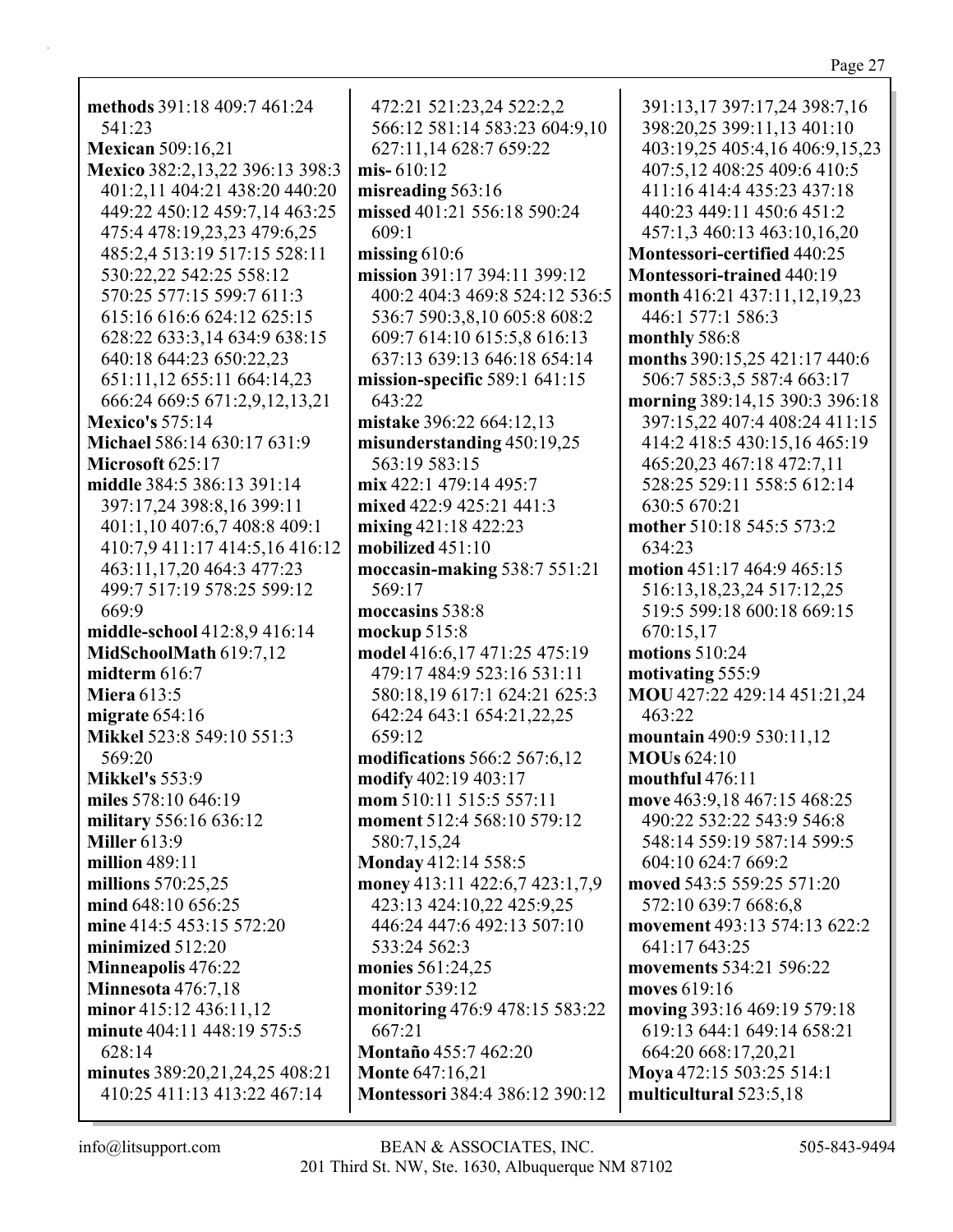| methods 391:18 409:7 461:24                   |        |
|-----------------------------------------------|--------|
| 541:23                                        |        |
| <b>Mexican</b> 509:16,21                      |        |
| Mexico 382:2,13,22 396:13 398:3               | m      |
| 401:2,11 404:21 438:20 440:20                 | m      |
| 449:22 450:12 459:7,14 463:25                 | m      |
| 475:4 478:19,23,23 479:6,25                   |        |
| 485:2,4 513:19 517:15 528:11                  | m      |
| 530:22,22 542:25 558:12                       | m      |
| 570:25 577:15 599:7 611:3                     |        |
| 615:16 616:6 624:12 625:15                    |        |
| 628:22 633:3,14 634:9 638:15                  |        |
| 640:18 644:23 650:22,23                       |        |
| 651:11,12 655:11 664:14,23                    | m      |
| 666:24 669:5 671:2,9,12,13,21                 |        |
| <b>Mexico's 575:14</b>                        | m      |
| Michael 586:14 630:17 631:9                   | m      |
| Microsoft 625:17                              |        |
| middle 384:5 386:13 391:14                    | m      |
| 397:17,24 398:8,16 399:11                     | m      |
| 401:1,10 407:6,7 408:8 409:1                  | m      |
| 410:7,9 411:17 414:5,16 416:12                | m      |
| 463:11,17,20 464:3 477:23                     | m      |
| 499:7 517:19 578:25 599:12                    |        |
| 669:9                                         | m      |
| middle-school 412:8,9 416:14                  | m      |
| MidSchoolMath 619:7,12                        | m      |
| midterm 616:7                                 |        |
| <b>Miera 613:5</b>                            |        |
| migrate $654:16$<br>Mikkel 523:8 549:10 551:3 |        |
| 569:20                                        |        |
| <b>Mikkel's</b> 553:9                         | m      |
| miles 578:10 646:19                           | m      |
| military 556:16 636:12                        | m<br>m |
| <b>Miller</b> 613:9                           |        |
| million 489:11                                | M      |
| millions 570:25,25                            | m      |
| mind 648:10 656:25                            |        |
| mine 414:5 453:15 572:20                      |        |
| minimized 512:20                              |        |
| <b>Minneapolis 476:22</b>                     | m      |
| <b>Minnesota</b> 476:7,18                     | m      |
| minor 415:12 436:11,12                        | m      |
| minute 404:11 448:19 575:5                    |        |
| 628:14                                        | M      |
| minutes 389:20,21,24,25 408:21                | M      |
| 410:25 411:13 413:22 467:14                   | M      |
|                                               |        |

472:21 521:23,24 522:2,2 566:12 581:14 583:23 604:9,10 627:11,14 628:7 659:22 **mis-** 610:12 **misreading** 563:16 **missed** 401:21 556:18 590:24 609:1 **missing** 610:6 **mission** 391:17 394:11 399:12 400:2 404:3 469:8 524:12 536:5 536:7 590:3,8,10 605:8 608:2 609:7 614:10 615:5,8 616:13 637:13 639:13 646:18 654:14 **mission-specific** 589:1 641:15 643:22 **mistake** 396:22 664:12,13 **misunderstanding** 450:19,25 563:19 583:15 **mix** 422:1 479:14 495:7 **mixed** 422:9 425:21 441:3 **mixing** 421:18 422:23 **mobilized** 451:10 **moccasin-making** 538:7 551:21 569:17 **moccasins** 538:8 **mockup** 515:8 **model** 416:6,17 471:25 475:19 479:17 484:9 523:16 531:11 580:18,19 617:1 624:21 625:3 642:24 643:1 654:21,22,25 659:12 **modifications** 566:2 567:6,12 **modify** 402:19 403:17 **mom** 510:11 515:5 557:11 **moment** 512:4 568:10 579:12 580:7,15,24 **Monday** 412:14 558:5 **money** 413:11 422:6,7 423:1,7,9 423:13 424:10,22 425:9,25 446:24 447:6 492:13 507:10 533:24 562:3 **monies** 561:24,25 **monitor** 539:12 **monitoring** 476:9 478:15 583:22 667:21 **Montaño** 455:7 462:20 **Monte** 647:16,21 **Montessori** 384:4 386:12 390:12

391:13,17 397:17,24 398:7,16 398:20,25 399:11,13 401:10 403:19,25 405:4,16 406:9,15,23 407:5,12 408:25 409:6 410:5 411:16 414:4 435:23 437:18 440:23 449:11 450:6 451:2 457:1,3 460:13 463:10,16,20 **Montessori-certified** 440:25 **Montessori-trained** 440:19 **month** 416:21 437:11,12,19,23 446:1 577:1 586:3 **monthly** 586:8 **months** 390:15,25 421:17 440:6 506:7 585:3,5 587:4 663:17 **morning** 389:14,15 390:3 396:18 397:15,22 407:4 408:24 411:15 414:2 418:5 430:15,16 465:19 465:20,23 467:18 472:7,11 528:25 529:11 558:5 612:14 630:5 670:21 **mother** 510:18 545:5 573:2 634:23 **motion** 451:17 464:9 465:15 516:13,18,23,24 517:12,25 519:5 599:18 600:18 669:15 670:15,17 **motions** 510:24 **motivating** 555:9 **MOU** 427:22 429:14 451:21,24 463:22 **mountain** 490:9 530:11,12 **MOUs** 624:10 **mouthful** 476:11 **move** 463:9,18 467:15 468:25 490:22 532:22 543:9 546:8 548:14 559:19 587:14 599:5 604:10 624:7 669:2 **moved** 543:5 559:25 571:20 572:10 639:7 668:6,8 **movement** 493:13 574:13 622:2 641:17 643:25 **movements** 534:21 596:22 **moves** 619:16 **moving** 393:16 469:19 579:18 619:13 644:1 649:14 658:21 664:20 668:17,20,21 **Moya** 472:15 503:25 514:1 **multicultural** 523:5,18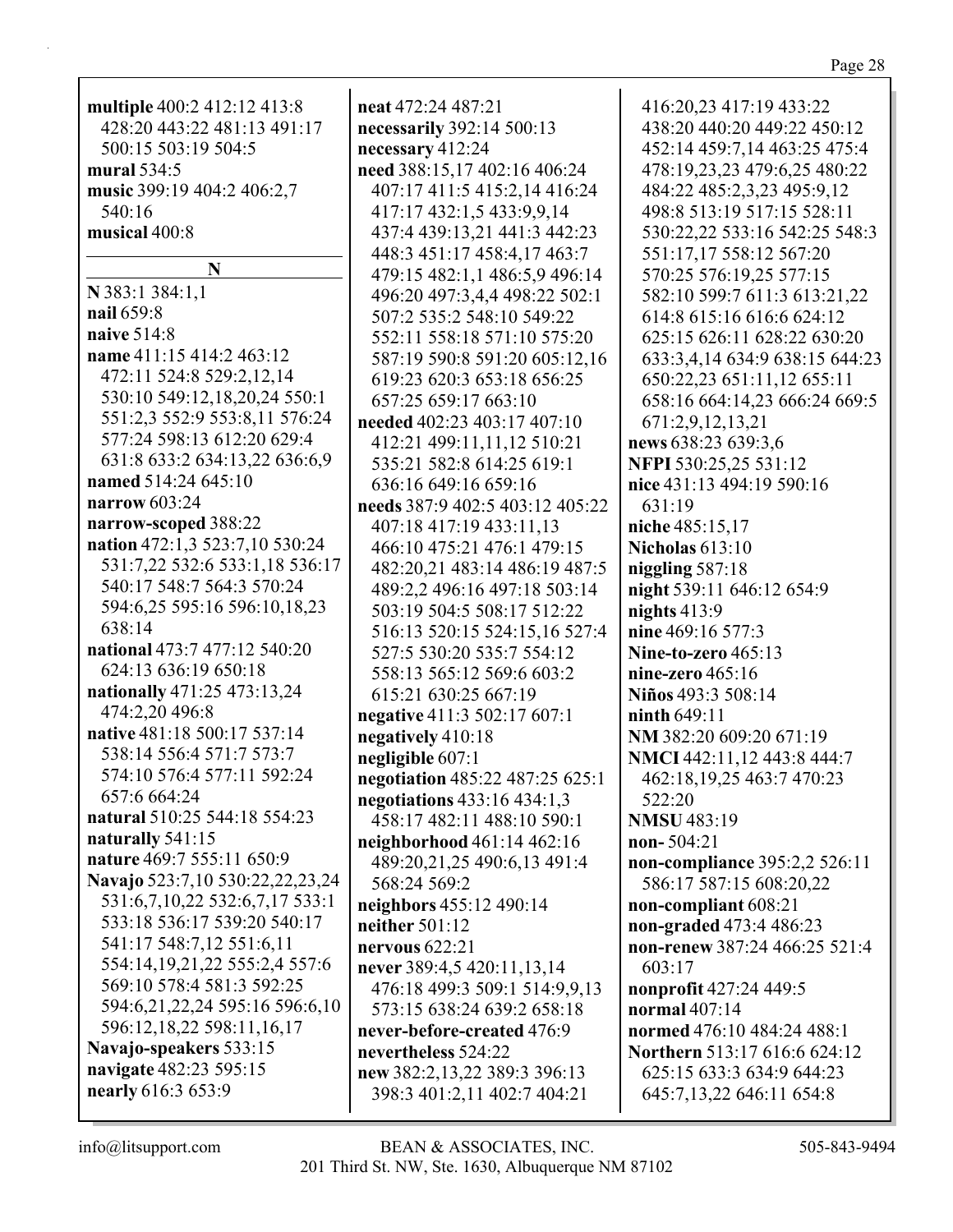| ⋷ |  |
|---|--|
|   |  |
|   |  |

| multiple 400:2 412:12 413:8     | neat 472:24 487:21                                         | 416:20,23 417:19 433:22        |
|---------------------------------|------------------------------------------------------------|--------------------------------|
| 428:20 443:22 481:13 491:17     | necessarily 392:14 500:13                                  | 438:20 440:20 449:22 450:12    |
| 500:15 503:19 504:5             | necessary 412:24                                           | 452:14 459:7,14 463:25 475:4   |
| mural 534:5                     | need 388:15,17 402:16 406:24                               | 478:19,23,23 479:6,25 480:22   |
| music 399:19 404:2 406:2,7      | 407:17 411:5 415:2,14 416:24                               | 484:22 485:2,3,23 495:9,12     |
| 540:16                          | 417:17 432:1,5 433:9,9,14                                  | 498:8 513:19 517:15 528:11     |
| musical 400:8                   | 437:4 439:13,21 441:3 442:23                               | 530:22,22 533:16 542:25 548:3  |
|                                 | 448:3 451:17 458:4,17 463:7                                | 551:17,17 558:12 567:20        |
| N                               | 479:15 482:1,1 486:5,9 496:14                              | 570:25 576:19,25 577:15        |
| N 383:1 384:1,1                 | 496:20 497:3,4,4 498:22 502:1                              | 582:10 599:7 611:3 613:21,22   |
| nail 659:8                      | 507:2 535:2 548:10 549:22                                  | 614:8 615:16 616:6 624:12      |
| naive 514:8                     | 552:11 558:18 571:10 575:20                                | 625:15 626:11 628:22 630:20    |
| name 411:15 414:2 463:12        | 587:19 590:8 591:20 605:12,16                              | 633:3,4,14 634:9 638:15 644:23 |
| 472:11 524:8 529:2,12,14        | 619:23 620:3 653:18 656:25                                 | 650:22,23 651:11,12 655:11     |
| 530:10 549:12,18,20,24 550:1    | 657:25 659:17 663:10                                       | 658:16 664:14,23 666:24 669:5  |
| 551:2,3 552:9 553:8,11 576:24   | needed 402:23 403:17 407:10                                | 671:2,9,12,13,21               |
| 577:24 598:13 612:20 629:4      | 412:21 499:11,11,12 510:21                                 | news 638:23 639:3,6            |
| 631:8 633:2 634:13,22 636:6,9   | 535:21 582:8 614:25 619:1                                  | NFPI 530:25,25 531:12          |
| named 514:24 645:10             | 636:16 649:16 659:16                                       | nice 431:13 494:19 590:16      |
| narrow 603:24                   | needs 387:9 402:5 403:12 405:22                            | 631:19                         |
| narrow-scoped 388:22            | 407:18 417:19 433:11,13                                    | niche 485:15,17                |
| nation 472:1,3 523:7,10 530:24  | 466:10 475:21 476:1 479:15                                 | <b>Nicholas 613:10</b>         |
| 531:7,22 532:6 533:1,18 536:17  | 482:20,21 483:14 486:19 487:5                              | niggling $587:18$              |
| 540:17 548:7 564:3 570:24       | 489:2,2 496:16 497:18 503:14                               | night 539:11 646:12 654:9      |
| 594:6,25 595:16 596:10,18,23    | 503:19 504:5 508:17 512:22                                 | nights $413:9$                 |
| 638:14                          |                                                            | nine 469:16 577:3              |
| national 473:7 477:12 540:20    | 516:13 520:15 524:15,16 527:4<br>527:5 530:20 535:7 554:12 | Nine-to-zero 465:13            |
| 624:13 636:19 650:18            |                                                            |                                |
| nationally 471:25 473:13,24     | 558:13 565:12 569:6 603:2                                  | nine-zero $465:16$             |
| 474:2,20 496:8                  | 615:21 630:25 667:19                                       | Niños 493:3 508:14             |
| native 481:18 500:17 537:14     | negative 411:3 502:17 607:1                                | <b>ninth 649:11</b>            |
| 538:14 556:4 571:7 573:7        | negatively 410:18                                          | NM 382:20 609:20 671:19        |
| 574:10 576:4 577:11 592:24      | negligible 607:1                                           | NMCI 442:11,12 443:8 444:7     |
| 657:6 664:24                    | negotiation 485:22 487:25 625:1                            | 462:18,19,25 463:7 470:23      |
| natural 510:25 544:18 554:23    | negotiations 433:16 434:1,3                                | 522:20                         |
| naturally 541:15                | 458:17 482:11 488:10 590:1                                 | <b>NMSU 483:19</b>             |
| nature 469:7 555:11 650:9       | neighborhood 461:14 462:16                                 | $non-504:21$                   |
| Navajo 523:7,10 530:22,22,23,24 | 489:20,21,25 490:6,13 491:4                                | non-compliance 395:2,2 526:11  |
| 531:6,7,10,22 532:6,7,17 533:1  | 568:24 569:2                                               | 586:17 587:15 608:20,22        |
| 533:18 536:17 539:20 540:17     | neighbors 455:12 490:14                                    | non-compliant 608:21           |
|                                 | neither $501:12$                                           | non-graded 473:4 486:23        |
| 541:17 548:7,12 551:6,11        | nervous $622:21$                                           | non-renew 387:24 466:25 521:4  |
| 554:14,19,21,22 555:2,4 557:6   | never 389:4,5 420:11,13,14                                 | 603:17                         |
| 569:10 578:4 581:3 592:25       | 476:18 499:3 509:1 514:9,9,13                              | nonprofit 427:24 449:5         |
| 594:6,21,22,24 595:16 596:6,10  | 573:15 638:24 639:2 658:18                                 | normal 407:14                  |
| 596:12,18,22 598:11,16,17       | never-before-created 476:9                                 | normed 476:10 484:24 488:1     |
| Navajo-speakers 533:15          | nevertheless 524:22                                        | Northern 513:17 616:6 624:12   |
| navigate 482:23 595:15          | new 382:2,13,22 389:3 396:13                               | 625:15 633:3 634:9 644:23      |
| nearly 616:3 653:9              | 398:3 401:2,11 402:7 404:21                                | 645:7,13,22 646:11 654:8       |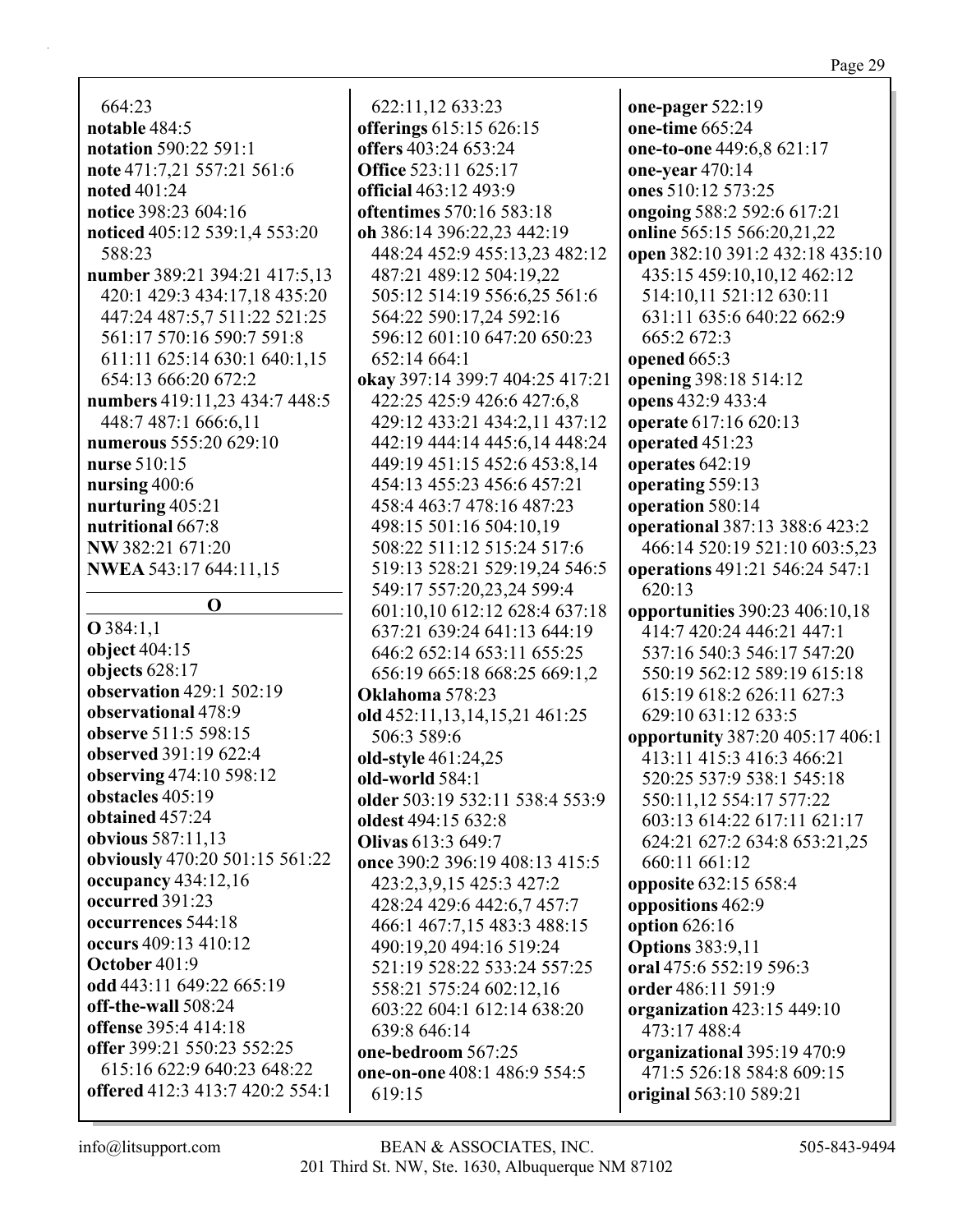664:23 **notable** 484:5 **notation** 590:22 591:1 **note** 471:7,21 557:21 561:6 **noted** 401:24 **notice** 398:23 604:16 **noticed** 405:12 539:1,4 553:20 588:23 **number** 389:21 394:21 417:5,13 420:1 429:3 434:17,18 435:20 447:24 487:5,7 511:22 521:25 561:17 570:16 590:7 591:8 611:11 625:14 630:1 640:1,15 654:13 666:20 672:2 **numbers** 419:11,23 434:7 448:5 448:7 487:1 666:6,11 **numerous** 555:20 629:10 **nurse** 510:15 **nursing** 400:6 **nurturing** 405:21 **nutritional** 667:8 **NW** 382:21 671:20 **NWEA** 543:17 644:11,15

**O**

**O** 384:1,1 **object** 404:15 **objects** 628:17 **observation** 429:1 502:19 **observational** 478:9 **observe** 511:5 598:15 **observed** 391:19 622:4 **observing** 474:10 598:12 **obstacles** 405:19 **obtained** 457:24 **obvious** 587:11,13 **obviously** 470:20 501:15 561:22 **occupancy** 434:12,16 **occurred** 391:23 **occurrences** 544:18 **occurs** 409:13 410:12 **October** 401:9 **odd** 443:11 649:22 665:19 **off-the-wall** 508:24 **offense** 395:4 414:18 **offer** 399:21 550:23 552:25 615:16 622:9 640:23 648:22 **offered** 412:3 413:7 420:2 554:1

622:11,12 633:23 **offerings** 615:15 626:15 **offers** 403:24 653:24 **Office** 523:11 625:17 **official** 463:12 493:9 **oftentimes** 570:16 583:18 **oh** 386:14 396:22,23 442:19 448:24 452:9 455:13,23 482:12 487:21 489:12 504:19,22 505:12 514:19 556:6,25 561:6 564:22 590:17,24 592:16 596:12 601:10 647:20 650:23 652:14 664:1 **okay** 397:14 399:7 404:25 417:21 422:25 425:9 426:6 427:6,8 429:12 433:21 434:2,11 437:12 442:19 444:14 445:6,14 448:24 449:19 451:15 452:6 453:8,14 454:13 455:23 456:6 457:21 458:4 463:7 478:16 487:23 498:15 501:16 504:10,19 508:22 511:12 515:24 517:6 519:13 528:21 529:19,24 546:5 549:17 557:20,23,24 599:4 601:10,10 612:12 628:4 637:18 637:21 639:24 641:13 644:19 646:2 652:14 653:11 655:25 656:19 665:18 668:25 669:1,2 **Oklahoma** 578:23 **old** 452:11,13,14,15,21 461:25 506:3 589:6 **old-style** 461:24,25 **old-world** 584:1 **older** 503:19 532:11 538:4 553:9 **oldest** 494:15 632:8 **Olivas** 613:3 649:7 **once** 390:2 396:19 408:13 415:5 423:2,3,9,15 425:3 427:2 428:24 429:6 442:6,7 457:7 466:1 467:7,15 483:3 488:15 490:19,20 494:16 519:24 521:19 528:22 533:24 557:25 558:21 575:24 602:12,16 603:22 604:1 612:14 638:20 639:8 646:14 **one-bedroom** 567:25 **one-on-one** 408:1 486:9 554:5 619:15

**one-pager** 522:19 **one-time** 665:24 **one-to-one** 449:6,8 621:17 **one-year** 470:14 **ones** 510:12 573:25 **ongoing** 588:2 592:6 617:21 **online** 565:15 566:20,21,22 **open** 382:10 391:2 432:18 435:10 435:15 459:10,10,12 462:12 514:10,11 521:12 630:11 631:11 635:6 640:22 662:9 665:2 672:3 **opened** 665:3 **opening** 398:18 514:12 **opens** 432:9 433:4 **operate** 617:16 620:13 **operated** 451:23 **operates** 642:19 **operating** 559:13 **operation** 580:14 **operational** 387:13 388:6 423:2 466:14 520:19 521:10 603:5,23 **operations** 491:21 546:24 547:1 620:13 **opportunities** 390:23 406:10,18 414:7 420:24 446:21 447:1 537:16 540:3 546:17 547:20 550:19 562:12 589:19 615:18 615:19 618:2 626:11 627:3 629:10 631:12 633:5 **opportunity** 387:20 405:17 406:1 413:11 415:3 416:3 466:21 520:25 537:9 538:1 545:18 550:11,12 554:17 577:22 603:13 614:22 617:11 621:17 624:21 627:2 634:8 653:21,25 660:11 661:12 **opposite** 632:15 658:4 **oppositions** 462:9 **option** 626:16 **Options** 383:9,11 **oral** 475:6 552:19 596:3 **order** 486:11 591:9 **organization** 423:15 449:10 473:17 488:4 **organizational** 395:19 470:9 471:5 526:18 584:8 609:15 **original** 563:10 589:21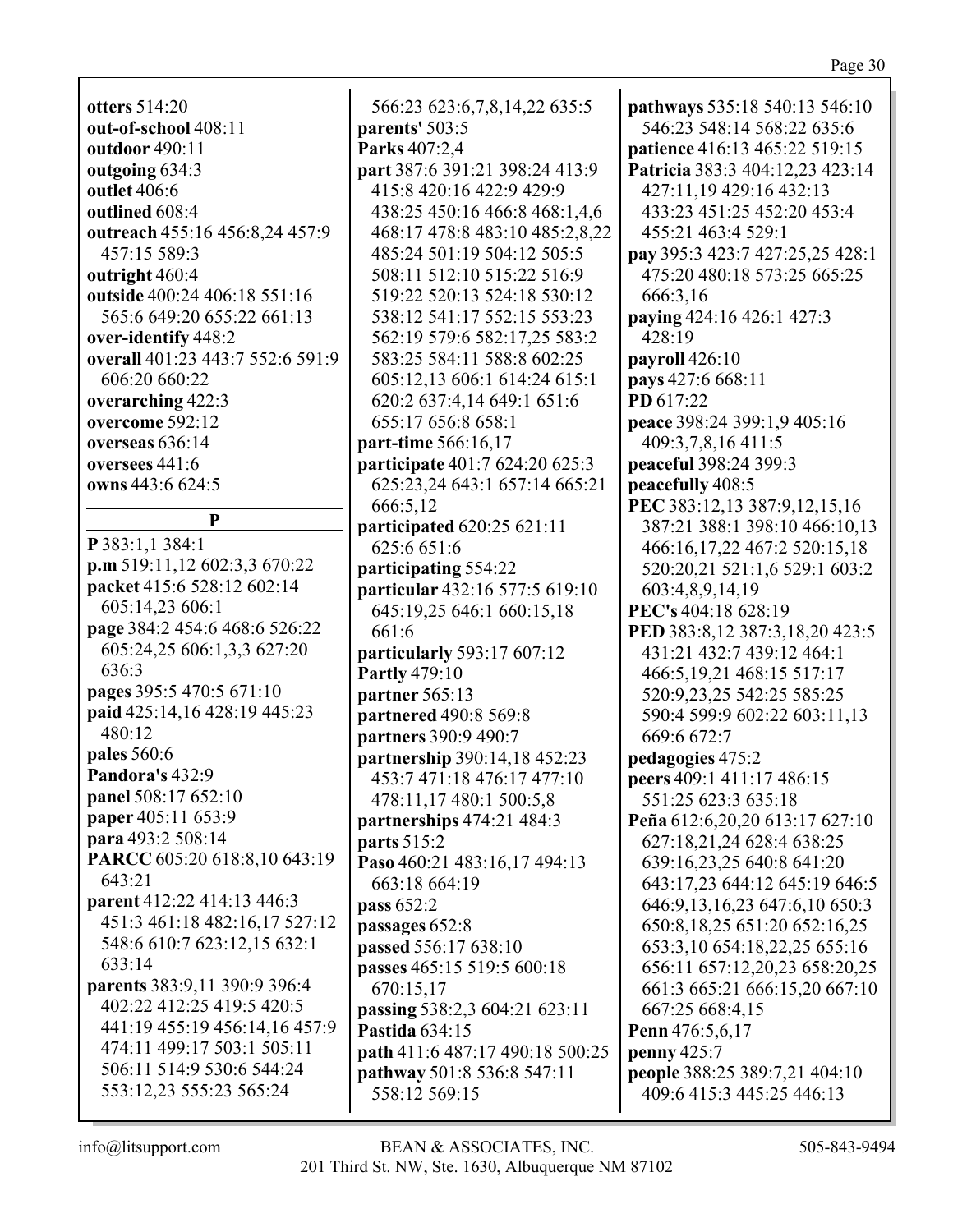**otters** 514:20 **out-of-school** 408:11 **outdoor** 490:11 **outgoing** 634:3 **outlet** 406:6 **outlined** 608:4 **outreach** 455:16 456:8,24 457:9 457:15 589:3 **outright** 460:4 **outside** 400:24 406:18 551:16 565:6 649:20 655:22 661:13 **over-identify** 448:2 **overall** 401:23 443:7 552:6 591:9 606:20 660:22 **overarching** 422:3 **overcome** 592:12 **overseas** 636:14 **oversees** 441:6 **owns** 443:6 624:5 **P P** 383:1,1 384:1 **p.m** 519:11,12 602:3,3 670:22 **packet** 415:6 528:12 602:14 605:14,23 606:1 **page** 384:2 454:6 468:6 526:22 605:24,25 606:1,3,3 627:20 636:3 **pages** 395:5 470:5 671:10 **paid** 425:14,16 428:19 445:23 480:12 **pales** 560:6 **Pandora's** 432:9 **panel** 508:17 652:10 **paper** 405:11 653:9 **para** 493:2 508:14 **PARCC** 605:20 618:8,10 643:19 643:21 **parent** 412:22 414:13 446:3 451:3 461:18 482:16,17 527:12 548:6 610:7 623:12,15 632:1 633:14 **parents** 383:9,11 390:9 396:4 402:22 412:25 419:5 420:5 441:19 455:19 456:14,16 457:9 474:11 499:17 503:1 505:11 506:11 514:9 530:6 544:24 553:12,23 555:23 565:24

566:23 623:6,7,8,14,22 635:5 **parents'** 503:5 **Parks** 407:2,4 **part** 387:6 391:21 398:24 413:9 415:8 420:16 422:9 429:9 438:25 450:16 466:8 468:1,4,6 468:17 478:8 483:10 485:2,8,22 485:24 501:19 504:12 505:5 508:11 512:10 515:22 516:9 519:22 520:13 524:18 530:12 538:12 541:17 552:15 553:23 562:19 579:6 582:17,25 583:2 583:25 584:11 588:8 602:25 605:12,13 606:1 614:24 615:1 620:2 637:4,14 649:1 651:6 655:17 656:8 658:1 **part-time** 566:16,17 **participate** 401:7 624:20 625:3 625:23,24 643:1 657:14 665:21 666:5,12 **participated** 620:25 621:11 625:6 651:6 **participating** 554:22 **particular** 432:16 577:5 619:10 645:19,25 646:1 660:15,18 661:6 **particularly** 593:17 607:12 **Partly** 479:10 **partner** 565:13 **partnered** 490:8 569:8 **partners** 390:9 490:7 **partnership** 390:14,18 452:23 453:7 471:18 476:17 477:10 478:11,17 480:1 500:5,8 **partnerships** 474:21 484:3 **parts** 515:2 **Paso** 460:21 483:16,17 494:13 663:18 664:19 **pass** 652:2 **passages** 652:8 **passed** 556:17 638:10 **passes** 465:15 519:5 600:18 670:15,17 **passing** 538:2,3 604:21 623:11 **Pastida** 634:15 **path** 411:6 487:17 490:18 500:25 **pathway** 501:8 536:8 547:11 558:12 569:15

**pathways** 535:18 540:13 546:10 546:23 548:14 568:22 635:6 **patience** 416:13 465:22 519:15 **Patricia** 383:3 404:12,23 423:14 427:11,19 429:16 432:13 433:23 451:25 452:20 453:4 455:21 463:4 529:1 **pay** 395:3 423:7 427:25,25 428:1 475:20 480:18 573:25 665:25 666:3,16 **paying** 424:16 426:1 427:3 428:19 **payroll** 426:10 **pays** 427:6 668:11 **PD** 617:22 **peace** 398:24 399:1,9 405:16 409:3,7,8,16 411:5 **peaceful** 398:24 399:3 **peacefully** 408:5 **PEC** 383:12,13 387:9,12,15,16 387:21 388:1 398:10 466:10,13 466:16,17,22 467:2 520:15,18 520:20,21 521:1,6 529:1 603:2 603:4,8,9,14,19 **PEC's** 404:18 628:19 **PED** 383:8,12 387:3,18,20 423:5 431:21 432:7 439:12 464:1 466:5,19,21 468:15 517:17 520:9,23,25 542:25 585:25 590:4 599:9 602:22 603:11,13 669:6 672:7 **pedagogies** 475:2 **peers** 409:1 411:17 486:15 551:25 623:3 635:18 **Peña** 612:6,20,20 613:17 627:10 627:18,21,24 628:4 638:25 639:16,23,25 640:8 641:20 643:17,23 644:12 645:19 646:5 646:9,13,16,23 647:6,10 650:3 650:8,18,25 651:20 652:16,25 653:3,10 654:18,22,25 655:16 656:11 657:12,20,23 658:20,25 661:3 665:21 666:15,20 667:10 667:25 668:4,15 **Penn** 476:5,6,17 **penny** 425:7 **people** 388:25 389:7,21 404:10 409:6 415:3 445:25 446:13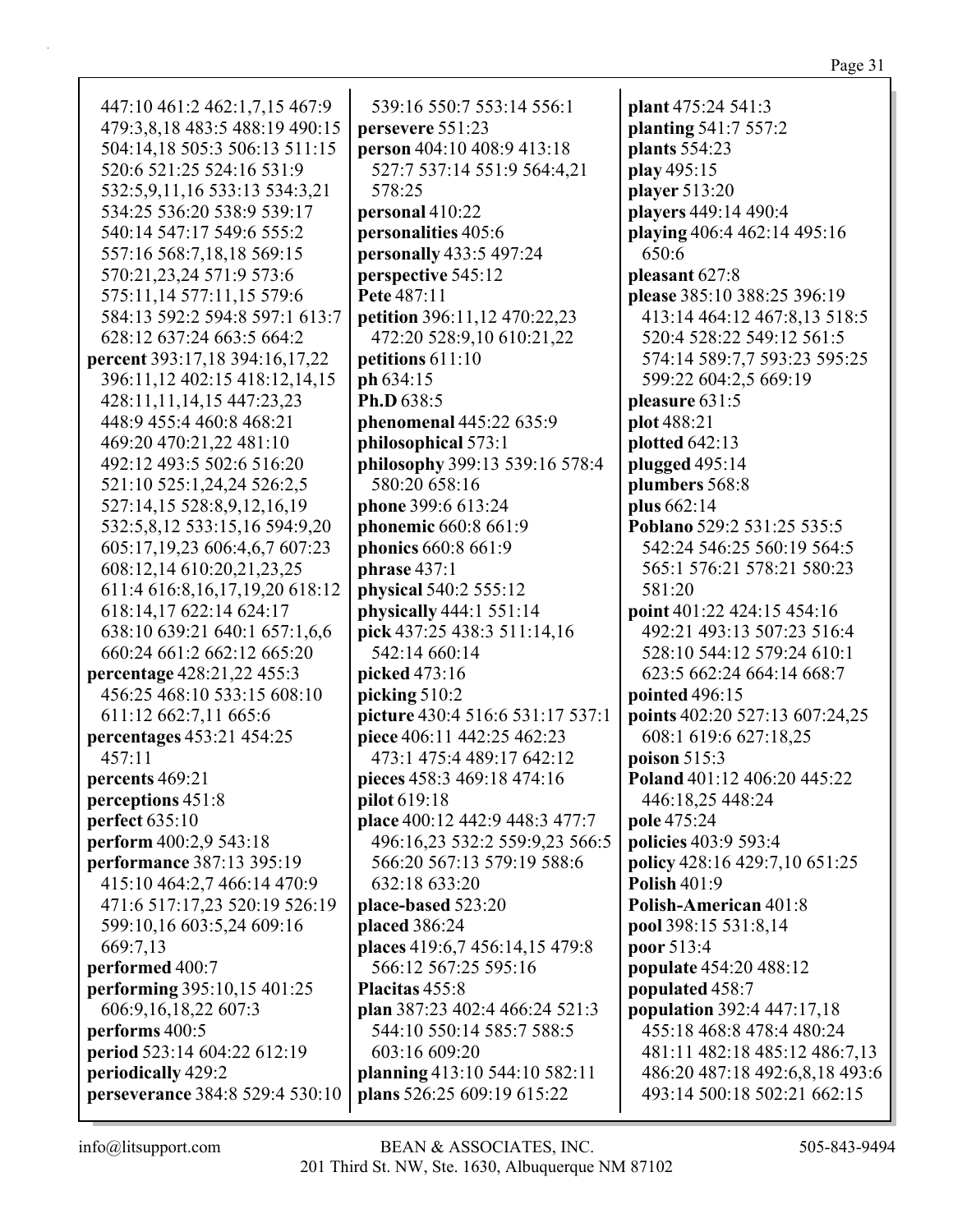| 447:10 461:2 462:1,7,15 467:9                                | 539:16 550:7 553:14 556:1        | plant 475:24 541:3                   |
|--------------------------------------------------------------|----------------------------------|--------------------------------------|
| 479:3,8,18 483:5 488:19 490:15                               | persevere 551:23                 | planting 541:7 557:2                 |
| 504:14,18 505:3 506:13 511:15                                | person 404:10 408:9 413:18       | plants 554:23                        |
| 520:6 521:25 524:16 531:9                                    | 527:7 537:14 551:9 564:4,21      | play 495:15                          |
| 532:5,9,11,16 533:13 534:3,21                                | 578:25                           | player 513:20                        |
| 534:25 536:20 538:9 539:17                                   | personal 410:22                  | players 449:14 490:4                 |
| 540:14 547:17 549:6 555:2                                    |                                  |                                      |
|                                                              | personalities 405:6              | playing 406:4 462:14 495:16<br>650:6 |
| 557:16 568:7,18,18 569:15                                    | personally 433:5 497:24          |                                      |
| 570:21,23,24 571:9 573:6                                     | perspective 545:12               | pleasant 627:8                       |
| 575:11,14 577:11,15 579:6                                    | Pete 487:11                      | please 385:10 388:25 396:19          |
| 584:13 592:2 594:8 597:1 613:7                               | petition 396:11,12 470:22,23     | 413:14 464:12 467:8,13 518:5         |
| 628:12 637:24 663:5 664:2                                    | 472:20 528:9,10 610:21,22        | 520:4 528:22 549:12 561:5            |
| percent 393:17,18 394:16,17,22                               | petitions 611:10                 | 574:14 589:7,7 593:23 595:25         |
| 396:11,12 402:15 418:12,14,15                                | ph 634:15                        | 599:22 604:2,5 669:19                |
| 428:11,11,14,15 447:23,23                                    | Ph.D 638:5                       | pleasure 631:5                       |
| 448:9 455:4 460:8 468:21                                     | phenomenal 445:22 635:9          | plot 488:21                          |
| 469:20 470:21,22 481:10                                      | philosophical 573:1              | plotted 642:13                       |
| 492:12 493:5 502:6 516:20                                    | philosophy 399:13 539:16 578:4   | plugged 495:14                       |
| 521:10 525:1,24,24 526:2,5                                   | 580:20 658:16                    | plumbers 568:8                       |
| 527:14,15 528:8,9,12,16,19                                   | phone 399:6 613:24               | plus 662:14                          |
| 532:5,8,12 533:15,16 594:9,20                                | phonemic 660:8 661:9             | Poblano 529:2 531:25 535:5           |
| 605:17,19,23 606:4,6,7 607:23                                | phonics 660:8 661:9              | 542:24 546:25 560:19 564:5           |
| 608:12,14 610:20,21,23,25                                    | phrase $437:1$                   | 565:1 576:21 578:21 580:23           |
| 611:4 616:8,16,17,19,20 618:12                               | physical 540:2 555:12            | 581:20                               |
| 618:14,17 622:14 624:17                                      | physically 444:1 551:14          | point 401:22 424:15 454:16           |
| 638:10 639:21 640:1 657:1,6,6                                | pick 437:25 438:3 511:14,16      | 492:21 493:13 507:23 516:4           |
| 660:24 661:2 662:12 665:20                                   | 542:14 660:14                    | 528:10 544:12 579:24 610:1           |
| percentage 428:21,22 455:3                                   | picked 473:16                    | 623:5 662:24 664:14 668:7            |
| 456:25 468:10 533:15 608:10                                  | picking 510:2                    | pointed 496:15                       |
| 611:12 662:7,11 665:6                                        | picture 430:4 516:6 531:17 537:1 | points 402:20 527:13 607:24,25       |
| percentages 453:21 454:25                                    | piece 406:11 442:25 462:23       | 608:1 619:6 627:18,25                |
| 457:11                                                       | 473:1 475:4 489:17 642:12        | poison 515:3                         |
| percents 469:21                                              | pieces 458:3 469:18 474:16       | Poland 401:12 406:20 445:22          |
| perceptions 451:8                                            | <b>pilot</b> 619:18              | 446:18,25 448:24                     |
| perfect 635:10                                               | place 400:12 442:9 448:3 477:7   | pole 475:24                          |
| perform 400:2,9 543:18                                       | 496:16,23 532:2 559:9,23 566:5   | policies 403:9 593:4                 |
| performance 387:13 395:19                                    | 566:20 567:13 579:19 588:6       | policy 428:16 429:7,10 651:25        |
|                                                              | 632:18 633:20                    | <b>Polish 401:9</b>                  |
| 415:10 464:2,7 466:14 470:9<br>471:6 517:17,23 520:19 526:19 |                                  | Polish-American 401:8                |
|                                                              | place-based 523:20               |                                      |
| 599:10,16 603:5,24 609:16                                    | placed 386:24                    | pool 398:15 531:8,14                 |
| 669:7,13                                                     | places 419:6,7 456:14,15 479:8   | poor 513:4                           |
| performed 400:7                                              | 566:12 567:25 595:16             | <b>populate</b> 454:20 488:12        |
| performing 395:10,15 401:25                                  | Placitas 455:8                   | populated 458:7                      |
| 606:9,16,18,22 607:3                                         | plan 387:23 402:4 466:24 521:3   | <b>population</b> 392:4 447:17,18    |
| performs 400:5                                               | 544:10 550:14 585:7 588:5        | 455:18 468:8 478:4 480:24            |
| period 523:14 604:22 612:19                                  | 603:16 609:20                    | 481:11 482:18 485:12 486:7,13        |
| periodically 429:2                                           | planning 413:10 544:10 582:11    | 486:20 487:18 492:6,8,18 493:6       |
| perseverance 384:8 529:4 530:10                              | plans 526:25 609:19 615:22       | 493:14 500:18 502:21 662:15          |
|                                                              |                                  |                                      |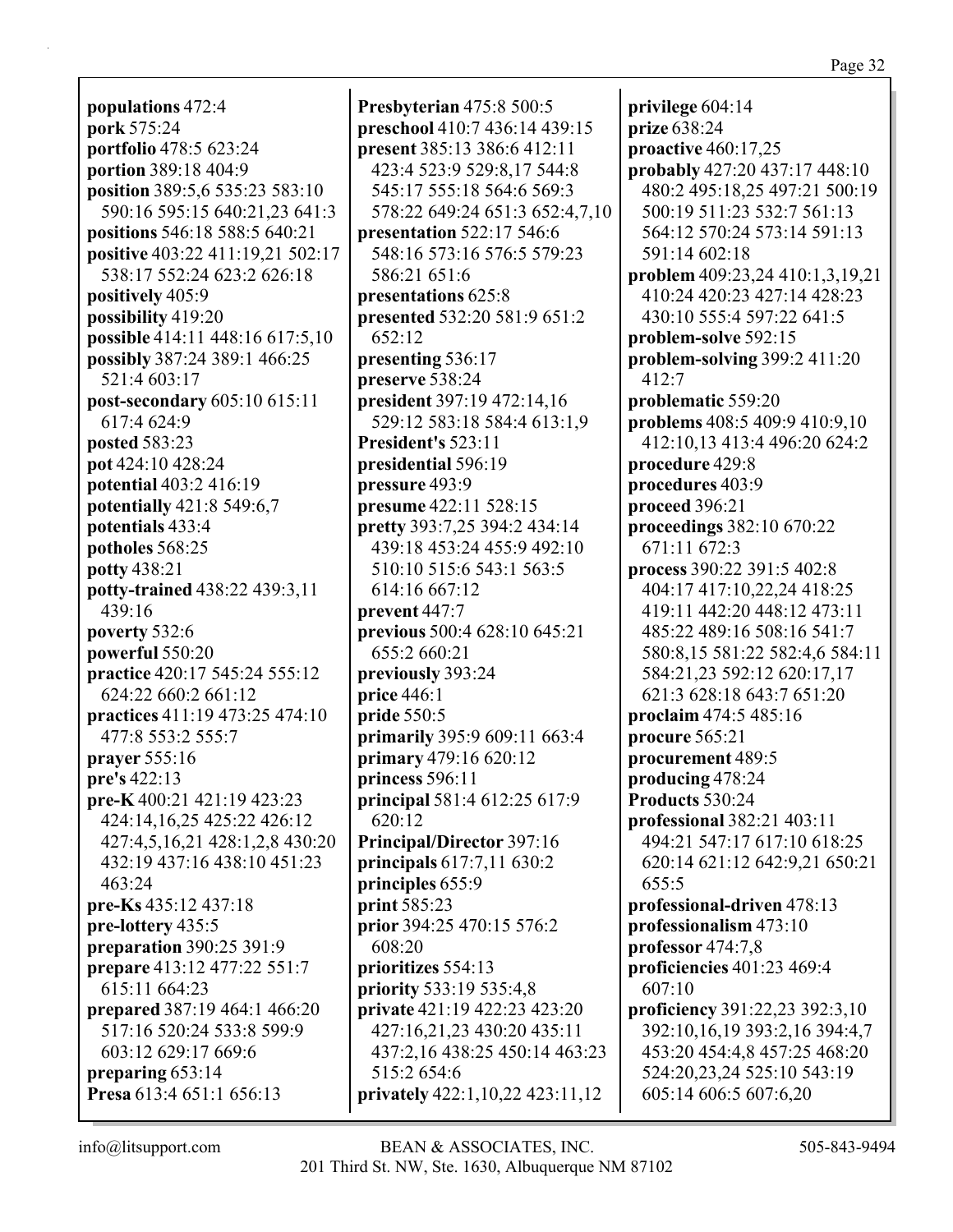**populations** 472:4 **pork** 575:24 **portfolio** 478:5 623:24 **portion** 389:18 404:9 **position** 389:5,6 535:23 583:10 590:16 595:15 640:21,23 641:3 **positions** 546:18 588:5 640:21 **positive** 403:22 411:19,21 502:17 538:17 552:24 623:2 626:18 **positively** 405:9 **possibility** 419:20 **possible** 414:11 448:16 617:5,10 **possibly** 387:24 389:1 466:25 521:4 603:17 **post-secondary** 605:10 615:11 617:4 624:9 **posted** 583:23 **pot** 424:10 428:24 **potential** 403:2 416:19 **potentially** 421:8 549:6,7 **potentials** 433:4 **potholes** 568:25 **potty** 438:21 **potty-trained** 438:22 439:3,11 439:16 **poverty** 532:6 **powerful** 550:20 **practice** 420:17 545:24 555:12 624:22 660:2 661:12 **practices** 411:19 473:25 474:10 477:8 553:2 555:7 **prayer** 555:16 **pre's** 422:13 **pre-K** 400:21 421:19 423:23 424:14,16,25 425:22 426:12 427:4,5,16,21 428:1,2,8 430:20 432:19 437:16 438:10 451:23 463:24 **pre-Ks** 435:12 437:18 **pre-lottery** 435:5 **preparation** 390:25 391:9 **prepare** 413:12 477:22 551:7 615:11 664:23 **prepared** 387:19 464:1 466:20 517:16 520:24 533:8 599:9 603:12 629:17 669:6 **preparing** 653:14 **Presa** 613:4 651:1 656:13

**Presbyterian** 475:8 500:5 **preschool** 410:7 436:14 439:15 **present** 385:13 386:6 412:11 423:4 523:9 529:8,17 544:8 545:17 555:18 564:6 569:3 578:22 649:24 651:3 652:4,7,10 **presentation** 522:17 546:6 548:16 573:16 576:5 579:23 586:21 651:6 **presentations** 625:8 **presented** 532:20 581:9 651:2 652:12 **presenting** 536:17 **preserve** 538:24 **president** 397:19 472:14,16 529:12 583:18 584:4 613:1,9 **President's** 523:11 **presidential** 596:19 **pressure** 493:9 **presume** 422:11 528:15 **pretty** 393:7,25 394:2 434:14 439:18 453:24 455:9 492:10 510:10 515:6 543:1 563:5 614:16 667:12 **prevent** 447:7 **previous** 500:4 628:10 645:21 655:2 660:21 **previously** 393:24 **price** 446:1 **pride** 550:5 **primarily** 395:9 609:11 663:4 **primary** 479:16 620:12 **princess** 596:11 **principal** 581:4 612:25 617:9 620:12 **Principal/Director** 397:16 **principals** 617:7,11 630:2 **principles** 655:9 **print** 585:23 **prior** 394:25 470:15 576:2 608:20 **prioritizes** 554:13 **priority** 533:19 535:4,8 **private** 421:19 422:23 423:20 427:16,21,23 430:20 435:11 437:2,16 438:25 450:14 463:23 515:2 654:6 **privately** 422:1,10,22 423:11,12

**privilege** 604:14 **prize** 638:24 **proactive** 460:17,25 **probably** 427:20 437:17 448:10 480:2 495:18,25 497:21 500:19 500:19 511:23 532:7 561:13 564:12 570:24 573:14 591:13 591:14 602:18 **problem** 409:23,24 410:1,3,19,21 410:24 420:23 427:14 428:23 430:10 555:4 597:22 641:5 **problem-solve** 592:15 **problem-solving** 399:2 411:20 412:7 **problematic** 559:20 **problems** 408:5 409:9 410:9,10 412:10,13 413:4 496:20 624:2 **procedure** 429:8 **procedures** 403:9 **proceed** 396:21 **proceedings** 382:10 670:22 671:11 672:3 **process** 390:22 391:5 402:8 404:17 417:10,22,24 418:25 419:11 442:20 448:12 473:11 485:22 489:16 508:16 541:7 580:8,15 581:22 582:4,6 584:11 584:21,23 592:12 620:17,17 621:3 628:18 643:7 651:20 **proclaim** 474:5 485:16 **procure** 565:21 **procurement** 489:5 **producing** 478:24 **Products** 530:24 **professional** 382:21 403:11 494:21 547:17 617:10 618:25 620:14 621:12 642:9,21 650:21 655:5 **professional-driven** 478:13 **professionalism** 473:10 **professor** 474:7,8 **proficiencies** 401:23 469:4 607:10 **proficiency** 391:22,23 392:3,10 392:10,16,19 393:2,16 394:4,7 453:20 454:4,8 457:25 468:20 524:20,23,24 525:10 543:19 605:14 606:5 607:6,20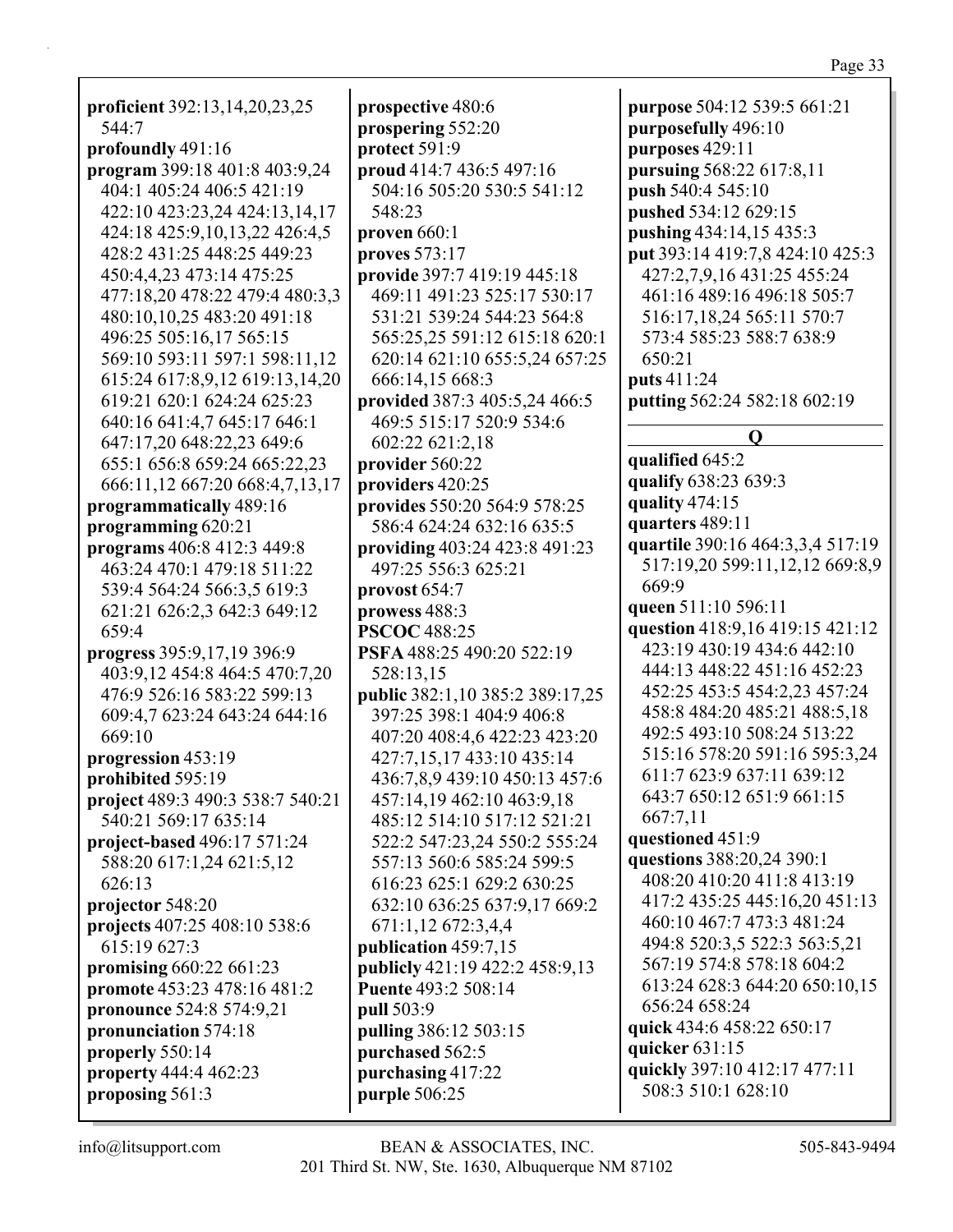| proficient 392:13,14,20,23,25           | I      |
|-----------------------------------------|--------|
| 544:7                                   | ľ      |
| profoundly 491:16                       | ľ      |
| program 399:18 401:8 403:9,24           | ľ      |
| 404:1 405:24 406:5 421:19               |        |
| 422:10 423:23,24 424:13,14,17           |        |
| 424:18 425:9,10,13,22 426:4,5           | ľ      |
| 428:2 431:25 448:25 449:23              | ľ      |
| 450:4,4,23 473:14 475:25                | ľ      |
| 477:18,20 478:22 479:4 480:3,3          |        |
| 480:10,10,25 483:20 491:18              |        |
| 496:25 505:16,17 565:15                 |        |
| 569:10 593:11 597:1 598:11,12           |        |
| 615:24 617:8,9,12 619:13,14,20          |        |
| 619:21 620:1 624:24 625:23              | I      |
| 640:16 641:4,7 645:17 646:1             |        |
| 647:17,20 648:22,23 649:6               |        |
| 655:1 656:8 659:24 665:22,23            |        |
| 666:11,12 667:20 668:4,7,13,17          | I      |
| programmatically 489:16                 | ľ      |
| programming 620:21                      | ľ      |
| programs 406:8 412:3 449:8              |        |
| 463:24 470:1 479:18 511:22              | I      |
| 539:4 564:24 566:3,5 619:3              |        |
| 621:21 626:2,3 642:3 649:12             | I      |
| 659:4                                   | ľ<br>I |
| progress 395:9,17,19 396:9              | I      |
| 403:9,12 454:8 464:5 470:7,20           |        |
| 476:9 526:16 583:22 599:13              |        |
| 609:4,7 623:24 643:24 644:16            | I      |
| 669:10                                  |        |
| progression 453:19                      |        |
| prohibited 595:19                       |        |
| <b>project</b> 489:3 490:3 538:7 540:21 |        |
| 540:21 569:17 635:14                    |        |
| project-based 496:17 571:24             |        |
| 588:20 617:1,24 621:5,12                |        |
| 626:13                                  |        |
| projector 548:20                        |        |
| projects 407:25 408:10 538:6            |        |
| 615:19 627:3                            |        |
| promising 660:22 661:23                 | I      |
| promote 453:23 478:16 481:2             | I<br>I |
| pronounce 524:8 574:9,21                |        |
| pronunciation 574:18                    | I      |
| properly 550:14                         | I      |
| property 444:4 462:23                   | I      |
| proposing 561:3                         | I      |
|                                         | ľ      |

**prospective** 480:6 **prospering** 552:20 **protect** 591:9 **proud** 414:7 436:5 497:16 504:16 505:20 530:5 541:12 548:23 **proven** 660:1 **proves** 573:17 **provide** 397:7 419:19 445:18 469:11 491:23 525:17 530:17 531:21 539:24 544:23 564:8 565:25,25 591:12 615:18 620:1 620:14 621:10 655:5,24 657:25 666:14,15 668:3 **provided** 387:3 405:5,24 466:5 469:5 515:17 520:9 534:6 602:22 621:2,18 **provider** 560:22 **providers** 420:25 **provides** 550:20 564:9 578:25 586:4 624:24 632:16 635:5 **providing** 403:24 423:8 491:23 497:25 556:3 625:21 **provost** 654:7 **prowess** 488:3 **PSCOC** 488:25 **PSFA** 488:25 490:20 522:19 528:13,15 **public** 382:1,10 385:2 389:17,25 397:25 398:1 404:9 406:8 407:20 408:4,6 422:23 423:20 427:7,15,17 433:10 435:14 436:7,8,9 439:10 450:13 457:6 457:14,19 462:10 463:9,18 485:12 514:10 517:12 521:21 522:2 547:23,24 550:2 555:24 557:13 560:6 585:24 599:5 616:23 625:1 629:2 630:25 632:10 636:25 637:9,17 669:2 671:1,12 672:3,4,4 **publication** 459:7,15 **publicly** 421:19 422:2 458:9,13 **Puente** 493:2 508:14 **pull** 503:9 **pulling** 386:12 503:15 **purchased** 562:5 **purchasing** 417:22 **purple** 506:25

**purpose** 504:12 539:5 661:21 **purposefully** 496:10 **purposes** 429:11 **pursuing** 568:22 617:8,11 **push** 540:4 545:10 **pushed** 534:12 629:15 **pushing** 434:14,15 435:3 **put** 393:14 419:7,8 424:10 425:3 427:2,7,9,16 431:25 455:24 461:16 489:16 496:18 505:7 516:17,18,24 565:11 570:7 573:4 585:23 588:7 638:9 650:21 **puts** 411:24 **putting** 562:24 582:18 602:19 **Q qualified** 645:2 **qualify** 638:23 639:3 **quality** 474:15 **quarters** 489:11 **quartile** 390:16 464:3,3,4 517:19 517:19,20 599:11,12,12 669:8,9 669:9 **queen** 511:10 596:11 **question** 418:9,16 419:15 421:12 423:19 430:19 434:6 442:10 444:13 448:22 451:16 452:23 452:25 453:5 454:2,23 457:24 458:8 484:20 485:21 488:5,18 492:5 493:10 508:24 513:22 515:16 578:20 591:16 595:3,24 611:7 623:9 637:11 639:12 643:7 650:12 651:9 661:15 667:7,11 **questioned** 451:9 **questions** 388:20,24 390:1 408:20 410:20 411:8 413:19 417:2 435:25 445:16,20 451:13 460:10 467:7 473:3 481:24 494:8 520:3,5 522:3 563:5,21 567:19 574:8 578:18 604:2 613:24 628:3 644:20 650:10,15 656:24 658:24 **quick** 434:6 458:22 650:17 **quicker** 631:15 **quickly** 397:10 412:17 477:11 508:3 510:1 628:10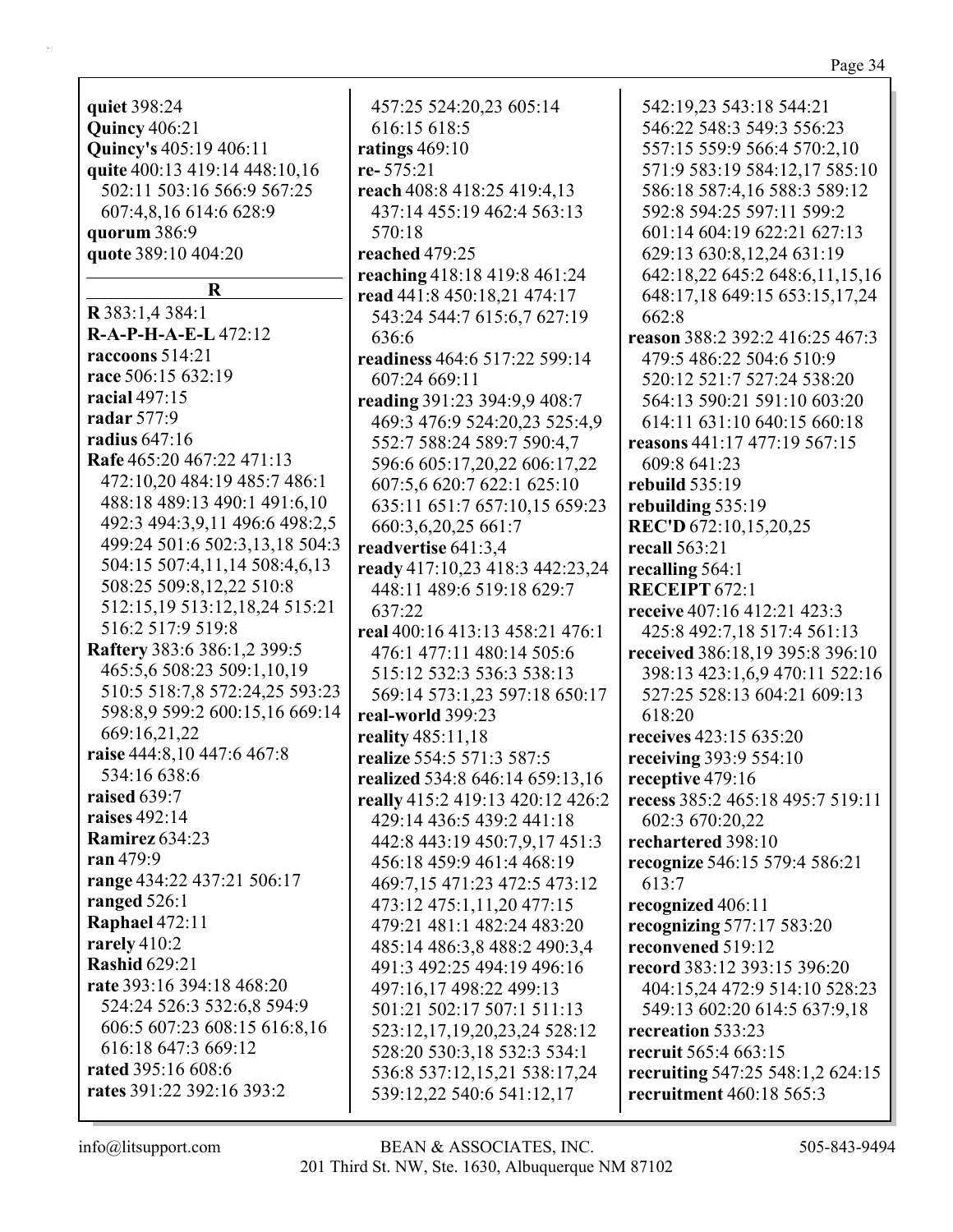quiet 398:24 **Quincy 406:21** Quincy's 405:19 406:11 quite 400:13 419:14 448:10,16 502:11 503:16 566:9 567:25 607:4,8,16 614:6 628:9 quorum 386:9 quote 389:10 404:20  $\mathbf R$ R 383:1,4 384:1 R-A-P-H-A-E-L 472:12 raccoons  $514:21$ race 506:15 632:19 racial  $497:15$ radar 577:9 radius  $647:16$ Rafe 465:20 467:22 471:13 472:10,20 484:19 485:7 486:1 488:18 489:13 490:1 491:6,10 492:3 494:3.9.11 496:6 498:2.5 499:24 501:6 502:3,13,18 504:3 504:15 507:4,11,14 508:4,6,13 508:25 509:8,12,22 510:8 512:15,19 513:12,18,24 515:21 516:2 517:9 519:8 **Raftery** 383:6 386:1,2 399:5 465:5,6 508:23 509:1,10,19 510:5 518:7,8 572:24,25 593:23 598:8,9 599:2 600:15,16 669:14 669:16,21,22 raise 444:8.10 447:6 467:8 534:16 638:6 raised 639:7 raises  $492:14$ **Ramirez** 634:23 ran 479:9 range 434:22 437:21 506:17 ranged  $526:1$ **Raphael 472:11** rarely  $410:2$ **Rashid 629:21** rate 393:16 394:18 468:20 524:24 526:3 532:6,8 594:9 606:5 607:23 608:15 616:8,16 616:18 647:3 669:12 rated 395:16 608:6 rates 391:22 392:16 393:2

457:25 524:20,23 605:14 616:15 618:5 ratings  $469:10$ re-575:21 reach 408:8 418:25 419:4,13 437:14 455:19 462:4 563:13 570:18 reached 479:25 reaching 418:18 419:8 461:24 read 441:8 450:18,21 474:17 543:24 544:7 615:6,7 627:19 636:6 readiness 464:6 517:22 599:14 607:24 669:11 reading 391:23 394:9,9 408:7 469:3 476:9 524:20,23 525:4,9 552:7 588:24 589:7 590:4,7 596:6 605:17.20.22 606:17.22 607:5,6 620:7 622:1 625:10 635:11 651:7 657:10,15 659:23 660:3,6,20,25 661:7 readvertise 641:3,4 ready 417:10,23 418:3 442:23,24 448:11 489:6 519:18 629:7 637:22 real 400:16 413:13 458:21 476:1 476:1 477:11 480:14 505:6 515:12 532:3 536:3 538:13 569:14 573:1,23 597:18 650:17 real-world 399:23 reality 485:11,18 realize 554:5 571:3 587:5 realized 534:8 646:14 659:13,16 really 415:2 419:13 420:12 426:2 429:14 436:5 439:2 441:18 442:8 443:19 450:7.9.17 451:3 456:18 459:9 461:4 468:19 469:7,15 471:23 472:5 473:12 473:12 475:1,11,20 477:15 479:21 481:1 482:24 483:20 485:14 486:3,8 488:2 490:3,4 491:3 492:25 494:19 496:16 497:16,17 498:22 499:13 501:21 502:17 507:1 511:13 523:12,17,19,20,23,24 528:12 528:20 530:3,18 532:3 534:1 536:8 537:12,15,21 538:17,24 539:12,22 540:6 541:12,17

542:19.23 543:18 544:21 546:22 548:3 549:3 556:23 557:15 559:9 566:4 570:2,10 571:9 583:19 584:12,17 585:10 586:18 587:4,16 588:3 589:12 592:8 594:25 597:11 599:2 601:14 604:19 622:21 627:13 629:13 630:8,12,24 631:19 642:18,22 645:2 648:6,11,15,16 648:17,18 649:15 653:15,17,24  $662:8$ reason 388:2 392:2 416:25 467:3 479:5 486:22 504:6 510:9 520:12 521:7 527:24 538:20 564:13 590:21 591:10 603:20 614:11 631:10 640:15 660:18 reasons  $441:17$   $477:19$   $567:15$ 609:8 641:23 rebuild  $535:19$ rebuilding 535:19 **REC'D** 672:10,15,20,25 recall 563:21 recalling  $564:1$ RECEIPT 672:1 receive 407:16 412:21 423:3 425:8 492:7.18 517:4 561:13 received 386:18.19 395:8 396:10 398:13 423:1,6,9 470:11 522:16 527:25 528:13 604:21 609:13  $618:20$ receives 423:15 635:20 receiving 393:9 554:10 receptive 479:16 recess 385:2 465:18 495:7 519:11 602:3 670:20,22 rechartered 398:10 recognize 546:15 579:4 586:21 613:7 recognized 406:11 recognizing  $577:17583:20$ reconvened 519:12 record 383:12 393:15 396:20 404:15,24 472:9 514:10 528:23 549:13 602:20 614:5 637:9,18 recreation 533:23 recruit 565:4 663:15 recruiting 547:25 548:1,2 624:15 recruitment 460:18 565:3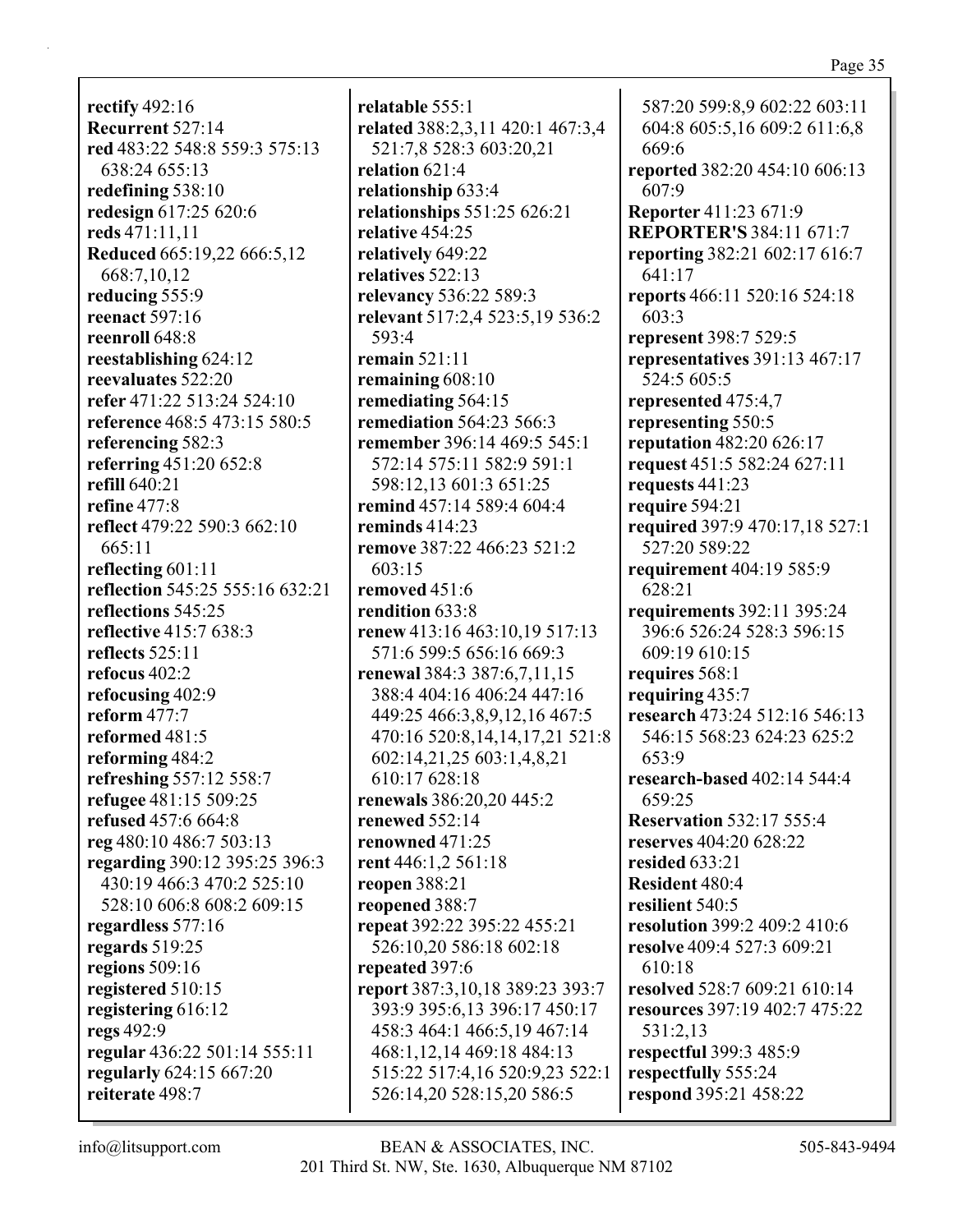**rectify** 492:16 **Recurrent** 527:14 **red** 483:22 548:8 559:3 575:13 638:24 655:13 **redefining** 538:10 **redesign** 617:25 620:6 **reds** 471:11,11 **Reduced** 665:19,22 666:5,12 668:7,10,12 **reducing** 555:9 **reenact** 597:16 **reenroll** 648:8 **reestablishing** 624:12 **reevaluates** 522:20 **refer** 471:22 513:24 524:10 **reference** 468:5 473:15 580:5 **referencing** 582:3 **referring** 451:20 652:8 **refill** 640:21 **refine** 477:8 **reflect** 479:22 590:3 662:10 665:11 **reflecting** 601:11 **reflection** 545:25 555:16 632:21 **reflections** 545:25 **reflective** 415:7 638:3 **reflects** 525:11 **refocus** 402:2 **refocusing** 402:9 **reform** 477:7 **reformed** 481:5 **reforming** 484:2 **refreshing** 557:12 558:7 **refugee** 481:15 509:25 **refused** 457:6 664:8 **reg** 480:10 486:7 503:13 **regarding** 390:12 395:25 396:3 430:19 466:3 470:2 525:10 528:10 606:8 608:2 609:15 **regardless** 577:16 **regards** 519:25 **regions** 509:16 **registered** 510:15 **registering** 616:12 **regs** 492:9 **regular** 436:22 501:14 555:11 **regularly** 624:15 667:20 **reiterate** 498:7

**relatable** 555:1 **related** 388:2,3,11 420:1 467:3,4 521:7,8 528:3 603:20,21 **relation** 621:4 **relationship** 633:4 **relationships** 551:25 626:21 **relative** 454:25 **relatively** 649:22 **relatives** 522:13 **relevancy** 536:22 589:3 **relevant** 517:2,4 523:5,19 536:2 593:4 **remain** 521:11 **remaining** 608:10 **remediating** 564:15 **remediation** 564:23 566:3 **remember** 396:14 469:5 545:1 572:14 575:11 582:9 591:1 598:12,13 601:3 651:25 **remind** 457:14 589:4 604:4 **reminds** 414:23 **remove** 387:22 466:23 521:2 603:15 **removed** 451:6 **rendition** 633:8 **renew** 413:16 463:10,19 517:13 571:6 599:5 656:16 669:3 **renewal** 384:3 387:6,7,11,15 388:4 404:16 406:24 447:16 449:25 466:3,8,9,12,16 467:5 470:16 520:8,14,14,17,21 521:8 602:14,21,25 603:1,4,8,21 610:17 628:18 **renewals** 386:20,20 445:2 **renewed** 552:14 **renowned** 471:25 **rent** 446:1,2 561:18 **reopen** 388:21 **reopened** 388:7 **repeat** 392:22 395:22 455:21 526:10,20 586:18 602:18 **repeated** 397:6 **report** 387:3,10,18 389:23 393:7 393:9 395:6,13 396:17 450:17 458:3 464:1 466:5,19 467:14 468:1,12,14 469:18 484:13 515:22 517:4,16 520:9,23 522:1 526:14,20 528:15,20 586:5

587:20 599:8,9 602:22 603:11 604:8 605:5,16 609:2 611:6,8 669:6 **reported** 382:20 454:10 606:13 607:9 **Reporter** 411:23 671:9 **REPORTER'S** 384:11 671:7 **reporting** 382:21 602:17 616:7 641:17 **reports** 466:11 520:16 524:18 603:3 **represent** 398:7 529:5 **representatives** 391:13 467:17 524:5 605:5 **represented** 475:4,7 **representing** 550:5 **reputation** 482:20 626:17 **request** 451:5 582:24 627:11 **requests** 441:23 **require** 594:21 **required** 397:9 470:17,18 527:1 527:20 589:22 **requirement** 404:19 585:9 628:21 **requirements** 392:11 395:24 396:6 526:24 528:3 596:15 609:19 610:15 **requires** 568:1 **requiring** 435:7 **research** 473:24 512:16 546:13 546:15 568:23 624:23 625:2 653:9 **research-based** 402:14 544:4 659:25 **Reservation** 532:17 555:4 **reserves** 404:20 628:22 **resided** 633:21 **Resident** 480:4 **resilient** 540:5 **resolution** 399:2 409:2 410:6 **resolve** 409:4 527:3 609:21 610:18 **resolved** 528:7 609:21 610:14 **resources** 397:19 402:7 475:22 531:2,13 **respectful** 399:3 485:9 **respectfully** 555:24 **respond** 395:21 458:22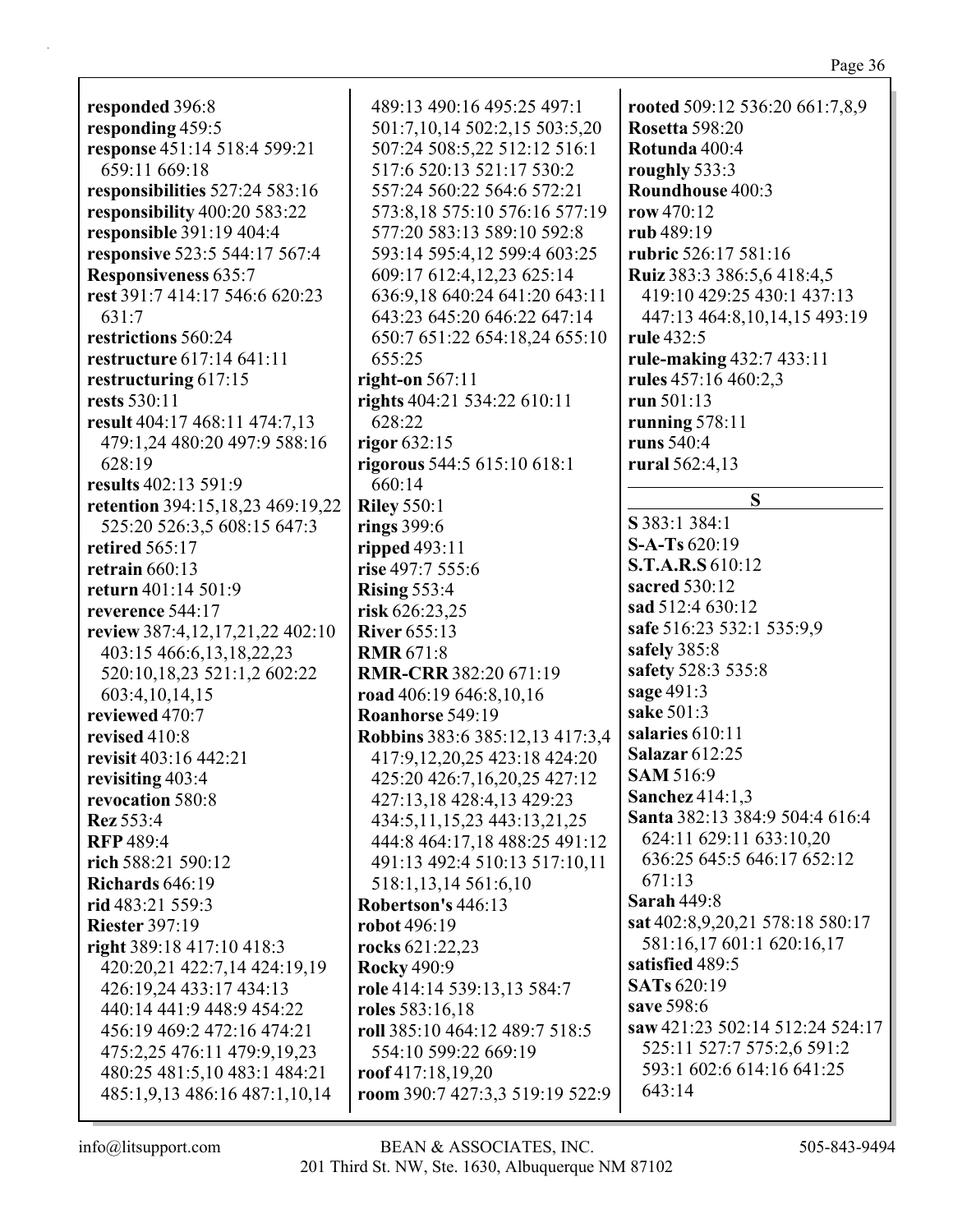**responded** 396:8 **responding** 459:5 **response** 451:14 518:4 599:21 659:11 669:18 **responsibilities** 527:24 583:16 **responsibility** 400:20 583:22 **responsible** 391:19 404:4 **responsive** 523:5 544:17 567:4 **Responsiveness** 635:7 **rest** 391:7 414:17 546:6 620:23 631:7 **restrictions** 560:24 **restructure** 617:14 641:11 **restructuring** 617:15 **rests** 530:11 **result** 404:17 468:11 474:7,13 479:1,24 480:20 497:9 588:16 628:19 **results** 402:13 591:9 **retention** 394:15,18,23 469:19,22 525:20 526:3,5 608:15 647:3 **retired** 565:17 **retrain** 660:13 **return** 401:14 501:9 **reverence** 544:17 **review** 387:4,12,17,21,22 402:10 403:15 466:6,13,18,22,23 520:10,18,23 521:1,2 602:22 603:4,10,14,15 **reviewed** 470:7 **revised** 410:8 **revisit** 403:16 442:21 **revisiting** 403:4 **revocation** 580:8 **Rez** 553:4 **RFP** 489:4 **rich** 588:21 590:12 **Richards** 646:19 **rid** 483:21 559:3 **Riester** 397:19 **right** 389:18 417:10 418:3 420:20,21 422:7,14 424:19,19 426:19,24 433:17 434:13 440:14 441:9 448:9 454:22 456:19 469:2 472:16 474:21 475:2,25 476:11 479:9,19,23 480:25 481:5,10 483:1 484:21 485:1,9,13 486:16 487:1,10,14

489:13 490:16 495:25 497:1 501:7,10,14 502:2,15 503:5,20 507:24 508:5,22 512:12 516:1 517:6 520:13 521:17 530:2 557:24 560:22 564:6 572:21 573:8,18 575:10 576:16 577:19 577:20 583:13 589:10 592:8 593:14 595:4,12 599:4 603:25 609:17 612:4,12,23 625:14 636:9,18 640:24 641:20 643:11 643:23 645:20 646:22 647:14 650:7 651:22 654:18,24 655:10 655:25 **right-on** 567:11 **rights** 404:21 534:22 610:11 628:22 **rigor** 632:15 **rigorous** 544:5 615:10 618:1 660:14 **Riley** 550:1 **rings** 399:6 **ripped** 493:11 **rise** 497:7 555:6 **Rising** 553:4 **risk** 626:23,25 **River** 655:13 **RMR** 671:8 **RMR-CRR** 382:20 671:19 **road** 406:19 646:8,10,16 **Roanhorse** 549:19 **Robbins** 383:6 385:12,13 417:3,4 417:9,12,20,25 423:18 424:20 425:20 426:7,16,20,25 427:12 427:13,18 428:4,13 429:23 434:5,11,15,23 443:13,21,25 444:8 464:17,18 488:25 491:12 491:13 492:4 510:13 517:10,11 518:1,13,14 561:6,10 **Robertson's** 446:13 **robot** 496:19 **rocks** 621:22,23 **Rocky** 490:9 **role** 414:14 539:13,13 584:7 **roles** 583:16,18 **roll** 385:10 464:12 489:7 518:5 554:10 599:22 669:19 **roof** 417:18,19,20 **room** 390:7 427:3,3 519:19 522:9

**rooted** 509:12 536:20 661:7,8,9 **Rosetta** 598:20 **Rotunda** 400:4 **roughly** 533:3 **Roundhouse** 400:3 **row** 470:12 **rub** 489:19 **rubric** 526:17 581:16 **Ruiz** 383:3 386:5,6 418:4,5 419:10 429:25 430:1 437:13 447:13 464:8,10,14,15 493:19 **rule** 432:5 **rule-making** 432:7 433:11 **rules** 457:16 460:2,3 **run** 501:13 **running** 578:11 **runs** 540:4 **rural** 562:4,13 **S S** 383:1 384:1 **S-A-Ts** 620:19 **S.T.A.R.S** 610:12 **sacred** 530:12 **sad** 512:4 630:12 **safe** 516:23 532:1 535:9,9 **safely** 385:8 **safety** 528:3 535:8 **sage** 491:3 **sake** 501:3 **salaries** 610:11 **Salazar** 612:25 **SAM** 516:9 **Sanchez** 414:1,3 **Santa** 382:13 384:9 504:4 616:4 624:11 629:11 633:10,20 636:25 645:5 646:17 652:12 671:13 **Sarah** 449:8 **sat** 402:8,9,20,21 578:18 580:17 581:16,17 601:1 620:16,17 **satisfied** 489:5 **SATs** 620:19 **save** 598:6 **saw** 421:23 502:14 512:24 524:17 525:11 527:7 575:2,6 591:2 593:1 602:6 614:16 641:25 643:14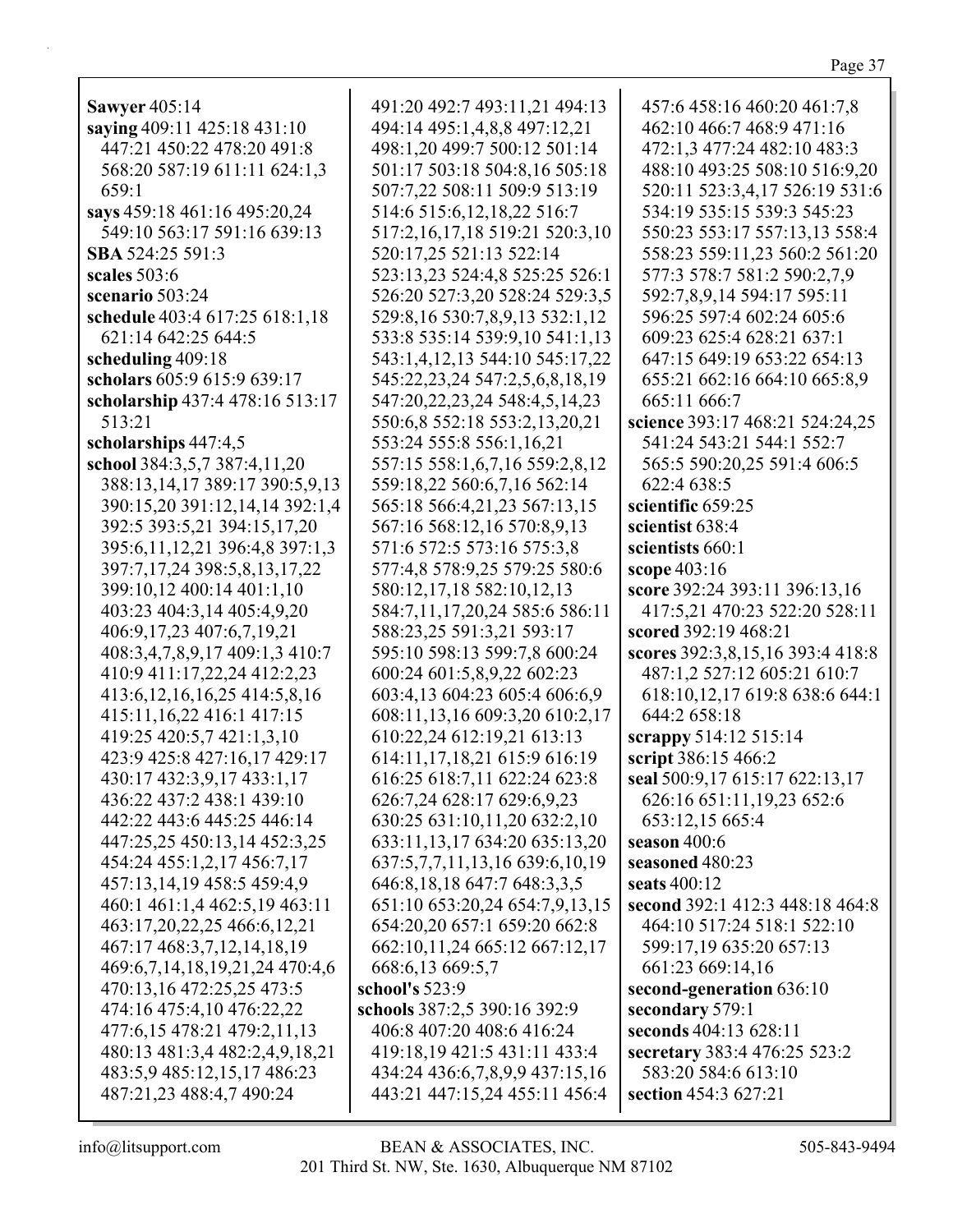| <b>Sawyer</b> 405:14                | 491:20 492:7 493:11,21 494:13     | 457:6 458:16 460:20 461:7,8      |
|-------------------------------------|-----------------------------------|----------------------------------|
| saying 409:11 425:18 431:10         | 494:14 495:1,4,8,8 497:12,21      | 462:10 466:7 468:9 471:16        |
| 447:21 450:22 478:20 491:8          | 498:1,20 499:7 500:12 501:14      | 472:1,3 477:24 482:10 483:3      |
| 568:20 587:19 611:11 624:1,3        | 501:17 503:18 504:8,16 505:18     | 488:10 493:25 508:10 516:9,20    |
| 659:1                               | 507:7,22 508:11 509:9 513:19      | 520:11 523:3,4,17 526:19 531:6   |
| says 459:18 461:16 495:20,24        | 514:6 515:6, 12, 18, 22 516:7     | 534:19 535:15 539:3 545:23       |
| 549:10 563:17 591:16 639:13         |                                   | 550:23 553:17 557:13,13 558:4    |
|                                     | 517:2,16,17,18 519:21 520:3,10    |                                  |
| SBA 524:25 591:3                    | 520:17,25 521:13 522:14           | 558:23 559:11,23 560:2 561:20    |
| scales $503:6$                      | 523:13,23 524:4,8 525:25 526:1    | 577:3 578:7 581:2 590:2,7,9      |
| scenario 503:24                     | 526:20 527:3,20 528:24 529:3,5    | 592:7,8,9,14 594:17 595:11       |
| schedule 403:4 617:25 618:1,18      | 529:8,16 530:7,8,9,13 532:1,12    | 596:25 597:4 602:24 605:6        |
| 621:14 642:25 644:5                 | 533:8 535:14 539:9,10 541:1,13    | 609:23 625:4 628:21 637:1        |
| scheduling 409:18                   | 543:1,4,12,13 544:10 545:17,22    | 647:15 649:19 653:22 654:13      |
| scholars 605:9 615:9 639:17         | 545:22,23,24 547:2,5,6,8,18,19    | 655:21 662:16 664:10 665:8,9     |
| scholarship 437:4 478:16 513:17     | 547:20,22,23,24 548:4,5,14,23     | 665:11 666:7                     |
| 513:21                              | 550:6,8 552:18 553:2,13,20,21     | science 393:17 468:21 524:24,25  |
| scholarships 447:4,5                | 553:24 555:8 556:1,16,21          | 541:24 543:21 544:1 552:7        |
| school 384:3,5,7 387:4,11,20        | 557:15 558:1,6,7,16 559:2,8,12    | 565:5 590:20,25 591:4 606:5      |
| 388:13,14,17 389:17 390:5,9,13      | 559:18,22 560:6,7,16 562:14       | 622:4 638:5                      |
| 390:15,20 391:12,14,14 392:1,4      | 565:18 566:4,21,23 567:13,15      | scientific 659:25                |
| 392:5 393:5,21 394:15,17,20         | 567:16 568:12,16 570:8,9,13       | scientist 638:4                  |
|                                     |                                   | scientists 660:1                 |
| 395:6,11,12,21 396:4,8 397:1,3      | 571:6 572:5 573:16 575:3,8        |                                  |
| 397:7,17,24 398:5,8,13,17,22        | 577:4,8 578:9,25 579:25 580:6     | scope 403:16                     |
| 399:10,12 400:14 401:1,10           | 580:12,17,18 582:10,12,13         | score 392:24 393:11 396:13,16    |
| 403:23 404:3,14 405:4,9,20          | 584:7,11,17,20,24 585:6 586:11    | 417:5,21 470:23 522:20 528:11    |
| 406:9,17,23 407:6,7,19,21           | 588:23,25 591:3,21 593:17         | scored 392:19 468:21             |
| 408:3,4,7,8,9,17 409:1,3 410:7      | 595:10 598:13 599:7,8 600:24      | scores 392:3,8,15,16 393:4 418:8 |
| 410:9 411:17,22,24 412:2,23         | 600:24 601:5,8,9,22 602:23        | 487:1,2 527:12 605:21 610:7      |
| 413:6, 12, 16, 16, 25 414: 5, 8, 16 | 603:4,13 604:23 605:4 606:6,9     | 618:10,12,17 619:8 638:6 644:1   |
| 415:11, 16, 22 416:1 417:15         | 608:11,13,16 609:3,20 610:2,17    | 644:2 658:18                     |
| 419:25 420:5,7 421:1,3,10           | 610:22,24 612:19,21 613:13        | scrappy 514:12 515:14            |
| 423:9 425:8 427:16,17 429:17        | 614:11,17,18,21 615:9 616:19      | script 386:15 466:2              |
| 430:17 432:3,9,17 433:1,17          | 616:25 618:7,11 622:24 623:8      | seal 500:9,17 615:17 622:13,17   |
| 436:22 437:2 438:1 439:10           | 626:7,24 628:17 629:6,9,23        | 626:16 651:11,19,23 652:6        |
| 442:22 443:6 445:25 446:14          | 630:25 631:10,11,20 632:2,10      | 653:12,15 665:4                  |
| 447:25,25 450:13,14 452:3,25        | 633:11,13,17 634:20 635:13,20     | season $400:6$                   |
| 454:24 455:1,2,17 456:7,17          | 637:5,7,7,11,13,16 639:6,10,19    | seasoned 480:23                  |
| 457:13,14,19 458:5 459:4,9          | 646:8, 18, 18, 647:7, 648:3, 3, 5 | seats 400:12                     |
| 460:1 461:1,4 462:5,19 463:11       | 651:10 653:20,24 654:7,9,13,15    | second 392:1 412:3 448:18 464:8  |
| 463:17,20,22,25 466:6,12,21         |                                   |                                  |
|                                     | 654:20,20 657:1 659:20 662:8      | 464:10 517:24 518:1 522:10       |
| 467:17 468:3,7,12,14,18,19          | 662:10,11,24 665:12 667:12,17     | 599:17,19 635:20 657:13          |
| 469:6,7,14,18,19,21,24 470:4,6      | 668:6,13 669:5,7                  | 661:23 669:14,16                 |
| 470:13,16 472:25,25 473:5           | school's 523:9                    | second-generation 636:10         |
| 474:16 475:4,10 476:22,22           | schools 387:2,5 390:16 392:9      | secondary 579:1                  |
| 477:6,15 478:21 479:2,11,13         | 406:8 407:20 408:6 416:24         | seconds 404:13 628:11            |
| 480:13 481:3,4 482:2,4,9,18,21      | 419:18,19 421:5 431:11 433:4      | secretary 383:4 476:25 523:2     |
| 483:5,9 485:12,15,17 486:23         | 434:24 436:6,7,8,9,9 437:15,16    | 583:20 584:6 613:10              |
| 487:21,23 488:4,7 490:24            | 443:21 447:15,24 455:11 456:4     | section 454:3 627:21             |
|                                     |                                   |                                  |

Page 37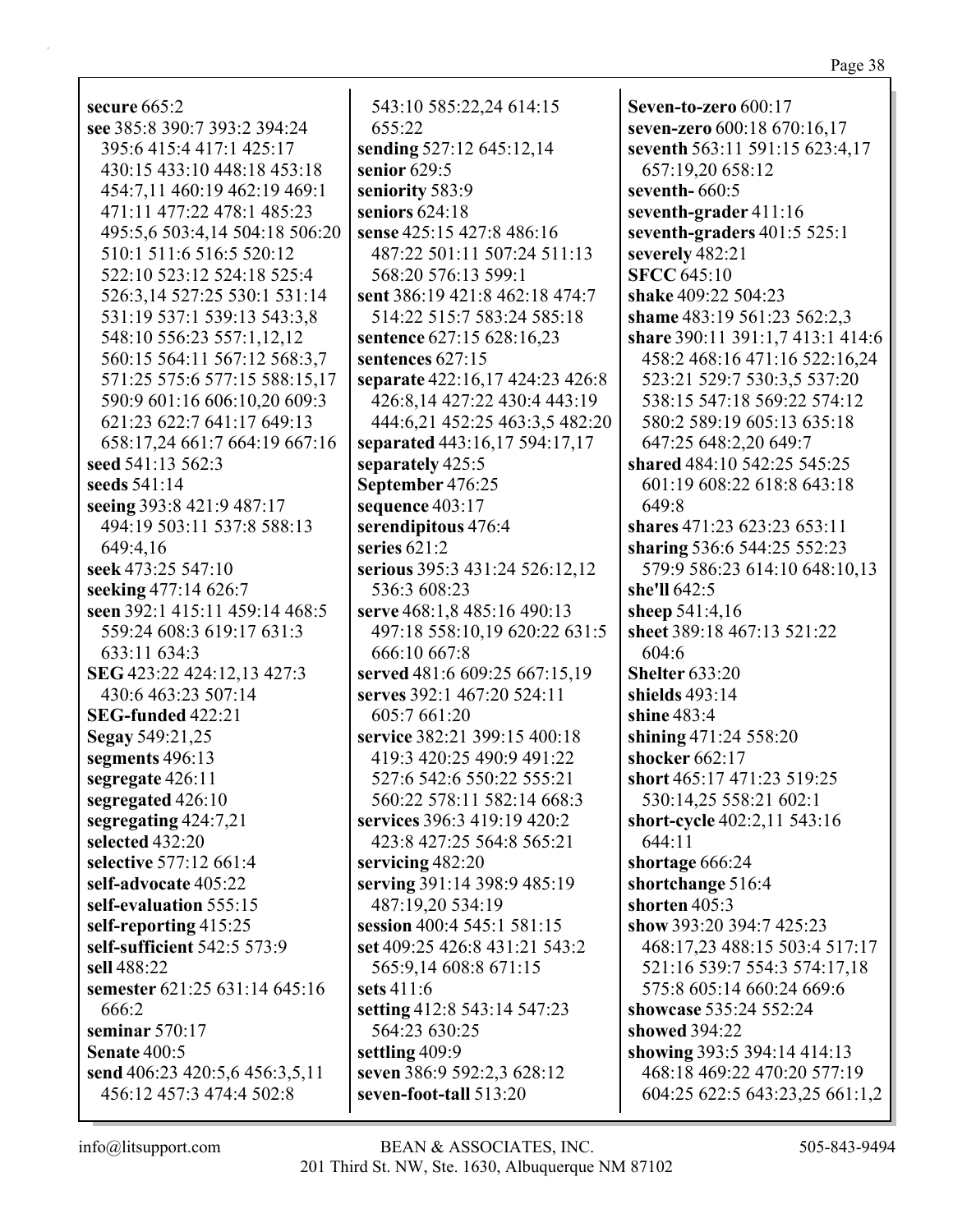secure 665:2 see 385:8 390:7 393:2 394:24 395:6 415:4 417:1 425:17 430:15 433:10 448:18 453:18 454:7.11 460:19 462:19 469:1 471:11 477:22 478:1 485:23 495:5.6 503:4.14 504:18 506:20 510:1 511:6 516:5 520:12 522:10 523:12 524:18 525:4 526:3,14 527:25 530:1 531:14 531:19 537:1 539:13 543:3,8 548:10 556:23 557:1,12,12 560:15 564:11 567:12 568:3,7 571:25 575:6 577:15 588:15,17 590:9 601:16 606:10,20 609:3 621:23 622:7 641:17 649:13 658:17.24 661:7 664:19 667:16 seed 541:13 562:3 seeds  $541:14$ seeing 393:8 421:9 487:17 494:19 503:11 537:8 588:13 649:4.16 seek 473:25 547:10 seeking 477:14 626:7 seen 392:1 415:11 459:14 468:5 559:24 608:3 619:17 631:3 633:11 634:3 SEG 423:22 424:12,13 427:3 430:6 463:23 507:14 **SEG-funded 422:21** Segay 549:21,25 segments 496:13 segregate 426:11 segregated 426:10 segregating 424:7,21 selected 432:20 selective 577:12 661:4 self-advocate 405:22 self-evaluation 555:15 self-reporting 415:25 self-sufficient 542:5 573:9 sell 488:22 semester 621:25 631:14 645:16 666:2 seminar  $570:17$ **Senate 400:5** send 406:23 420:5,6 456:3,5,11 456:12 457:3 474:4 502:8

543:10 585:22.24 614:15 655:22 sending 527:12 645:12,14 senior 629:5 seniority 583:9 seniors  $624:18$ sense 425:15 427:8 486:16 487:22 501:11 507:24 511:13 568:20 576:13 599:1 sent 386:19 421:8 462:18 474:7 514:22 515:7 583:24 585:18 sentence 627:15 628:16,23 sentences 627:15 separate 422:16,17 424:23 426:8 426:8,14 427:22 430:4 443:19 444:6.21 452:25 463:3.5 482:20 separated 443:16,17 594:17,17 separately 425:5 September 476:25 sequence 403:17 serendipitous 476:4 series  $621:2$ serious 395:3 431:24 526:12,12 536:3 608:23 serve 468:1.8 485:16 490:13 497:18 558:10,19 620:22 631:5  $666:10667:8$ served 481:6 609:25 667:15,19 serves 392:1 467:20 524:11 605:7 661:20 service 382:21 399:15 400:18 419:3 420:25 490:9 491:22 527:6 542:6 550:22 555:21 560:22 578:11 582:14 668:3 services 396:3 419:19 420:2 423:8 427:25 564:8 565:21 servicing  $482:20$ serving 391:14 398:9 485:19 487:19,20 534:19 session 400:4 545:1 581:15 set 409:25 426:8 431:21 543:2 565:9,14 608:8 671:15 sets  $411:6$ setting 412:8 543:14 547:23 564:23 630:25 settling 409:9 seven 386:9 592:2.3 628:12 seven-foot-tall 513:20

Seven-to-zero  $600:17$ seven-zero 600:18 670:16,17 seventh 563:11 591:15 623:4,17 657:19,20 658:12 seventh- $660:5$ seventh-grader 411:16 seventh-graders  $401:5525:1$ severely 482:21 **SFCC 645:10** shake 409:22 504:23 shame 483:19 561:23 562:2,3 share 390:11 391:1,7 413:1 414:6 458:2 468:16 471:16 522:16,24 523:21 529:7 530:3.5 537:20 538:15 547:18 569:22 574:12 580:2 589:19 605:13 635:18 647:25 648:2.20 649:7 shared 484:10 542:25 545:25 601:19 608:22 618:8 643:18 649:8 shares 471:23 623:23 653:11 sharing 536:6 544:25 552:23 579:9 586:23 614:10 648:10,13 she'll 642:5 sheep 541:4,16 sheet 389:18 467:13 521:22 604:6 **Shelter 633:20** shields  $493:14$ shine 483:4 shining 471:24 558:20 shocker  $662:17$ short 465:17 471:23 519:25 530:14.25 558:21 602:1 short-cycle 402:2,11 543:16  $644:11$ shortage 666:24 shortchange 516:4 shorten  $405:3$ show 393:20 394:7 425:23 468:17,23 488:15 503:4 517:17 521:16 539:7 554:3 574:17,18 575:8 605:14 660:24 669:6 showcase 535:24 552:24 **showed** 394:22 showing 393:5 394:14 414:13 468:18 469:22 470:20 577:19 604:25 622:5 643:23,25 661:1,2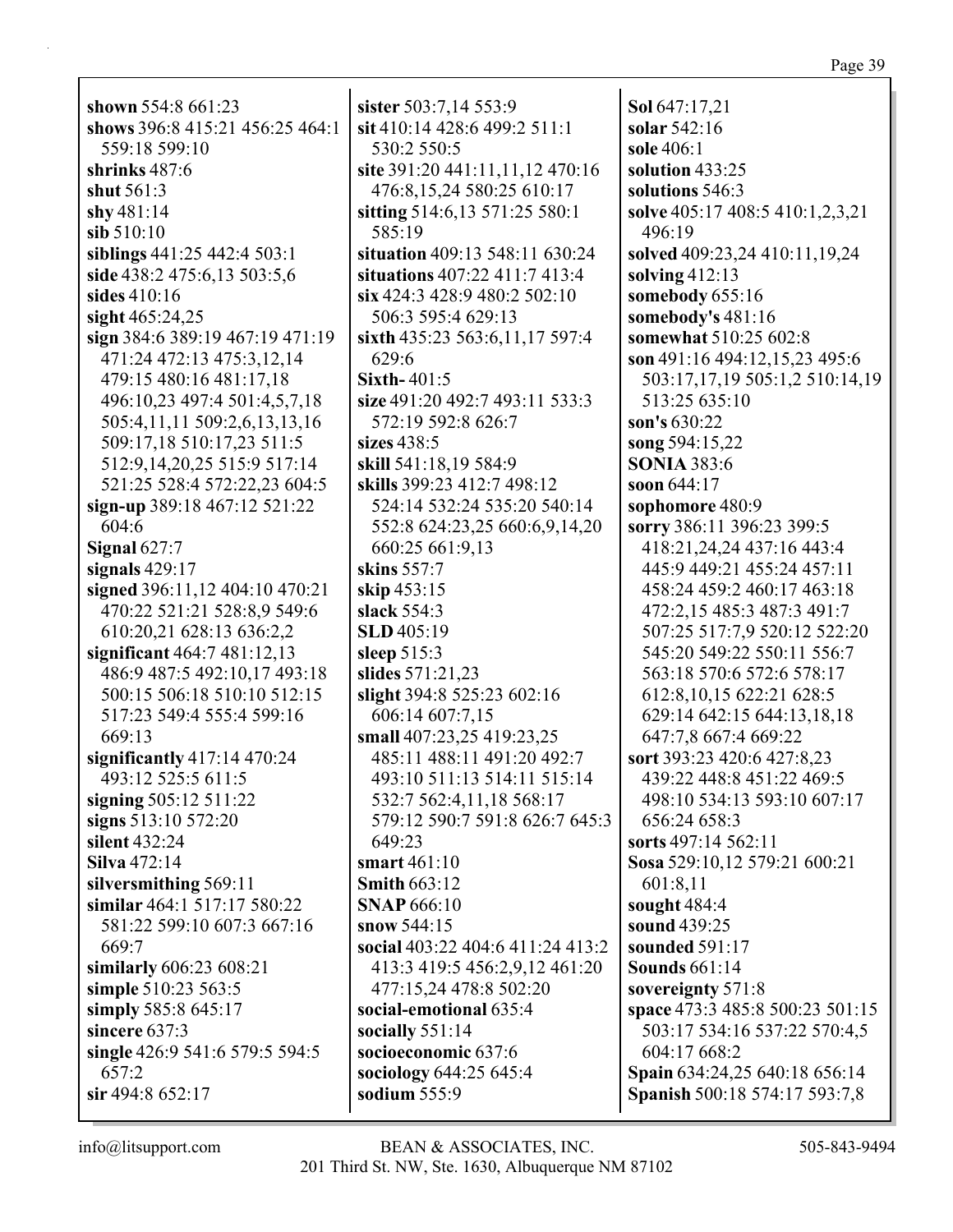| shown 554:8 661:23              |
|---------------------------------|
| shows 396:8 415:21 456:25 464:1 |
|                                 |
| 559:18 599:10                   |
| shrinks $487:6$                 |
| shut 561:3                      |
| shy $481:14$                    |
|                                 |
| sib 510:10                      |
| siblings 441:25 442:4 503:1     |
| side 438:2 475:6,13 503:5,6     |
| sides 410:16                    |
| sight 465:24,25                 |
|                                 |
| sign 384:6 389:19 467:19 471:19 |
| 471:24 472:13 475:3,12,14       |
| 479:15 480:16 481:17,18         |
| 496:10,23 497:4 501:4,5,7,18    |
|                                 |
| 505:4,11,11 509:2,6,13,13,16    |
| 509:17,18 510:17,23 511:5       |
| 512:9,14,20,25 515:9 517:14     |
| 521:25 528:4 572:22,23 604:5    |
|                                 |
| sign-up 389:18 467:12 521:22    |
| 604:6                           |
| Signal $627:7$                  |
| signals $429:17$                |
| signed 396:11,12 404:10 470:21  |
|                                 |
| 470:22 521:21 528:8,9 549:6     |
| 610:20,21 628:13 636:2,2        |
| significant 464:7 481:12,13     |
| 486:9 487:5 492:10,17 493:18    |
| 500:15 506:18 510:10 512:15     |
|                                 |
| 517:23 549:4 555:4 599:16       |
| 669:13                          |
| significantly $417:14$ $470:24$ |
| 493:12 525:5 611:5              |
|                                 |
| signing 505:12 511:22           |
| signs 513:10 572:20             |
| silent 432:24                   |
| <b>Silva</b> 472:14             |
| silversmithing 569:11           |
|                                 |
| similar 464:1 517:17 580:22     |
| 581:22 599:10 607:3 667:16      |
| 669:7                           |
| similarly 606:23 608:21         |
|                                 |
| simple 510:23 563:5             |
| simply 585:8 645:17             |
| sincere 637:3                   |
| single 426:9 541:6 579:5 594:5  |
| 657:2                           |
|                                 |
| sir 494:8 652:17                |

sister  $503:7,14553:9$ sit 410:14 428:6 499:2 511:1 530:2 550:5 site 391:20 441:11,11,12 470:16 476:8,15,24 580:25 610:17 sitting 514:6,13 571:25 580:1 585:19 situation 409:13 548:11 630:24 situations 407:22 411:7 413:4  $\sin 424:3$  428:9 480:2 502:10 506:3 595:4 629:13 sixth 435:23 563:6,11,17 597:4 629:6 Sixth- $401:5$ size 491:20 492:7 493:11 533:3 572:19 592:8 626:7 sizes  $438:5$ skill 541:18.19 584:9 skills 399:23 412:7 498:12 524:14 532:24 535:20 540:14 552:8 624:23,25 660:6,9,14,20 660:25 661:9,13 skins  $557:7$ skip 453:15 slack  $554:3$ **SLD**405:19 sleep  $515:3$ slides  $571:21,23$ slight 394:8 525:23 602:16 606:14 607:7,15 small 407:23,25 419:23,25 485:11 488:11 491:20 492:7 493:10 511:13 514:11 515:14 532:7 562:4,11,18 568:17 579:12 590:7 591:8 626:7 645:3  $649:23$ smart  $461:10$ Smith  $663:12$ **SNAP 666:10** snow  $544:15$ social 403:22 404:6 411:24 413:2 413:3 419:5 456:2,9,12 461:20 477:15.24 478:8 502:20 social-emotional 635:4 socially  $551:14$ socioeconomic 637:6 sociology 644:25 645:4 sodium 555:9

Sol 647:17.21 solar  $542:16$ sole  $406:1$ solution 433:25 solutions 546:3 solve 405:17 408:5 410:1,2,3,21 496:19 solved 409:23,24 410:11,19,24 solving  $412:13$ somebody  $655:16$ somebody's 481:16 somewhat 510:25 602:8 son 491:16 494:12,15,23 495:6 503:17,17,19 505:1,2 510:14,19 513:25 635:10 son's 630:22 song  $594:15,22$ **SONIA 383:6** soon  $644:17$ sophomore 480:9 sorry 386:11 396:23 399:5 418:21,24,24 437:16 443:4 445:9 449:21 455:24 457:11 458:24 459:2 460:17 463:18 472:2,15 485:3 487:3 491:7 507:25 517:7,9 520:12 522:20 545:20 549:22 550:11 556:7 563:18 570:6 572:6 578:17 612:8, 10, 15 622:21 628:5 629:14 642:15 644:13,18,18 647:7,8 667:4 669:22 sort 393:23 420:6 427:8,23 439:22 448:8 451:22 469:5 498:10 534:13 593:10 607:17 656:24 658:3 sorts  $497:14562:11$ Sosa 529:10,12 579:21 600:21 601:8,11 sought  $484:4$ sound 439:25 sounded  $591:17$ **Sounds** 661:14 sovereignty 571:8 space 473:3 485:8 500:23 501:15 503:17 534:16 537:22 570:4,5 604:17 668:2 Spain 634:24,25 640:18 656:14 Spanish 500:18 574:17 593:7,8

## $info@$ litsupport.com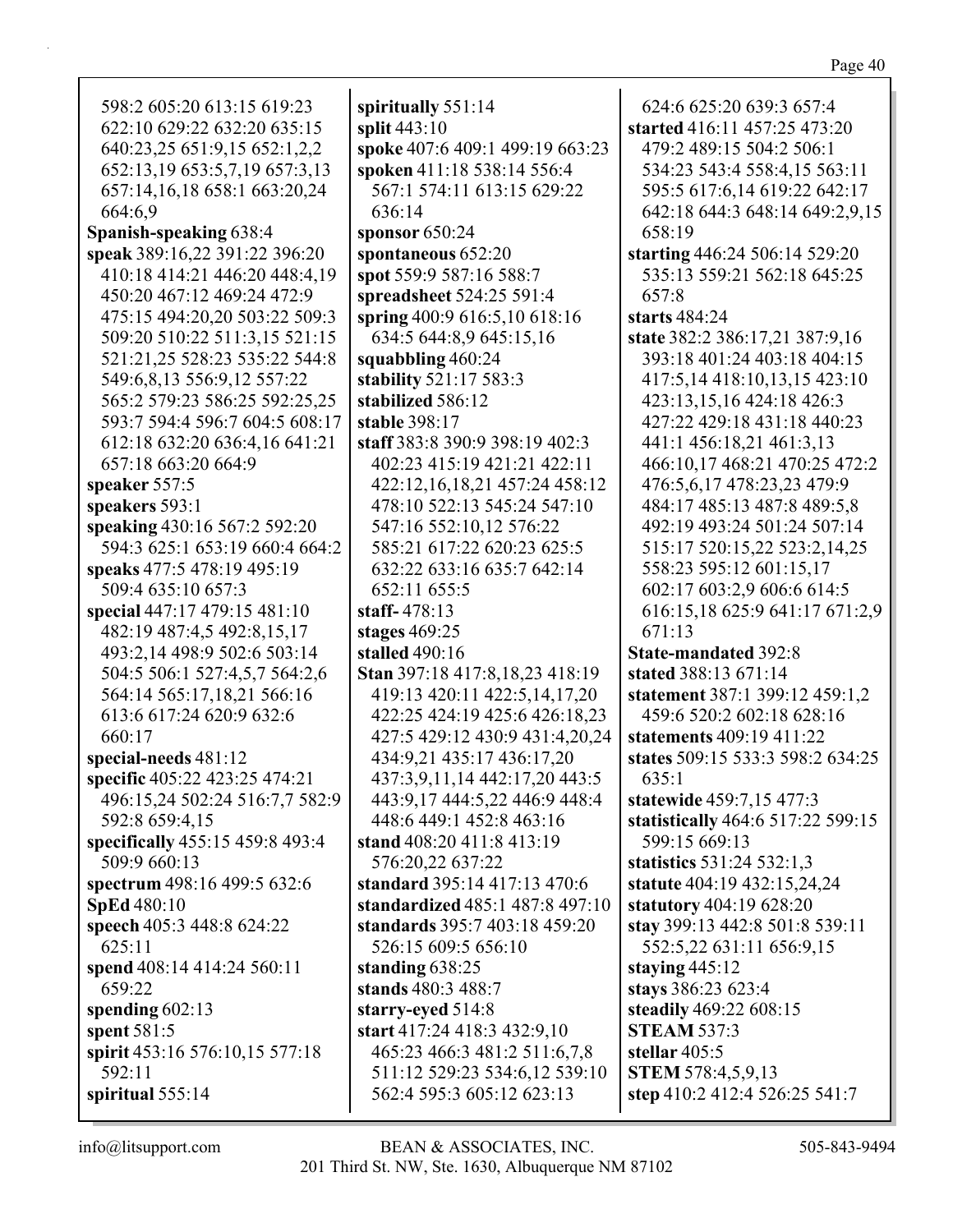| 598:2 605:20 613:15 619:23      | spiritually $551:14$            | 624:6 625:20 639:3 657:4          |
|---------------------------------|---------------------------------|-----------------------------------|
| 622:10 629:22 632:20 635:15     | split 443:10                    | started 416:11 457:25 473:20      |
| 640:23,25 651:9,15 652:1,2,2    | spoke 407:6 409:1 499:19 663:23 | 479:2 489:15 504:2 506:1          |
| 652:13,19 653:5,7,19 657:3,13   | spoken 411:18 538:14 556:4      | 534:23 543:4 558:4,15 563:11      |
| 657:14,16,18 658:1 663:20,24    | 567:1 574:11 613:15 629:22      | 595:5 617:6,14 619:22 642:17      |
| 664:6,9                         | 636:14                          | 642:18 644:3 648:14 649:2,9,15    |
| Spanish-speaking 638:4          | sponsor $650:24$                | 658:19                            |
| speak 389:16,22 391:22 396:20   | spontaneous 652:20              | starting 446:24 506:14 529:20     |
| 410:18 414:21 446:20 448:4,19   | spot 559:9 587:16 588:7         | 535:13 559:21 562:18 645:25       |
| 450:20 467:12 469:24 472:9      | spreadsheet 524:25 591:4        | 657:8                             |
| 475:15 494:20,20 503:22 509:3   | spring 400:9 616:5,10 618:16    | starts $484:24$                   |
| 509:20 510:22 511:3,15 521:15   | 634:5 644:8,9 645:15,16         | state 382:2 386:17,21 387:9,16    |
| 521:21,25 528:23 535:22 544:8   | squabbling 460:24               | 393:18 401:24 403:18 404:15       |
| 549:6,8,13 556:9,12 557:22      | stability 521:17 583:3          | 417:5,14 418:10,13,15 423:10      |
| 565:2 579:23 586:25 592:25,25   | stabilized 586:12               | 423:13,15,16 424:18 426:3         |
| 593:7 594:4 596:7 604:5 608:17  | stable 398:17                   | 427:22 429:18 431:18 440:23       |
| 612:18 632:20 636:4,16 641:21   | staff 383:8 390:9 398:19 402:3  | 441:1 456:18,21 461:3,13          |
| 657:18 663:20 664:9             | 402:23 415:19 421:21 422:11     | 466:10,17 468:21 470:25 472:2     |
| speaker 557:5                   | 422:12,16,18,21 457:24 458:12   | 476:5,6,17 478:23,23 479:9        |
| speakers 593:1                  | 478:10 522:13 545:24 547:10     | 484:17 485:13 487:8 489:5,8       |
| speaking 430:16 567:2 592:20    | 547:16 552:10,12 576:22         | 492:19 493:24 501:24 507:14       |
| 594:3 625:1 653:19 660:4 664:2  | 585:21 617:22 620:23 625:5      | 515:17 520:15,22 523:2,14,25      |
| speaks 477:5 478:19 495:19      | 632:22 633:16 635:7 642:14      | 558:23 595:12 601:15,17           |
| 509:4 635:10 657:3              | 652:11 655:5                    | 602:17 603:2,9 606:6 614:5        |
| special 447:17 479:15 481:10    | staff-478:13                    | 616:15,18 625:9 641:17 671:2,9    |
| 482:19 487:4,5 492:8,15,17      | stages $469:25$                 | 671:13                            |
| 493:2,14 498:9 502:6 503:14     | stalled 490:16                  | <b>State-mandated 392:8</b>       |
| 504:5 506:1 527:4,5,7 564:2,6   | Stan 397:18 417:8,18,23 418:19  | stated 388:13 671:14              |
| 564:14 565:17,18,21 566:16      | 419:13 420:11 422:5,14,17,20    | statement 387:1 399:12 459:1,2    |
| 613:6 617:24 620:9 632:6        | 422:25 424:19 425:6 426:18,23   | 459:6 520:2 602:18 628:16         |
| 660:17                          | 427:5 429:12 430:9 431:4,20,24  | statements 409:19 411:22          |
| special-needs 481:12            | 434:9,21 435:17 436:17,20       | states 509:15 533:3 598:2 634:25  |
| specific 405:22 423:25 474:21   | 437:3,9,11,14 442:17,20 443:5   | 635:1                             |
| 496:15,24 502:24 516:7,7 582:9  | 443:9,17 444:5,22 446:9 448:4   | statewide 459:7,15 477:3          |
| 592:8 659:4,15                  | 448:6 449:1 452:8 463:16        | statistically 464:6 517:22 599:15 |
| specifically 455:15 459:8 493:4 | stand 408:20 411:8 413:19       | 599:15 669:13                     |
| 509:9 660:13                    | 576:20,22 637:22                | statistics $531:24532:1,3$        |
| spectrum 498:16 499:5 632:6     | standard 395:14 417:13 470:6    | statute 404:19 432:15,24,24       |
| <b>SpEd</b> 480:10              | standardized 485:1 487:8 497:10 | statutory 404:19 628:20           |
| speech 405:3 448:8 624:22       | standards 395:7 403:18 459:20   | stay 399:13 442:8 501:8 539:11    |
| 625:11                          | 526:15 609:5 656:10             | 552:5,22 631:11 656:9,15          |
| spend 408:14 414:24 560:11      | standing $638:25$               | staying $445:12$                  |
| 659:22                          | stands 480:3 488:7              | stays 386:23 623:4                |
| spending $602:13$               | starry-eyed 514:8               | steadily 469:22 608:15            |
| spent $581:5$                   | start 417:24 418:3 432:9,10     | <b>STEAM 537:3</b>                |
| spirit 453:16 576:10,15 577:18  | 465:23 466:3 481:2 511:6,7,8    | stellar $405:5$                   |
| 592:11                          | 511:12 529:23 534:6,12 539:10   | <b>STEM 578:4,5,9,13</b>          |
| spiritual $555:14$              | 562:4 595:3 605:12 623:13       | step 410:2 412:4 526:25 541:7     |
|                                 |                                 |                                   |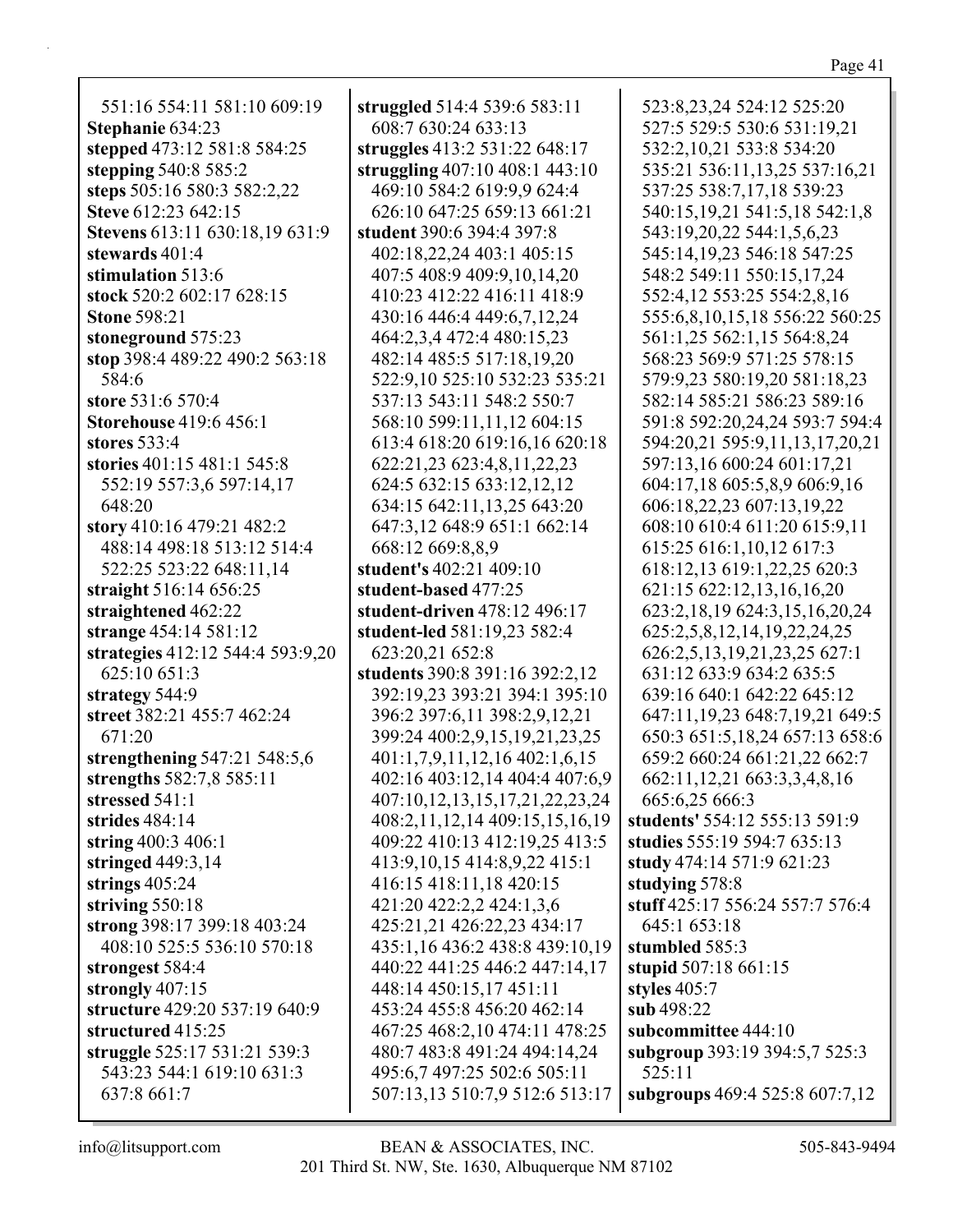551:16 554:11 581:10 609:19 **Stephanie** 634:23 **stepped** 473:12 581:8 584:25 **stepping** 540:8 585:2 **steps** 505:16 580:3 582:2,22 **Steve** 612:23 642:15 **Stevens** 613:11 630:18,19 631:9 **stewards** 401:4 **stimulation** 513:6 **stock** 520:2 602:17 628:15 **Stone** 598:21 **stoneground** 575:23 **stop** 398:4 489:22 490:2 563:18 584:6 **store** 531:6 570:4 **Storehouse** 419:6 456:1 **stores** 533:4 **stories** 401:15 481:1 545:8 552:19 557:3,6 597:14,17 648:20 **story** 410:16 479:21 482:2 488:14 498:18 513:12 514:4 522:25 523:22 648:11,14 **straight** 516:14 656:25 **straightened** 462:22 **strange** 454:14 581:12 **strategies** 412:12 544:4 593:9,20 625:10 651:3 **strategy** 544:9 **street** 382:21 455:7 462:24 671:20 **strengthening** 547:21 548:5,6 **strengths** 582:7,8 585:11 **stressed** 541:1 **strides** 484:14 **string** 400:3 406:1 **stringed** 449:3,14 **strings** 405:24 **striving** 550:18 **strong** 398:17 399:18 403:24 408:10 525:5 536:10 570:18 **strongest** 584:4 **strongly** 407:15 **structure** 429:20 537:19 640:9 **structured** 415:25 **struggle** 525:17 531:21 539:3 543:23 544:1 619:10 631:3 637:8 661:7

**struggled** 514:4 539:6 583:11 608:7 630:24 633:13 **struggles** 413:2 531:22 648:17 **struggling** 407:10 408:1 443:10 469:10 584:2 619:9,9 624:4 626:10 647:25 659:13 661:21 **student** 390:6 394:4 397:8 402:18,22,24 403:1 405:15 407:5 408:9 409:9,10,14,20 410:23 412:22 416:11 418:9 430:16 446:4 449:6,7,12,24 464:2,3,4 472:4 480:15,23 482:14 485:5 517:18,19,20 522:9,10 525:10 532:23 535:21 537:13 543:11 548:2 550:7 568:10 599:11,11,12 604:15 613:4 618:20 619:16,16 620:18 622:21,23 623:4,8,11,22,23 624:5 632:15 633:12,12,12 634:15 642:11,13,25 643:20 647:3,12 648:9 651:1 662:14 668:12 669:8,8,9 **student's** 402:21 409:10 **student-based** 477:25 **student-driven** 478:12 496:17 **student-led** 581:19,23 582:4 623:20,21 652:8 **students** 390:8 391:16 392:2,12 392:19,23 393:21 394:1 395:10 396:2 397:6,11 398:2,9,12,21 399:24 400:2,9,15,19,21,23,25 401:1,7,9,11,12,16 402:1,6,15 402:16 403:12,14 404:4 407:6,9 407:10,12,13,15,17,21,22,23,24 408:2,11,12,14 409:15,15,16,19 409:22 410:13 412:19,25 413:5 413:9,10,15 414:8,9,22 415:1 416:15 418:11,18 420:15 421:20 422:2,2 424:1,3,6 425:21,21 426:22,23 434:17 435:1,16 436:2 438:8 439:10,19 440:22 441:25 446:2 447:14,17 448:14 450:15,17 451:11 453:24 455:8 456:20 462:14 467:25 468:2,10 474:11 478:25 480:7 483:8 491:24 494:14,24 495:6,7 497:25 502:6 505:11 507:13,13 510:7,9 512:6 513:17

523:8,23,24 524:12 525:20 527:5 529:5 530:6 531:19,21 532:2,10,21 533:8 534:20 535:21 536:11,13,25 537:16,21 537:25 538:7,17,18 539:23 540:15,19,21 541:5,18 542:1,8 543:19,20,22 544:1,5,6,23 545:14,19,23 546:18 547:25 548:2 549:11 550:15,17,24 552:4,12 553:25 554:2,8,16 555:6,8,10,15,18 556:22 560:25 561:1,25 562:1,15 564:8,24 568:23 569:9 571:25 578:15 579:9,23 580:19,20 581:18,23 582:14 585:21 586:23 589:16 591:8 592:20,24,24 593:7 594:4 594:20,21 595:9,11,13,17,20,21 597:13,16 600:24 601:17,21 604:17,18 605:5,8,9 606:9,16 606:18,22,23 607:13,19,22 608:10 610:4 611:20 615:9,11 615:25 616:1,10,12 617:3 618:12,13 619:1,22,25 620:3 621:15 622:12,13,16,16,20 623:2,18,19 624:3,15,16,20,24 625:2,5,8,12,14,19,22,24,25 626:2,5,13,19,21,23,25 627:1 631:12 633:9 634:2 635:5 639:16 640:1 642:22 645:12 647:11,19,23 648:7,19,21 649:5 650:3 651:5,18,24 657:13 658:6 659:2 660:24 661:21,22 662:7 662:11,12,21 663:3,3,4,8,16 665:6,25 666:3 **students'** 554:12 555:13 591:9 **studies** 555:19 594:7 635:13 **study** 474:14 571:9 621:23 **studying** 578:8 **stuff** 425:17 556:24 557:7 576:4 645:1 653:18 **stumbled** 585:3 **stupid** 507:18 661:15 **styles** 405:7 **sub** 498:22 **subcommittee** 444:10 **subgroup** 393:19 394:5,7 525:3 525:11 **subgroups** 469:4 525:8 607:7,12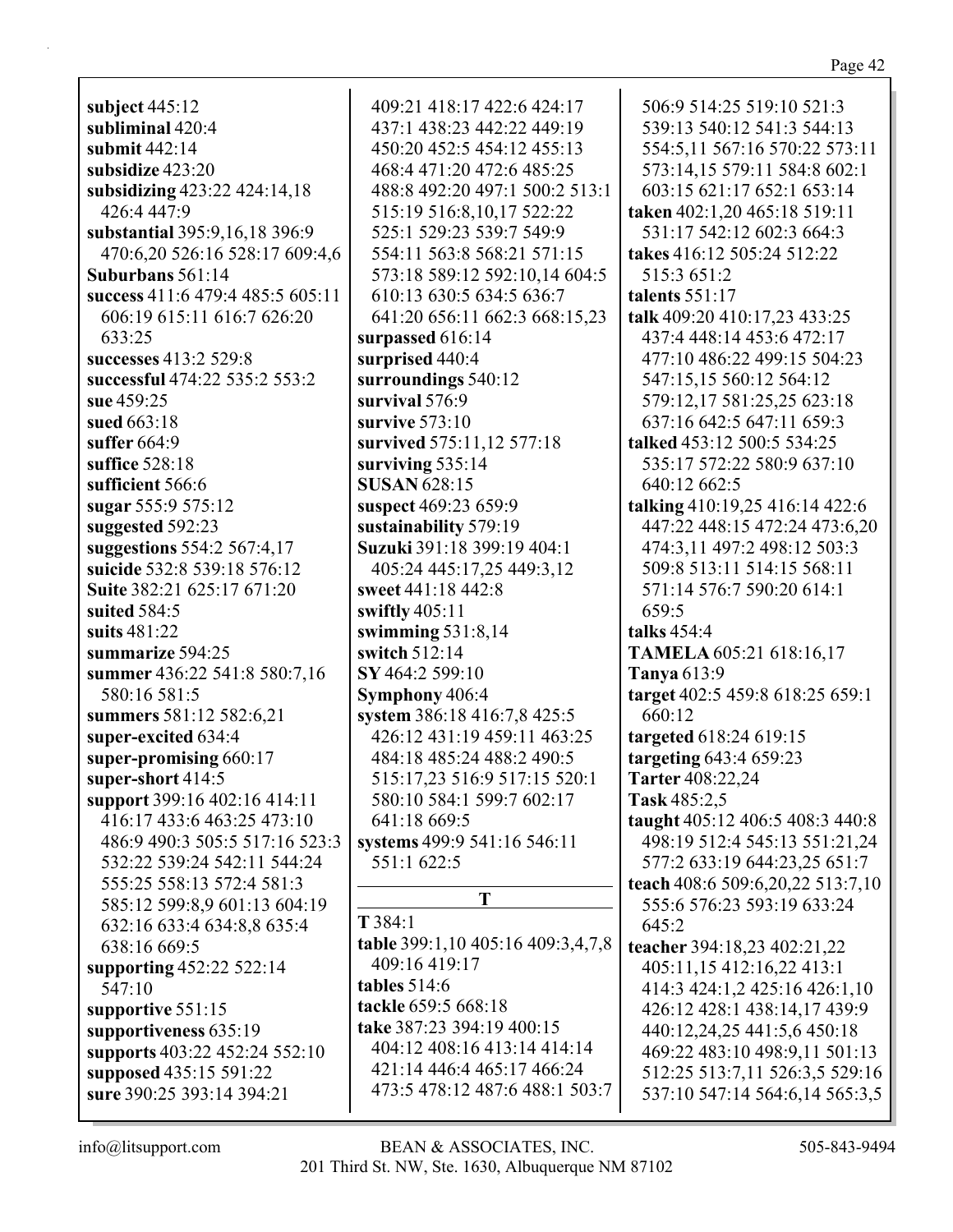subject  $445:12$ subliminal 420:4 submit  $442:14$ subsidize 423:20 subsidizing 423:22 424:14,18 426:4 447:9 substantial 395:9.16.18 396:9 470:6,20 526:16 528:17 609:4,6 Suburbans  $561:14$ success 411:6 479:4 485:5 605:11 606:19 615:11 616:7 626:20 633:25 successes 413:2 529:8 successful 474:22 535:2 553:2 sue 459:25 sued 663:18 suffer  $664:9$ suffice  $528:18$ sufficient 566:6 sugar 555:9 575:12 suggested 592:23 suggestions 554:2 567:4,17 suicide 532:8 539:18 576:12 Suite 382:21 625:17 671:20 suited  $584:5$ suits  $481:22$ summarize 594:25 summer 436:22 541:8 580:7,16 580:16 581:5 summers 581:12 582:6,21 super-excited 634:4 super-promising 660:17 super-short 414:5 support 399:16 402:16 414:11 416:17 433:6 463:25 473:10 486:9 490:3 505:5 517:16 523:3 532:22 539:24 542:11 544:24 555:25 558:13 572:4 581:3 585:12 599:8,9 601:13 604:19 632:16 633:4 634:8,8 635:4 638:16 669:5 supporting 452:22 522:14 547:10 supportive 551:15 supportiveness 635:19 supports 403:22 452:24 552:10 supposed 435:15 591:22 sure 390:25 393:14 394:21

409:21 418:17 422:6 424:17 437:1 438:23 442:22 449:19 450:20 452:5 454:12 455:13 468:4 471:20 472:6 485:25 488:8 492:20 497:1 500:2 513:1 515:19 516:8,10,17 522:22 525:1 529:23 539:7 549:9 554:11 563:8 568:21 571:15 573:18 589:12 592:10.14 604:5 610:13 630:5 634:5 636:7 641:20 656:11 662:3 668:15,23 surpassed 616:14 surprised 440:4 surroundings 540:12 survival  $576:9$ survive  $573:10$ survived 575:11,12 577:18 surviving  $535:14$ **SUSAN 628:15** suspect 469:23 659:9 sustainability 579:19 Suzuki 391:18 399:19 404:1 405:24 445:17,25 449:3,12 sweet 441:18 442:8 swiftly  $405:11$ swimming  $531:8,14$ switch  $512:14$ SY 464:2 599:10 Symphony 406:4 system 386:18 416:7,8 425:5 426:12 431:19 459:11 463:25 484:18 485:24 488:2 490:5 515:17,23 516:9 517:15 520:1 580:10 584:1 599:7 602:17 641:18 669:5 systems 499:9 541:16 546:11 551:1 622:5 T  $T384:1$ table 399:1,10 405:16 409:3,4,7,8 409:16 419:17 tables  $514:6$ tackle 659:5 668:18 take 387:23 394:19 400:15 404:12 408:16 413:14 414:14

506:9 514:25 519:10 521:3 539:13 540:12 541:3 544:13 554:5.11 567:16 570:22 573:11 573:14,15 579:11 584:8 602:1 603:15 621:17 652:1 653:14 taken 402:1,20 465:18 519:11 531:17 542:12 602:3 664:3 takes 416:12 505:24 512:22 515:3 651:2 talents 551:17 talk 409:20 410:17,23 433:25 437:4 448:14 453:6 472:17 477:10 486:22 499:15 504:23 547:15,15 560:12 564:12 579:12,17 581:25,25 623:18 637:16 642:5 647:11 659:3 talked 453:12 500:5 534:25 535:17 572:22 580:9 637:10 640:12 662:5 talking 410:19,25 416:14 422:6 447:22 448:15 472:24 473:6,20 474:3,11 497:2 498:12 503:3 509:8 513:11 514:15 568:11 571:14 576:7 590:20 614:1  $659:5$ talks  $454:4$ **TAMELA 605:21 618:16,17 Tanya** 613:9 target 402:5 459:8 618:25 659:1 660:12 targeted 618:24 619:15 targeting 643:4 659:23 Tarter 408:22,24 Task 485:2.5 taught 405:12 406:5 408:3 440:8 498:19 512:4 545:13 551:21.24 577:2 633:19 644:23,25 651:7 teach 408:6 509:6,20,22 513:7,10 555:6 576:23 593:19 633:24 645:2 teacher 394:18,23 402:21,22 405:11,15 412:16,22 413:1 414:3 424:1,2 425:16 426:1,10 426:12 428:1 438:14,17 439:9 440:12,24,25 441:5,6 450:18 469:22 483:10 498:9,11 501:13 512:25 513:7,11 526:3,5 529:16 537:10 547:14 564:6,14 565:3,5

 $info@$ litsupport.com

473:5 478:12 487:6 488:1 503:7

421:14 446:4 465:17 466:24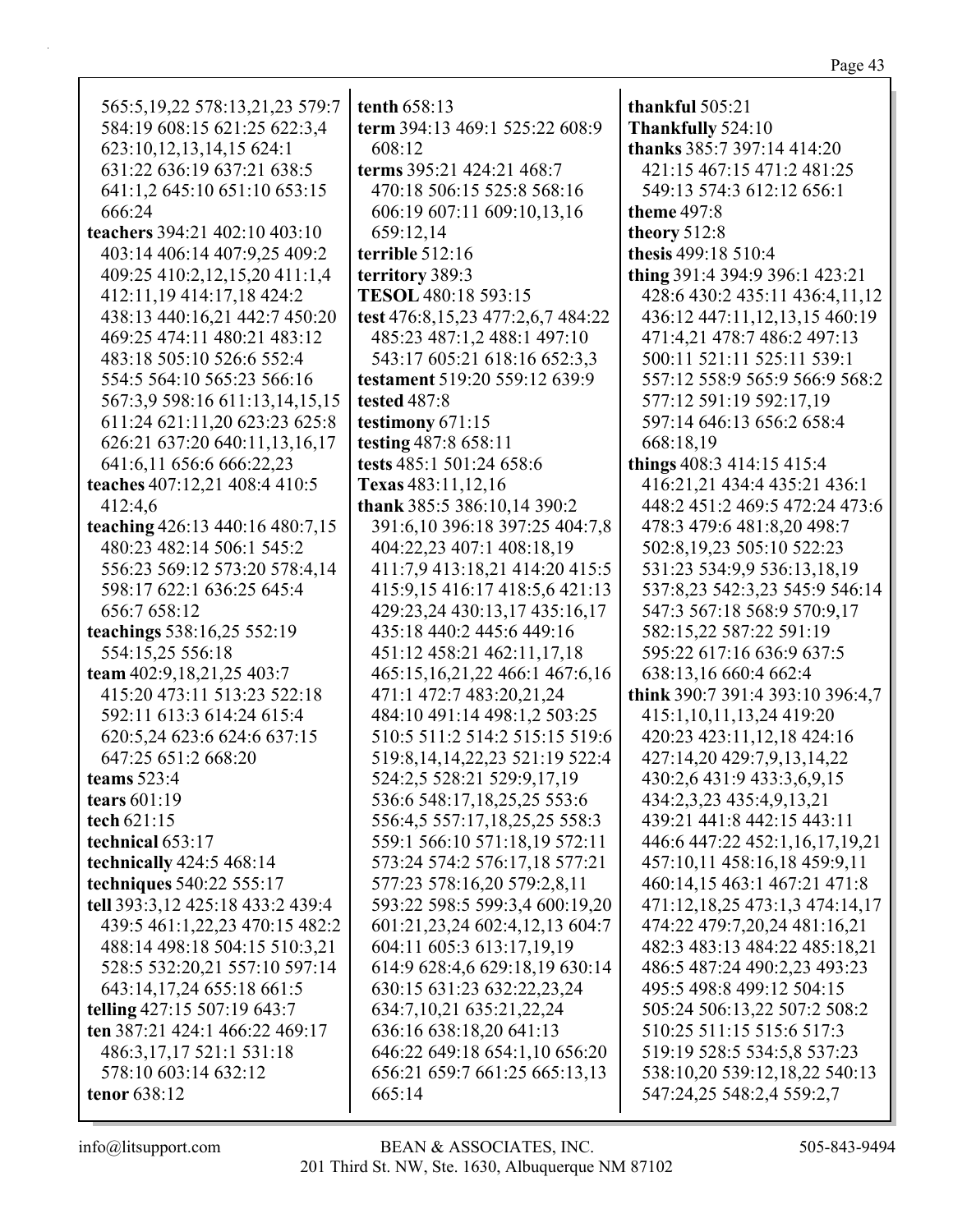| 565:5, 19, 22 578: 13, 21, 23 579: 7                         | tenth 658:13                           | thankful 505:21                  |
|--------------------------------------------------------------|----------------------------------------|----------------------------------|
| 584:19 608:15 621:25 622:3,4                                 | term 394:13 469:1 525:22 608:9         | Thankfully 524:10                |
| 623:10,12,13,14,15 624:1                                     | 608:12                                 | thanks 385:7 397:14 414:20       |
| 631:22 636:19 637:21 638:5                                   | terms 395:21 424:21 468:7              | 421:15 467:15 471:2 481:25       |
| 641:1,2 645:10 651:10 653:15                                 | 470:18 506:15 525:8 568:16             | 549:13 574:3 612:12 656:1        |
| 666:24                                                       | 606:19 607:11 609:10,13,16             | <b>theme</b> 497:8               |
| teachers 394:21 402:10 403:10                                | 659:12,14                              | theory 512:8                     |
| 403:14 406:14 407:9,25 409:2                                 | terrible 512:16                        | thesis 499:18 510:4              |
| 409:25 410:2,12,15,20 411:1,4                                | territory 389:3                        | thing 391:4 394:9 396:1 423:21   |
| 412:11,19 414:17,18 424:2                                    | TESOL 480:18 593:15                    | 428:6 430:2 435:11 436:4,11,12   |
| 438:13 440:16,21 442:7 450:20                                | test 476:8,15,23 477:2,6,7 484:22      | 436:12 447:11,12,13,15 460:19    |
| 469:25 474:11 480:21 483:12                                  | 485:23 487:1,2 488:1 497:10            | 471:4,21 478:7 486:2 497:13      |
| 483:18 505:10 526:6 552:4                                    | 543:17 605:21 618:16 652:3,3           | 500:11 521:11 525:11 539:1       |
| 554:5 564:10 565:23 566:16                                   | testament 519:20 559:12 639:9          | 557:12 558:9 565:9 566:9 568:2   |
| 567:3,9 598:16 611:13,14,15,15                               | tested 487:8                           | 577:12 591:19 592:17,19          |
| 611:24 621:11,20 623:23 625:8                                | testimony 671:15                       | 597:14 646:13 656:2 658:4        |
| 626:21 637:20 640:11,13,16,17                                | testing 487:8 658:11                   | 668:18,19                        |
| 641:6,11 656:6 666:22,23                                     | tests 485:1 501:24 658:6               | things 408:3 414:15 415:4        |
| teaches 407:12,21 408:4 410:5                                | Texas 483:11,12,16                     | 416:21,21 434:4 435:21 436:1     |
|                                                              | thank 385:5 386:10,14 390:2            | 448:2 451:2 469:5 472:24 473:6   |
| 412:4,6                                                      |                                        | 478:3 479:6 481:8,20 498:7       |
| teaching 426:13 440:16 480:7,15<br>480:23 482:14 506:1 545:2 | 391:6,10 396:18 397:25 404:7,8         |                                  |
|                                                              | 404:22,23 407:1 408:18,19              | 502:8,19,23 505:10 522:23        |
| 556:23 569:12 573:20 578:4,14                                | 411:7,9 413:18,21 414:20 415:5         | 531:23 534:9,9 536:13,18,19      |
| 598:17 622:1 636:25 645:4                                    | 415:9,15 416:17 418:5,6 421:13         | 537:8,23 542:3,23 545:9 546:14   |
| 656:7 658:12                                                 | 429:23,24 430:13,17 435:16,17          | 547:3 567:18 568:9 570:9,17      |
| teachings 538:16,25 552:19                                   | 435:18 440:2 445:6 449:16              | 582:15,22 587:22 591:19          |
| 554:15,25 556:18                                             | 451:12 458:21 462:11,17,18             | 595:22 617:16 636:9 637:5        |
| team 402:9,18,21,25 403:7                                    | 465:15, 16, 21, 22 466:1 467: 6, 16    | 638:13,16 660:4 662:4            |
| 415:20 473:11 513:23 522:18                                  | 471:1 472:7 483:20,21,24               | think 390:7 391:4 393:10 396:4,7 |
| 592:11 613:3 614:24 615:4                                    | 484:10 491:14 498:1,2 503:25           | 415:1,10,11,13,24 419:20         |
| 620:5,24 623:6 624:6 637:15                                  | 510:5 511:2 514:2 515:15 519:6         | 420:23 423:11,12,18 424:16       |
| 647:25 651:2 668:20                                          | 519:8, 14, 14, 22, 23 5 21: 19 5 22: 4 | 427:14,20 429:7,9,13,14,22       |
| teams $523:4$                                                | 524:2,5 528:21 529:9,17,19             | 430:2,6 431:9 433:3,6,9,15       |
| tears $601:19$                                               | 536:6 548:17,18,25,25 553:6            | 434:2,3,23 435:4,9,13,21         |
| tech 621:15                                                  | 556:4,5 557:17,18,25,25 558:3          | 439:21 441:8 442:15 443:11       |
| technical $653:17$                                           | 559:1 566:10 571:18,19 572:11          | 446:6 447:22 452:1,16,17,19,21   |
| technically $424:5$ $468:14$                                 | 573:24 574:2 576:17,18 577:21          | 457:10,11 458:16,18 459:9,11     |
| techniques 540:22 555:17                                     | 577:23 578:16,20 579:2,8,11            | 460:14,15 463:1 467:21 471:8     |
| tell 393:3,12 425:18 433:2 439:4                             | 593:22 598:5 599:3,4 600:19,20         | 471:12,18,25 473:1,3 474:14,17   |
| 439:5 461:1,22,23 470:15 482:2                               | 601:21,23,24 602:4,12,13 604:7         | 474:22 479:7,20,24 481:16,21     |
| 488:14 498:18 504:15 510:3,21                                | 604:11 605:3 613:17,19,19              | 482:3 483:13 484:22 485:18,21    |
| 528:5 532:20,21 557:10 597:14                                | 614:9 628:4,6 629:18,19 630:14         | 486:5 487:24 490:2,23 493:23     |
| 643:14,17,24 655:18 661:5                                    | 630:15 631:23 632:22,23,24             | 495:5 498:8 499:12 504:15        |
| telling 427:15 507:19 643:7                                  | 634:7, 10, 21 635: 21, 22, 24          | 505:24 506:13,22 507:2 508:2     |
| ten 387:21 424:1 466:22 469:17                               | 636:16 638:18,20 641:13                | 510:25 511:15 515:6 517:3        |
| 486:3,17,17 521:1 531:18                                     | 646:22 649:18 654:1,10 656:20          | 519:19 528:5 534:5,8 537:23      |
| 578:10 603:14 632:12                                         | 656:21 659:7 661:25 665:13,13          | 538:10,20 539:12,18,22 540:13    |
| tenor 638:12                                                 | 665:14                                 | 547:24,25 548:2,4 559:2,7        |
|                                                              |                                        |                                  |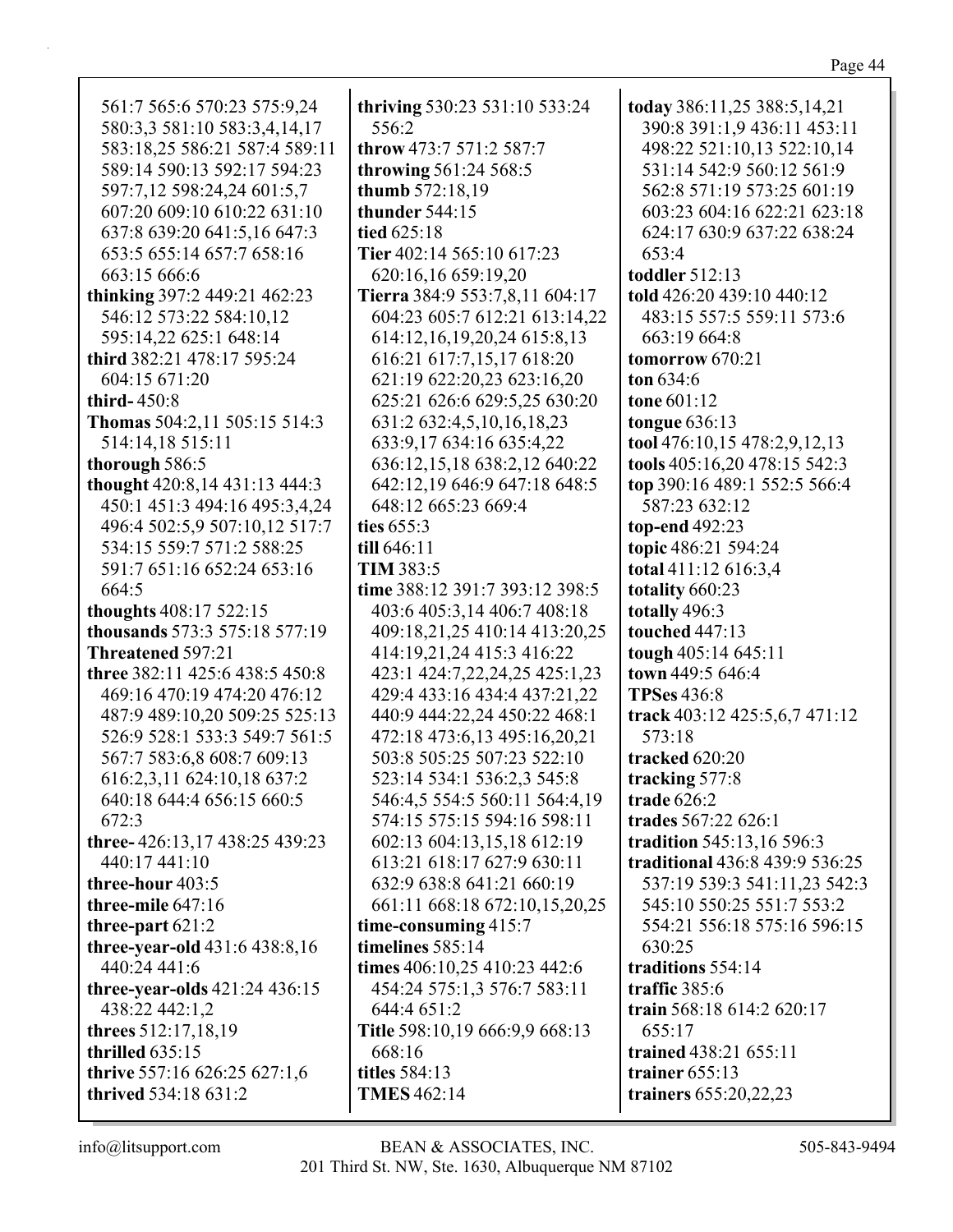561:7 565:6 570:23 575:9,24 580:3,3 581:10 583:3,4,14,17 583:18,25 586:21 587:4 589:11 589:14 590:13 592:17 594:23 597:7,12 598:24,24 601:5,7 607:20 609:10 610:22 631:10 637:8 639:20 641:5,16 647:3 653:5 655:14 657:7 658:16 663:15 666:6 **thinking** 397:2 449:21 462:23 546:12 573:22 584:10,12 595:14,22 625:1 648:14 **third** 382:21 478:17 595:24 604:15 671:20 **third-** 450:8 **Thomas** 504:2,11 505:15 514:3 514:14,18 515:11 **thorough** 586:5 **thought** 420:8,14 431:13 444:3 450:1 451:3 494:16 495:3,4,24 496:4 502:5,9 507:10,12 517:7 534:15 559:7 571:2 588:25 591:7 651:16 652:24 653:16 664:5 **thoughts** 408:17 522:15 **thousands** 573:3 575:18 577:19 **Threatened** 597:21 **three** 382:11 425:6 438:5 450:8 469:16 470:19 474:20 476:12 487:9 489:10,20 509:25 525:13 526:9 528:1 533:3 549:7 561:5 567:7 583:6,8 608:7 609:13 616:2,3,11 624:10,18 637:2 640:18 644:4 656:15 660:5 672:3 **three-** 426:13,17 438:25 439:23 440:17 441:10 **three-hour** 403:5 **three-mile** 647:16 **three-part** 621:2 **three-year-old** 431:6 438:8,16 440:24 441:6 **three-year-olds** 421:24 436:15 438:22 442:1,2 **threes** 512:17,18,19 **thrilled** 635:15 **thrive** 557:16 626:25 627:1,6 **thrived** 534:18 631:2

**thriving** 530:23 531:10 533:24 556:2 **throw** 473:7 571:2 587:7 **throwing** 561:24 568:5 **thumb** 572:18,19 **thunder** 544:15 **tied** 625:18 **Tier** 402:14 565:10 617:23 620:16,16 659:19,20 **Tierra** 384:9 553:7,8,11 604:17 604:23 605:7 612:21 613:14,22 614:12,16,19,20,24 615:8,13 616:21 617:7,15,17 618:20 621:19 622:20,23 623:16,20 625:21 626:6 629:5,25 630:20 631:2 632:4,5,10,16,18,23 633:9,17 634:16 635:4,22 636:12,15,18 638:2,12 640:22 642:12,19 646:9 647:18 648:5 648:12 665:23 669:4 **ties** 655:3 **till** 646:11 **TIM** 383:5 **time** 388:12 391:7 393:12 398:5 403:6 405:3,14 406:7 408:18 409:18,21,25 410:14 413:20,25 414:19,21,24 415:3 416:22 423:1 424:7,22,24,25 425:1,23 429:4 433:16 434:4 437:21,22 440:9 444:22,24 450:22 468:1 472:18 473:6,13 495:16,20,21 503:8 505:25 507:23 522:10 523:14 534:1 536:2,3 545:8 546:4,5 554:5 560:11 564:4,19 574:15 575:15 594:16 598:11 602:13 604:13,15,18 612:19 613:21 618:17 627:9 630:11 632:9 638:8 641:21 660:19 661:11 668:18 672:10,15,20,25 **time-consuming** 415:7 **timelines** 585:14 **times** 406:10,25 410:23 442:6 454:24 575:1,3 576:7 583:11 644:4 651:2 **Title** 598:10,19 666:9,9 668:13 668:16 **titles** 584:13 **TMES** 462:14

**today** 386:11,25 388:5,14,21 390:8 391:1,9 436:11 453:11 498:22 521:10,13 522:10,14 531:14 542:9 560:12 561:9 562:8 571:19 573:25 601:19 603:23 604:16 622:21 623:18 624:17 630:9 637:22 638:24 653:4 **toddler** 512:13 **told** 426:20 439:10 440:12 483:15 557:5 559:11 573:6 663:19 664:8 **tomorrow** 670:21 **ton** 634:6 **tone** 601:12 **tongue** 636:13 **tool** 476:10,15 478:2,9,12,13 **tools** 405:16,20 478:15 542:3 **top** 390:16 489:1 552:5 566:4 587:23 632:12 **top-end** 492:23 **topic** 486:21 594:24 **total** 411:12 616:3,4 **totality** 660:23 **totally** 496:3 **touched** 447:13 **tough** 405:14 645:11 **town** 449:5 646:4 **TPSes** 436:8 **track** 403:12 425:5,6,7 471:12 573:18 **tracked** 620:20 **tracking** 577:8 **trade** 626:2 **trades** 567:22 626:1 **tradition** 545:13,16 596:3 **traditional** 436:8 439:9 536:25 537:19 539:3 541:11,23 542:3 545:10 550:25 551:7 553:2 554:21 556:18 575:16 596:15 630:25 **traditions** 554:14 **traffic** 385:6 **train** 568:18 614:2 620:17 655:17 **trained** 438:21 655:11 **trainer** 655:13 **trainers** 655:20,22,23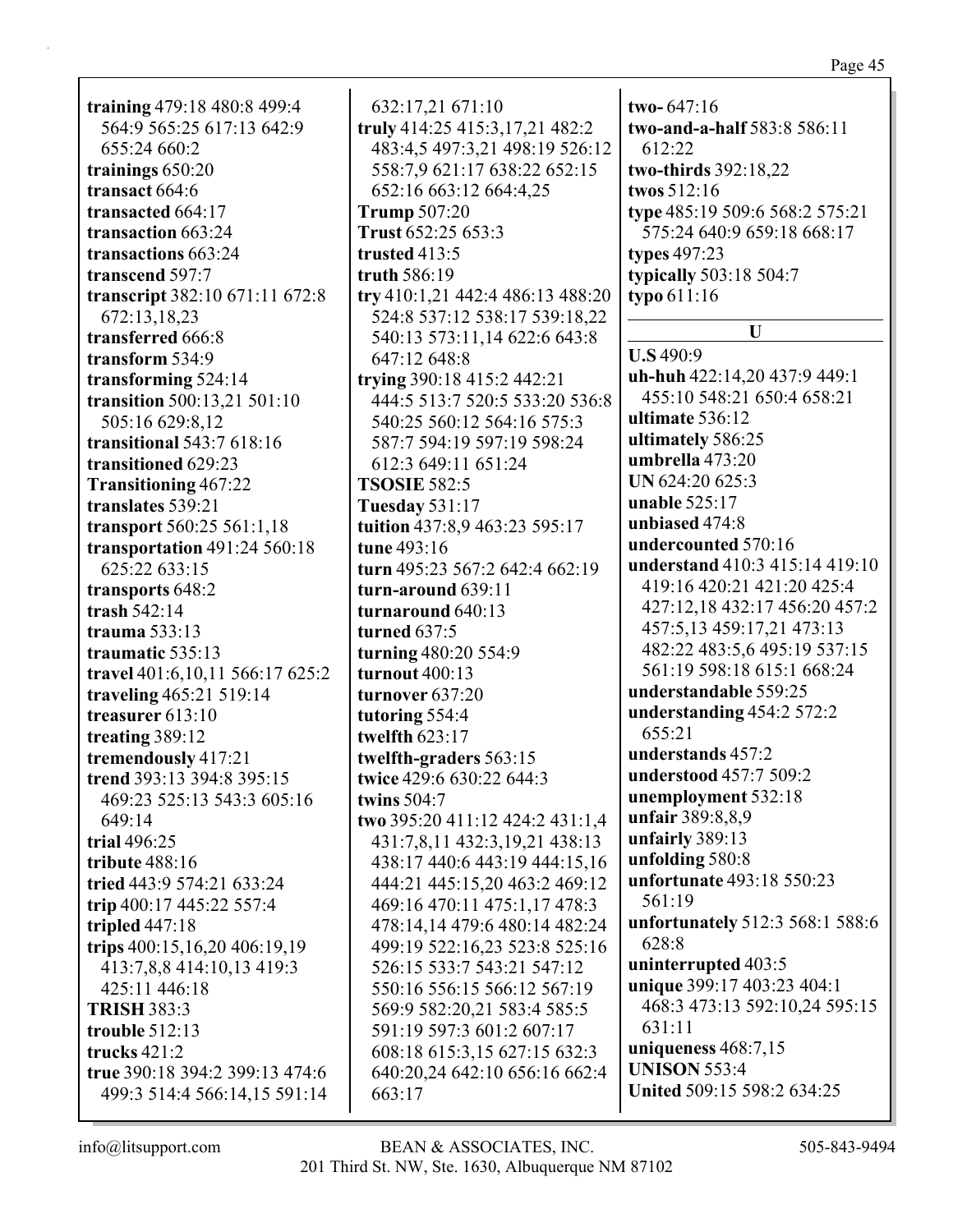| ш<br>c<br>ı.<br>1 |  |
|-------------------|--|
|                   |  |

**training** 479:18 480:8 499:4 564:9 565:25 617:13 642:9 655:24 660:2 **trainings** 650:20 **transact** 664:6 **transacted** 664:17 **transaction** 663:24 **transactions** 663:24 **transcend** 597:7 **transcript** 382:10 671:11 672:8 672:13,18,23 **transferred** 666:8 **transform** 534:9 **transforming** 524:14 **transition** 500:13,21 501:10 505:16 629:8,12 **transitional** 543:7 618:16 **transitioned** 629:23 **Transitioning** 467:22 **translates** 539:21 **transport** 560:25 561:1,18 **transportation** 491:24 560:18 625:22 633:15 **transports** 648:2 **trash** 542:14 **trauma** 533:13 **traumatic** 535:13 **travel** 401:6,10,11 566:17 625:2 **traveling** 465:21 519:14 **treasurer** 613:10 **treating** 389:12 **tremendously** 417:21 **trend** 393:13 394:8 395:15 469:23 525:13 543:3 605:16 649:14 **trial** 496:25 **tribute** 488:16 **tried** 443:9 574:21 633:24 **trip** 400:17 445:22 557:4 **tripled** 447:18 **trips** 400:15,16,20 406:19,19 413:7,8,8 414:10,13 419:3 425:11 446:18 **TRISH** 383:3 **trouble** 512:13 **trucks** 421:2 **true** 390:18 394:2 399:13 474:6 499:3 514:4 566:14,15 591:14

632:17,21 671:10 **truly** 414:25 415:3,17,21 482:2 483:4,5 497:3,21 498:19 526:12 558:7,9 621:17 638:22 652:15 652:16 663:12 664:4,25 **Trump** 507:20 **Trust** 652:25 653:3 **trusted** 413:5 **truth** 586:19 **try** 410:1,21 442:4 486:13 488:20 524:8 537:12 538:17 539:18,22 540:13 573:11,14 622:6 643:8 647:12 648:8 **trying** 390:18 415:2 442:21 444:5 513:7 520:5 533:20 536:8 540:25 560:12 564:16 575:3 587:7 594:19 597:19 598:24 612:3 649:11 651:24 **TSOSIE** 582:5 **Tuesday** 531:17 **tuition** 437:8,9 463:23 595:17 **tune** 493:16 **turn** 495:23 567:2 642:4 662:19 **turn-around** 639:11 **turnaround** 640:13 **turned** 637:5 **turning** 480:20 554:9 **turnout** 400:13 **turnover** 637:20 **tutoring** 554:4 **twelfth** 623:17 **twelfth-graders** 563:15 **twice** 429:6 630:22 644:3 **twins** 504:7 **two** 395:20 411:12 424:2 431:1,4 431:7,8,11 432:3,19,21 438:13 438:17 440:6 443:19 444:15,16 444:21 445:15,20 463:2 469:12 469:16 470:11 475:1,17 478:3 478:14,14 479:6 480:14 482:24 499:19 522:16,23 523:8 525:16 526:15 533:7 543:21 547:12 550:16 556:15 566:12 567:19 569:9 582:20,21 583:4 585:5 591:19 597:3 601:2 607:17 608:18 615:3,15 627:15 632:3 640:20,24 642:10 656:16 662:4 663:17

**two-** 647:16 **two-and-a-half** 583:8 586:11 612:22 **two-thirds** 392:18,22 **twos** 512:16 **type** 485:19 509:6 568:2 575:21 575:24 640:9 659:18 668:17 **types** 497:23 **typically** 503:18 504:7 **typo** 611:16 **U U.S** 490:9 **uh-huh** 422:14,20 437:9 449:1 455:10 548:21 650:4 658:21 **ultimate** 536:12 **ultimately** 586:25 **umbrella** 473:20 **UN** 624:20 625:3 **unable** 525:17 **unbiased** 474:8 **undercounted** 570:16 **understand** 410:3 415:14 419:10 419:16 420:21 421:20 425:4 427:12,18 432:17 456:20 457:2 457:5,13 459:17,21 473:13 482:22 483:5,6 495:19 537:15 561:19 598:18 615:1 668:24 **understandable** 559:25 **understanding** 454:2 572:2 655:21 **understands** 457:2 **understood** 457:7 509:2 **unemployment** 532:18 **unfair** 389:8,8,9 **unfairly** 389:13 **unfolding** 580:8 **unfortunate** 493:18 550:23 561:19 **unfortunately** 512:3 568:1 588:6 628:8 **uninterrupted** 403:5 **unique** 399:17 403:23 404:1 468:3 473:13 592:10,24 595:15 631:11 **uniqueness** 468:7,15 **UNISON** 553:4 **United** 509:15 598:2 634:25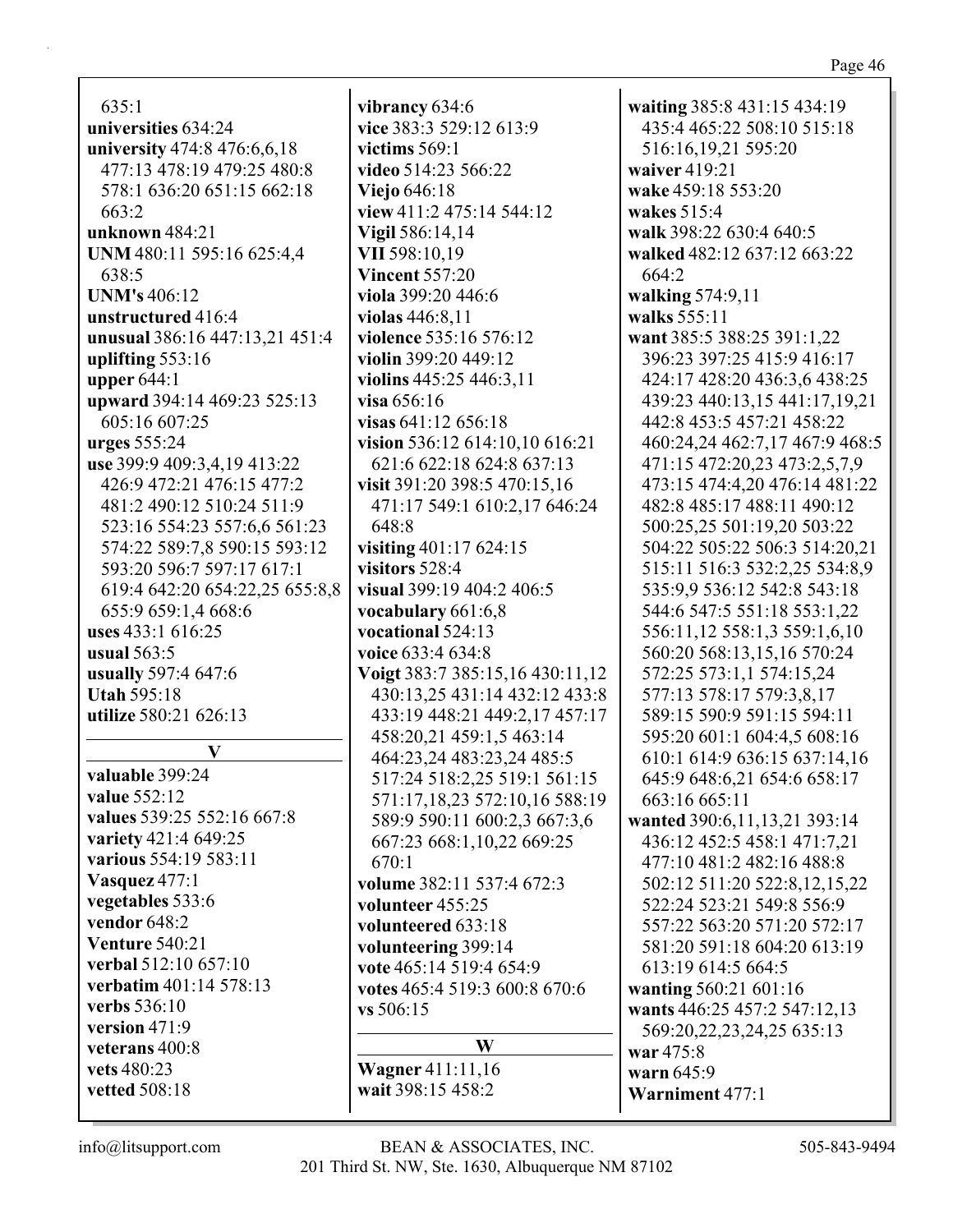**waiting** 385:8 431:15 434:19 435:4 465:22 508:10 515:18

516:16,19,21 595:20

**walk** 398:22 630:4 640:5 **walked** 482:12 637:12 663:22

**want** 385:5 388:25 391:1,22 396:23 397:25 415:9 416:17 424:17 428:20 436:3,6 438:25 439:23 440:13,15 441:17,19,21 442:8 453:5 457:21 458:22 460:24,24 462:7,17 467:9 468:5 471:15 472:20,23 473:2,5,7,9 473:15 474:4,20 476:14 481:22 482:8 485:17 488:11 490:12 500:25,25 501:19,20 503:22 504:22 505:22 506:3 514:20,21 515:11 516:3 532:2,25 534:8,9 535:9,9 536:12 542:8 543:18 544:6 547:5 551:18 553:1,22

**waiver** 419:21 **wake** 459:18 553:20

**wakes** 515:4

**walking** 574:9,11 **walks** 555:11

664:2

635:1 **universities** 634:24 **university** 474:8 476:6,6,18 477:13 478:19 479:25 480:8 578:1 636:20 651:15 662:18 663:2 **unknown** 484:21 **UNM** 480:11 595:16 625:4,4 638:5 **UNM's** 406:12 **unstructured** 416:4 **unusual** 386:16 447:13,21 451:4 **uplifting** 553:16 **upper** 644:1 **upward** 394:14 469:23 525:13 605:16 607:25 **urges** 555:24 **use** 399:9 409:3,4,19 413:22 426:9 472:21 476:15 477:2 481:2 490:12 510:24 511:9 523:16 554:23 557:6,6 561:23 574:22 589:7,8 590:15 593:12 593:20 596:7 597:17 617:1 619:4 642:20 654:22,25 655:8,8 655:9 659:1,4 668:6 **uses** 433:1 616:25 **usual** 563:5 **usually** 597:4 647:6 **Utah** 595:18 **utilize** 580:21 626:13

## **V**

**valuable** 399:24 **value** 552:12 **values** 539:25 552:16 667:8 **variety** 421:4 649:25 **various** 554:19 583:11 **Vasquez** 477:1 **vegetables** 533:6 **vendor** 648:2 **Venture** 540:21 **verbal** 512:10 657:10 **verbatim** 401:14 578:13 **verbs** 536:10 **version** 471:9 **veterans** 400:8 **vets** 480:23 **vetted** 508:18

**vibrancy** 634:6 **vice** 383:3 529:12 613:9 **victims** 569:1 **video** 514:23 566:22 **Viejo** 646:18 **view** 411:2 475:14 544:12 **Vigil** 586:14,14 **VII** 598:10,19 **Vincent** 557:20 **viola** 399:20 446:6 **violas** 446:8,11 **violence** 535:16 576:12 **violin** 399:20 449:12 **violins** 445:25 446:3,11 **visa** 656:16 **visas** 641:12 656:18 **vision** 536:12 614:10,10 616:21 621:6 622:18 624:8 637:13 **visit** 391:20 398:5 470:15,16 471:17 549:1 610:2,17 646:24 648:8 **visiting** 401:17 624:15 **visitors** 528:4 **visual** 399:19 404:2 406:5 **vocabulary** 661:6,8 **vocational** 524:13 **voice** 633:4 634:8 **Voigt** 383:7 385:15,16 430:11,12 430:13,25 431:14 432:12 433:8 433:19 448:21 449:2,17 457:17 458:20,21 459:1,5 463:14 464:23,24 483:23,24 485:5 517:24 518:2,25 519:1 561:15 571:17,18,23 572:10,16 588:19 589:9 590:11 600:2,3 667:3,6 667:23 668:1,10,22 669:25 670:1 **volume** 382:11 537:4 672:3 **volunteer** 455:25 **volunteered** 633:18 **volunteering** 399:14 **vote** 465:14 519:4 654:9 **votes** 465:4 519:3 600:8 670:6 **vs** 506:15

## **W**

**Wagner** 411:11,16 **wait** 398:15 458:2

556:11,12 558:1,3 559:1,6,10 560:20 568:13,15,16 570:24 572:25 573:1,1 574:15,24 577:13 578:17 579:3,8,17 589:15 590:9 591:15 594:11 595:20 601:1 604:4,5 608:16 610:1 614:9 636:15 637:14,16 645:9 648:6,21 654:6 658:17 663:16 665:11 **wanted** 390:6,11,13,21 393:14 436:12 452:5 458:1 471:7,21 477:10 481:2 482:16 488:8 502:12 511:20 522:8,12,15,22 522:24 523:21 549:8 556:9 557:22 563:20 571:20 572:17 581:20 591:18 604:20 613:19 613:19 614:5 664:5 **wanting** 560:21 601:16 **wants** 446:25 457:2 547:12,13 569:20,22,23,24,25 635:13 **war** 475:8 **warn** 645:9 **Warniment** 477:1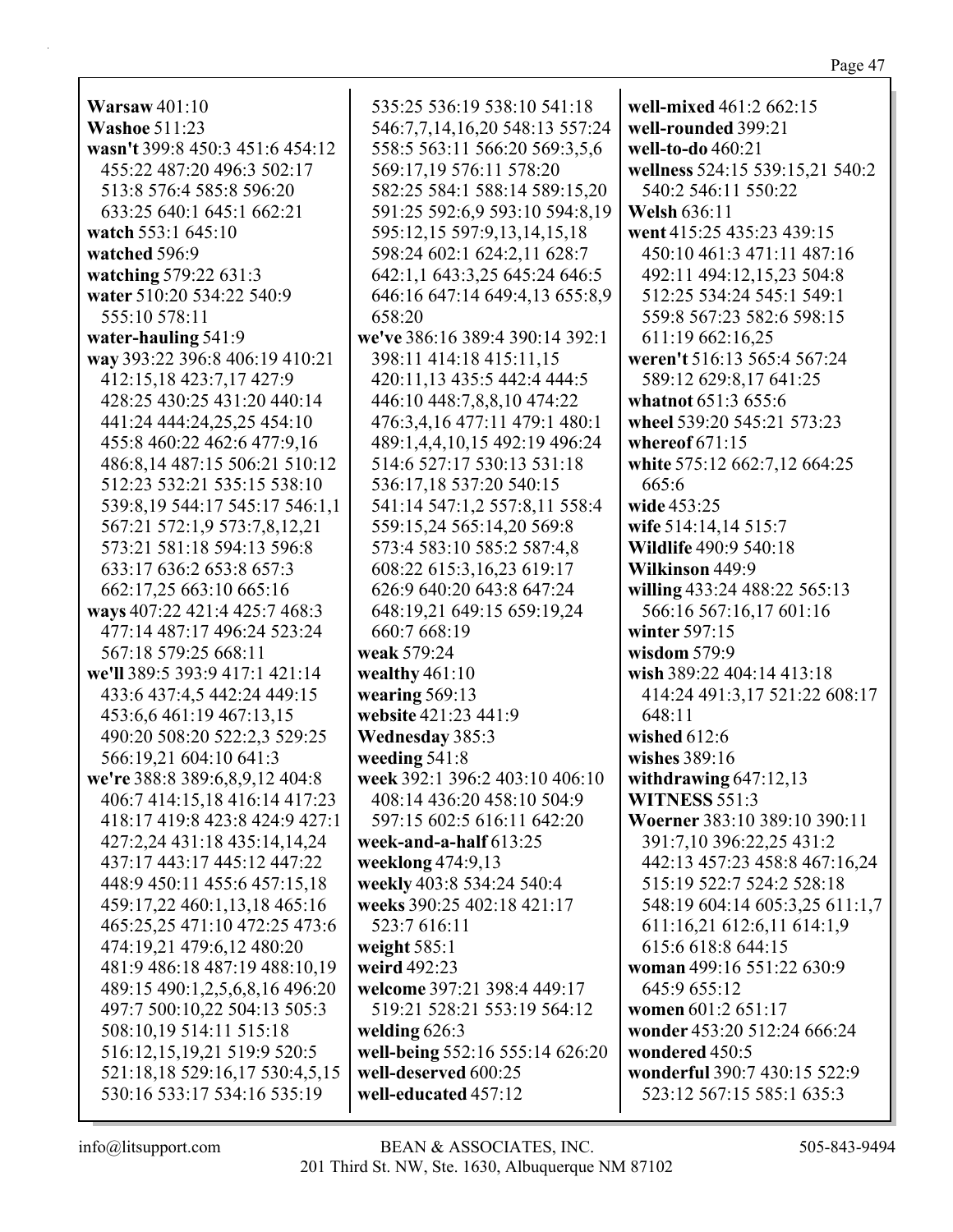Warsaw  $401:10$ **Washoe 511:23** wasn't 399:8 450:3 451:6 454:12 455:22 487:20 496:3 502:17 513:8 576:4 585:8 596:20 633:25 640:1 645:1 662:21 watch 553:1 645:10 watched 596:9 watching 579:22 631:3 water 510:20 534:22 540:9 555:10 578:11 658:20 water-hauling 541:9 way 393:22 396:8 406:19 410:21 412:15,18 423:7,17 427:9 428:25 430:25 431:20 440:14 441:24 444:24,25,25 454:10 455:8 460:22 462:6 477:9,16 486:8.14 487:15 506:21 510:12 512:23 532:21 535:15 538:10 539:8,19 544:17 545:17 546:1,1 567:21 572:1,9 573:7,8,12,21 573:21 581:18 594:13 596:8 633:17 636:2 653:8 657:3 662:17,25 663:10 665:16 ways 407:22 421:4 425:7 468:3 477:14 487:17 496:24 523:24 567:18 579:25 668:11 we'll 389:5 393:9 417:1 421:14 433:6 437:4,5 442:24 449:15 453:6,6 461:19 467:13,15 490:20 508:20 522:2,3 529:25 566:19,21 604:10 641:3 we're 388:8 389:6, 8, 9, 12 404:8 406:7 414:15,18 416:14 417:23 418:17 419:8 423:8 424:9 427:1 427:2,24 431:18 435:14,14,24 437:17 443:17 445:12 447:22 448:9 450:11 455:6 457:15,18 459:17,22 460:1,13,18 465:16 465:25,25 471:10 472:25 473:6 474:19,21 479:6,12 480:20 481:9 486:18 487:19 488:10,19 489:15 490:1,2,5,6,8,16 496:20 497:7 500:10,22 504:13 505:3 508:10,19 514:11 515:18 516:12,15,19,21 519:9 520:5 521:18,18 529:16,17 530:4,5,15 530:16 533:17 534:16 535:19

535:25 536:19 538:10 541:18 546:7,7,14,16,20 548:13 557:24 558:5 563:11 566:20 569:3,5,6 569:17,19 576:11 578:20 582:25 584:1 588:14 589:15,20 591:25 592:6,9 593:10 594:8,19 595:12.15 597:9.13.14.15.18 598:24 602:1 624:2,11 628:7 642:1,1 643:3,25 645:24 646:5 646:16 647:14 649:4,13 655:8,9 we've 386:16 389:4 390:14 392:1 398:11 414:18 415:11,15 420:11,13 435:5 442:4 444:5 446:10 448:7,8,8,10 474:22 476:3,4,16 477:11 479:1 480:1 489:1,4,4,10,15 492:19 496:24 514:6 527:17 530:13 531:18 536:17,18 537:20 540:15 541:14 547:1,2 557:8,11 558:4 559:15,24 565:14,20 569:8 573:4 583:10 585:2 587:4,8 608:22 615:3,16,23 619:17 626:9 640:20 643:8 647:24 648:19,21 649:15 659:19,24 660:7 668:19 weak 579:24 wealthy  $461:10$ wearing  $569:13$ website 421:23 441:9 **Wednesday 385:3** weeding 541:8 week 392:1 396:2 403:10 406:10 408:14 436:20 458:10 504:9 597:15 602:5 616:11 642:20 week-and-a-half  $613:25$ weeklong 474:9,13 weekly 403:8 534:24 540:4 weeks 390:25 402:18 421:17 523:7 616:11 weight  $585:1$ weird 492:23 welcome 397:21 398:4 449:17 519:21 528:21 553:19 564:12 welding  $626:3$ well-being 552:16 555:14 626:20 well-deserved 600:25 well-educated 457:12

well-mixed 461:2 662:15 well-rounded 399:21 well-to-do 460:21 wellness 524:15 539:15,21 540:2 540:2 546:11 550:22 **Welsh 636:11** went 415:25 435:23 439:15 450:10 461:3 471:11 487:16 492:11 494:12,15,23 504:8 512:25 534:24 545:1 549:1 559:8 567:23 582:6 598:15 611:19 662:16,25 weren't 516:13 565:4 567:24 589:12 629:8,17 641:25 whatnot 651:3 655:6 wheel 539:20 545:21 573:23 whereof  $671:15$ white 575:12 662:7,12 664:25  $665:6$ wide 453:25 wife 514:14,14 515:7 **Wildlife 490:9 540:18** Wilkinson 449:9 willing 433:24 488:22 565:13 566:16 567:16,17 601:16 winter  $597:15$ wisdom  $579:9$ wish 389:22 404:14 413:18 414:24 491:3,17 521:22 608:17 648:11 wished  $612:6$ wishes 389:16 withdrawing  $647:12,13$ WITNESS 551:3 Woerner 383:10 389:10 390:11 391:7,10 396:22,25 431:2 442:13 457:23 458:8 467:16,24 515:19 522:7 524:2 528:18 548:19 604:14 605:3,25 611:1,7 611:16,21 612:6,11 614:1,9 615:6 618:8 644:15 woman 499:16 551:22 630:9 645:9 655:12 women 601:2 651:17 wonder 453:20 512:24 666:24 wondered 450:5 wonderful 390:7 430:15 522:9 523:12 567:15 585:1 635:3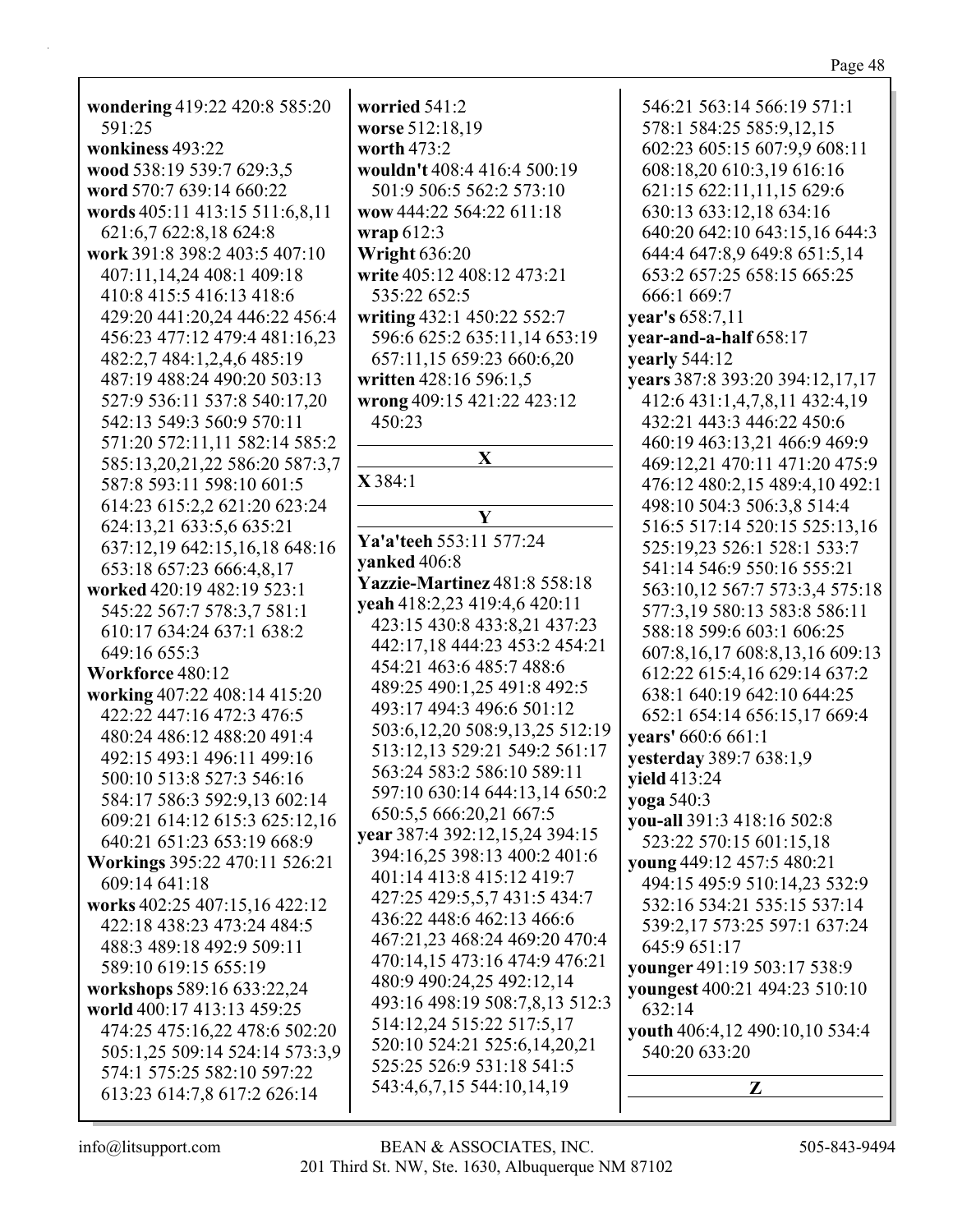| wondering 419:22 420:8 585:20<br>591:25           | worried 541:2<br>worse 512:18,19 | 546:21 563:14 566:19 571:1<br>578:1 584:25 585:9,12,15      |
|---------------------------------------------------|----------------------------------|-------------------------------------------------------------|
| wonkiness 493:22                                  | worth 473:2                      | 602:23 605:15 607:9,9 608:11                                |
| wood 538:19 539:7 629:3,5                         | wouldn't 408:4 416:4 500:19      | 608:18,20 610:3,19 616:16                                   |
| word 570:7 639:14 660:22                          | 501:9 506:5 562:2 573:10         | 621:15 622:11,11,15 629:6                                   |
| words 405:11 413:15 511:6,8,11                    | wow 444:22 564:22 611:18         | 630:13 633:12,18 634:16                                     |
| 621:6,7 622:8,18 624:8                            | wrap $612:3$                     | 640:20 642:10 643:15,16 644:3                               |
| work 391:8 398:2 403:5 407:10                     | <b>Wright 636:20</b>             | 644:4 647:8,9 649:8 651:5,14                                |
| 407:11,14,24 408:1 409:18                         | write 405:12 408:12 473:21       | 653:2 657:25 658:15 665:25                                  |
| 410:8 415:5 416:13 418:6                          | 535:22 652:5                     | 666:1 669:7                                                 |
| 429:20 441:20,24 446:22 456:4                     | writing 432:1 450:22 552:7       | year's 658:7,11                                             |
| 456:23 477:12 479:4 481:16,23                     | 596:6 625:2 635:11,14 653:19     | year-and-a-half 658:17                                      |
| 482:2,7 484:1,2,4,6 485:19                        | 657:11,15 659:23 660:6,20        | <b>yearly</b> 544:12                                        |
| 487:19 488:24 490:20 503:13                       | written 428:16 596:1,5           | years 387:8 393:20 394:12,17,17                             |
| 527:9 536:11 537:8 540:17,20                      | wrong 409:15 421:22 423:12       | 412:6 431:1,4,7,8,11 432:4,19                               |
| 542:13 549:3 560:9 570:11                         | 450:23                           | 432:21 443:3 446:22 450:6                                   |
| 571:20 572:11,11 582:14 585:2                     |                                  | 460:19 463:13,21 466:9 469:9                                |
| 585:13,20,21,22 586:20 587:3,7                    | $\mathbf{X}$                     | 469:12,21 470:11 471:20 475:9                               |
| 587:8 593:11 598:10 601:5                         | X 384:1                          | 476:12 480:2,15 489:4,10 492:1                              |
| 614:23 615:2,2 621:20 623:24                      |                                  | 498:10 504:3 506:3,8 514:4                                  |
| 624:13,21 633:5,6 635:21                          | Y                                | 516:5 517:14 520:15 525:13,16                               |
| 637:12,19 642:15,16,18 648:16                     | Ya'a'teeh 553:11 577:24          | 525:19,23 526:1 528:1 533:7                                 |
| 653:18 657:23 666:4,8,17                          | yanked 406:8                     | 541:14 546:9 550:16 555:21                                  |
| worked 420:19 482:19 523:1                        | Yazzie-Martinez 481:8 558:18     | 563:10,12 567:7 573:3,4 575:18                              |
| 545:22 567:7 578:3,7 581:1                        | yeah 418:2,23 419:4,6 420:11     | 577:3,19 580:13 583:8 586:11                                |
| 610:17 634:24 637:1 638:2                         | 423:15 430:8 433:8,21 437:23     | 588:18 599:6 603:1 606:25                                   |
| 649:16 655:3                                      | 442:17,18 444:23 453:2 454:21    | 607:8,16,17 608:8,13,16 609:13                              |
| Workforce 480:12                                  | 454:21 463:6 485:7 488:6         | 612:22 615:4,16 629:14 637:2                                |
| working 407:22 408:14 415:20                      | 489:25 490:1,25 491:8 492:5      | 638:1 640:19 642:10 644:25                                  |
| 422:22 447:16 472:3 476:5                         | 493:17 494:3 496:6 501:12        | 652:1 654:14 656:15,17 669:4                                |
| 480:24 486:12 488:20 491:4                        | 503:6,12,20 508:9,13,25 512:19   | vears' 660:6 661:1                                          |
| 492:15 493:1 496:11 499:16                        | 513:12,13 529:21 549:2 561:17    | yesterday 389:7 638:1,9                                     |
| 500:10 513:8 527:3 546:16                         | 563:24 583:2 586:10 589:11       | <b>yield</b> 413:24                                         |
| 584:17 586:3 592:9,13 602:14                      | 597:10 630:14 644:13,14 650:2    | yoga 540:3                                                  |
| 609:21 614:12 615:3 625:12,16                     | 650:5,5 666:20,21 667:5          | you-all 391:3 418:16 502:8                                  |
| 640:21 651:23 653:19 668:9                        | year 387:4 392:12,15,24 394:15   | 523:22 570:15 601:15,18                                     |
| Workings 395:22 470:11 526:21                     | 394:16,25 398:13 400:2 401:6     | young 449:12 457:5 480:21                                   |
| 609:14 641:18                                     | 401:14 413:8 415:12 419:7        |                                                             |
| works 402:25 407:15,16 422:12                     | 427:25 429:5,5,7 431:5 434:7     | 494:15 495:9 510:14,23 532:9<br>532:16 534:21 535:15 537:14 |
| 422:18 438:23 473:24 484:5                        | 436:22 448:6 462:13 466:6        |                                                             |
|                                                   | 467:21,23 468:24 469:20 470:4    | 539:2,17 573:25 597:1 637:24                                |
| 488:3 489:18 492:9 509:11<br>589:10 619:15 655:19 | 470:14,15 473:16 474:9 476:21    | 645:9 651:17                                                |
|                                                   | 480:9 490:24,25 492:12,14        | younger 491:19 503:17 538:9                                 |
| workshops 589:16 633:22,24                        | 493:16 498:19 508:7,8,13 512:3   | youngest 400:21 494:23 510:10                               |
| world 400:17 413:13 459:25                        | 514:12,24 515:22 517:5,17        | 632:14                                                      |
| 474:25 475:16,22 478:6 502:20                     | 520:10 524:21 525:6,14,20,21     | youth 406:4,12 490:10,10 534:4                              |
| 505:1,25 509:14 524:14 573:3,9                    | 525:25 526:9 531:18 541:5        | 540:20 633:20                                               |
| 574:1 575:25 582:10 597:22                        | 543:4,6,7,15 544:10,14,19        | Z                                                           |
| 613:23 614:7,8 617:2 626:14                       |                                  |                                                             |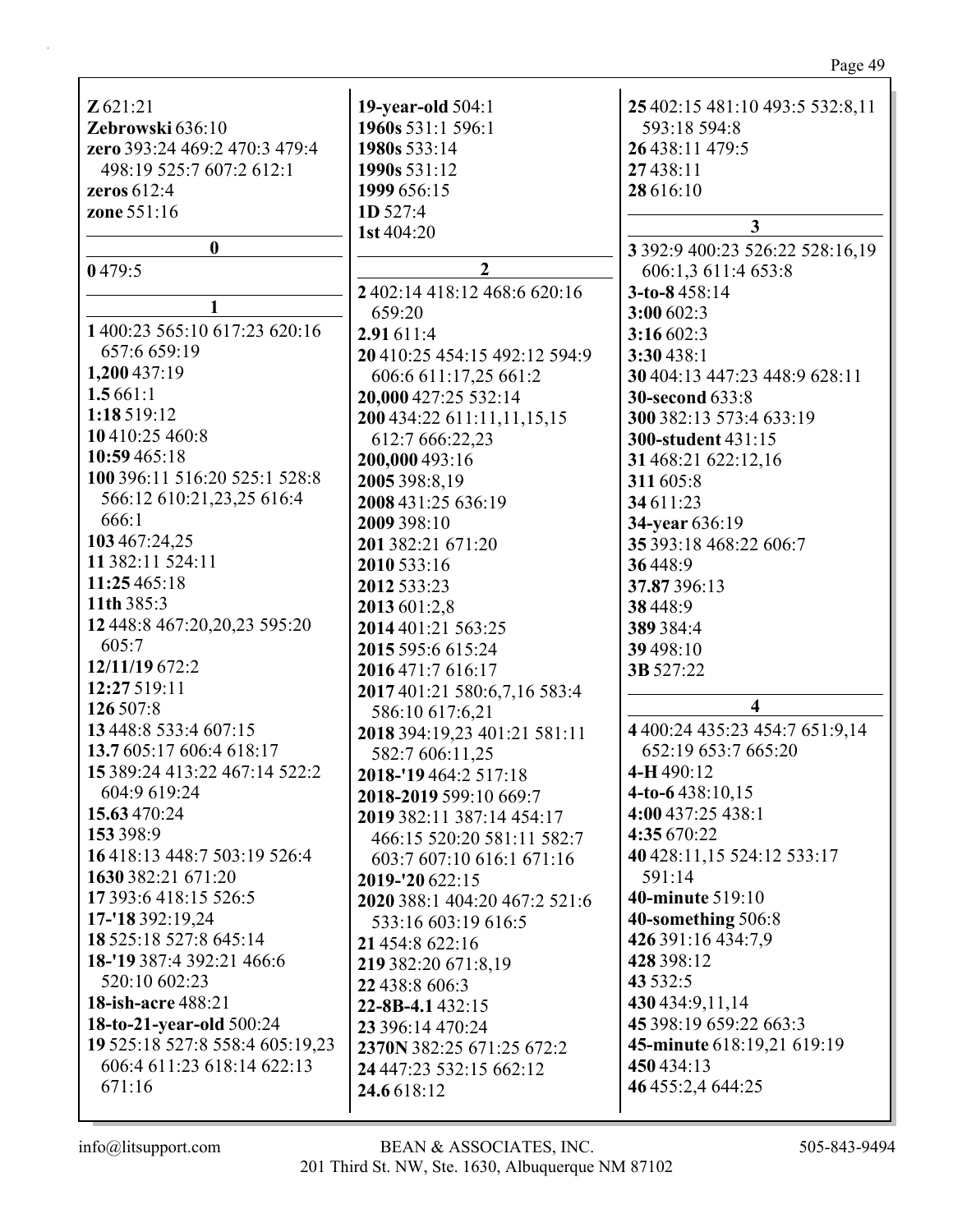| Z621:21                         | <b>19-year-old</b> 504:1      | 25 402:15 481:10 493:5 532:8,11 |
|---------------------------------|-------------------------------|---------------------------------|
| Zebrowski 636:10                | 1960s 531:1 596:1             | 593:18 594:8                    |
| zero 393:24 469:2 470:3 479:4   | 1980s 533:14                  | 26 438:11 479:5                 |
| 498:19 525:7 607:2 612:1        | 1990s 531:12                  | 27438:11                        |
| zeros $612:4$                   | 1999 656:15                   | 28 616:10                       |
| zone 551:16                     | 1D 527:4                      |                                 |
|                                 | 1st 404:20                    | $\mathbf{3}$                    |
| $\bf{0}$                        |                               | 3 392:9 400:23 526:22 528:16,19 |
| 0479:5                          | $\overline{2}$                | 606:1,3 611:4 653:8             |
|                                 | 2 402:14 418:12 468:6 620:16  | 3-to-8458:14                    |
| 1 400:23 565:10 617:23 620:16   | 659:20                        | 3:00 602:3                      |
|                                 | 2.91 611:4                    | 3:16 602:3                      |
| 657:6 659:19                    | 20 410:25 454:15 492:12 594:9 | 3:30438:1                       |
| 1,200 437:19                    | 606:6 611:17,25 661:2         | 30 404:13 447:23 448:9 628:11   |
| 1.5661:1                        | 20,000 427:25 532:14          | <b>30-second 633:8</b>          |
| 1:18 519:12                     | 200 434:22 611:11,11,15,15    | 300 382:13 573:4 633:19         |
| 10 410:25 460:8                 | 612:7 666:22,23               | 300-student 431:15              |
| 10:59 465:18                    | 200,000 493:16                | 31 468:21 622:12,16             |
| 100 396:11 516:20 525:1 528:8   | 2005 398:8,19                 | 311 605:8                       |
| 566:12 610:21,23,25 616:4       | 2008 431:25 636:19            | 34 611:23                       |
| 666:1                           | 2009 398:10                   | 34-year 636:19                  |
| 103 467:24,25                   | 201 382:21 671:20             | 35 393:18 468:22 606:7          |
| 11 382:11 524:11                | 2010 533:16                   | 36448:9                         |
| 11:25 465:18                    | 2012 533:23                   | 37.87396:13                     |
| 11th 385:3                      | 2013 601:2,8                  | 38 448:9                        |
| 12 448:8 467:20,20,23 595:20    | 2014 401:21 563:25            | 389 384:4                       |
| 605:7                           | 2015 595:6 615:24             | 39 498:10                       |
| 12/11/19 672:2                  | 2016 471:7 616:17             | 3B 527:22                       |
| 12:27 519:11                    | 2017 401:21 580:6,7,16 583:4  |                                 |
| 126 507:8                       | 586:10 617:6,21               | $\overline{4}$                  |
| 13 448:8 533:4 607:15           | 2018 394:19,23 401:21 581:11  | 4 400:24 435:23 454:7 651:9,14  |
| 13.7 605:17 606:4 618:17        | 582:7 606:11,25               | 652:19 653:7 665:20             |
| 15 389:24 413:22 467:14 522:2   | 2018-'19 464:2 517:18         | 4-H 490:12                      |
| 604:9 619:24                    | 2018-2019 599:10 669:7        | 4-to-6 $438:10,15$              |
| 15.63 470:24                    | 2019 382:11 387:14 454:17     | 4:00 437:25 438:1               |
| 153 398:9                       | 466:15 520:20 581:11 582:7    | 4:35 670:22                     |
| 16 418:13 448:7 503:19 526:4    | 603:7 607:10 616:1 671:16     | 40 428:11,15 524:12 533:17      |
| 1630 382:21 671:20              | 2019-'20 622:15               | 591:14                          |
| 17 393:6 418:15 526:5           | 2020 388:1 404:20 467:2 521:6 | <b>40-minute</b> 519:10         |
| 17-'18 392:19,24                | 533:16 603:19 616:5           | 40-something 506:8              |
| 18 525:18 527:8 645:14          | 21 454:8 622:16               | 426 391:16 434:7,9              |
| 18-'19 387:4 392:21 466:6       | 219 382:20 671:8,19           | 428 398:12                      |
| 520:10 602:23                   | 22 438:8 606:3                | 43 532:5                        |
| <b>18-ish-acre 488:21</b>       | 22-8B-4.1432:15               | 430 434:9, 11, 14               |
| 18-to-21-year-old 500:24        | 23 396:14 470:24              | 45 398:19 659:22 663:3          |
| 19 525:18 527:8 558:4 605:19,23 | 2370N 382:25 671:25 672:2     | 45-minute 618:19,21 619:19      |
| 606:4 611:23 618:14 622:13      | 24 447:23 532:15 662:12       | 450 434:13                      |
| 671:16                          | 24.6 618:12                   | 46 455:2,4 644:25               |
|                                 |                               |                                 |

Page 49